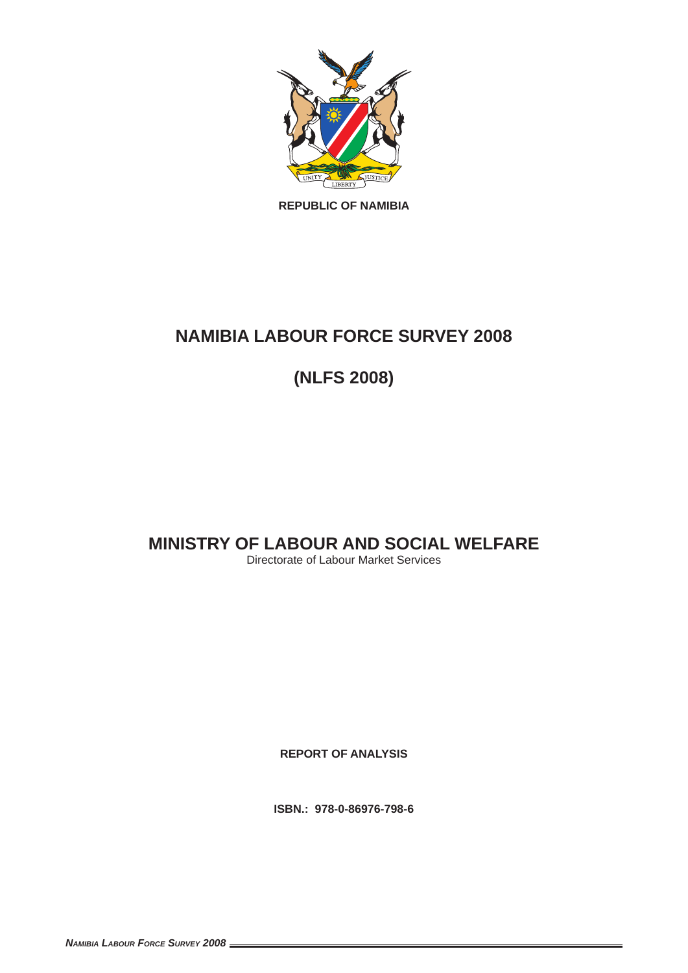

**REPUBLIC OF NAMIBIA**

# **NAMIBIA LABOUR FORCE SURVEY 2008**

**(NLFS 2008)** 

# **MINISTRY OF LABOUR AND SOCIAL WELFARE**

Directorate of Labour Market Services

**REPORT OF ANALYSIS**

**ISBN.: 978-0-86976-798-6**

*NAMIBIA LABOUR FORCE SURVEY 2008*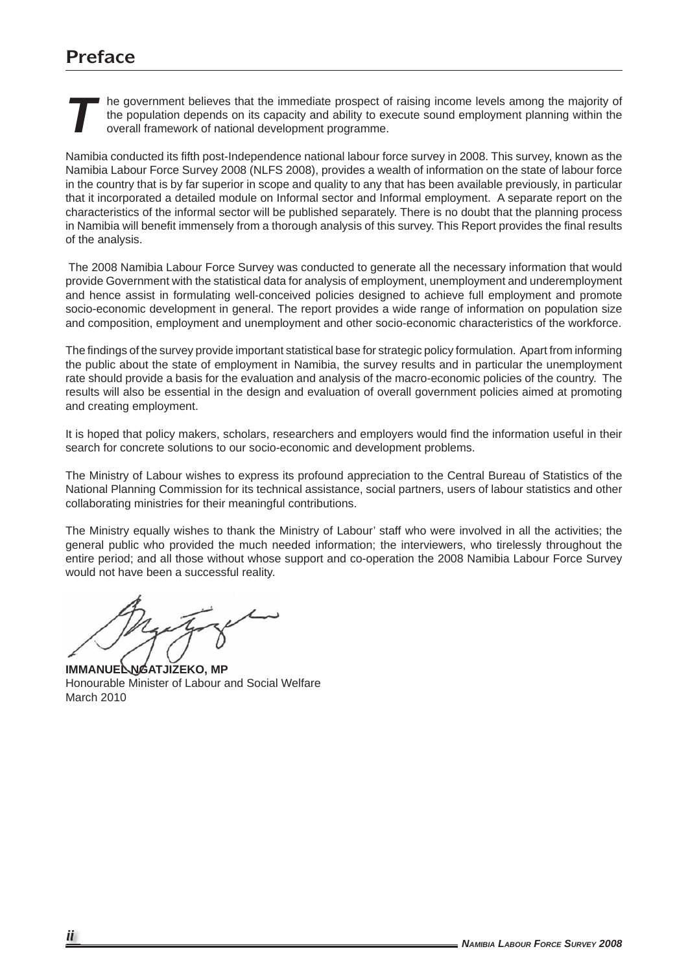# **Preface**

**THE GENERO IN THE GOVERNMENT OF THE GOVERNMENT OF THE PROPULATION OF THE PROPULATION OF THE PROPULATION OF THE PROPULATION OVER ALL STATES OVER ALL STATES OVER ALL STATES OVER ALL STATES OVER ALL STATES OVER ALL STATES OF** the population depends on its capacity and ability to execute sound employment planning within the overall framework of national development programme.

Namibia conducted its fifth post-Independence national labour force survey in 2008. This survey, known as the Namibia Labour Force Survey 2008 (NLFS 2008), provides a wealth of information on the state of labour force in the country that is by far superior in scope and quality to any that has been available previously, in particular that it incorporated a detailed module on Informal sector and Informal employment. A separate report on the characteristics of the informal sector will be published separately. There is no doubt that the planning process in Namibia will benefit immensely from a thorough analysis of this survey. This Report provides the final results of the analysis.

 The 2008 Namibia Labour Force Survey was conducted to generate all the necessary information that would provide Government with the statistical data for analysis of employment, unemployment and underemployment and hence assist in formulating well-conceived policies designed to achieve full employment and promote socio-economic development in general. The report provides a wide range of information on population size and composition, employment and unemployment and other socio-economic characteristics of the workforce.

The findings of the survey provide important statistical base for strategic policy formulation. Apart from informing the public about the state of employment in Namibia, the survey results and in particular the unemployment rate should provide a basis for the evaluation and analysis of the macro-economic policies of the country. The results will also be essential in the design and evaluation of overall government policies aimed at promoting and creating employment.

It is hoped that policy makers, scholars, researchers and employers would find the information useful in their search for concrete solutions to our socio-economic and development problems.

The Ministry of Labour wishes to express its profound appreciation to the Central Bureau of Statistics of the National Planning Commission for its technical assistance, social partners, users of labour statistics and other collaborating ministries for their meaningful contributions.

The Ministry equally wishes to thank the Ministry of Labour' staff who were involved in all the activities; the general public who provided the much needed information; the interviewers, who tirelessly throughout the entire period; and all those without whose support and co-operation the 2008 Namibia Labour Force Survey would not have been a successful reality.

**IMMANUEL NGATJIZEKO, MP** Honourable Minister of Labour and Social Welfare March 2010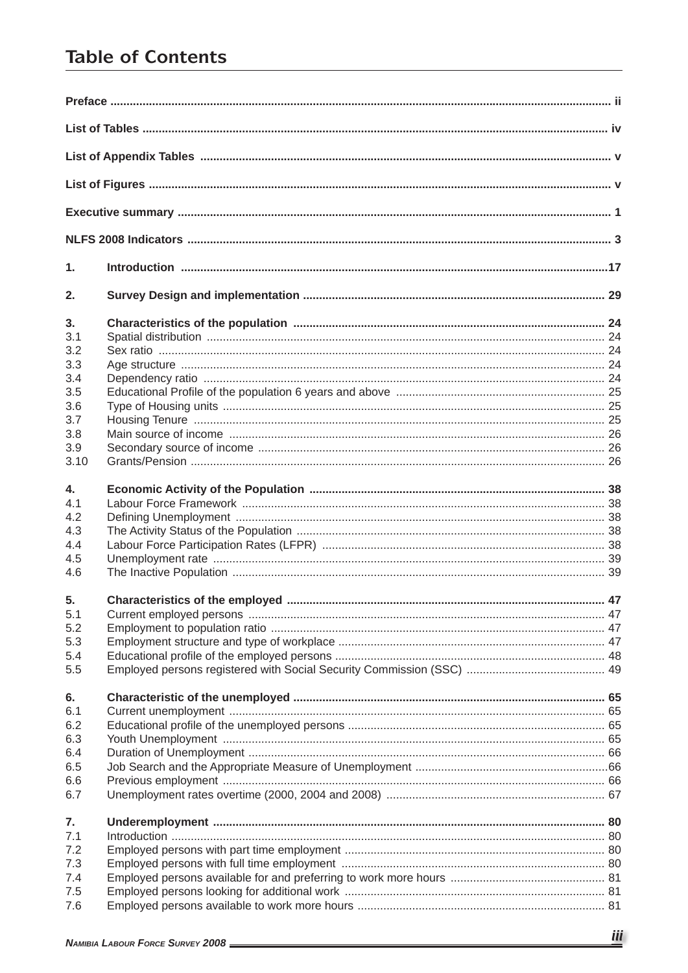# **Table of Contents**

| 1.   |  |
|------|--|
| 2.   |  |
| 3.   |  |
| 3.1  |  |
| 3.2  |  |
| 3.3  |  |
| 3.4  |  |
| 3.5  |  |
| 3.6  |  |
| 3.7  |  |
| 3.8  |  |
| 3.9  |  |
| 3.10 |  |
| 4.   |  |
| 4.1  |  |
| 4.2  |  |
|      |  |
| 4.3  |  |
| 4.4  |  |
| 4.5  |  |
| 4.6  |  |
| 5.   |  |
| 5.1  |  |
| 5.2  |  |
| 5.3  |  |
| 5.4  |  |
| 5.5  |  |
| 6.   |  |
| 6.1  |  |
| 6.2  |  |
| 6.3  |  |
| 6.4  |  |
|      |  |
| 6.5  |  |
| 6.6  |  |
| 6.7  |  |
| 7.   |  |
| 7.1  |  |
| 7.2  |  |
| 7.3  |  |
| 7.4  |  |
| 7.5  |  |
| 7.6  |  |
|      |  |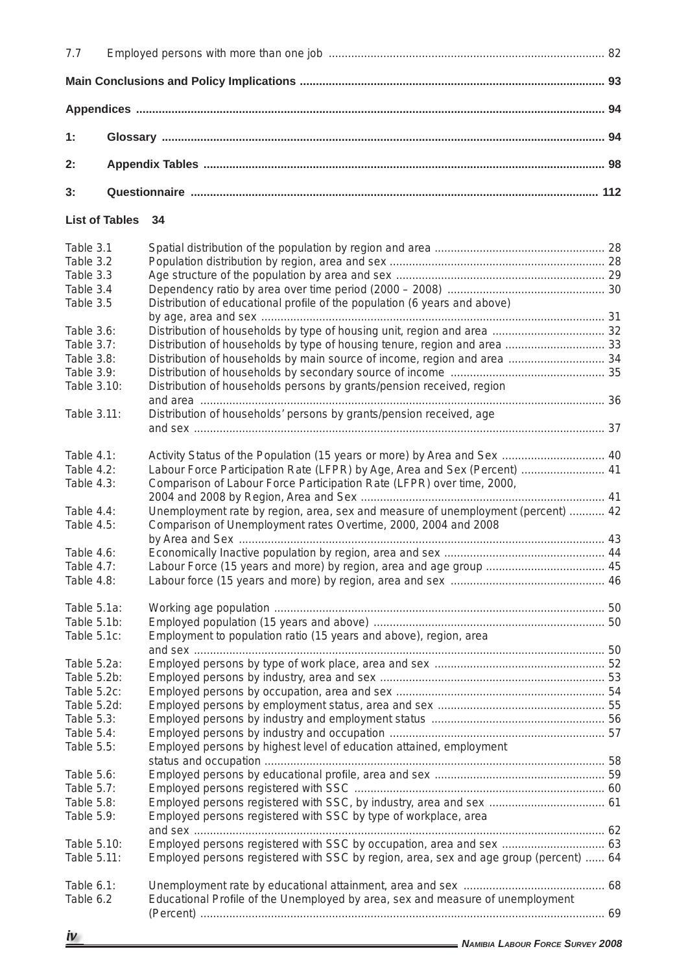| 7.7                      |                       |                                                                                       |  |
|--------------------------|-----------------------|---------------------------------------------------------------------------------------|--|
|                          |                       |                                                                                       |  |
|                          |                       |                                                                                       |  |
| 1:                       |                       |                                                                                       |  |
| 2:                       |                       |                                                                                       |  |
| 3:                       |                       |                                                                                       |  |
|                          | <b>List of Tables</b> | 34                                                                                    |  |
| Table 3.1                |                       |                                                                                       |  |
| Table 3.2                |                       |                                                                                       |  |
| Table 3.3                |                       |                                                                                       |  |
| Table 3.4                |                       |                                                                                       |  |
| Table 3.5                |                       | Distribution of educational profile of the population (6 years and above)             |  |
|                          |                       |                                                                                       |  |
| Table 3.6:               |                       |                                                                                       |  |
| <b>Table 3.7:</b>        |                       | Distribution of households by type of housing tenure, region and area  33             |  |
| Table 3.8:               |                       | Distribution of households by main source of income, region and area  34              |  |
| Table 3.9:               |                       |                                                                                       |  |
| Table 3.10:              |                       | Distribution of households persons by grants/pension received, region                 |  |
| Table 3.11:              |                       | Distribution of households' persons by grants/pension received, age                   |  |
|                          |                       |                                                                                       |  |
|                          |                       |                                                                                       |  |
| Table 4.1:               |                       | Activity Status of the Population (15 years or more) by Area and Sex  40              |  |
| Table 4.2:               |                       | Labour Force Participation Rate (LFPR) by Age, Area and Sex (Percent)  41             |  |
| Table 4.3:               |                       | Comparison of Labour Force Participation Rate (LFPR) over time, 2000,                 |  |
|                          |                       |                                                                                       |  |
| Table 4.4:               |                       | Unemployment rate by region, area, sex and measure of unemployment (percent)  42      |  |
| Table 4.5:               |                       | Comparison of Unemployment rates Overtime, 2000, 2004 and 2008                        |  |
|                          |                       |                                                                                       |  |
| Table 4.6:               |                       |                                                                                       |  |
| <b>Table 4.7:</b>        |                       | Labour Force (15 years and more) by region, area and age group  45                    |  |
| Table 4.8:               |                       |                                                                                       |  |
| Table 5.1a:              |                       |                                                                                       |  |
| Table 5.1b:              |                       |                                                                                       |  |
| Table 5.1c:              |                       | Employment to population ratio (15 years and above), region, area                     |  |
|                          |                       |                                                                                       |  |
| Table 5.2a:              |                       |                                                                                       |  |
| Table 5.2b:              |                       |                                                                                       |  |
| Table 5.2c:              |                       |                                                                                       |  |
| Table 5.2d:              |                       |                                                                                       |  |
| Table 5.3:               |                       |                                                                                       |  |
| Table 5.4:               |                       |                                                                                       |  |
| Table 5.5:               |                       | Employed persons by highest level of education attained, employment                   |  |
|                          |                       |                                                                                       |  |
|                          |                       |                                                                                       |  |
| Table 5.6:               |                       |                                                                                       |  |
| Table 5.7:               |                       |                                                                                       |  |
| Table 5.8:<br>Table 5.9: |                       | Employed persons registered with SSC by type of workplace, area                       |  |
|                          |                       |                                                                                       |  |
| Table 5.10:              |                       | Employed persons registered with SSC by occupation, area and sex  63                  |  |
| Table 5.11:              |                       | Employed persons registered with SSC by region, area, sex and age group (percent)  64 |  |
|                          |                       |                                                                                       |  |
| Table 6.1:               |                       |                                                                                       |  |
| Table 6.2                |                       | Educational Profile of the Unemployed by area, sex and measure of unemployment        |  |
|                          |                       |                                                                                       |  |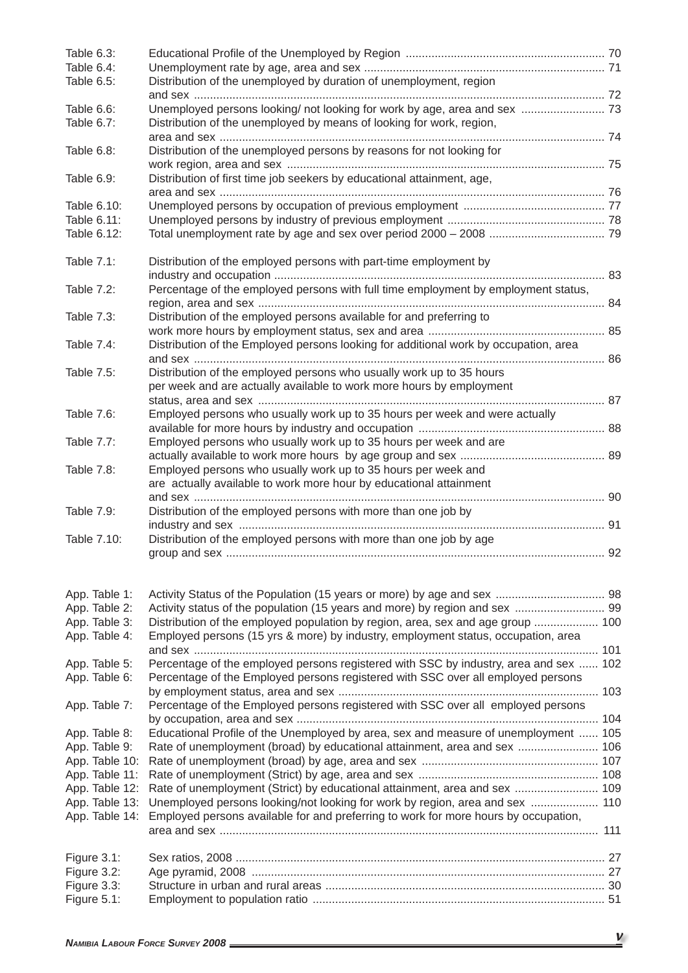| Table 6.3:<br>Table 6.4:<br>Table 6.5: | Distribution of the unemployed by duration of unemployment, region                    |  |
|----------------------------------------|---------------------------------------------------------------------------------------|--|
|                                        |                                                                                       |  |
| Table 6.6:                             | Unemployed persons looking/ not looking for work by age, area and sex  73             |  |
| Table 6.7:                             | Distribution of the unemployed by means of looking for work, region,                  |  |
| Table 6.8:                             | Distribution of the unemployed persons by reasons for not looking for                 |  |
| Table 6.9:                             | Distribution of first time job seekers by educational attainment, age,                |  |
|                                        |                                                                                       |  |
| Table 6.10:                            |                                                                                       |  |
| Table 6.11:                            |                                                                                       |  |
| Table 6.12:                            |                                                                                       |  |
| Table 7.1:                             | Distribution of the employed persons with part-time employment by                     |  |
| Table 7.2:                             | Percentage of the employed persons with full time employment by employment status,    |  |
| Table 7.3:                             | Distribution of the employed persons available for and preferring to                  |  |
|                                        |                                                                                       |  |
| Table 7.4:                             | Distribution of the Employed persons looking for additional work by occupation, area  |  |
|                                        |                                                                                       |  |
| Table 7.5:                             | Distribution of the employed persons who usually work up to 35 hours                  |  |
|                                        | per week and are actually available to work more hours by employment                  |  |
|                                        |                                                                                       |  |
| Table 7.6:                             | Employed persons who usually work up to 35 hours per week and were actually           |  |
|                                        |                                                                                       |  |
| <b>Table 7.7:</b>                      | Employed persons who usually work up to 35 hours per week and are                     |  |
| Table 7.8:                             | Employed persons who usually work up to 35 hours per week and                         |  |
|                                        | are actually available to work more hour by educational attainment                    |  |
|                                        |                                                                                       |  |
| <b>Table 7.9:</b>                      | Distribution of the employed persons with more than one job by                        |  |
|                                        |                                                                                       |  |
| Table 7.10:                            | Distribution of the employed persons with more than one job by age                    |  |
|                                        |                                                                                       |  |
| App. Table 1:                          |                                                                                       |  |
| App. Table 2:                          | Activity status of the population (15 years and more) by region and sex  99           |  |
| App. Table 3:                          | Distribution of the employed population by region, area, sex and age group  100       |  |
| App. Table 4:                          | Employed persons (15 yrs & more) by industry, employment status, occupation, area     |  |
|                                        |                                                                                       |  |
| App. Table 5:                          | Percentage of the employed persons registered with SSC by industry, area and sex  102 |  |
| App. Table 6:                          | Percentage of the Employed persons registered with SSC over all employed persons      |  |
| App. Table 7:                          | Percentage of the Employed persons registered with SSC over all employed persons      |  |
|                                        |                                                                                       |  |
| App. Table 8:                          | Educational Profile of the Unemployed by area, sex and measure of unemployment  105   |  |
| App. Table 9:                          | Rate of unemployment (broad) by educational attainment, area and sex  106             |  |
| App. Table 10:                         |                                                                                       |  |
| App. Table 11:                         |                                                                                       |  |
| App. Table 12:                         | Rate of unemployment (Strict) by educational attainment, area and sex  109            |  |
| App. Table 13:                         | Unemployed persons looking/not looking for work by region, area and sex  110          |  |
| App. Table 14:                         | Employed persons available for and preferring to work for more hours by occupation,   |  |
|                                        |                                                                                       |  |
| Figure 3.1:                            |                                                                                       |  |
| Figure 3.2:                            |                                                                                       |  |
| Figure 3.3:                            |                                                                                       |  |
| Figure 5.1:                            |                                                                                       |  |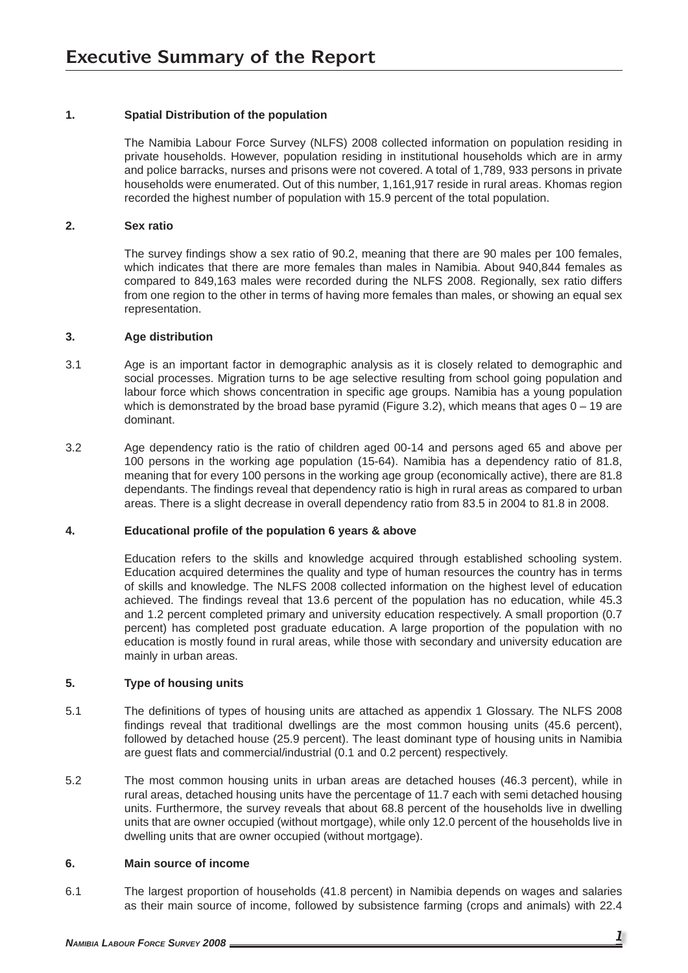## **1. Spatial Distribution of the population**

 The Namibia Labour Force Survey (NLFS) 2008 collected information on population residing in private households. However, population residing in institutional households which are in army and police barracks, nurses and prisons were not covered. A total of 1,789, 933 persons in private households were enumerated. Out of this number, 1,161,917 reside in rural areas. Khomas region recorded the highest number of population with 15.9 percent of the total population.

## **2. Sex ratio**

The survey findings show a sex ratio of 90.2, meaning that there are 90 males per 100 females. which indicates that there are more females than males in Namibia. About 940,844 females as compared to 849,163 males were recorded during the NLFS 2008. Regionally, sex ratio differs from one region to the other in terms of having more females than males, or showing an equal sex representation.

#### **3. Age distribution**

- 3.1 Age is an important factor in demographic analysis as it is closely related to demographic and social processes. Migration turns to be age selective resulting from school going population and labour force which shows concentration in specific age groups. Namibia has a young population which is demonstrated by the broad base pyramid (Figure 3.2), which means that ages  $0 - 19$  are dominant.
- 3.2 Age dependency ratio is the ratio of children aged 00-14 and persons aged 65 and above per 100 persons in the working age population (15-64). Namibia has a dependency ratio of 81.8, meaning that for every 100 persons in the working age group (economically active), there are 81.8 dependants. The findings reveal that dependency ratio is high in rural areas as compared to urban areas. There is a slight decrease in overall dependency ratio from 83.5 in 2004 to 81.8 in 2008.

## **4. Educational profi le of the population 6 years & above**

 Education refers to the skills and knowledge acquired through established schooling system. Education acquired determines the quality and type of human resources the country has in terms of skills and knowledge. The NLFS 2008 collected information on the highest level of education achieved. The findings reveal that 13.6 percent of the population has no education, while 45.3 and 1.2 percent completed primary and university education respectively. A small proportion (0.7 percent) has completed post graduate education. A large proportion of the population with no education is mostly found in rural areas, while those with secondary and university education are mainly in urban areas.

## **5. Type of housing units**

- 5.1 The definitions of types of housing units are attached as appendix 1 Glossary. The NLFS 2008 findings reveal that traditional dwellings are the most common housing units (45.6 percent), followed by detached house (25.9 percent). The least dominant type of housing units in Namibia are guest flats and commercial/industrial (0.1 and 0.2 percent) respectively.
- 5.2 The most common housing units in urban areas are detached houses (46.3 percent), while in rural areas, detached housing units have the percentage of 11.7 each with semi detached housing units. Furthermore, the survey reveals that about 68.8 percent of the households live in dwelling units that are owner occupied (without mortgage), while only 12.0 percent of the households live in dwelling units that are owner occupied (without mortgage).

#### **6. Main source of income**

6.1 The largest proportion of households (41.8 percent) in Namibia depends on wages and salaries as their main source of income, followed by subsistence farming (crops and animals) with 22.4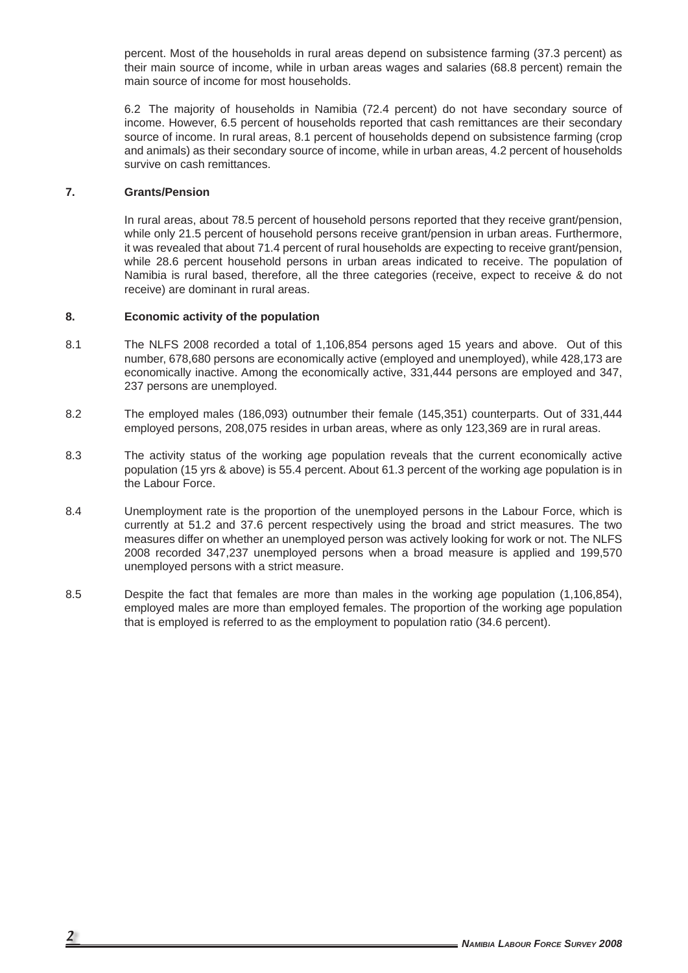percent. Most of the households in rural areas depend on subsistence farming (37.3 percent) as their main source of income, while in urban areas wages and salaries (68.8 percent) remain the main source of income for most households.

 6.2 The majority of households in Namibia (72.4 percent) do not have secondary source of income. However, 6.5 percent of households reported that cash remittances are their secondary source of income. In rural areas, 8.1 percent of households depend on subsistence farming (crop and animals) as their secondary source of income, while in urban areas, 4.2 percent of households survive on cash remittances.

#### **7. Grants/Pension**

 In rural areas, about 78.5 percent of household persons reported that they receive grant/pension, while only 21.5 percent of household persons receive grant/pension in urban areas. Furthermore, it was revealed that about 71.4 percent of rural households are expecting to receive grant/pension, while 28.6 percent household persons in urban areas indicated to receive. The population of Namibia is rural based, therefore, all the three categories (receive, expect to receive & do not receive) are dominant in rural areas.

## **8. Economic activity of the population**

- 8.1 The NLFS 2008 recorded a total of 1,106,854 persons aged 15 years and above. Out of this number, 678,680 persons are economically active (employed and unemployed), while 428,173 are economically inactive. Among the economically active, 331,444 persons are employed and 347, 237 persons are unemployed.
- 8.2 The employed males (186,093) outnumber their female (145,351) counterparts. Out of 331,444 employed persons, 208,075 resides in urban areas, where as only 123,369 are in rural areas.
- 8.3 The activity status of the working age population reveals that the current economically active population (15 yrs & above) is 55.4 percent. About 61.3 percent of the working age population is in the Labour Force.
- 8.4 Unemployment rate is the proportion of the unemployed persons in the Labour Force, which is currently at 51.2 and 37.6 percent respectively using the broad and strict measures. The two measures differ on whether an unemployed person was actively looking for work or not. The NLFS 2008 recorded 347,237 unemployed persons when a broad measure is applied and 199,570 unemployed persons with a strict measure.
- 8.5 Despite the fact that females are more than males in the working age population (1,106,854), employed males are more than employed females. The proportion of the working age population that is employed is referred to as the employment to population ratio (34.6 percent).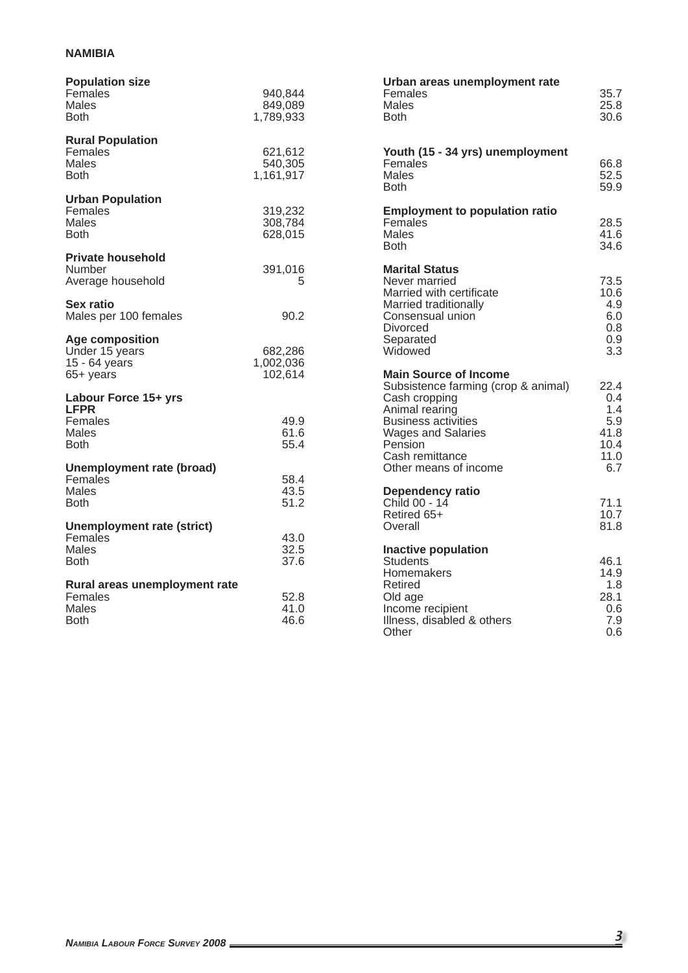## **NAMIBIA**

| <b>Population size</b><br>Females<br><b>Males</b><br><b>Both</b>  | 940,844<br>849,089<br>1,789,933 | Urban areas unemployment rate<br>Females<br><b>Males</b><br><b>Both</b>                      | 35.7<br>25.8<br>30.6                     |
|-------------------------------------------------------------------|---------------------------------|----------------------------------------------------------------------------------------------|------------------------------------------|
| <b>Rural Population</b><br>Females<br>Males<br><b>Both</b>        | 621,612<br>540,305<br>1,161,917 | Youth (15 - 34 yrs) unemployment<br>Females<br>Males<br><b>Both</b>                          | 66.8<br>52.5<br>59.9                     |
| <b>Urban Population</b><br>Females<br><b>Males</b><br><b>Both</b> | 319,232<br>308,784<br>628,015   | <b>Employment to population ratio</b><br>Females<br><b>Males</b><br><b>Both</b>              | 28.5<br>41.6<br>34.6                     |
| <b>Private household</b><br>Number<br>Average household           | 391,016<br>5                    | <b>Marital Status</b><br>Never married<br>Married with certificate                           | 73.5<br>10.6                             |
| Sex ratio<br>Males per 100 females                                | 90.2                            | Married traditionally<br>Consensual union<br><b>Divorced</b>                                 | 4.9<br>6.0<br>0.8                        |
| Age composition<br>Under 15 years<br>15 - 64 years<br>65+ years   | 682,286<br>1,002,036<br>102,614 | Separated<br>Widowed<br><b>Main Source of Income</b>                                         | 0.9<br>3.3                               |
| Labour Force 15+ yrs<br><b>LFPR</b>                               |                                 | Subsistence farming (crop & animal)<br>Cash cropping<br>Animal rearing                       | 22.4<br>0.4<br>1.4                       |
| Females<br><b>Males</b><br><b>Both</b>                            | 49.9<br>61.6<br>55.4            | <b>Business activities</b><br><b>Wages and Salaries</b><br><b>Pension</b><br>Cash remittance | 5.9<br>41.8<br>10.4<br>11.0              |
| Unemployment rate (broad)<br>Females<br>Males                     | 58.4<br>43.5                    | Other means of income<br><b>Dependency ratio</b>                                             | 6.7                                      |
| <b>Both</b><br><b>Unemployment rate (strict)</b>                  | 51.2                            | Child 00 - 14<br>Retired 65+<br>Overall                                                      | 71.1<br>10.7<br>81.8                     |
| Females<br><b>Males</b><br><b>Both</b>                            | 43.0<br>32.5<br>37.6            | <b>Inactive population</b><br><b>Students</b>                                                | 46.1                                     |
| Rural areas unemployment rate<br>Females<br>Males<br><b>Both</b>  | 52.8<br>41.0<br>46.6            | Homemakers<br>Retired<br>Old age<br>Income recipient<br>Illness, disabled & others<br>Other  | 14.9<br>1.8<br>28.1<br>0.6<br>7.9<br>0.6 |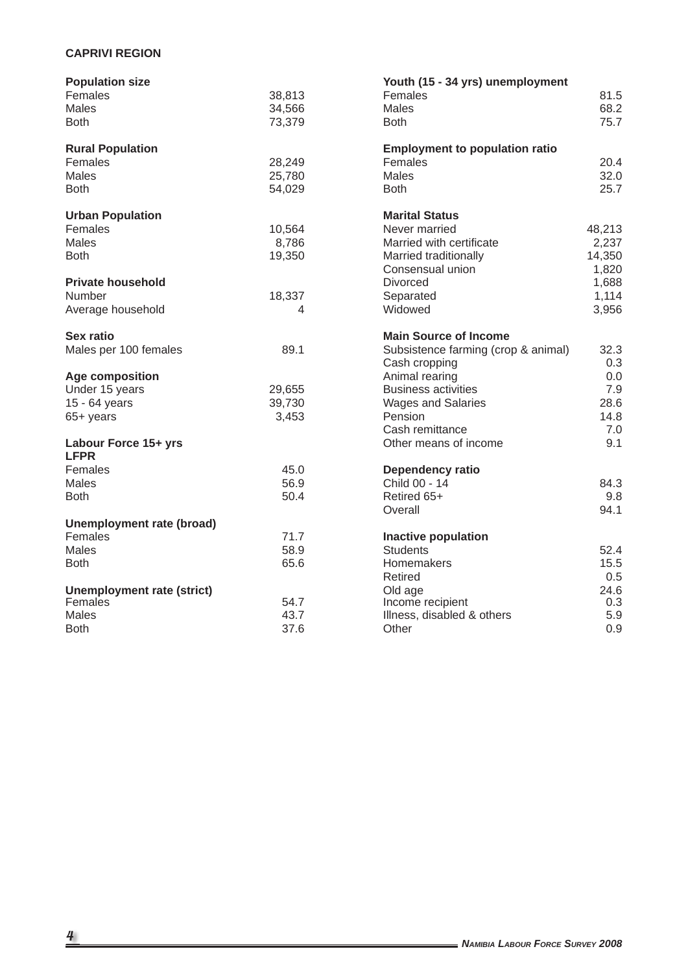# **CAPRIVI REGION**

| <b>Population size</b>            |        | Youth (15 - 34 yrs) unemployment      |        |
|-----------------------------------|--------|---------------------------------------|--------|
| Females                           | 38,813 | Females                               | 81.5   |
| Males                             | 34,566 | <b>Males</b>                          | 68.2   |
| <b>Both</b>                       | 73,379 | <b>Both</b>                           | 75.7   |
|                                   |        |                                       |        |
| <b>Rural Population</b>           |        | <b>Employment to population ratio</b> |        |
| Females                           | 28,249 | Females                               | 20.4   |
| Males                             | 25,780 | Males                                 | 32.0   |
| <b>Both</b>                       | 54,029 | <b>Both</b>                           | 25.7   |
| <b>Urban Population</b>           |        | <b>Marital Status</b>                 |        |
| Females                           | 10,564 | Never married                         | 48,213 |
| Males                             | 8,786  | Married with certificate              | 2,237  |
| <b>Both</b>                       | 19,350 | Married traditionally                 | 14,350 |
|                                   |        | Consensual union                      | 1,820  |
| <b>Private household</b>          |        | Divorced                              | 1,688  |
| Number                            | 18,337 | Separated                             | 1,114  |
| Average household                 | 4      | Widowed                               | 3,956  |
|                                   |        |                                       |        |
| <b>Sex ratio</b>                  |        | <b>Main Source of Income</b>          |        |
| Males per 100 females             | 89.1   | Subsistence farming (crop & animal)   | 32.3   |
|                                   |        | Cash cropping                         | 0.3    |
| <b>Age composition</b>            |        | Animal rearing                        | 0.0    |
| Under 15 years                    | 29,655 | <b>Business activities</b>            | 7.9    |
| 15 - 64 years                     | 39,730 | <b>Wages and Salaries</b>             | 28.6   |
| 65+ years                         | 3,453  | Pension                               | 14.8   |
|                                   |        | Cash remittance                       | 7.0    |
| Labour Force 15+ yrs              |        | Other means of income                 | 9.1    |
| <b>LFPR</b>                       |        |                                       |        |
| Females                           | 45.0   | <b>Dependency ratio</b>               |        |
| Males                             | 56.9   | Child 00 - 14                         | 84.3   |
| <b>Both</b>                       | 50.4   | Retired 65+                           | 9.8    |
|                                   |        | Overall                               | 94.1   |
| Unemployment rate (broad)         |        |                                       |        |
| Females                           | 71.7   | Inactive population                   |        |
| <b>Males</b>                      | 58.9   | <b>Students</b>                       | 52.4   |
| <b>Both</b>                       | 65.6   | Homemakers                            | 15.5   |
|                                   |        | Retired                               | 0.5    |
| <b>Unemployment rate (strict)</b> |        | Old age                               | 24.6   |
| Females                           | 54.7   | Income recipient                      | 0.3    |
| <b>Males</b>                      | 43.7   | Illness, disabled & others            | 5.9    |
| <b>Both</b>                       | 37.6   | Other                                 | 0.9    |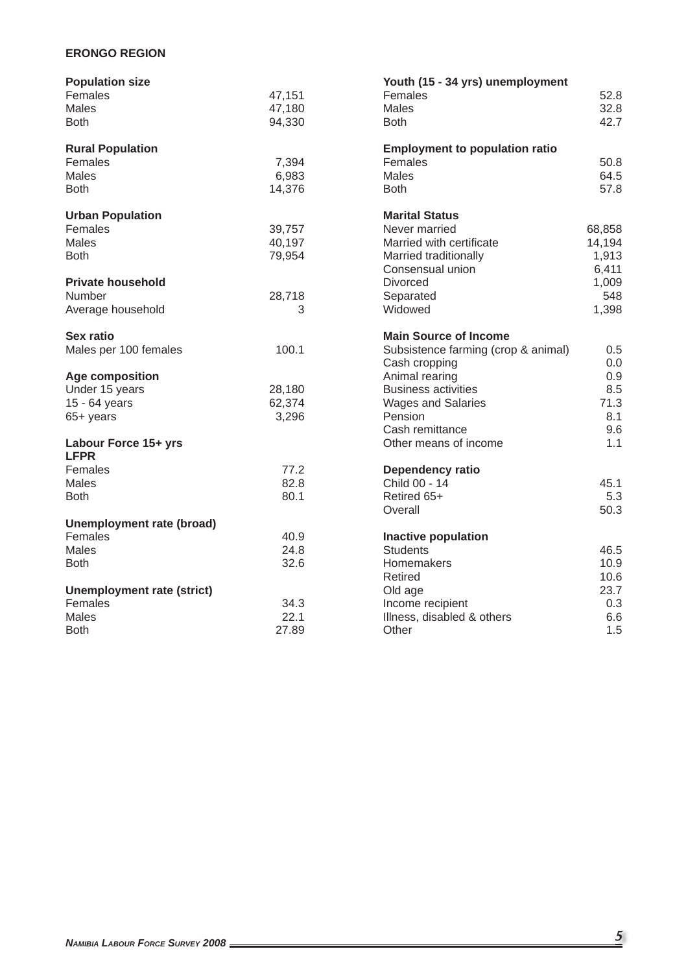## **ERONGO REGION**

| <b>Population size</b>            |        | Youth (15 - 34 yrs) unemployment      |        |
|-----------------------------------|--------|---------------------------------------|--------|
| Females                           | 47,151 | Females                               | 52.8   |
| Males                             | 47,180 | <b>Males</b>                          | 32.8   |
| <b>Both</b>                       | 94,330 | <b>Both</b>                           | 42.7   |
|                                   |        |                                       |        |
| <b>Rural Population</b>           |        | <b>Employment to population ratio</b> |        |
| Females                           | 7,394  | Females                               | 50.8   |
| <b>Males</b>                      | 6,983  | <b>Males</b>                          | 64.5   |
| <b>Both</b>                       | 14,376 | <b>Both</b>                           | 57.8   |
| <b>Urban Population</b>           |        | <b>Marital Status</b>                 |        |
| Females                           | 39,757 | Never married                         | 68,858 |
| Males                             | 40,197 | Married with certificate              | 14,194 |
| <b>Both</b>                       | 79,954 | Married traditionally                 | 1,913  |
|                                   |        | Consensual union                      | 6,411  |
| <b>Private household</b>          |        | Divorced                              | 1,009  |
| Number                            | 28,718 | Separated                             | 548    |
| Average household                 | 3      | Widowed                               | 1,398  |
|                                   |        |                                       |        |
| <b>Sex ratio</b>                  |        | <b>Main Source of Income</b>          |        |
| Males per 100 females             | 100.1  | Subsistence farming (crop & animal)   | 0.5    |
|                                   |        | Cash cropping                         | 0.0    |
| <b>Age composition</b>            |        | Animal rearing                        | 0.9    |
| Under 15 years                    | 28,180 | <b>Business activities</b>            | 8.5    |
| 15 - 64 years                     | 62,374 | <b>Wages and Salaries</b>             | 71.3   |
| 65+ years                         | 3,296  | Pension                               | 8.1    |
|                                   |        | Cash remittance                       | 9.6    |
| Labour Force 15+ yrs              |        | Other means of income                 | 1.1    |
| <b>LFPR</b>                       |        |                                       |        |
| Females                           | 77.2   | <b>Dependency ratio</b>               |        |
| Males                             | 82.8   | Child 00 - 14                         | 45.1   |
| <b>Both</b>                       | 80.1   | Retired 65+                           | 5.3    |
|                                   |        | Overall                               | 50.3   |
| <b>Unemployment rate (broad)</b>  |        |                                       |        |
| Females                           | 40.9   | <b>Inactive population</b>            |        |
| Males                             | 24.8   | <b>Students</b>                       | 46.5   |
| <b>Both</b>                       | 32.6   | Homemakers                            | 10.9   |
|                                   |        | Retired                               | 10.6   |
| <b>Unemployment rate (strict)</b> |        | Old age                               | 23.7   |
| Females                           | 34.3   | Income recipient                      | 0.3    |
| <b>Males</b>                      | 22.1   | Illness, disabled & others            | 6.6    |
| <b>Both</b>                       | 27.89  | Other                                 | 1.5    |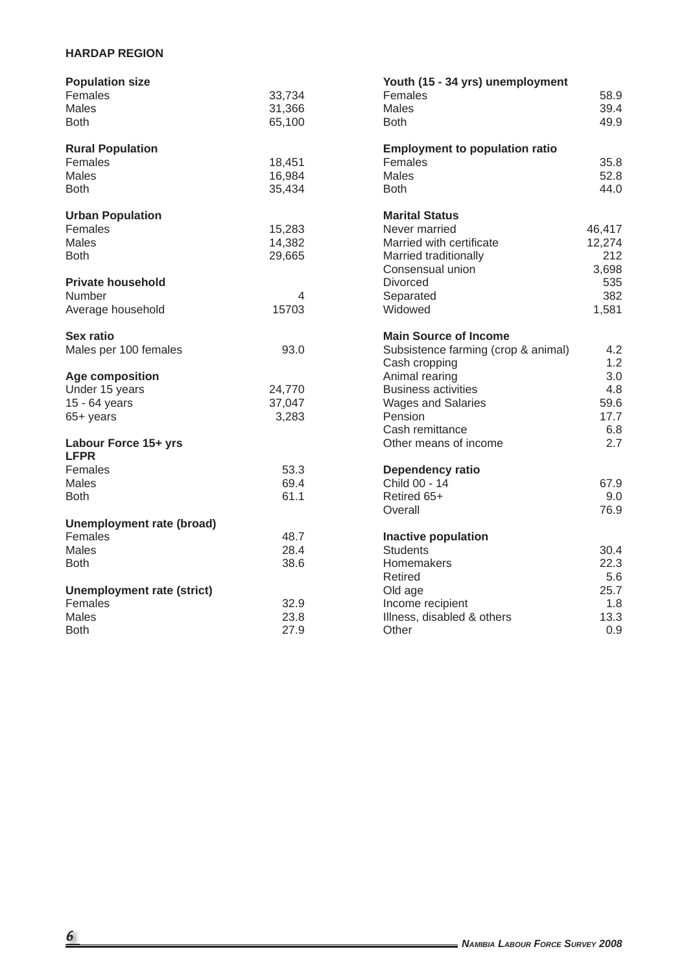# **HARDAP REGION**

| <b>Population size</b>            |        | Youth (15 - 34 yrs) unemployment      |        |
|-----------------------------------|--------|---------------------------------------|--------|
| Females                           | 33,734 | Females                               | 58.9   |
| Males                             | 31,366 | Males                                 | 39.4   |
| <b>Both</b>                       | 65,100 | <b>Both</b>                           | 49.9   |
|                                   |        |                                       |        |
| <b>Rural Population</b>           |        | <b>Employment to population ratio</b> |        |
| Females                           | 18,451 | Females                               | 35.8   |
| Males                             | 16,984 | Males                                 | 52.8   |
| <b>Both</b>                       | 35,434 | <b>Both</b>                           | 44.0   |
| <b>Urban Population</b>           |        | <b>Marital Status</b>                 |        |
| Females                           | 15,283 | Never married                         | 46,417 |
| <b>Males</b>                      | 14,382 | Married with certificate              | 12,274 |
| <b>Both</b>                       | 29,665 | Married traditionally                 | 212    |
|                                   |        | Consensual union                      | 3,698  |
| <b>Private household</b>          |        | <b>Divorced</b>                       | 535    |
| Number                            | 4      | Separated                             | 382    |
| Average household                 | 15703  | Widowed                               | 1,581  |
|                                   |        |                                       |        |
| <b>Sex ratio</b>                  |        | <b>Main Source of Income</b>          |        |
| Males per 100 females             | 93.0   | Subsistence farming (crop & animal)   | 4.2    |
|                                   |        | Cash cropping                         | 1.2    |
| Age composition                   |        | Animal rearing                        | 3.0    |
| Under 15 years                    | 24,770 | <b>Business activities</b>            | 4.8    |
| 15 - 64 years                     | 37,047 | <b>Wages and Salaries</b>             | 59.6   |
| 65+ years                         | 3,283  | Pension                               | 17.7   |
|                                   |        | Cash remittance                       | 6.8    |
| Labour Force 15+ yrs              |        | Other means of income                 | 2.7    |
| <b>LFPR</b>                       |        |                                       |        |
| Females                           | 53.3   | Dependency ratio                      |        |
| Males                             | 69.4   | Child 00 - 14                         | 67.9   |
| <b>Both</b>                       | 61.1   | Retired 65+                           | 9.0    |
|                                   |        | Overall                               | 76.9   |
| Unemployment rate (broad)         |        |                                       |        |
| Females                           | 48.7   | <b>Inactive population</b>            |        |
| Males                             | 28.4   | <b>Students</b>                       | 30.4   |
| <b>Both</b>                       | 38.6   | Homemakers                            | 22.3   |
|                                   |        | Retired                               | 5.6    |
| <b>Unemployment rate (strict)</b> |        | Old age                               | 25.7   |
| Females                           | 32.9   | Income recipient                      | 1.8    |
| <b>Males</b>                      | 23.8   | Illness, disabled & others            | 13.3   |
| <b>Both</b>                       | 27.9   | Other                                 | 0.9    |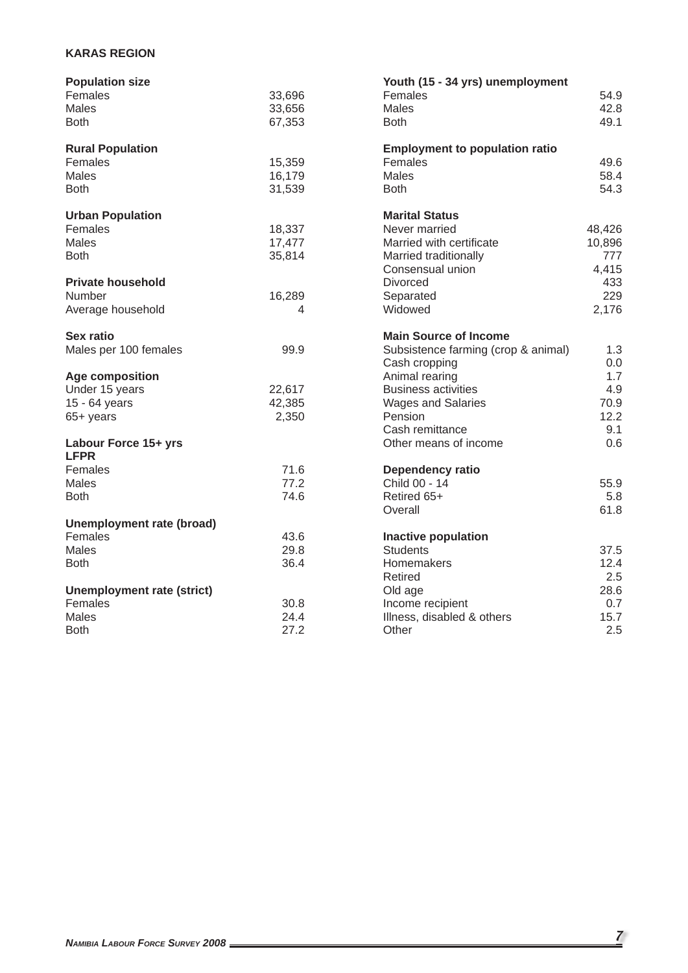# **KARAS REGION**

| <b>Population size</b>            |        | Youth (15 - 34 yrs) unemployment      |        |
|-----------------------------------|--------|---------------------------------------|--------|
| Females                           | 33,696 | Females                               | 54.9   |
| Males                             | 33,656 | Males                                 | 42.8   |
| <b>Both</b>                       | 67,353 | <b>Both</b>                           | 49.1   |
|                                   |        |                                       |        |
| <b>Rural Population</b>           |        | <b>Employment to population ratio</b> |        |
| Females                           | 15,359 | Females                               | 49.6   |
| <b>Males</b>                      | 16,179 | <b>Males</b>                          | 58.4   |
| <b>Both</b>                       | 31,539 | <b>Both</b>                           | 54.3   |
| <b>Urban Population</b>           |        | <b>Marital Status</b>                 |        |
| Females                           | 18,337 | Never married                         | 48,426 |
| Males                             | 17,477 | Married with certificate              | 10,896 |
| <b>Both</b>                       | 35,814 | Married traditionally                 | 777    |
|                                   |        | Consensual union                      | 4,415  |
| <b>Private household</b>          |        | Divorced                              | 433    |
| Number                            | 16,289 | Separated                             | 229    |
| Average household                 | 4      | Widowed                               | 2,176  |
|                                   |        |                                       |        |
| <b>Sex ratio</b>                  |        | <b>Main Source of Income</b>          |        |
| Males per 100 females             | 99.9   | Subsistence farming (crop & animal)   | 1.3    |
|                                   |        | Cash cropping                         | 0.0    |
| <b>Age composition</b>            |        | Animal rearing                        | 1.7    |
| Under 15 years                    | 22,617 | <b>Business activities</b>            | 4.9    |
| 15 - 64 years                     | 42,385 | <b>Wages and Salaries</b>             | 70.9   |
| 65+ years                         | 2,350  | Pension                               | 12.2   |
|                                   |        | Cash remittance                       | 9.1    |
| Labour Force 15+ yrs              |        | Other means of income                 | 0.6    |
| <b>LFPR</b>                       |        |                                       |        |
| Females                           | 71.6   | Dependency ratio                      |        |
| <b>Males</b>                      | 77.2   | Child 00 - 14                         | 55.9   |
| <b>Both</b>                       | 74.6   | Retired 65+                           | 5.8    |
|                                   |        | Overall                               | 61.8   |
| <b>Unemployment rate (broad)</b>  |        |                                       |        |
| Females                           | 43.6   | <b>Inactive population</b>            |        |
| Males                             | 29.8   | <b>Students</b>                       | 37.5   |
| <b>Both</b>                       | 36.4   | Homemakers                            | 12.4   |
|                                   |        | Retired                               | 2.5    |
| <b>Unemployment rate (strict)</b> |        | Old age                               | 28.6   |
| Females                           | 30.8   | Income recipient                      | 0.7    |
| <b>Males</b>                      | 24.4   | Illness, disabled & others            | 15.7   |
| <b>Both</b>                       | 27.2   | Other                                 | 2.5    |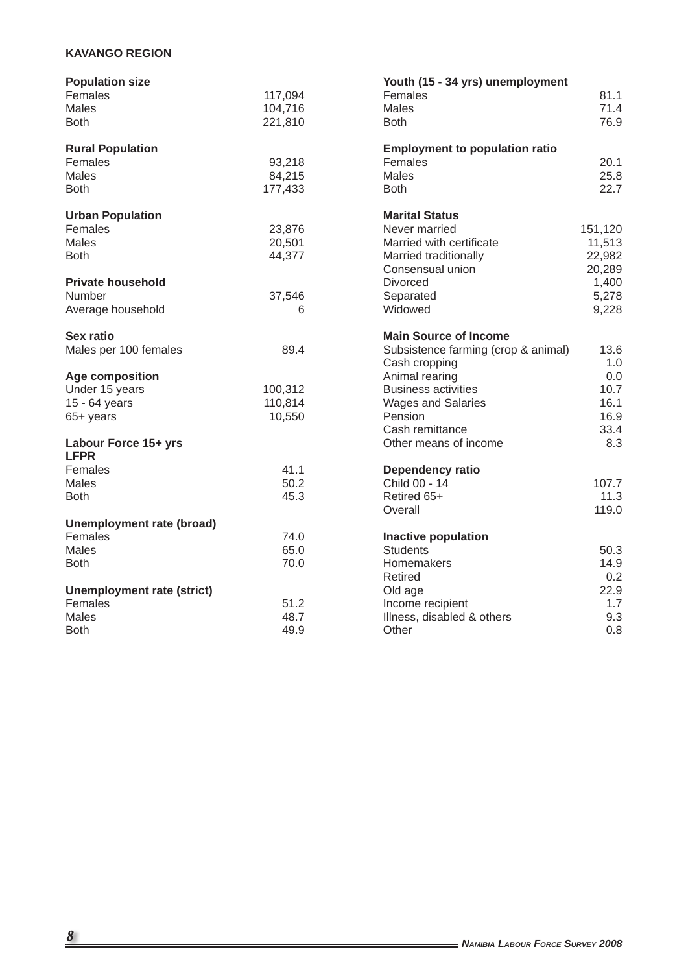# **KAVANGO REGION**

| <b>Population size</b>            |         | Youth (15 - 34 yrs) unemployment      |         |
|-----------------------------------|---------|---------------------------------------|---------|
| Females                           | 117,094 | Females                               | 81.1    |
| <b>Males</b>                      | 104,716 | <b>Males</b>                          | 71.4    |
| <b>Both</b>                       | 221,810 | <b>Both</b>                           | 76.9    |
|                                   |         |                                       |         |
| <b>Rural Population</b>           |         | <b>Employment to population ratio</b> |         |
| Females                           | 93,218  | Females                               | 20.1    |
| Males                             | 84,215  | Males                                 | 25.8    |
| <b>Both</b>                       | 177,433 | <b>Both</b>                           | 22.7    |
| <b>Urban Population</b>           |         | <b>Marital Status</b>                 |         |
| Females                           | 23,876  | Never married                         | 151,120 |
| Males                             | 20,501  | Married with certificate              | 11,513  |
| <b>Both</b>                       | 44,377  | Married traditionally                 | 22,982  |
|                                   |         | Consensual union                      | 20,289  |
| <b>Private household</b>          |         | <b>Divorced</b>                       | 1,400   |
| Number                            | 37,546  | Separated                             | 5,278   |
| Average household                 | 6       | Widowed                               | 9,228   |
|                                   |         |                                       |         |
| Sex ratio                         |         | <b>Main Source of Income</b>          |         |
| Males per 100 females             | 89.4    | Subsistence farming (crop & animal)   | 13.6    |
|                                   |         | Cash cropping                         | 1.0     |
| <b>Age composition</b>            |         | Animal rearing                        | 0.0     |
| Under 15 years                    | 100,312 | <b>Business activities</b>            | 10.7    |
| 15 - 64 years                     | 110,814 | <b>Wages and Salaries</b>             | 16.1    |
| 65+ years                         | 10,550  | Pension                               | 16.9    |
|                                   |         | Cash remittance                       | 33.4    |
| Labour Force 15+ yrs              |         | Other means of income                 | 8.3     |
| <b>LFPR</b>                       |         |                                       |         |
| Females                           | 41.1    | Dependency ratio                      |         |
| Males                             | 50.2    | Child 00 - 14                         | 107.7   |
| <b>Both</b>                       | 45.3    | Retired 65+                           | 11.3    |
|                                   |         | Overall                               | 119.0   |
| Unemployment rate (broad)         |         |                                       |         |
| Females                           | 74.0    | <b>Inactive population</b>            |         |
| <b>Males</b>                      | 65.0    | <b>Students</b>                       | 50.3    |
| <b>Both</b>                       | 70.0    | Homemakers                            | 14.9    |
|                                   |         | Retired                               | 0.2     |
| <b>Unemployment rate (strict)</b> |         | Old age                               | 22.9    |
| Females                           | 51.2    | Income recipient                      | 1.7     |
| Males                             | 48.7    | Illness, disabled & others            | 9.3     |
| <b>Both</b>                       | 49.9    | Other                                 | 0.8     |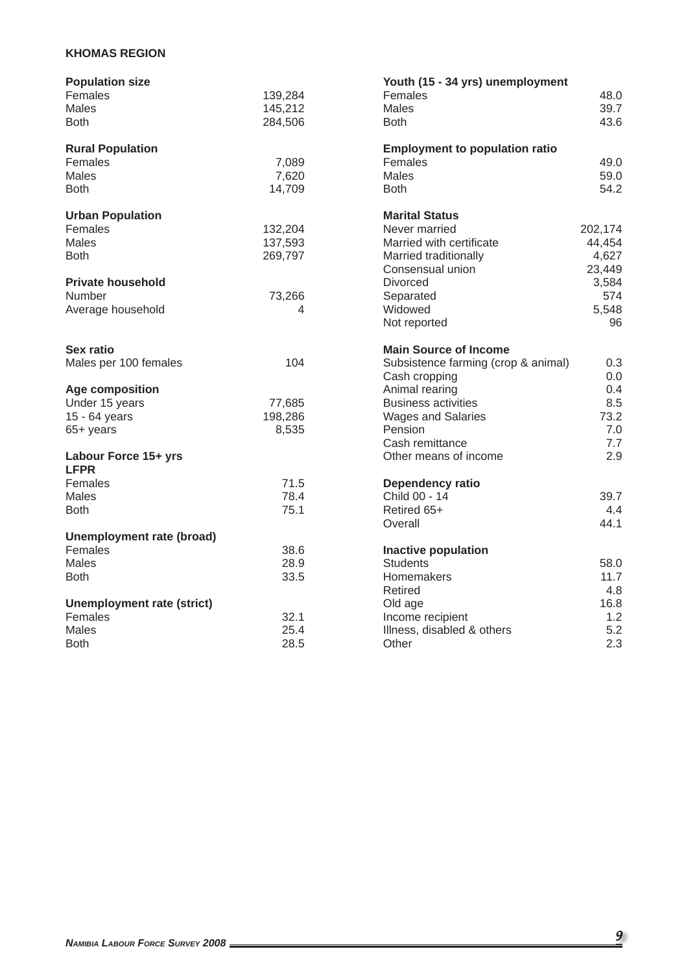## **KHOMAS REGION**

| <b>Population size</b>            |         | Youth (15 - 34 yrs) unemployment      |         |
|-----------------------------------|---------|---------------------------------------|---------|
| Females                           | 139,284 | Females                               | 48.0    |
| Males                             | 145,212 | <b>Males</b>                          | 39.7    |
| <b>Both</b>                       | 284,506 | <b>Both</b>                           | 43.6    |
|                                   |         |                                       |         |
| <b>Rural Population</b>           |         | <b>Employment to population ratio</b> |         |
| Females                           | 7,089   | Females                               | 49.0    |
| <b>Males</b>                      | 7,620   | Males                                 | 59.0    |
| <b>Both</b>                       | 14,709  | <b>Both</b>                           | 54.2    |
| <b>Urban Population</b>           |         | <b>Marital Status</b>                 |         |
| Females                           | 132,204 | Never married                         | 202,174 |
| <b>Males</b>                      | 137,593 | Married with certificate              | 44,454  |
| <b>Both</b>                       | 269,797 | Married traditionally                 | 4,627   |
|                                   |         | Consensual union                      | 23,449  |
| <b>Private household</b>          |         | <b>Divorced</b>                       | 3,584   |
| Number                            | 73,266  | Separated                             | 574     |
| Average household                 | 4       | Widowed                               | 5,548   |
|                                   |         | Not reported                          | 96      |
| Sex ratio                         |         | <b>Main Source of Income</b>          |         |
| Males per 100 females             | 104     | Subsistence farming (crop & animal)   | 0.3     |
|                                   |         | Cash cropping                         | 0.0     |
| <b>Age composition</b>            |         | Animal rearing                        | 0.4     |
| Under 15 years                    | 77,685  | <b>Business activities</b>            | 8.5     |
| 15 - 64 years                     | 198,286 | Wages and Salaries                    | 73.2    |
| 65+ years                         | 8,535   | Pension                               | 7.0     |
|                                   |         | Cash remittance                       | 7.7     |
| Labour Force 15+ yrs              |         | Other means of income                 | 2.9     |
| <b>LFPR</b>                       |         |                                       |         |
| Females                           | 71.5    | Dependency ratio                      |         |
| Males                             | 78.4    | Child 00 - 14                         | 39.7    |
| <b>Both</b>                       | 75.1    | Retired 65+                           | 4.4     |
|                                   |         | Overall                               | 44.1    |
| Unemployment rate (broad)         |         |                                       |         |
| Females                           | 38.6    | <b>Inactive population</b>            |         |
| Males                             | 28.9    | <b>Students</b>                       | 58.0    |
| <b>Both</b>                       | 33.5    | Homemakers                            | 11.7    |
|                                   |         | Retired                               | 4.8     |
| <b>Unemployment rate (strict)</b> |         | Old age                               | 16.8    |
| Females                           | 32.1    | Income recipient                      | 1.2     |
| Males                             | 25.4    | Illness, disabled & others            | 5.2     |
| Both                              | 28.5    | Other                                 | 2.3     |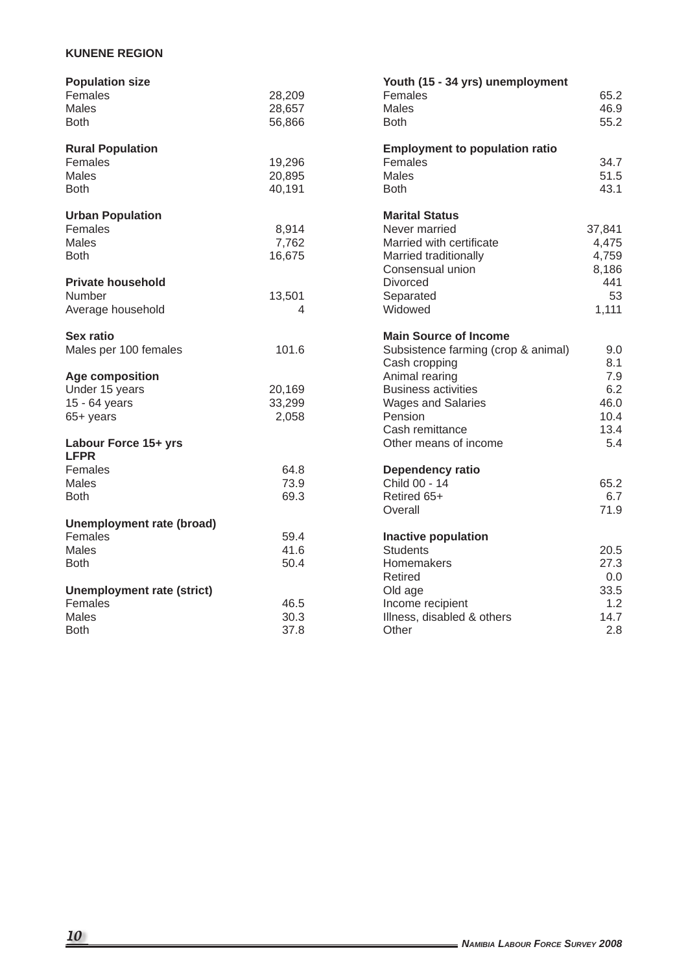## **KUNENE REGION**

| <b>Population size</b>              |        | Youth (15 - 34 yrs) unemployment      |        |
|-------------------------------------|--------|---------------------------------------|--------|
| Females                             | 28,209 | Females                               | 65.2   |
| <b>Males</b>                        | 28,657 | <b>Males</b>                          | 46.9   |
| <b>Both</b>                         | 56,866 | <b>Both</b>                           | 55.2   |
|                                     |        |                                       |        |
| <b>Rural Population</b>             |        | <b>Employment to population ratio</b> |        |
| Females                             | 19,296 | Females                               | 34.7   |
| <b>Males</b>                        | 20,895 | <b>Males</b>                          | 51.5   |
| <b>Both</b>                         | 40,191 | <b>Both</b>                           | 43.1   |
| <b>Urban Population</b>             |        | <b>Marital Status</b>                 |        |
| Females                             | 8,914  | Never married                         | 37,841 |
| <b>Males</b>                        | 7,762  | Married with certificate              | 4,475  |
| <b>Both</b>                         | 16,675 | Married traditionally                 | 4,759  |
|                                     |        | Consensual union                      | 8,186  |
| <b>Private household</b>            |        | Divorced                              | 441    |
| <b>Number</b>                       | 13,501 | Separated                             | 53     |
| Average household                   | 4      | Widowed                               | 1,111  |
|                                     |        |                                       |        |
| <b>Sex ratio</b>                    |        | <b>Main Source of Income</b>          |        |
| Males per 100 females               | 101.6  | Subsistence farming (crop & animal)   | 9.0    |
|                                     |        | Cash cropping                         | 8.1    |
| Age composition                     |        | Animal rearing                        | 7.9    |
| Under 15 years                      | 20,169 | <b>Business activities</b>            | 6.2    |
| 15 - 64 years                       | 33,299 | <b>Wages and Salaries</b>             | 46.0   |
| 65+ years                           | 2,058  | Pension                               | 10.4   |
|                                     |        | Cash remittance                       | 13.4   |
| Labour Force 15+ yrs<br><b>LFPR</b> |        | Other means of income                 | 5.4    |
| Females                             | 64.8   | Dependency ratio                      |        |
| Males                               | 73.9   | Child 00 - 14                         | 65.2   |
| <b>Both</b>                         | 69.3   | Retired 65+                           | 6.7    |
|                                     |        | Overall                               | 71.9   |
| <b>Unemployment rate (broad)</b>    |        |                                       |        |
| Females                             | 59.4   | <b>Inactive population</b>            |        |
| <b>Males</b>                        | 41.6   | <b>Students</b>                       | 20.5   |
| <b>Both</b>                         | 50.4   | Homemakers                            | 27.3   |
|                                     |        | Retired                               | 0.0    |
| <b>Unemployment rate (strict)</b>   |        | Old age                               | 33.5   |
| Females                             | 46.5   | Income recipient                      | 1.2    |
| <b>Males</b>                        | 30.3   | Illness, disabled & others            | 14.7   |
| <b>Both</b>                         | 37.8   | Other                                 | 2.8    |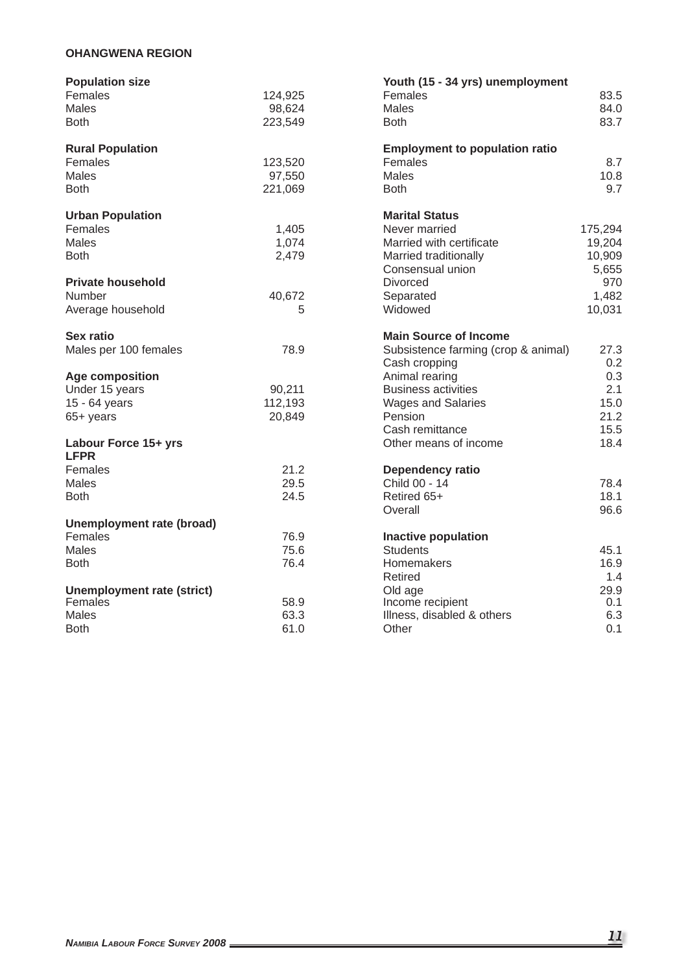## **OHANGWENA REGION**

| <b>Population size</b>              |         | Youth (15 - 34 yrs) unemployment      |         |
|-------------------------------------|---------|---------------------------------------|---------|
| Females                             | 124,925 | Females                               | 83.5    |
| Males                               | 98,624  | <b>Males</b>                          | 84.0    |
| <b>Both</b>                         | 223,549 | <b>Both</b>                           | 83.7    |
| <b>Rural Population</b>             |         | <b>Employment to population ratio</b> |         |
| Females                             | 123,520 | Females                               | 8.7     |
| Males                               | 97,550  | Males                                 | 10.8    |
| <b>Both</b>                         | 221,069 | <b>Both</b>                           | 9.7     |
| <b>Urban Population</b>             |         | <b>Marital Status</b>                 |         |
| Females                             | 1,405   | Never married                         | 175,294 |
| Males                               | 1,074   | Married with certificate              | 19,204  |
| <b>Both</b>                         | 2,479   | Married traditionally                 | 10,909  |
|                                     |         | Consensual union                      | 5,655   |
| <b>Private household</b>            |         | <b>Divorced</b>                       | 970     |
| Number                              | 40,672  | Separated                             | 1,482   |
| Average household                   | 5       | Widowed                               | 10,031  |
| <b>Sex ratio</b>                    |         | <b>Main Source of Income</b>          |         |
| Males per 100 females               | 78.9    | Subsistence farming (crop & animal)   | 27.3    |
|                                     |         | Cash cropping                         | 0.2     |
| Age composition                     |         | Animal rearing                        | 0.3     |
| Under 15 years                      | 90,211  | <b>Business activities</b>            | 2.1     |
| 15 - 64 years                       | 112,193 | <b>Wages and Salaries</b>             | 15.0    |
| 65+ years                           | 20,849  | Pension                               | 21.2    |
|                                     |         | Cash remittance                       | 15.5    |
| Labour Force 15+ yrs<br><b>LFPR</b> |         | Other means of income                 | 18.4    |
| Females                             | 21.2    | Dependency ratio                      |         |
| Males                               | 29.5    | Child 00 - 14                         | 78.4    |
| <b>Both</b>                         | 24.5    | Retired 65+                           | 18.1    |
|                                     |         | Overall                               | 96.6    |
| <b>Unemployment rate (broad)</b>    |         |                                       |         |
| Females                             | 76.9    | <b>Inactive population</b>            |         |
| Males                               | 75.6    | <b>Students</b>                       | 45.1    |
| <b>Both</b>                         | 76.4    | Homemakers                            | 16.9    |
|                                     |         | Retired                               | 1.4     |
| <b>Unemployment rate (strict)</b>   |         | Old age                               | 29.9    |
| Females                             | 58.9    | Income recipient                      | 0.1     |
| Males                               | 63.3    | Illness, disabled & others            | 6.3     |
| Both                                | 61.0    | Other                                 | 0.1     |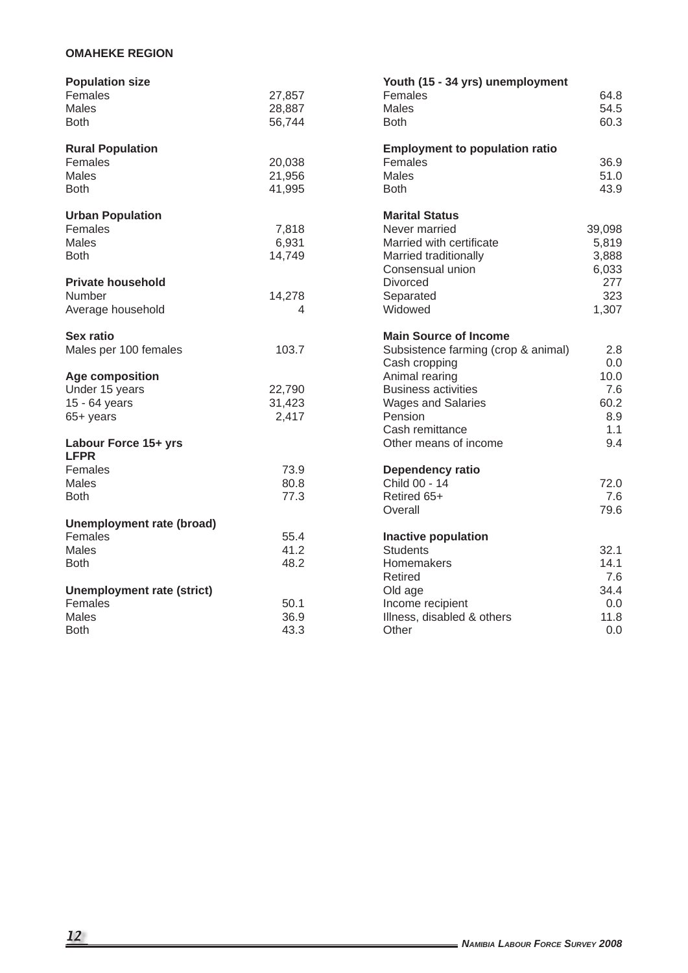# **OMAHEKE REGION**

| <b>Population size</b>            |        | Youth (15 - 34 yrs) unemployment      |        |
|-----------------------------------|--------|---------------------------------------|--------|
| Females                           | 27,857 | Females                               | 64.8   |
| Males                             | 28,887 | Males                                 | 54.5   |
| <b>Both</b>                       | 56,744 | <b>Both</b>                           | 60.3   |
|                                   |        |                                       |        |
| <b>Rural Population</b>           |        | <b>Employment to population ratio</b> |        |
| Females                           | 20,038 | Females                               | 36.9   |
| Males                             | 21,956 | Males                                 | 51.0   |
| <b>Both</b>                       | 41,995 | <b>Both</b>                           | 43.9   |
| <b>Urban Population</b>           |        | <b>Marital Status</b>                 |        |
| Females                           | 7,818  | Never married                         | 39,098 |
| Males                             | 6,931  | Married with certificate              | 5,819  |
| <b>Both</b>                       | 14,749 | Married traditionally                 | 3,888  |
|                                   |        | Consensual union                      | 6,033  |
| <b>Private household</b>          |        | <b>Divorced</b>                       | 277    |
| Number                            | 14,278 | Separated                             | 323    |
| Average household                 | 4      | Widowed                               | 1,307  |
|                                   |        |                                       |        |
| <b>Sex ratio</b>                  |        | <b>Main Source of Income</b>          |        |
| Males per 100 females             | 103.7  | Subsistence farming (crop & animal)   | 2.8    |
|                                   |        | Cash cropping                         | 0.0    |
| <b>Age composition</b>            |        | Animal rearing                        | 10.0   |
| Under 15 years                    | 22,790 | <b>Business activities</b>            | 7.6    |
| 15 - 64 years                     | 31,423 | <b>Wages and Salaries</b>             | 60.2   |
| 65+ years                         | 2,417  | Pension                               | 8.9    |
|                                   |        | Cash remittance                       | 1.1    |
| Labour Force 15+ yrs              |        | Other means of income                 | 9.4    |
| <b>LFPR</b>                       |        |                                       |        |
| Females                           | 73.9   | Dependency ratio                      |        |
| Males                             | 80.8   | Child 00 - 14                         | 72.0   |
| <b>Both</b>                       | 77.3   | Retired 65+                           | 7.6    |
|                                   |        | Overall                               | 79.6   |
| Unemployment rate (broad)         |        |                                       |        |
| Females                           | 55.4   | <b>Inactive population</b>            |        |
| Males                             | 41.2   | <b>Students</b>                       | 32.1   |
| <b>Both</b>                       | 48.2   | Homemakers                            | 14.1   |
|                                   |        | Retired                               | 7.6    |
| <b>Unemployment rate (strict)</b> |        | Old age                               | 34.4   |
| Females                           | 50.1   | Income recipient                      | 0.0    |
| <b>Males</b>                      | 36.9   | Illness, disabled & others            | 11.8   |
| <b>Both</b>                       | 43.3   | Other                                 | 0.0    |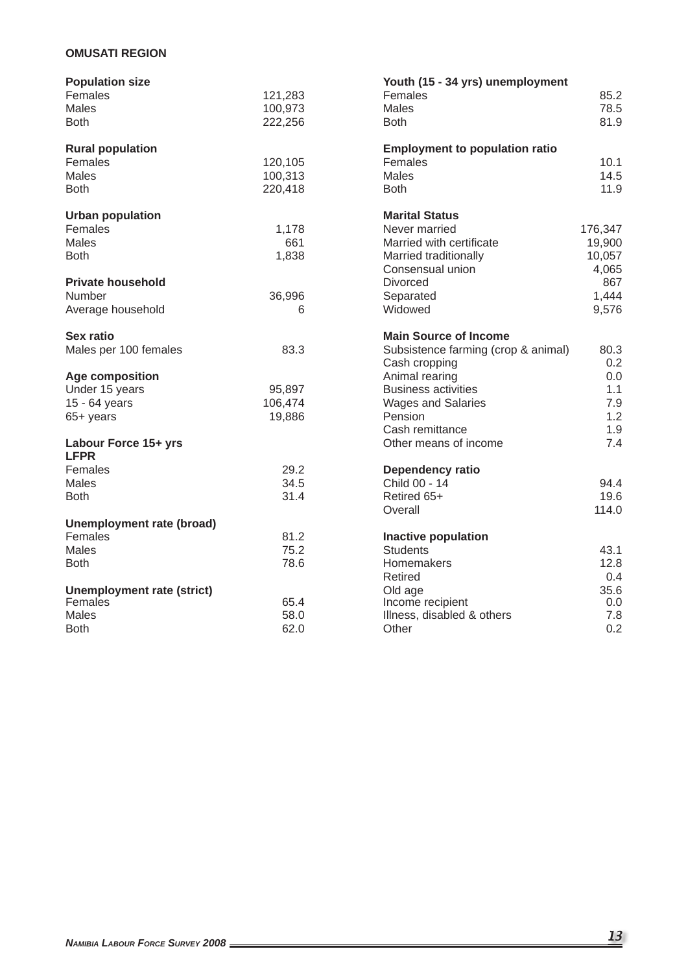# **OMUSATI REGION**

| <b>Population size</b>            |         | Youth (15 - 34 yrs) unemployment      |         |
|-----------------------------------|---------|---------------------------------------|---------|
| Females                           | 121,283 | Females                               | 85.2    |
| <b>Males</b>                      | 100,973 | <b>Males</b>                          | 78.5    |
| <b>Both</b>                       | 222,256 | <b>Both</b>                           | 81.9    |
|                                   |         |                                       |         |
| <b>Rural population</b>           |         | <b>Employment to population ratio</b> |         |
| Females                           | 120,105 | Females                               | 10.1    |
| <b>Males</b>                      | 100,313 | <b>Males</b>                          | 14.5    |
| <b>Both</b>                       | 220,418 | <b>Both</b>                           | 11.9    |
| <b>Urban population</b>           |         | <b>Marital Status</b>                 |         |
| Females                           | 1,178   | Never married                         | 176,347 |
| <b>Males</b>                      | 661     | Married with certificate              | 19,900  |
| <b>Both</b>                       | 1,838   | Married traditionally                 | 10,057  |
|                                   |         | Consensual union                      | 4,065   |
| <b>Private household</b>          |         | <b>Divorced</b>                       | 867     |
| Number                            | 36,996  | Separated                             | 1,444   |
| Average household                 | 6       | Widowed                               | 9,576   |
|                                   |         |                                       |         |
| Sex ratio                         |         | <b>Main Source of Income</b>          |         |
| Males per 100 females             | 83.3    | Subsistence farming (crop & animal)   | 80.3    |
|                                   |         | Cash cropping                         | 0.2     |
| <b>Age composition</b>            |         | Animal rearing                        | 0.0     |
| Under 15 years                    | 95,897  | <b>Business activities</b>            | 1.1     |
| 15 - 64 years                     | 106,474 | <b>Wages and Salaries</b>             | 7.9     |
| 65+ years                         | 19,886  | <b>Pension</b>                        | 1.2     |
|                                   |         | Cash remittance                       | 1.9     |
| Labour Force 15+ yrs              |         | Other means of income                 | 7.4     |
| <b>LFPR</b>                       |         |                                       |         |
| Females                           | 29.2    | Dependency ratio                      |         |
| <b>Males</b>                      | 34.5    | Child 00 - 14                         | 94.4    |
| <b>Both</b>                       | 31.4    | Retired 65+                           | 19.6    |
|                                   |         | Overall                               | 114.0   |
| Unemployment rate (broad)         |         |                                       |         |
| Females                           | 81.2    | <b>Inactive population</b>            |         |
| Males                             | 75.2    | Students                              | 43.1    |
| <b>Both</b>                       | 78.6    | Homemakers                            | 12.8    |
|                                   |         | Retired                               | 0.4     |
| <b>Unemployment rate (strict)</b> |         | Old age                               | 35.6    |
| Females                           | 65.4    | Income recipient                      | 0.0     |
| <b>Males</b>                      | 58.0    | Illness, disabled & others            | 7.8     |
| <b>Both</b>                       | 62.0    | Other                                 | 0.2     |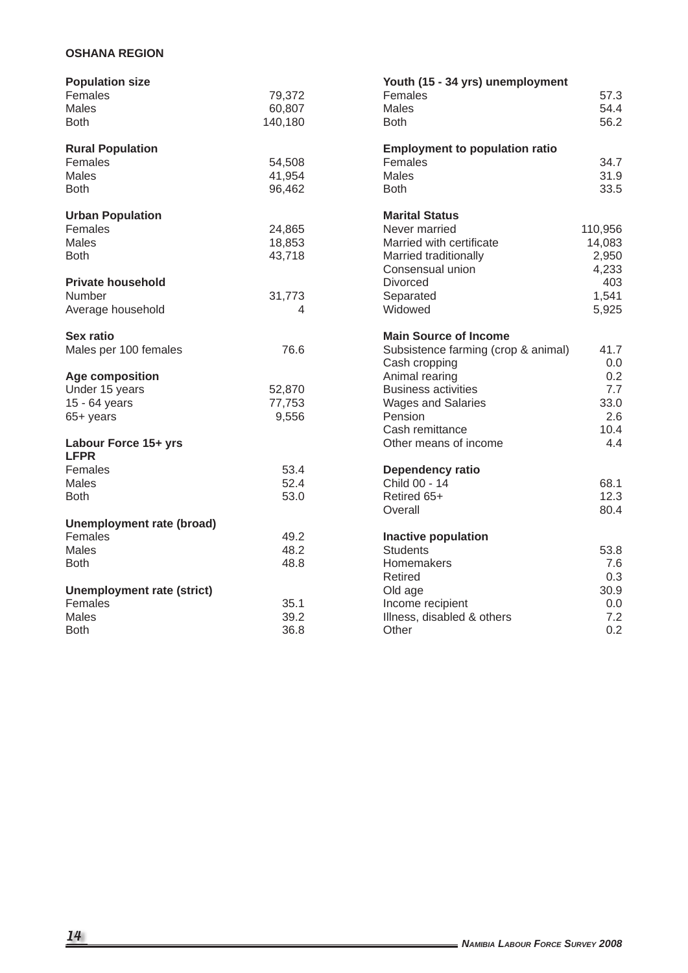# **OSHANA REGION**

| <b>Population size</b>            |         | Youth (15 - 34 yrs) unemployment      |         |
|-----------------------------------|---------|---------------------------------------|---------|
| Females                           | 79,372  | Females                               | 57.3    |
| Males                             | 60,807  | Males                                 | 54.4    |
| <b>Both</b>                       | 140,180 | <b>Both</b>                           | 56.2    |
|                                   |         |                                       |         |
| <b>Rural Population</b>           |         | <b>Employment to population ratio</b> |         |
| Females                           | 54,508  | Females                               | 34.7    |
| Males                             | 41,954  | Males                                 | 31.9    |
| <b>Both</b>                       | 96,462  | <b>Both</b>                           | 33.5    |
| <b>Urban Population</b>           |         | <b>Marital Status</b>                 |         |
| Females                           | 24,865  | Never married                         | 110,956 |
| Males                             | 18,853  | Married with certificate              | 14,083  |
| <b>Both</b>                       | 43,718  | Married traditionally                 | 2,950   |
|                                   |         | Consensual union                      | 4,233   |
| <b>Private household</b>          |         | <b>Divorced</b>                       | 403     |
| Number                            | 31,773  | Separated                             | 1,541   |
| Average household                 | 4       | Widowed                               | 5,925   |
|                                   |         |                                       |         |
| Sex ratio                         |         | <b>Main Source of Income</b>          |         |
| Males per 100 females             | 76.6    | Subsistence farming (crop & animal)   | 41.7    |
|                                   |         | Cash cropping                         | 0.0     |
| <b>Age composition</b>            |         | Animal rearing                        | 0.2     |
| Under 15 years                    | 52,870  | <b>Business activities</b>            | 7.7     |
| 15 - 64 years                     | 77,753  | <b>Wages and Salaries</b>             | 33.0    |
| 65+ years                         | 9,556   | Pension                               | 2.6     |
|                                   |         | Cash remittance                       | 10.4    |
| Labour Force 15+ yrs              |         | Other means of income                 | 4.4     |
| <b>LFPR</b>                       |         |                                       |         |
| Females                           | 53.4    | Dependency ratio                      |         |
| Males                             | 52.4    | Child 00 - 14                         | 68.1    |
| <b>Both</b>                       | 53.0    | Retired 65+                           | 12.3    |
|                                   |         | Overall                               | 80.4    |
| Unemployment rate (broad)         |         |                                       |         |
| Females                           | 49.2    | <b>Inactive population</b>            |         |
| <b>Males</b>                      | 48.2    | <b>Students</b>                       | 53.8    |
| <b>Both</b>                       | 48.8    | Homemakers                            | 7.6     |
|                                   |         | Retired                               | 0.3     |
| <b>Unemployment rate (strict)</b> |         | Old age                               | 30.9    |
| Females                           | 35.1    | Income recipient                      | 0.0     |
| Males                             | 39.2    | Illness, disabled & others            | 7.2     |
| <b>Both</b>                       | 36.8    | Other                                 | 0.2     |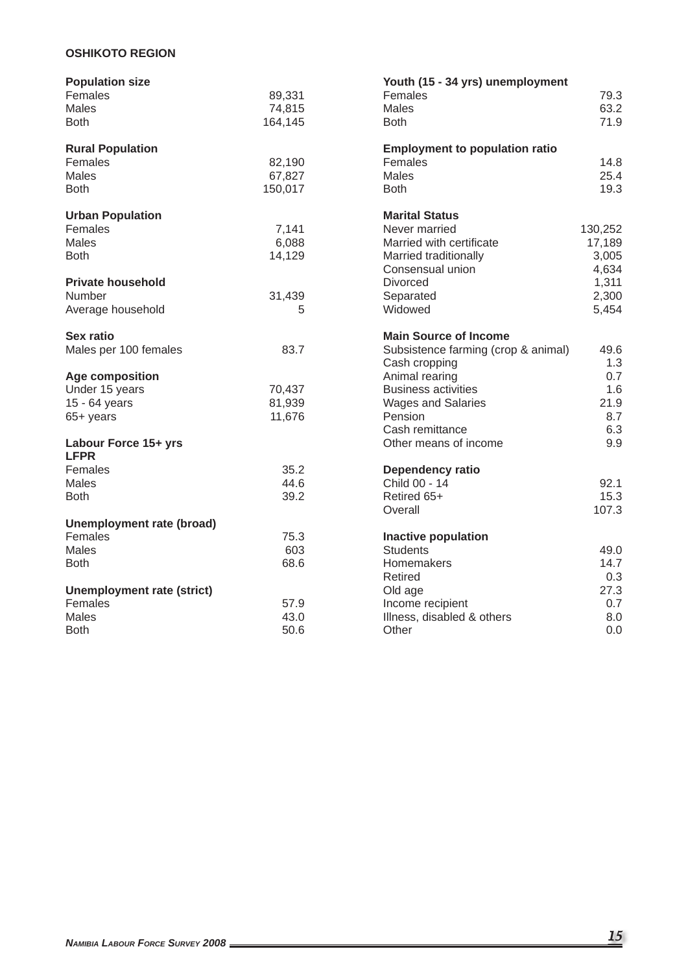# **OSHIKOTO REGION**

| <b>Population size</b>            |         | Youth (15 - 34 yrs) unemployment      |         |
|-----------------------------------|---------|---------------------------------------|---------|
| Females                           | 89,331  | Females                               | 79.3    |
| Males                             | 74,815  | Males                                 | 63.2    |
| <b>Both</b>                       | 164,145 | <b>Both</b>                           | 71.9    |
|                                   |         |                                       |         |
| <b>Rural Population</b>           |         | <b>Employment to population ratio</b> |         |
| Females                           | 82,190  | Females                               | 14.8    |
| Males                             | 67,827  | Males                                 | 25.4    |
| <b>Both</b>                       | 150,017 | <b>Both</b>                           | 19.3    |
| <b>Urban Population</b>           |         | <b>Marital Status</b>                 |         |
| Females                           | 7,141   | Never married                         | 130,252 |
| Males                             | 6,088   | Married with certificate              | 17,189  |
| <b>Both</b>                       | 14,129  | Married traditionally                 | 3,005   |
|                                   |         | Consensual union                      | 4,634   |
| <b>Private household</b>          |         | <b>Divorced</b>                       | 1,311   |
| Number                            | 31,439  | Separated                             | 2,300   |
| Average household                 | 5       | Widowed                               | 5,454   |
| Sex ratio                         |         | <b>Main Source of Income</b>          |         |
| Males per 100 females             | 83.7    | Subsistence farming (crop & animal)   | 49.6    |
|                                   |         | Cash cropping                         | 1.3     |
| Age composition                   |         | Animal rearing                        | 0.7     |
| Under 15 years                    | 70,437  | <b>Business activities</b>            | 1.6     |
| 15 - 64 years                     | 81,939  | <b>Wages and Salaries</b>             | 21.9    |
| 65+ years                         | 11,676  | Pension                               | 8.7     |
|                                   |         | Cash remittance                       | 6.3     |
| Labour Force 15+ yrs              |         | Other means of income                 | 9.9     |
| <b>LFPR</b><br>Females            | 35.2    | <b>Dependency ratio</b>               |         |
| Males                             | 44.6    | Child 00 - 14                         | 92.1    |
| <b>Both</b>                       | 39.2    | Retired 65+                           | 15.3    |
|                                   |         | Overall                               | 107.3   |
| <b>Unemployment rate (broad)</b>  |         |                                       |         |
| Females                           | 75.3    | <b>Inactive population</b>            |         |
| Males                             | 603     | <b>Students</b>                       | 49.0    |
| <b>Both</b>                       | 68.6    | Homemakers                            | 14.7    |
|                                   |         | Retired                               | 0.3     |
| <b>Unemployment rate (strict)</b> |         | Old age                               | 27.3    |
| Females                           | 57.9    | Income recipient                      | 0.7     |
| <b>Males</b>                      | 43.0    | Illness, disabled & others            | 8.0     |
| <b>Both</b>                       | 50.6    | Other                                 | 0.0     |
|                                   |         |                                       |         |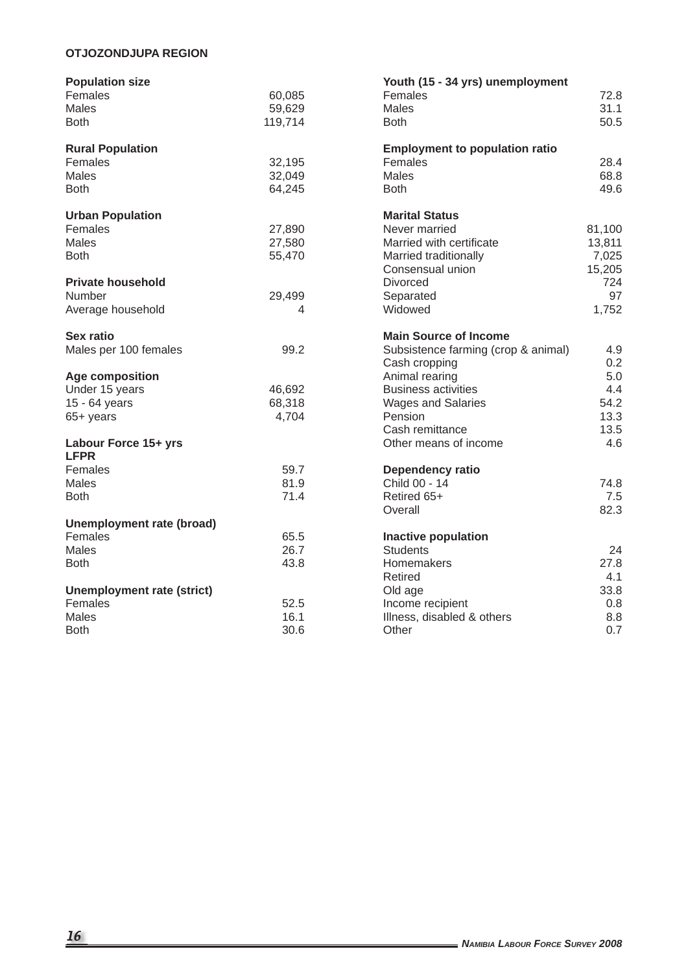# **OTJOZONDJUPA REGION**

| <b>Population size</b>            |         | Youth (15 - 34 yrs) unemployment      |        |
|-----------------------------------|---------|---------------------------------------|--------|
| Females                           | 60,085  | Females                               | 72.8   |
| Males                             | 59,629  | Males                                 | 31.1   |
| <b>Both</b>                       | 119,714 | <b>Both</b>                           | 50.5   |
|                                   |         |                                       |        |
| <b>Rural Population</b>           |         | <b>Employment to population ratio</b> |        |
| Females                           | 32,195  | Females                               | 28.4   |
| Males                             | 32,049  | Males                                 | 68.8   |
| <b>Both</b>                       | 64,245  | <b>Both</b>                           | 49.6   |
| <b>Urban Population</b>           |         | <b>Marital Status</b>                 |        |
| Females                           | 27,890  | Never married                         | 81,100 |
| Males                             | 27,580  | Married with certificate              | 13,811 |
| <b>Both</b>                       | 55,470  | Married traditionally                 | 7,025  |
|                                   |         | Consensual union                      | 15,205 |
| <b>Private household</b>          |         | <b>Divorced</b>                       | 724    |
|                                   |         |                                       | 97     |
| Number                            | 29,499  | Separated<br>Widowed                  |        |
| Average household                 | 4       |                                       | 1,752  |
| <b>Sex ratio</b>                  |         | <b>Main Source of Income</b>          |        |
| Males per 100 females             | 99.2    | Subsistence farming (crop & animal)   | 4.9    |
|                                   |         | Cash cropping                         | 0.2    |
| <b>Age composition</b>            |         | Animal rearing                        | 5.0    |
| Under 15 years                    | 46,692  | <b>Business activities</b>            | 4.4    |
| 15 - 64 years                     | 68,318  | <b>Wages and Salaries</b>             | 54.2   |
| 65+ years                         | 4,704   | Pension                               | 13.3   |
|                                   |         | Cash remittance                       | 13.5   |
| Labour Force 15+ yrs              |         | Other means of income                 | 4.6    |
| <b>LFPR</b>                       |         |                                       |        |
| Females                           | 59.7    | Dependency ratio                      |        |
| Males                             | 81.9    | Child 00 - 14                         | 74.8   |
| <b>Both</b>                       | 71.4    | Retired 65+                           | 7.5    |
|                                   |         | Overall                               | 82.3   |
| <b>Unemployment rate (broad)</b>  |         |                                       |        |
| Females                           | 65.5    | <b>Inactive population</b>            |        |
| <b>Males</b>                      | 26.7    | <b>Students</b>                       | 24     |
| <b>Both</b>                       | 43.8    | Homemakers                            | 27.8   |
|                                   |         | Retired                               | 4.1    |
| <b>Unemployment rate (strict)</b> |         | Old age                               | 33.8   |
| Females                           | 52.5    | Income recipient                      | 0.8    |
| <b>Males</b>                      | 16.1    | Illness, disabled & others            | 8.8    |
| <b>Both</b>                       | 30.6    | Other                                 | 0.7    |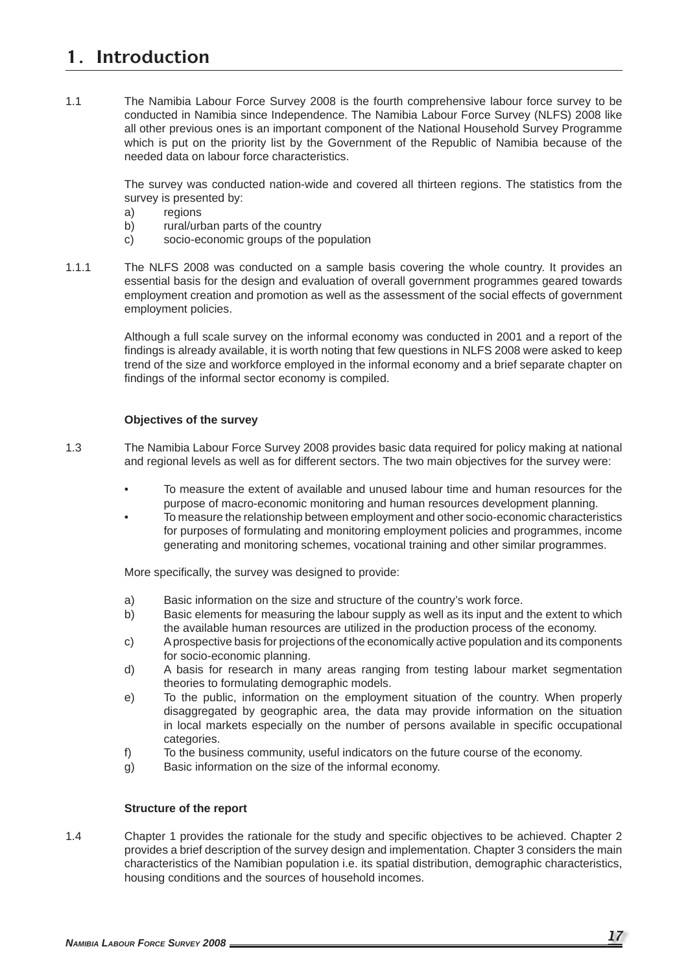# **1. Introduction**

1.1 The Namibia Labour Force Survey 2008 is the fourth comprehensive labour force survey to be conducted in Namibia since Independence. The Namibia Labour Force Survey (NLFS) 2008 like all other previous ones is an important component of the National Household Survey Programme which is put on the priority list by the Government of the Republic of Namibia because of the needed data on labour force characteristics.

> The survey was conducted nation-wide and covered all thirteen regions. The statistics from the survey is presented by:

- a) regions
- b) rural/urban parts of the country
- c) socio-economic groups of the population
- 1.1.1 The NLFS 2008 was conducted on a sample basis covering the whole country. It provides an essential basis for the design and evaluation of overall government programmes geared towards employment creation and promotion as well as the assessment of the social effects of government employment policies.

 Although a full scale survey on the informal economy was conducted in 2001 and a report of the findings is already available, it is worth noting that few questions in NLFS 2008 were asked to keep trend of the size and workforce employed in the informal economy and a brief separate chapter on findings of the informal sector economy is compiled.

#### **Objectives of the survey**

1.3 The Namibia Labour Force Survey 2008 provides basic data required for policy making at national and regional levels as well as for different sectors. The two main objectives for the survey were:

- To measure the extent of available and unused labour time and human resources for the purpose of macro-economic monitoring and human resources development planning.
- To measure the relationship between employment and other socio-economic characteristics for purposes of formulating and monitoring employment policies and programmes, income generating and monitoring schemes, vocational training and other similar programmes.

More specifically, the survey was designed to provide:

- a) Basic information on the size and structure of the country's work force.
- b) Basic elements for measuring the labour supply as well as its input and the extent to which the available human resources are utilized in the production process of the economy.
- c) A prospective basis for projections of the economically active population and its components for socio-economic planning.
- d) A basis for research in many areas ranging from testing labour market segmentation theories to formulating demographic models.
- e) To the public, information on the employment situation of the country. When properly disaggregated by geographic area, the data may provide information on the situation in local markets especially on the number of persons available in specific occupational categories.
- f) To the business community, useful indicators on the future course of the economy.
- g) Basic information on the size of the informal economy.

#### **Structure of the report**

1.4 Chapter 1 provides the rationale for the study and specific objectives to be achieved. Chapter 2 provides a brief description of the survey design and implementation. Chapter 3 considers the main characteristics of the Namibian population i.e. its spatial distribution, demographic characteristics, housing conditions and the sources of household incomes.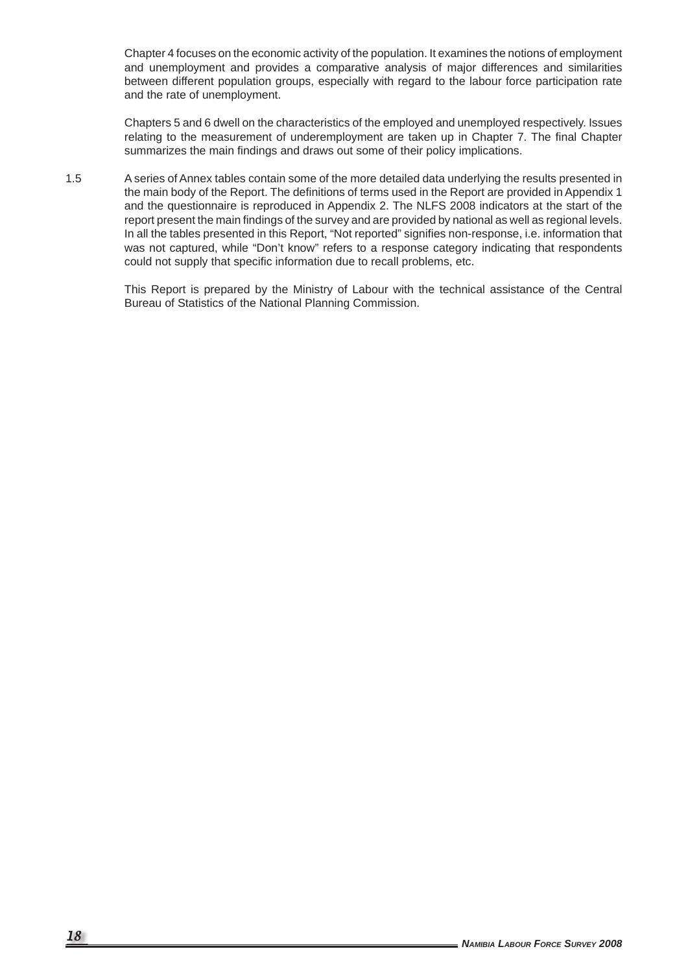Chapter 4 focuses on the economic activity of the population. It examines the notions of employment and unemployment and provides a comparative analysis of major differences and similarities between different population groups, especially with regard to the labour force participation rate and the rate of unemployment.

 Chapters 5 and 6 dwell on the characteristics of the employed and unemployed respectively. Issues relating to the measurement of underemployment are taken up in Chapter 7. The final Chapter summarizes the main findings and draws out some of their policy implications.

1.5 A series of Annex tables contain some of the more detailed data underlying the results presented in the main body of the Report. The definitions of terms used in the Report are provided in Appendix 1 and the questionnaire is reproduced in Appendix 2. The NLFS 2008 indicators at the start of the report present the main findings of the survey and are provided by national as well as regional levels. In all the tables presented in this Report, "Not reported" signifies non-response, i.e. information that was not captured, while "Don't know" refers to a response category indicating that respondents could not supply that specific information due to recall problems, etc.

> This Report is prepared by the Ministry of Labour with the technical assistance of the Central Bureau of Statistics of the National Planning Commission.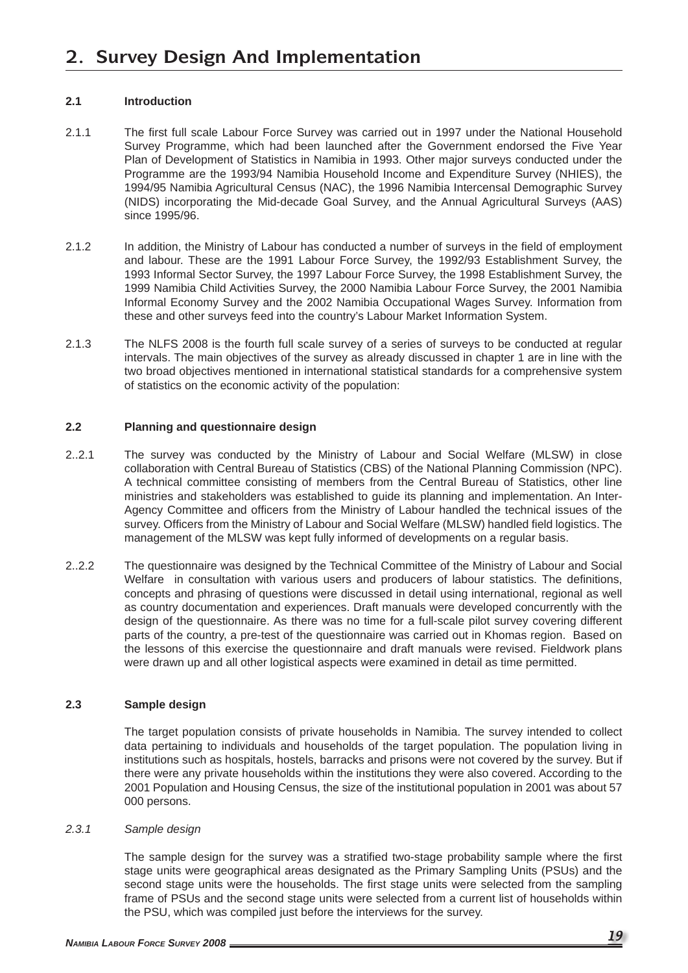## **2.1 Introduction**

- 2.1.1 The first full scale Labour Force Survey was carried out in 1997 under the National Household Survey Programme, which had been launched after the Government endorsed the Five Year Plan of Development of Statistics in Namibia in 1993. Other major surveys conducted under the Programme are the 1993/94 Namibia Household Income and Expenditure Survey (NHIES), the 1994/95 Namibia Agricultural Census (NAC), the 1996 Namibia Intercensal Demographic Survey (NIDS) incorporating the Mid-decade Goal Survey, and the Annual Agricultural Surveys (AAS) since 1995/96.
- 2.1.2 In addition, the Ministry of Labour has conducted a number of surveys in the field of employment and labour. These are the 1991 Labour Force Survey, the 1992/93 Establishment Survey, the 1993 Informal Sector Survey, the 1997 Labour Force Survey, the 1998 Establishment Survey, the 1999 Namibia Child Activities Survey, the 2000 Namibia Labour Force Survey, the 2001 Namibia Informal Economy Survey and the 2002 Namibia Occupational Wages Survey. Information from these and other surveys feed into the country's Labour Market Information System.
- 2.1.3 The NLFS 2008 is the fourth full scale survey of a series of surveys to be conducted at regular intervals. The main objectives of the survey as already discussed in chapter 1 are in line with the two broad objectives mentioned in international statistical standards for a comprehensive system of statistics on the economic activity of the population:

## **2.2 Planning and questionnaire design**

- 2..2.1 The survey was conducted by the Ministry of Labour and Social Welfare (MLSW) in close collaboration with Central Bureau of Statistics (CBS) of the National Planning Commission (NPC). A technical committee consisting of members from the Central Bureau of Statistics, other line ministries and stakeholders was established to guide its planning and implementation. An Inter-Agency Committee and officers from the Ministry of Labour handled the technical issues of the survey. Officers from the Ministry of Labour and Social Welfare (MLSW) handled field logistics. The management of the MLSW was kept fully informed of developments on a regular basis.
- 2..2.2 The questionnaire was designed by the Technical Committee of the Ministry of Labour and Social Welfare in consultation with various users and producers of labour statistics. The definitions, concepts and phrasing of questions were discussed in detail using international, regional as well as country documentation and experiences. Draft manuals were developed concurrently with the design of the questionnaire. As there was no time for a full-scale pilot survey covering different parts of the country, a pre-test of the questionnaire was carried out in Khomas region. Based on the lessons of this exercise the questionnaire and draft manuals were revised. Fieldwork plans were drawn up and all other logistical aspects were examined in detail as time permitted.

## **2.3 Sample design**

 The target population consists of private households in Namibia. The survey intended to collect data pertaining to individuals and households of the target population. The population living in institutions such as hospitals, hostels, barracks and prisons were not covered by the survey. But if there were any private households within the institutions they were also covered. According to the 2001 Population and Housing Census, the size of the institutional population in 2001 was about 57 000 persons.

## *2.3.1 Sample design*

The sample design for the survey was a stratified two-stage probability sample where the first stage units were geographical areas designated as the Primary Sampling Units (PSUs) and the second stage units were the households. The first stage units were selected from the sampling frame of PSUs and the second stage units were selected from a current list of households within the PSU, which was compiled just before the interviews for the survey.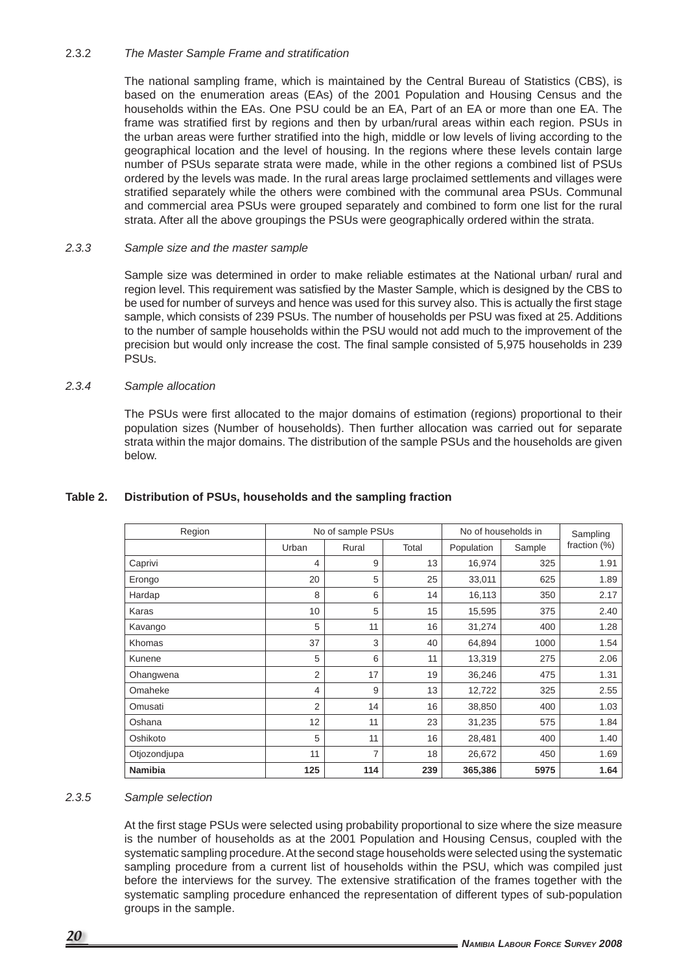## 2.3.2 *The Master Sample Frame and stratification*

 The national sampling frame, which is maintained by the Central Bureau of Statistics (CBS), is based on the enumeration areas (EAs) of the 2001 Population and Housing Census and the households within the EAs. One PSU could be an EA, Part of an EA or more than one EA. The frame was stratified first by regions and then by urban/rural areas within each region. PSUs in the urban areas were further stratified into the high, middle or low levels of living according to the geographical location and the level of housing. In the regions where these levels contain large number of PSUs separate strata were made, while in the other regions a combined list of PSUs ordered by the levels was made. In the rural areas large proclaimed settlements and villages were stratified separately while the others were combined with the communal area PSUs. Communal and commercial area PSUs were grouped separately and combined to form one list for the rural strata. After all the above groupings the PSUs were geographically ordered within the strata.

## *2.3.3 Sample size and the master sample*

 Sample size was determined in order to make reliable estimates at the National urban/ rural and region level. This requirement was satisfied by the Master Sample, which is designed by the CBS to be used for number of surveys and hence was used for this survey also. This is actually the first stage sample, which consists of 239 PSUs. The number of households per PSU was fixed at 25. Additions to the number of sample households within the PSU would not add much to the improvement of the precision but would only increase the cost. The final sample consisted of 5,975 households in 239 PSUs.

## *2.3.4 Sample allocation*

The PSUs were first allocated to the major domains of estimation (regions) proportional to their population sizes (Number of households). Then further allocation was carried out for separate strata within the major domains. The distribution of the sample PSUs and the households are given below.

| Region         |                | No of sample PSUs |       | No of households in | Sampling |                 |
|----------------|----------------|-------------------|-------|---------------------|----------|-----------------|
|                | Urban          | Rural             | Total | Population          | Sample   | fraction $(\%)$ |
| Caprivi        | 4              | 9                 | 13    | 16,974              | 325      | 1.91            |
| Erongo         | 20             | 5                 | 25    | 33,011              | 625      | 1.89            |
| Hardap         | 8              | 6                 | 14    | 16,113              | 350      | 2.17            |
| Karas          | 10             | 5                 | 15    | 15,595              | 375      | 2.40            |
| Kavango        | 5              | 11                | 16    | 31,274              | 400      | 1.28            |
| Khomas         | 37             | 3                 | 40    | 64,894              | 1000     | 1.54            |
| Kunene         | 5              | 6                 | 11    | 13,319              | 275      | 2.06            |
| Ohangwena      | $\overline{2}$ | 17                | 19    | 36,246              | 475      | 1.31            |
| Omaheke        | 4              | 9                 | 13    | 12,722              | 325      | 2.55            |
| Omusati        | $\overline{2}$ | 14                | 16    | 38,850              | 400      | 1.03            |
| Oshana         | 12             | 11                | 23    | 31,235              | 575      | 1.84            |
| Oshikoto       | 5              | 11                | 16    | 28,481              | 400      | 1.40            |
| Otjozondjupa   | 11             | 7                 | 18    | 26,672              | 450      | 1.69            |
| <b>Namibia</b> | 125            | 114               | 239   | 365,386             | 5975     | 1.64            |

# **Table 2. Distribution of PSUs, households and the sampling fraction**

# *2.3.5 Sample selection*

At the first stage PSUs were selected using probability proportional to size where the size measure is the number of households as at the 2001 Population and Housing Census, coupled with the systematic sampling procedure. At the second stage households were selected using the systematic sampling procedure from a current list of households within the PSU, which was compiled just before the interviews for the survey. The extensive stratification of the frames together with the systematic sampling procedure enhanced the representation of different types of sub-population groups in the sample.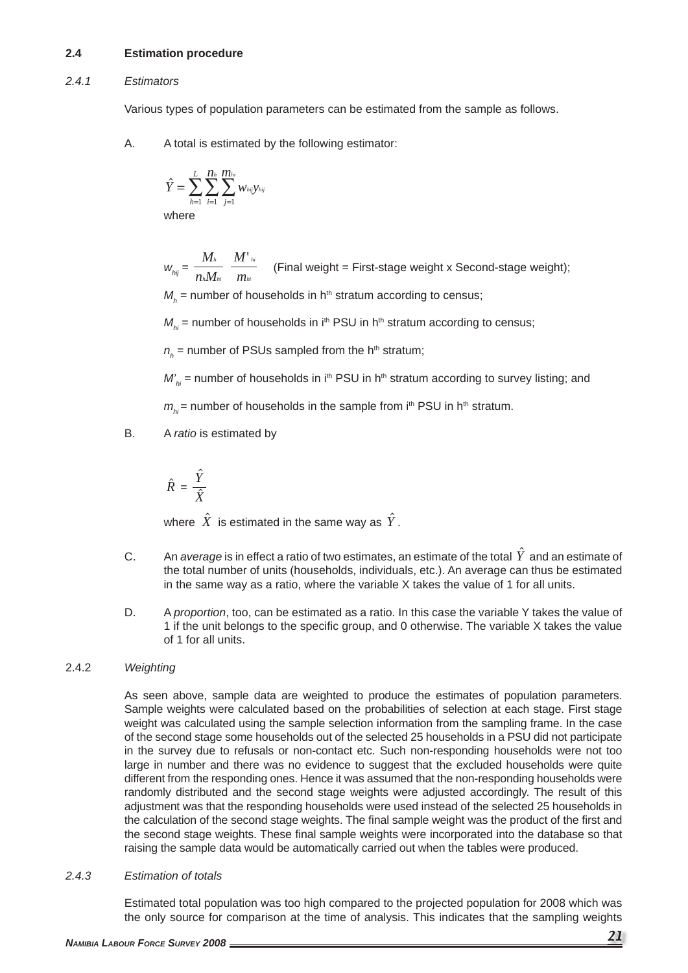## **2.4 Estimation procedure**

#### *2.4.1 Estimators*

Various types of population parameters can be estimated from the sample as follows.

A. A total is estimated by the following estimator:

$$
\hat{Y} = \sum_{h=1}^L \sum_{i=1}^{H_h} \sum_{j=1}^{H_{hi}} w_{hij} y_{hij}
$$

where

 $W_{hij} = \frac{M_h}{n_h M}$ *h h hi M m hi hi* (Final weight = First-stage weight x Second-stage weight);

 $M_h^{}$  = number of households in h $^{\text{th}}$  stratum according to census;

 $M_{hi}$  = number of households in i<sup>th</sup> PSU in h<sup>th</sup> stratum according to census;

 $n_h^{}$  = number of PSUs sampled from the h<sup>th</sup> stratum;

 $M'_{hi}$  = number of households in i<sup>th</sup> PSU in h<sup>th</sup> stratum according to survey listing; and

 $m_{hi}$  = number of households in the sample from i<sup>th</sup> PSU in h<sup>th</sup> stratum.

B. A *ratio* is estimated by

$$
\hat{R} = \frac{\hat{Y}}{\hat{X}}
$$

where  $\hat{X}$  is estimated in the same way as  $\hat{Y}$ .

- C. An *average* is in effect a ratio of two estimates, an estimate of the total  $\hat{Y}$  and an estimate of the total number of units (households, individuals, etc.). An average can thus be estimated in the same way as a ratio, where the variable X takes the value of 1 for all units.
- D. A *proportion*, too, can be estimated as a ratio. In this case the variable Y takes the value of 1 if the unit belongs to the specific group, and 0 otherwise. The variable X takes the value of 1 for all units.

## 2.4.2 *Weighting*

 As seen above, sample data are weighted to produce the estimates of population parameters. Sample weights were calculated based on the probabilities of selection at each stage. First stage weight was calculated using the sample selection information from the sampling frame. In the case of the second stage some households out of the selected 25 households in a PSU did not participate in the survey due to refusals or non-contact etc. Such non-responding households were not too large in number and there was no evidence to suggest that the excluded households were quite different from the responding ones. Hence it was assumed that the non-responding households were randomly distributed and the second stage weights were adjusted accordingly. The result of this adjustment was that the responding households were used instead of the selected 25 households in the calculation of the second stage weights. The final sample weight was the product of the first and the second stage weights. These final sample weights were incorporated into the database so that raising the sample data would be automatically carried out when the tables were produced.

## *2.4.3 Estimation of totals*

 Estimated total population was too high compared to the projected population for 2008 which was the only source for comparison at the time of analysis. This indicates that the sampling weights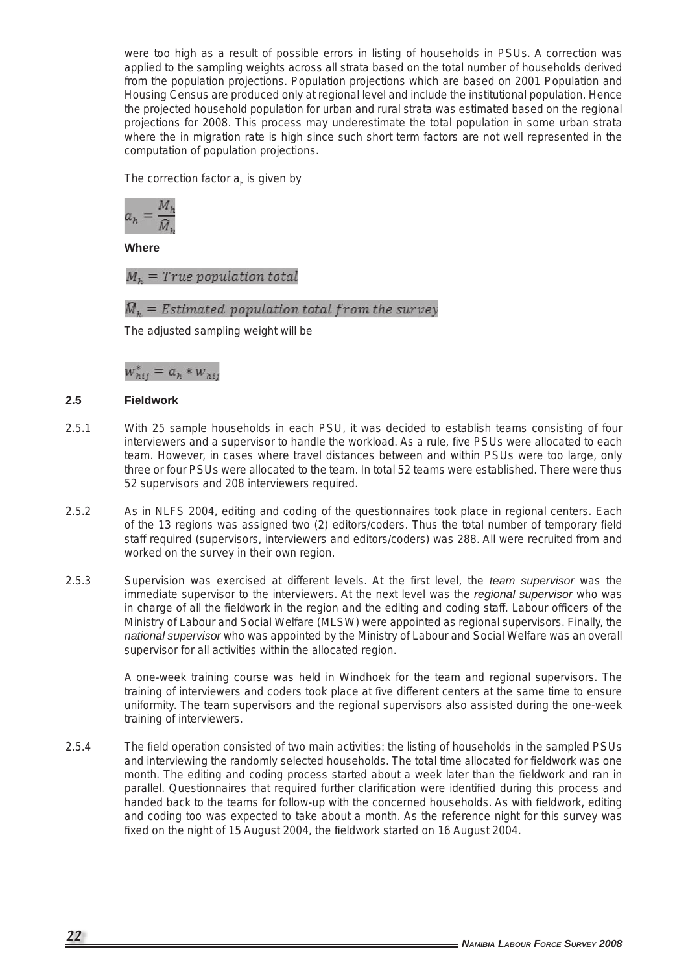were too high as a result of possible errors in listing of households in PSUs. A correction was applied to the sampling weights across all strata based on the total number of households derived from the population projections. Population projections which are based on 2001 Population and Housing Census are produced only at regional level and include the institutional population. Hence the projected household population for urban and rural strata was estimated based on the regional projections for 2008. This process may underestimate the total population in some urban strata where the in migration rate is high since such short term factors are not well represented in the computation of population projections.

The correction factor  $a<sub>h</sub>$  is given by

$$
a_h = \frac{M_h}{\bar{M}_h}
$$

**Where**

 $M<sub>b</sub> = True population total$ 

 $\widehat{M}_h$  = Estimated population total from the survey

The adjusted sampling weight will be

 $w_{hij}^* = a_h * w_{hij}$ 

#### **2.5 Fieldwork**

- 2.5.1 With 25 sample households in each PSU, it was decided to establish teams consisting of four interviewers and a supervisor to handle the workload. As a rule, five PSUs were allocated to each team. However, in cases where travel distances between and within PSUs were too large, only three or four PSUs were allocated to the team. In total 52 teams were established. There were thus 52 supervisors and 208 interviewers required.
- 2.5.2 As in NLFS 2004, editing and coding of the questionnaires took place in regional centers. Each of the 13 regions was assigned two (2) editors/coders. Thus the total number of temporary field staff required (supervisors, interviewers and editors/coders) was 288. All were recruited from and worked on the survey in their own region.
- 2.5.3 Supervision was exercised at different levels. At the first level, the *team supervisor* was the immediate supervisor to the interviewers. At the next level was the *regional supervisor* who was in charge of all the fieldwork in the region and the editing and coding staff. Labour officers of the Ministry of Labour and Social Welfare (MLSW) were appointed as regional supervisors. Finally, the *national supervisor* who was appointed by the Ministry of Labour and Social Welfare was an overall supervisor for all activities within the allocated region.

 A one-week training course was held in Windhoek for the team and regional supervisors. The training of interviewers and coders took place at five different centers at the same time to ensure uniformity. The team supervisors and the regional supervisors also assisted during the one-week training of interviewers.

2.5.4 The field operation consisted of two main activities: the listing of households in the sampled PSUs and interviewing the randomly selected households. The total time allocated for fieldwork was one month. The editing and coding process started about a week later than the fieldwork and ran in parallel. Questionnaires that required further clarification were identified during this process and handed back to the teams for follow-up with the concerned households. As with fieldwork, editing and coding too was expected to take about a month. As the reference night for this survey was fixed on the night of 15 August 2004, the fieldwork started on 16 August 2004.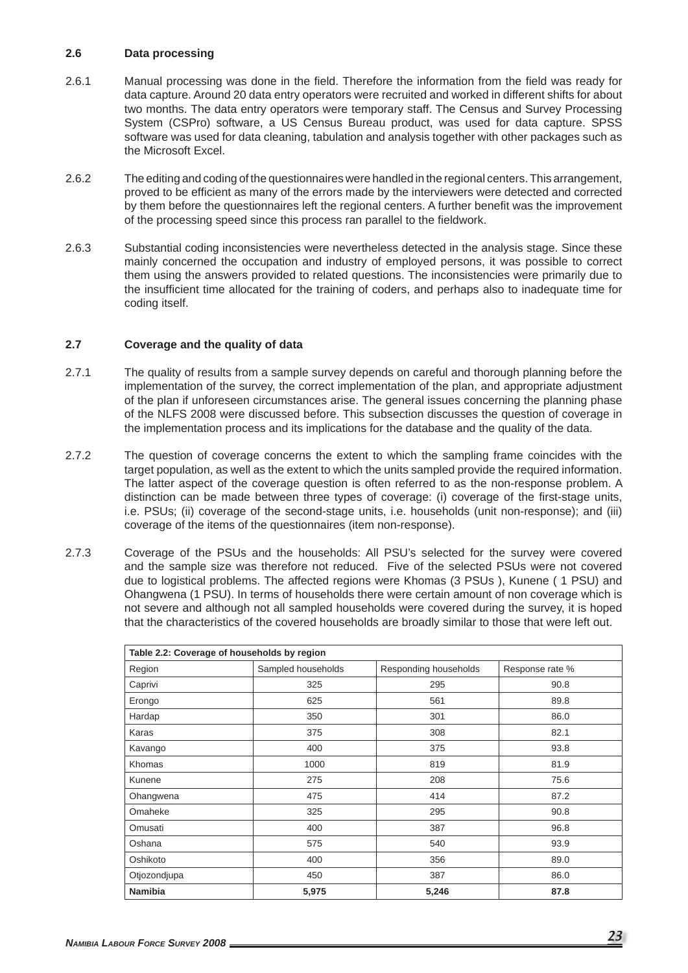#### **2.6 Data processing**

- 2.6.1 Manual processing was done in the field. Therefore the information from the field was ready for data capture. Around 20 data entry operators were recruited and worked in different shifts for about two months. The data entry operators were temporary staff. The Census and Survey Processing System (CSPro) software, a US Census Bureau product, was used for data capture. SPSS software was used for data cleaning, tabulation and analysis together with other packages such as the Microsoft Excel.
- 2.6.2 The editing and coding of the questionnaires were handled in the regional centers. This arrangement, proved to be efficient as many of the errors made by the interviewers were detected and corrected by them before the questionnaires left the regional centers. A further benefit was the improvement of the processing speed since this process ran parallel to the fieldwork.
- 2.6.3 Substantial coding inconsistencies were nevertheless detected in the analysis stage. Since these mainly concerned the occupation and industry of employed persons, it was possible to correct them using the answers provided to related questions. The inconsistencies were primarily due to the insufficient time allocated for the training of coders, and perhaps also to inadequate time for coding itself.

#### **2.7 Coverage and the quality of data**

- 2.7.1 The quality of results from a sample survey depends on careful and thorough planning before the implementation of the survey, the correct implementation of the plan, and appropriate adjustment of the plan if unforeseen circumstances arise. The general issues concerning the planning phase of the NLFS 2008 were discussed before. This subsection discusses the question of coverage in the implementation process and its implications for the database and the quality of the data.
- 2.7.2 The question of coverage concerns the extent to which the sampling frame coincides with the target population, as well as the extent to which the units sampled provide the required information. The latter aspect of the coverage question is often referred to as the non-response problem. A distinction can be made between three types of coverage: (i) coverage of the first-stage units, i.e. PSUs; (ii) coverage of the second-stage units, i.e. households (unit non-response); and (iii) coverage of the items of the questionnaires (item non-response).
- 2.7.3 Coverage of the PSUs and the households: All PSU's selected for the survey were covered and the sample size was therefore not reduced. Five of the selected PSUs were not covered due to logistical problems. The affected regions were Khomas (3 PSUs ), Kunene ( 1 PSU) and Ohangwena (1 PSU). In terms of households there were certain amount of non coverage which is not severe and although not all sampled households were covered during the survey, it is hoped that the characteristics of the covered households are broadly similar to those that were left out.

| Table 2.2: Coverage of households by region |                    |                       |                 |  |  |  |  |
|---------------------------------------------|--------------------|-----------------------|-----------------|--|--|--|--|
| Region                                      | Sampled households | Responding households | Response rate % |  |  |  |  |
| Caprivi                                     | 325                | 295                   | 90.8            |  |  |  |  |
| Erongo                                      | 625                | 561                   | 89.8            |  |  |  |  |
| Hardap                                      | 350                | 301                   | 86.0            |  |  |  |  |
| Karas                                       | 375                | 308                   | 82.1            |  |  |  |  |
| Kavango                                     | 400                | 375                   | 93.8            |  |  |  |  |
| Khomas                                      | 1000               | 819                   | 81.9            |  |  |  |  |
| Kunene                                      | 275                | 208                   | 75.6            |  |  |  |  |
| Ohangwena                                   | 475                | 414                   | 87.2            |  |  |  |  |
| Omaheke                                     | 325                | 295                   | 90.8            |  |  |  |  |
| Omusati                                     | 400                | 387                   | 96.8            |  |  |  |  |
| Oshana                                      | 575                | 540                   | 93.9            |  |  |  |  |
| Oshikoto                                    | 400                | 356                   | 89.0            |  |  |  |  |
| Otjozondjupa                                | 450                | 387                   | 86.0            |  |  |  |  |
| <b>Namibia</b>                              | 5,975              | 5,246                 | 87.8            |  |  |  |  |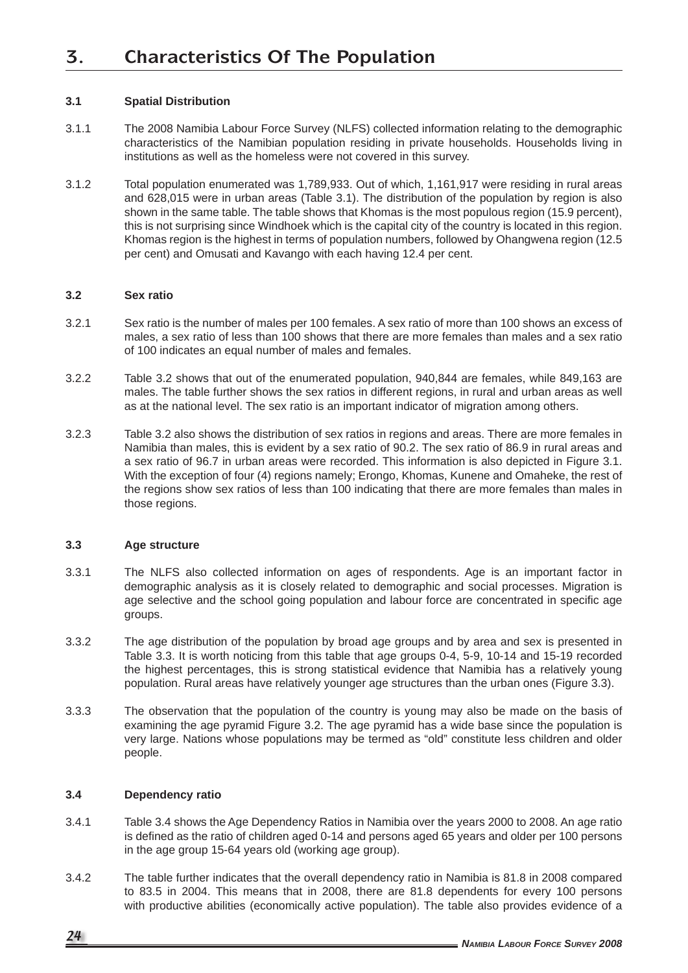# **3. Characteristics Of The Population**

## **3.1 Spatial Distribution**

- 3.1.1 The 2008 Namibia Labour Force Survey (NLFS) collected information relating to the demographic characteristics of the Namibian population residing in private households. Households living in institutions as well as the homeless were not covered in this survey.
- 3.1.2 Total population enumerated was 1,789,933. Out of which, 1,161,917 were residing in rural areas and 628,015 were in urban areas (Table 3.1). The distribution of the population by region is also shown in the same table. The table shows that Khomas is the most populous region (15.9 percent), this is not surprising since Windhoek which is the capital city of the country is located in this region. Khomas region is the highest in terms of population numbers, followed by Ohangwena region (12.5 per cent) and Omusati and Kavango with each having 12.4 per cent.

#### **3.2 Sex ratio**

- 3.2.1 Sex ratio is the number of males per 100 females. A sex ratio of more than 100 shows an excess of males, a sex ratio of less than 100 shows that there are more females than males and a sex ratio of 100 indicates an equal number of males and females.
- 3.2.2 Table 3.2 shows that out of the enumerated population, 940,844 are females, while 849,163 are males. The table further shows the sex ratios in different regions, in rural and urban areas as well as at the national level. The sex ratio is an important indicator of migration among others.
- 3.2.3 Table 3.2 also shows the distribution of sex ratios in regions and areas. There are more females in Namibia than males, this is evident by a sex ratio of 90.2. The sex ratio of 86.9 in rural areas and a sex ratio of 96.7 in urban areas were recorded. This information is also depicted in Figure 3.1. With the exception of four (4) regions namely; Erongo, Khomas, Kunene and Omaheke, the rest of the regions show sex ratios of less than 100 indicating that there are more females than males in those regions.

## **3.3 Age structure**

- 3.3.1 The NLFS also collected information on ages of respondents. Age is an important factor in demographic analysis as it is closely related to demographic and social processes. Migration is age selective and the school going population and labour force are concentrated in specific age groups.
- 3.3.2 The age distribution of the population by broad age groups and by area and sex is presented in Table 3.3. It is worth noticing from this table that age groups 0-4, 5-9, 10-14 and 15-19 recorded the highest percentages, this is strong statistical evidence that Namibia has a relatively young population. Rural areas have relatively younger age structures than the urban ones (Figure 3.3).
- 3.3.3 The observation that the population of the country is young may also be made on the basis of examining the age pyramid Figure 3.2. The age pyramid has a wide base since the population is very large. Nations whose populations may be termed as "old" constitute less children and older people.

#### **3.4 Dependency ratio**

- 3.4.1 Table 3.4 shows the Age Dependency Ratios in Namibia over the years 2000 to 2008. An age ratio is defined as the ratio of children aged 0-14 and persons aged 65 years and older per 100 persons in the age group 15-64 years old (working age group).
- 3.4.2 The table further indicates that the overall dependency ratio in Namibia is 81.8 in 2008 compared to 83.5 in 2004. This means that in 2008, there are 81.8 dependents for every 100 persons with productive abilities (economically active population). The table also provides evidence of a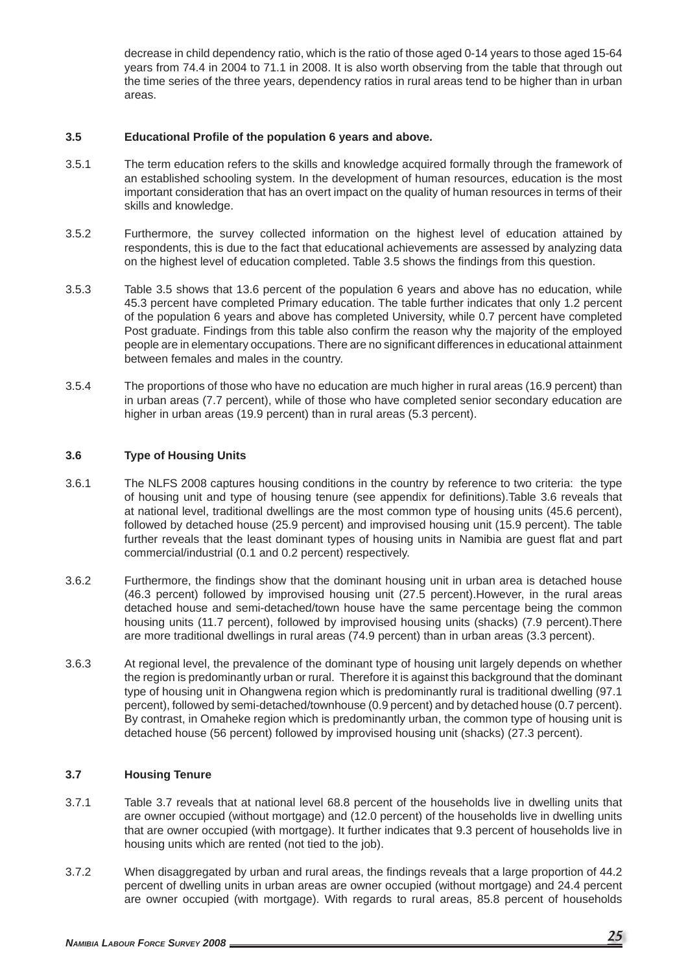decrease in child dependency ratio, which is the ratio of those aged 0-14 years to those aged 15-64 years from 74.4 in 2004 to 71.1 in 2008. It is also worth observing from the table that through out the time series of the three years, dependency ratios in rural areas tend to be higher than in urban areas.

#### **3.5 Educational Profi le of the population 6 years and above.**

- 3.5.1 The term education refers to the skills and knowledge acquired formally through the framework of an established schooling system. In the development of human resources, education is the most important consideration that has an overt impact on the quality of human resources in terms of their skills and knowledge.
- 3.5.2 Furthermore, the survey collected information on the highest level of education attained by respondents, this is due to the fact that educational achievements are assessed by analyzing data on the highest level of education completed. Table 3.5 shows the findings from this question.
- 3.5.3 Table 3.5 shows that 13.6 percent of the population 6 years and above has no education, while 45.3 percent have completed Primary education. The table further indicates that only 1.2 percent of the population 6 years and above has completed University, while 0.7 percent have completed Post graduate. Findings from this table also confirm the reason why the majority of the employed people are in elementary occupations. There are no significant differences in educational attainment between females and males in the country.
- 3.5.4 The proportions of those who have no education are much higher in rural areas (16.9 percent) than in urban areas (7.7 percent), while of those who have completed senior secondary education are higher in urban areas (19.9 percent) than in rural areas (5.3 percent).

#### **3.6 Type of Housing Units**

- 3.6.1 The NLFS 2008 captures housing conditions in the country by reference to two criteria: the type of housing unit and type of housing tenure (see appendix for definitions). Table 3.6 reveals that at national level, traditional dwellings are the most common type of housing units (45.6 percent), followed by detached house (25.9 percent) and improvised housing unit (15.9 percent). The table further reveals that the least dominant types of housing units in Namibia are guest flat and part commercial/industrial (0.1 and 0.2 percent) respectively.
- 3.6.2 Furthermore, the findings show that the dominant housing unit in urban area is detached house (46.3 percent) followed by improvised housing unit (27.5 percent).However, in the rural areas detached house and semi-detached/town house have the same percentage being the common housing units (11.7 percent), followed by improvised housing units (shacks) (7.9 percent).There are more traditional dwellings in rural areas (74.9 percent) than in urban areas (3.3 percent).
- 3.6.3 At regional level, the prevalence of the dominant type of housing unit largely depends on whether the region is predominantly urban or rural. Therefore it is against this background that the dominant type of housing unit in Ohangwena region which is predominantly rural is traditional dwelling (97.1 percent), followed by semi-detached/townhouse (0.9 percent) and by detached house (0.7 percent). By contrast, in Omaheke region which is predominantly urban, the common type of housing unit is detached house (56 percent) followed by improvised housing unit (shacks) (27.3 percent).

#### **3.7 Housing Tenure**

- 3.7.1 Table 3.7 reveals that at national level 68.8 percent of the households live in dwelling units that are owner occupied (without mortgage) and (12.0 percent) of the households live in dwelling units that are owner occupied (with mortgage). It further indicates that 9.3 percent of households live in housing units which are rented (not tied to the job).
- 3.7.2 When disaggregated by urban and rural areas, the findings reveals that a large proportion of 44.2 percent of dwelling units in urban areas are owner occupied (without mortgage) and 24.4 percent are owner occupied (with mortgage). With regards to rural areas, 85.8 percent of households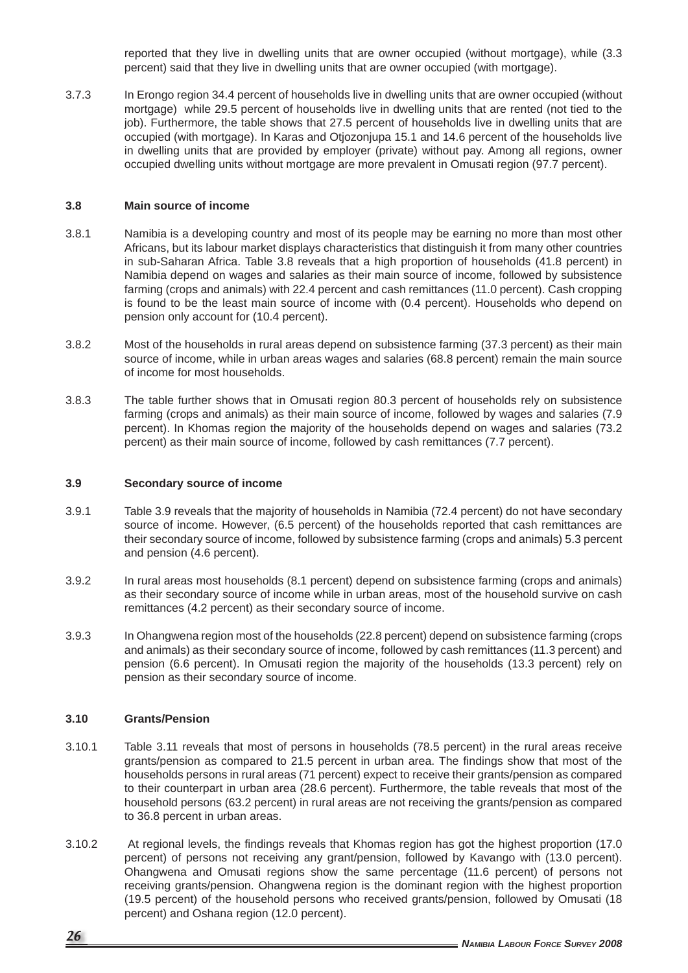reported that they live in dwelling units that are owner occupied (without mortgage), while (3.3 percent) said that they live in dwelling units that are owner occupied (with mortgage).

3.7.3 In Erongo region 34.4 percent of households live in dwelling units that are owner occupied (without mortgage) while 29.5 percent of households live in dwelling units that are rented (not tied to the job). Furthermore, the table shows that 27.5 percent of households live in dwelling units that are occupied (with mortgage). In Karas and Otjozonjupa 15.1 and 14.6 percent of the households live in dwelling units that are provided by employer (private) without pay. Among all regions, owner occupied dwelling units without mortgage are more prevalent in Omusati region (97.7 percent).

#### **3.8 Main source of income**

- 3.8.1 Namibia is a developing country and most of its people may be earning no more than most other Africans, but its labour market displays characteristics that distinguish it from many other countries in sub-Saharan Africa. Table 3.8 reveals that a high proportion of households (41.8 percent) in Namibia depend on wages and salaries as their main source of income, followed by subsistence farming (crops and animals) with 22.4 percent and cash remittances (11.0 percent). Cash cropping is found to be the least main source of income with (0.4 percent). Households who depend on pension only account for (10.4 percent).
- 3.8.2 Most of the households in rural areas depend on subsistence farming (37.3 percent) as their main source of income, while in urban areas wages and salaries (68.8 percent) remain the main source of income for most households.
- 3.8.3 The table further shows that in Omusati region 80.3 percent of households rely on subsistence farming (crops and animals) as their main source of income, followed by wages and salaries (7.9 percent). In Khomas region the majority of the households depend on wages and salaries (73.2 percent) as their main source of income, followed by cash remittances (7.7 percent).

#### **3.9 Secondary source of income**

- 3.9.1 Table 3.9 reveals that the majority of households in Namibia (72.4 percent) do not have secondary source of income. However, (6.5 percent) of the households reported that cash remittances are their secondary source of income, followed by subsistence farming (crops and animals) 5.3 percent and pension (4.6 percent).
- 3.9.2 In rural areas most households (8.1 percent) depend on subsistence farming (crops and animals) as their secondary source of income while in urban areas, most of the household survive on cash remittances (4.2 percent) as their secondary source of income.
- 3.9.3 In Ohangwena region most of the households (22.8 percent) depend on subsistence farming (crops and animals) as their secondary source of income, followed by cash remittances (11.3 percent) and pension (6.6 percent). In Omusati region the majority of the households (13.3 percent) rely on pension as their secondary source of income.

## **3.10 Grants/Pension**

- 3.10.1 Table 3.11 reveals that most of persons in households (78.5 percent) in the rural areas receive grants/pension as compared to 21.5 percent in urban area. The findings show that most of the households persons in rural areas (71 percent) expect to receive their grants/pension as compared to their counterpart in urban area (28.6 percent). Furthermore, the table reveals that most of the household persons (63.2 percent) in rural areas are not receiving the grants/pension as compared to 36.8 percent in urban areas.
- 3.10.2 At regional levels, the findings reveals that Khomas region has got the highest proportion (17.0) percent) of persons not receiving any grant/pension, followed by Kavango with (13.0 percent). Ohangwena and Omusati regions show the same percentage (11.6 percent) of persons not receiving grants/pension. Ohangwena region is the dominant region with the highest proportion (19.5 percent) of the household persons who received grants/pension, followed by Omusati (18 percent) and Oshana region (12.0 percent).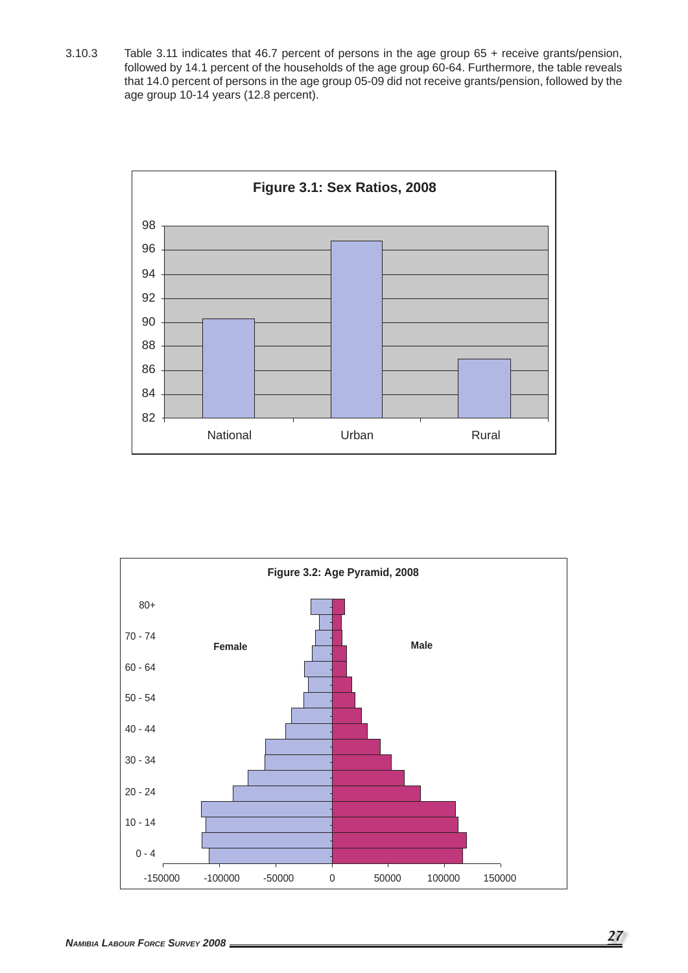3.10.3 Table 3.11 indicates that 46.7 percent of persons in the age group 65 + receive grants/pension, followed by 14.1 percent of the households of the age group 60-64. Furthermore, the table reveals that 14.0 percent of persons in the age group 05-09 did not receive grants/pension, followed by the age group 10-14 years (12.8 percent).



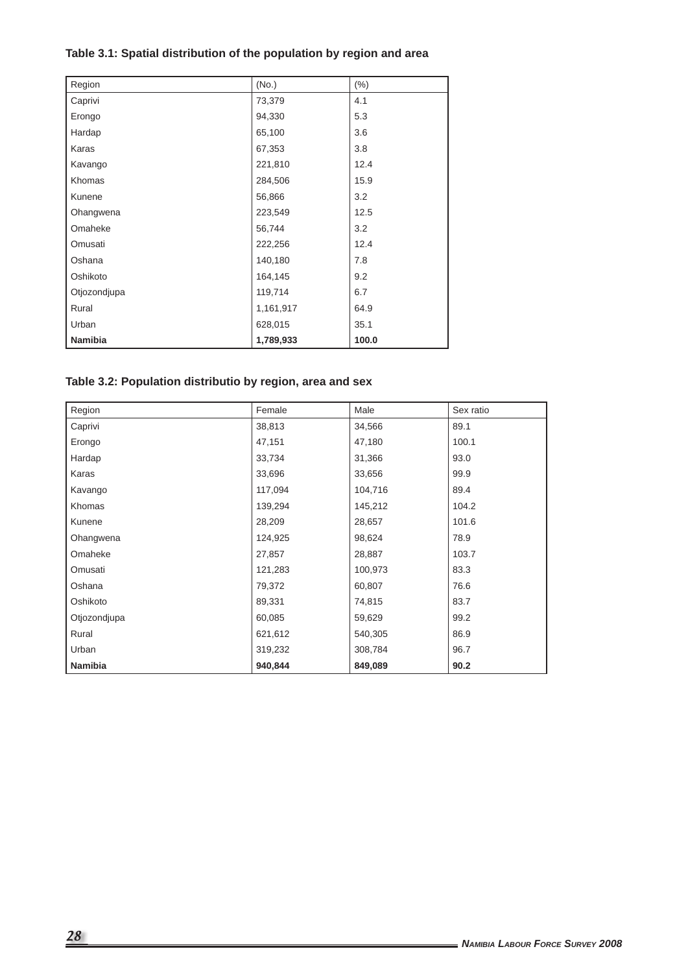# **Table 3.1: Spatial distribution of the population by region and area**

| Region         | (No.)     | $(\% )$ |
|----------------|-----------|---------|
| Caprivi        | 73,379    | 4.1     |
| Erongo         | 94,330    | 5.3     |
| Hardap         | 65,100    | 3.6     |
| Karas          | 67,353    | 3.8     |
| Kavango        | 221,810   | 12.4    |
| Khomas         | 284,506   | 15.9    |
| Kunene         | 56,866    | 3.2     |
| Ohangwena      | 223,549   | 12.5    |
| Omaheke        | 56,744    | 3.2     |
| Omusati        | 222,256   | 12.4    |
| Oshana         | 140,180   | 7.8     |
| Oshikoto       | 164,145   | 9.2     |
| Otjozondjupa   | 119,714   | 6.7     |
| Rural          | 1,161,917 | 64.9    |
| Urban          | 628,015   | 35.1    |
| <b>Namibia</b> | 1,789,933 | 100.0   |

# **Table 3.2: Population distributio by region, area and sex**

| Region       | Female  | Male    | Sex ratio |
|--------------|---------|---------|-----------|
| Caprivi      | 38,813  | 34,566  | 89.1      |
| Erongo       | 47,151  | 47,180  | 100.1     |
| Hardap       | 33,734  | 31,366  | 93.0      |
| Karas        | 33,696  | 33,656  | 99.9      |
| Kavango      | 117,094 | 104,716 | 89.4      |
| Khomas       | 139,294 | 145,212 | 104.2     |
| Kunene       | 28,209  | 28,657  | 101.6     |
| Ohangwena    | 124,925 | 98,624  | 78.9      |
| Omaheke      | 27,857  | 28,887  | 103.7     |
| Omusati      | 121,283 | 100,973 | 83.3      |
| Oshana       | 79,372  | 60,807  | 76.6      |
| Oshikoto     | 89,331  | 74,815  | 83.7      |
| Otjozondjupa | 60,085  | 59,629  | 99.2      |
| Rural        | 621,612 | 540,305 | 86.9      |
| Urban        | 319,232 | 308,784 | 96.7      |
| Namibia      | 940,844 | 849,089 | 90.2      |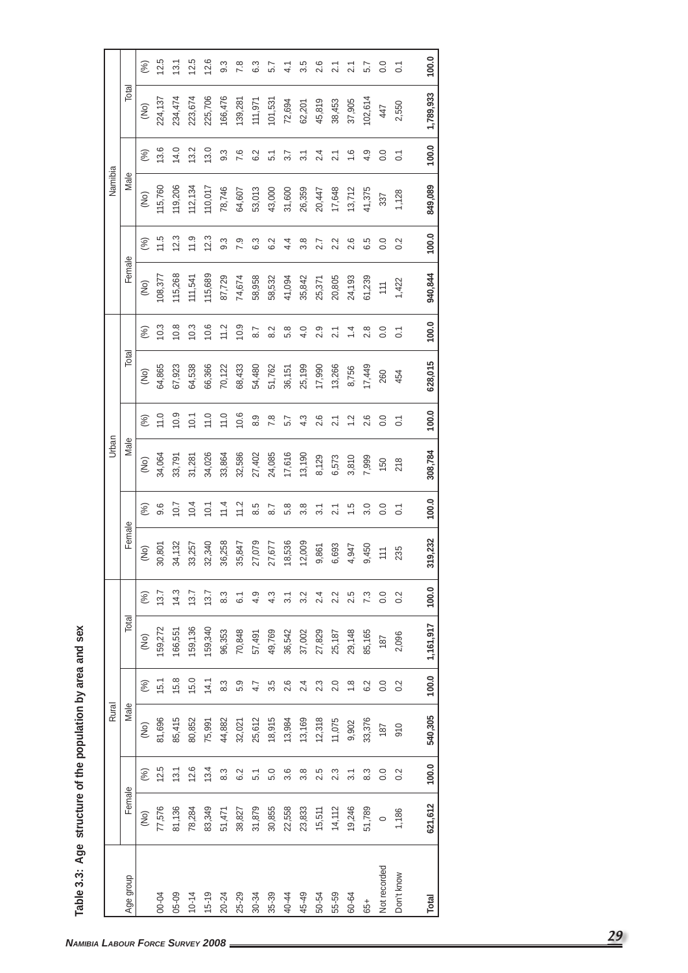| <u>(၂</u>      |
|----------------|
| and            |
| area           |
|                |
| $rac{1}{2}$    |
| the            |
| ŏ              |
| <b>Sunners</b> |
| Age            |
| ว<br>ว<br>ว    |
| <u>ن</u><br>t  |

|              |         |                  | Rural   |                  |           |                |                               |                  | Urban   |                |         |                |                 |       | Namibia  |                  |          |           |
|--------------|---------|------------------|---------|------------------|-----------|----------------|-------------------------------|------------------|---------|----------------|---------|----------------|-----------------|-------|----------|------------------|----------|-----------|
| Age group    | Female  |                  | Male    |                  | Total     |                | Female                        |                  | Male    |                | Total   |                | Female          |       | Male     |                  | Total    |           |
|              | (No)    | (%)              | (No)    | (%)              | (No)      | (%)            | (No)                          | (%)              | (No)    | (%)            | (No)    | (%)            | (No)            | (%)   | (No)     | (%)              | (No)     |           |
| 00-04        | 77,576  | 12.5             | 81,696  | 15.1             | 159,272   | 13.7           | 30,801                        | 9.6              | 34,064  | 11.0           | 64,865  | 10.3           | 108,377         | 11.5  | 115,760  | 13.6             | 224, 137 |           |
| 05-09        | 81,136  | 13.1             | 85,415  | 15.8             | 166,551   | 14.3           | 34,132                        | 10.7             | 33,791  | 10.9           | 67,923  | 10.8           | 115,268         | 12.3  | 119,206  | 14.0             | 234,474  |           |
| $10 - 14$    | 78,284  | 12.6             | 80,852  | 15.0             | 159,136   | 13.7           | 33,257                        | 10.4             | 31,281  | 10.1           | 64,538  | 10.3           | 111,541         | 11.9  | 112, 134 | 13.2             | 223,674  |           |
| $15 - 19$    | 83,349  | 13.4             | 75,991  | 14.1             | 159,340   | 13.7           | 32,340                        | 10.1             | 34,026  | 11.0           | 66,366  | 10.6           | 115,689         | 12.3  | 110,017  | 13.0             | 225,706  |           |
| $20 - 24$    | 51,471  | 8.3              | 44,882  | 8.3              | 96,353    | 8.3            | 36,258                        | 11.4             | 33,864  | 11.0           | 70,122  | 11.2           | 87,729          | 9.3   | 78,746   | $9.\overline{3}$ | 166,476  |           |
| 25-29        | 38,827  | 6.2              | 32,021  | 5.9              | 70,848    | $\overline{6}$ | 35,847                        | 11.2             | 32,586  | 10.6           | 68,433  | 10.9           | 74,674          | 7.9   | 64,607   | 7.6              | 139,281  |           |
| $30 - 34$    | 31,879  | 51               | 25,612  | 4.7              | 57,491    | 4.9            | 27,079                        | 8.5              | 27,402  | 8.9            | 54,480  | 8.7            | 58,958          | 6.3   | 53,013   | 6.2              | 111,971  |           |
| 35-39        | 30,855  | 5.0              | 18,915  | 3.5              | 49,769    | 4.3            | 27,677                        | 8.7              | 24,085  | 7.8            | 51,762  | 8.2            | 58,532          | 6.2   | 43,000   | 5.1              | 101,531  |           |
| 40-44        | 22,558  | 3.6              | 13,984  | 2.6              | 36,542    | 31             | 18,536                        | 5.8              | 17,616  | 5.7            | 36,151  | 5.8            | 41,094          | 4.4   | 31,600   | 3.7              | 72,694   |           |
| 45-49        | 23,833  | 3.8              | 13,169  | 2.4              | 37,002    | 3.2            | 12,009                        | 3.8              | 13,190  | 4.3            | 25,199  | 4.0            | 35,842          | 3.8   | 26,359   | $\overline{3}$   | 62,201   |           |
| 50-54        | 15,511  | 2.5              | 12,318  | 2.3              | 27,829    | 2.4            | 9,861                         | $\overline{3.1}$ | 8,129   | 2.6            | 17,990  | 2.9            | 25,371          | 2.7   | 20,447   | 2.4              | 45,819   |           |
| 55-59        | 14,112  | 2.3              | 11,075  | 2.0              | 25,187    | 2.2            | 6,693                         | 2.1              | 6,573   | 2.1            | 13,266  | 2.1            | 20,805          | 2.2   | 17,648   | 2.1              | 38,453   |           |
| 60-64        | 19,246  | $\overline{3}$ . | 9,902   | 1.8              | 29,148    | 2.5            | 4,947                         | $\frac{5}{1}$    | 3,810   | $\frac{1}{2}$  | 8,756   | 14             | 24,193          | 2.6   | 13,712   | $\frac{6}{1}$    | 37,905   |           |
| 65+          | 51,789  | 8.3              | 33,376  | 6.2              | 85,165    | 7.3            | 9,450                         | 3.0              | 7,999   | 2.6            | 17,449  | 2.8            | 61,239          | 6.5   | 41,375   | 4.9              | 102,614  |           |
| Not recorded | $\circ$ | 0.0              | 187     | $\overline{0}$ . | 187       | $\rm ^{0}$     | $\overleftarrow{\phantom{a}}$ | $\overline{0}$ . | 150     | 0.0            | 260     | 0.0            | $\frac{11}{11}$ | 0.0   | 337      | $\rm ^{0}$       | 447      |           |
| Don't know   | 1,186   | 0.2              | 910     | 0.2              | 2,096     | 0.2            | 235                           | $\overline{C}$   | 218     | $\overline{C}$ | 454     | $\overline{C}$ | 1,422           | 0.2   | 1,128    | $\overline{C}$   | 2,550    |           |
|              |         |                  |         |                  |           |                |                               |                  |         |                |         |                |                 |       |          |                  |          |           |
| Total        | 621,612 | 100.0            | 540,305 | 100.0            | 1,161,917 | 100.0          | 319,232                       | 100.0            | 308,784 | 100.0          | 628,015 | 100.0          | 940,844         | 100.0 | 849,089  | 100.0            |          | 1,789,933 |

h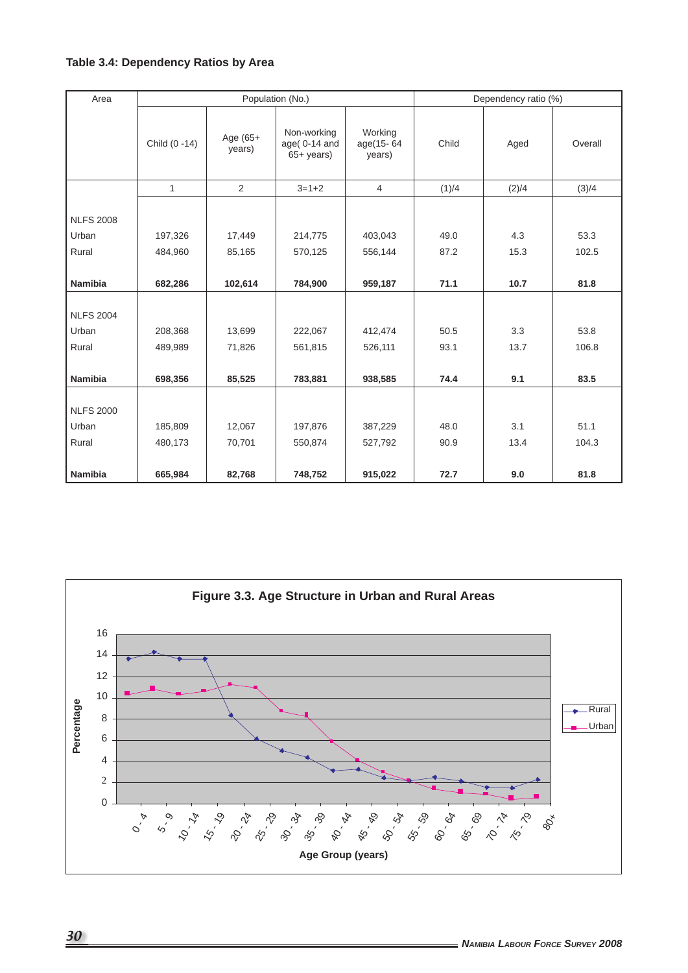# **Table 3.4: Dependency Ratios by Area**

| Area             |               |                    | Population (No.)                                     |                                | Dependency ratio (%) |       |         |
|------------------|---------------|--------------------|------------------------------------------------------|--------------------------------|----------------------|-------|---------|
|                  | Child (0 -14) | Age (65+<br>years) | Non-working<br>age $(0-14$ and<br>$65+ \text{years}$ | Working<br>age(15-64<br>years) | Child                | Aged  | Overall |
|                  | $\mathbf{1}$  | $\overline{2}$     | $3 = 1 + 2$                                          | $\overline{4}$                 | (1)/4                | (2)/4 | (3)/4   |
| <b>NLFS 2008</b> |               |                    |                                                      |                                |                      |       |         |
| Urban            | 197,326       | 17,449             | 214,775                                              | 403,043                        | 49.0                 | 4.3   | 53.3    |
| Rural            | 484,960       | 85,165             | 570,125                                              | 556,144                        | 87.2                 | 15.3  | 102.5   |
| <b>Namibia</b>   | 682,286       | 102,614            | 784,900                                              | 959,187                        | 71.1                 | 10.7  | 81.8    |
| <b>NLFS 2004</b> |               |                    |                                                      |                                |                      |       |         |
| Urban            | 208,368       | 13,699             | 222,067                                              | 412,474                        | 50.5                 | 3.3   | 53.8    |
| Rural            | 489,989       | 71,826             | 561,815                                              | 526,111                        | 93.1                 | 13.7  | 106.8   |
|                  |               |                    |                                                      |                                |                      |       |         |
| <b>Namibia</b>   | 698,356       | 85,525             | 783,881                                              | 938,585                        | 74.4                 | 9.1   | 83.5    |
| <b>NLFS 2000</b> |               |                    |                                                      |                                |                      |       |         |
| Urban            | 185,809       | 12,067             | 197,876                                              | 387,229                        | 48.0                 | 3.1   | 51.1    |
| Rural            | 480,173       | 70,701             | 550,874                                              | 527,792                        | 90.9                 | 13.4  | 104.3   |
|                  |               |                    |                                                      |                                |                      |       |         |
| Namibia          | 665,984       | 82,768             | 748,752                                              | 915,022                        | 72.7                 | 9.0   | 81.8    |

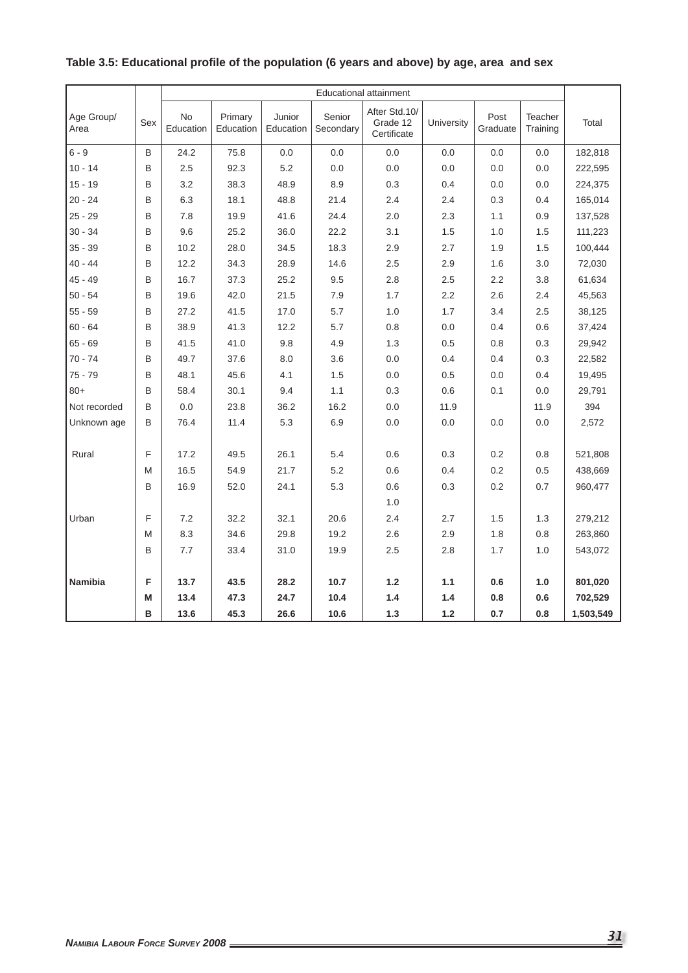|                    |              |                        |                      |                     |                     | <b>Educational attainment</b>            |            |                  |                            |           |
|--------------------|--------------|------------------------|----------------------|---------------------|---------------------|------------------------------------------|------------|------------------|----------------------------|-----------|
| Age Group/<br>Area | Sex          | <b>No</b><br>Education | Primary<br>Education | Junior<br>Education | Senior<br>Secondary | After Std.10/<br>Grade 12<br>Certificate | University | Post<br>Graduate | <b>Teacher</b><br>Training | Total     |
| $6 - 9$            | B            | 24.2                   | 75.8                 | 0.0                 | 0.0                 | 0.0                                      | 0.0        | 0.0              | 0.0                        | 182,818   |
| $10 - 14$          | B            | 2.5                    | 92.3                 | 5.2                 | 0.0                 | 0.0                                      | 0.0        | 0.0              | 0.0                        | 222,595   |
| $15 - 19$          | B            | 3.2                    | 38.3                 | 48.9                | 8.9                 | 0.3                                      | 0.4        | 0.0              | 0.0                        | 224,375   |
| $20 - 24$          | B            | 6.3                    | 18.1                 | 48.8                | 21.4                | 2.4                                      | 2.4        | 0.3              | 0.4                        | 165,014   |
| $25 - 29$          | B            | 7.8                    | 19.9                 | 41.6                | 24.4                | 2.0                                      | 2.3        | 1.1              | 0.9                        | 137,528   |
| $30 - 34$          | B            | 9.6                    | 25.2                 | 36.0                | 22.2                | 3.1                                      | 1.5        | 1.0              | 1.5                        | 111,223   |
| $35 - 39$          | B            | 10.2                   | 28.0                 | 34.5                | 18.3                | 2.9                                      | 2.7        | 1.9              | 1.5                        | 100,444   |
| 40 - 44            | B            | 12.2                   | 34.3                 | 28.9                | 14.6                | 2.5                                      | 2.9        | 1.6              | 3.0                        | 72,030    |
| $45 - 49$          | B            | 16.7                   | 37.3                 | 25.2                | 9.5                 | 2.8                                      | 2.5        | 2.2              | 3.8                        | 61,634    |
| $50 - 54$          | B            | 19.6                   | 42.0                 | 21.5                | 7.9                 | 1.7                                      | 2.2        | 2.6              | 2.4                        | 45,563    |
| $55 - 59$          | B            | 27.2                   | 41.5                 | 17.0                | 5.7                 | 1.0                                      | 1.7        | 3.4              | 2.5                        | 38,125    |
| $60 - 64$          | B            | 38.9                   | 41.3                 | 12.2                | 5.7                 | 0.8                                      | 0.0        | 0.4              | 0.6                        | 37,424    |
| $65 - 69$          | B            | 41.5                   | 41.0                 | 9.8                 | 4.9                 | 1.3                                      | 0.5        | 0.8              | 0.3                        | 29,942    |
| $70 - 74$          | B            | 49.7                   | 37.6                 | 8.0                 | 3.6                 | 0.0                                      | 0.4        | 0.4              | 0.3                        | 22,582    |
| $75 - 79$          | B            | 48.1                   | 45.6                 | 4.1                 | 1.5                 | 0.0                                      | 0.5        | 0.0              | 0.4                        | 19,495    |
| $80+$              | B            | 58.4                   | 30.1                 | 9.4                 | 1.1                 | 0.3                                      | 0.6        | 0.1              | 0.0                        | 29,791    |
| Not recorded       | <sub>B</sub> | 0.0                    | 23.8                 | 36.2                | 16.2                | 0.0                                      | 11.9       |                  | 11.9                       | 394       |
| Unknown age        | B            | 76.4                   | 11.4                 | 5.3                 | 6.9                 | 0.0                                      | 0.0        | 0.0              | 0.0                        | 2,572     |
| Rural              | F            | 17.2                   | 49.5                 | 26.1                | 5.4                 | 0.6                                      | 0.3        | 0.2              | 0.8                        | 521,808   |
|                    | M            | 16.5                   | 54.9                 | 21.7                | 5.2                 | 0.6                                      | 0.4        | 0.2              | 0.5                        | 438,669   |
|                    | B            | 16.9                   | 52.0                 | 24.1                | 5.3                 | 0.6                                      | 0.3        | 0.2              | 0.7                        | 960,477   |
|                    |              |                        |                      |                     |                     | 1.0                                      |            |                  |                            |           |
| Urban              | F            | 7.2                    | 32.2                 | 32.1                | 20.6                | 2.4                                      | 2.7        | 1.5              | 1.3                        | 279,212   |
|                    | M            | 8.3                    | 34.6                 | 29.8                | 19.2                | 2.6                                      | 2.9        | 1.8              | 0.8                        | 263,860   |
|                    | B            | 7.7                    | 33.4                 | 31.0                | 19.9                | 2.5                                      | 2.8        | 1.7              | 1.0                        | 543,072   |
|                    |              |                        |                      |                     |                     |                                          |            |                  |                            |           |
| <b>Namibia</b>     | F            | 13.7                   | 43.5                 | 28.2                | 10.7                | 1.2                                      | 1.1        | 0.6              | 1.0                        | 801,020   |
|                    | M            | 13.4                   | 47.3                 | 24.7                | 10.4                | 1.4                                      | 1.4        | 0.8              | 0.6                        | 702,529   |
|                    | B            | 13.6                   | 45.3                 | 26.6                | 10.6                | $1.3$                                    | 1.2        | 0.7              | 0.8                        | 1,503,549 |

# Table 3.5: Educational profile of the population (6 years and above) by age, area and sex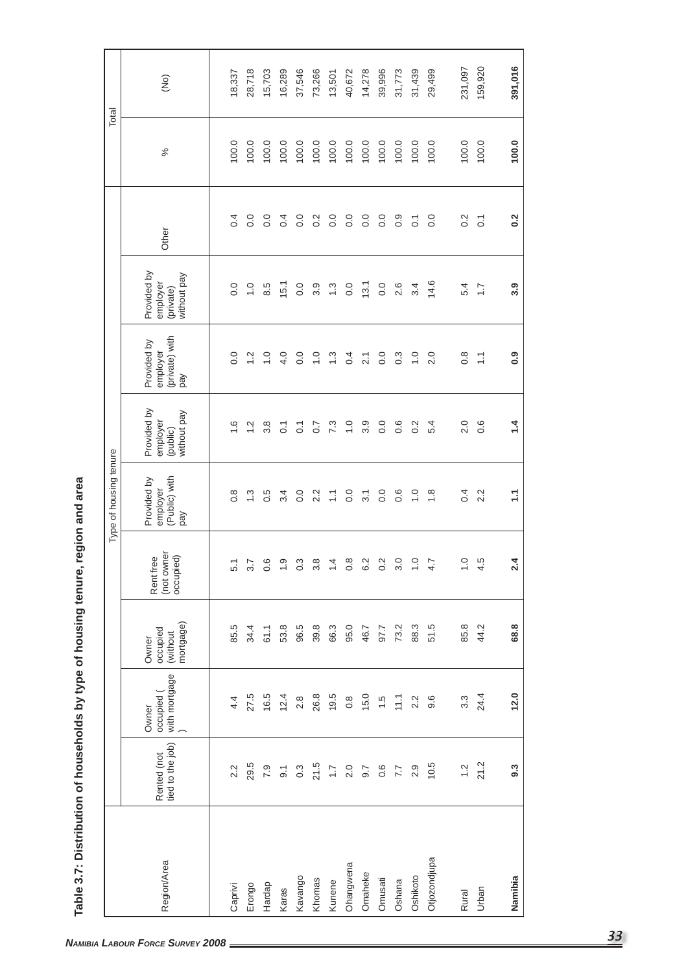| employer<br>4.0<br>$\frac{0}{1}$<br>2.0<br>0.8<br>$\overline{0}$ .<br>$\frac{0}{1}$<br>0.0<br>$\frac{0}{1}$<br>$\frac{3}{2}$<br>0.4<br>$\rm ^{0}$<br>0.3<br>$\frac{2}{1}$<br>$\sum$<br>21<br>yed<br>Provided by<br>without pay<br>employer<br>$\frac{0}{1}$<br>3.9<br>0.0<br>0.6<br>0.2<br>5.4<br>2.0<br>$0.\overline{6}$<br>$\frac{6}{1}$<br>$\frac{2}{1}$<br>3.8<br>7.3<br>0.7<br>$\overline{C}$<br>$\overline{O}$ .<br>(public)<br>(Public) with<br>Provided by<br>employer<br>0.4<br>0.0<br>0.0<br>0.0<br>0.6<br>$\frac{0}{1}$<br>2.2<br>$\frac{8}{1}$<br>$\frac{3}{2}$<br>0.5<br>3.4<br>2.2<br>$\sum$<br>$\overline{3.1}$<br>$\frac{8}{1}$<br>pay<br>(not owner<br>occupied)<br>Rent free<br>0<br><u> တု</u><br>$\infty$<br>3.0<br>$\circ$<br>Q<br>rù<br>3.7<br>က္<br>œ<br>4<br>Ņ<br>Ņ<br>5.1<br>4.7<br>$\circ$<br>$\overline{ }$<br>$\circ$<br>က<br>$\overline{\phantom{0}}$<br>$\circ$<br>ဖ<br>$\circ$<br>$\overline{\phantom{0}}$<br>4<br>mortgage)<br>96.5<br>85.8<br>44.2<br>85.5<br>34.4<br>53.8<br>39.8<br>66.3<br>95.0<br>73.2<br>88.3<br>51.5<br>61.1<br>46.7<br>97.7<br>occupied<br>(without<br>Owner<br>with mortgage<br>occupied (<br>27.5<br>16.5<br>26.8<br>19.5<br>24.4<br>12.4<br>15.0<br>11.1<br>$3.\overline{3}$<br>2.8<br>$0.\overline{8}$<br>$\frac{5}{1}$<br>2.2<br>9.6<br>4.4<br>Owner<br>Rented (not<br>tied to the job)<br>10.5<br>21.2<br>29.5<br>21.5<br>$\frac{2}{1}$<br>7.9<br>$0.\overline{3}$<br>2.0<br>0.6<br>2.9<br>$\overline{9}$ .<br>$\overline{1}$<br>9.7<br>7.7<br>2.2<br>Otjozondjupa<br>Region/Area<br>Ohangwena<br>Omaheke<br>Kavango<br>Oshikoto<br>Omusati<br>Khomas<br>Oshana<br>Kunene<br>Hardap<br>Erongo<br>Caprivi<br>Karas<br>Urban<br>Rural |  |  | Type of housing tenure |                               |            |                                                     |                  |       |
|---------------------------------------------------------------------------------------------------------------------------------------------------------------------------------------------------------------------------------------------------------------------------------------------------------------------------------------------------------------------------------------------------------------------------------------------------------------------------------------------------------------------------------------------------------------------------------------------------------------------------------------------------------------------------------------------------------------------------------------------------------------------------------------------------------------------------------------------------------------------------------------------------------------------------------------------------------------------------------------------------------------------------------------------------------------------------------------------------------------------------------------------------------------------------------------------------------------------------------------------------------------------------------------------------------------------------------------------------------------------------------------------------------------------------------------------------------------------------------------------------------------------------------------------------------------------------------------------------------------------------------------------------------------------------------------------------|--|--|------------------------|-------------------------------|------------|-----------------------------------------------------|------------------|-------|
|                                                                                                                                                                                                                                                                                                                                                                                                                                                                                                                                                                                                                                                                                                                                                                                                                                                                                                                                                                                                                                                                                                                                                                                                                                                                                                                                                                                                                                                                                                                                                                                                                                                                                                   |  |  |                        | (private) with<br>Provided by |            | Provided by<br>without pay<br>employer<br>(private) | Other            | $\%$  |
|                                                                                                                                                                                                                                                                                                                                                                                                                                                                                                                                                                                                                                                                                                                                                                                                                                                                                                                                                                                                                                                                                                                                                                                                                                                                                                                                                                                                                                                                                                                                                                                                                                                                                                   |  |  |                        |                               |            | 0.0                                                 | 0.4              | 100.0 |
|                                                                                                                                                                                                                                                                                                                                                                                                                                                                                                                                                                                                                                                                                                                                                                                                                                                                                                                                                                                                                                                                                                                                                                                                                                                                                                                                                                                                                                                                                                                                                                                                                                                                                                   |  |  |                        |                               |            | $\frac{0}{1}$                                       | $\overline{0}$ . | 100.0 |
|                                                                                                                                                                                                                                                                                                                                                                                                                                                                                                                                                                                                                                                                                                                                                                                                                                                                                                                                                                                                                                                                                                                                                                                                                                                                                                                                                                                                                                                                                                                                                                                                                                                                                                   |  |  |                        |                               |            | 8.5                                                 | 0.0              | 100.0 |
|                                                                                                                                                                                                                                                                                                                                                                                                                                                                                                                                                                                                                                                                                                                                                                                                                                                                                                                                                                                                                                                                                                                                                                                                                                                                                                                                                                                                                                                                                                                                                                                                                                                                                                   |  |  |                        |                               |            | 15.1                                                | 0.4              | 100.0 |
|                                                                                                                                                                                                                                                                                                                                                                                                                                                                                                                                                                                                                                                                                                                                                                                                                                                                                                                                                                                                                                                                                                                                                                                                                                                                                                                                                                                                                                                                                                                                                                                                                                                                                                   |  |  |                        |                               |            | $\overline{0}$ .                                    | 0.0              | 100.0 |
|                                                                                                                                                                                                                                                                                                                                                                                                                                                                                                                                                                                                                                                                                                                                                                                                                                                                                                                                                                                                                                                                                                                                                                                                                                                                                                                                                                                                                                                                                                                                                                                                                                                                                                   |  |  |                        |                               |            | 3.9                                                 | 0.2              | 100.0 |
|                                                                                                                                                                                                                                                                                                                                                                                                                                                                                                                                                                                                                                                                                                                                                                                                                                                                                                                                                                                                                                                                                                                                                                                                                                                                                                                                                                                                                                                                                                                                                                                                                                                                                                   |  |  |                        |                               | $\ddot{.}$ |                                                     | 0.0              | 100.0 |
|                                                                                                                                                                                                                                                                                                                                                                                                                                                                                                                                                                                                                                                                                                                                                                                                                                                                                                                                                                                                                                                                                                                                                                                                                                                                                                                                                                                                                                                                                                                                                                                                                                                                                                   |  |  |                        |                               | 0.0        |                                                     | $\overline{0}$ . | 100.0 |
|                                                                                                                                                                                                                                                                                                                                                                                                                                                                                                                                                                                                                                                                                                                                                                                                                                                                                                                                                                                                                                                                                                                                                                                                                                                                                                                                                                                                                                                                                                                                                                                                                                                                                                   |  |  |                        |                               | 13.1       |                                                     | 0.0              | 100.0 |
| 14.6<br>2.6<br>3.4<br>5.4<br>$\ddot{ }$ :                                                                                                                                                                                                                                                                                                                                                                                                                                                                                                                                                                                                                                                                                                                                                                                                                                                                                                                                                                                                                                                                                                                                                                                                                                                                                                                                                                                                                                                                                                                                                                                                                                                         |  |  |                        |                               | 0.0        |                                                     | 0.0              | 100.0 |
|                                                                                                                                                                                                                                                                                                                                                                                                                                                                                                                                                                                                                                                                                                                                                                                                                                                                                                                                                                                                                                                                                                                                                                                                                                                                                                                                                                                                                                                                                                                                                                                                                                                                                                   |  |  |                        |                               |            |                                                     | 0.9              | 100.0 |
|                                                                                                                                                                                                                                                                                                                                                                                                                                                                                                                                                                                                                                                                                                                                                                                                                                                                                                                                                                                                                                                                                                                                                                                                                                                                                                                                                                                                                                                                                                                                                                                                                                                                                                   |  |  |                        |                               |            |                                                     | $\overline{O}$   | 100.0 |
|                                                                                                                                                                                                                                                                                                                                                                                                                                                                                                                                                                                                                                                                                                                                                                                                                                                                                                                                                                                                                                                                                                                                                                                                                                                                                                                                                                                                                                                                                                                                                                                                                                                                                                   |  |  |                        |                               |            |                                                     | 0.0              | 100.0 |
|                                                                                                                                                                                                                                                                                                                                                                                                                                                                                                                                                                                                                                                                                                                                                                                                                                                                                                                                                                                                                                                                                                                                                                                                                                                                                                                                                                                                                                                                                                                                                                                                                                                                                                   |  |  |                        |                               |            |                                                     | $\frac{2}{3}$    | 100.0 |
|                                                                                                                                                                                                                                                                                                                                                                                                                                                                                                                                                                                                                                                                                                                                                                                                                                                                                                                                                                                                                                                                                                                                                                                                                                                                                                                                                                                                                                                                                                                                                                                                                                                                                                   |  |  |                        |                               |            |                                                     | $\overline{O}$   | 100.0 |
| 3.9<br>0.9<br>1.4<br>Ξ<br>4<br>N<br>68.8<br>12.0<br>9.3<br>Namibia                                                                                                                                                                                                                                                                                                                                                                                                                                                                                                                                                                                                                                                                                                                                                                                                                                                                                                                                                                                                                                                                                                                                                                                                                                                                                                                                                                                                                                                                                                                                                                                                                                |  |  |                        |                               |            |                                                     | 0.2              | 100.0 |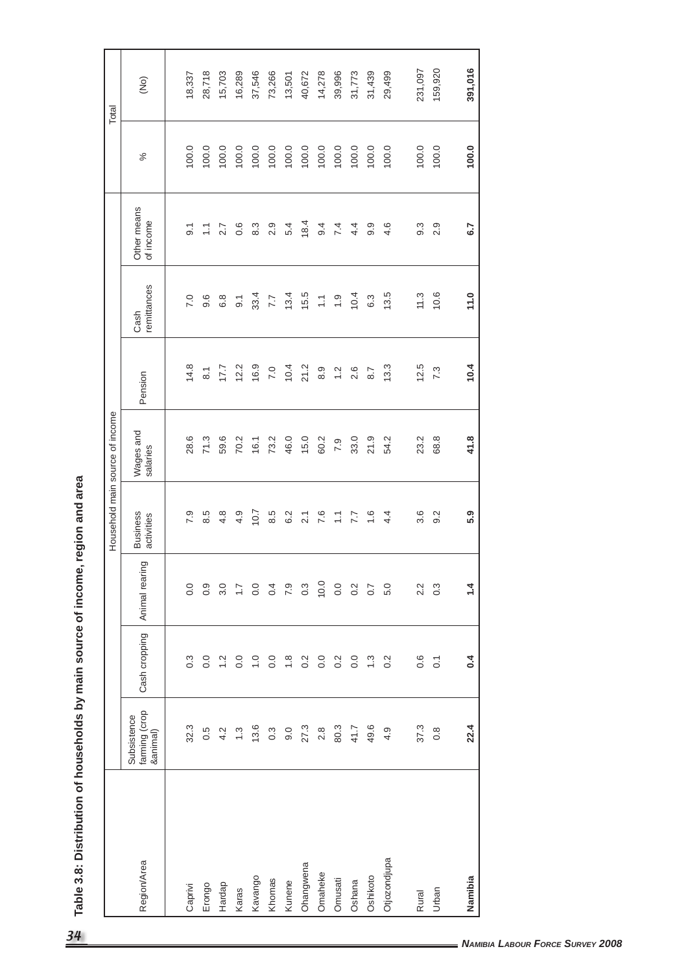|              |                                          |                  |                  |                               | Household main source of income |                    |                     |                          |       | Total         |
|--------------|------------------------------------------|------------------|------------------|-------------------------------|---------------------------------|--------------------|---------------------|--------------------------|-------|---------------|
| Region/Area  | farming (crop<br>&animal)<br>Subsistence | Cash cropping    | Animal rearing   | <b>Business</b><br>activities | Wages and<br>salaries           | Pension            | remittances<br>Cash | Other means<br>of income | $\%$  | $\widehat{g}$ |
| Caprivi      | 32.3                                     | $0.\overline{3}$ | 0.0              | 7.9                           | 28.6                            | 14.8               | 7.0                 | $\overline{9}$           | 100.0 | 18,337        |
| Erongo       | 0.5                                      | $\overline{0}$ . | 0.9              | 8.5                           | 71.3                            | $\overline{\circ}$ | 9.6                 | $\sum$                   | 100.0 | 28,718        |
| Hardap       | 4.2                                      | $\frac{2}{3}$    | 3.0              | 4.8                           | 59.6                            | 17.7               | 6.8                 | 2.7                      | 100.0 | 15,703        |
| Karas        | $\ddot{.}$                               | $\overline{0}$ . | $\overline{1.7}$ | 4.9                           | 70.2                            | 12.2               | $\overline{9}$      | 0.6                      | 100.0 | 16,289        |
| Kavango      | 13.6                                     | $\frac{0}{1}$    | 0.0              | 10.7                          | 16.1                            | 16.9               | 33.4                | $8.\overline{3}$         | 100.0 | 37,546        |
| Khomas       | $0.\overline{3}$                         | $\overline{0}$ . | 0.4              | 8.5                           | 73.2                            | 7.0                | 7.7                 | 2.9                      | 100.0 | 73,266        |
| Kunene       | 0.6                                      | $\frac{8}{1}$    | 7.9              | 6.2                           | 46.0                            | 10.4               | 13.4                | 5.4                      | 100.0 | 13,501        |
| Ohangwena    | 27.3                                     | 0.2              | $0.\overline{3}$ | $\overline{2.1}$              | 15.0                            | 21.2               | 15.5                | 18.4                     | 100.0 | 40,672        |
| Omaheke      | $2.8$                                    | 0.0              | 10.0             | 7.6                           | 60.2                            | 8.9                | $\overline{\cdot}$  | 9.4                      | 100.0 | 14,278        |
| Omusati      | 80.3                                     | 0.2              | 0.0              | $\overline{\cdot}$            | 7.9                             | 1.2                | $\ddot{0}$ .        | 7.4                      | 100.0 | 39,996        |
| Oshana       | 41.7                                     | 0.0              | 0.2              | 7.7                           | 33.0                            | 2.6                | 10.4                | 4.4                      | 100.0 | 31,773        |
| Oshikoto     | 49.6                                     | $\frac{3}{2}$    | 0.7              | $\frac{6}{1}$                 | 21.9                            | 8.7                | 6.3                 | 9.9                      | 100.0 | 31,439        |
| Otjozondjupa | 4.9                                      | $\overline{0.2}$ | 5.0              | 4.4                           | 54.2                            | 13.3               | 13.5                | 4.6                      | 100.0 | 29,499        |
| Rural        | 37.3                                     | 0.6              | 2.2              | $3.\overline{6}$              | 23.2                            | 12.5               | $11.3$              | 9.3                      | 100.0 | 231,097       |
| Urban        | $0.\overline{8}$                         | $\overline{O}$   | $0.\overline{3}$ | 9.2                           | 68.8                            | 7.3                | 10.6                | 2.9                      | 100.0 | 159,920       |
|              |                                          |                  |                  |                               |                                 |                    |                     |                          |       |               |
| Namibia      | 22.4                                     | 0.4              | 1.4              | 5.9                           | 41.8                            | 10.4               | 11.0                | 6.7                      | 100.0 | 391,016       |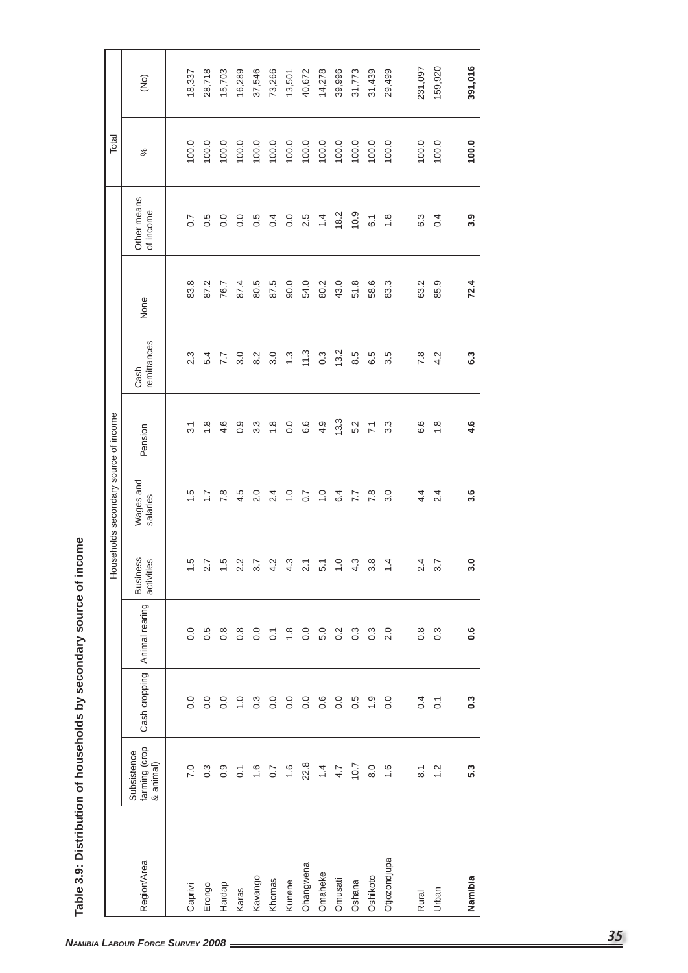| 100.0<br>100.0<br>100.0<br>100.0<br>100.0<br>100.0<br>100.0<br>100.0<br>100.0<br>100.0<br>100.0<br>100.0<br>100.0<br>100.0<br>100.0<br>$\%$<br>Other means<br>of income<br>18.2<br>10.9<br>0.0<br>2.5<br>1.4<br>0.5<br>$\overline{0}$ .<br>$\overline{0}$ .<br>0.5<br>0.4<br>$\overline{6}$ 1<br>$\frac{8}{1}$<br>6.3<br>$\ddot{0}$<br>0.7<br>87.4<br>80.5<br>87.5<br>90.0<br>54.0<br>43.0<br>51.8<br>58.6<br>83.3<br>85.9<br>83.8<br>87.2<br>80.2<br>63.2<br>76.7<br>None<br>remittances<br>13.2<br>11.3<br>$0.\overline{3}$<br>3.0<br>$\ddot{.}$<br>8.5<br>6.5<br>5.4<br>3.0<br>8.2<br>3.5<br>7.8<br>4.2<br>2.3<br>7.7<br>Cash<br>13.3<br>$0.\overline{9}$<br>$\frac{8}{10}$<br>$\overline{0}$ .<br>6.6<br>4.9<br>5.2<br>6.6<br>$\frac{8}{1}$<br>$\frac{8}{1}$<br>4.6<br>$3.\overline{3}$<br>$3.\overline{3}$<br>$\overline{7}1$<br>$\overline{3.1}$<br>Pension<br>Wages and<br>2.4<br>7.8<br>4.5<br>2.0<br>2.4<br>$\frac{0}{1}$<br>0.7<br>$\frac{1}{2}$<br>6.4<br>7.7<br>7.8<br>3.0<br>4.4<br>rò.<br>$\frac{7}{1}$<br>salaries<br><b>Business</b><br>ယ္<br>2.7<br>$1.5$ 2.2 3.7<br>$\ddot{\Omega}$<br>$\tilde{\mathbf{c}}$<br>$\circ$<br>က္<br>$\frac{\infty}{\infty}$<br>4<br>2.4<br>3.7<br>activities<br>$\overline{2.1}$<br>5.1<br>Animal rearing<br>2.0<br>$0.\overline{3}$<br>$\overline{0}$ .<br>$0.\overline{5}$<br>$0.\overline{8}$<br>$0.\overline{8}$<br>0.0<br>$\frac{8}{1}$<br>0.0<br>5.0<br>$0.\overline{2}$<br>$0.\overline{3}$<br>$0.\overline{3}$<br>$0.\overline{8}$<br>$\overline{O}$<br>Cash cropping<br>$\overline{0}$ .<br>0.0<br>$\frac{0}{1}$<br>0.0<br>$\overline{0}$ .<br>$\frac{0}{1}$<br>$0.\overline{3}$<br>0.0<br>$\overline{0}$ .<br>0.0<br>0.6<br>0.0<br>0.5<br>0.4<br>$\overline{C}$<br>farming (crop<br>Subsistence<br>& animal)<br>22.8<br>10.7<br>$\frac{6}{1}$<br>$0.\overline{3}$<br>$\frac{6}{1}$<br>$\dot{=}$<br>$\frac{6}{1}$<br>7.0<br>$0.\overline{9}$<br>0.7<br>4.7<br>8.0<br>1.2<br>$\overline{\text{o}}$<br>$\overline{8}$ .<br>Otjozondjupa<br>Region/Area<br>Ohangwena<br>Omaheke<br>Oshikoto<br>Kavango<br>Omusati<br>Khomas<br>Oshana<br>Kunene<br>Hardap<br>Erongo<br>Caprivi<br>Karas<br>Urban<br>Rural |  | Households secondary source of income |  |  | Total |                 |
|---------------------------------------------------------------------------------------------------------------------------------------------------------------------------------------------------------------------------------------------------------------------------------------------------------------------------------------------------------------------------------------------------------------------------------------------------------------------------------------------------------------------------------------------------------------------------------------------------------------------------------------------------------------------------------------------------------------------------------------------------------------------------------------------------------------------------------------------------------------------------------------------------------------------------------------------------------------------------------------------------------------------------------------------------------------------------------------------------------------------------------------------------------------------------------------------------------------------------------------------------------------------------------------------------------------------------------------------------------------------------------------------------------------------------------------------------------------------------------------------------------------------------------------------------------------------------------------------------------------------------------------------------------------------------------------------------------------------------------------------------------------------------------------------------------------------------------------------------------------------------------------------------------------------------------------------------------------------------------------------------------------------------------------------------------------------------------------------------------------------------------------------------------------|--|---------------------------------------|--|--|-------|-----------------|
|                                                                                                                                                                                                                                                                                                                                                                                                                                                                                                                                                                                                                                                                                                                                                                                                                                                                                                                                                                                                                                                                                                                                                                                                                                                                                                                                                                                                                                                                                                                                                                                                                                                                                                                                                                                                                                                                                                                                                                                                                                                                                                                                                               |  |                                       |  |  |       | $\widetilde{g}$ |
|                                                                                                                                                                                                                                                                                                                                                                                                                                                                                                                                                                                                                                                                                                                                                                                                                                                                                                                                                                                                                                                                                                                                                                                                                                                                                                                                                                                                                                                                                                                                                                                                                                                                                                                                                                                                                                                                                                                                                                                                                                                                                                                                                               |  |                                       |  |  |       | 18,337          |
|                                                                                                                                                                                                                                                                                                                                                                                                                                                                                                                                                                                                                                                                                                                                                                                                                                                                                                                                                                                                                                                                                                                                                                                                                                                                                                                                                                                                                                                                                                                                                                                                                                                                                                                                                                                                                                                                                                                                                                                                                                                                                                                                                               |  |                                       |  |  |       | 28,718          |
|                                                                                                                                                                                                                                                                                                                                                                                                                                                                                                                                                                                                                                                                                                                                                                                                                                                                                                                                                                                                                                                                                                                                                                                                                                                                                                                                                                                                                                                                                                                                                                                                                                                                                                                                                                                                                                                                                                                                                                                                                                                                                                                                                               |  |                                       |  |  |       | 15,703          |
|                                                                                                                                                                                                                                                                                                                                                                                                                                                                                                                                                                                                                                                                                                                                                                                                                                                                                                                                                                                                                                                                                                                                                                                                                                                                                                                                                                                                                                                                                                                                                                                                                                                                                                                                                                                                                                                                                                                                                                                                                                                                                                                                                               |  |                                       |  |  |       | 16,289          |
|                                                                                                                                                                                                                                                                                                                                                                                                                                                                                                                                                                                                                                                                                                                                                                                                                                                                                                                                                                                                                                                                                                                                                                                                                                                                                                                                                                                                                                                                                                                                                                                                                                                                                                                                                                                                                                                                                                                                                                                                                                                                                                                                                               |  |                                       |  |  |       | 37,546          |
|                                                                                                                                                                                                                                                                                                                                                                                                                                                                                                                                                                                                                                                                                                                                                                                                                                                                                                                                                                                                                                                                                                                                                                                                                                                                                                                                                                                                                                                                                                                                                                                                                                                                                                                                                                                                                                                                                                                                                                                                                                                                                                                                                               |  |                                       |  |  |       | 73,266          |
|                                                                                                                                                                                                                                                                                                                                                                                                                                                                                                                                                                                                                                                                                                                                                                                                                                                                                                                                                                                                                                                                                                                                                                                                                                                                                                                                                                                                                                                                                                                                                                                                                                                                                                                                                                                                                                                                                                                                                                                                                                                                                                                                                               |  |                                       |  |  |       | 13,501          |
|                                                                                                                                                                                                                                                                                                                                                                                                                                                                                                                                                                                                                                                                                                                                                                                                                                                                                                                                                                                                                                                                                                                                                                                                                                                                                                                                                                                                                                                                                                                                                                                                                                                                                                                                                                                                                                                                                                                                                                                                                                                                                                                                                               |  |                                       |  |  |       | 40,672          |
|                                                                                                                                                                                                                                                                                                                                                                                                                                                                                                                                                                                                                                                                                                                                                                                                                                                                                                                                                                                                                                                                                                                                                                                                                                                                                                                                                                                                                                                                                                                                                                                                                                                                                                                                                                                                                                                                                                                                                                                                                                                                                                                                                               |  |                                       |  |  |       | 14,278          |
|                                                                                                                                                                                                                                                                                                                                                                                                                                                                                                                                                                                                                                                                                                                                                                                                                                                                                                                                                                                                                                                                                                                                                                                                                                                                                                                                                                                                                                                                                                                                                                                                                                                                                                                                                                                                                                                                                                                                                                                                                                                                                                                                                               |  |                                       |  |  |       | 39,996          |
|                                                                                                                                                                                                                                                                                                                                                                                                                                                                                                                                                                                                                                                                                                                                                                                                                                                                                                                                                                                                                                                                                                                                                                                                                                                                                                                                                                                                                                                                                                                                                                                                                                                                                                                                                                                                                                                                                                                                                                                                                                                                                                                                                               |  |                                       |  |  |       | 31,773          |
|                                                                                                                                                                                                                                                                                                                                                                                                                                                                                                                                                                                                                                                                                                                                                                                                                                                                                                                                                                                                                                                                                                                                                                                                                                                                                                                                                                                                                                                                                                                                                                                                                                                                                                                                                                                                                                                                                                                                                                                                                                                                                                                                                               |  |                                       |  |  |       | 31,439          |
|                                                                                                                                                                                                                                                                                                                                                                                                                                                                                                                                                                                                                                                                                                                                                                                                                                                                                                                                                                                                                                                                                                                                                                                                                                                                                                                                                                                                                                                                                                                                                                                                                                                                                                                                                                                                                                                                                                                                                                                                                                                                                                                                                               |  |                                       |  |  |       | 29,499          |
|                                                                                                                                                                                                                                                                                                                                                                                                                                                                                                                                                                                                                                                                                                                                                                                                                                                                                                                                                                                                                                                                                                                                                                                                                                                                                                                                                                                                                                                                                                                                                                                                                                                                                                                                                                                                                                                                                                                                                                                                                                                                                                                                                               |  |                                       |  |  |       | 231,097         |
|                                                                                                                                                                                                                                                                                                                                                                                                                                                                                                                                                                                                                                                                                                                                                                                                                                                                                                                                                                                                                                                                                                                                                                                                                                                                                                                                                                                                                                                                                                                                                                                                                                                                                                                                                                                                                                                                                                                                                                                                                                                                                                                                                               |  |                                       |  |  |       | 159,920         |
| 100.0<br>3.9<br>72.4<br>6.3<br>4.6<br>3.6<br>3.0<br>$0.\overline{6}$<br>0.3<br>5.3<br>Namibia                                                                                                                                                                                                                                                                                                                                                                                                                                                                                                                                                                                                                                                                                                                                                                                                                                                                                                                                                                                                                                                                                                                                                                                                                                                                                                                                                                                                                                                                                                                                                                                                                                                                                                                                                                                                                                                                                                                                                                                                                                                                 |  |                                       |  |  |       | 391,016         |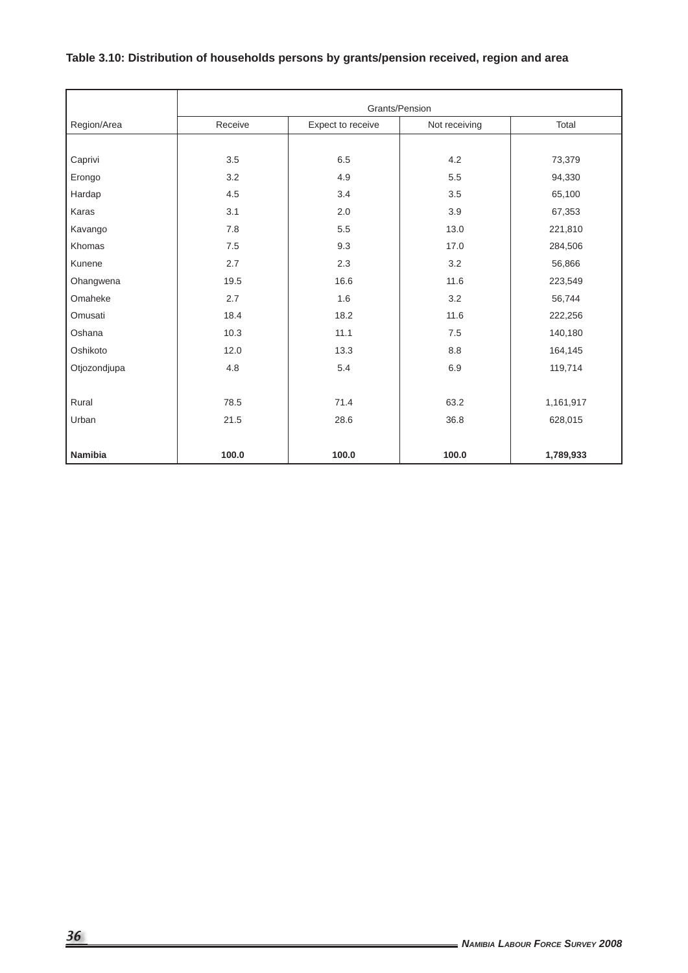# **Table 3.10: Distribution of households persons by grants/pension received, region and area**

|              |         |                   | Grants/Pension |           |
|--------------|---------|-------------------|----------------|-----------|
| Region/Area  | Receive | Expect to receive | Not receiving  | Total     |
|              |         |                   |                |           |
| Caprivi      | 3.5     | 6.5               | 4.2            | 73,379    |
| Erongo       | 3.2     | 4.9               | 5.5            | 94,330    |
| Hardap       | 4.5     | 3.4               | 3.5            | 65,100    |
| Karas        | 3.1     | 2.0               | 3.9            | 67,353    |
| Kavango      | 7.8     | 5.5               | 13.0           | 221,810   |
| Khomas       | 7.5     | 9.3               | 17.0           | 284,506   |
| Kunene       | 2.7     | 2.3               | 3.2            | 56,866    |
| Ohangwena    | 19.5    | 16.6              | 11.6           | 223,549   |
| Omaheke      | 2.7     | 1.6               | 3.2            | 56,744    |
| Omusati      | 18.4    | 18.2              | 11.6           | 222,256   |
| Oshana       | 10.3    | 11.1              | 7.5            | 140,180   |
| Oshikoto     | 12.0    | 13.3              | 8.8            | 164,145   |
| Otjozondjupa | 4.8     | 5.4               | 6.9            | 119,714   |
|              |         |                   |                |           |
| Rural        | 78.5    | 71.4              | 63.2           | 1,161,917 |
| Urban        | 21.5    | 28.6              | 36.8           | 628,015   |
|              |         |                   |                |           |
| Namibia      | 100.0   | 100.0             | 100.0          | 1,789,933 |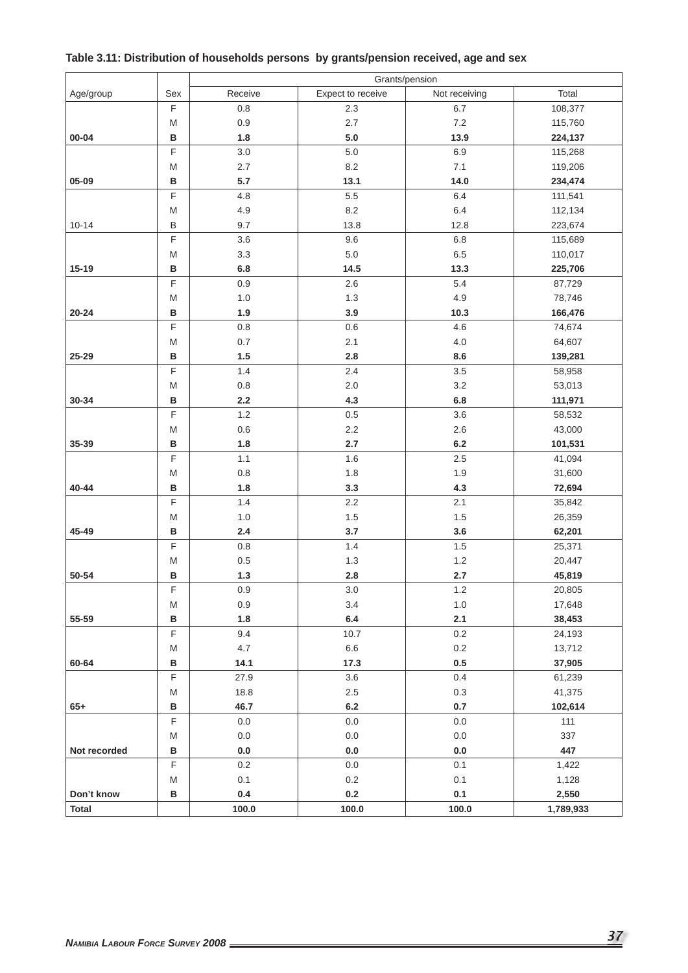|              |                                                                                                            |         |                   | Grants/pension |           |
|--------------|------------------------------------------------------------------------------------------------------------|---------|-------------------|----------------|-----------|
| Age/group    | Sex                                                                                                        | Receive | Expect to receive | Not receiving  | Total     |
|              | $\mathsf F$                                                                                                | 0.8     | 2.3               | $6.7\,$        | 108,377   |
|              | M                                                                                                          | 0.9     | 2.7               | $7.2\,$        | 115,760   |
| $00 - 04$    | В                                                                                                          | 1.8     | 5.0               | 13.9           | 224,137   |
|              | $\mathsf F$                                                                                                | 3.0     | $5.0$             | 6.9            | 115,268   |
|              | M                                                                                                          | 2.7     | 8.2               | 7.1            | 119,206   |
| 05-09        | B                                                                                                          | 5.7     | 13.1              | 14.0           | 234,474   |
|              | F                                                                                                          | 4.8     | $5.5\,$           | 6.4            | 111,541   |
|              | M                                                                                                          | 4.9     | 8.2               | 6.4            | 112,134   |
| $10 - 14$    | $\sf B$                                                                                                    | 9.7     | 13.8              | 12.8           | 223,674   |
|              | F                                                                                                          | 3.6     | 9.6               | 6.8            | 115,689   |
|              | M                                                                                                          | 3.3     | $5.0\,$           | 6.5            | 110,017   |
| $15 - 19$    | B                                                                                                          | 6.8     | 14.5              | 13.3           | 225,706   |
|              | $\mathsf F$                                                                                                | 0.9     | 2.6               | 5.4            | 87,729    |
|              | M                                                                                                          | 1.0     | 1.3               | 4.9            | 78,746    |
| $20 - 24$    | B                                                                                                          | 1.9     | 3.9               | 10.3           | 166,476   |
|              | $\mathsf F$                                                                                                | 0.8     | 0.6               | 4.6            | 74,674    |
|              | M                                                                                                          | 0.7     | 2.1               | 4.0            | 64,607    |
| 25-29        | B                                                                                                          | 1.5     | 2.8               | 8.6            | 139,281   |
|              | $\mathsf F$                                                                                                | 1.4     | 2.4               | $3.5\,$        | 58,958    |
|              | M                                                                                                          | $0.8\,$ | 2.0               | $3.2\,$        | 53,013    |
| 30-34        | B                                                                                                          | 2.2     | 4.3               | 6.8            | 111,971   |
|              | $\mathsf F$                                                                                                | $1.2$   | $0.5\,$           | 3.6            | 58,532    |
|              | M                                                                                                          | 0.6     | $2.2\,$           | 2.6            | 43,000    |
| 35-39        | B                                                                                                          | 1.8     | 2.7               | 6.2            | 101,531   |
|              | F                                                                                                          | 1.1     | 1.6               | 2.5            | 41,094    |
|              | M                                                                                                          | 0.8     | 1.8               | 1.9            | 31,600    |
| 40-44        | B                                                                                                          | 1.8     | 3.3               | 4.3            | 72,694    |
|              | F                                                                                                          | 1.4     | $2.2\,$           | 2.1            | 35,842    |
|              | M                                                                                                          | 1.0     | $1.5$             | 1.5            | 26,359    |
| 45-49        | B                                                                                                          | 2.4     | 3.7               | 3.6            | 62,201    |
|              | $\mathsf F$                                                                                                | $0.8\,$ | 1.4               | 1.5            | 25,371    |
|              | M                                                                                                          | 0.5     | 1.3               | $1.2\,$        | 20,447    |
| 50-54        | в                                                                                                          | 1.3     | 2.8               | 2.7            | 45,819    |
|              | F                                                                                                          | $0.9\,$ | 3.0               | $1.2\,$        | 20,805    |
|              | M                                                                                                          | 0.9     | 3.4               | 1.0            | 17,648    |
| 55-59        | B                                                                                                          | 1.8     | $\bf 6.4$         | 2.1            | 38,453    |
|              | F                                                                                                          | 9.4     | 10.7              | $0.2\,$        | 24,193    |
|              | M                                                                                                          | 4.7     | $6.6\,$           | $0.2\,$        | 13,712    |
| 60-64        | $\, {\bf B}$                                                                                               | 14.1    | 17.3              | 0.5            | 37,905    |
|              | $\mathsf F$                                                                                                | 27.9    | $3.6\,$           | 0.4            | 61,239    |
|              | M                                                                                                          | 18.8    | $2.5\,$           | 0.3            | 41,375    |
| $65+$        | $\, {\bf B}$                                                                                               | 46.7    | $6.2\,$           | 0.7            | 102,614   |
|              | $\mathsf F$                                                                                                | $0.0\,$ | $0.0\,$           | $0.0\,$        | 111       |
|              | $\mathsf{M}% _{T}=\mathsf{M}_{T}\!\left( a,b\right) ,\ \mathsf{M}_{T}=\mathsf{M}_{T}\!\left( a,b\right) ,$ | $0.0\,$ | $0.0\,$           | $0.0\,$        | 337       |
| Not recorded | $\, {\bf B}$                                                                                               | $0.0\,$ | $0.0\,$           | $0.0\,$        | 447       |
|              | $\mathsf F$                                                                                                | $0.2\,$ | $0.0\,$           | 0.1            | 1,422     |
|              | M                                                                                                          | 0.1     | $0.2\,$           | 0.1            | 1,128     |
| Don't know   | В                                                                                                          | $0.4\,$ | $0.2\,$           | 0.1            | 2,550     |
| <b>Total</b> |                                                                                                            | 100.0   | 100.0             | 100.0          | 1,789,933 |

# **Table 3.11: Distribution of households persons by grants/pension received, age and sex**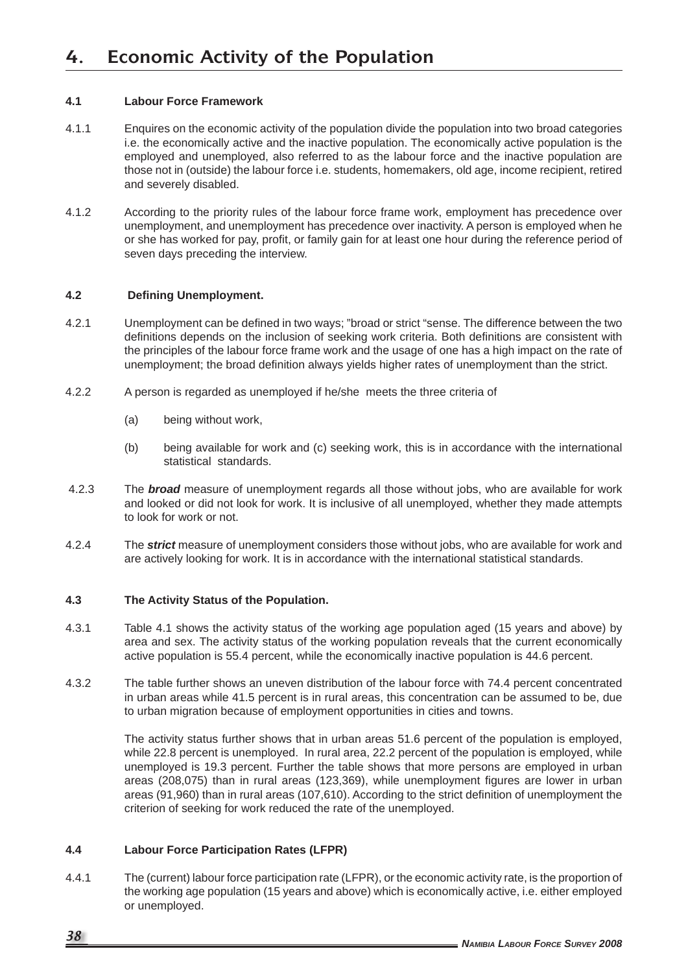### **4.1 Labour Force Framework**

- 4.1.1 Enquires on the economic activity of the population divide the population into two broad categories i.e. the economically active and the inactive population. The economically active population is the employed and unemployed, also referred to as the labour force and the inactive population are those not in (outside) the labour force i.e. students, homemakers, old age, income recipient, retired and severely disabled.
- 4.1.2 According to the priority rules of the labour force frame work, employment has precedence over unemployment, and unemployment has precedence over inactivity. A person is employed when he or she has worked for pay, profit, or family gain for at least one hour during the reference period of seven days preceding the interview.

#### **4.2 Defi ning Unemployment.**

- 4.2.1 Unemployment can be defined in two ways; "broad or strict "sense. The difference between the two definitions depends on the inclusion of seeking work criteria. Both definitions are consistent with the principles of the labour force frame work and the usage of one has a high impact on the rate of unemployment; the broad definition always yields higher rates of unemployment than the strict.
- 4.2.2 A person is regarded as unemployed if he/she meets the three criteria of
	- (a) being without work,
	- (b) being available for work and (c) seeking work, this is in accordance with the international statistical standards.
- 4.2.3 The *broad* measure of unemployment regards all those without jobs, who are available for work and looked or did not look for work. It is inclusive of all unemployed, whether they made attempts to look for work or not.
- 4.2.4 The *strict* measure of unemployment considers those without jobs, who are available for work and are actively looking for work. It is in accordance with the international statistical standards.

#### **4.3 The Activity Status of the Population.**

- 4.3.1 Table 4.1 shows the activity status of the working age population aged (15 years and above) by area and sex. The activity status of the working population reveals that the current economically active population is 55.4 percent, while the economically inactive population is 44.6 percent.
- 4.3.2 The table further shows an uneven distribution of the labour force with 74.4 percent concentrated in urban areas while 41.5 percent is in rural areas, this concentration can be assumed to be, due to urban migration because of employment opportunities in cities and towns.

 The activity status further shows that in urban areas 51.6 percent of the population is employed, while 22.8 percent is unemployed. In rural area, 22.2 percent of the population is employed, while unemployed is 19.3 percent. Further the table shows that more persons are employed in urban areas (208,075) than in rural areas (123,369), while unemployment figures are lower in urban areas (91,960) than in rural areas (107,610). According to the strict definition of unemployment the criterion of seeking for work reduced the rate of the unemployed.

### **4.4 Labour Force Participation Rates (LFPR)**

4.4.1 The (current) labour force participation rate (LFPR), or the economic activity rate, is the proportion of the working age population (15 years and above) which is economically active, i.e. either employed or unemployed.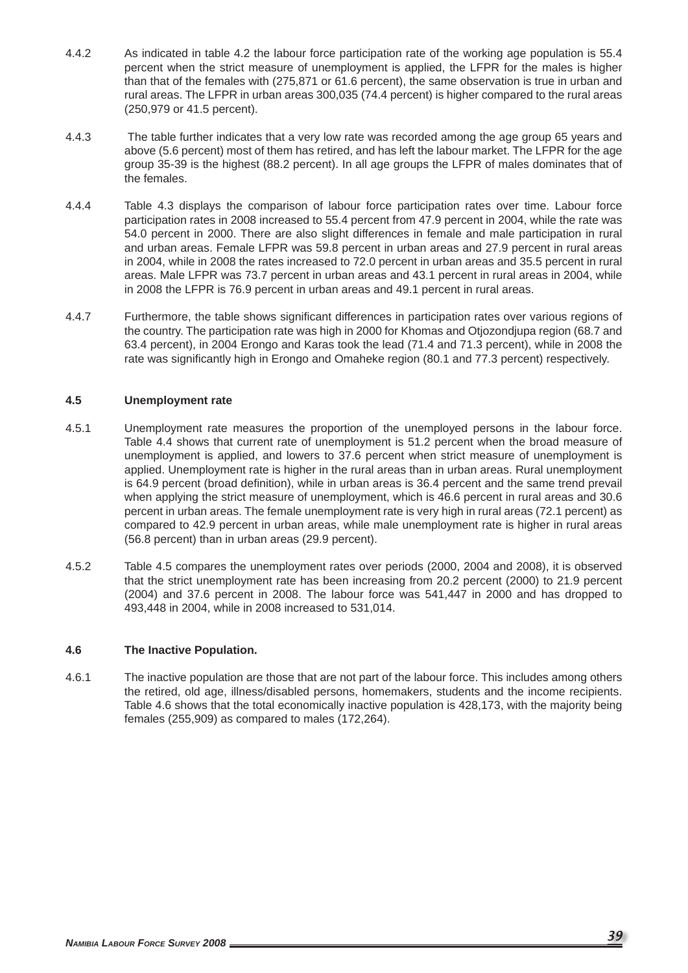- 4.4.2 As indicated in table 4.2 the labour force participation rate of the working age population is 55.4 percent when the strict measure of unemployment is applied, the LFPR for the males is higher than that of the females with (275,871 or 61.6 percent), the same observation is true in urban and rural areas. The LFPR in urban areas 300,035 (74.4 percent) is higher compared to the rural areas (250,979 or 41.5 percent).
- 4.4.3 The table further indicates that a very low rate was recorded among the age group 65 years and above (5.6 percent) most of them has retired, and has left the labour market. The LFPR for the age group 35-39 is the highest (88.2 percent). In all age groups the LFPR of males dominates that of the females.
- 4.4.4 Table 4.3 displays the comparison of labour force participation rates over time. Labour force participation rates in 2008 increased to 55.4 percent from 47.9 percent in 2004, while the rate was 54.0 percent in 2000. There are also slight differences in female and male participation in rural and urban areas. Female LFPR was 59.8 percent in urban areas and 27.9 percent in rural areas in 2004, while in 2008 the rates increased to 72.0 percent in urban areas and 35.5 percent in rural areas. Male LFPR was 73.7 percent in urban areas and 43.1 percent in rural areas in 2004, while in 2008 the LFPR is 76.9 percent in urban areas and 49.1 percent in rural areas.
- 4.4.7 Furthermore, the table shows significant differences in participation rates over various regions of the country. The participation rate was high in 2000 for Khomas and Otjozondjupa region (68.7 and 63.4 percent), in 2004 Erongo and Karas took the lead (71.4 and 71.3 percent), while in 2008 the rate was significantly high in Erongo and Omaheke region (80.1 and 77.3 percent) respectively.

### **4.5 Unemployment rate**

- 4.5.1 Unemployment rate measures the proportion of the unemployed persons in the labour force. Table 4.4 shows that current rate of unemployment is 51.2 percent when the broad measure of unemployment is applied, and lowers to 37.6 percent when strict measure of unemployment is applied. Unemployment rate is higher in the rural areas than in urban areas. Rural unemployment is 64.9 percent (broad definition), while in urban areas is 36.4 percent and the same trend prevail when applying the strict measure of unemployment, which is 46.6 percent in rural areas and 30.6 percent in urban areas. The female unemployment rate is very high in rural areas (72.1 percent) as compared to 42.9 percent in urban areas, while male unemployment rate is higher in rural areas (56.8 percent) than in urban areas (29.9 percent).
- 4.5.2 Table 4.5 compares the unemployment rates over periods (2000, 2004 and 2008), it is observed that the strict unemployment rate has been increasing from 20.2 percent (2000) to 21.9 percent (2004) and 37.6 percent in 2008. The labour force was 541,447 in 2000 and has dropped to 493,448 in 2004, while in 2008 increased to 531,014.

#### **4.6 The Inactive Population.**

4.6.1 The inactive population are those that are not part of the labour force. This includes among others the retired, old age, illness/disabled persons, homemakers, students and the income recipients. Table 4.6 shows that the total economically inactive population is 428,173, with the majority being females (255,909) as compared to males (172,264).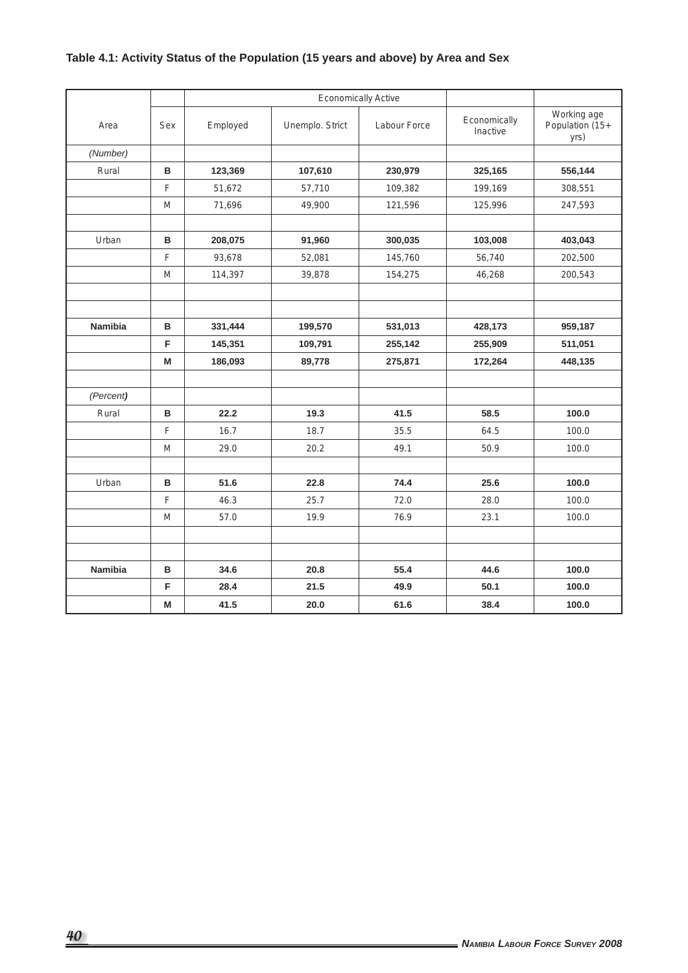# **Table 4.1: Activity Status of the Population (15 years and above) by Area and Sex**

|                |     |          |                 | <b>Economically Active</b> |                          |                                        |
|----------------|-----|----------|-----------------|----------------------------|--------------------------|----------------------------------------|
| Area           | Sex | Employed | Unemplo. Strict | Labour Force               | Economically<br>Inactive | Working age<br>Population (15+<br>yrs) |
| (Number)       |     |          |                 |                            |                          |                                        |
| Rural          | B   | 123,369  | 107,610         | 230,979                    | 325,165                  | 556,144                                |
|                | F   | 51,672   | 57,710          | 109,382                    | 199,169                  | 308,551                                |
|                | M   | 71,696   | 49,900          | 121,596                    | 125,996                  | 247,593                                |
|                |     |          |                 |                            |                          |                                        |
| Urban          | B   | 208,075  | 91,960          | 300,035                    | 103,008                  | 403,043                                |
|                | F   | 93,678   | 52,081          | 145,760                    | 56,740                   | 202,500                                |
|                | M   | 114,397  | 39,878          | 154,275                    | 46,268                   | 200,543                                |
|                |     |          |                 |                            |                          |                                        |
|                |     |          |                 |                            |                          |                                        |
| <b>Namibia</b> | B   | 331,444  | 199,570         | 531,013                    | 428,173                  | 959,187                                |
|                | F   | 145,351  | 109,791         | 255,142                    | 255,909                  | 511,051                                |
|                | M   | 186,093  | 89,778          | 275,871                    | 172,264                  | 448,135                                |
| (Percent)      |     |          |                 |                            |                          |                                        |
| Rural          | в   | 22.2     | 19.3            | 41.5                       | 58.5                     | 100.0                                  |
|                | F   | 16.7     | 18.7            | 35.5                       | 64.5                     | 100.0                                  |
|                | M   | 29.0     | 20.2            | 49.1                       | 50.9                     | 100.0                                  |
|                |     |          |                 |                            |                          |                                        |
| Urban          | B   | 51.6     | 22.8            | 74.4                       | 25.6                     | 100.0                                  |
|                | F   | 46.3     | 25.7            | 72.0                       | 28.0                     | 100.0                                  |
|                | M   | 57.0     | 19.9            | 76.9                       | 23.1                     | 100.0                                  |
|                |     |          |                 |                            |                          |                                        |
|                |     |          |                 |                            |                          |                                        |
| <b>Namibia</b> | B   | 34.6     | 20.8            | 55.4                       | 44.6                     | 100.0                                  |
|                | F   | 28.4     | 21.5            | 49.9                       | 50.1                     | 100.0                                  |
|                | M   | 41.5     | 20.0            | 61.6                       | 38.4                     | 100.0                                  |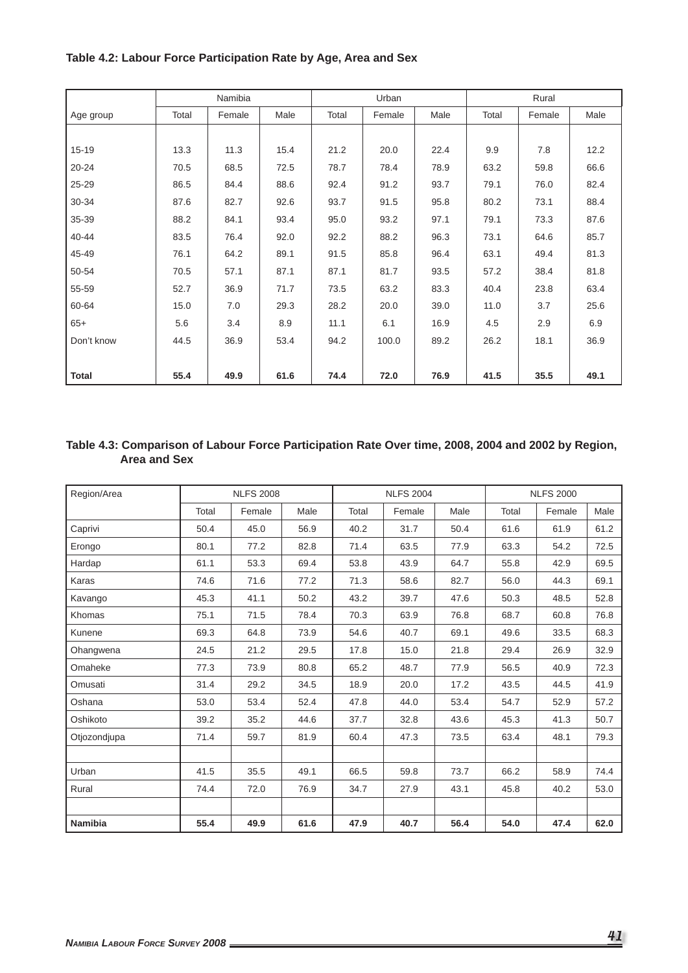# wa Namibia (Participal Urban Rural) Rural Rural Rural Rural Rural Rural Rural Rural Rural Rural Rural Rural Rural Rural Rural Rural Rural Rural Rural Rural Rural Rural Rural Rural Rural Rural Rural Rural Rural Rural Rural Age group | Total | Female | Male | Total | Female | Male | Total | Female | Male 15-19 13.3 11.3 15.4 21.2 20.0 22.4 9.9 7.8 12.2 20-24 70.5 68.5 72.5 78.7 78.4 78.9 63.2 59.8 66.6 25-29 86.5 84.4 88.6 92.4 91.2 93.7 79.1 76.0 82.4 30-34 87.6 82.7 92.6 93.7 91.5 95.8 80.2 73.1 88.4 35-39 88.2 84.1 93.4 95.0 93.2 97.1 79.1 73.3 87.6 40-44 | 83.5 | 76.4 | 92.0 | 92.2 | 88.2 | 96.3 | 73.1 | 64.6 | 85.7 45-49 76.1 64.2 89.1 91.5 85.8 96.4 63.1 49.4 81.3 50-54 70.5 57.1 87.1 87.1 81.7 93.5 57.2 38.4 81.8 55-59 52.7 36.9 71.7 73.5 63.2 83.3 40.4 23.8 63.4 60-64 15.0 7.0 29.3 28.2 20.0 39.0 11.0 3.7 25.6 65+ 5.6 3.4 8.9 11.1 6.1 16.9 4.5 2.9 6.9 Don't know 44.5 36.9 53.4 94.2 100.0 89.2 26.2 18.1 36.9 **Total 55.4 49.9 61.6 74.4 72.0 76.9 41.5 35.5 49.1**

### **Table 4.2: Labour Force Participation Rate by Age, Area and Sex**

#### **Table 4.3: Comparison of Labour Force Participation Rate Over time, 2008, 2004 and 2002 by Region, Area and Sex**

| Region/Area    |       | <b>NLFS 2008</b> |      |       | <b>NLFS 2004</b> |      |       | <b>NLFS 2000</b> |      |
|----------------|-------|------------------|------|-------|------------------|------|-------|------------------|------|
|                | Total | Female           | Male | Total | Female           | Male | Total | Female           | Male |
| Caprivi        | 50.4  | 45.0             | 56.9 | 40.2  | 31.7             | 50.4 | 61.6  | 61.9             | 61.2 |
| Erongo         | 80.1  | 77.2             | 82.8 | 71.4  | 63.5             | 77.9 | 63.3  | 54.2             | 72.5 |
| Hardap         | 61.1  | 53.3             | 69.4 | 53.8  | 43.9             | 64.7 | 55.8  | 42.9             | 69.5 |
| Karas          | 74.6  | 71.6             | 77.2 | 71.3  | 58.6             | 82.7 | 56.0  | 44.3             | 69.1 |
| Kavango        | 45.3  | 41.1             | 50.2 | 43.2  | 39.7             | 47.6 | 50.3  | 48.5             | 52.8 |
| Khomas         | 75.1  | 71.5             | 78.4 | 70.3  | 63.9             | 76.8 | 68.7  | 60.8             | 76.8 |
| Kunene         | 69.3  | 64.8             | 73.9 | 54.6  | 40.7             | 69.1 | 49.6  | 33.5             | 68.3 |
| Ohangwena      | 24.5  | 21.2             | 29.5 | 17.8  | 15.0             | 21.8 | 29.4  | 26.9             | 32.9 |
| Omaheke        | 77.3  | 73.9             | 80.8 | 65.2  | 48.7             | 77.9 | 56.5  | 40.9             | 72.3 |
| Omusati        | 31.4  | 29.2             | 34.5 | 18.9  | 20.0             | 17.2 | 43.5  | 44.5             | 41.9 |
| Oshana         | 53.0  | 53.4             | 52.4 | 47.8  | 44.0             | 53.4 | 54.7  | 52.9             | 57.2 |
| Oshikoto       | 39.2  | 35.2             | 44.6 | 37.7  | 32.8             | 43.6 | 45.3  | 41.3             | 50.7 |
| Otjozondjupa   | 71.4  | 59.7             | 81.9 | 60.4  | 47.3             | 73.5 | 63.4  | 48.1             | 79.3 |
|                |       |                  |      |       |                  |      |       |                  |      |
| Urban          | 41.5  | 35.5             | 49.1 | 66.5  | 59.8             | 73.7 | 66.2  | 58.9             | 74.4 |
| Rural          | 74.4  | 72.0             | 76.9 | 34.7  | 27.9             | 43.1 | 45.8  | 40.2             | 53.0 |
|                |       |                  |      |       |                  |      |       |                  |      |
| <b>Namibia</b> | 55.4  | 49.9             | 61.6 | 47.9  | 40.7             | 56.4 | 54.0  | 47.4             | 62.0 |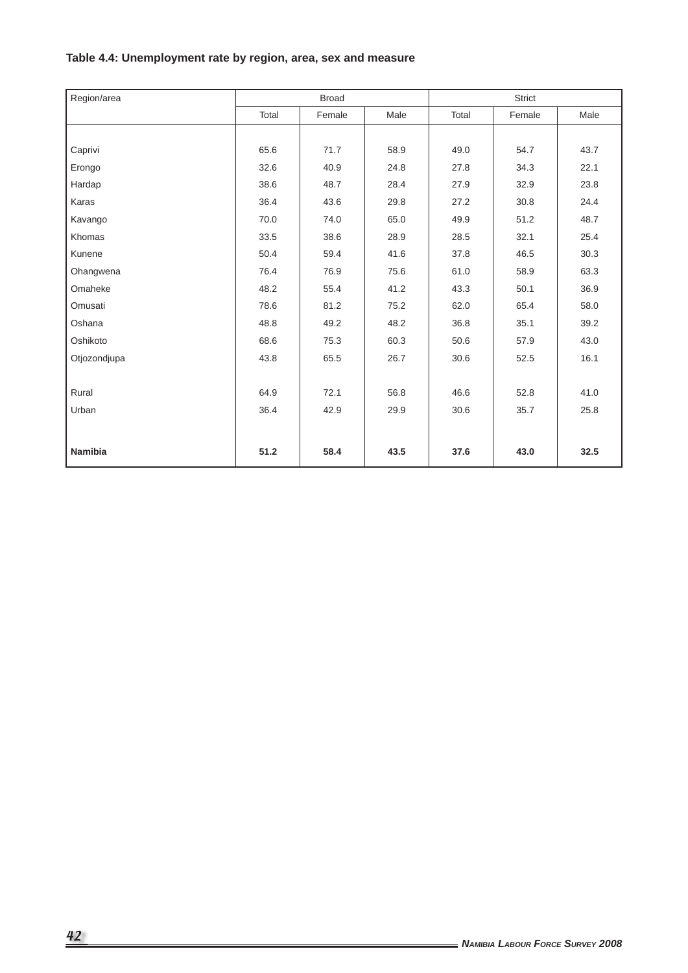# **Table 4.4: Unemployment rate by region, area, sex and measure**

| Region/area    |       | <b>Broad</b> |      |       | <b>Strict</b> |      |
|----------------|-------|--------------|------|-------|---------------|------|
|                | Total | Female       | Male | Total | Female        | Male |
|                |       |              |      |       |               |      |
| Caprivi        | 65.6  | 71.7         | 58.9 | 49.0  | 54.7          | 43.7 |
| Erongo         | 32.6  | 40.9         | 24.8 | 27.8  | 34.3          | 22.1 |
| Hardap         | 38.6  | 48.7         | 28.4 | 27.9  | 32.9          | 23.8 |
| Karas          | 36.4  | 43.6         | 29.8 | 27.2  | 30.8          | 24.4 |
| Kavango        | 70.0  | 74.0         | 65.0 | 49.9  | 51.2          | 48.7 |
| Khomas         | 33.5  | 38.6         | 28.9 | 28.5  | 32.1          | 25.4 |
| Kunene         | 50.4  | 59.4         | 41.6 | 37.8  | 46.5          | 30.3 |
| Ohangwena      | 76.4  | 76.9         | 75.6 | 61.0  | 58.9          | 63.3 |
| Omaheke        | 48.2  | 55.4         | 41.2 | 43.3  | 50.1          | 36.9 |
| Omusati        | 78.6  | 81.2         | 75.2 | 62.0  | 65.4          | 58.0 |
| Oshana         | 48.8  | 49.2         | 48.2 | 36.8  | 35.1          | 39.2 |
| Oshikoto       | 68.6  | 75.3         | 60.3 | 50.6  | 57.9          | 43.0 |
| Otjozondjupa   | 43.8  | 65.5         | 26.7 | 30.6  | 52.5          | 16.1 |
|                |       |              |      |       |               |      |
| Rural          | 64.9  | 72.1         | 56.8 | 46.6  | 52.8          | 41.0 |
| Urban          | 36.4  | 42.9         | 29.9 | 30.6  | 35.7          | 25.8 |
|                |       |              |      |       |               |      |
| <b>Namibia</b> | 51.2  | 58.4         | 43.5 | 37.6  | 43.0          | 32.5 |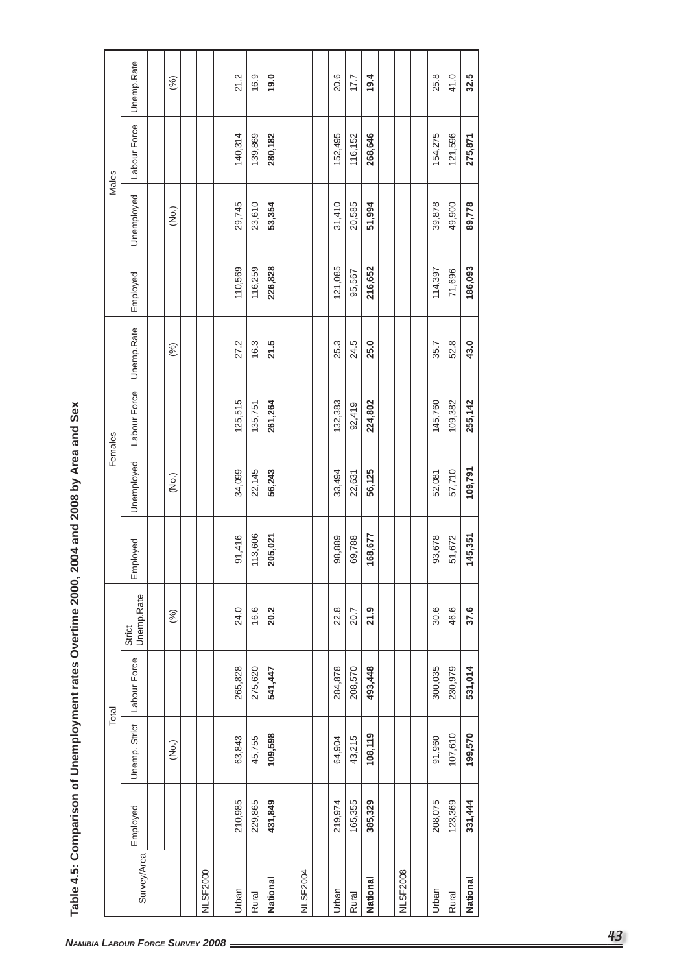|                 |          |               | Total        |                      |          |            | Females      |            |          |        |            | Males        |
|-----------------|----------|---------------|--------------|----------------------|----------|------------|--------------|------------|----------|--------|------------|--------------|
| Survey/Area     | Employed | Unemp. Strict | Labour Force | Strict<br>Unemp.Rate | Employed | Unemployed | Labour Force | Unemp.Rate | Employed |        | Unemployed | Labour Force |
|                 |          | (No.)         |              | (%)                  |          | (No.)      |              | (%)        |          |        | (No.)      |              |
|                 |          |               |              |                      |          |            |              |            |          |        |            |              |
| <b>NLSF2000</b> |          |               |              |                      |          |            |              |            |          |        |            |              |
| Urban           | 210,985  | 63,843        | 265,828      | 24.0                 | 91,416   | 34,099     | 125,515      | 27.2       | 110,569  |        | 29,745     | 140,314      |
| Rural           | 229,865  | 45,755        | 275,620      | 16.6                 | 113,606  | 22,145     | 135,751      | 16.3       | 116,259  |        | 23,610     | 139,869      |
| <b>National</b> | 431,849  | 109,598       | 541,447      | 20.2                 | 205,021  | 56,243     | 261,264      | 21.5       | 226,828  |        | 53,354     | 280,182      |
|                 |          |               |              |                      |          |            |              |            |          |        |            |              |
| NLSF2004        |          |               |              |                      |          |            |              |            |          |        |            |              |
| Urban           | 219,974  | 64,904        | 284,878      | 22.8                 | 98,889   | 33,494     | 132,383      | 25.3       | 121,085  | 31,410 |            | 152,495      |
| Rural           | 165,355  | 43,215        | 208,570      | 20.7                 | 69,788   | 22,631     | 92,419       | 24.5       | 95,567   | 20,585 |            | 116,152      |
| National        | 385,329  | 108,119       | 493,448      | 21.9                 | 168,677  | 56,125     | 224,802      | 25.0       | 216,652  | 51,994 |            | 268,646      |
|                 |          |               |              |                      |          |            |              |            |          |        |            |              |
| <b>NLSF2008</b> |          |               |              |                      |          |            |              |            |          |        |            |              |
|                 |          |               |              |                      |          |            |              |            |          |        |            |              |
| Urban           | 208,075  | 91,960        | 300,035      | 30.6                 | 93,678   | 52,081     | 145,760      | 35.7       | 114,397  | 39,878 |            | 154,275      |
| Rural           | 123,369  | 107,610       | 230,979      | 46.6                 | 51,672   | 57,710     | 109,382      | 52.8       | 71,696   | 49,900 |            | 121,596      |
| <b>National</b> | 331,444  | 199,570       | 531,014      | 37.6                 | 145,351  | 109,791    | 255,142      | 43.0       | 186,093  | 89,778 |            | 275,871      |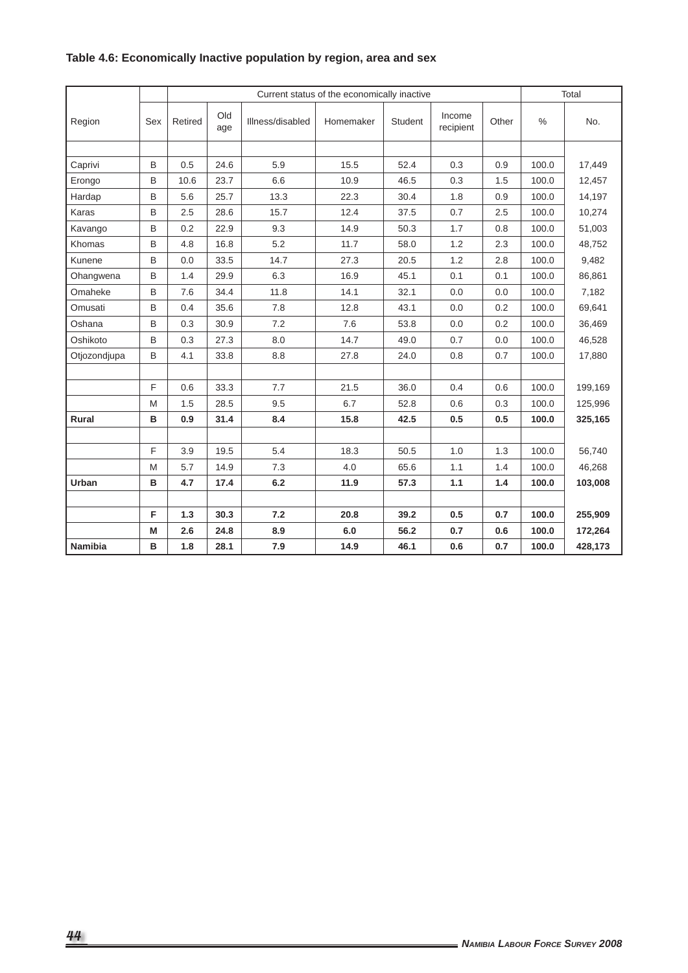|              |     |         |            |                  | Current status of the economically inactive |         |                     |       |       | Total   |
|--------------|-----|---------|------------|------------------|---------------------------------------------|---------|---------------------|-------|-------|---------|
| Region       | Sex | Retired | Old<br>age | Illness/disabled | Homemaker                                   | Student | Income<br>recipient | Other | $\%$  | No.     |
|              |     |         |            |                  |                                             |         |                     |       |       |         |
| Caprivi      | B   | 0.5     | 24.6       | 5.9              | 15.5                                        | 52.4    | 0.3                 | 0.9   | 100.0 | 17,449  |
| Erongo       | B   | 10.6    | 23.7       | 6.6              | 10.9                                        | 46.5    | 0.3                 | 1.5   | 100.0 | 12,457  |
| Hardap       | B   | 5.6     | 25.7       | 13.3             | 22.3                                        | 30.4    | 1.8                 | 0.9   | 100.0 | 14,197  |
| Karas        | B   | 2.5     | 28.6       | 15.7             | 12.4                                        | 37.5    | 0.7                 | 2.5   | 100.0 | 10,274  |
| Kavango      | B   | 0.2     | 22.9       | 9.3              | 14.9                                        | 50.3    | 1.7                 | 0.8   | 100.0 | 51,003  |
| Khomas       | B   | 4.8     | 16.8       | 5.2              | 11.7                                        | 58.0    | 1.2                 | 2.3   | 100.0 | 48,752  |
| Kunene       | B   | 0.0     | 33.5       | 14.7             | 27.3                                        | 20.5    | 1.2                 | 2.8   | 100.0 | 9,482   |
| Ohangwena    | B   | 1.4     | 29.9       | 6.3              | 16.9                                        | 45.1    | 0.1                 | 0.1   | 100.0 | 86,861  |
| Omaheke      | B   | 7.6     | 34.4       | 11.8             | 14.1                                        | 32.1    | 0.0                 | 0.0   | 100.0 | 7,182   |
| Omusati      | B   | 0.4     | 35.6       | 7.8              | 12.8                                        | 43.1    | 0.0                 | 0.2   | 100.0 | 69,641  |
| Oshana       | B   | 0.3     | 30.9       | 7.2              | 7.6                                         | 53.8    | 0.0                 | 0.2   | 100.0 | 36,469  |
| Oshikoto     | B   | 0.3     | 27.3       | 8.0              | 14.7                                        | 49.0    | 0.7                 | 0.0   | 100.0 | 46,528  |
| Otjozondjupa | B   | 4.1     | 33.8       | 8.8              | 27.8                                        | 24.0    | 0.8                 | 0.7   | 100.0 | 17,880  |
|              |     |         |            |                  |                                             |         |                     |       |       |         |
|              | F   | 0.6     | 33.3       | 7.7              | 21.5                                        | 36.0    | 0.4                 | 0.6   | 100.0 | 199,169 |
|              | M   | 1.5     | 28.5       | 9.5              | 6.7                                         | 52.8    | 0.6                 | 0.3   | 100.0 | 125,996 |
| Rural        | в   | 0.9     | 31.4       | 8.4              | 15.8                                        | 42.5    | 0.5                 | 0.5   | 100.0 | 325,165 |
|              |     |         |            |                  |                                             |         |                     |       |       |         |
|              | F   | 3.9     | 19.5       | 5.4              | 18.3                                        | 50.5    | 1.0                 | 1.3   | 100.0 | 56,740  |
|              | M   | 5.7     | 14.9       | 7.3              | 4.0                                         | 65.6    | 1.1                 | 1.4   | 100.0 | 46,268  |
| Urban        | B   | 4.7     | 17.4       | 6.2              | 11.9                                        | 57.3    | 1.1                 | 1.4   | 100.0 | 103,008 |
|              |     |         |            |                  |                                             |         |                     |       |       |         |
|              | F   | 1.3     | 30.3       | 7.2              | 20.8                                        | 39.2    | 0.5                 | 0.7   | 100.0 | 255,909 |
|              | M   | 2.6     | 24.8       | 8.9              | 6.0                                         | 56.2    | 0.7                 | 0.6   | 100.0 | 172,264 |
| Namibia      | B   | 1.8     | 28.1       | 7.9              | 14.9                                        | 46.1    | 0.6                 | 0.7   | 100.0 | 428,173 |

# **Table 4.6: Economically Inactive population by region, area and sex**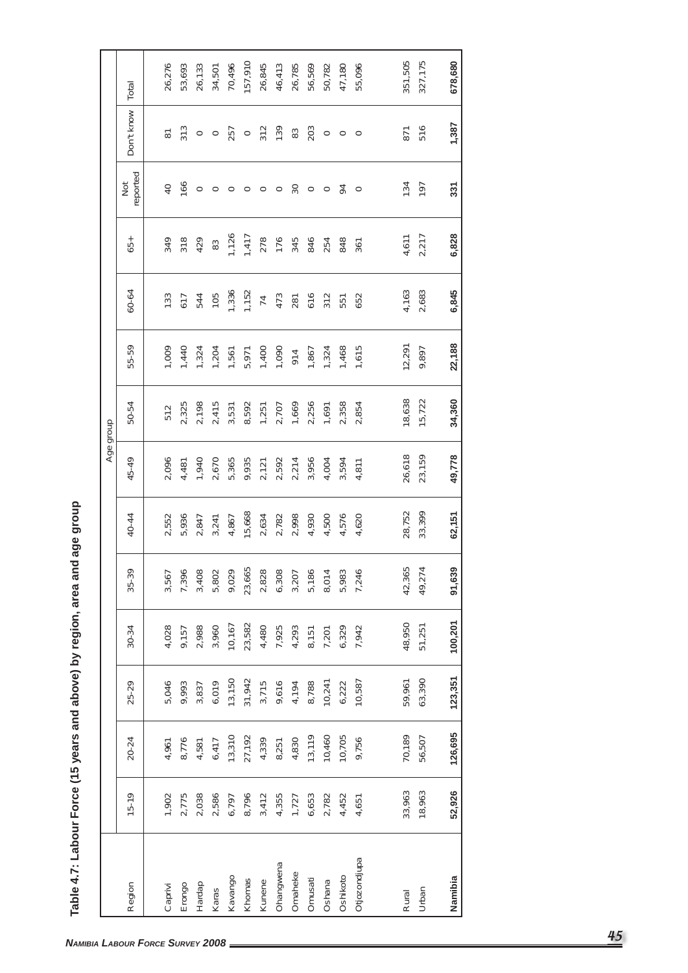|              |           |         |         |           |                         |        | Age group |        |        |                |        |                                                                           |                                                                     |         |
|--------------|-----------|---------|---------|-----------|-------------------------|--------|-----------|--------|--------|----------------|--------|---------------------------------------------------------------------------|---------------------------------------------------------------------|---------|
| Region       | $15 - 19$ | 20-24   | 25-29   | $30 - 34$ | 35-39                   | 40-44  | 45-49     | 50-54  | 55-59  | 60-64          | 65+    | reported<br>$\frac{5}{2}$                                                 | Don't know                                                          | Total   |
|              |           |         |         |           |                         |        |           |        |        |                |        |                                                                           |                                                                     |         |
| Caprivi      | 1,902     | 4,961   | 5,046   | 4,028     | 3,567                   | 2,552  | 2,096     | 512    | 1,009  | 133            | 349    | $\overline{40}$                                                           | $\overleftarrow{\mathrm{8}}$                                        | 26,276  |
| Erongo       | 2,775     | 8,776   | 9,993   | 9,157     | 7,396                   | 5,936  | 4,481     | 2,325  | 1,440  | 617            | 318    | 166                                                                       | 313                                                                 | 53,693  |
| Hardap       | 2,038     | 4,581   | 3,837   | 2,988     | 3,408                   | 2,847  | 1,940     | 2,198  | 1,324  | 544            | 429    |                                                                           | $\circ$ $\circ$                                                     | 26,133  |
| Karas        | 2,586     | 6,417   | 6,019   | 3,960     | 5,802                   | 3,241  | 2,670     | 2,415  | 1,204  | 105            | $83\,$ |                                                                           |                                                                     | 34,501  |
| Kavango      | 6,797     | 13,310  | 13,150  | 10,167    | 9,029                   | 4,867  | 5,365     | 3,531  | 1,561  | 1,336          | 1,126  |                                                                           |                                                                     | 70,496  |
| Khomas       | 8,796     | 27,192  | 31,942  | 23,582    | 23,665                  | 15,668 | 9,935     | 8,592  | 5,971  | 1,152          | 1,417  |                                                                           |                                                                     | 157,910 |
| Kunene       | 3,412     | 4,339   | 3,715   | 4,480     | 2,828                   | 2,634  | 2,121     | 1,251  | 1,400  | $\overline{7}$ | 278    |                                                                           |                                                                     | 26,845  |
| Ohangwena    | 4,355     | 8,251   | 9,616   | 7,925     | 6,308                   | 2,782  | 2,592     | 2,707  | 1,090  | 473            | 176    |                                                                           |                                                                     | 46,413  |
| Omaheke      | 1,727     | 4,830   | 4,194   | 4,293     | 3,207                   | 2,998  | 2,214     | 1,669  | 914    | 281            | 345    |                                                                           |                                                                     | 26,785  |
| Omusati      | 6,653     | 13,119  | 8,788   | 8,151     | 5,186                   | 4,930  | 3,956     | 2,256  | 1,867  | 616            | 846    | $\circ \circ \circ \circ \circ \circ \circ \circ \circ \circ \circ \circ$ | $\overline{\mathbf{g}}$ o $\overline{\mathbf{g}}$ ខ្លី ឌ ខ្លី o o o | 56,569  |
| Oshana       | 2,782     | 10,460  | 10,241  | 7,201     | 8,014                   | 4,500  | 4,004     | 1,691  | 1,324  | 312            | 254    |                                                                           |                                                                     | 50,782  |
| Oshikoto     | 4,452     | 10,705  | 6,222   | 6,329     | 5,983                   | 4,576  | 3,594     | 2,358  | 1,468  | 551            | 848    |                                                                           |                                                                     | 47,180  |
| Otjozondjupa | 4,651     | 9,756   | 10,587  | 7,942     | 7,246                   | 4,620  | 4,811     | 2,854  | 1,615  | 652            | 361    |                                                                           |                                                                     | 55,096  |
|              |           |         |         |           |                         |        |           |        |        |                |        |                                                                           |                                                                     |         |
| Rural        | 33,963    | 70,189  | 59,961  | 48,950    | 42,365                  | 28,752 | 26,618    | 18,638 | 12,291 | 4,163          | 4,611  | 134                                                                       | 871                                                                 | 351,505 |
| Urban        | 18,963    | 56,507  | 63,390  | 51,251    | $\rightarrow$<br>49,274 | 33,399 | 23,159    | 15,722 | 9,897  | 2,683          | 2,217  | 197                                                                       | 516                                                                 | 327,175 |
|              |           |         |         |           |                         |        |           |        |        |                |        |                                                                           |                                                                     |         |
| Namibia      | 52,926    | 126,695 | 123,351 | 100,201   | 91,639                  | 62,151 | 49,778    | 34,360 | 22,188 | 6,845          | 6,828  | 331                                                                       | 1,387                                                               | 678,680 |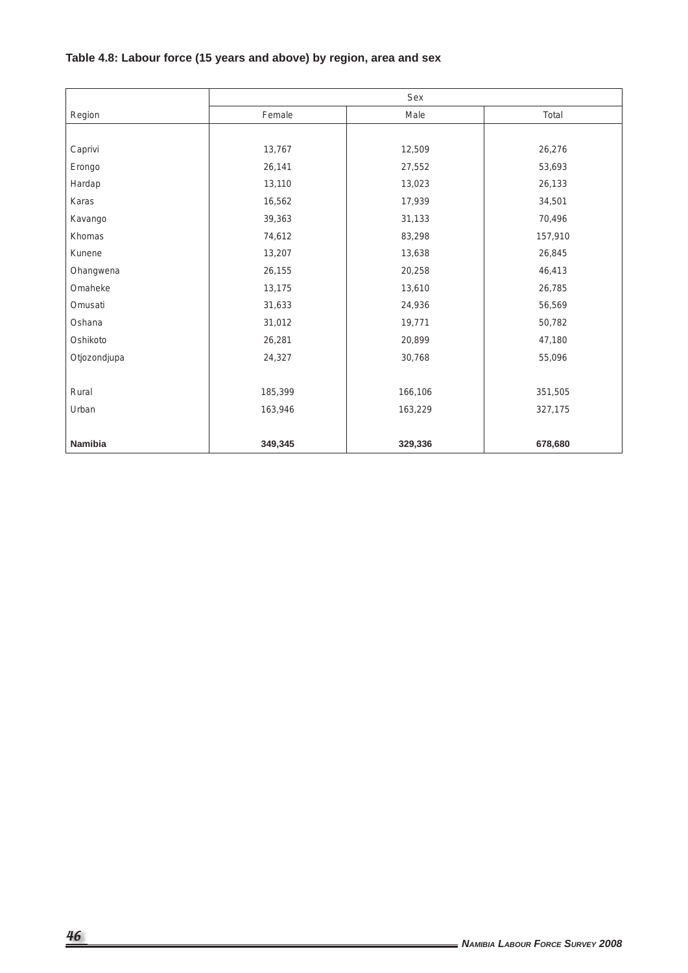# **Table 4.8: Labour force (15 years and above) by region, area and sex**

|              |         | Sex     |         |
|--------------|---------|---------|---------|
| Region       | Female  | Male    | Total   |
|              |         |         |         |
| Caprivi      | 13,767  | 12,509  | 26,276  |
| Erongo       | 26,141  | 27,552  | 53,693  |
| Hardap       | 13,110  | 13,023  | 26,133  |
| Karas        | 16,562  | 17,939  | 34,501  |
| Kavango      | 39,363  | 31,133  | 70,496  |
| Khomas       | 74,612  | 83,298  | 157,910 |
| Kunene       | 13,207  | 13,638  | 26,845  |
| Ohangwena    | 26,155  | 20,258  | 46,413  |
| Omaheke      | 13,175  | 13,610  | 26,785  |
| Omusati      | 31,633  | 24,936  | 56,569  |
| Oshana       | 31,012  | 19,771  | 50,782  |
| Oshikoto     | 26,281  | 20,899  | 47,180  |
| Otjozondjupa | 24,327  | 30,768  | 55,096  |
|              |         |         |         |
| Rural        | 185,399 | 166,106 | 351,505 |
| Urban        | 163,946 | 163,229 | 327,175 |
|              |         |         |         |
| Namibia      | 349,345 | 329,336 | 678,680 |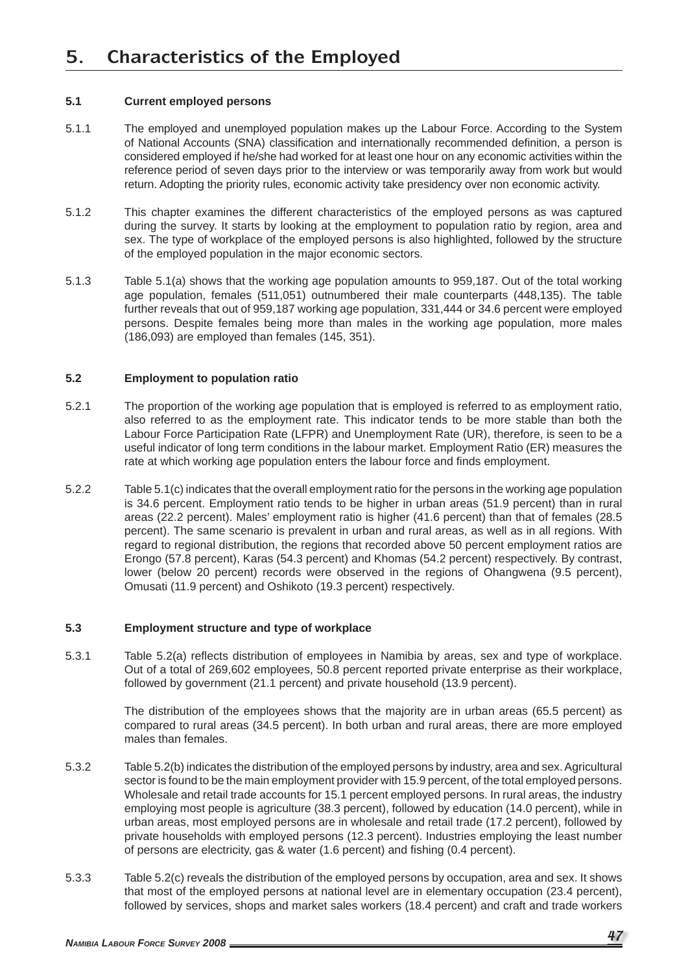#### **5.1 Current employed persons**

- 5.1.1 The employed and unemployed population makes up the Labour Force. According to the System of National Accounts (SNA) classification and internationally recommended definition, a person is considered employed if he/she had worked for at least one hour on any economic activities within the reference period of seven days prior to the interview or was temporarily away from work but would return. Adopting the priority rules, economic activity take presidency over non economic activity.
- 5.1.2 This chapter examines the different characteristics of the employed persons as was captured during the survey. It starts by looking at the employment to population ratio by region, area and sex. The type of workplace of the employed persons is also highlighted, followed by the structure of the employed population in the major economic sectors.
- 5.1.3 Table 5.1(a) shows that the working age population amounts to 959,187. Out of the total working age population, females (511,051) outnumbered their male counterparts (448,135). The table further reveals that out of 959,187 working age population, 331,444 or 34.6 percent were employed persons. Despite females being more than males in the working age population, more males (186,093) are employed than females (145, 351).

#### **5.2 Employment to population ratio**

- 5.2.1 The proportion of the working age population that is employed is referred to as employment ratio, also referred to as the employment rate. This indicator tends to be more stable than both the Labour Force Participation Rate (LFPR) and Unemployment Rate (UR), therefore, is seen to be a useful indicator of long term conditions in the labour market. Employment Ratio (ER) measures the rate at which working age population enters the labour force and finds employment.
- 5.2.2 Table 5.1(c) indicates that the overall employment ratio for the persons in the working age population is 34.6 percent. Employment ratio tends to be higher in urban areas (51.9 percent) than in rural areas (22.2 percent). Males' employment ratio is higher (41.6 percent) than that of females (28.5 percent). The same scenario is prevalent in urban and rural areas, as well as in all regions. With regard to regional distribution, the regions that recorded above 50 percent employment ratios are Erongo (57.8 percent), Karas (54.3 percent) and Khomas (54.2 percent) respectively. By contrast, lower (below 20 percent) records were observed in the regions of Ohangwena (9.5 percent), Omusati (11.9 percent) and Oshikoto (19.3 percent) respectively.

#### **5.3 Employment structure and type of workplace**

5.3.1 Table 5.2(a) reflects distribution of employees in Namibia by areas, sex and type of workplace. Out of a total of 269,602 employees, 50.8 percent reported private enterprise as their workplace, followed by government (21.1 percent) and private household (13.9 percent).

> The distribution of the employees shows that the majority are in urban areas (65.5 percent) as compared to rural areas (34.5 percent). In both urban and rural areas, there are more employed males than females.

- 5.3.2 Table 5.2(b) indicates the distribution of the employed persons by industry, area and sex. Agricultural sector is found to be the main employment provider with 15.9 percent, of the total employed persons. Wholesale and retail trade accounts for 15.1 percent employed persons. In rural areas, the industry employing most people is agriculture (38.3 percent), followed by education (14.0 percent), while in urban areas, most employed persons are in wholesale and retail trade (17.2 percent), followed by private households with employed persons (12.3 percent). Industries employing the least number of persons are electricity, gas & water (1.6 percent) and fishing (0.4 percent).
- 5.3.3 Table 5.2(c) reveals the distribution of the employed persons by occupation, area and sex. It shows that most of the employed persons at national level are in elementary occupation (23.4 percent), followed by services, shops and market sales workers (18.4 percent) and craft and trade workers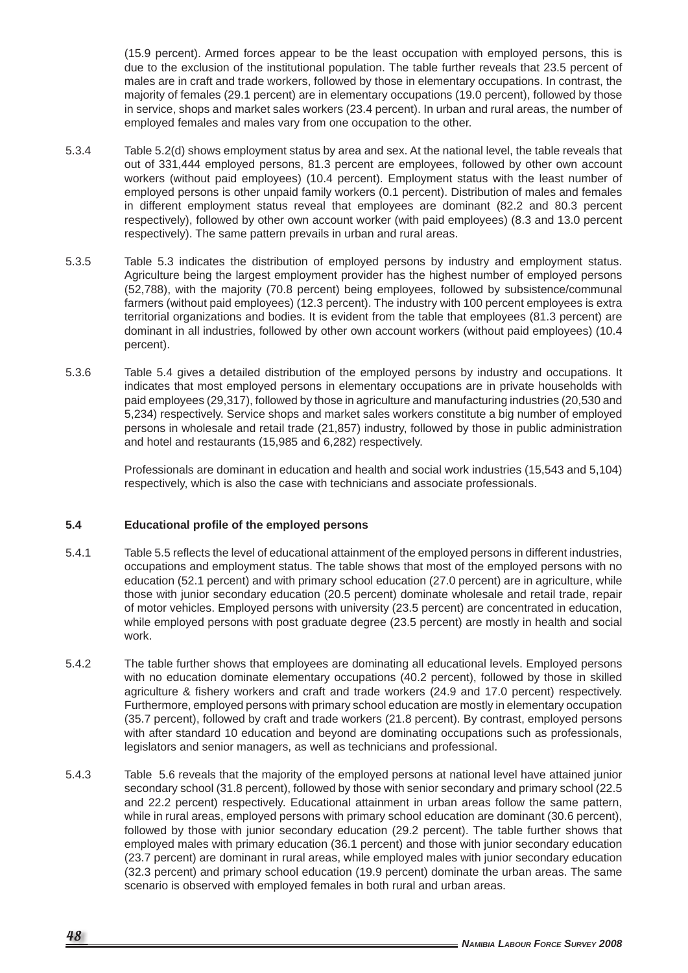(15.9 percent). Armed forces appear to be the least occupation with employed persons, this is due to the exclusion of the institutional population. The table further reveals that 23.5 percent of males are in craft and trade workers, followed by those in elementary occupations. In contrast, the majority of females (29.1 percent) are in elementary occupations (19.0 percent), followed by those in service, shops and market sales workers (23.4 percent). In urban and rural areas, the number of employed females and males vary from one occupation to the other.

- 5.3.4 Table 5.2(d) shows employment status by area and sex. At the national level, the table reveals that out of 331,444 employed persons, 81.3 percent are employees, followed by other own account workers (without paid employees) (10.4 percent). Employment status with the least number of employed persons is other unpaid family workers (0.1 percent). Distribution of males and females in different employment status reveal that employees are dominant (82.2 and 80.3 percent respectively), followed by other own account worker (with paid employees) (8.3 and 13.0 percent respectively). The same pattern prevails in urban and rural areas.
- 5.3.5 Table 5.3 indicates the distribution of employed persons by industry and employment status. Agriculture being the largest employment provider has the highest number of employed persons (52,788), with the majority (70.8 percent) being employees, followed by subsistence/communal farmers (without paid employees) (12.3 percent). The industry with 100 percent employees is extra territorial organizations and bodies. It is evident from the table that employees (81.3 percent) are dominant in all industries, followed by other own account workers (without paid employees) (10.4 percent).
- 5.3.6 Table 5.4 gives a detailed distribution of the employed persons by industry and occupations. It indicates that most employed persons in elementary occupations are in private households with paid employees (29,317), followed by those in agriculture and manufacturing industries (20,530 and 5,234) respectively. Service shops and market sales workers constitute a big number of employed persons in wholesale and retail trade (21,857) industry, followed by those in public administration and hotel and restaurants (15,985 and 6,282) respectively.

 Professionals are dominant in education and health and social work industries (15,543 and 5,104) respectively, which is also the case with technicians and associate professionals.

#### **5.4** Educational profile of the employed persons

- 5.4.1 Table 5.5 reflects the level of educational attainment of the employed persons in different industries, occupations and employment status. The table shows that most of the employed persons with no education (52.1 percent) and with primary school education (27.0 percent) are in agriculture, while those with junior secondary education (20.5 percent) dominate wholesale and retail trade, repair of motor vehicles. Employed persons with university (23.5 percent) are concentrated in education, while employed persons with post graduate degree (23.5 percent) are mostly in health and social work.
- 5.4.2 The table further shows that employees are dominating all educational levels. Employed persons with no education dominate elementary occupations (40.2 percent), followed by those in skilled agriculture & fishery workers and craft and trade workers (24.9 and 17.0 percent) respectively. Furthermore, employed persons with primary school education are mostly in elementary occupation (35.7 percent), followed by craft and trade workers (21.8 percent). By contrast, employed persons with after standard 10 education and beyond are dominating occupations such as professionals, legislators and senior managers, as well as technicians and professional.
- 5.4.3 Table 5.6 reveals that the majority of the employed persons at national level have attained junior secondary school (31.8 percent), followed by those with senior secondary and primary school (22.5 and 22.2 percent) respectively. Educational attainment in urban areas follow the same pattern, while in rural areas, employed persons with primary school education are dominant (30.6 percent), followed by those with junior secondary education (29.2 percent). The table further shows that employed males with primary education (36.1 percent) and those with junior secondary education (23.7 percent) are dominant in rural areas, while employed males with junior secondary education (32.3 percent) and primary school education (19.9 percent) dominate the urban areas. The same scenario is observed with employed females in both rural and urban areas.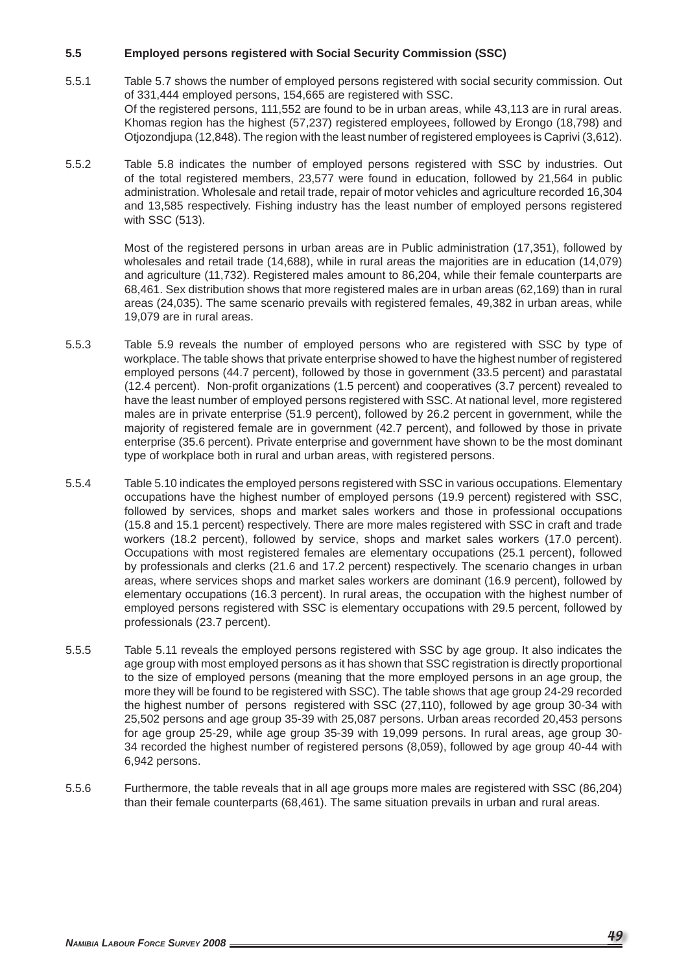#### **5.5 Employed persons registered with Social Security Commission (SSC)**

- 5.5.1 Table 5.7 shows the number of employed persons registered with social security commission. Out of 331,444 employed persons, 154,665 are registered with SSC. Of the registered persons, 111,552 are found to be in urban areas, while 43,113 are in rural areas. Khomas region has the highest (57,237) registered employees, followed by Erongo (18,798) and Otjozondjupa (12,848). The region with the least number of registered employees is Caprivi (3,612).
- 5.5.2 Table 5.8 indicates the number of employed persons registered with SSC by industries. Out of the total registered members, 23,577 were found in education, followed by 21,564 in public administration. Wholesale and retail trade, repair of motor vehicles and agriculture recorded 16,304 and 13,585 respectively. Fishing industry has the least number of employed persons registered with SSC (513).

 Most of the registered persons in urban areas are in Public administration (17,351), followed by wholesales and retail trade (14,688), while in rural areas the majorities are in education (14,079) and agriculture (11,732). Registered males amount to 86,204, while their female counterparts are 68,461. Sex distribution shows that more registered males are in urban areas (62,169) than in rural areas (24,035). The same scenario prevails with registered females, 49,382 in urban areas, while 19,079 are in rural areas.

- 5.5.3 Table 5.9 reveals the number of employed persons who are registered with SSC by type of workplace. The table shows that private enterprise showed to have the highest number of registered employed persons (44.7 percent), followed by those in government (33.5 percent) and parastatal (12.4 percent). Non-profi t organizations (1.5 percent) and cooperatives (3.7 percent) revealed to have the least number of employed persons registered with SSC. At national level, more registered males are in private enterprise (51.9 percent), followed by 26.2 percent in government, while the majority of registered female are in government (42.7 percent), and followed by those in private enterprise (35.6 percent). Private enterprise and government have shown to be the most dominant type of workplace both in rural and urban areas, with registered persons.
- 5.5.4 Table 5.10 indicates the employed persons registered with SSC in various occupations. Elementary occupations have the highest number of employed persons (19.9 percent) registered with SSC, followed by services, shops and market sales workers and those in professional occupations (15.8 and 15.1 percent) respectively. There are more males registered with SSC in craft and trade workers (18.2 percent), followed by service, shops and market sales workers (17.0 percent). Occupations with most registered females are elementary occupations (25.1 percent), followed by professionals and clerks (21.6 and 17.2 percent) respectively. The scenario changes in urban areas, where services shops and market sales workers are dominant (16.9 percent), followed by elementary occupations (16.3 percent). In rural areas, the occupation with the highest number of employed persons registered with SSC is elementary occupations with 29.5 percent, followed by professionals (23.7 percent).
- 5.5.5 Table 5.11 reveals the employed persons registered with SSC by age group. It also indicates the age group with most employed persons as it has shown that SSC registration is directly proportional to the size of employed persons (meaning that the more employed persons in an age group, the more they will be found to be registered with SSC). The table shows that age group 24-29 recorded the highest number of persons registered with SSC (27,110), followed by age group 30-34 with 25,502 persons and age group 35-39 with 25,087 persons. Urban areas recorded 20,453 persons for age group 25-29, while age group 35-39 with 19,099 persons. In rural areas, age group 30- 34 recorded the highest number of registered persons (8,059), followed by age group 40-44 with 6,942 persons.
- 5.5.6 Furthermore, the table reveals that in all age groups more males are registered with SSC (86,204) than their female counterparts (68,461). The same situation prevails in urban and rural areas.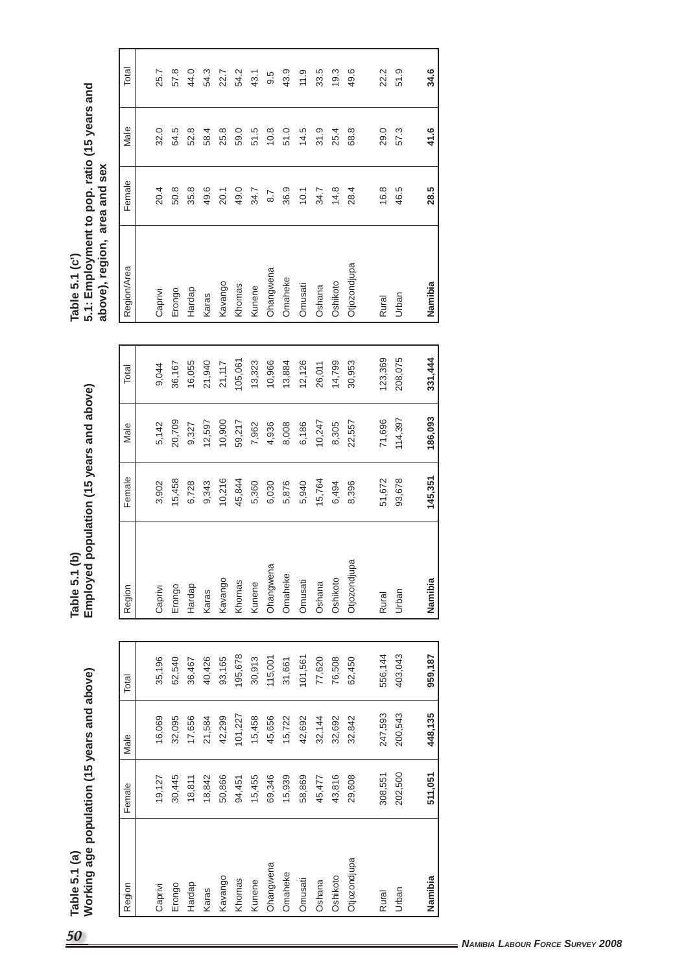| 50                                      | Table 5.1 (a)                               |         |         |         | Table 5.1   | $\mathbf{e}$ |         |                                 |         |          | Table 5.1 (c')                                                 |              |      |       |  |
|-----------------------------------------|---------------------------------------------|---------|---------|---------|-------------|--------------|---------|---------------------------------|---------|----------|----------------------------------------------------------------|--------------|------|-------|--|
|                                         | Working age population (15 years and above) |         |         |         | Employed    |              |         | population (15 years and above) |         |          | 5.1: Employment to pop. ratio (15 years and<br>above), region, | area and sex |      |       |  |
|                                         | Region                                      | Female  | Male    | Total   | Region      |              | Female  | Male                            | Total   |          | Region/Area                                                    | Female       | Male | Total |  |
|                                         | Caprivi                                     | 19,127  | 16,069  | 35,196  | Caprivi     |              | 3,902   | 5,142                           | 9,044   | Caprivi  |                                                                | 20.4         | 32.0 | 25.7  |  |
|                                         | Erongo                                      | 30,445  | 32,095  | 62,540  | Erongo      |              | 15,458  | 20,709                          | 36,167  | Erongo   |                                                                | 50.8         | 64.5 | 57.8  |  |
|                                         | Hardap                                      | 18,811  | 17,656  | 36,467  | Hardap      |              | 6,728   | 9,327                           | 16,055  | Hardap   |                                                                | 35.8         | 52.8 | 44.0  |  |
|                                         | Karas                                       | 18,842  | 21,584  | 40,426  | Karas       |              | 9,343   | 12,597                          | 21,940  | Karas    |                                                                | 49.6         | 58.4 | 54.3  |  |
|                                         | Kavango                                     | 50,866  | 42,299  | 93,165  | Kavango     |              | 10,216  | 10,900                          | 21,117  | Kavango  |                                                                | 20.1         | 25.8 | 22.7  |  |
|                                         | Khomas                                      | 94,451  | 101,227 | 195,678 | Khomas      |              | 45,844  | 59,217                          | 105,061 | Khomas   |                                                                | 49.0         | 59.0 | 54.2  |  |
|                                         | Kunene                                      | 15,455  | 15,458  | 30,913  | Kunene      |              | 5,360   | 7,962                           | 13,323  | Kunene   |                                                                | 34.7         | 51.5 | 43.1  |  |
|                                         | Ohangwena                                   | 69,346  | 45,656  | 115,001 | Ohangwena   |              | 6,030   | 4,936                           | 10,966  |          | Ohangwena                                                      | 8.7          | 10.8 | 9.5   |  |
|                                         | Omaheke                                     | 15,939  | 15,722  | 31,661  | Omaheke     |              | 5,876   | 8,008                           | 13,884  | Omaheke  |                                                                | 36.9         | 51.0 | 43.9  |  |
|                                         | Omusati                                     | 58,869  | 42,692  | 101,561 | Omusati     |              | 5,940   | 6,186                           | 12,126  | Omusati  |                                                                | 10.1         | 14.5 | 11.9  |  |
|                                         | Oshana                                      | 45,477  | 32,144  | 77,620  | Oshana      |              | 15,764  | 10,247                          | 26,011  | Oshana   |                                                                | 34.7         | 31.9 | 33.5  |  |
|                                         | Oshikoto                                    | 43,816  | 32,692  | 76,508  | Oshikoto    |              | 6,494   | 8,305                           | 14,799  | Oshikoto |                                                                | 14.8         | 25.4 | 19.3  |  |
|                                         | Otjozondjupa                                | 29,608  | 32,842  | 62,450  | Otjozondjup | ω            | 8,396   | 22,557                          | 30,953  |          | Otjozondjupa                                                   | 28.4         | 68.8 | 49.6  |  |
|                                         |                                             |         |         |         |             |              |         |                                 |         |          |                                                                |              |      |       |  |
|                                         | Rural                                       | 308,551 | 247,593 | 556,144 | Rural       |              | 51,672  | 71,696                          | 123,369 | Rural    |                                                                | 16.8         | 29.0 | 22.2  |  |
|                                         | Urban                                       | 202,500 | 200,543 | 403,043 | Urban       |              | 93,678  | 114,397                         | 208,075 | Urban    |                                                                | 46.5         | 57.3 | 51.9  |  |
|                                         |                                             |         |         |         |             |              |         |                                 |         |          |                                                                |              |      |       |  |
|                                         | Namibia                                     | 511,051 | 448,135 | 959,187 | Namibia     |              | 145,351 | 186,093                         | 331,444 | Namibia  |                                                                | 28.5         | 41.6 | 34.6  |  |
|                                         |                                             |         |         |         |             |              |         |                                 |         |          |                                                                |              |      |       |  |
|                                         |                                             |         |         |         |             |              |         |                                 |         |          |                                                                |              |      |       |  |
|                                         |                                             |         |         |         |             |              |         |                                 |         |          |                                                                |              |      |       |  |
|                                         |                                             |         |         |         |             |              |         |                                 |         |          |                                                                |              |      |       |  |
|                                         |                                             |         |         |         |             |              |         |                                 |         |          |                                                                |              |      |       |  |
|                                         |                                             |         |         |         |             |              |         |                                 |         |          |                                                                |              |      |       |  |
|                                         |                                             |         |         |         |             |              |         |                                 |         |          |                                                                |              |      |       |  |
|                                         |                                             |         |         |         |             |              |         |                                 |         |          |                                                                |              |      |       |  |
| <b>NAMIBIA LABOUR FORCE SURVEY 2008</b> |                                             |         |         |         |             |              |         |                                 |         |          |                                                                |              |      |       |  |
|                                         |                                             |         |         |         |             |              |         |                                 |         |          |                                                                |              |      |       |  |
|                                         |                                             |         |         |         |             |              |         |                                 |         |          |                                                                |              |      |       |  |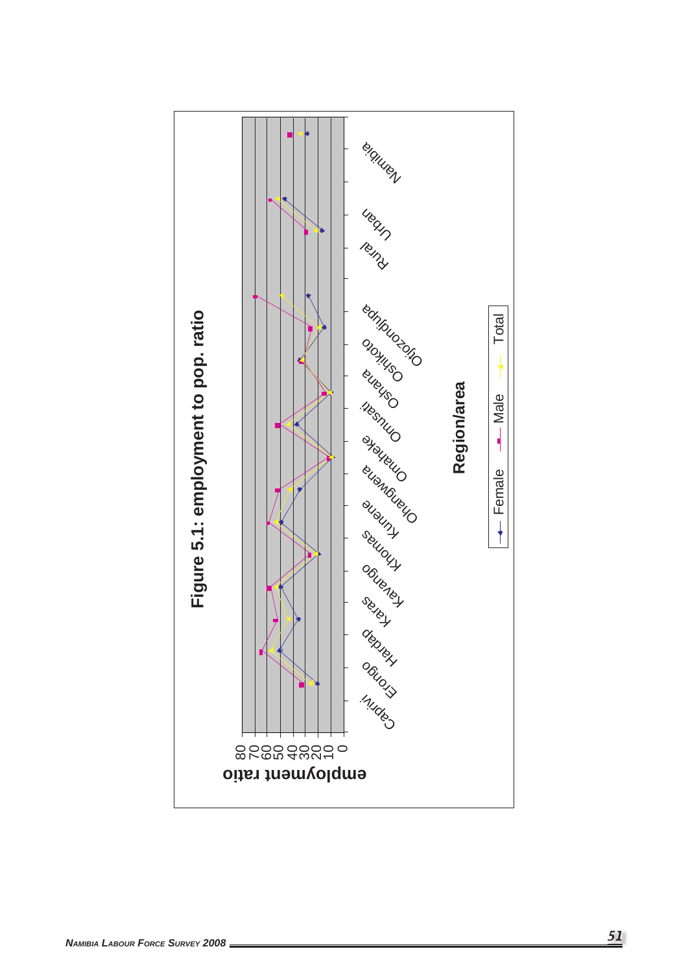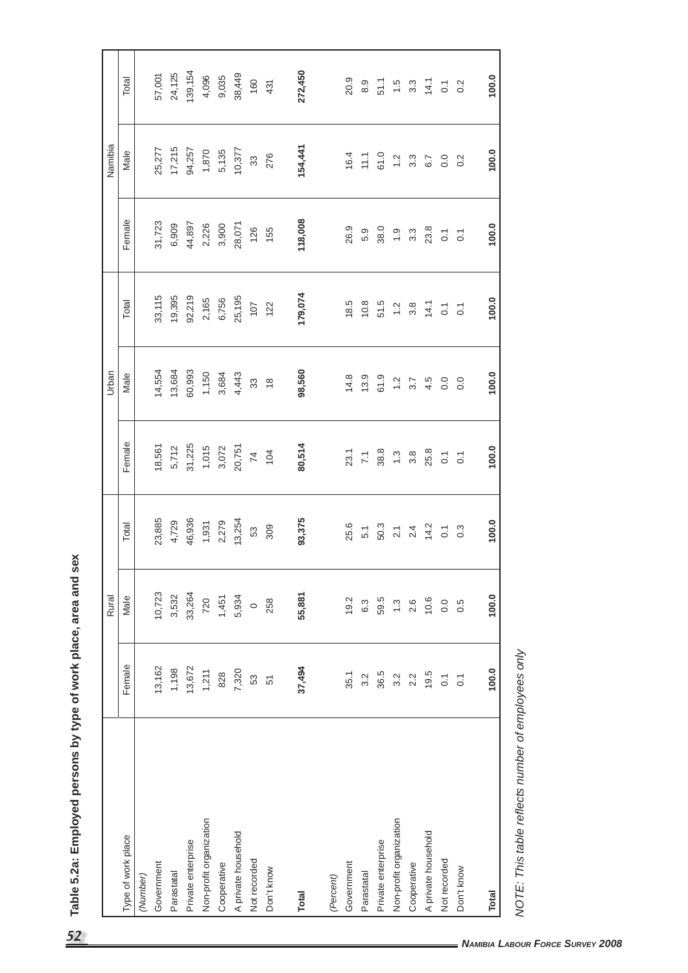| 154,441<br>17,215<br>25,277<br>94,257<br>10,377<br>1,870<br>5,135<br>100.0<br>Male<br>276<br>16.4<br>61.0<br>33<br>$11.1$<br>$3.3\,$<br>$\frac{2}{1}$<br>$\overline{0}$ .<br>6.7<br>0.2<br>118,008<br>Female<br>31,723<br>44,897<br>6,909<br>2,226<br>3,900<br>28,071<br>100.0<br>126<br>155<br>26.9<br>38.0<br>23.8<br>5.9<br>$\ddot{ }$ .<br>$3.\overline{3}$<br>$\overline{\circ}$<br>$\overline{O}$<br>179,074<br>33,115<br>19,395<br>92,219<br>25,195<br>2,165<br>6,756<br>100.0<br>Total<br>18.5<br>10.8<br>51.5<br>107<br>122<br>14.1<br>$3.8$<br>$1.2$<br>$\overline{\text{o}}$<br>$\overline{O}$<br>14,554<br>13,684<br>60,993<br>98,560<br>1,150<br>3,684<br>100.0<br>4,443<br>Male<br>14.8<br>13.9<br>61.9<br>$33^{\circ}$<br>$\frac{2}{1}$<br>4.5<br>$\overline{0}$ .<br>3.7<br>0.0<br>$\overset{\circ}{\phantom{\circ}}$<br>Female<br>18,561<br>31,225<br>80,514<br>20,751<br>1,015<br>3,072<br>5,712<br>100.0<br>25.8<br>$\overline{7}$<br>104<br>$23.1$<br>$7.1$<br>$38.3$<br>$1.3$<br>$3.8$<br>$\overline{\text{o}}$<br>$\overline{C}$<br>23,885<br>46,936<br>93,375<br>13,254<br>4,729<br>2,279<br>100.0<br>1,931<br>Total<br>309<br>25.6<br>50.3<br>14.2<br>53<br>5.1<br>2.4<br>$\overline{2.1}$<br>$\overline{C}$<br>$0.\overline{3}$<br>10,723<br>33,264<br>55,881<br>3,532<br>5,934<br>100.0<br>1,451<br>Male<br>720<br>10.6<br>19.2<br>59.5<br>258<br>6.3<br>$\ddot{.}$<br>2.6<br>0.0<br>0.5<br>$\circ$<br>Female<br>13,162<br>13,672<br>37,494<br>1,198<br>100.0<br>1,211<br>7,320<br>828<br>36.5<br>19.5<br>35.1<br>2.2<br>3.2<br>$3.\overline{2}$<br>$\overline{\phantom{a}}$<br>S3<br>$\overline{0}$<br>51<br>Non-profit organization<br>Non-profit organization<br>A private household<br>A private household<br>Type of work place<br>Private enterprise<br>Private enterprise<br>Not recorded<br>Not recorded<br>Government<br>Government<br>Cooperative<br>Cooperative<br>Don't know<br>Don't know<br>Parastatal<br>Parastatal<br>(Number)<br>(Percent)<br><b>Total</b><br><b>Total</b> | $\frac{15}{1}$<br>NOTE: This table reflects number of employees only |  | Rural |  | Urban |  | Namibia |                       |
|-----------------------------------------------------------------------------------------------------------------------------------------------------------------------------------------------------------------------------------------------------------------------------------------------------------------------------------------------------------------------------------------------------------------------------------------------------------------------------------------------------------------------------------------------------------------------------------------------------------------------------------------------------------------------------------------------------------------------------------------------------------------------------------------------------------------------------------------------------------------------------------------------------------------------------------------------------------------------------------------------------------------------------------------------------------------------------------------------------------------------------------------------------------------------------------------------------------------------------------------------------------------------------------------------------------------------------------------------------------------------------------------------------------------------------------------------------------------------------------------------------------------------------------------------------------------------------------------------------------------------------------------------------------------------------------------------------------------------------------------------------------------------------------------------------------------------------------------------------------------------------------------------------------------------------------------------------------------------------------------------------------------------|----------------------------------------------------------------------|--|-------|--|-------|--|---------|-----------------------|
|                                                                                                                                                                                                                                                                                                                                                                                                                                                                                                                                                                                                                                                                                                                                                                                                                                                                                                                                                                                                                                                                                                                                                                                                                                                                                                                                                                                                                                                                                                                                                                                                                                                                                                                                                                                                                                                                                                                                                                                                                       |                                                                      |  |       |  |       |  |         | Total                 |
|                                                                                                                                                                                                                                                                                                                                                                                                                                                                                                                                                                                                                                                                                                                                                                                                                                                                                                                                                                                                                                                                                                                                                                                                                                                                                                                                                                                                                                                                                                                                                                                                                                                                                                                                                                                                                                                                                                                                                                                                                       |                                                                      |  |       |  |       |  |         |                       |
|                                                                                                                                                                                                                                                                                                                                                                                                                                                                                                                                                                                                                                                                                                                                                                                                                                                                                                                                                                                                                                                                                                                                                                                                                                                                                                                                                                                                                                                                                                                                                                                                                                                                                                                                                                                                                                                                                                                                                                                                                       |                                                                      |  |       |  |       |  |         | 57,001                |
|                                                                                                                                                                                                                                                                                                                                                                                                                                                                                                                                                                                                                                                                                                                                                                                                                                                                                                                                                                                                                                                                                                                                                                                                                                                                                                                                                                                                                                                                                                                                                                                                                                                                                                                                                                                                                                                                                                                                                                                                                       |                                                                      |  |       |  |       |  |         | 24,125                |
|                                                                                                                                                                                                                                                                                                                                                                                                                                                                                                                                                                                                                                                                                                                                                                                                                                                                                                                                                                                                                                                                                                                                                                                                                                                                                                                                                                                                                                                                                                                                                                                                                                                                                                                                                                                                                                                                                                                                                                                                                       |                                                                      |  |       |  |       |  |         | 139,154               |
|                                                                                                                                                                                                                                                                                                                                                                                                                                                                                                                                                                                                                                                                                                                                                                                                                                                                                                                                                                                                                                                                                                                                                                                                                                                                                                                                                                                                                                                                                                                                                                                                                                                                                                                                                                                                                                                                                                                                                                                                                       |                                                                      |  |       |  |       |  |         | 4,096                 |
|                                                                                                                                                                                                                                                                                                                                                                                                                                                                                                                                                                                                                                                                                                                                                                                                                                                                                                                                                                                                                                                                                                                                                                                                                                                                                                                                                                                                                                                                                                                                                                                                                                                                                                                                                                                                                                                                                                                                                                                                                       |                                                                      |  |       |  |       |  |         | 9,035                 |
|                                                                                                                                                                                                                                                                                                                                                                                                                                                                                                                                                                                                                                                                                                                                                                                                                                                                                                                                                                                                                                                                                                                                                                                                                                                                                                                                                                                                                                                                                                                                                                                                                                                                                                                                                                                                                                                                                                                                                                                                                       |                                                                      |  |       |  |       |  |         | 38,449                |
|                                                                                                                                                                                                                                                                                                                                                                                                                                                                                                                                                                                                                                                                                                                                                                                                                                                                                                                                                                                                                                                                                                                                                                                                                                                                                                                                                                                                                                                                                                                                                                                                                                                                                                                                                                                                                                                                                                                                                                                                                       |                                                                      |  |       |  |       |  |         | 160                   |
|                                                                                                                                                                                                                                                                                                                                                                                                                                                                                                                                                                                                                                                                                                                                                                                                                                                                                                                                                                                                                                                                                                                                                                                                                                                                                                                                                                                                                                                                                                                                                                                                                                                                                                                                                                                                                                                                                                                                                                                                                       |                                                                      |  |       |  |       |  |         | 431                   |
|                                                                                                                                                                                                                                                                                                                                                                                                                                                                                                                                                                                                                                                                                                                                                                                                                                                                                                                                                                                                                                                                                                                                                                                                                                                                                                                                                                                                                                                                                                                                                                                                                                                                                                                                                                                                                                                                                                                                                                                                                       |                                                                      |  |       |  |       |  |         | 272,450               |
|                                                                                                                                                                                                                                                                                                                                                                                                                                                                                                                                                                                                                                                                                                                                                                                                                                                                                                                                                                                                                                                                                                                                                                                                                                                                                                                                                                                                                                                                                                                                                                                                                                                                                                                                                                                                                                                                                                                                                                                                                       |                                                                      |  |       |  |       |  |         |                       |
|                                                                                                                                                                                                                                                                                                                                                                                                                                                                                                                                                                                                                                                                                                                                                                                                                                                                                                                                                                                                                                                                                                                                                                                                                                                                                                                                                                                                                                                                                                                                                                                                                                                                                                                                                                                                                                                                                                                                                                                                                       |                                                                      |  |       |  |       |  |         | 20.9                  |
|                                                                                                                                                                                                                                                                                                                                                                                                                                                                                                                                                                                                                                                                                                                                                                                                                                                                                                                                                                                                                                                                                                                                                                                                                                                                                                                                                                                                                                                                                                                                                                                                                                                                                                                                                                                                                                                                                                                                                                                                                       |                                                                      |  |       |  |       |  |         | $8.\overline{9}$      |
|                                                                                                                                                                                                                                                                                                                                                                                                                                                                                                                                                                                                                                                                                                                                                                                                                                                                                                                                                                                                                                                                                                                                                                                                                                                                                                                                                                                                                                                                                                                                                                                                                                                                                                                                                                                                                                                                                                                                                                                                                       |                                                                      |  |       |  |       |  |         | 51.1                  |
|                                                                                                                                                                                                                                                                                                                                                                                                                                                                                                                                                                                                                                                                                                                                                                                                                                                                                                                                                                                                                                                                                                                                                                                                                                                                                                                                                                                                                                                                                                                                                                                                                                                                                                                                                                                                                                                                                                                                                                                                                       |                                                                      |  |       |  |       |  |         |                       |
|                                                                                                                                                                                                                                                                                                                                                                                                                                                                                                                                                                                                                                                                                                                                                                                                                                                                                                                                                                                                                                                                                                                                                                                                                                                                                                                                                                                                                                                                                                                                                                                                                                                                                                                                                                                                                                                                                                                                                                                                                       |                                                                      |  |       |  |       |  |         | $3.\overline{3}$      |
|                                                                                                                                                                                                                                                                                                                                                                                                                                                                                                                                                                                                                                                                                                                                                                                                                                                                                                                                                                                                                                                                                                                                                                                                                                                                                                                                                                                                                                                                                                                                                                                                                                                                                                                                                                                                                                                                                                                                                                                                                       |                                                                      |  |       |  |       |  |         | 14.1                  |
|                                                                                                                                                                                                                                                                                                                                                                                                                                                                                                                                                                                                                                                                                                                                                                                                                                                                                                                                                                                                                                                                                                                                                                                                                                                                                                                                                                                                                                                                                                                                                                                                                                                                                                                                                                                                                                                                                                                                                                                                                       |                                                                      |  |       |  |       |  |         | $\overline{\text{o}}$ |
|                                                                                                                                                                                                                                                                                                                                                                                                                                                                                                                                                                                                                                                                                                                                                                                                                                                                                                                                                                                                                                                                                                                                                                                                                                                                                                                                                                                                                                                                                                                                                                                                                                                                                                                                                                                                                                                                                                                                                                                                                       |                                                                      |  |       |  |       |  |         | 0.2                   |
|                                                                                                                                                                                                                                                                                                                                                                                                                                                                                                                                                                                                                                                                                                                                                                                                                                                                                                                                                                                                                                                                                                                                                                                                                                                                                                                                                                                                                                                                                                                                                                                                                                                                                                                                                                                                                                                                                                                                                                                                                       |                                                                      |  |       |  |       |  |         | 100.0                 |
|                                                                                                                                                                                                                                                                                                                                                                                                                                                                                                                                                                                                                                                                                                                                                                                                                                                                                                                                                                                                                                                                                                                                                                                                                                                                                                                                                                                                                                                                                                                                                                                                                                                                                                                                                                                                                                                                                                                                                                                                                       |                                                                      |  |       |  |       |  |         |                       |
|                                                                                                                                                                                                                                                                                                                                                                                                                                                                                                                                                                                                                                                                                                                                                                                                                                                                                                                                                                                                                                                                                                                                                                                                                                                                                                                                                                                                                                                                                                                                                                                                                                                                                                                                                                                                                                                                                                                                                                                                                       |                                                                      |  |       |  |       |  |         |                       |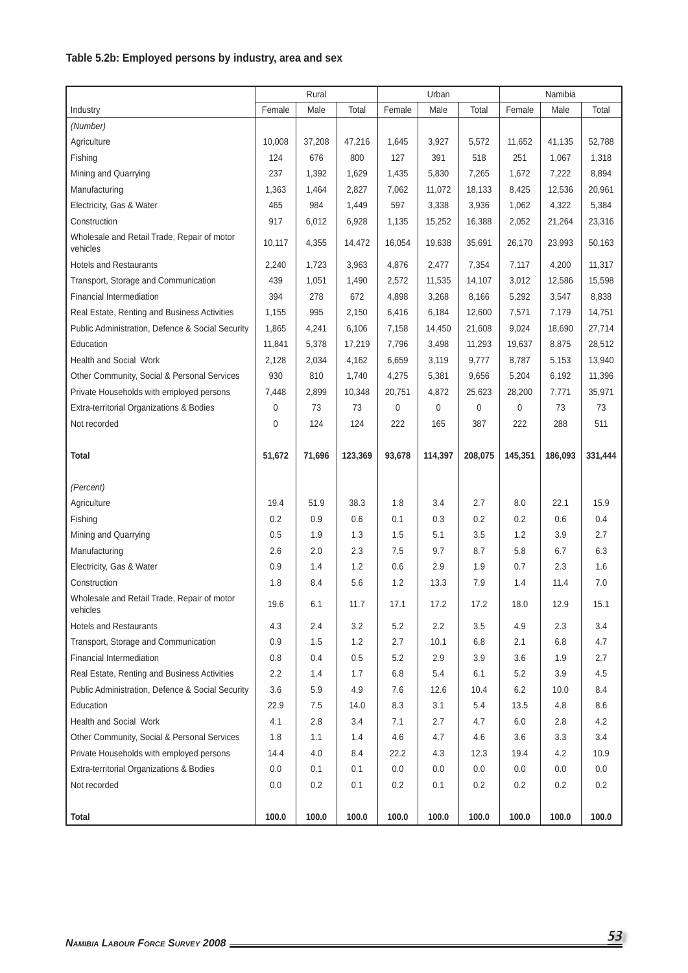# **Table 5.2b: Employed persons by industry, area and sex**

|                                                         |             | Rural  |         |        | Urban   |         |         | Namibia |         |
|---------------------------------------------------------|-------------|--------|---------|--------|---------|---------|---------|---------|---------|
| Industry                                                | Female      | Male   | Total   | Female | Male    | Total   | Female  | Male    | Total   |
| (Number)                                                |             |        |         |        |         |         |         |         |         |
| Agriculture                                             | 10,008      | 37,208 | 47,216  | 1,645  | 3,927   | 5,572   | 11,652  | 41,135  | 52,788  |
| Fishing                                                 | 124         | 676    | 800     | 127    | 391     | 518     | 251     | 1,067   | 1,318   |
| Mining and Quarrying                                    | 237         | 1,392  | 1,629   | 1,435  | 5,830   | 7,265   | 1,672   | 7,222   | 8,894   |
| Manufacturing                                           | 1,363       | 1,464  | 2,827   | 7,062  | 11,072  | 18,133  | 8,425   | 12,536  | 20,961  |
| Electricity, Gas & Water                                | 465         | 984    | 1,449   | 597    | 3,338   | 3,936   | 1,062   | 4,322   | 5,384   |
| Construction                                            | 917         | 6,012  | 6,928   | 1,135  | 15,252  | 16,388  | 2,052   | 21,264  | 23,316  |
| Wholesale and Retail Trade, Repair of motor<br>vehicles | 10,117      | 4,355  | 14,472  | 16,054 | 19,638  | 35,691  | 26,170  | 23,993  | 50,163  |
| <b>Hotels and Restaurants</b>                           | 2,240       | 1,723  | 3,963   | 4,876  | 2,477   | 7,354   | 7,117   | 4,200   | 11,317  |
| Transport, Storage and Communication                    | 439         | 1,051  | 1,490   | 2,572  | 11,535  | 14,107  | 3,012   | 12,586  | 15,598  |
| Financial Intermediation                                | 394         | 278    | 672     | 4,898  | 3,268   | 8,166   | 5,292   | 3,547   | 8,838   |
| Real Estate, Renting and Business Activities            | 1,155       | 995    | 2,150   | 6,416  | 6,184   | 12,600  | 7,571   | 7,179   | 14,751  |
| Public Administration, Defence & Social Security        | 1,865       | 4,241  | 6,106   | 7,158  | 14,450  | 21,608  | 9,024   | 18,690  | 27,714  |
| Education                                               | 11,841      | 5,378  | 17,219  | 7,796  | 3,498   | 11,293  | 19,637  | 8,875   | 28,512  |
| <b>Health and Social Work</b>                           | 2,128       | 2,034  | 4,162   | 6,659  | 3,119   | 9,777   | 8,787   | 5,153   | 13,940  |
| Other Community, Social & Personal Services             | 930         | 810    | 1,740   | 4,275  | 5,381   | 9,656   | 5,204   | 6,192   | 11,396  |
| Private Households with employed persons                | 7,448       | 2,899  | 10,348  | 20,751 | 4,872   | 25,623  | 28,200  | 7,771   | 35,971  |
| Extra-territorial Organizations & Bodies                | 0           | 73     | 73      | 0      | 0       | 0       | 0       | 73      | 73      |
| Not recorded                                            | $\mathbf 0$ | 124    | 124     | 222    | 165     | 387     | 222     | 288     | 511     |
| <b>Total</b>                                            | 51,672      | 71,696 | 123,369 | 93,678 | 114,397 | 208,075 | 145,351 | 186,093 | 331,444 |
| (Percent)                                               |             |        |         |        |         |         |         |         |         |
| Agriculture                                             | 19.4        | 51.9   | 38.3    | 1.8    | 3.4     | 2.7     | 8.0     | 22.1    | 15.9    |
| Fishing                                                 | 0.2         | 0.9    | 0.6     | 0.1    | 0.3     | 0.2     | 0.2     | 0.6     | 0.4     |
| Mining and Quarrying                                    | 0.5         | 1.9    | 1.3     | 1.5    | 5.1     | 3.5     | 1.2     | 3.9     | 2.7     |
| Manufacturing                                           | 2.6         | 2.0    | 2.3     | 7.5    | 9.7     | 8.7     | 5.8     | 6.7     | 6.3     |
| Electricity, Gas & Water                                | 0.9         | 1.4    | 1.2     | 0.6    | 2.9     | 1.9     | 0.7     | 2.3     | 1.6     |
| Construction                                            | 1.8         | 8.4    | 5.6     | 1.2    | 13.3    | 7.9     | 1.4     | 11.4    | 7.0     |
| Wholesale and Retail Trade, Repair of motor<br>vehicles | 19.6        | 6.1    | 11.7    | 17.1   | 17.2    | 17.2    | 18.0    | 12.9    | 15.1    |
| <b>Hotels and Restaurants</b>                           | 4.3         | 2.4    | 3.2     | 5.2    | 2.2     | 3.5     | 4.9     | 2.3     | 3.4     |
| Transport, Storage and Communication                    | 0.9         | 1.5    | 1.2     | 2.7    | 10.1    | 6.8     | 2.1     | 6.8     | 4.7     |
| Financial Intermediation                                | 0.8         | 0.4    | 0.5     | 5.2    | 2.9     | 3.9     | 3.6     | 1.9     | 2.7     |
| Real Estate, Renting and Business Activities            | 2.2         | 1.4    | 1.7     | 6.8    | 5.4     | 6.1     | 5.2     | 3.9     | 4.5     |
| Public Administration, Defence & Social Security        | 3.6         | 5.9    | 4.9     | 7.6    | 12.6    | 10.4    | 6.2     | 10.0    | 8.4     |
| Education                                               | 22.9        | 7.5    | 14.0    | 8.3    | 3.1     | 5.4     | 13.5    | 4.8     | 8.6     |
| Health and Social Work                                  | 4.1         | 2.8    | 3.4     | 7.1    | 2.7     | 4.7     | 6.0     | 2.8     | 4.2     |
| Other Community, Social & Personal Services             | 1.8         | 1.1    | 1.4     | 4.6    | 4.7     | 4.6     | 3.6     | 3.3     | 3.4     |
| Private Households with employed persons                | 14.4        | 4.0    | 8.4     | 22.2   | 4.3     | 12.3    | 19.4    | 4.2     | 10.9    |
| Extra-territorial Organizations & Bodies                | 0.0         | 0.1    | 0.1     | 0.0    | 0.0     | 0.0     | 0.0     | 0.0     | 0.0     |
| Not recorded                                            | 0.0         | 0.2    | 0.1     | 0.2    | 0.1     | 0.2     | 0.2     | 0.2     | 0.2     |
|                                                         |             |        |         |        |         |         |         |         |         |
| Total                                                   | 100.0       | 100.0  | 100.0   | 100.0  | 100.0   | 100.0   | 100.0   | 100.0   | 100.0   |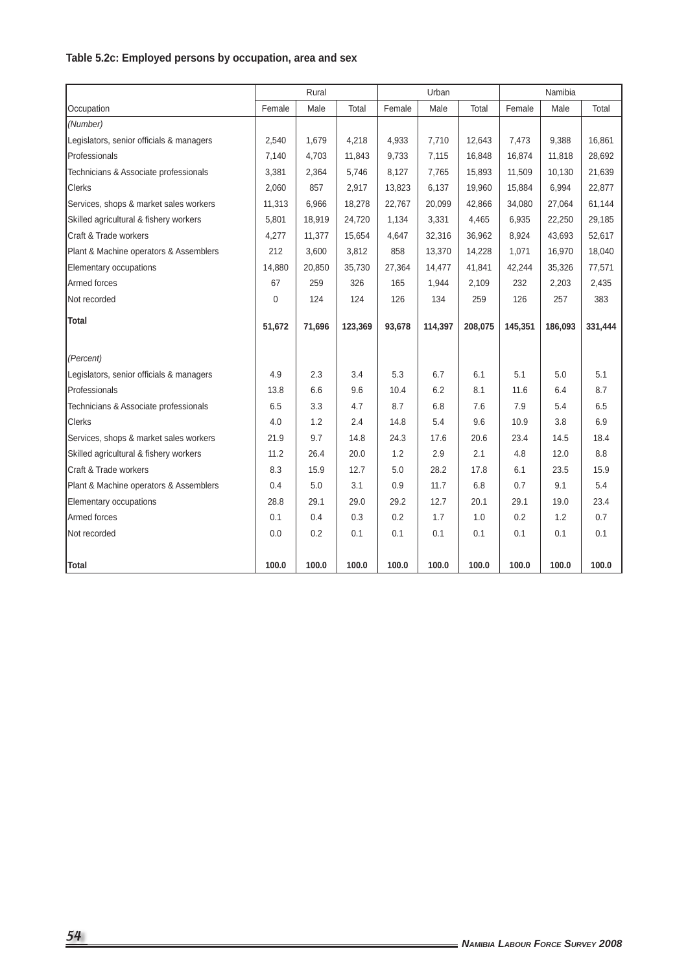# **Table 5.2c: Employed persons by occupation, area and sex**

|                                          |        | Rural  |         |        | Urban   |         |         | Namibia |         |
|------------------------------------------|--------|--------|---------|--------|---------|---------|---------|---------|---------|
| Occupation                               | Female | Male   | Total   | Female | Male    | Total   | Female  | Male    | Total   |
| (Number)                                 |        |        |         |        |         |         |         |         |         |
| Legislators, senior officials & managers | 2,540  | 1,679  | 4,218   | 4,933  | 7,710   | 12,643  | 7,473   | 9,388   | 16,861  |
| Professionals                            | 7,140  | 4,703  | 11,843  | 9,733  | 7,115   | 16,848  | 16,874  | 11,818  | 28,692  |
| Technicians & Associate professionals    | 3,381  | 2,364  | 5,746   | 8,127  | 7,765   | 15,893  | 11,509  | 10,130  | 21,639  |
| <b>Clerks</b>                            | 2,060  | 857    | 2,917   | 13,823 | 6,137   | 19,960  | 15,884  | 6,994   | 22,877  |
| Services, shops & market sales workers   | 11,313 | 6,966  | 18,278  | 22,767 | 20,099  | 42,866  | 34,080  | 27,064  | 61,144  |
| Skilled agricultural & fishery workers   | 5,801  | 18,919 | 24,720  | 1,134  | 3,331   | 4,465   | 6,935   | 22,250  | 29,185  |
| Craft & Trade workers                    | 4,277  | 11,377 | 15,654  | 4,647  | 32,316  | 36,962  | 8,924   | 43,693  | 52,617  |
| Plant & Machine operators & Assemblers   | 212    | 3,600  | 3,812   | 858    | 13,370  | 14,228  | 1,071   | 16,970  | 18,040  |
| Elementary occupations                   | 14,880 | 20,850 | 35,730  | 27,364 | 14,477  | 41,841  | 42,244  | 35,326  | 77,571  |
| Armed forces                             | 67     | 259    | 326     | 165    | 1,944   | 2,109   | 232     | 2,203   | 2,435   |
| Not recorded                             | 0      | 124    | 124     | 126    | 134     | 259     | 126     | 257     | 383     |
| <b>Total</b>                             |        | 71,696 |         |        |         |         |         |         |         |
|                                          | 51,672 |        | 123,369 | 93,678 | 114,397 | 208,075 | 145,351 | 186,093 | 331,444 |
| (Percent)                                |        |        |         |        |         |         |         |         |         |
| Legislators, senior officials & managers | 4.9    | 2.3    | 3.4     | 5.3    | 6.7     | 6.1     | 5.1     | 5.0     | 5.1     |
| Professionals                            | 13.8   | 6.6    | 9.6     | 10.4   | 6.2     | 8.1     | 11.6    | 6.4     | 8.7     |
| Technicians & Associate professionals    | 6.5    | 3.3    | 4.7     | 8.7    | 6.8     | 7.6     | 7.9     | 5.4     | 6.5     |
| Clerks                                   | 4.0    | 1.2    | 2.4     | 14.8   | 5.4     | 9.6     | 10.9    | 3.8     | 6.9     |
| Services, shops & market sales workers   | 21.9   | 9.7    | 14.8    | 24.3   | 17.6    | 20.6    | 23.4    | 14.5    | 18.4    |
| Skilled agricultural & fishery workers   | 11.2   | 26.4   | 20.0    | 1.2    | 2.9     | 2.1     | 4.8     | 12.0    | 8.8     |
| Craft & Trade workers                    | 8.3    | 15.9   | 12.7    | 5.0    | 28.2    | 17.8    | 6.1     | 23.5    | 15.9    |
| Plant & Machine operators & Assemblers   | 0.4    | 5.0    | 3.1     | 0.9    | 11.7    | 6.8     | 0.7     | 9.1     | 5.4     |
| Elementary occupations                   | 28.8   | 29.1   | 29.0    | 29.2   | 12.7    | 20.1    | 29.1    | 19.0    | 23.4    |
| Armed forces                             | 0.1    | 0.4    | 0.3     | 0.2    | 1.7     | 1.0     | 0.2     | 1.2     | 0.7     |
| Not recorded                             | 0.0    | 0.2    | 0.1     | 0.1    | 0.1     | 0.1     | 0.1     | 0.1     | 0.1     |
|                                          |        |        |         |        |         |         |         |         |         |
| Total                                    | 100.0  | 100.0  | 100.0   | 100.0  | 100.0   | 100.0   | 100.0   | 100.0   | 100.0   |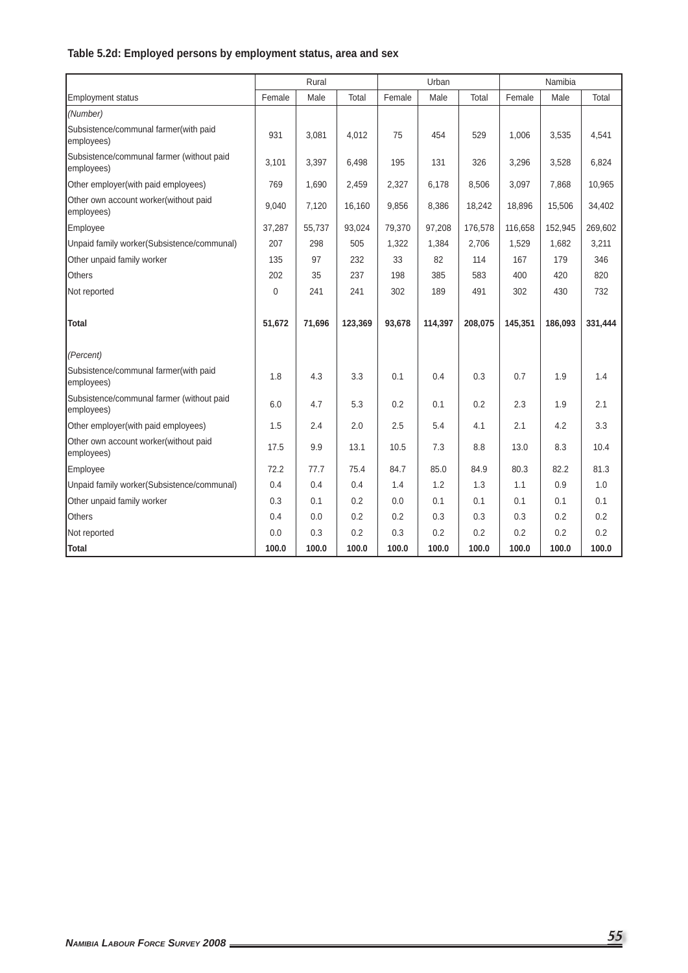# **Table 5.2d: Employed persons by employment status, area and sex**

|                                                         |        | Rural  |         |        | Urban   |         |         | Namibia |         |
|---------------------------------------------------------|--------|--------|---------|--------|---------|---------|---------|---------|---------|
| <b>Employment status</b>                                | Female | Male   | Total   | Female | Male    | Total   | Female  | Male    | Total   |
| (Number)                                                |        |        |         |        |         |         |         |         |         |
| Subsistence/communal farmer(with paid<br>employees)     | 931    | 3,081  | 4,012   | 75     | 454     | 529     | 1,006   | 3,535   | 4,541   |
| Subsistence/communal farmer (without paid<br>employees) | 3,101  | 3,397  | 6,498   | 195    | 131     | 326     | 3,296   | 3,528   | 6,824   |
| Other employer(with paid employees)                     | 769    | 1,690  | 2,459   | 2,327  | 6,178   | 8,506   | 3,097   | 7,868   | 10,965  |
| Other own account worker(without paid<br>employees)     | 9,040  | 7,120  | 16,160  | 9,856  | 8,386   | 18,242  | 18,896  | 15,506  | 34,402  |
| Employee                                                | 37,287 | 55,737 | 93,024  | 79,370 | 97,208  | 176,578 | 116,658 | 152,945 | 269,602 |
| Unpaid family worker(Subsistence/communal)              | 207    | 298    | 505     | 1,322  | 1,384   | 2,706   | 1,529   | 1,682   | 3,211   |
| Other unpaid family worker                              | 135    | 97     | 232     | 33     | 82      | 114     | 167     | 179     | 346     |
| <b>Others</b>                                           | 202    | 35     | 237     | 198    | 385     | 583     | 400     | 420     | 820     |
| Not reported                                            | 0      | 241    | 241     | 302    | 189     | 491     | 302     | 430     | 732     |
| <b>Total</b>                                            | 51,672 | 71,696 | 123,369 | 93,678 | 114,397 | 208,075 | 145,351 | 186,093 | 331,444 |
| (Percent)                                               |        |        |         |        |         |         |         |         |         |
| Subsistence/communal farmer(with paid<br>employees)     | 1.8    | 4.3    | 3.3     | 0.1    | 0.4     | 0.3     | 0.7     | 1.9     | 1.4     |
| Subsistence/communal farmer (without paid<br>employees) | 6.0    | 4.7    | 5.3     | 0.2    | 0.1     | 0.2     | 2.3     | 1.9     | 2.1     |
| Other employer(with paid employees)                     | 1.5    | 2.4    | 2.0     | 2.5    | 5.4     | 4.1     | 2.1     | 4.2     | 3.3     |
| Other own account worker(without paid<br>employees)     | 17.5   | 9.9    | 13.1    | 10.5   | 7.3     | 8.8     | 13.0    | 8.3     | 10.4    |
| Employee                                                | 72.2   | 77.7   | 75.4    | 84.7   | 85.0    | 84.9    | 80.3    | 82.2    | 81.3    |
| Unpaid family worker(Subsistence/communal)              | 0.4    | 0.4    | 0.4     | 1.4    | 1.2     | 1.3     | 1.1     | 0.9     | 1.0     |
| Other unpaid family worker                              | 0.3    | 0.1    | 0.2     | 0.0    | 0.1     | 0.1     | 0.1     | 0.1     | 0.1     |
| <b>Others</b>                                           | 0.4    | 0.0    | 0.2     | 0.2    | 0.3     | 0.3     | 0.3     | 0.2     | 0.2     |
| Not reported                                            | 0.0    | 0.3    | 0.2     | 0.3    | 0.2     | 0.2     | 0.2     | 0.2     | 0.2     |
| Total                                                   | 100.0  | 100.0  | 100.0   | 100.0  | 100.0   | 100.0   | 100.0   | 100.0   | 100.0   |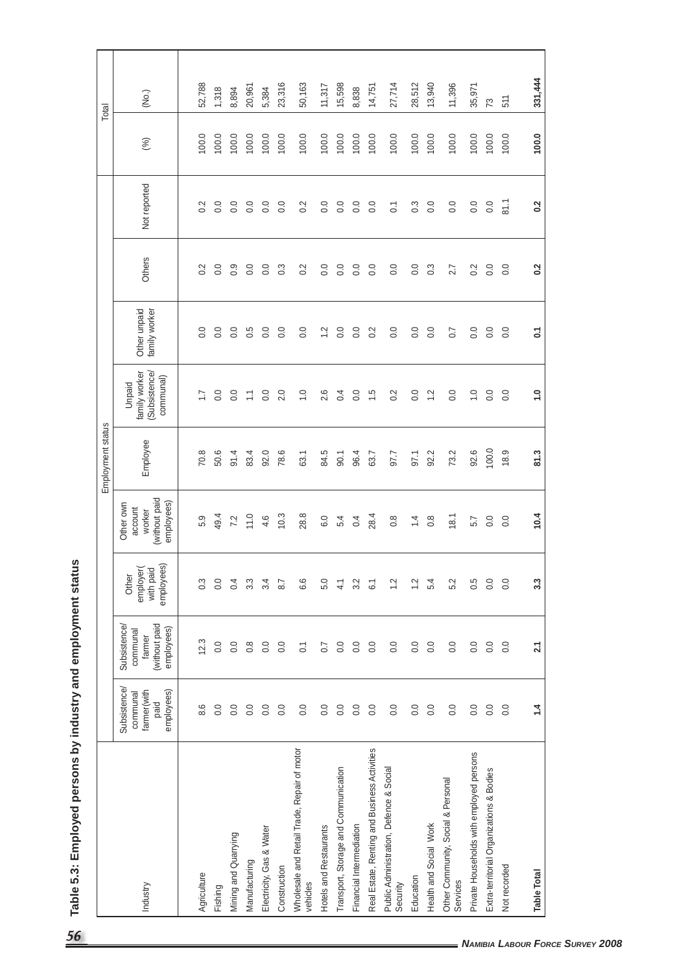|                                                         |                                                              |                                                                          |                                               |                                                               | Employment status |                                                     |                               |                  |                |       | Total   |
|---------------------------------------------------------|--------------------------------------------------------------|--------------------------------------------------------------------------|-----------------------------------------------|---------------------------------------------------------------|-------------------|-----------------------------------------------------|-------------------------------|------------------|----------------|-------|---------|
| Industry                                                | Subsistence<br>farmer(with<br>employees)<br>communal<br>paid | (without paid<br><b>Subsistence/</b><br>employees)<br>communal<br>farmer | employees)<br>employer(<br>with paid<br>Other | (without paid<br>employees)<br>Other own<br>account<br>worker | Employee          | family worker<br>Subsistence<br>communal)<br>Unpaid | Other unpaid<br>family worker | Others           | Not reported   | (%)   | (No.)   |
|                                                         |                                                              |                                                                          |                                               |                                                               |                   |                                                     |                               |                  |                |       |         |
| Agriculture                                             | 8.6                                                          | 12.3                                                                     | 0.3                                           | 5.9                                                           | 70.8              | $\ddot{ }$ :                                        | 0.0                           | 0.2              | 0.2            | 100.0 | 52,788  |
| Fishing                                                 | 0.0                                                          | 0.0                                                                      | 0.0                                           | 49.4                                                          | 50.6              | 0.0                                                 | 0.0                           | 0.0              | 0.0            | 100.0 | 1,318   |
| Mining and Quarrying                                    | 0.0                                                          | 0.0                                                                      | 0.4                                           | 7.2                                                           | 91.4              | 0.0                                                 | 0.0                           | 0.9              | 0.0            | 100.0 | 8,894   |
| Manufacturing                                           | 0.0                                                          | $0.\overline{8}$                                                         | $3.\overline{3}$                              | 11.0                                                          | 83.4              | $\sum$                                              | 0.5                           | 0.0              | 0.0            | 100.0 | 20,961  |
| Electricity, Gas & Water                                | 0.0                                                          | 0.0                                                                      | 3.4                                           | 4.6                                                           | 92.0              | 0.0                                                 | 0.0                           | $\rm ^{0}$       | 0.0            | 100.0 | 5,384   |
| Construction                                            | 0.0                                                          | 0.0                                                                      | 8.7                                           | 10.3                                                          | 78.6              | 2.0                                                 | 0.0                           | 0.3              | 0.0            | 100.0 | 23,316  |
| Wholesale and Retail Trade, Repair of motor<br>vehicles | 0.0                                                          | $\overline{C}$                                                           | 6.6                                           | 28.8                                                          | 63.1              | $\frac{0}{1}$                                       | 0.0                           | 0.2              | 0.2            | 100.0 | 50,163  |
| Hotels and Restaurants                                  | 0.0                                                          | 0.7                                                                      | 5.0                                           | 6.0                                                           | 84.5              | 2.6                                                 | $\ddot{ }$                    | $\rm ^{0}$       | 0.0            | 100.0 | 11,317  |
| Transport, Storage and Communication                    | 0.0                                                          | 0.0                                                                      | 4.1                                           | 5.4                                                           | 90.1              | 0.4                                                 | 0.0                           | 0.0              | 0.0            | 100.0 | 15,598  |
| Financial Intermediation                                | 0.0                                                          | 0.0                                                                      | 3.2                                           | 0.4                                                           | 96.4              | 0.0                                                 | 0.0                           | 0.0              | 0.0            | 100.0 | 8,838   |
| Real Estate, Renting and Business Activities            | $\overline{0}$ .                                             | 0.0                                                                      | $\overline{6}$                                | 28.4                                                          | 63.7              | $\ddot{5}$                                          | 0.2                           | 0.0              | 0.0            | 100.0 | 14,751  |
| Public Administration, Defence & Social<br>Security     | 0.0                                                          | 0.0                                                                      | $\frac{2}{3}$                                 | $0.\overline{8}$                                              | 97.7              | 0.2                                                 | 0.0                           | 0.0              | $\overline{C}$ | 100.0 | 27,714  |
| Education                                               | 0.0                                                          | 0.0                                                                      | $\frac{1}{2}$                                 | $1\overline{4}$                                               | 97.1              | 0.0                                                 | 0.0                           | 0.0              | 0.3            | 100.0 | 28,512  |
| Health and Social Work                                  | 0.0                                                          | 0.0                                                                      | 5.4                                           | $\frac{8}{1}$                                                 | 92.2              | $\frac{1}{2}$                                       | 0.0                           | $0.\overline{3}$ | 0.0            | 100.0 | 13,940  |
| Other Community, Social & Personal<br>Services          | 0.0                                                          | 0.0                                                                      | 5.2                                           | 18.1                                                          | 73.2              | 0.0                                                 | 0.7                           | 2.7              | 0.0            | 100.0 | 11,396  |
| Private Households with employed persons                | 0.0                                                          | 0.0                                                                      | 0.5                                           | 5.7                                                           | 92.6              | $\overline{0}$                                      | 0.0                           | 0.2              | 0.0            | 100.0 | 35,971  |
| Extra-territorial Organizations & Bodies                | 0.0                                                          | 0.0                                                                      | 0.0                                           | $\overline{0}$ .                                              | 100.0             | 0.0                                                 | 0.0                           | $\overline{0}$ . | 0.0            | 100.0 | 73      |
| Not recorded                                            | 0.0                                                          | 0.0                                                                      | 0.0                                           | 0.0                                                           | 18.9              | 0.0                                                 | 0.0                           | 0.0              | 81.1           | 100.0 | 511     |
| <b>Table Total</b>                                      | 1.4                                                          | 2.1                                                                      | 33                                            | 10.4                                                          | 81.3              | 1.0                                                 | $\overline{c}$                | 0.2              | $\sim$         | 100.0 | 331,444 |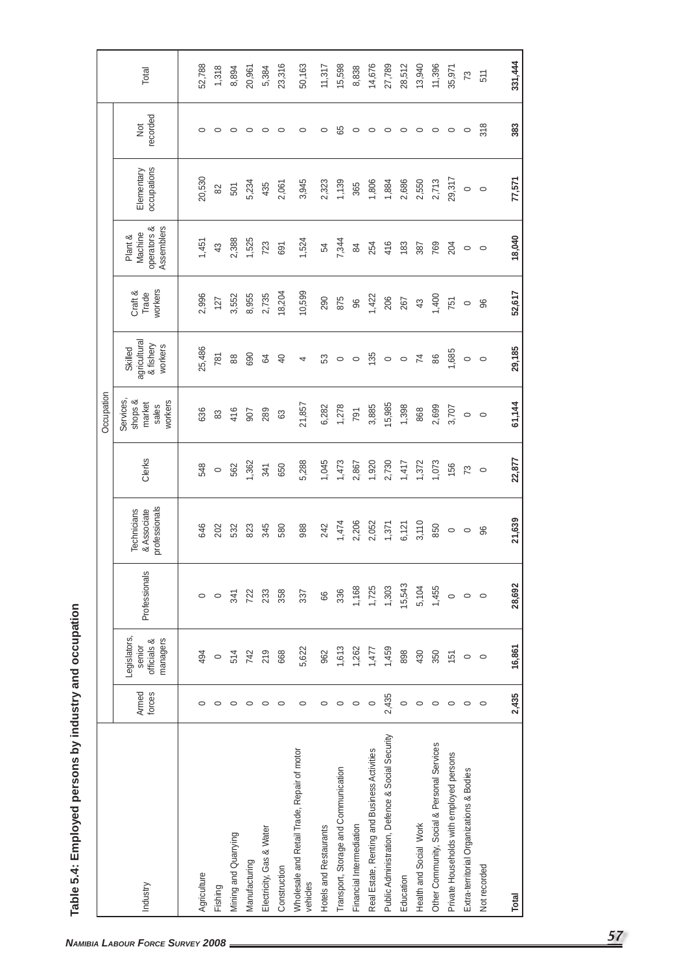| Legislators,                                                                |                                                              |         | Occupation                                               |                                                 |                             |                                                 |                           |                        |         |
|-----------------------------------------------------------------------------|--------------------------------------------------------------|---------|----------------------------------------------------------|-------------------------------------------------|-----------------------------|-------------------------------------------------|---------------------------|------------------------|---------|
| managers<br>officials &<br>senior<br>Armed<br>forces<br>Industry            | professionals<br>& Associate<br>Technicians<br>Professionals | Clerks  | <b>Services</b><br>workers<br>shops &<br>market<br>sales | agricultural<br>& fishery<br>workers<br>Skilled | workers<br>Craft &<br>Trade | Assemblers<br>operators &<br>Machine<br>Plant & | occupations<br>Elementary | recorded<br><b>Jot</b> | Total   |
|                                                                             |                                                              |         |                                                          |                                                 |                             |                                                 |                           |                        |         |
| 494<br>$\circ$<br>Agriculture                                               | 646<br>$\circ$                                               | 548     | 636                                                      | 25,486                                          | 2,996                       | 1,451                                           | 20,530                    | 0                      | 52,788  |
| $\circ$<br>$\circ$<br>Fishing                                               | 202<br>$\circ$                                               | $\circ$ | 83                                                       | 781                                             | 127                         | 43                                              | 82                        | $\circ$                | 1,318   |
| 514<br>$\circ$<br>Mining and Quarrying                                      | 532<br>341                                                   | 562     | 416                                                      | $88$                                            | 3,552                       | 2,388                                           | 501                       | $\circ$                | 8,894   |
| 742<br>$\circ$<br>Manufacturing                                             | 823<br>722                                                   | 1,362   | 907                                                      | 690                                             | 8,955                       | 1,525                                           | 5,234                     | $\circ$                | 20,961  |
| 219<br>$\circ$<br>Electricity, Gas & Water                                  | 345<br>233                                                   | 341     | 289                                                      | \$                                              | 2,735                       | 723                                             | 435                       | $\circ$                | 5,384   |
| 668<br>$\circ$<br>Construction                                              | 580<br>358                                                   | 650     | යි                                                       | $\overline{40}$                                 | 18,204                      | 691                                             | 2,061                     | $\circ$                | 23,316  |
| 5,622<br>$\circ$<br>Wholesale and Retail Trade, Repair of motor<br>vehicles | 988<br>337                                                   | 5,288   | 21,857                                                   | 4                                               | 10,599                      | 1,524                                           | 3,945                     | $\circ$                | 50,163  |
| 962<br>$\circ$<br>Hotels and Restaurants                                    | 242<br>8                                                     | 1,045   | 6,282                                                    | 53                                              | 290                         | 54                                              | 2,323                     | $\circ$                | 11,317  |
| 1,613<br>$\circ$<br>Transport, Storage and Communication                    | 1,474<br>336                                                 | 1,473   | 1,278                                                    | $\circ$                                         | 875                         | 7,344                                           | 1,139                     | 65                     | 15,598  |
| 1,262<br>$\circ$<br>Financial Intermediation                                | 2,206<br>1,168                                               | 2,867   | 791                                                      | $\circ$                                         | 96                          | 84                                              | 365                       | $\circ$                | 8,838   |
| 1,477<br>$\circ$<br>Real Estate, Renting and Business Activities            | 2,052<br>1,725                                               | 1,920   | 3,885                                                    | 135                                             | 1,422                       | 254                                             | 1,806                     | $\circ$                | 14,676  |
| 1,459<br>2,435<br>Public Administration, Defence & Social Security          | 1,371<br>1,303                                               | 2,730   | 15,985                                                   | $\circ$                                         | 206                         | 416                                             | 1,884                     | $\circ$                | 27,789  |
| 898<br>$\circ$<br>Education                                                 | 6,121<br>15,543                                              | 1,417   | 1,398                                                    | $\circ$                                         | 267                         | 183                                             | 2,686                     | $\circ$                | 28,512  |
| 430<br>$\circ$<br>Health and Social Work                                    | 3,110<br>5,104                                               | 1,372   | 868                                                      | $\overline{7}$                                  | 43                          | 387                                             | 2,550                     | $\circ$                | 13,940  |
| 350<br>$\circ$<br>Other Community, Social & Personal Services               | 850<br>1,455                                                 | 1,073   | 2,699                                                    | 86                                              | 1,400                       | 769                                             | 2,713                     | $\circ$                | 11,396  |
| 151<br>$\circ$<br>Private Households with employed persons                  | $\circ$<br>$\circ$                                           | 156     | 3,707                                                    | 1,685                                           | 751                         | 204                                             | 29,317                    | $\circ$                | 35,971  |
| $\circ$<br>$\circ$<br>Extra-territorial Organizations & Bodies              | $\circ$<br>$\circ$                                           | 73      | $\circ$                                                  | $\circ$                                         | $\circ$                     | $\circ$                                         | $\circ$                   | $\circ$                | 73      |
| $\circ$<br>$\circ$<br>Not recorded                                          | 96<br>$\circ$                                                | $\circ$ | $\circ$                                                  | $\circ$                                         | 96                          | $\circ$                                         | $\circ$                   | 318                    | 511     |
| 16,861<br>2,435<br>Total                                                    | 21,639<br>28,692                                             | 22,877  | 61,144                                                   | 29,185                                          | 52,617                      | 18,040                                          | 77,571                    | 383                    | 331,444 |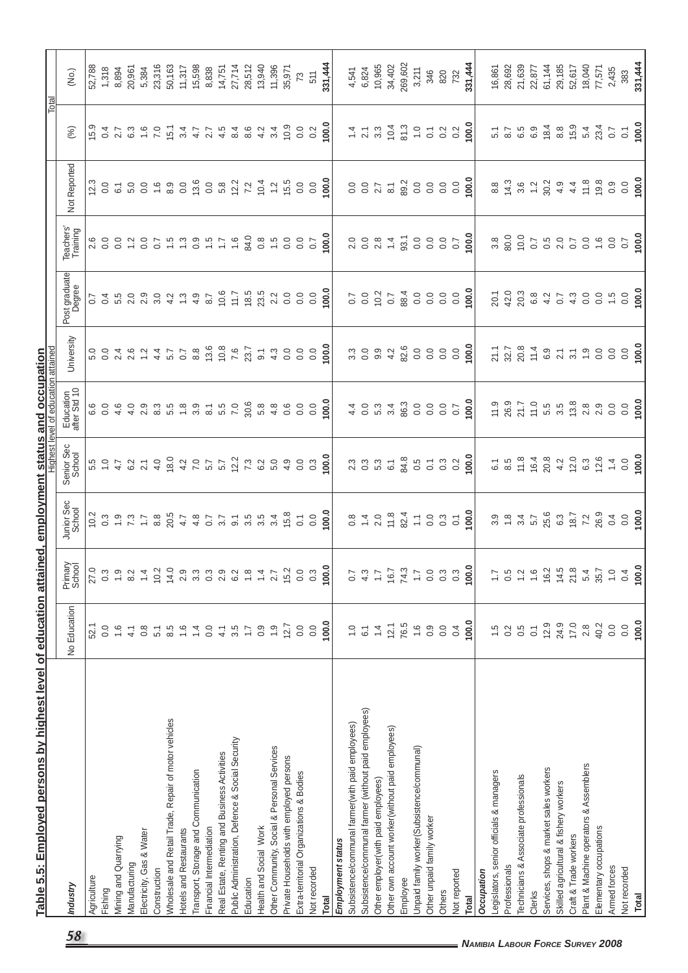|                                                      |                  |                   |                                                                                                                            |                                                                                       | Highest level of education attained                                                                           |                                                          |                                          |                                                                                            |                                           | Total                                                                                             |                                                                               |
|------------------------------------------------------|------------------|-------------------|----------------------------------------------------------------------------------------------------------------------------|---------------------------------------------------------------------------------------|---------------------------------------------------------------------------------------------------------------|----------------------------------------------------------|------------------------------------------|--------------------------------------------------------------------------------------------|-------------------------------------------|---------------------------------------------------------------------------------------------------|-------------------------------------------------------------------------------|
|                                                      |                  |                   |                                                                                                                            |                                                                                       |                                                                                                               |                                                          |                                          |                                                                                            |                                           |                                                                                                   |                                                                               |
| Industry                                             | No Education     | Primary<br>School | Junior Sec<br>School                                                                                                       | Senior Sec<br>School                                                                  | Education<br>after Std 10                                                                                     | University                                               | Post graduate                            | Teachers'<br>Training                                                                      | Not Reported                              | (%)                                                                                               | (No.)                                                                         |
| Agriculture                                          | 52.1             | 27.0              | 10.2                                                                                                                       |                                                                                       |                                                                                                               |                                                          | $\overline{0.7}$                         |                                                                                            | 12.3                                      |                                                                                                   | 52,788                                                                        |
| Fishing                                              | 0.0              | $0.\overline{3}$  |                                                                                                                            |                                                                                       |                                                                                                               |                                                          |                                          |                                                                                            |                                           |                                                                                                   | 1,318                                                                         |
| Mining and Quarrying                                 | 1.6              | $\ddot{0}$        | 39977                                                                                                                      | 5.007                                                                                 | $\begin{array}{c} 6 & 0 & 6 \\ 6 & 0 & 4 \end{array}$                                                         | 0 0 4 6 0 4<br>0 0 4 6 0 4<br>0 0 0 4 6 7 4              | d n o o o o o o o<br>d n o o o o o o o o |                                                                                            | $rac{0}{6}$ $rac{1}{6}$                   | $15.3$<br>$0.4$ $7.3$<br>$6.3$                                                                    | 8,894                                                                         |
| Manufacturing                                        | 4.1              | 8.2               |                                                                                                                            |                                                                                       |                                                                                                               |                                                          |                                          |                                                                                            |                                           |                                                                                                   | 20,961                                                                        |
| Electricity, Gas & Water                             | $0.\overline{8}$ | $1\overline{4}$   |                                                                                                                            | $6.2$<br>2.1                                                                          | $4$ $\alpha$ $\alpha$ $\alpha$ $\alpha$ $\alpha$ $\alpha$<br>$4$ $\alpha$ $\alpha$ $\alpha$ $\alpha$ $\alpha$ |                                                          |                                          | $\frac{2}{10}$ 8.7                                                                         | 3000000000                                |                                                                                                   |                                                                               |
| Construction                                         | 5.1              | 10.2              | 8.8                                                                                                                        | 4.0                                                                                   |                                                                                                               |                                                          |                                          |                                                                                            |                                           | $\frac{6}{7}$ .0                                                                                  | 5,384<br>23,316                                                               |
| Wholesale and Retail Trade, Repair of motor vehicles | 8.5              | 14.0              |                                                                                                                            |                                                                                       |                                                                                                               | 5.7                                                      |                                          |                                                                                            |                                           |                                                                                                   |                                                                               |
| <b>Hotels and Restaurants</b>                        | $\frac{6}{1}$    | 2.9               | 20.5<br>4.7                                                                                                                |                                                                                       |                                                                                                               | 0.7                                                      |                                          |                                                                                            |                                           |                                                                                                   | 50,163<br>11,317                                                              |
| Transport, Storage and Communication                 | $1\overline{4}$  | $3.\overline{3}$  |                                                                                                                            |                                                                                       |                                                                                                               | 8.8                                                      |                                          |                                                                                            |                                           |                                                                                                   |                                                                               |
| Financial Intermediation                             | 0.0              | $0.\overline{3}$  |                                                                                                                            |                                                                                       |                                                                                                               |                                                          | 8.7                                      |                                                                                            |                                           |                                                                                                   | 15,598<br>8,838                                                               |
| Real Estate, Renting and Business Activities         | 4.1              | 2.9               | $\begin{array}{cccccc} 4 & 0 & 0 & 0 & 0 & 0 & 0 \\ 0 & 0 & 0 & 0 & 0 & 0 & 0 \\ 0 & 0 & 0 & 0 & 0 & 0 & 0 \\ \end{array}$ |                                                                                       | $\frac{1}{6}$ 5.5<br>$\frac{1}{6}$ 5.6                                                                        | $13.6$<br>$7.6$<br>$7.8$<br>$23.7$                       | 10.6                                     |                                                                                            | $13.6$<br>0.0 $8$                         | 5 3 4 7 7 8 9 9 9 9<br>5 4 7 7 8 9 9 9 9                                                          | 14,751                                                                        |
| Public Administration, Defence & Social Security     | 3.5              | 6.2               |                                                                                                                            |                                                                                       |                                                                                                               |                                                          | $\frac{1}{11}$                           | 1.6                                                                                        |                                           |                                                                                                   |                                                                               |
| Education                                            | $\ddot{ }$ :     | $\frac{8}{10}$    |                                                                                                                            | $12.2$<br>7.3                                                                         |                                                                                                               |                                                          | 18.5                                     | 84.0                                                                                       | $12.2$<br>7.2                             |                                                                                                   |                                                                               |
| Health and Social Work                               | 0.9              | $1\overline{4}$   |                                                                                                                            | 6.2                                                                                   | 30.6<br>5.8                                                                                                   | $\overline{9}$ .                                         | 23.5                                     | $\frac{8}{3}$                                                                              | 10.4                                      |                                                                                                   |                                                                               |
| Other Community, Social & Personal Services          | $\frac{0}{1}$    | 2.7               | 3.4                                                                                                                        |                                                                                       |                                                                                                               |                                                          |                                          |                                                                                            |                                           | 3.4                                                                                               | 27,714<br>28,512<br>13,940<br>11,396<br>35,971                                |
| Private Households with employed persons             | 12.7             | 15.2              | 15.8                                                                                                                       | $5.0$<br>4.9                                                                          | $4.\overline{8}$<br>0.6                                                                                       | $4.\overline{3}$<br>0.0                                  | $2.2$<br>0.0                             | $1.5$<br>0.0                                                                               | $1.2$<br>15.5                             | 10.9                                                                                              |                                                                               |
| Extra-territorial Organizations & Bodies             | 0.0              | 0.0               | $\overline{\textbf{S}}$                                                                                                    | 0.0                                                                                   | 0.0                                                                                                           |                                                          | 0.0                                      | $\overline{0}$ .                                                                           | 0.0                                       | 0.0                                                                                               | $73\,$                                                                        |
| Not recorded                                         | 0.0              | $0.\overline{3}$  |                                                                                                                            | $0.\overline{3}$                                                                      | 0.0                                                                                                           | $rac{0}{0}$                                              | 0.0                                      | 0.7                                                                                        |                                           | 0.2                                                                                               | 511                                                                           |
| <b>Total</b>                                         | 100.0            | 100.0             |                                                                                                                            | 100.0                                                                                 | 0.0                                                                                                           | $\overline{8}$                                           | ິຣ                                       | $\overline{0}$                                                                             | $\frac{0.0}{0.0}$                         | $\overline{0.00}$                                                                                 | 331,444                                                                       |
| Employment status                                    |                  |                   |                                                                                                                            |                                                                                       |                                                                                                               |                                                          |                                          |                                                                                            |                                           |                                                                                                   |                                                                               |
| Subsistence/communal farmer(with paid employees)     | $\frac{0}{1}$    | 0.7               |                                                                                                                            |                                                                                       |                                                                                                               |                                                          | 0.7                                      |                                                                                            |                                           |                                                                                                   | 4,541                                                                         |
| Subsistence/communal farmer (without paid employees) | $\overline{6}$ . | 4.3               |                                                                                                                            | 2<br>2<br>2<br>2<br>2<br>2<br>2<br>2<br>2<br>2<br>2<br>2<br>2<br>2<br>2<br>2<br>2<br> | $4004$<br>$4004$                                                                                              | 3000004                                                  | 0.0                                      | $20084$<br>$2084$                                                                          | 0 0 0 7<br>0 0 0 0<br>0 0 0 0             |                                                                                                   | 6,824                                                                         |
| Other employer(with paid employees)                  | $1\overline{4}$  | $\overline{1}$ .  |                                                                                                                            |                                                                                       |                                                                                                               |                                                          | 10.7                                     |                                                                                            |                                           |                                                                                                   | 10,965<br>34,402                                                              |
| Other own account worker(without paid employees)     | 12.1             | 16.7              |                                                                                                                            |                                                                                       |                                                                                                               |                                                          |                                          |                                                                                            |                                           |                                                                                                   |                                                                               |
| Employee                                             | 76.5             | 74.3              |                                                                                                                            |                                                                                       |                                                                                                               | 82.6                                                     |                                          | 93.1                                                                                       |                                           |                                                                                                   | 269,602                                                                       |
| Unpaid family worker(Subsistence/communal)           | $\frac{6}{1}$    | $\overline{1}$ .  | $0.4084770$ $0.4084770$ $0.00847$                                                                                          | 84.8<br>0.5<br>0.1                                                                    | $rac{3}{80}$ $rac{3}{0}$ $rac{3}{0}$                                                                          | $\begin{array}{c} 0.0 \\ 0.0 \end{array}$                | 8000                                     | 00000                                                                                      |                                           | $\frac{3}{8}$ $\frac{3}{8}$ $\frac{5}{8}$ $\frac{7}{8}$ $\frac{8}{8}$ $\frac{2}{8}$ $\frac{1}{8}$ | 3,211                                                                         |
| Other unpaid family worker                           | 0.9              | 0.0               |                                                                                                                            |                                                                                       |                                                                                                               |                                                          |                                          |                                                                                            |                                           |                                                                                                   | 346                                                                           |
| Others                                               | 0.0              | $0.\overline{3}$  | 0.3                                                                                                                        | $0.3$<br>$0.2$                                                                        | 0.0                                                                                                           | 0.0                                                      | 0.0                                      |                                                                                            |                                           |                                                                                                   | 820                                                                           |
| Not reported                                         | 0.4              | $0.\overline{3}$  |                                                                                                                            |                                                                                       |                                                                                                               |                                                          |                                          |                                                                                            |                                           |                                                                                                   | 732                                                                           |
| <b>Total</b>                                         | 100.0            | 100.0             | 100.0                                                                                                                      | 100.0                                                                                 | 100.0                                                                                                         | 0.001                                                    | 100.0                                    | 100.0                                                                                      | 100.0                                     | 100.0                                                                                             | 331,444                                                                       |
| Occupation                                           |                  |                   |                                                                                                                            |                                                                                       |                                                                                                               |                                                          |                                          |                                                                                            |                                           |                                                                                                   |                                                                               |
| Legislators, senior officials & managers             | 1.5              | $\overline{1}$ .  |                                                                                                                            | $\overline{6}$                                                                        |                                                                                                               |                                                          | 20.1                                     | $3.8\,$                                                                                    | $_{\rm 8.8}$                              | 5.7<br>6.5<br>6.5                                                                                 |                                                                               |
| Professionals                                        | 0.2              | 0.5               |                                                                                                                            |                                                                                       |                                                                                                               |                                                          |                                          |                                                                                            |                                           |                                                                                                   |                                                                               |
| Technicians & Associate professionals                | $0.\overline{5}$ | $1\overline{5}$   |                                                                                                                            | $8.5$<br>$7.8$                                                                        |                                                                                                               |                                                          |                                          | 0.0<br>10.0                                                                                |                                           |                                                                                                   |                                                                               |
| Clerks                                               | $\overline{0}$   | $\frac{6}{1}$     | $3.8$ $-3.4$ $-5.7$                                                                                                        | $16.4$<br>20.8<br>4.2                                                                 |                                                                                                               | 7. 7. 8. 4. 9. 7. 7. 9. 9.<br>2. 7. 8. 7. 9. 7. 7. 9. 9. | 20.38940                                 | 0.7                                                                                        | $4.8$ $4.4$ $4.5$ $6.9$ $4.4$ $4.5$ $6.8$ | 6.9                                                                                               | $\begin{array}{c} 16,867 \\ 28,692 \\ 21,639 \\ 21,877 \\ 61,144 \end{array}$ |
| Services, shops & market sales workers               | 12.9             | 16.2              | 25.6<br>6.3                                                                                                                |                                                                                       |                                                                                                               |                                                          |                                          |                                                                                            |                                           | 18.4                                                                                              |                                                                               |
| Skilled agricultural & fishery workers               | 24.9             | 14.5              |                                                                                                                            |                                                                                       |                                                                                                               |                                                          |                                          |                                                                                            |                                           | 8.8                                                                                               | 29,185                                                                        |
| Craft & Trade workers                                | 17.0             | 21.8              | $18.7$<br>7.2                                                                                                              | 12.0                                                                                  |                                                                                                               |                                                          | $\frac{4}{3}$ 0.0                        | 5<br>5<br>5<br>5<br>5<br>5<br>5<br>5<br>5<br>5<br>5<br>5<br>5<br>2<br>5<br>2<br>5<br>2<br> |                                           | $15.9$<br>$5.4$                                                                                   | 52,617                                                                        |
| Plant & Machine operators & Assemblers               | 2.8              | 5.4               |                                                                                                                            | 6.3                                                                                   |                                                                                                               |                                                          |                                          |                                                                                            |                                           |                                                                                                   | 18,040                                                                        |
| Elementary occupations                               | 40.2             | 35.7              | 26.9                                                                                                                       | 12.6                                                                                  |                                                                                                               |                                                          |                                          |                                                                                            |                                           | 23.4                                                                                              | 77,571                                                                        |
| Armed forces                                         | 0.0              | $\frac{0}{1}$     | 0.4                                                                                                                        | $\ddot{4}$                                                                            | $\overline{0}$ .                                                                                              | $\overline{0}$ .                                         | $\ddot{5}$                               | 0.0                                                                                        | 0.9                                       | $\overline{0.7}$                                                                                  | 2,435                                                                         |
| Not recorded                                         | 0.0              | 0.4               | 0.0                                                                                                                        | 0.0                                                                                   | 0.0                                                                                                           | 0.0                                                      | 0.0                                      | $\overline{0.7}$                                                                           | 0.0                                       | $\overline{c}$                                                                                    | 383                                                                           |
| Total                                                | 100.0            | 100.0             | 100.0                                                                                                                      | 100.0                                                                                 | 100.0                                                                                                         | 100.0                                                    | 100.0                                    | 100.0                                                                                      | 100.0                                     | 100.0                                                                                             | 331,444                                                                       |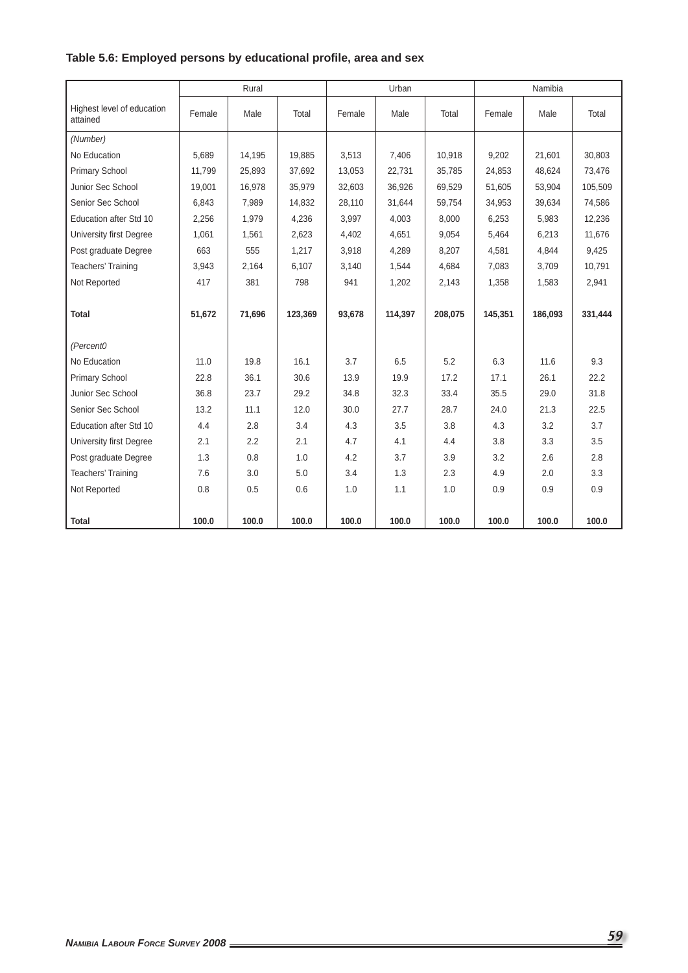|                                        |        | Rural  |         |        | Urban   |         |         | Namibia |         |
|----------------------------------------|--------|--------|---------|--------|---------|---------|---------|---------|---------|
| Highest level of education<br>attained | Female | Male   | Total   | Female | Male    | Total   | Female  | Male    | Total   |
| (Number)                               |        |        |         |        |         |         |         |         |         |
| No Education                           | 5.689  | 14,195 | 19,885  | 3,513  | 7,406   | 10,918  | 9,202   | 21,601  | 30,803  |
| Primary School                         | 11.799 | 25,893 | 37,692  | 13,053 | 22,731  | 35,785  | 24,853  | 48,624  | 73,476  |
| Junior Sec School                      | 19,001 | 16,978 | 35,979  | 32,603 | 36,926  | 69,529  | 51,605  | 53,904  | 105,509 |
| Senior Sec School                      | 6,843  | 7,989  | 14,832  | 28,110 | 31,644  | 59,754  | 34,953  | 39,634  | 74,586  |
| Education after Std 10                 | 2,256  | 1,979  | 4,236   | 3,997  | 4,003   | 8,000   | 6,253   | 5,983   | 12,236  |
| University first Degree                | 1,061  | 1,561  | 2,623   | 4,402  | 4,651   | 9,054   | 5,464   | 6,213   | 11,676  |
| Post graduate Degree                   | 663    | 555    | 1,217   | 3,918  | 4,289   | 8,207   | 4,581   | 4,844   | 9,425   |
| Teachers' Training                     | 3,943  | 2.164  | 6.107   | 3.140  | 1.544   | 4,684   | 7.083   | 3,709   | 10.791  |
| Not Reported                           | 417    | 381    | 798     | 941    | 1,202   | 2,143   | 1,358   | 1,583   | 2,941   |
|                                        |        |        |         |        |         |         |         |         |         |
| <b>Total</b>                           | 51,672 | 71,696 | 123,369 | 93,678 | 114,397 | 208,075 | 145,351 | 186,093 | 331,444 |
|                                        |        |        |         |        |         |         |         |         |         |
| (Percent0                              |        |        |         |        |         |         |         |         |         |
| No Education                           | 11.0   | 19.8   | 16.1    | 3.7    | 6.5     | 5.2     | 6.3     | 11.6    | 9.3     |
| Primary School                         | 22.8   | 36.1   | 30.6    | 13.9   | 19.9    | 17.2    | 17.1    | 26.1    | 22.2    |
| Junior Sec School                      | 36.8   | 23.7   | 29.2    | 34.8   | 32.3    | 33.4    | 35.5    | 29.0    | 31.8    |
| Senior Sec School                      | 13.2   | 11.1   | 12.0    | 30.0   | 27.7    | 28.7    | 24.0    | 21.3    | 22.5    |
| Education after Std 10                 | 4.4    | 2.8    | 3.4     | 4.3    | 3.5     | 3.8     | 4.3     | 3.2     | 3.7     |
| University first Degree                | 2.1    | 2.2    | 2.1     | 4.7    | 4.1     | 4.4     | 3.8     | 3.3     | 3.5     |
| Post graduate Degree                   | 1.3    | 0.8    | 1.0     | 4.2    | 3.7     | 3.9     | 3.2     | 2.6     | 2.8     |
| Teachers' Training                     | 7.6    | 3.0    | 5.0     | 3.4    | 1.3     | 2.3     | 4.9     | 2.0     | 3.3     |
| Not Reported                           | 0.8    | 0.5    | 0.6     | 1.0    | 1.1     | 1.0     | 0.9     | 0.9     | 0.9     |
|                                        |        |        |         |        |         |         |         |         |         |
| <b>Total</b>                           | 100.0  | 100.0  | 100.0   | 100.0  | 100.0   | 100.0   | 100.0   | 100.0   | 100.0   |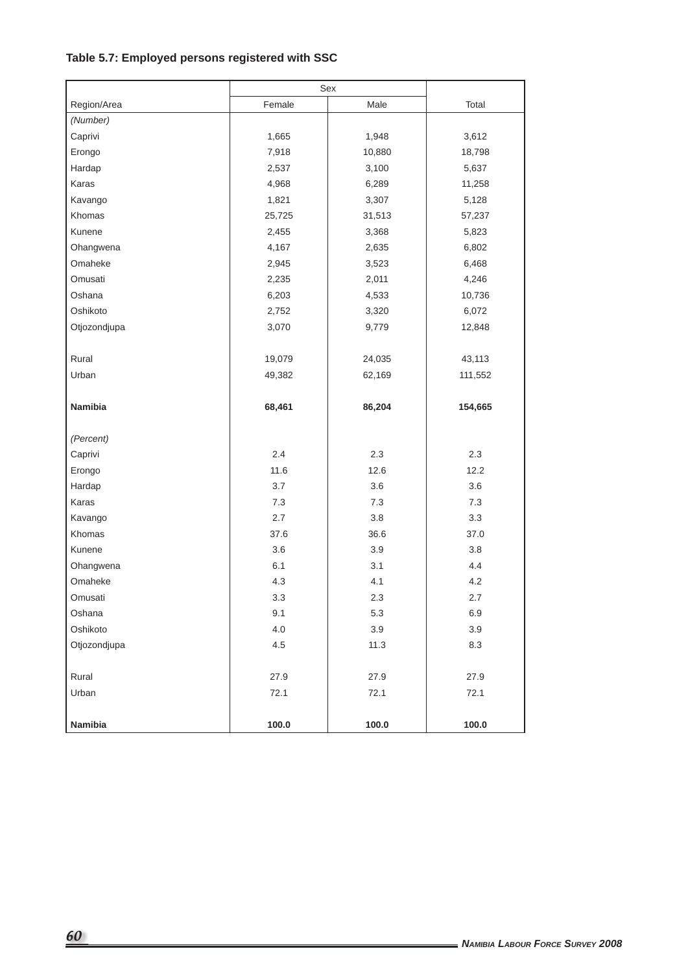# **Table 5.7: Employed persons registered with SSC**

|              |         | Sex     |         |
|--------------|---------|---------|---------|
| Region/Area  | Female  | Male    | Total   |
| (Number)     |         |         |         |
| Caprivi      | 1,665   | 1,948   | 3,612   |
| Erongo       | 7,918   | 10,880  | 18,798  |
| Hardap       | 2,537   | 3,100   | 5,637   |
| Karas        | 4,968   | 6,289   | 11,258  |
| Kavango      | 1,821   | 3,307   | 5,128   |
| Khomas       | 25,725  | 31,513  | 57,237  |
| Kunene       | 2,455   | 3,368   | 5,823   |
| Ohangwena    | 4,167   | 2,635   | 6,802   |
| Omaheke      | 2,945   | 3,523   | 6,468   |
| Omusati      | 2,235   | 2,011   | 4,246   |
| Oshana       | 6,203   | 4,533   | 10,736  |
| Oshikoto     | 2,752   | 3,320   | 6,072   |
| Otjozondjupa | 3,070   | 9,779   | 12,848  |
|              |         |         |         |
| Rural        | 19,079  | 24,035  | 43,113  |
| Urban        | 49,382  | 62,169  | 111,552 |
|              |         |         |         |
| Namibia      | 68,461  | 86,204  | 154,665 |
|              |         |         |         |
| (Percent)    |         |         |         |
| Caprivi      | 2.4     | 2.3     | 2.3     |
| Erongo       | 11.6    | 12.6    | 12.2    |
| Hardap       | 3.7     | 3.6     | 3.6     |
| Karas        | 7.3     | 7.3     | 7.3     |
| Kavango      | 2.7     | 3.8     | 3.3     |
| Khomas       | 37.6    | 36.6    | 37.0    |
| Kunene       | 3.6     | 3.9     | 3.8     |
| Ohangwena    | 6.1     | 3.1     | 4.4     |
| Omaheke      | 4.3     | 4.1     | 4.2     |
| Omusati      | 3.3     | $2.3\,$ | $2.7\,$ |
| Oshana       | 9.1     | 5.3     | 6.9     |
| Oshikoto     | 4.0     | 3.9     | 3.9     |
| Otjozondjupa | $4.5\,$ | 11.3    | 8.3     |
|              |         |         |         |
| Rural        | 27.9    | 27.9    | 27.9    |
| Urban        | 72.1    | 72.1    | 72.1    |
| Namibia      | 100.0   | 100.0   | 100.0   |
|              |         |         |         |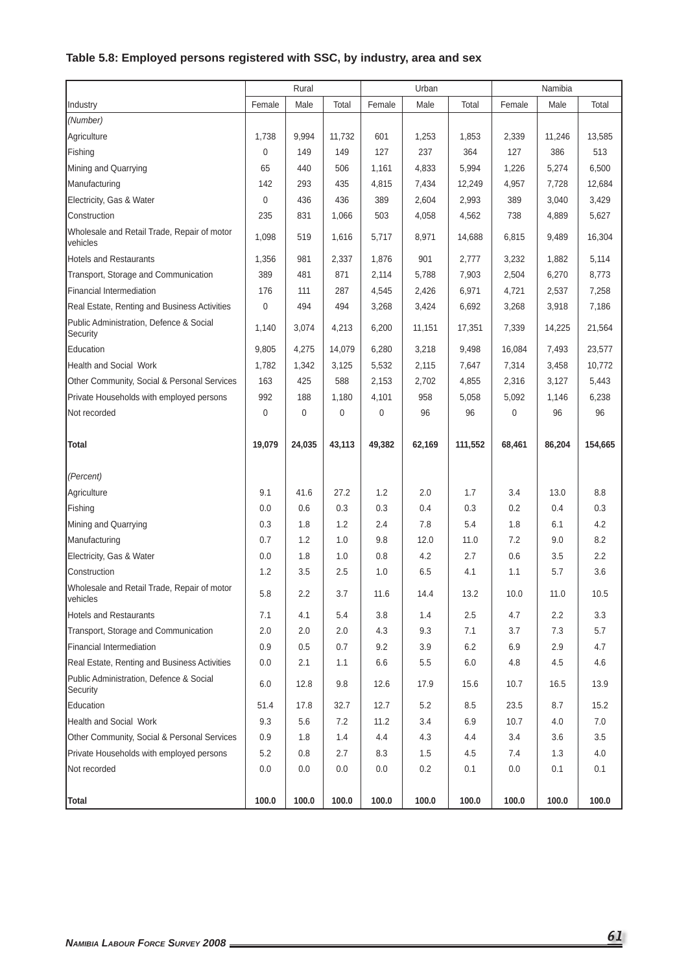# **Table 5.8: Employed persons registered with SSC, by industry, area and sex**

|                                                         |        | Rural  |        |        | Urban  |         |        | Namibia |         |
|---------------------------------------------------------|--------|--------|--------|--------|--------|---------|--------|---------|---------|
| Industry                                                | Female | Male   | Total  | Female | Male   | Total   | Female | Male    | Total   |
| (Number)                                                |        |        |        |        |        |         |        |         |         |
| Agriculture                                             | 1,738  | 9,994  | 11,732 | 601    | 1,253  | 1,853   | 2,339  | 11,246  | 13,585  |
| Fishing                                                 | 0      | 149    | 149    | 127    | 237    | 364     | 127    | 386     | 513     |
| Mining and Quarrying                                    | 65     | 440    | 506    | 1,161  | 4,833  | 5,994   | 1,226  | 5,274   | 6,500   |
| Manufacturing                                           | 142    | 293    | 435    | 4,815  | 7,434  | 12,249  | 4,957  | 7,728   | 12,684  |
| Electricity, Gas & Water                                | 0      | 436    | 436    | 389    | 2,604  | 2,993   | 389    | 3,040   | 3,429   |
| Construction                                            | 235    | 831    | 1,066  | 503    | 4,058  | 4,562   | 738    | 4,889   | 5,627   |
| Wholesale and Retail Trade, Repair of motor<br>vehicles | 1,098  | 519    | 1,616  | 5,717  | 8,971  | 14,688  | 6,815  | 9,489   | 16,304  |
| <b>Hotels and Restaurants</b>                           | 1,356  | 981    | 2,337  | 1,876  | 901    | 2,777   | 3,232  | 1,882   | 5,114   |
| Transport, Storage and Communication                    | 389    | 481    | 871    | 2,114  | 5,788  | 7,903   | 2,504  | 6,270   | 8,773   |
| <b>Financial Intermediation</b>                         | 176    | 111    | 287    | 4,545  | 2,426  | 6,971   | 4,721  | 2,537   | 7,258   |
| Real Estate, Renting and Business Activities            | 0      | 494    | 494    | 3,268  | 3,424  | 6,692   | 3,268  | 3,918   | 7,186   |
| Public Administration, Defence & Social<br>Security     | 1,140  | 3,074  | 4,213  | 6,200  | 11,151 | 17,351  | 7,339  | 14,225  | 21,564  |
| Education                                               | 9,805  | 4,275  | 14,079 | 6,280  | 3,218  | 9,498   | 16,084 | 7,493   | 23,577  |
| <b>Health and Social Work</b>                           | 1,782  | 1,342  | 3,125  | 5,532  | 2,115  | 7,647   | 7,314  | 3,458   | 10,772  |
| Other Community, Social & Personal Services             | 163    | 425    | 588    | 2,153  | 2,702  | 4,855   | 2,316  | 3,127   | 5,443   |
| Private Households with employed persons                | 992    | 188    | 1,180  | 4,101  | 958    | 5,058   | 5,092  | 1,146   | 6,238   |
| Not recorded                                            | 0      | 0      | 0      | 0      | 96     | 96      | 0      | 96      | 96      |
| <b>Total</b>                                            | 19,079 | 24,035 | 43,113 | 49,382 | 62,169 | 111,552 | 68,461 | 86,204  | 154,665 |
| (Percent)                                               |        |        |        |        |        |         |        |         |         |
| Agriculture                                             | 9.1    | 41.6   | 27.2   | 1.2    | 2.0    | 1.7     | 3.4    | 13.0    | 8.8     |
| Fishing                                                 | 0.0    | 0.6    | 0.3    | 0.3    | 0.4    | 0.3     | 0.2    | 0.4     | 0.3     |
| Mining and Quarrying                                    | 0.3    | 1.8    | 1.2    | 2.4    | 7.8    | 5.4     | 1.8    | 6.1     | 4.2     |
| Manufacturing                                           | 0.7    | 1.2    | 1.0    | 9.8    | 12.0   | 11.0    | 7.2    | 9.0     | 8.2     |
| Electricity, Gas & Water                                | 0.0    | 1.8    | 1.0    | 0.8    | 4.2    | 2.7     | 0.6    | 3.5     | $2.2\,$ |
| Construction                                            | 1.2    | 3.5    | 2.5    | 1.0    | 6.5    | 4.1     | 1.1    | 5.7     | 3.6     |
| Wholesale and Retail Trade, Repair of motor<br>vehicles | 5.8    | 2.2    | 3.7    | 11.6   | 14.4   | 13.2    | 10.0   | 11.0    | 10.5    |
| <b>Hotels and Restaurants</b>                           | 7.1    | 4.1    | 5.4    | 3.8    | 1.4    | 2.5     | 4.7    | 2.2     | 3.3     |
| Transport, Storage and Communication                    | 2.0    | 2.0    | 2.0    | 4.3    | 9.3    | 7.1     | 3.7    | 7.3     | 5.7     |
| Financial Intermediation                                | 0.9    | 0.5    | 0.7    | 9.2    | 3.9    | 6.2     | 6.9    | 2.9     | 4.7     |
| Real Estate, Renting and Business Activities            | 0.0    | 2.1    | 1.1    | 6.6    | 5.5    | 6.0     | 4.8    | 4.5     | 4.6     |
| Public Administration, Defence & Social<br>Security     | 6.0    | 12.8   | 9.8    | 12.6   | 17.9   | 15.6    | 10.7   | 16.5    | 13.9    |
| Education                                               | 51.4   | 17.8   | 32.7   | 12.7   | 5.2    | 8.5     | 23.5   | 8.7     | 15.2    |
| <b>Health and Social Work</b>                           | 9.3    | 5.6    | 7.2    | 11.2   | 3.4    | 6.9     | 10.7   | 4.0     | 7.0     |
| Other Community, Social & Personal Services             | 0.9    | 1.8    | 1.4    | 4.4    | 4.3    | 4.4     | 3.4    | 3.6     | 3.5     |
| Private Households with employed persons                | 5.2    | 0.8    | 2.7    | 8.3    | 1.5    | 4.5     | 7.4    | 1.3     | 4.0     |
| Not recorded                                            | 0.0    | 0.0    | 0.0    | 0.0    | 0.2    | 0.1     | 0.0    | 0.1     | 0.1     |
| Total                                                   | 100.0  | 100.0  | 100.0  | 100.0  | 100.0  | 100.0   | 100.0  | 100.0   | 100.0   |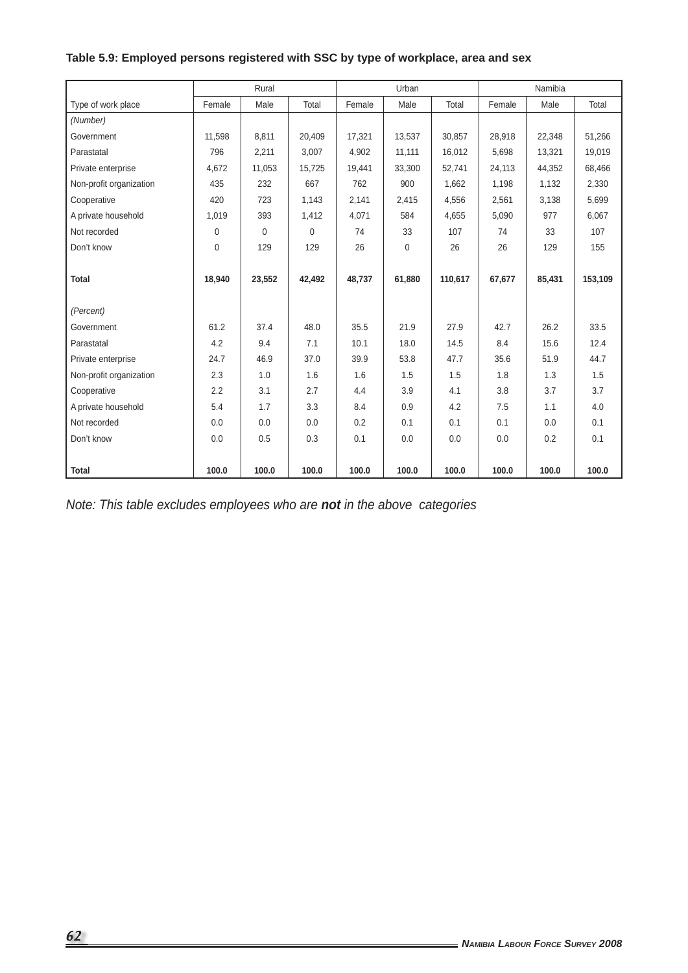# **Table 5.9: Employed persons registered with SSC by type of workplace, area and sex**

|                         |        | Rural    |                |        | Urban  |         |        | Namibia |         |
|-------------------------|--------|----------|----------------|--------|--------|---------|--------|---------|---------|
| Type of work place      | Female | Male     | Total          | Female | Male   | Total   | Female | Male    | Total   |
| (Number)                |        |          |                |        |        |         |        |         |         |
| Government              | 11,598 | 8,811    | 20,409         | 17,321 | 13,537 | 30,857  | 28,918 | 22,348  | 51,266  |
| Parastatal              | 796    | 2,211    | 3,007          | 4,902  | 11,111 | 16,012  | 5,698  | 13,321  | 19,019  |
| Private enterprise      | 4.672  | 11,053   | 15,725         | 19,441 | 33.300 | 52,741  | 24,113 | 44,352  | 68,466  |
| Non-profit organization | 435    | 232      | 667            | 762    | 900    | 1,662   | 1,198  | 1,132   | 2,330   |
| Cooperative             | 420    | 723      | 1,143          | 2,141  | 2,415  | 4,556   | 2,561  | 3,138   | 5,699   |
| A private household     | 1,019  | 393      | 1,412          | 4,071  | 584    | 4,655   | 5,090  | 977     | 6,067   |
| Not recorded            | 0      | $\Omega$ | $\overline{0}$ | 74     | 33     | 107     | 74     | 33      | 107     |
| Don't know              | 0      | 129      | 129            | 26     | 0      | 26      | 26     | 129     | 155     |
|                         |        |          |                |        |        |         |        |         |         |
| <b>Total</b>            | 18.940 | 23,552   | 42,492         | 48,737 | 61,880 | 110,617 | 67.677 | 85,431  | 153,109 |
|                         |        |          |                |        |        |         |        |         |         |
| (Percent)               |        |          |                |        |        |         |        |         |         |
| Government              | 61.2   | 37.4     | 48.0           | 35.5   | 21.9   | 27.9    | 42.7   | 26.2    | 33.5    |
| Parastatal              | 4.2    | 9.4      | 7.1            | 10.1   | 18.0   | 14.5    | 8.4    | 15.6    | 12.4    |
| Private enterprise      | 24.7   | 46.9     | 37.0           | 39.9   | 53.8   | 47.7    | 35.6   | 51.9    | 44.7    |
| Non-profit organization | 2.3    | 1.0      | 1.6            | 1.6    | 1.5    | 1.5     | 1.8    | 1.3     | 1.5     |
| Cooperative             | 2.2    | 3.1      | 2.7            | 4.4    | 3.9    | 4.1     | 3.8    | 3.7     | 3.7     |
| A private household     | 5.4    | 1.7      | 3.3            | 8.4    | 0.9    | 4.2     | 7.5    | 1.1     | 4.0     |
| Not recorded            | 0.0    | 0.0      | 0.0            | 0.2    | 0.1    | 0.1     | 0.1    | 0.0     | 0.1     |
| Don't know              | 0.0    | 0.5      | 0.3            | 0.1    | 0.0    | 0.0     | 0.0    | 0.2     | 0.1     |
|                         |        |          |                |        |        |         |        |         |         |
| <b>Total</b>            | 100.0  | 100.0    | 100.0          | 100.0  | 100.0  | 100.0   | 100.0  | 100.0   | 100.0   |

*Note: This table excludes employees who are not in the above categories*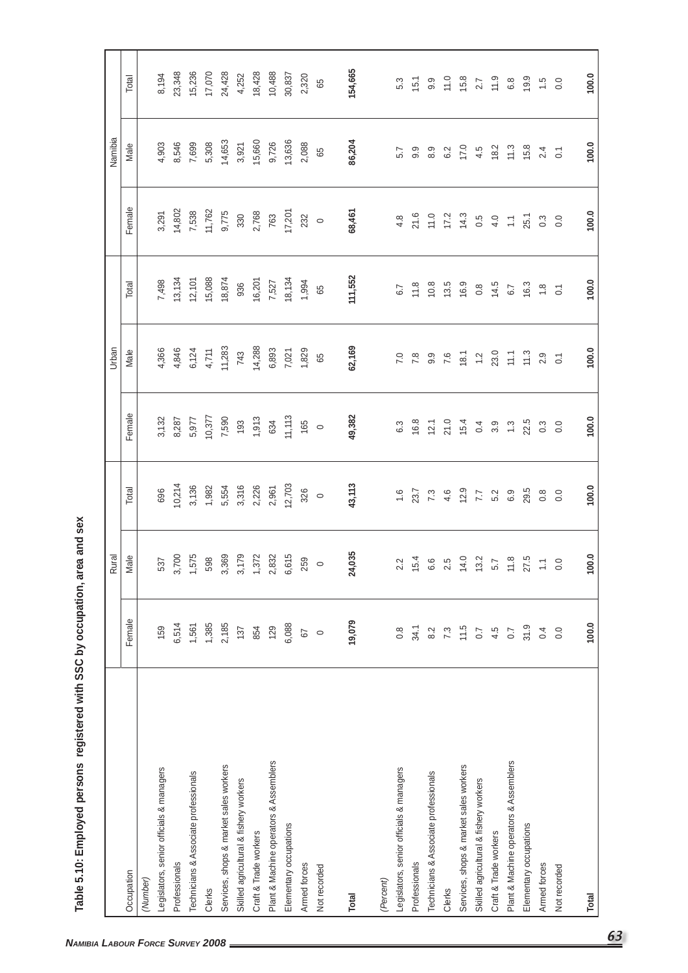| area and sex        |
|---------------------|
| פפר מי מייוויים     |
|                     |
|                     |
|                     |
| <b>CONCHCHICAGO</b> |
| . א מימי היים היה   |
|                     |
| . Employ            |
|                     |
| j<br>ä              |

|                                          |                  | Rural                   |                 |                  | Urban          |                  |                         | Namibia        |                  |
|------------------------------------------|------------------|-------------------------|-----------------|------------------|----------------|------------------|-------------------------|----------------|------------------|
| Occupation                               | Female           | Male                    | Total           | Female           | Male           | Total            | Female                  | Male           | Total            |
| (Number)                                 |                  |                         |                 |                  |                |                  |                         |                |                  |
| Legislators, senior officials & managers | 159              | 537                     | 696             | 3,132            | 4,366          | 7,498            | 3,291                   | 4,903          | 8,194            |
| Professionals                            | 6,514            | 3,700                   | 10,214          | 8,287            | 4,846          | 13,134           | 14,802                  | 8,546          | 23,348           |
| Technicians & Associate professionals    | 1,561            | 1,575                   | 3,136           | 5,977            | 6,124          | 12,101           | 7,538                   | 7,699          | 15,236           |
| Clerks                                   | 1,385            | 598                     | 1,982           | 10,377           | 4,711          | 15,088           | 11,762                  | 5,308          | 17,070           |
| Services, shops & market sales workers   | 2,185            | 3,369                   | 5,554           | 7,590            | 11,283         | 18,874           | 9,775                   | 14,653         | 24,428           |
| Skilled agricultural & fishery workers   | 137              | 3,179                   | 3,316           | 193              | 743            | 936              | 330                     | 3,921          | 4,252            |
| Craft & Trade workers                    | 854              | 1,372                   | 2,226           | 1,913            | 14,288         | 16,201           | 2,768                   | 15,660         | 18,428           |
| Plant & Machine operators & Assemblers   | 129              | 2,832                   | 2,961           | 634              | 6,893          | 7,527            | 763                     | 9,726          | 10,488           |
| Elementary occupations                   | 6,088            | 6,615                   | 12,703          | 11,113           | 7,021          | 18,134           | 17,201                  | 13,636         | 30,837           |
| Armed forces                             | 57               | 259                     | 326             | 165              | 1,829          | 1,994            | 232                     | 2,088          | 2,320            |
| Not recorded                             | $\circ$          | $\circ$                 | $\circ$         | $\circ$          | 65             | 65               | $\circ$                 | 65             | 65               |
| Total                                    | 19,079           | 24,035                  | 43,113          | 49,382           | 62,169         | 111,552          | 68,461                  | 86,204         | 154,665          |
| (Percent)                                |                  |                         |                 |                  |                |                  |                         |                |                  |
| Legislators, senior officials & managers | $0.\overline{8}$ | 2.2                     | $\frac{6}{1}$   | $6.3\,$          | 7.0            | 6.7              | 4.8                     | 5.7            | 5.3              |
| Professionals                            | 34.1             | 15.4                    | 23.7            | 16.8             | 7.8            | 11.8             | 21.6                    | 9.9            | 15.1             |
| Technicians & Associate professionals    | 8.2              | 6.6                     | 7.3             | 12.1             | 9.9            | 10.8             | 11.0                    | $8.9$          | 9.9              |
| Clerks                                   | 7.3              | 2.5                     | 4.6             | 21.0             | 7.6            | 13.5             | 17.2                    | 6.2            | 11.0             |
| Services, shops & market sales workers   | 11.5             | 14.0                    | 12.9            | 15.4             | 18.1           | 16.9             | 14.3                    | 17.0           | 15.8             |
| Skilled agricultural & fishery workers   | $\overline{0.7}$ | 13.2                    | $\overline{77}$ | 0.4              | $\ddot{ }$     | $0.\overline{8}$ | 0.5                     | 4.5            | 2.7              |
| Craft & Trade workers                    | 4.5              | 5.7                     | 5.2             | 3.9              | 23.0           | 14.5             | 4.0                     | 18.2           | 11.9             |
| Plant & Machine operators & Assemblers   | $0.7\,$          | $11.8$                  | 6.9             | $\ddot{c}$       | $\frac{1}{2}$  | 6.7              | $\overline{\mathbb{C}}$ | 11.3           | $6.8\,$          |
| Elementary occupations                   | 31.9             | 27.5                    | 29.5            | 22.5             | 11.3           | 16.3             | 25.1                    | 15.8           | 19.9             |
| Armed forces                             | 0.4              | $\overline{\mathbb{C}}$ | $\frac{8}{2}$   | $0.\overline{3}$ | 2.9            | $\frac{8}{10}$   | 0.3                     | 2.4            | $\ddot{5}$       |
| Not recorded                             | 0.0              | 0.0                     | 0.0             | 0.0              | $\overline{C}$ | $\overline{C}$   | 0.0                     | $\overline{O}$ | $\overline{0}$ . |
| Total                                    | 100.0            | 100.0                   | 100.0           | 100.0            | 100.0          | 100.0            | 100.0                   | 100.0          | 100.0            |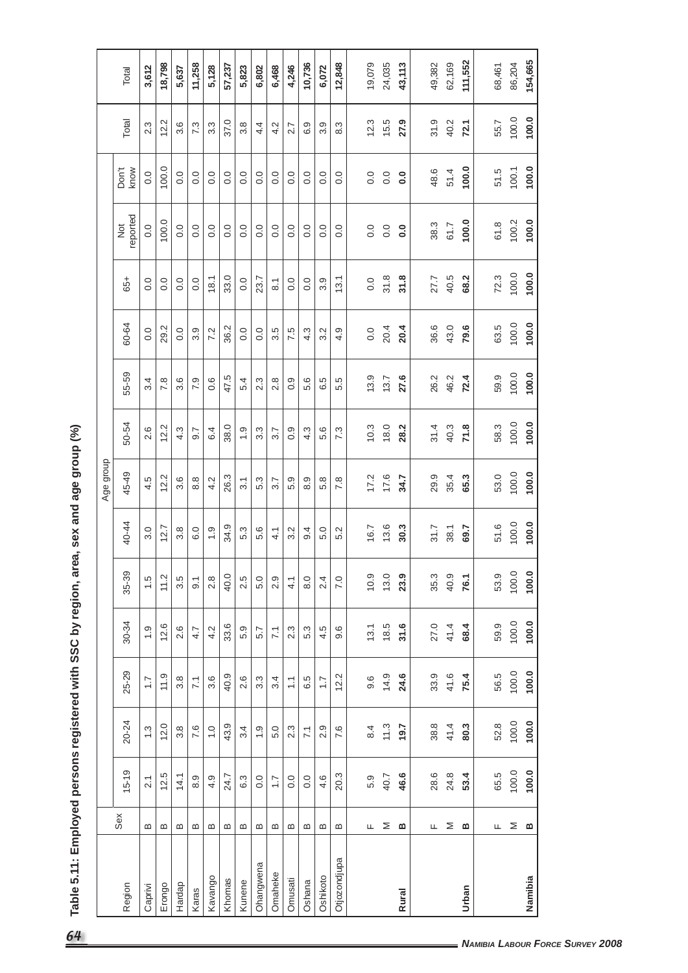| area, sex and age group (%) |
|-----------------------------|
|                             |
|                             |
|                             |
| <b>CCC hurranion</b>        |
| しこと このり                     |
|                             |
|                             |
| .c ronictoror               |
|                             |
|                             |
| $\sim$ $\sim$ $\sim$        |
|                             |
| :                           |

|              |        |                       |                               |                     |                 |                      |                  | Age group        |                  |       |                  |                  |                           |                  |         |         |
|--------------|--------|-----------------------|-------------------------------|---------------------|-----------------|----------------------|------------------|------------------|------------------|-------|------------------|------------------|---------------------------|------------------|---------|---------|
| Region       | Sex    | $15 - 19$             | 20-24                         | 25-29               | 30-34           | 35-39                | 40-44            | 45-49            | 50-54            | 55-59 | 60-64            | 65+              | reported<br>$\frac{5}{2}$ | Don't<br>know    | Total   | Total   |
| Caprivi      | ≃      | $\overline{2.1}$      | $\ddot{3}$                    | $\ddot{ }$ :        | $\ddot{ }$ .    | ယ္<br>$\overline{ }$ | 3.0              | 4.5              | 2.6              | 3.4   | 0.0              | 0.0              | 0.0                       | 0.0              | 2.3     | 3,612   |
| Erongo       | ≃      | 12.5                  | 12.0                          | 11.9                | 12.6            | 11.2                 | 12.7             | 12.2             | 12.2             | 7.8   | 29.2             | 0.0              | 100.0                     | 100.0            | 12.2    | 18,798  |
| Hardap       | ≃      | 14.1                  | $3.\overline{8}$              | 3.8                 | 2.6             | Ю<br>က               | $3.\overline{8}$ | $3.\overline{6}$ | 4.3              | 3.6   | 0.0              | 0.0              | 0.0                       | 0.0              | 3.6     | 5,637   |
| Karas        | ≃      | 8.9                   | 7.6                           | $\overline{71}$     | 4.7             | $\overline{9}$ .     | 6.0              | 8.8              | 9.7              | 7.9   | 3.9              | 0.0              | 0.0                       | $\overline{0}$ . | 7.3     | 11,258  |
| Kavango      | ≃      | 4.9                   | $\frac{0}{1}$                 | ဖ<br>က              | Ņ<br>4          | $\infty$<br>$\sim$   | $\frac{0}{1}$    | 4.2              | 6.4              | 0.6   | 7.2              | 18.1             | 0.0                       | $\overline{0}$ . | 3.3     | 5,128   |
| Khomas       | ≃      | r.<br>$\overline{24}$ | ၜ<br>$\frac{3}{4}$            | တ<br>$\overline{5}$ | ဖ<br>33.        | 40.0                 | တ္<br>34.        | 26.3             | 38.0             | 47.5  | 36.2             | 33.0             | $\overline{0}$ .          | 0.0              | 37.0    | 57,237  |
| Kunene       | ≃      | 6.3                   | 3.4                           | ဖ<br>$\sim$         | တ<br>ΓÓ         | Ю<br>$\sim$          | 5.3              | $\overline{3}$ . | $\frac{0}{1}$    | 5.4   | 0.0              | 0.0              | 0.0                       | 0.0              | 3.8     | 5,823   |
| Ohangwena    | ≃      | 0.0                   | $\frac{0}{1}$                 | ო<br>6              | 5.7             | 5.0                  | 5.6              | 5.3              | $3.\overline{3}$ | 2.3   | $\overline{0}$ . | 23.7             | $\overline{0}$ .          | $\overline{0}$ . | 4.4     | 6,802   |
| Omaheke      | ≃      | $\ddot{ }$ :          | 5.0                           | 3.4                 | $\overline{71}$ | 2.9                  | 4.1              | 3.7              | 3.7              | 2.8   | 3.5              | $\overline{8}$ . | 0.0                       | 0.0              | 4.2     | 6,468   |
| Omusati      | ≃      | 0.0                   | က္<br>$\overline{\mathsf{N}}$ | $\frac{1}{2}$       | ω.<br>$\sim$    | 4.1                  | $3.\overline{2}$ | 5.9              | 0.9              | 0.9   | 7.5              | 0.0              | 0.0                       | 0.0              | 2.7     | 4,246   |
| Oshana       | ≃      | 0.0                   | $\overline{71}$               | 6.5                 | w<br>ΓÓ.        | 8.0                  | 9.4              | 8.9              | w<br>4           | 5.6   | 4.3              | 0.0              | 0.0                       | 0.0              | တ္<br>ق | 10,736  |
| Oshikoto     | ≃      | 4.6                   | ၜ<br>$\sim$                   | $\overline{1}$      | rö.<br>4        | 4<br>$\sim$          | 5.0              | 5.8              | 5.6              | 6.5   | Ņ<br>က           | 3.9              | 0.0                       | 0.0              | 3.9     | 6,072   |
| Otjozondjupa | ≃      | 20.3                  | 7.6                           | $\sim$<br><u>이</u>  | ဖ<br>တ          | $\overline{7.0}$     | Ņ<br>ro.         | 7.8              | 7.3              | 5.5   | 4.9              | 13.1             | 0.0                       | $\frac{0}{0}$    | က္<br>∞ | 12,848  |
|              |        |                       |                               |                     |                 |                      |                  |                  |                  |       |                  |                  |                           |                  |         |         |
|              | Щ.     | 5.9                   | 8.4                           | 9.6                 | 13.1            | 10.9                 | 16.7             | 17.2             | 10.3             | 13.9  | 0.0              | 0.0              | 0.0                       | 0.0              | 12.3    | 19,079  |
|              | ⋝      | 40.7                  | 11.3                          | 14.9                | 18.5            | 13.0                 | 13.6             | 17.6             | 18.0             | 13.7  | 20.4             | 31.8             | 0.0                       | 0.0              | 15.5    | 24,035  |
| Rural        | മ      | 46.6                  | 19.7                          | 24.6                | 31.6            | 23.9                 | 30.3             | 34.7             | 28.2             | 27.6  | 20.4             | 31.8             | $\overline{0}$ .          | $\overline{0}$   | 27.9    | 43,113  |
|              |        |                       |                               |                     |                 |                      |                  |                  |                  |       |                  |                  |                           |                  |         |         |
|              | ш.     | 28.6                  | 38.8                          | 33.9                | 27.0            | 35.3                 | 31.7             | 29.9             | 31.4             | 26.2  | 36.6             | 27.7             | 38.3                      | 48.6             | 31.9    | 49,382  |
|              | Σ      | 24.8                  | 41.4                          | 41.6                | 41.4            | 40.9                 | 38.1             | 35.4             | 40.3             | 46.2  | 43.0             | 40.5             | 61.7                      | 51.4             | 40.2    | 62,169  |
| Urban        | മ      | 53.4                  | 80.3                          | 75.4                | 68.4            | 76.1                 | 69.7             | 65.3             | 71.8             | 72.4  | 79.6             | 68.2             | 100.0                     | 100.0            | 72.1    | 111,552 |
|              |        | 65.5                  | 52.8                          | 56.5                | 59.9            | 53.9                 | 51.6             | 53.0             | 58.3             | 59.9  | 63.5             | 72.3             | 61.8                      | 51.5             | 55.7    | 68,461  |
|              | Щ.     | 100.0                 | 100.0                         | 100.0               | 100.0           | 100.0                |                  | 100.0            | 100.0            | 100.0 | 100.0            | 100.0            | 100.2                     | 100.1            | 100.0   | 86,204  |
|              | $\geq$ |                       |                               |                     |                 |                      | 100.0            |                  |                  |       |                  |                  |                           |                  |         |         |
| Namibia      | ≃      | 100.0                 | 100.0                         | 100.0               | 100.0           | 100.0                | 100.0            | 100.0            | 100.0            | 100.0 | 100.0            | 100.0            | 100.0                     | 100.0            | 100.0   | 154,665 |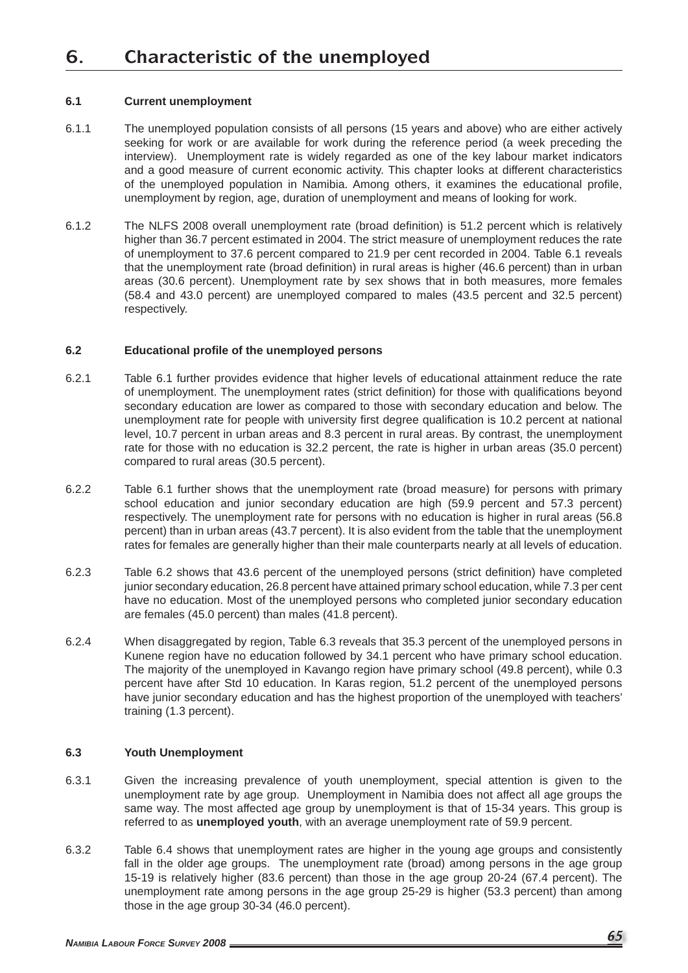#### **6.1 Current unemployment**

- 6.1.1 The unemployed population consists of all persons (15 years and above) who are either actively seeking for work or are available for work during the reference period (a week preceding the interview). Unemployment rate is widely regarded as one of the key labour market indicators and a good measure of current economic activity. This chapter looks at different characteristics of the unemployed population in Namibia. Among others, it examines the educational profile, unemployment by region, age, duration of unemployment and means of looking for work.
- 6.1.2 The NLFS 2008 overall unemployment rate (broad definition) is 51.2 percent which is relatively higher than 36.7 percent estimated in 2004. The strict measure of unemployment reduces the rate of unemployment to 37.6 percent compared to 21.9 per cent recorded in 2004. Table 6.1 reveals that the unemployment rate (broad definition) in rural areas is higher (46.6 percent) than in urban areas (30.6 percent). Unemployment rate by sex shows that in both measures, more females (58.4 and 43.0 percent) are unemployed compared to males (43.5 percent and 32.5 percent) respectively.

#### **6.2 Educational profi le of the unemployed persons**

- 6.2.1 Table 6.1 further provides evidence that higher levels of educational attainment reduce the rate of unemployment. The unemployment rates (strict definition) for those with qualifications beyond secondary education are lower as compared to those with secondary education and below. The unemployment rate for people with university first degree qualification is 10.2 percent at national level, 10.7 percent in urban areas and 8.3 percent in rural areas. By contrast, the unemployment rate for those with no education is 32.2 percent, the rate is higher in urban areas (35.0 percent) compared to rural areas (30.5 percent).
- 6.2.2 Table 6.1 further shows that the unemployment rate (broad measure) for persons with primary school education and junior secondary education are high (59.9 percent and 57.3 percent) respectively. The unemployment rate for persons with no education is higher in rural areas (56.8 percent) than in urban areas (43.7 percent). It is also evident from the table that the unemployment rates for females are generally higher than their male counterparts nearly at all levels of education.
- 6.2.3 Table 6.2 shows that 43.6 percent of the unemployed persons (strict definition) have completed junior secondary education, 26.8 percent have attained primary school education, while 7.3 per cent have no education. Most of the unemployed persons who completed junior secondary education are females (45.0 percent) than males (41.8 percent).
- 6.2.4 When disaggregated by region, Table 6.3 reveals that 35.3 percent of the unemployed persons in Kunene region have no education followed by 34.1 percent who have primary school education. The majority of the unemployed in Kavango region have primary school (49.8 percent), while 0.3 percent have after Std 10 education. In Karas region, 51.2 percent of the unemployed persons have junior secondary education and has the highest proportion of the unemployed with teachers' training (1.3 percent).

#### **6.3 Youth Unemployment**

- 6.3.1 Given the increasing prevalence of youth unemployment, special attention is given to the unemployment rate by age group. Unemployment in Namibia does not affect all age groups the same way. The most affected age group by unemployment is that of 15-34 years. This group is referred to as **unemployed youth**, with an average unemployment rate of 59.9 percent.
- 6.3.2 Table 6.4 shows that unemployment rates are higher in the young age groups and consistently fall in the older age groups. The unemployment rate (broad) among persons in the age group 15-19 is relatively higher (83.6 percent) than those in the age group 20-24 (67.4 percent). The unemployment rate among persons in the age group 25-29 is higher (53.3 percent) than among those in the age group 30-34 (46.0 percent).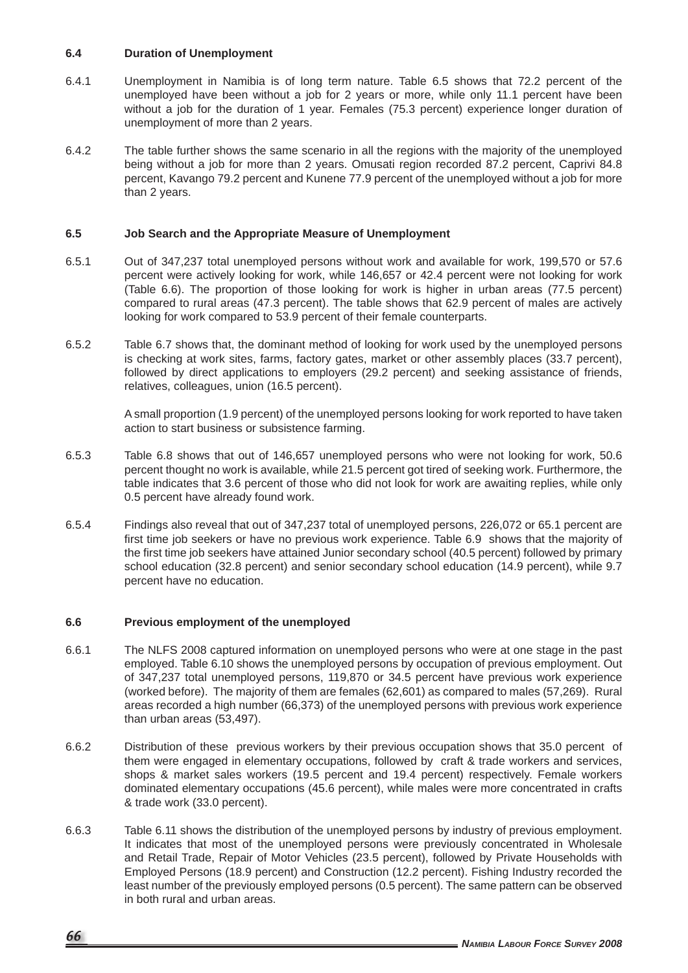#### **6.4 Duration of Unemployment**

- 6.4.1 Unemployment in Namibia is of long term nature. Table 6.5 shows that 72.2 percent of the unemployed have been without a job for 2 years or more, while only 11.1 percent have been without a job for the duration of 1 year. Females (75.3 percent) experience longer duration of unemployment of more than 2 years.
- 6.4.2 The table further shows the same scenario in all the regions with the majority of the unemployed being without a job for more than 2 years. Omusati region recorded 87.2 percent, Caprivi 84.8 percent, Kavango 79.2 percent and Kunene 77.9 percent of the unemployed without a job for more than 2 years.

### **6.5 Job Search and the Appropriate Measure of Unemployment**

- 6.5.1 Out of 347,237 total unemployed persons without work and available for work, 199,570 or 57.6 percent were actively looking for work, while 146,657 or 42.4 percent were not looking for work (Table 6.6). The proportion of those looking for work is higher in urban areas (77.5 percent) compared to rural areas (47.3 percent). The table shows that 62.9 percent of males are actively looking for work compared to 53.9 percent of their female counterparts.
- 6.5.2 Table 6.7 shows that, the dominant method of looking for work used by the unemployed persons is checking at work sites, farms, factory gates, market or other assembly places (33.7 percent), followed by direct applications to employers (29.2 percent) and seeking assistance of friends, relatives, colleagues, union (16.5 percent).

 A small proportion (1.9 percent) of the unemployed persons looking for work reported to have taken action to start business or subsistence farming.

- 6.5.3 Table 6.8 shows that out of 146,657 unemployed persons who were not looking for work, 50.6 percent thought no work is available, while 21.5 percent got tired of seeking work. Furthermore, the table indicates that 3.6 percent of those who did not look for work are awaiting replies, while only 0.5 percent have already found work.
- 6.5.4 Findings also reveal that out of 347,237 total of unemployed persons, 226,072 or 65.1 percent are first time job seekers or have no previous work experience. Table 6.9 shows that the majority of the first time job seekers have attained Junior secondary school (40.5 percent) followed by primary school education (32.8 percent) and senior secondary school education (14.9 percent), while 9.7 percent have no education.

#### **6.6 Previous employment of the unemployed**

- 6.6.1 The NLFS 2008 captured information on unemployed persons who were at one stage in the past employed. Table 6.10 shows the unemployed persons by occupation of previous employment. Out of 347,237 total unemployed persons, 119,870 or 34.5 percent have previous work experience (worked before). The majority of them are females (62,601) as compared to males (57,269). Rural areas recorded a high number (66,373) of the unemployed persons with previous work experience than urban areas (53,497).
- 6.6.2 Distribution of these previous workers by their previous occupation shows that 35.0 percent of them were engaged in elementary occupations, followed by craft & trade workers and services, shops & market sales workers (19.5 percent and 19.4 percent) respectively. Female workers dominated elementary occupations (45.6 percent), while males were more concentrated in crafts & trade work (33.0 percent).
- 6.6.3 Table 6.11 shows the distribution of the unemployed persons by industry of previous employment. It indicates that most of the unemployed persons were previously concentrated in Wholesale and Retail Trade, Repair of Motor Vehicles (23.5 percent), followed by Private Households with Employed Persons (18.9 percent) and Construction (12.2 percent). Fishing Industry recorded the least number of the previously employed persons (0.5 percent). The same pattern can be observed in both rural and urban areas.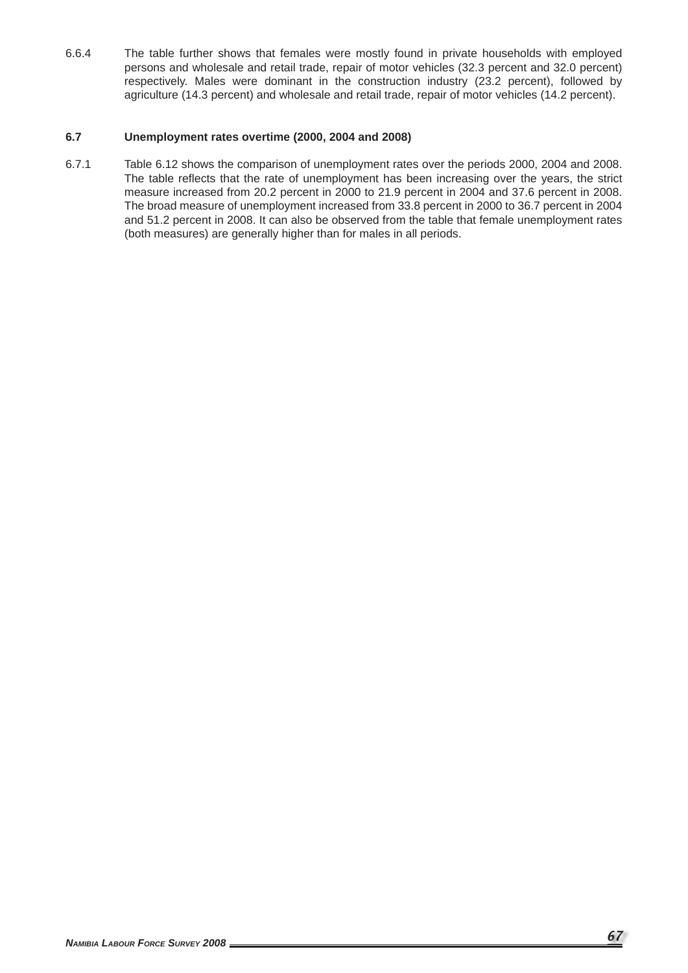6.6.4 The table further shows that females were mostly found in private households with employed persons and wholesale and retail trade, repair of motor vehicles (32.3 percent and 32.0 percent) respectively. Males were dominant in the construction industry (23.2 percent), followed by agriculture (14.3 percent) and wholesale and retail trade, repair of motor vehicles (14.2 percent).

### **6.7 Unemployment rates overtime (2000, 2004 and 2008)**

6.7.1 Table 6.12 shows the comparison of unemployment rates over the periods 2000, 2004 and 2008. The table reflects that the rate of unemployment has been increasing over the years, the strict measure increased from 20.2 percent in 2000 to 21.9 percent in 2004 and 37.6 percent in 2008. The broad measure of unemployment increased from 33.8 percent in 2000 to 36.7 percent in 2004 and 51.2 percent in 2008. It can also be observed from the table that female unemployment rates (both measures) are generally higher than for males in all periods.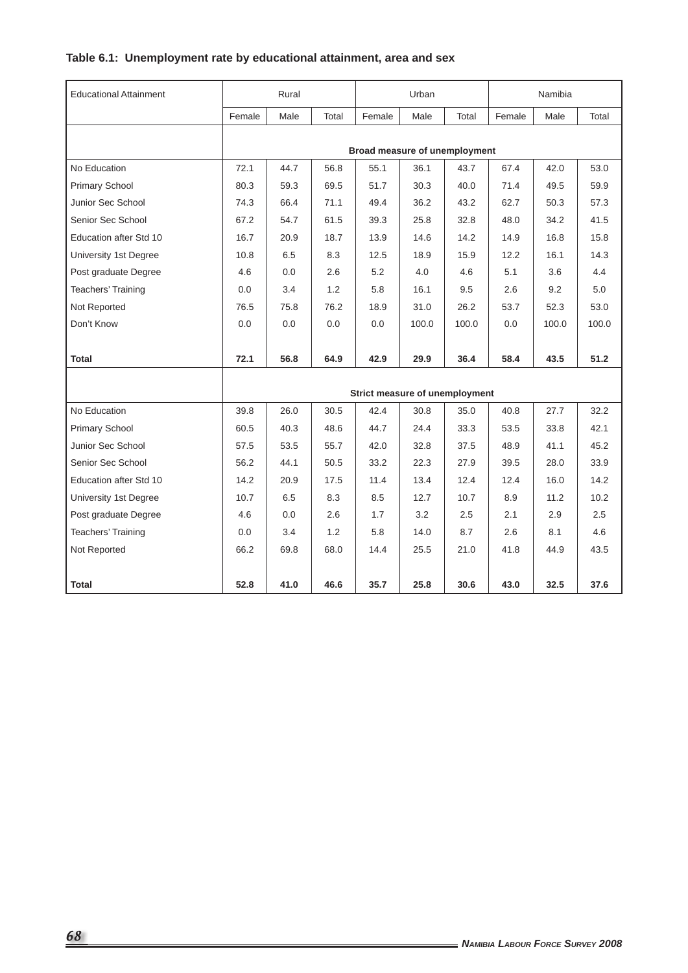# **Table 6.1: Unemployment rate by educational attainment, area and sex**

| <b>Educational Attainment</b> |        | Rural |       |                                | Urban |       |        | Namibia |       |
|-------------------------------|--------|-------|-------|--------------------------------|-------|-------|--------|---------|-------|
|                               | Female | Male  | Total | Female                         | Male  | Total | Female | Male    | Total |
|                               |        |       |       | Broad measure of unemployment  |       |       |        |         |       |
| No Education                  | 72.1   | 44.7  | 56.8  | 55.1                           | 36.1  | 43.7  | 67.4   | 42.0    | 53.0  |
| <b>Primary School</b>         | 80.3   | 59.3  | 69.5  | 51.7                           | 30.3  | 40.0  | 71.4   | 49.5    | 59.9  |
| Junior Sec School             | 74.3   | 66.4  | 71.1  | 49.4                           | 36.2  | 43.2  | 62.7   | 50.3    | 57.3  |
| Senior Sec School             | 67.2   | 54.7  | 61.5  | 39.3                           | 25.8  | 32.8  | 48.0   | 34.2    | 41.5  |
| Education after Std 10        | 16.7   | 20.9  | 18.7  | 13.9                           | 14.6  | 14.2  | 14.9   | 16.8    | 15.8  |
| University 1st Degree         | 10.8   | 6.5   | 8.3   | 12.5                           | 18.9  | 15.9  | 12.2   | 16.1    | 14.3  |
| Post graduate Degree          | 4.6    | 0.0   | 2.6   | 5.2                            | 4.0   | 4.6   | 5.1    | 3.6     | 4.4   |
| <b>Teachers' Training</b>     | 0.0    | 3.4   | 1.2   | 5.8                            | 16.1  | 9.5   | 2.6    | 9.2     | 5.0   |
| Not Reported                  | 76.5   | 75.8  | 76.2  | 18.9                           | 31.0  | 26.2  | 53.7   | 52.3    | 53.0  |
| Don't Know                    | 0.0    | 0.0   | 0.0   | 0.0                            | 100.0 | 100.0 | 0.0    | 100.0   | 100.0 |
|                               |        |       |       |                                |       |       |        |         |       |
| Total                         | 72.1   | 56.8  | 64.9  | 42.9                           | 29.9  | 36.4  | 58.4   | 43.5    | 51.2  |
|                               |        |       |       |                                |       |       |        |         |       |
|                               |        |       |       | Strict measure of unemployment |       |       |        |         |       |
| No Education                  | 39.8   | 26.0  | 30.5  | 42.4                           | 30.8  | 35.0  | 40.8   | 27.7    | 32.2  |
| <b>Primary School</b>         | 60.5   | 40.3  | 48.6  | 44.7                           | 24.4  | 33.3  | 53.5   | 33.8    | 42.1  |
| Junior Sec School             | 57.5   | 53.5  | 55.7  | 42.0                           | 32.8  | 37.5  | 48.9   | 41.1    | 45.2  |
| Senior Sec School             | 56.2   | 44.1  | 50.5  | 33.2                           | 22.3  | 27.9  | 39.5   | 28.0    | 33.9  |
| Education after Std 10        | 14.2   | 20.9  | 17.5  | 11.4                           | 13.4  | 12.4  | 12.4   | 16.0    | 14.2  |
| University 1st Degree         | 10.7   | 6.5   | 8.3   | 8.5                            | 12.7  | 10.7  | 8.9    | 11.2    | 10.2  |
| Post graduate Degree          | 4.6    | 0.0   | 2.6   | 1.7                            | 3.2   | 2.5   | 2.1    | 2.9     | 2.5   |
| <b>Teachers' Training</b>     | 0.0    | 3.4   | 1.2   | 5.8                            | 14.0  | 8.7   | 2.6    | 8.1     | 4.6   |
| Not Reported                  | 66.2   | 69.8  | 68.0  | 14.4                           | 25.5  | 21.0  | 41.8   | 44.9    | 43.5  |
|                               |        |       |       |                                |       |       |        |         |       |
| Total                         | 52.8   | 41.0  | 46.6  | 35.7                           | 25.8  | 30.6  | 43.0   | 32.5    | 37.6  |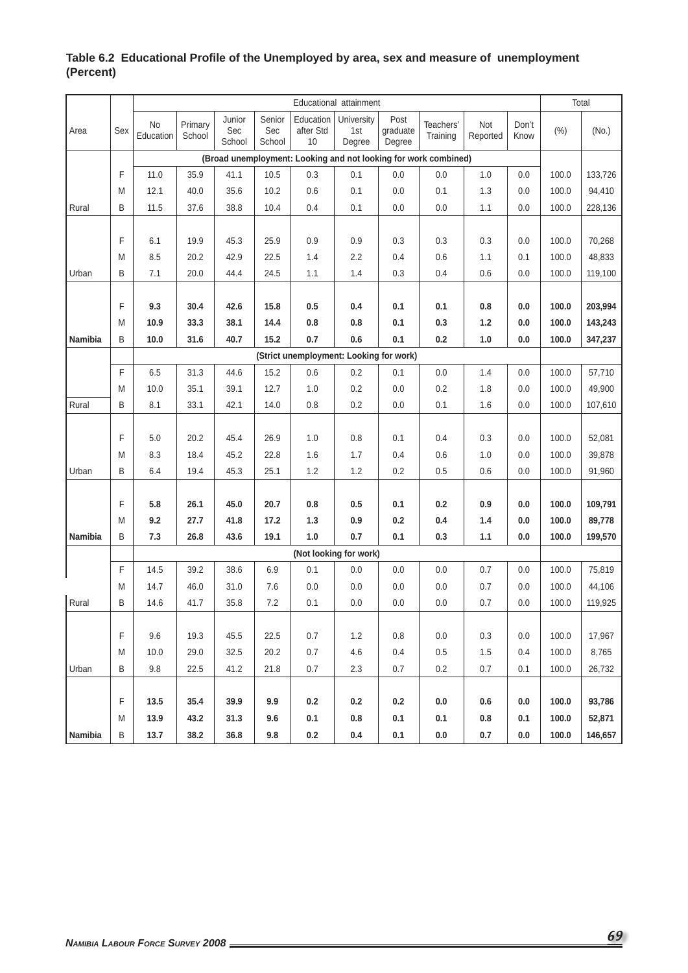|         |     |                 |                   |                         |                         |                                         | Educational attainment      |                            |                                                                 |                 |               |       | Total   |
|---------|-----|-----------------|-------------------|-------------------------|-------------------------|-----------------------------------------|-----------------------------|----------------------------|-----------------------------------------------------------------|-----------------|---------------|-------|---------|
| Area    | Sex | No<br>Education | Primary<br>School | Junior<br>Sec<br>School | Senior<br>Sec<br>School | Education<br>after Std<br>10            | University<br>1st<br>Degree | Post<br>graduate<br>Degree | Teachers'<br>Training                                           | Not<br>Reported | Don't<br>Know | (% )  | (No.)   |
|         |     |                 |                   |                         |                         |                                         |                             |                            | (Broad unemployment: Looking and not looking for work combined) |                 |               |       |         |
|         | F   | 11.0            | 35.9              | 41.1                    | 10.5                    | 0.3                                     | 0.1                         | 0.0                        | 0.0                                                             | 1.0             | 0.0           | 100.0 | 133,726 |
|         | M   | 12.1            | 40.0              | 35.6                    | 10.2                    | 0.6                                     | 0.1                         | 0.0                        | 0.1                                                             | 1.3             | 0.0           | 100.0 | 94,410  |
| Rural   | B   | 11.5            | 37.6              | 38.8                    | 10.4                    | 0.4                                     | 0.1                         | 0.0                        | 0.0                                                             | 1.1             | 0.0           | 100.0 | 228,136 |
|         |     |                 |                   |                         |                         |                                         |                             |                            |                                                                 |                 |               |       |         |
|         | F   | 6.1             | 19.9              | 45.3                    | 25.9                    | 0.9                                     | 0.9                         | 0.3                        | 0.3                                                             | 0.3             | 0.0           | 100.0 | 70,268  |
|         | M   | 8.5             | 20.2              | 42.9                    | 22.5                    | 1.4                                     | 2.2                         | 0.4                        | 0.6                                                             | 1.1             | 0.1           | 100.0 | 48,833  |
| Urban   | B   | 7.1             | 20.0              | 44.4                    | 24.5                    | 1.1                                     | 1.4                         | 0.3                        | 0.4                                                             | 0.6             | 0.0           | 100.0 | 119,100 |
|         |     |                 |                   |                         |                         |                                         |                             |                            |                                                                 |                 |               |       |         |
|         | F   | 9.3             | 30.4              | 42.6                    | 15.8                    | 0.5                                     | 0.4                         | 0.1                        | 0.1                                                             | 0.8             | 0.0           | 100.0 | 203,994 |
|         | M   | 10.9            | 33.3              | 38.1                    | 14.4                    | 0.8                                     | 0.8                         | 0.1                        | 0.3                                                             | $1.2$           | 0.0           | 100.0 | 143,243 |
| Namibia | B   | 10.0            | 31.6              | 40.7                    | 15.2                    | 0.7                                     | 0.6                         | 0.1                        | 0.2                                                             | 1.0             | $0.0\,$       | 100.0 | 347,237 |
|         |     |                 |                   |                         |                         | (Strict unemployment: Looking for work) |                             |                            |                                                                 |                 |               |       |         |
|         | F   | 6.5             | 31.3              | 44.6                    | 15.2                    | 0.6                                     | 0.2                         | 0.1                        | 0.0                                                             | 1.4             | 0.0           | 100.0 | 57,710  |
|         | M   | 10.0            | 35.1              | 39.1                    | 12.7                    | 1.0                                     | 0.2                         | 0.0                        | 0.2                                                             | 1.8             | 0.0           | 100.0 | 49,900  |
| Rural   | B   | 8.1             | 33.1              | 42.1                    | 14.0                    | 0.8                                     | 0.2                         | 0.0                        | 0.1                                                             | 1.6             | 0.0           | 100.0 | 107,610 |
|         |     |                 |                   |                         |                         |                                         |                             |                            |                                                                 |                 |               |       |         |
|         | F   | 5.0             | 20.2              | 45.4                    | 26.9                    | 1.0                                     | 0.8                         | 0.1                        | 0.4                                                             | 0.3             | 0.0           | 100.0 | 52,081  |
|         | M   | 8.3             | 18.4              | 45.2                    | 22.8                    | 1.6                                     | 1.7                         | 0.4                        | 0.6                                                             | 1.0             | 0.0           | 100.0 | 39,878  |
| Urban   | B   | 6.4             | 19.4              | 45.3                    | 25.1                    | 1.2                                     | 1.2                         | 0.2                        | 0.5                                                             | 0.6             | 0.0           | 100.0 | 91,960  |
|         |     |                 |                   |                         |                         |                                         |                             |                            |                                                                 |                 |               |       |         |
|         | F   | 5.8             | 26.1              | 45.0                    | 20.7                    | 0.8                                     | 0.5                         | 0.1                        | 0.2                                                             | 0.9             | 0.0           | 100.0 | 109,791 |
|         | M   | 9.2             | 27.7              | 41.8                    | 17.2                    | $1.3$                                   | 0.9                         | 0.2                        | 0.4                                                             | 1.4             | 0.0           | 100.0 | 89,778  |
| Namibia | B   | 7.3             | 26.8              | 43.6                    | 19.1                    | $1.0$                                   | 0.7                         | 0.1                        | 0.3                                                             | 1.1             | 0.0           | 100.0 | 199,570 |
|         |     |                 |                   |                         |                         |                                         | (Not looking for work)      |                            |                                                                 |                 |               |       |         |
|         | F   | 14.5            | 39.2              | 38.6                    | 6.9                     | 0.1                                     | 0.0                         | 0.0                        | 0.0                                                             | 0.7             | 0.0           | 100.0 | 75,819  |
|         | M   | 14.7            | 46.0              | 31.0                    | 7.6                     | 0.0                                     | 0.0                         | 0.0                        | 0.0                                                             | 0.7             | 0.0           | 100.0 | 44,106  |
| Rural   | B   | 14.6            | 41.7              | 35.8                    | 7.2                     | 0.1                                     | 0.0                         | 0.0                        | 0.0                                                             | 0.7             | 0.0           | 100.0 | 119,925 |
|         |     |                 |                   |                         |                         |                                         |                             |                            |                                                                 |                 |               |       |         |
|         | F   | 9.6             | 19.3              | 45.5                    | 22.5                    | 0.7                                     | 1.2                         | 0.8                        | 0.0                                                             | 0.3             | 0.0           | 100.0 | 17,967  |
|         | M   | 10.0            | 29.0              | 32.5                    | 20.2                    | 0.7                                     | 4.6                         | 0.4                        | 0.5                                                             | 1.5             | 0.4           | 100.0 | 8,765   |
| Urban   | B   | 9.8             | 22.5              | 41.2                    | 21.8                    | 0.7                                     | 2.3                         | 0.7                        | 0.2                                                             | 0.7             | 0.1           | 100.0 | 26,732  |
|         |     |                 |                   |                         |                         |                                         |                             |                            |                                                                 |                 |               |       |         |
|         | F   | 13.5            | 35.4              | 39.9                    | 9.9                     | 0.2                                     | 0.2                         | 0.2                        | 0.0                                                             | 0.6             | 0.0           | 100.0 | 93,786  |
|         | M   | 13.9            | 43.2              | 31.3                    | 9.6                     | 0.1                                     | 0.8                         | 0.1                        | 0.1                                                             | 0.8             | 0.1           | 100.0 | 52,871  |
| Namibia | B   | 13.7            | 38.2              | 36.8                    | 9.8                     | 0.2                                     | 0.4                         | 0.1                        | 0.0                                                             | $0.7\,$         | $0.0\,$       | 100.0 | 146,657 |

## Table 6.2 Educational Profile of the Unemployed by area, sex and measure of unemployment **(Percent)**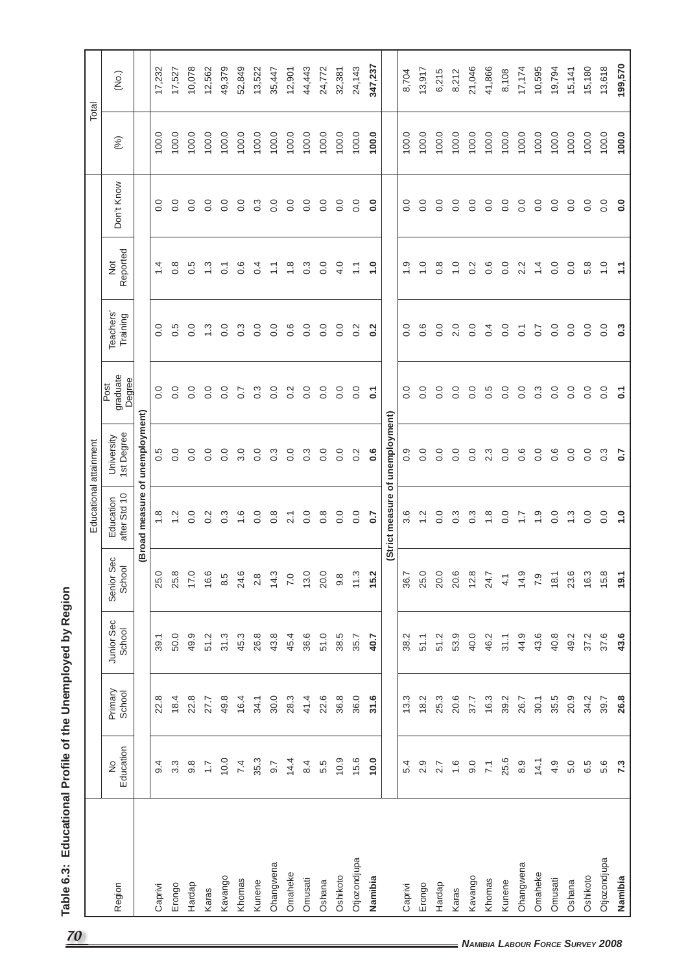| 70                                      |              |                            |                   |                      |                      | Educational attainment          |                          |                            |                       |                       |                  | Total |         |
|-----------------------------------------|--------------|----------------------------|-------------------|----------------------|----------------------|---------------------------------|--------------------------|----------------------------|-----------------------|-----------------------|------------------|-------|---------|
|                                         | Region       | Education<br>$\frac{1}{2}$ | Primary<br>School | Junior Sec<br>School | Senior Sec<br>School | Education<br>after Std 10       | 1st Degree<br>University | graduate<br>Degree<br>Post | Teachers'<br>Training | Reported<br><b>D</b>  | Don't Know       | (%)   | (No.)   |
|                                         |              |                            |                   |                      |                      | (Broad measure of unemployment) |                          |                            |                       |                       |                  |       |         |
|                                         | Caprivi      | 9.4                        | 22.8              | 39.1                 | 25.0                 | $\frac{8}{1}$                   | 0.5                      | $\overline{0}$ .           | $\overline{0}$ .      | $\overline{4}$        | $\overline{0}$ . | 100.0 | 17,232  |
|                                         | Erongo       | $3.\overline{3}$           | 18.4              | 50.0                 | 25.8                 | $\frac{1}{2}$                   | $\overline{0}$ .         | $\overline{0}$ .           | 0.5                   | $0.\overline{8}$      | 0.0              | 100.0 | 17,527  |
|                                         | Hardap       | $9.\overline{8}$           | 22.8              | 49.9                 | 17.0                 | 0.0                             | 0.0                      | $\overline{0}$ .           | $\overline{0}$ .      | 0.5                   | 0.0              | 100.0 | 10,078  |
|                                         | Karas        | $\overline{1.7}$           | 27.7              | 51.2                 | 16.6                 | 0.2                             | $\overline{0}$ .         | $\overline{0}$ .           | $\ddot{.}$            | $\frac{3}{2}$         | 0.0              | 100.0 | 12,562  |
|                                         | Kavango      | 10.0                       | 49.8              | 31.3                 | 8.5                  | $\frac{3}{2}$                   | 0.0                      | $\overline{0}$ .           | 0.0                   | $\overline{0}$ .      | 0.0              | 100.0 | 49,379  |
|                                         | Khomas       | 7.4                        | 16.4              | 45.3                 | 24.6                 | $\frac{6}{1}$                   | 3.0                      | $\overline{0}$ .           | $0.\overline{3}$      | 0.6                   | $\overline{0}$ . | 100.0 | 52,849  |
|                                         | Kunene       | 35.3                       | 34.1              | 26.8                 | 2.8                  | 0.0                             | 0.0                      | $\frac{3}{2}$              | $\overline{0}$ .      | 0.4                   | $0.\overline{3}$ | 100.0 | 13,522  |
|                                         | Ohangwena    | 9.7                        | 30.0              | 43.8                 | 14.3                 | $0.\overline{8}$                | $0.\overline{3}$         | 0.0                        | 0.0                   | $\frac{1}{2}$         | $\overline{0}$ . | 100.0 | 35,447  |
|                                         | Omaheke      | 14.4                       | 28.3              | 45.4                 | 7.0                  | $\overline{2.1}$                | 0.0                      | $0.\overline{2}$           | 0.6                   | 1.8                   | $\overline{0}$ . | 100.0 | 12,901  |
|                                         | Omusati      | 84                         | 41.4              | 36.6                 | 13.0                 | 0.0                             | $0.\overline{3}$         | 0.0                        | $\overline{0}$ .      | $0.\overline{3}$      | $\overline{0}$ . | 100.0 | 44,443  |
|                                         | Oshana       | 5.5                        | 22.6              | 51.0                 | 20.0                 | $\frac{8}{2}$                   | 0.0                      | 0.0                        | 0.0                   | 0.0                   | $\overline{0}$ . | 100.0 | 24,772  |
|                                         | Oshikoto     | 10.9                       | 36.8              | 38.5                 | $9.\overline{8}$     | 0.0                             | 0.0                      | 0.0                        | $\overline{0}$ .      | 4.0                   | $\overline{0}$ . | 100.0 | 32,381  |
|                                         | Otjozondjupa | 15.6                       | 36.0              | 35.7                 | 11.3                 | 0.0                             | 0.2                      | $\frac{0}{0}$              | 0.2                   | $\tilde{\mathcal{L}}$ | $\overline{0}$ . | 100.0 | 24,143  |
|                                         | Namibia      | 10.0                       | 31.6              | 40.7                 | 15.2                 | 0.7                             | $0.\overline{6}$         | $\overline{c}$             | $\overline{0.2}$      | $\ddot{ }$ .          | 0.0              | 100.0 | 347,237 |
|                                         |              |                            |                   |                      |                      | (Strict measure                 | of unemployment)         |                            |                       |                       |                  |       |         |
|                                         | Caprivi      | 5.4                        | 13.3              | 38.2                 | 36.7                 | 3.6                             | 0.9                      | 0.0                        | 0.0                   | $\frac{0}{1}$         | 0.0              | 100.0 | 8,704   |
|                                         | Erongo       | 2.9                        | 18.2              | 51.1                 | 25.0                 | $\frac{2}{1}$                   | 0.0                      | $\overline{0}$ .           | 0.6                   | $\frac{0}{1}$         | $\overline{0}$ . | 100.0 | 13,917  |
|                                         | Hardap       | 2.7                        | 25.3              | 51.2                 | 20.0                 | 0.0                             | $\overline{0}$ .         | 0.0                        | $\overline{0}$ .      | $0.\overline{8}$      | $\overline{0}$ . | 100.0 | 6,215   |
|                                         | Karas        | $\frac{6}{1}$              | 20.6              | 53.9                 | 20.6                 | $0.\overline{3}$                | 0.0                      | 0.0                        | 2.0                   | 1.0                   | 0.0              | 100.0 | 8,212   |
|                                         | Kavango      | 9.0                        | 37.7              | 40.0                 | 12.8                 | $0.\overline{3}$                | 0.0                      | 0.0                        | 0.0                   | 0.2                   | 0.0              | 100.0 | 21,046  |
|                                         | Khomas       | $\overline{7}1$            | 16.3              | 46.2                 | 24.7                 | $\frac{8}{1}$                   | 2.3                      | 0.5                        | 0.4                   | $0.\overline{6}$      | 0.0              | 100.0 | 41,866  |
|                                         | Kunene       | 25.6                       | 39.2              | 31.1                 | $\frac{1}{4}$        | 0.0                             | $\overline{0}$ .         | 0.0                        | 0.0                   | 0.0                   | $\overline{0}$ . | 100.0 | 8,108   |
|                                         | Ohangwena    | 8.9                        | 26.7              | 44.9                 | 14.9                 | $\ddot{ }$ :                    | 0.6                      | $\frac{0}{0}$              | $\overline{O}$        | 2.2                   | 0.0              | 100.0 | 17,174  |
|                                         | Omaheke      | 14.1                       | 30.1              | 43.6                 | 7.9                  | $\ddot{0}$                      | $\overline{0}$ .         | $\frac{3}{2}$              | $\overline{0.7}$      | $\frac{4}{4}$         | $\overline{0}$ . | 100.0 | 10,595  |
|                                         | Omusati      | 4.9                        | 35.5              | 40.8                 | 18.1                 | 0.0                             | 0.6                      | 0.0                        | 0.0                   | 0.0                   | 0.0              | 100.0 | 19,794  |
|                                         | Oshana       | 5.0                        | 20.9              | 49.2                 | 23.6                 | $\frac{3}{1}$                   | 0.0                      | 0.0                        | 0.0                   | 0.0                   | 0.0              | 100.0 | 15,141  |
| <b>NAMIBIA LABOUR FORCE SURVEY 2008</b> | Oshikoto     | 6.5                        | 34.2              | 37.2                 | 16.3                 | 0.0                             | 0.0                      | $\frac{0}{0}$              | 0.0                   | 5.8                   | 0.0              | 100.0 | 15,180  |
|                                         | Otjozondjupa | 5.6                        | 39.7              | 37.6                 | 15.8                 | 0.0                             | $0.\overline{3}$         | 0.0                        | 0.0                   | 0.1                   | 0.0              | 100.0 | 13,618  |
|                                         | Namibia      | 7.3                        | 26.8              | 43.6                 | 19.1                 | $\frac{0}{1}$                   | $\sim$                   | $\overline{c}$             | $\sim$                | Ξ                     | $\overline{0}$ . | 100.0 | 199,570 |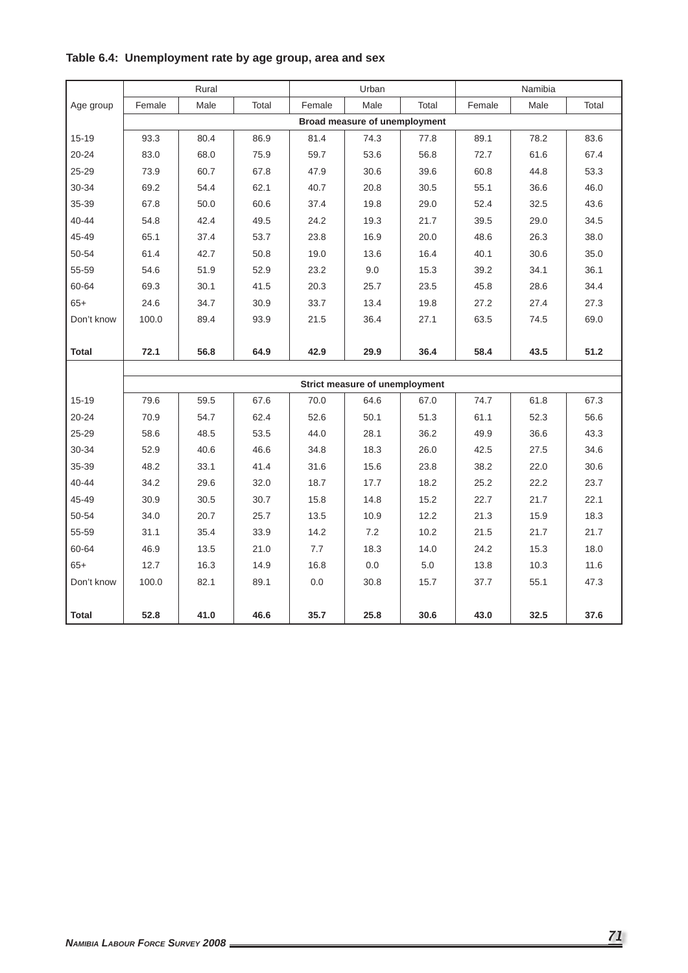|              |        | Rural |       |        | Urban                          |       |        | Namibia |       |
|--------------|--------|-------|-------|--------|--------------------------------|-------|--------|---------|-------|
| Age group    | Female | Male  | Total | Female | Male                           | Total | Female | Male    | Total |
|              |        |       |       |        | Broad measure of unemployment  |       |        |         |       |
| 15-19        | 93.3   | 80.4  | 86.9  | 81.4   | 74.3                           | 77.8  | 89.1   | 78.2    | 83.6  |
| $20 - 24$    | 83.0   | 68.0  | 75.9  | 59.7   | 53.6                           | 56.8  | 72.7   | 61.6    | 67.4  |
| 25-29        | 73.9   | 60.7  | 67.8  | 47.9   | 30.6                           | 39.6  | 60.8   | 44.8    | 53.3  |
| 30-34        | 69.2   | 54.4  | 62.1  | 40.7   | 20.8                           | 30.5  | 55.1   | 36.6    | 46.0  |
| 35-39        | 67.8   | 50.0  | 60.6  | 37.4   | 19.8                           | 29.0  | 52.4   | 32.5    | 43.6  |
| 40-44        | 54.8   | 42.4  | 49.5  | 24.2   | 19.3                           | 21.7  | 39.5   | 29.0    | 34.5  |
| 45-49        | 65.1   | 37.4  | 53.7  | 23.8   | 16.9                           | 20.0  | 48.6   | 26.3    | 38.0  |
| 50-54        | 61.4   | 42.7  | 50.8  | 19.0   | 13.6                           | 16.4  | 40.1   | 30.6    | 35.0  |
| 55-59        | 54.6   | 51.9  | 52.9  | 23.2   | 9.0                            | 15.3  | 39.2   | 34.1    | 36.1  |
| 60-64        | 69.3   | 30.1  | 41.5  | 20.3   | 25.7                           | 23.5  | 45.8   | 28.6    | 34.4  |
| $65+$        | 24.6   | 34.7  | 30.9  | 33.7   | 13.4                           | 19.8  | 27.2   | 27.4    | 27.3  |
| Don't know   | 100.0  | 89.4  | 93.9  | 21.5   | 36.4                           | 27.1  | 63.5   | 74.5    | 69.0  |
|              |        |       |       |        |                                |       |        |         |       |
| Total        | 72.1   | 56.8  | 64.9  | 42.9   | 29.9                           | 36.4  | 58.4   | 43.5    | 51.2  |
|              |        |       |       |        |                                |       |        |         |       |
|              |        |       |       |        | Strict measure of unemployment |       |        |         |       |
| 15-19        | 79.6   | 59.5  | 67.6  | 70.0   | 64.6                           | 67.0  | 74.7   | 61.8    | 67.3  |
| $20 - 24$    | 70.9   | 54.7  | 62.4  | 52.6   | 50.1                           | 51.3  | 61.1   | 52.3    | 56.6  |
| 25-29        | 58.6   | 48.5  | 53.5  | 44.0   | 28.1                           | 36.2  | 49.9   | 36.6    | 43.3  |
| 30-34        | 52.9   | 40.6  | 46.6  | 34.8   | 18.3                           | 26.0  | 42.5   | 27.5    | 34.6  |
| 35-39        | 48.2   | 33.1  | 41.4  | 31.6   | 15.6                           | 23.8  | 38.2   | 22.0    | 30.6  |
| 40-44        | 34.2   | 29.6  | 32.0  | 18.7   | 17.7                           | 18.2  | 25.2   | 22.2    | 23.7  |
| 45-49        | 30.9   | 30.5  | 30.7  | 15.8   | 14.8                           | 15.2  | 22.7   | 21.7    | 22.1  |
| 50-54        | 34.0   | 20.7  | 25.7  | 13.5   | 10.9                           | 12.2  | 21.3   | 15.9    | 18.3  |
| 55-59        | 31.1   | 35.4  | 33.9  | 14.2   | 7.2                            | 10.2  | 21.5   | 21.7    | 21.7  |
| 60-64        | 46.9   | 13.5  | 21.0  | 7.7    | 18.3                           | 14.0  | 24.2   | 15.3    | 18.0  |
| $65+$        | 12.7   | 16.3  | 14.9  | 16.8   | 0.0                            | 5.0   | 13.8   | 10.3    | 11.6  |
| Don't know   | 100.0  | 82.1  | 89.1  | 0.0    | 30.8                           | 15.7  | 37.7   | 55.1    | 47.3  |
|              |        |       |       |        |                                |       |        |         |       |
| <b>Total</b> | 52.8   | 41.0  | 46.6  | 35.7   | 25.8                           | 30.6  | 43.0   | 32.5    | 37.6  |

# **Table 6.4: Unemployment rate by age group, area and sex**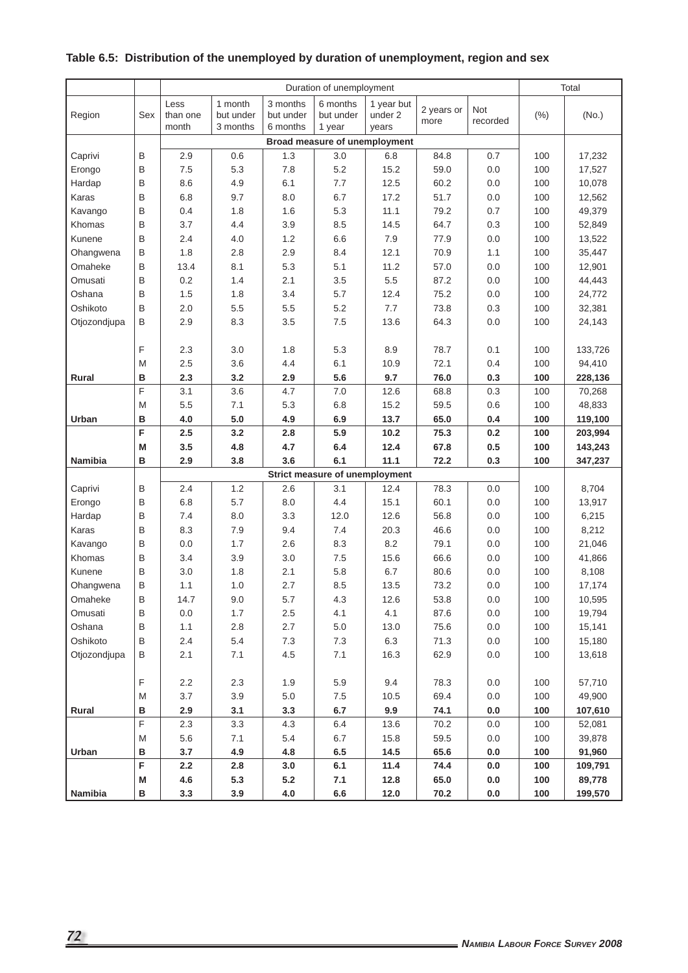# **Table 6.5: Distribution of the unemployed by duration of unemployment, region and sex**

|              |             |                  |                      |                       | Duration of unemployment       |                       |            |          |      | Total   |
|--------------|-------------|------------------|----------------------|-----------------------|--------------------------------|-----------------------|------------|----------|------|---------|
|              |             |                  |                      |                       |                                |                       |            |          |      |         |
| Region       | Sex         | Less<br>than one | 1 month<br>but under | 3 months<br>but under | 6 months<br>but under          | 1 year but<br>under 2 | 2 years or | Not      |      | (No.)   |
|              |             | month            | 3 months             | 6 months              | 1 year                         | years                 | more       | recorded | (% ) |         |
|              |             |                  |                      |                       | Broad measure of unemployment  |                       |            |          |      |         |
| Caprivi      | B           | 2.9              | 0.6                  | 1.3                   | 3.0                            | 6.8                   | 84.8       | 0.7      | 100  | 17,232  |
| Erongo       | B           | 7.5              | 5.3                  | 7.8                   | 5.2                            | 15.2                  | 59.0       | 0.0      | 100  | 17,527  |
| Hardap       | B           | 8.6              | 4.9                  | 6.1                   | 7.7                            | 12.5                  | 60.2       | 0.0      | 100  | 10,078  |
| Karas        | B           | 6.8              | 9.7                  | 8.0                   | 6.7                            | 17.2                  | 51.7       | 0.0      | 100  | 12,562  |
| Kavango      | B           | 0.4              | 1.8                  | 1.6                   | 5.3                            | 11.1                  | 79.2       | 0.7      | 100  | 49,379  |
| Khomas       | B           | 3.7              | 4.4                  | 3.9                   | 8.5                            | 14.5                  | 64.7       | 0.3      | 100  | 52,849  |
| Kunene       | B           | 2.4              | 4.0                  | 1.2                   | 6.6                            | 7.9                   | 77.9       | 0.0      | 100  | 13,522  |
| Ohangwena    | B           | 1.8              | 2.8                  | 2.9                   | 8.4                            | 12.1                  | 70.9       | 1.1      | 100  | 35,447  |
| Omaheke      | B           | 13.4             | 8.1                  | 5.3                   | 5.1                            | 11.2                  | 57.0       | 0.0      | 100  | 12,901  |
| Omusati      | B           | 0.2              | 1.4                  | 2.1                   | 3.5                            | 5.5                   | 87.2       | 0.0      | 100  | 44,443  |
| Oshana       | B           | 1.5              | 1.8                  | 3.4                   | 5.7                            | 12.4                  | 75.2       | 0.0      | 100  | 24,772  |
| Oshikoto     | B           | 2.0              | 5.5                  | 5.5                   | 5.2                            | 7.7                   | 73.8       | 0.3      | 100  | 32,381  |
| Otjozondjupa | B           | 2.9              | 8.3                  | 3.5                   | 7.5                            | 13.6                  | 64.3       | 0.0      | 100  | 24,143  |
|              |             |                  |                      |                       |                                |                       |            |          |      |         |
|              | F           | 2.3              | 3.0                  | 1.8                   | 5.3                            | 8.9                   | 78.7       | 0.1      | 100  | 133,726 |
|              | M           | 2.5              | 3.6                  | 4.4                   | 6.1                            | 10.9                  | 72.1       | 0.4      | 100  | 94,410  |
| Rural        | в           | 2.3              | 3.2                  | 2.9                   | 5.6                            | 9.7                   | 76.0       | 0.3      | 100  | 228,136 |
|              | F           | 3.1              | 3.6                  | 4.7                   | 7.0                            | 12.6                  | 68.8       | 0.3      | 100  | 70,268  |
|              | M           | 5.5              | 7.1                  | 5.3                   | 6.8                            | 15.2                  | 59.5       | 0.6      | 100  | 48,833  |
| Urban        | в           | 4.0              | 5.0                  | 4.9                   | 6.9                            | 13.7                  | 65.0       | 0.4      | 100  | 119,100 |
|              | F           | 2.5              | 3.2                  | 2.8                   | 5.9                            | 10.2                  | 75.3       | 0.2      | 100  | 203,994 |
|              | M           | 3.5              | 4.8                  | 4.7                   | 6.4                            | 12.4                  | 67.8       | 0.5      | 100  | 143,243 |
| Namibia      | в           | 2.9              | 3.8                  | 3.6                   | 6.1                            | 11.1                  | 72.2       | 0.3      | 100  | 347,237 |
|              |             |                  |                      |                       | Strict measure of unemployment |                       |            |          |      |         |
| Caprivi      | B           | 2.4              | 1.2                  | 2.6                   | 3.1                            | 12.4                  | 78.3       | 0.0      | 100  | 8,704   |
| Erongo       | B           | 6.8              | 5.7                  | 8.0                   | 4.4                            | 15.1                  | 60.1       | 0.0      | 100  | 13,917  |
| Hardap       | B           | 7.4              | 8.0                  | 3.3                   | 12.0                           | 12.6                  | 56.8       | 0.0      | 100  | 6,215   |
| Karas        | B           | 8.3              | 7.9                  | 9.4                   | 7.4                            | 20.3                  | 46.6       | 0.0      | 100  | 8,212   |
| Kavango      | B           | 0.0              | 1.7                  | 2.6                   | 8.3                            | 8.2                   | 79.1       | 0.0      | 100  | 21,046  |
| Khomas       | B           | 3.4              | 3.9                  | 3.0                   | 7.5                            | 15.6                  | 66.6       | 0.0      | 100  | 41,866  |
| Kunene       | B           | 3.0              | 1.8                  | 2.1                   | 5.8                            | 6.7                   | 80.6       | 0.0      | 100  | 8,108   |
| Ohangwena    | B           | 1.1              | 1.0                  | 2.7                   | 8.5                            | 13.5                  | 73.2       | 0.0      | 100  | 17,174  |
| Omaheke      | $\sf B$     | 14.7             | 9.0                  | 5.7                   | 4.3                            | 12.6                  | 53.8       | $0.0\,$  | 100  | 10,595  |
| Omusati      | B           | $0.0\,$          | 1.7                  | $2.5\,$               | 4.1                            | 4.1                   | 87.6       | 0.0      | 100  | 19,794  |
| Oshana       | B           | 1.1              | 2.8                  | $2.7\,$               | $5.0\,$                        | 13.0                  | 75.6       | $0.0\,$  | 100  | 15,141  |
| Oshikoto     | B           | 2.4              | 5.4                  | $7.3$                 | $7.3$                          | 6.3                   | 71.3       | 0.0      | 100  | 15,180  |
| Otjozondjupa | B           | 2.1              | 7.1                  | 4.5                   | 7.1                            | 16.3                  | 62.9       | $0.0\,$  | 100  | 13,618  |
|              |             |                  |                      |                       |                                |                       |            |          |      |         |
|              | $\mathsf F$ | 2.2              | 2.3                  | 1.9                   | 5.9                            | 9.4                   | 78.3       | 0.0      | 100  | 57,710  |
|              | M           | 3.7              | 3.9                  | $5.0\,$               | 7.5                            | 10.5                  | 69.4       | 0.0      | 100  | 49,900  |
| Rural        | в           | 2.9              | 3.1                  | 3.3                   | 6.7                            | 9.9                   | 74.1       | 0.0      | 100  | 107,610 |
|              | F           | 2.3              | 3.3                  | 4.3                   | 6.4                            | 13.6                  | 70.2       | 0.0      | 100  | 52,081  |
|              | M           | 5.6              | 7.1                  | $5.4\,$               | 6.7                            | 15.8                  | 59.5       | 0.0      | 100  | 39,878  |
| Urban        | в           | 3.7              | 4.9                  | 4.8                   | 6.5                            | 14.5                  | 65.6       | 0.0      | 100  | 91,960  |
|              | F           | 2.2              | 2.8                  | 3.0                   | 6.1                            | 11.4                  | 74.4       | $0.0\,$  | 100  | 109,791 |
|              | M           | 4.6              | 5.3                  | $5.2\,$               | 7.1                            | 12.8                  | 65.0       | $0.0\,$  | 100  | 89,778  |
| Namibia      | в           | 3.3              | 3.9                  | 4.0                   | 6.6                            | $12.0$                | 70.2       | $0.0\,$  | 100  | 199,570 |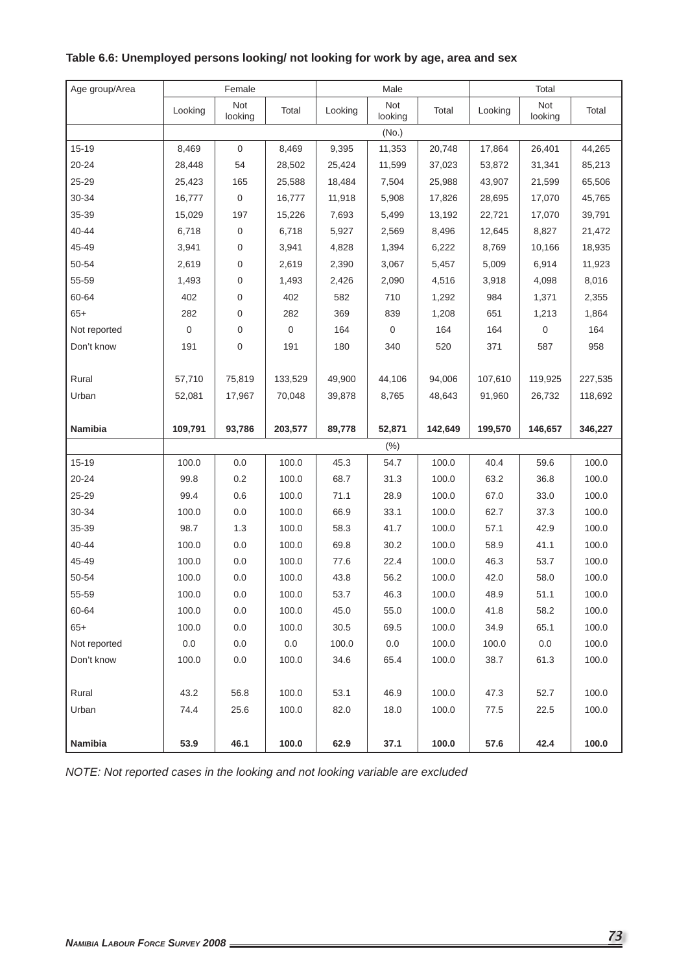| Age group/Area |             | Female         |                  |         | Male           |         |         | Total            |         |
|----------------|-------------|----------------|------------------|---------|----------------|---------|---------|------------------|---------|
|                | Looking     | Not<br>looking | Total            | Looking | Not<br>looking | Total   | Looking | Not<br>looking   | Total   |
|                |             |                |                  |         | (No.)          |         |         |                  |         |
| 15-19          | 8,469       | $\mathbf 0$    | 8,469            | 9,395   | 11,353         | 20,748  | 17,864  | 26,401           | 44,265  |
| 20-24          | 28,448      | 54             | 28,502           | 25,424  | 11,599         | 37,023  | 53,872  | 31,341           | 85,213  |
| 25-29          | 25,423      | 165            | 25,588           | 18,484  | 7,504          | 25,988  | 43,907  | 21,599           | 65,506  |
| 30-34          | 16,777      | $\mathbf 0$    | 16,777           | 11,918  | 5,908          | 17,826  | 28,695  | 17,070           | 45,765  |
| 35-39          | 15,029      | 197            | 15,226           | 7,693   | 5,499          | 13,192  | 22,721  | 17,070           | 39,791  |
| 40-44          | 6,718       | $\mathbf 0$    | 6,718            | 5,927   | 2,569          | 8,496   | 12,645  | 8,827            | 21,472  |
| 45-49          | 3,941       | $\mathbf 0$    | 3,941            | 4,828   | 1,394          | 6,222   | 8,769   | 10,166           | 18,935  |
| 50-54          | 2,619       | 0              | 2,619            | 2,390   | 3,067          | 5,457   | 5,009   | 6,914            | 11,923  |
| 55-59          | 1,493       | 0              | 1,493            | 2,426   | 2,090          | 4,516   | 3,918   | 4,098            | 8,016   |
| 60-64          | 402         | $\mathbf 0$    | 402              | 582     | 710            | 1,292   | 984     | 1,371            | 2,355   |
| $65+$          | 282         | 0              | 282              | 369     | 839            | 1,208   | 651     | 1,213            | 1,864   |
| Not reported   | $\mathbf 0$ | 0              | $\boldsymbol{0}$ | 164     | $\mathbf 0$    | 164     | 164     | $\boldsymbol{0}$ | 164     |
| Don't know     | 191         | 0              | 191              | 180     | 340            | 520     | 371     | 587              | 958     |
|                |             |                |                  |         |                |         |         |                  |         |
| Rural          | 57,710      | 75,819         | 133,529          | 49,900  | 44,106         | 94,006  | 107,610 | 119,925          | 227,535 |
| Urban          | 52,081      | 17,967         | 70,048           | 39,878  | 8,765          | 48,643  | 91,960  | 26,732           | 118,692 |
|                |             |                |                  |         |                |         |         |                  |         |
| Namibia        | 109,791     | 93,786         | 203,577          | 89,778  | 52,871         | 142,649 | 199,570 | 146,657          | 346,227 |
|                |             |                |                  |         | (% )           |         |         |                  |         |
| 15-19          | 100.0       | 0.0            | 100.0            | 45.3    | 54.7           | 100.0   | 40.4    | 59.6             | 100.0   |
| 20-24          | 99.8        | 0.2            | 100.0            | 68.7    | 31.3           | 100.0   | 63.2    | 36.8             | 100.0   |
| 25-29          | 99.4        | 0.6            | 100.0            | 71.1    | 28.9           | 100.0   | 67.0    | 33.0             | 100.0   |
| 30-34          | 100.0       | 0.0            | 100.0            | 66.9    | 33.1           | 100.0   | 62.7    | 37.3             | 100.0   |
| 35-39          | 98.7        | 1.3            | 100.0            | 58.3    | 41.7           | 100.0   | 57.1    | 42.9             | 100.0   |
| 40-44          | 100.0       | 0.0            | 100.0            | 69.8    | 30.2           | 100.0   | 58.9    | 41.1             | 100.0   |
| 45-49          | 100.0       | 0.0            | 100.0            | 77.6    | 22.4           | 100.0   | 46.3    | 53.7             | 100.0   |
| 50-54          | 100.0       | 0.0            | 100.0            | 43.8    | 56.2           | 100.0   | 42.0    | 58.0             | 100.0   |
| 55-59          | 100.0       | $0.0\,$        | 100.0            | 53.7    | 46.3           | 100.0   | 48.9    | 51.1             | 100.0   |
| 60-64          | 100.0       | 0.0            | 100.0            | 45.0    | 55.0           | 100.0   | 41.8    | 58.2             | 100.0   |
| $65+$          | 100.0       | 0.0            | 100.0            | 30.5    | 69.5           | 100.0   | 34.9    | 65.1             | 100.0   |
| Not reported   | 0.0         | 0.0            | 0.0              | 100.0   | 0.0            | 100.0   | 100.0   | 0.0              | 100.0   |
| Don't know     | 100.0       | 0.0            | 100.0            | 34.6    | 65.4           | 100.0   | 38.7    | 61.3             | 100.0   |
|                |             |                |                  |         |                |         |         |                  |         |
| Rural          | 43.2        | 56.8           | 100.0            | 53.1    | 46.9           | 100.0   | 47.3    | 52.7             | 100.0   |
| Urban          | 74.4        | 25.6           | 100.0            | 82.0    | 18.0           | 100.0   | 77.5    | 22.5             | 100.0   |
| Namibia        | 53.9        | 46.1           | 100.0            | 62.9    | 37.1           | 100.0   | 57.6    | 42.4             | 100.0   |

**Table 6.6: Unemployed persons looking/ not looking for work by age, area and sex**

*NOTE: Not reported cases in the looking and not looking variable are excluded*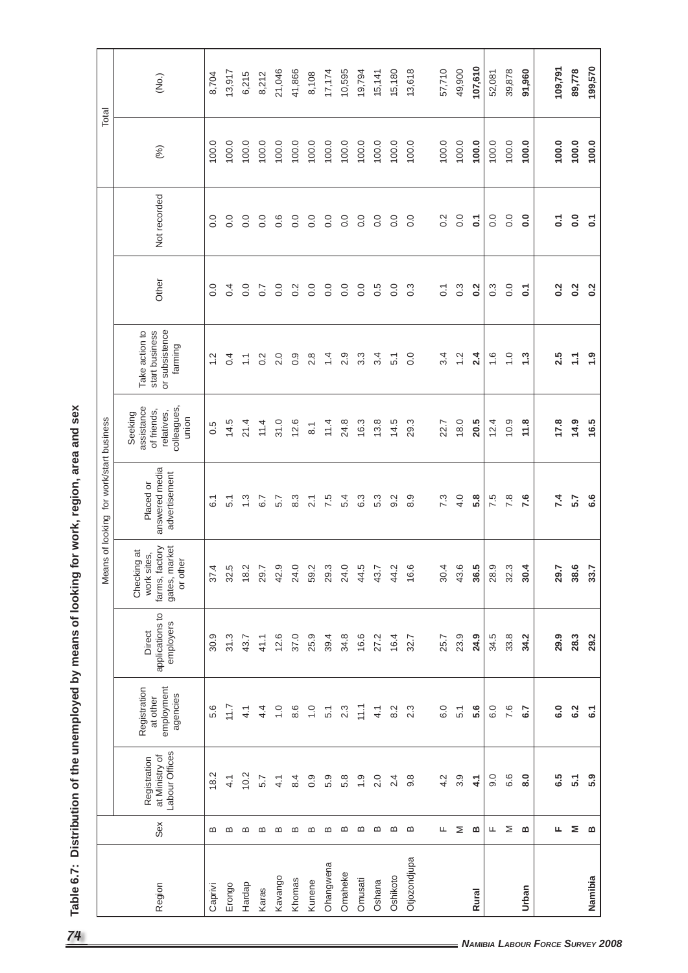| ע הוה הוה הוא היא                    |  |
|--------------------------------------|--|
|                                      |  |
|                                      |  |
| うろ ろころ ろうこく                          |  |
|                                      |  |
| $\frac{1}{2}$                        |  |
|                                      |  |
|                                      |  |
|                                      |  |
|                                      |  |
| ֧֦֧֚֬֝                               |  |
| ${1 \over 2}$                        |  |
|                                      |  |
|                                      |  |
|                                      |  |
|                                      |  |
|                                      |  |
|                                      |  |
|                                      |  |
|                                      |  |
|                                      |  |
| 5<br>2<br>2<br>2<br>2<br>2<br>2<br>2 |  |
|                                      |  |
|                                      |  |
|                                      |  |
|                                      |  |
|                                      |  |
|                                      |  |
|                                      |  |
|                                      |  |
|                                      |  |
| .<br>.                               |  |
| $\frac{2}{3}$                        |  |
|                                      |  |
|                                      |  |
|                                      |  |
| į                                    |  |

|              |     |                                                  |                                                    |                                        | 9C<br>Mean                                                                | for work/start business<br>of looking        |                                                                            |                                                               |                  |                   |       | Total   |
|--------------|-----|--------------------------------------------------|----------------------------------------------------|----------------------------------------|---------------------------------------------------------------------------|----------------------------------------------|----------------------------------------------------------------------------|---------------------------------------------------------------|------------------|-------------------|-------|---------|
| Region       | Sex | Labour Offices<br>at Ministry of<br>Registration | employment<br>Registration<br>agencies<br>at other | applications to<br>employers<br>Direct | gates, market<br>farms, factory<br>Checking at<br>work sites,<br>or other | answered media<br>advertisement<br>Placed or | colleagues,<br>assistance<br>of friends,<br>relatives,<br>Seeking<br>union | or subsistence<br>start business<br>Take action to<br>farming | Other            | Not recorded      | (%)   | (No.)   |
| Caprivi      | മ   | 18.2                                             | 5.6                                                | 30.9                                   | 37.4                                                                      | $\overline{6}$ .                             | 0.5                                                                        | $\frac{2}{3}$                                                 | $\overline{0}$ . | 0.0               | 100.0 | 8,704   |
| Erongo       | മ   | $\frac{1}{4}$                                    | 11.7                                               | 31.3                                   | 32.5                                                                      | 5.1                                          | 14.5                                                                       | 0.4                                                           | 0.4              | 0.0               | 100.0 | 13,917  |
| Hardap       | മ   | 10.2                                             | 4.1                                                | 43.7                                   | 18.2                                                                      | $\frac{3}{2}$                                | 21.4                                                                       | $\sum$                                                        | 0.0              | 0.0               | 100.0 | 6,215   |
| Karas        | മ   | 5.7                                              | $4\overline{4}$                                    | 41.1                                   | 29.7                                                                      | 6.7                                          | 11.4                                                                       | 0.2                                                           | $\overline{0.7}$ | 0.0               | 100.0 | 8,212   |
| Kavango      | മ   | 4.1                                              | $\frac{0}{1}$                                      | 12.6                                   | 42.9                                                                      | 5.7                                          | 31.0                                                                       | 2.0                                                           | $\overline{0}$ . | 0.6               | 100.0 | 21,046  |
| Khomas       | ≃   | 8.4                                              | 8.6                                                | 37.0                                   | 24.0                                                                      | $8.\overline{3}$                             | 12.6                                                                       | $0.\overline{9}$                                              | $0.\overline{2}$ | 0.0               | 100.0 | 41,866  |
| Kunene       | മ   | 0.9                                              | $\overline{1}$ . O                                 | 25.9                                   | 59.2                                                                      | 2.1                                          | $\overline{8}.1$                                                           | 2.8                                                           | 0.0              | 0.0               | 100.0 | 8,108   |
| Ohangwena    | മ   | 5.9                                              | 5.1                                                | 39.4                                   | 29.3                                                                      | 7.5                                          | 11.4                                                                       | $\overline{4}$                                                | 0.0              | 0.0               | 100.0 | 17,174  |
| Omaheke      | മ   | 5.8                                              | 2.3                                                | 34.8                                   | 24.0                                                                      | 5.4                                          | 24.8                                                                       | 2.9                                                           | 0.0              | 0.0               | 100.0 | 10,595  |
| Omusati      | ≃   | $\frac{0}{1}$                                    | 11.1                                               | 16.6                                   | 44.5                                                                      | 6.3                                          | 16.3                                                                       | $3.\overline{3}$                                              | 0.0              | 0.0               | 100.0 | 19,794  |
| Oshana       | മ   | 2.0                                              | 4.1                                                | 27.2                                   | 43.7                                                                      | 5.3                                          | 13.8                                                                       | 3.4                                                           | 0.5              | 0.0               | 100.0 | 15,141  |
| Oshikoto     | ≃   | 2.4                                              | 8.2                                                | 16.4                                   | 44.2                                                                      | 9.2                                          | 14.5                                                                       | 5.1                                                           | 0.0              | $\overline{0}$ .  | 100.0 | 15,180  |
| Otjozondjupa | ≃   | 9.8                                              | 2.3                                                | 32.7                                   | 16.6                                                                      | 8.9                                          | 29.3                                                                       | 0.0                                                           | $0.\overline{3}$ | 0.0               | 100.0 | 13,618  |
|              | щ   | 4.2                                              | 6.0                                                | 25.7                                   | 30.4                                                                      | 7.3                                          | 22.7                                                                       | 3.4                                                           | $\overline{C}$   | $\frac{2}{3}$     | 100.0 | 57,710  |
|              | Σ   | 3.9                                              | 5.1                                                | 23.9                                   | 43.6                                                                      | 4.0                                          | 18.0                                                                       | $\frac{2}{1}$                                                 | $0.\overline{3}$ | 0.0               | 100.0 | 49,900  |
| <b>Rural</b> | ≃   | 4.1                                              | 5.6                                                | 24.9                                   | 36.5                                                                      | 5.8                                          | 20.5                                                                       | 2.4                                                           | $\overline{0.2}$ | $\overline{c}$    | 100.0 | 107,610 |
|              | щ   | $\overline{9}$ .                                 | 6.0                                                | 34.5                                   | 28.9                                                                      | 7.5                                          | 12.4                                                                       | $\frac{6}{1}$                                                 | $0.\overline{3}$ | $\overline{0}$ .  | 100.0 | 52,081  |
|              | Σ   | 6.6                                              | 7.6                                                | 33.8                                   | 32.3                                                                      | 7.8                                          | 10.9                                                                       | $\overline{1}$ .                                              | 0.0              | 0.0               | 100.0 | 39,878  |
| Urban        | ≃   | $\overline{8}$ .0                                | 6.7                                                | 34.2                                   | 30.4                                                                      | 7.6                                          | 11.8                                                                       | $\ddot{.}3$                                                   | $\overline{c}$   | $\overline{0}$ .0 | 100.0 | 91,960  |
|              | щ   | 6.5                                              | 6.0                                                | 29.9                                   | 29.7                                                                      | 7.4                                          | 17.8                                                                       | 2.5                                                           | 0.2              | $\mathbf{C}$      | 100.0 | 109,791 |
|              | Σ   | 51                                               | 6.2                                                | 28.3                                   | 38.6                                                                      | 5.7                                          | 14.9                                                                       | Ξ                                                             | 0.2              | $\overline{0}$ .  | 100.0 | 89,778  |
| Namibia      | ≃   | 5.9                                              | $\tilde{\omega}$                                   | 29.2                                   | 33.7                                                                      | 6.6                                          | 16.5                                                                       | $\ddot{ }$ .9                                                 | 0.2              | $\overline{c}$    | 100.0 | 199,570 |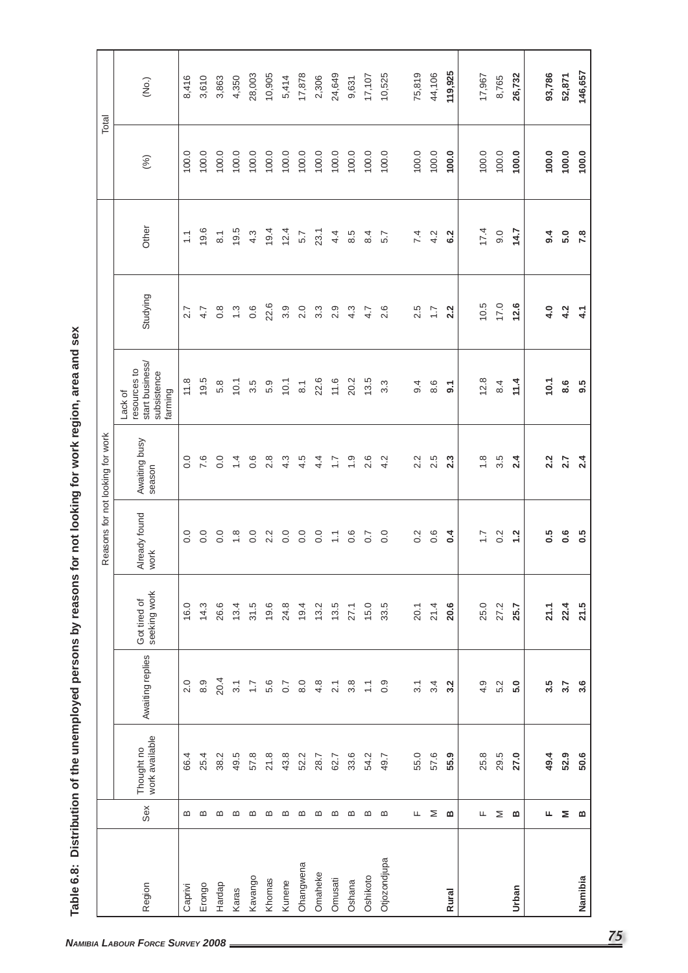|              |                   |                              |                  |                              |                       | Reasons for not looking for work |                                                                      |                  |                    |       | Total   |
|--------------|-------------------|------------------------------|------------------|------------------------------|-----------------------|----------------------------------|----------------------------------------------------------------------|------------------|--------------------|-------|---------|
| Region       | Sex               | work available<br>Thought no | Awaiting replies | seeking work<br>Got tired of | Already found<br>work | Awaiting busy<br>season          | start business/<br>resources to<br>subsistence<br>farming<br>Lack of | Studying         | Other              | (%)   | (No.)   |
| Caprivi      | മ                 | 66.4                         | 2.0              | 16.0                         | $\overline{0}$ .      | 0.0                              | 11.8                                                                 | 2.7              | $\sum$             | 100.0 | 8,416   |
| Erongo       | മ                 | 25.4                         | $8.9$            | 14.3                         | 0.0                   | 7.6                              | 19.5                                                                 | 4.7              | 19.6               | 100.0 | 3,610   |
| Hardap       | $\bf{m}$          | 38.2                         | 20.4             | 26.6                         | 0.0                   | 0.0                              | 5.8                                                                  | $0.\overline{8}$ | $\overline{\circ}$ | 100.0 | 3,863   |
| Karas        | മ                 | 49.5                         | 31               | 13.4                         | $\frac{8}{1}$         | 1.4                              | 10.1                                                                 | $1.\overline{3}$ | 19.5               | 100.0 | 4,350   |
| Kavango      | $\mathbf{\Omega}$ | 57.8                         | $\ddot{ }$ :     | 31.5                         | 0.0                   | $0.\overline{6}$                 | 3.5                                                                  | 0.6              | $4.\overline{3}$   | 100.0 | 28,003  |
| Khomas       | മ                 | 21.8                         | 5.6              | 19.6                         | 2.2                   | 2.8                              | 5.9                                                                  | 22.6             | 19.4               | 100.0 | 10,905  |
| Kunene       | മ                 | 43.8                         | $\overline{0.7}$ | 24.8                         | 0.0                   | 4.3                              | 10.1                                                                 | 3.9              | 12.4               | 100.0 | 5,414   |
| Ohangwena    | മ                 | 52.2                         | 8.0              | 19.4                         | 0.0                   | 4.5                              | $\overline{\textrm{8}}$                                              | 2.0              | 5.7                | 100.0 | 17,878  |
| Omaheke      | ≃                 | 28.7                         | 4.8              | 13.2                         | $\rm ^{0}$            | 4.4                              | 22.6                                                                 | $3.\overline{3}$ | 23.1               | 100.0 | 2,306   |
| Omusati      | ≃                 | 62.7                         | 2.1              | 13.5                         | $\sum$                | $\ddot{ }$ :                     | 11.6                                                                 | 2.9              | 4.4                | 100.0 | 24,649  |
| Oshana       | മ                 | 33.6                         | 3.8              | 27.1                         | 0.6                   | $\ddot{0}$                       | 20.2                                                                 | 4.3              | 8.5                | 100.0 | 9,631   |
| Oshikoto     | ≃                 | 54.2                         | $\overline{1}$   | 15.0                         | 0.7                   | 2.6                              | 13.5                                                                 | 4.7              | 8.4                | 100.0 | 17,107  |
| Otjozondjupa | ≃                 | 49.7                         | 0.9              | 33.5                         | 0.0                   | 4.2                              | $3.\overline{3}$                                                     | 2.6              | 5.7                | 100.0 | 10,525  |
|              | щ                 | 55.0                         | 31               | 20.1                         | 0.2                   | 2.2                              | 9.4                                                                  | 2.5              | 7.4                | 100.0 | 75,819  |
|              | Σ                 | 57.6                         | 3.4              | 21.4                         | 0.6                   | 2.5                              | 8.6                                                                  | $\ddot{ }$ :     | 4.2                | 100.0 | 44,106  |
| <b>Rural</b> | ≃                 | 55.9                         | 3.2              | 20.6                         | 0.4                   | 2.3                              | $\overline{5}$                                                       | 2.2              | 6.2                | 100.0 | 119,925 |
|              |                   |                              |                  |                              |                       |                                  |                                                                      |                  |                    |       |         |
|              | щ                 | 25.8                         | 4.9              | 25.0                         | $\ddot{ }$ :          | $\frac{8}{1}$                    | 12.8                                                                 | 10.5             | 17.4               | 100.0 | 17,967  |
|              | Σ                 | 29.5                         | 5.2              | 27.2                         | $0.\overline{2}$      | 3.5                              | 8.4                                                                  | 17.0             | 9.0                | 100.0 | 8,765   |
| Urban        | m                 | 27.0                         | 5.0              | 25.7                         | 1.2                   | 2.4                              | 11.4                                                                 | 12.6             | 14.7               | 100.0 | 26,732  |
|              | щ                 | 49.4                         | 3.5              | 21.1                         | 0.5                   | 2.2                              | 10.1                                                                 | 4.0              | 9.4                | 100.0 | 93,786  |
|              | Σ                 | 52.9                         | 3.7              | 22.4                         | 0.6                   | 2.7                              | 8.6                                                                  | 4.2              | 5.0                | 100.0 | 52,871  |
| Namibia      | ≃                 | 50.6                         | 3.6              | 21.5                         | 0.5                   | 2.4                              | 9.5                                                                  | 4.1              | 7.8                | 100.0 | 146,657 |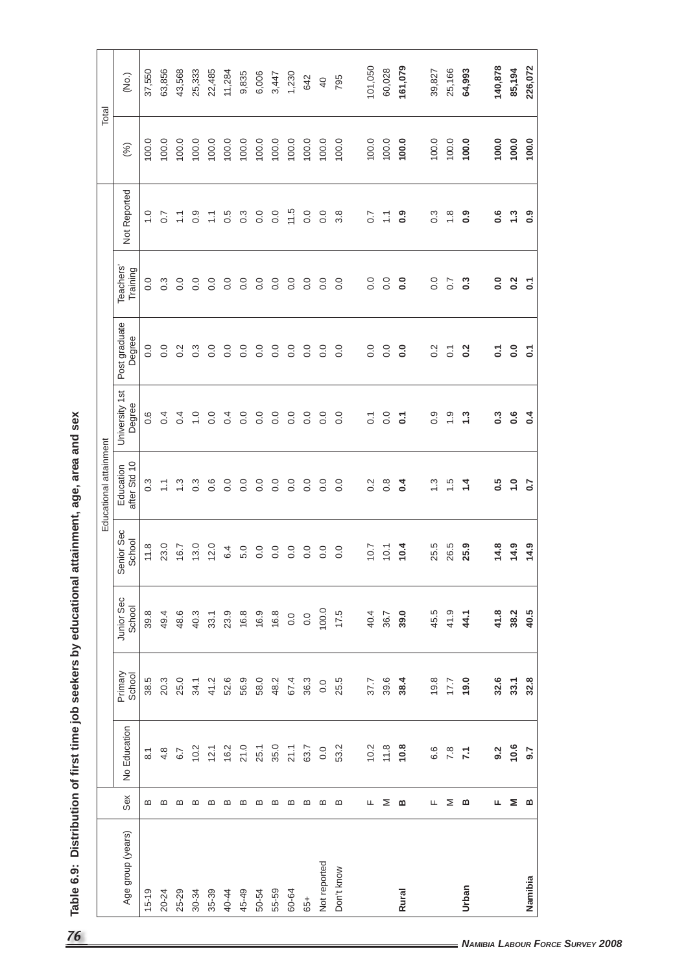|                   |       |                            |                   |                      |                      | Educational attainment    |                          |                         |                       |                         |       | Total           |
|-------------------|-------|----------------------------|-------------------|----------------------|----------------------|---------------------------|--------------------------|-------------------------|-----------------------|-------------------------|-------|-----------------|
| Age group (years) | Sex   | Education<br>$\frac{1}{2}$ | Primary<br>School | Junior Sec<br>School | Senior Sec<br>School | after Std 10<br>Education | University 1st<br>Degree | Post graduate<br>Degree | Teachers'<br>Training | Not Reported            | (%)   | (No.)           |
| $15 - 19$         | മ     | $\overline{\circ}$         | 38.5              | 39.8                 | 11.8                 | 0.3                       | 0.6                      | 0.0                     | 0.0                   | $\frac{0}{1}$           | 100.0 | 37,550          |
| 20-24             | മ     | 4.8                        | 20.3              | 49.4                 | 23.0                 | $\sum$                    | 0.4                      | 0.0                     | $0.\overline{3}$      | $\overline{0.7}$        | 100.0 | 63,856          |
| 25-29             | മ     | 6.7                        | 25.0              | 48.6                 | 16.7                 | $\frac{3}{2}$             | 0.4                      | 0.2                     | 0.0                   | $\sum_{n=1}^{\infty}$   | 100.0 | 43,568          |
| $30 - 34$         | മ     | 10.2                       | 34.1              | 40.3                 | 13.0                 | 0.3                       | $\frac{0}{1}$            | $0.\overline{3}$        | 0.0                   | 0.9                     | 100.0 | 25,333          |
| 35-39             | മ     | 12.1                       | 41.2              | 33.1                 | 12.0                 | 0.6                       | 0.0                      | 0.0                     | 0.0                   | $\overline{1}$          | 100.0 | 22,485          |
| 40-44             |       | 16.2                       | 52.6              | 23.9                 | 6.4                  | 0.0                       | 0.4                      | 0.0                     | 0.0                   | 0.5                     | 100.0 | 11,284          |
| 45-49             | മ മ   | 21.0                       | 56.9              | 16.8                 | 5.0                  | 0.0                       | $\rm ^{0}$               | $\overline{0}$ .        | 0.0                   | $0.\overline{3}$        | 100.0 | 9,835           |
| 50-54             | മ     | 25.1                       | 58.0              | 16.9                 | 0.0                  | $\overline{0}$ .          | 0.0                      | $\overline{0}$ .        | 0.0                   | 0.0                     | 100.0 | 6,006           |
| 55-59             | മ മ മ | 35.0                       | 48.2              | 16.8                 | 0.0                  | 0.0                       | $\overline{0}$ .         | 0.0                     | 0.0                   | 0.0                     | 100.0 | 3,447           |
| 60-64             |       | 21.1                       | 67.4              | 0.0                  | 0.0                  | 0.0                       | $\overline{0}$ .         | $\overline{0}$ .        | 0.0                   | 11.5                    | 100.0 | 1,230           |
| 65+               |       | 63.7                       | 36.3              | 0.0                  | 0.0                  | $\overline{0}$ .          | $\rm ^{0}$               | 0.0                     | 0.0                   | 0.0                     | 100.0 | 642             |
| Not reported      | _ ന   | 0.0                        | 0.0               | 100.0                | 0.0                  | $\overline{0}$ .          | 0.0                      | 0.0                     | 0.0                   | 0.0                     | 100.0 | $\overline{40}$ |
| Don't know        | മ     | 53.2                       | 25.5              | 17.5                 | 0.0                  | $\overline{0}$ .          | 0.0                      | 0.0                     | 0.0                   | $3.\overline{8}$        | 100.0 | 795             |
|                   | щ     | 10.2                       | 37.7              | 40.4                 | 10.7                 | $\frac{2}{3}$             | $\overline{O}$ .         | 0.0                     | 0.0                   | $\overline{0.7}$        | 100.0 | 101,050         |
|                   |       | 11.8                       |                   |                      |                      |                           |                          |                         |                       |                         |       |                 |
|                   | Σ     |                            | 39.6              | 36.7                 | 10.1                 | $0.\overline{8}$          | $\overline{0}$ .         | 0.0                     | 0.0                   | $\overline{1}$          | 100.0 | 60,028          |
| <b>Rural</b>      | മ     | 10.8                       | 38.4              | 39.0                 | 10.4                 | 0.4                       | $\overline{c}$           | $\overline{0}$          | $\overline{0}$ .      | $\ddot{\circ}$          | 100.0 | 161,079         |
|                   | щ     | 6.6                        | 19.8              | 45.5                 | 25.5                 | $\frac{3}{2}$             | 0.9                      | $\frac{2}{3}$           | 0.0                   | 0.3                     | 100.0 | 39,827          |
|                   | Σ     | 7.8                        | 17.7              | 41.9                 | 26.5                 | $\ddot{5}$                | $\frac{0}{1}$            | $\overline{C}$          | $\overline{0.7}$      | $\frac{8}{1}$           | 100.0 | 25,166          |
| Urban             | ≃     | $\overline{71}$            | 19.0              | 44.1                 | 25.9                 | $1\overline{4}$           | $\ddot{.}3$              | $\overline{0.2}$        | $\sim$                | 0.9                     | 100.0 | 64,993          |
|                   | щ     | 9.2                        | 32.6              | 41.8                 | 14.8                 | 0.5                       | $0.\overline{3}$         | $\overline{c}$          | 0.0                   | $0.\overline{6}$        | 100.0 | 140,878         |
|                   | Σ     | 10.6                       | 33.1              | 38.2                 | 14.9                 | $\ddot{ }$                | 0.6                      | $\overline{0}$ .        | 0.2                   | $\ddot{.}3$             | 100.0 | 85,194          |
| Namibia           | ≃     | 9.7                        | 32.8              | 40.5                 | 14.9                 | 0.7                       | $\sim 4$                 | $\overline{c}$          | $\overline{c}$        | $\mathbf{0}.\mathbf{9}$ | 100.0 | 226,072         |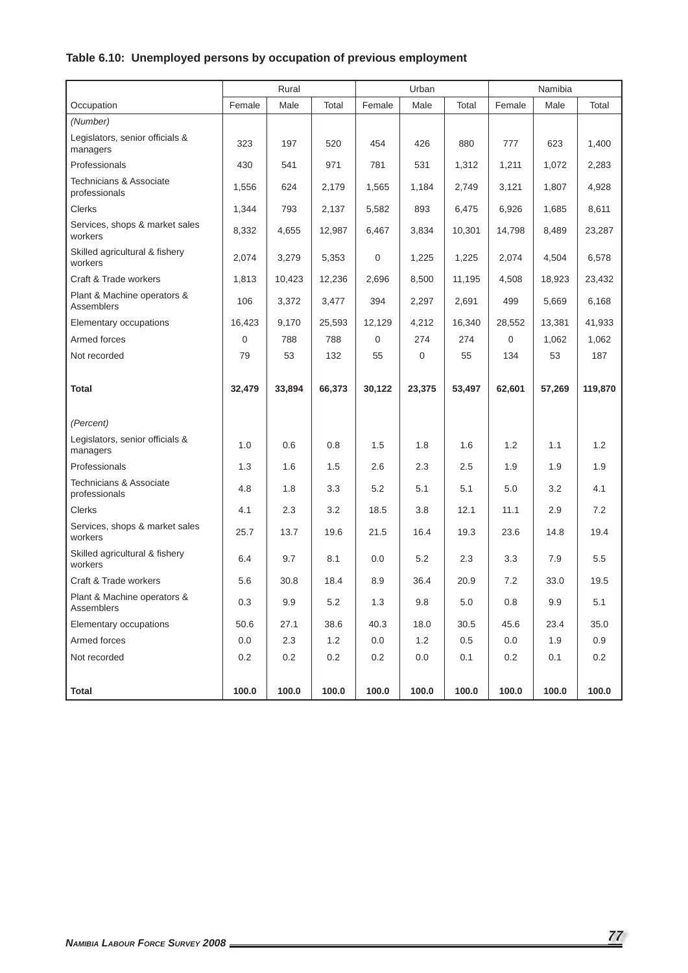# **Table 6.10: Unemployed persons by occupation of previous employment**

|                                             |        | Rural  |         |        | Urban  |         |             | Namibia |         |
|---------------------------------------------|--------|--------|---------|--------|--------|---------|-------------|---------|---------|
| Occupation                                  | Female | Male   | Total   | Female | Male   | Total   | Female      | Male    | Total   |
| (Number)                                    |        |        |         |        |        |         |             |         |         |
| Legislators, senior officials &<br>managers | 323    | 197    | 520     | 454    | 426    | 880     | 777         | 623     | 1,400   |
| Professionals                               | 430    | 541    | 971     | 781    | 531    | 1,312   | 1,211       | 1,072   | 2,283   |
| Technicians & Associate<br>professionals    | 1,556  | 624    | 2,179   | 1,565  | 1,184  | 2,749   | 3,121       | 1,807   | 4,928   |
| <b>Clerks</b>                               | 1,344  | 793    | 2,137   | 5,582  | 893    | 6,475   | 6,926       | 1,685   | 8,611   |
| Services, shops & market sales<br>workers   | 8,332  | 4,655  | 12,987  | 6,467  | 3,834  | 10,301  | 14,798      | 8,489   | 23,287  |
| Skilled agricultural & fishery<br>workers   | 2,074  | 3,279  | 5,353   | 0      | 1,225  | 1,225   | 2,074       | 4,504   | 6,578   |
| Craft & Trade workers                       | 1,813  | 10,423 | 12,236  | 2,696  | 8,500  | 11,195  | 4,508       | 18,923  | 23,432  |
| Plant & Machine operators &<br>Assemblers   | 106    | 3,372  | 3,477   | 394    | 2,297  | 2,691   | 499         | 5,669   | 6,168   |
| Elementary occupations                      | 16,423 | 9,170  | 25,593  | 12,129 | 4,212  | 16,340  | 28,552      | 13,381  | 41,933  |
| Armed forces                                | 0      | 788    | 788     | 0      | 274    | 274     | $\mathbf 0$ | 1,062   | 1,062   |
| Not recorded                                | 79     | 53     | 132     | 55     | 0      | 55      | 134         | 53      | 187     |
| <b>Total</b>                                | 32,479 | 33,894 | 66,373  | 30,122 | 23,375 | 53,497  | 62,601      | 57,269  | 119,870 |
| (Percent)                                   |        |        |         |        |        |         |             |         |         |
| Legislators, senior officials &<br>managers | 1.0    | 0.6    | 0.8     | 1.5    | 1.8    | 1.6     | 1.2         | 1.1     | 1.2     |
| Professionals                               | 1.3    | 1.6    | 1.5     | 2.6    | 2.3    | 2.5     | 1.9         | 1.9     | 1.9     |
| Technicians & Associate<br>professionals    | 4.8    | 1.8    | 3.3     | 5.2    | 5.1    | 5.1     | 5.0         | 3.2     | 4.1     |
| <b>Clerks</b>                               | 4.1    | 2.3    | 3.2     | 18.5   | 3.8    | 12.1    | 11.1        | 2.9     | 7.2     |
| Services, shops & market sales<br>workers   | 25.7   | 13.7   | 19.6    | 21.5   | 16.4   | 19.3    | 23.6        | 14.8    | 19.4    |
| Skilled agricultural & fishery<br>workers   | 6.4    | 9.7    | 8.1     | 0.0    | 5.2    | 2.3     | 3.3         | 7.9     | 5.5     |
| Craft & Trade workers                       | 5.6    | 30.8   | 18.4    | 8.9    | 36.4   | 20.9    | 7.2         | 33.0    | 19.5    |
| Plant & Machine operators &<br>Assemblers   | 0.3    | 9.9    | $5.2\,$ | $1.3$  | 9.8    | $5.0\,$ | 0.8         | 9.9     | 5.1     |
| Elementary occupations                      | 50.6   | 27.1   | 38.6    | 40.3   | 18.0   | 30.5    | 45.6        | 23.4    | 35.0    |
| Armed forces                                | 0.0    | 2.3    | 1.2     | 0.0    | 1.2    | 0.5     | 0.0         | 1.9     | 0.9     |
| Not recorded                                | 0.2    | 0.2    | 0.2     | 0.2    | 0.0    | 0.1     | 0.2         | 0.1     | 0.2     |
| <b>Total</b>                                | 100.0  | 100.0  | 100.0   | 100.0  | 100.0  | 100.0   | 100.0       | 100.0   | 100.0   |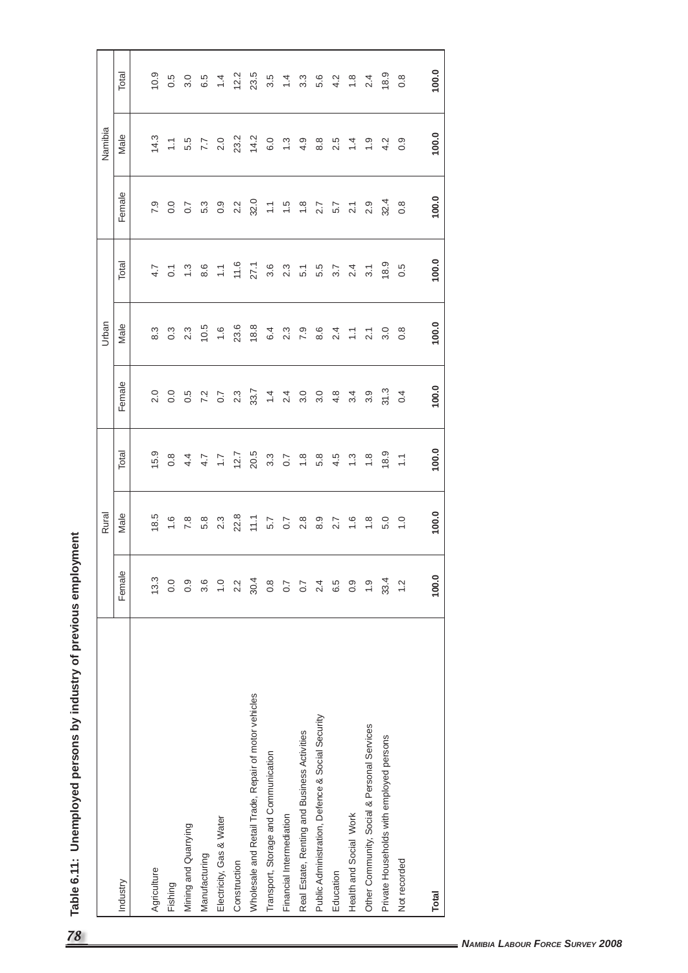| ;<br>IV of proviour amploy<br>)<br>D<br>N |
|-------------------------------------------|
| נ<br>5<br>ק                               |
|                                           |
|                                           |
| 5                                         |
|                                           |
| ί<br>$\frac{1}{c}$                        |

| Female<br>Industry                                               | Rural            |                  |                                   | Urban            |                                       |                                                                                            | Namibia        |                                           |
|------------------------------------------------------------------|------------------|------------------|-----------------------------------|------------------|---------------------------------------|--------------------------------------------------------------------------------------------|----------------|-------------------------------------------|
|                                                                  | Male             | Total            | Female                            | Male             | Total                                 | Female                                                                                     | Male           | Total                                     |
|                                                                  |                  |                  |                                   |                  |                                       |                                                                                            |                |                                           |
| 13.3<br>Agriculture                                              | 18.5             | 15.9             | 2.0                               | $8.3$            | 4.7                                   | 7.9                                                                                        | 14.3           | 10.9                                      |
| 0.0<br>Fishing                                                   |                  | $0.\overline{8}$ | 0.0                               | $0.\overline{3}$ |                                       | 0.0                                                                                        |                |                                           |
| 0.9<br>Mining and Quarrying                                      | $7.\overline{8}$ |                  | 0.5                               | 2.3              | $0.7$ $\frac{3}{6}$ $\frac{6}{6}$     | $\overline{0.7}$                                                                           | $7.7$<br>$7.7$ | $\begin{array}{c} 0.5 \\ 3.0 \end{array}$ |
| 3.6<br>Manufacturing                                             | 5.8              |                  |                                   | 10.5             |                                       |                                                                                            |                | 6.5                                       |
| $\frac{0}{1}$<br>Electricity, Gas & Water                        | 2.3              | $4.7$<br>$4.7$   | $7.2$<br>0.7                      | 1.6              | $\mathbb{U}$                          | $\begin{matrix} 0.3 \\ 0.3 \end{matrix}$                                                   | 2.0            | $\frac{4}{4}$                             |
| 2.2<br>Construction                                              | 22.8             | 12.7             | $2.\overline{3}$                  | 23.6             | 11.6                                  | 2.2                                                                                        | 23.2           | 12.2                                      |
| 30.4<br>Wholesale and Retail Trade, Repair of motor vehicles     | $11, 1$          | 20.5             |                                   | 18.8             | 27.1                                  | 32.0                                                                                       | 14.2           | 23.5                                      |
| 0.8<br>Transport, Storage and Communication                      | 5.7              | $3.\overline{3}$ | $33.4$<br>$7.4$<br>$2.4$<br>$3.5$ | 6.4              | $\begin{array}{c} 6 \\ 3 \end{array}$ |                                                                                            | 6.0            |                                           |
| $\overline{0.7}$<br>Financial Intermediation                     | 0.7              | 0.7              |                                   | 2.3              |                                       |                                                                                            | $\ddot{.}$     | $3.\overline{5}$<br>1.4                   |
| $\overline{0.7}$<br>Real Estate, Renting and Business Activities | $2.\overline{8}$ | $\frac{8}{1}$    |                                   | 7.9              | $\overline{5}$ .                      | $\frac{1}{1}$ $\frac{1}{1}$ $\frac{1}{1}$ $\frac{1}{1}$ $\frac{1}{1}$                      | 4.9            | $3.\overline{3}$                          |
| 2.4<br>Public Administration, Defence & Social Security          | 8.9              | 5.8              | 3.0                               | 8.6              |                                       |                                                                                            | 8.8            | 5.6                                       |
| 6.5<br>Education                                                 | 7.7              | 4.5              | 4.8                               | 2.4              |                                       |                                                                                            | 2.5            |                                           |
| 0.9<br>Health and Social Work                                    | 1.6              | $\frac{3}{2}$    | $\ddot{3}$                        | $\mathbb{H}^+$   | $5.7$<br>$3.7$<br>$2.4$               | $\begin{array}{ccccc}\n2.7 & 7 & 7 & 0 \\ 5.7 & 7 & 0 & 0 \\ 2.7 & 0 & 0 & 0\n\end{array}$ | 1.4            | 4.8                                       |
| $\frac{0}{1}$<br>Other Community, Social & Personal Services     | $\frac{8}{1}$    | $\frac{8}{10}$   | 3.9                               | 2.1              | $3.1$                                 |                                                                                            | $\frac{0}{1}$  | 2.4                                       |
| 33.4<br>Private Households with employed persons                 | 5.0              | 18.9             | 31.3                              | 3.0              | 18.9                                  | 32.4                                                                                       | 4.2            | 18.9                                      |
| 1.2<br>Not recorded                                              | $\frac{0}{1}$    | $\sum$           | 0.4                               | $0.\overline{8}$ |                                       |                                                                                            |                |                                           |
|                                                                  |                  |                  |                                   |                  | 0.5                                   | $0.\overline{8}$                                                                           | 0.9            | $0.\overline{8}$                          |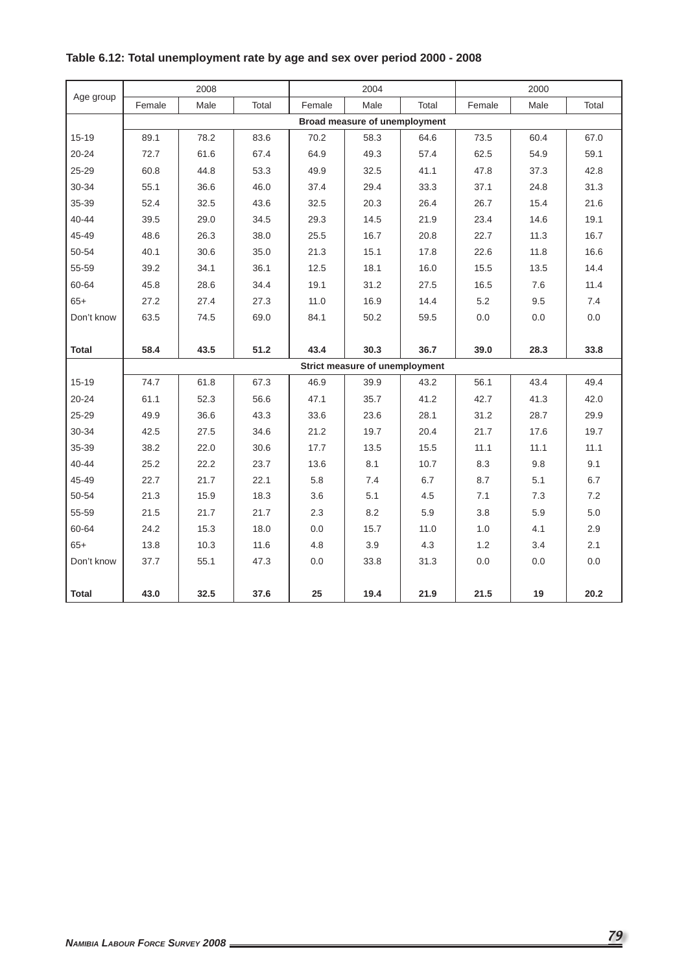|              |        | 2008 |       |        | 2004                           |       |        | 2000 |         |
|--------------|--------|------|-------|--------|--------------------------------|-------|--------|------|---------|
| Age group    | Female | Male | Total | Female | Male                           | Total | Female | Male | Total   |
|              |        |      |       |        | Broad measure of unemployment  |       |        |      |         |
| $15 - 19$    | 89.1   | 78.2 | 83.6  | 70.2   | 58.3                           | 64.6  | 73.5   | 60.4 | 67.0    |
| $20 - 24$    | 72.7   | 61.6 | 67.4  | 64.9   | 49.3                           | 57.4  | 62.5   | 54.9 | 59.1    |
| 25-29        | 60.8   | 44.8 | 53.3  | 49.9   | 32.5                           | 41.1  | 47.8   | 37.3 | 42.8    |
| 30-34        | 55.1   | 36.6 | 46.0  | 37.4   | 29.4                           | 33.3  | 37.1   | 24.8 | 31.3    |
| 35-39        | 52.4   | 32.5 | 43.6  | 32.5   | 20.3                           | 26.4  | 26.7   | 15.4 | 21.6    |
| $40 - 44$    | 39.5   | 29.0 | 34.5  | 29.3   | 14.5                           | 21.9  | 23.4   | 14.6 | 19.1    |
| 45-49        | 48.6   | 26.3 | 38.0  | 25.5   | 16.7                           | 20.8  | 22.7   | 11.3 | 16.7    |
| 50-54        | 40.1   | 30.6 | 35.0  | 21.3   | 15.1                           | 17.8  | 22.6   | 11.8 | 16.6    |
| 55-59        | 39.2   | 34.1 | 36.1  | 12.5   | 18.1                           | 16.0  | 15.5   | 13.5 | 14.4    |
| 60-64        | 45.8   | 28.6 | 34.4  | 19.1   | 31.2                           | 27.5  | 16.5   | 7.6  | 11.4    |
| $65+$        | 27.2   | 27.4 | 27.3  | 11.0   | 16.9                           | 14.4  | 5.2    | 9.5  | 7.4     |
| Don't know   | 63.5   | 74.5 | 69.0  | 84.1   | 50.2                           | 59.5  | 0.0    | 0.0  | 0.0     |
|              |        |      |       |        |                                |       |        |      |         |
| <b>Total</b> | 58.4   | 43.5 | 51.2  | 43.4   | 30.3                           | 36.7  | 39.0   | 28.3 | 33.8    |
|              |        |      |       |        | Strict measure of unemployment |       |        |      |         |
| $15 - 19$    | 74.7   | 61.8 | 67.3  | 46.9   | 39.9                           | 43.2  | 56.1   | 43.4 | 49.4    |
| $20 - 24$    | 61.1   | 52.3 | 56.6  | 47.1   | 35.7                           | 41.2  | 42.7   | 41.3 | 42.0    |
| 25-29        | 49.9   | 36.6 | 43.3  | 33.6   | 23.6                           | 28.1  | 31.2   | 28.7 | 29.9    |
| 30-34        | 42.5   | 27.5 | 34.6  | 21.2   | 19.7                           | 20.4  | 21.7   | 17.6 | 19.7    |
| 35-39        | 38.2   | 22.0 | 30.6  | 17.7   | 13.5                           | 15.5  | 11.1   | 11.1 | 11.1    |
| $40 - 44$    | 25.2   | 22.2 | 23.7  | 13.6   | 8.1                            | 10.7  | 8.3    | 9.8  | 9.1     |
| 45-49        | 22.7   | 21.7 | 22.1  | 5.8    | 7.4                            | 6.7   | 8.7    | 5.1  | 6.7     |
| 50-54        | 21.3   | 15.9 | 18.3  | 3.6    | 5.1                            | 4.5   | 7.1    | 7.3  | 7.2     |
| 55-59        | 21.5   | 21.7 | 21.7  | 2.3    | 8.2                            | 5.9   | 3.8    | 5.9  | $5.0\,$ |
| 60-64        | 24.2   | 15.3 | 18.0  | 0.0    | 15.7                           | 11.0  | 1.0    | 4.1  | 2.9     |
| $65+$        | 13.8   | 10.3 | 11.6  | 4.8    | 3.9                            | 4.3   | 1.2    | 3.4  | 2.1     |
| Don't know   | 37.7   | 55.1 | 47.3  | 0.0    | 33.8                           | 31.3  | 0.0    | 0.0  | 0.0     |
|              |        |      |       |        |                                |       |        |      |         |
| <b>Total</b> | 43.0   | 32.5 | 37.6  | 25     | 19.4                           | 21.9  | 21.5   | 19   | 20.2    |

# **Table 6.12: Total unemployment rate by age and sex over period 2000 - 2008**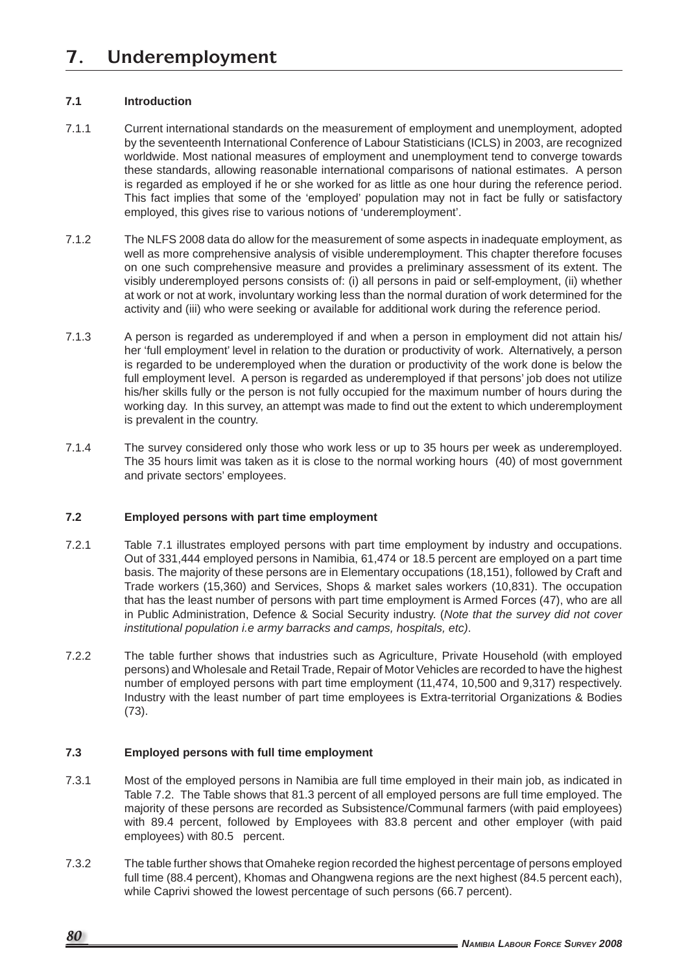## **7.1 Introduction**

- 7.1.1 Current international standards on the measurement of employment and unemployment, adopted by the seventeenth International Conference of Labour Statisticians (ICLS) in 2003, are recognized worldwide. Most national measures of employment and unemployment tend to converge towards these standards, allowing reasonable international comparisons of national estimates. A person is regarded as employed if he or she worked for as little as one hour during the reference period. This fact implies that some of the 'employed' population may not in fact be fully or satisfactory employed, this gives rise to various notions of 'underemployment'.
- 7.1.2 The NLFS 2008 data do allow for the measurement of some aspects in inadequate employment, as well as more comprehensive analysis of visible underemployment. This chapter therefore focuses on one such comprehensive measure and provides a preliminary assessment of its extent. The visibly underemployed persons consists of: (i) all persons in paid or self-employment, (ii) whether at work or not at work, involuntary working less than the normal duration of work determined for the activity and (iii) who were seeking or available for additional work during the reference period.
- 7.1.3 A person is regarded as underemployed if and when a person in employment did not attain his/ her 'full employment' level in relation to the duration or productivity of work. Alternatively, a person is regarded to be underemployed when the duration or productivity of the work done is below the full employment level. A person is regarded as underemployed if that persons' job does not utilize his/her skills fully or the person is not fully occupied for the maximum number of hours during the working day. In this survey, an attempt was made to find out the extent to which underemployment is prevalent in the country.
- 7.1.4 The survey considered only those who work less or up to 35 hours per week as underemployed. The 35 hours limit was taken as it is close to the normal working hours (40) of most government and private sectors' employees.

## **7.2 Employed persons with part time employment**

- 7.2.1 Table 7.1 illustrates employed persons with part time employment by industry and occupations. Out of 331,444 employed persons in Namibia, 61,474 or 18.5 percent are employed on a part time basis. The majority of these persons are in Elementary occupations (18,151), followed by Craft and Trade workers (15,360) and Services, Shops & market sales workers (10,831). The occupation that has the least number of persons with part time employment is Armed Forces (47), who are all in Public Administration, Defence & Social Security industry. (*Note that the survey did not cover institutional population i.e army barracks and camps, hospitals, etc)*.
- 7.2.2 The table further shows that industries such as Agriculture, Private Household (with employed persons) and Wholesale and Retail Trade, Repair of Motor Vehicles are recorded to have the highest number of employed persons with part time employment (11,474, 10,500 and 9,317) respectively. Industry with the least number of part time employees is Extra-territorial Organizations & Bodies (73).

## **7.3 Employed persons with full time employment**

- 7.3.1 Most of the employed persons in Namibia are full time employed in their main job, as indicated in Table 7.2. The Table shows that 81.3 percent of all employed persons are full time employed. The majority of these persons are recorded as Subsistence/Communal farmers (with paid employees) with 89.4 percent, followed by Employees with 83.8 percent and other employer (with paid employees) with 80.5 percent.
- 7.3.2 The table further shows that Omaheke region recorded the highest percentage of persons employed full time (88.4 percent), Khomas and Ohangwena regions are the next highest (84.5 percent each), while Caprivi showed the lowest percentage of such persons (66.7 percent).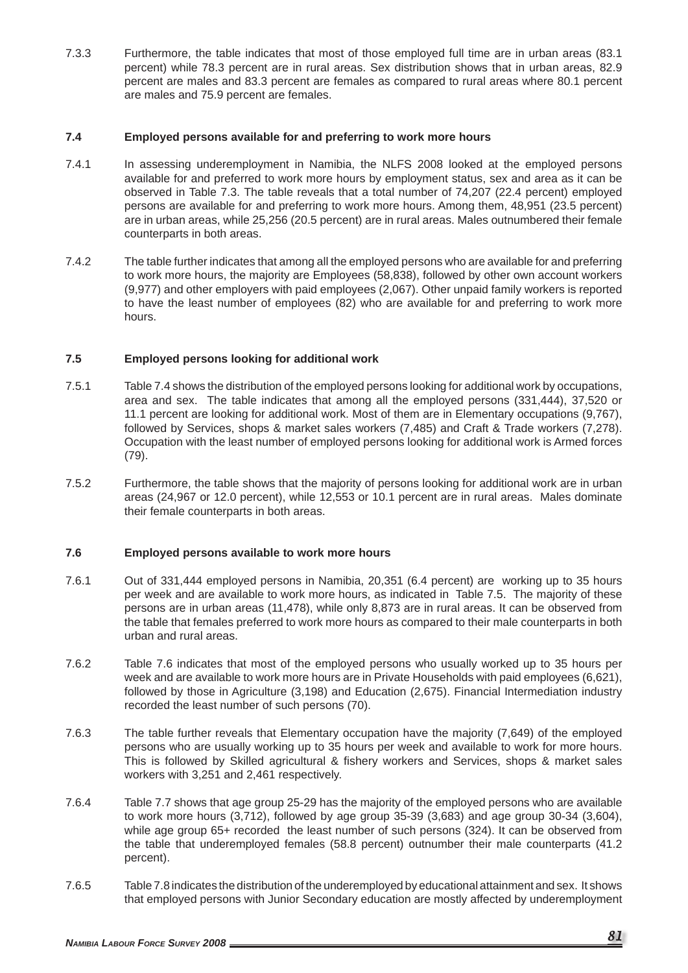7.3.3 Furthermore, the table indicates that most of those employed full time are in urban areas (83.1 percent) while 78.3 percent are in rural areas. Sex distribution shows that in urban areas, 82.9 percent are males and 83.3 percent are females as compared to rural areas where 80.1 percent are males and 75.9 percent are females.

### **7.4 Employed persons available for and preferring to work more hours**

- 7.4.1 In assessing underemployment in Namibia, the NLFS 2008 looked at the employed persons available for and preferred to work more hours by employment status, sex and area as it can be observed in Table 7.3. The table reveals that a total number of 74,207 (22.4 percent) employed persons are available for and preferring to work more hours. Among them, 48,951 (23.5 percent) are in urban areas, while 25,256 (20.5 percent) are in rural areas. Males outnumbered their female counterparts in both areas.
- 7.4.2 The table further indicates that among all the employed persons who are available for and preferring to work more hours, the majority are Employees (58,838), followed by other own account workers (9,977) and other employers with paid employees (2,067). Other unpaid family workers is reported to have the least number of employees (82) who are available for and preferring to work more hours.

### **7.5 Employed persons looking for additional work**

- 7.5.1Table 7.4 shows the distribution of the employed persons looking for additional work by occupations, area and sex. The table indicates that among all the employed persons (331,444), 37,520 or 11.1 percent are looking for additional work. Most of them are in Elementary occupations (9,767), followed by Services, shops & market sales workers (7,485) and Craft & Trade workers (7,278). Occupation with the least number of employed persons looking for additional work is Armed forces (79).
- 7.5.2 Furthermore, the table shows that the majority of persons looking for additional work are in urban areas (24,967 or 12.0 percent), while 12,553 or 10.1 percent are in rural areas. Males dominate their female counterparts in both areas.

### **7.6 Employed persons available to work more hours**

- 7.6.1Out of 331,444 employed persons in Namibia, 20,351 (6.4 percent) are working up to 35 hours per week and are available to work more hours, as indicated in Table 7.5. The majority of these persons are in urban areas (11,478), while only 8,873 are in rural areas. It can be observed from the table that females preferred to work more hours as compared to their male counterparts in both urban and rural areas.
- 7.6.2 Table 7.6 indicates that most of the employed persons who usually worked up to 35 hours per week and are available to work more hours are in Private Households with paid employees (6,621), followed by those in Agriculture (3,198) and Education (2,675). Financial Intermediation industry recorded the least number of such persons (70).
- 7.6.3 The table further reveals that Elementary occupation have the majority (7,649) of the employed persons who are usually working up to 35 hours per week and available to work for more hours. This is followed by Skilled agricultural & fishery workers and Services, shops & market sales workers with 3,251 and 2,461 respectively.
- 7.6.4 Table 7.7 shows that age group 25-29 has the majority of the employed persons who are available to work more hours (3,712), followed by age group 35-39 (3,683) and age group 30-34 (3,604), while age group 65+ recorded the least number of such persons (324). It can be observed from the table that underemployed females (58.8 percent) outnumber their male counterparts (41.2 percent).
- 7.6.5 Table 7.8 indicates the distribution of the underemployed by educational attainment and sex. It shows that employed persons with Junior Secondary education are mostly affected by underemployment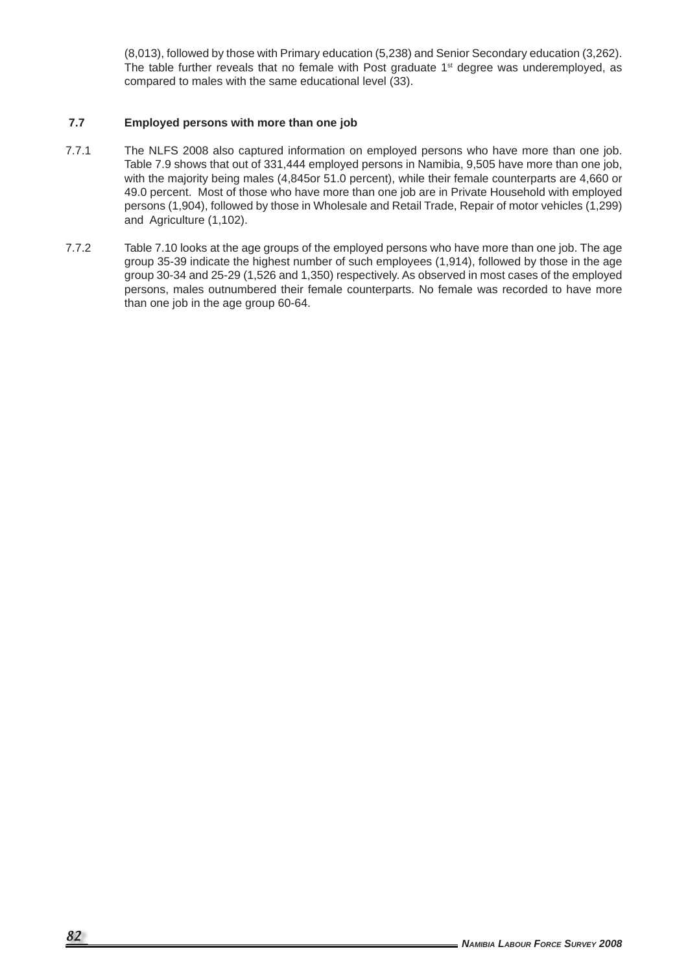(8,013), followed by those with Primary education (5,238) and Senior Secondary education (3,262). The table further reveals that no female with Post graduate  $1<sup>st</sup>$  degree was underemployed, as compared to males with the same educational level (33).

### **7.7 Employed persons with more than one job**

- 7.7.1 The NLFS 2008 also captured information on employed persons who have more than one job. Table 7.9 shows that out of 331,444 employed persons in Namibia, 9,505 have more than one job, with the majority being males (4,845or 51.0 percent), while their female counterparts are 4,660 or 49.0 percent. Most of those who have more than one job are in Private Household with employed persons (1,904), followed by those in Wholesale and Retail Trade, Repair of motor vehicles (1,299) and Agriculture (1,102).
- 7.7.2 Table 7.10 looks at the age groups of the employed persons who have more than one job. The age group 35-39 indicate the highest number of such employees (1,914), followed by those in the age group 30-34 and 25-29 (1,526 and 1,350) respectively. As observed in most cases of the employed persons, males outnumbered their female counterparts. No female was recorded to have more than one job in the age group 60-64.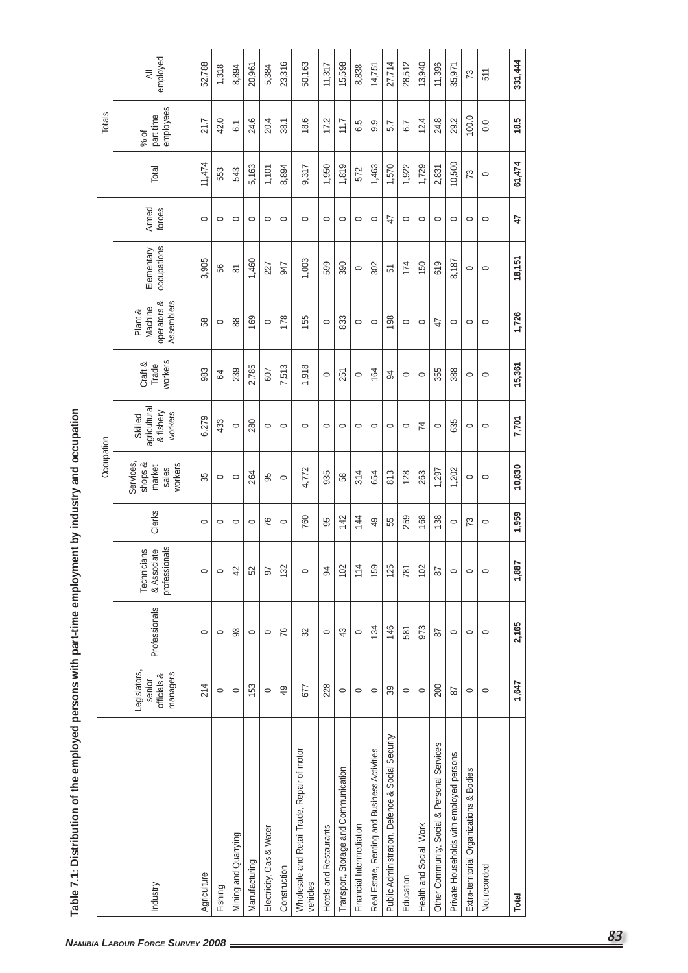|                                                         |                                                   |               |                                             |         | Occupation                                         |                                                 |                             |                                                 |                           |                 |         | Totals                         |                                       |
|---------------------------------------------------------|---------------------------------------------------|---------------|---------------------------------------------|---------|----------------------------------------------------|-------------------------------------------------|-----------------------------|-------------------------------------------------|---------------------------|-----------------|---------|--------------------------------|---------------------------------------|
| Industry                                                | Legislators,<br>officials &<br>managers<br>senior | Professionals | professionals<br>Technicians<br>& Associate | Clerks  | Services,<br>shops &<br>workers<br>market<br>sales | agricultural<br>& fishery<br>workers<br>Skilled | workers<br>Craft &<br>Trade | operators &<br>Assemblers<br>Machine<br>Plant & | occupations<br>Elementary | Armed<br>forces | Total   | employees<br>part time<br>% of | employed<br>$\overline{\overline{z}}$ |
| Agriculture                                             | 214                                               | $\circ$       | $\circ$                                     | $\circ$ | 35                                                 | 6,279                                           | 983                         | 58                                              | 3,905                     | $\circ$         | 11,474  | 21.7                           | 52,788                                |
| Fishing                                                 | $\circ$                                           | $\circ$       | $\circ$                                     | $\circ$ | $\circ$                                            | 433                                             | 64                          | $\circ$                                         | 56                        | $\circ$         | 553     | 42.0                           | 1,318                                 |
| Mining and Quarrying                                    | $\circ$                                           | 33            | 42                                          | $\circ$ | $\circ$                                            | $\circ$                                         | 239                         | 88                                              | $\overline{8}$            | $\circ$         | 543     | 6.1                            | 8,894                                 |
| Manufacturing                                           | 153                                               | $\circ$       | 52                                          | $\circ$ | 264                                                | 280                                             | 2,785                       | 169                                             | 1,460                     | $\circ$         | 5,163   | 24.6                           | 20,961                                |
| Electricity, Gas & Water                                | $\circ$                                           | $\circ$       | $\overline{9}$                              | 76      | 95                                                 | $\circ$                                         | 607                         | $\circ$                                         | 227                       | $\circ$         | 1,101   | 20.4                           | 5,384                                 |
| Construction                                            | $\overline{49}$                                   | 76            | 132                                         | $\circ$ | $\circ$                                            | $\circ$                                         | 7,513                       | 178                                             | 547                       | $\circ$         | 8,894   | 38.1                           | 23,316                                |
| Wholesale and Retail Trade, Repair of motor<br>vehicles | 677                                               | 32            | $\circ$                                     | 760     | 4,772                                              | $\circ$                                         | 1,918                       | 155                                             | 1,003                     | $\circ$         | 9,317   | 18.6                           | 50,163                                |
| Hotels and Restaurants                                  | 228                                               | $\circ$       | $\overline{9}$                              | 95      | 935                                                | $\circ$                                         | $\circ$                     | $\circ$                                         | 599                       | $\circ$         | 1,950   | 17.2                           | 11,317                                |
| Transport, Storage and Communication                    | $\circ$                                           | 43            | 102                                         | 142     | 58                                                 | $\circ$                                         | 251                         | 833                                             | 390                       | $\circ$         | 1,819   | 11.7                           | 15,598                                |
| Financial Intermediation                                | $\circ$                                           | $\circ$       | 114                                         | 144     | 314                                                | $\circ$                                         | $\circ$                     | $\circ$                                         | $\circ$                   | $\circ$         | 572     | 6.5                            | 8,838                                 |
| Real Estate, Renting and Business Activities            | $\circ$                                           | 134           | 159                                         | 49      | 654                                                | $\circ$                                         | 164                         | $\circ$                                         | 302                       | $\circ$         | 1,463   | 9.9                            | 14,751                                |
| Public Administration, Defence & Social Security        | 39                                                | 146           | 125                                         | 55      | 813                                                | $\circ$                                         | 34                          | 198                                             | 51                        | A               | 1,570   | 5.7                            | 27,714                                |
| Education                                               | $\circ$                                           | 581           | 781                                         | 259     | 128                                                | $\circ$                                         | $\circ$                     | $\circ$                                         | 174                       | $\circ$         | 1,922   | 6.7                            | 28,512                                |
| Health and Social Work                                  | $\circ$                                           | 973           | 102                                         | 168     | 263                                                | 74                                              | $\circ$                     | $\circ$                                         | 150                       | $\circ$         | 1,729   | 12.4                           | 13,940                                |
| Other Community, Social & Personal Services             | 200                                               | 87            | 87                                          | 138     | 1,297                                              | $\circ$                                         | 355                         | 47                                              | 619                       | $\circ$         | 2,831   | 24.8                           | 11,396                                |
| Private Households with employed persons                | 5s                                                | $\circ$       | $\circ$                                     | $\circ$ | 1,202                                              | 635                                             | 388                         | $\circ$                                         | 8,187                     | $\circ$         | 10,500  | 29.2                           | 35,971                                |
| Extra-territorial Organizations & Bodies                | $\circ$                                           | $\circ$       | $\circ$                                     | 73      | $\circ$                                            | $\circ$                                         | $\circ$                     | $\circ$                                         | $\circ$                   | $\circ$         | 73      | 100.0                          | 73                                    |
| Not recorded                                            | $\circ$                                           | $\circ$       | $\circ$                                     | $\circ$ | $\circ$                                            | $\circ$                                         | $\circ$                     | $\circ$                                         | $\circ$                   | $\circ$         | $\circ$ | $\rm ^{0}$                     | 511                                   |
|                                                         |                                                   |               |                                             |         |                                                    |                                                 |                             |                                                 |                           |                 |         |                                |                                       |
| Total                                                   | 1,647                                             | 2,165         | 1,887                                       | 1,959   | 10,830                                             | 7,701                                           | 15,361                      | 1,726                                           | 18,151                    | 4               | 61,474  | မာ<br>$\frac{8}{1}$            | 331,444                               |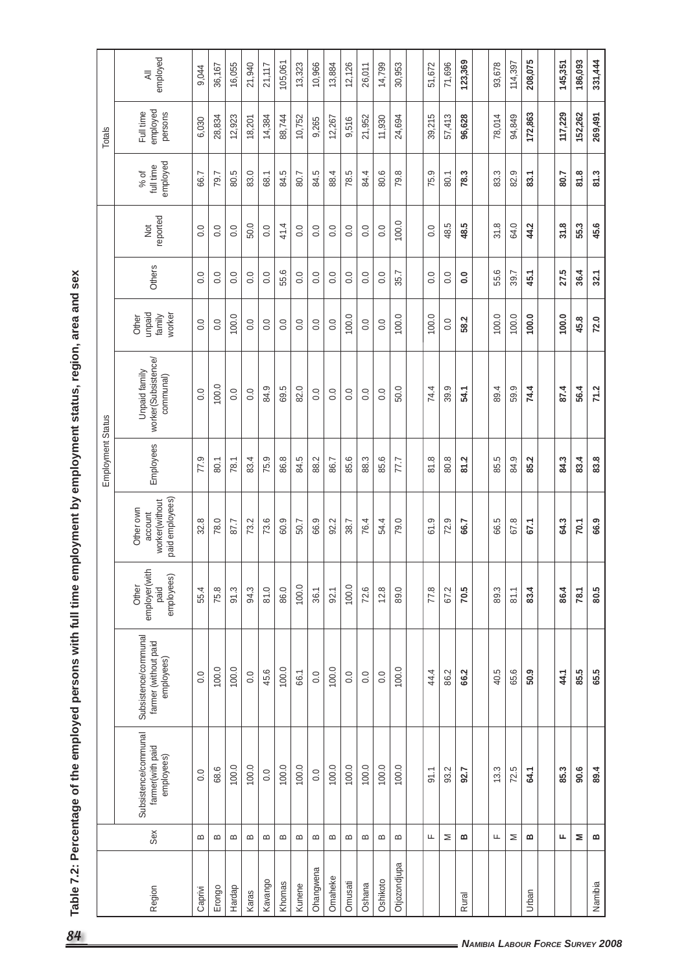|              |          |                                                        |                                                            |                                              |                                                           | Employment Status |                                                   |                                     |                  |                  |                               | Totals                           |          |
|--------------|----------|--------------------------------------------------------|------------------------------------------------------------|----------------------------------------------|-----------------------------------------------------------|-------------------|---------------------------------------------------|-------------------------------------|------------------|------------------|-------------------------------|----------------------------------|----------|
| Region       | Sex      | Subsistence/communal<br>farmer(with paid<br>employees) | Subsistence/communal<br>farmer (without paid<br>employees) | employer(with<br>employees)<br>Other<br>paid | paid employees)<br>worker(without<br>Other own<br>account | Employees         | worker(Subsistence/<br>Unpaid family<br>communal) | unpaid<br>worker<br>family<br>Other | Others           | reported<br>Not  | employed<br>full time<br>% of | employed<br>Full time<br>persons | employed |
| Caprivi      | $\bf{m}$ | 0.0                                                    | 0.0                                                        | 55.4                                         | 32.8                                                      | 77.9              | 0.0                                               | $\rm ^{0.0}$                        | $\overline{0}$ . | 0.0              | 66.7                          | 6,030                            |          |
| Erongo       | $\bf{m}$ | 68.6                                                   | 100.0                                                      | 75.8                                         | 78.0                                                      | 80.1              | 100.0                                             | 0.0                                 | $\overline{0}$ . | 0.0              | 79.7                          | 28,834                           | 36,167   |
| Hardap       | $\bf{m}$ | 100.0                                                  | 100.0                                                      | 91.3                                         | 87.7                                                      | 78.1              | 0.0                                               | 100.0                               | 0.0              | 0.0              | 80.5                          | 12,923                           |          |
| Karas        | $\bf{m}$ | 100.0                                                  | 0.0                                                        | 94.3                                         | 73.2                                                      | 83.4              | 0.0                                               | 0.0                                 | $\overline{0}$ . | 50.0             | 83.0                          | 18,201                           | 21,940   |
| Kavango      | $\bf{m}$ | 0.0                                                    | 45.6                                                       | 81.0                                         | 73.6                                                      | 75.9              | 84.9                                              | 0.0                                 | $\overline{0}$ . | 0.0              | 68.1                          | 14,384                           | 21,117   |
| Khomas       | m        | 100.0                                                  | 100.0                                                      | 86.0                                         | 60.9                                                      | 86.8              | 69.5                                              | $\overline{0}$ .                    | 55.6             | 41.4             | 84.5                          | 88,744                           | 105,061  |
| Kunene       | $\bf{m}$ | 100.0                                                  | 66.1                                                       | 100.0                                        | 50.7                                                      | 84.5              | 82.0                                              | $\overline{0}$ .                    | $\rm ^{0}$       | 0.0              | 80.7                          | 10,752                           | 13,323   |
| Ohangwena    | $\bf{m}$ | 0.0                                                    | 0.0                                                        | 36.1                                         | 66.9                                                      | 88.2              | 0.0                                               | 0.0                                 | $\overline{0}$ . | 0.0              | 84.5                          | 9,265                            | 10,966   |
| Omaheke      | $\bf{m}$ | 100.0                                                  | 100.0                                                      | 92.1                                         | 92.2                                                      | 86.7              | 0.0                                               | $\rm ^{0.0}$                        | $\rm ^{0}$       | 0.0              | 88.4                          | 12,267                           | 13,884   |
| Omusati      | $\bf{m}$ | 100.0                                                  | 0.0                                                        | 100.0                                        | 38.7                                                      | 85.6              | 0.0                                               | 100.0                               | 0.0              | 0.0              | 78.5                          | 9,516                            | 12,126   |
| Oshana       | $\bf{m}$ | 100.0                                                  | 0.0                                                        | 72.6                                         | 76.4                                                      | 88.3              | 0.0                                               | 0.0                                 | $\overline{0}$ . | 0.0              | 84.4                          | 21,952                           | 26,011   |
| Oshikoto     | $\bf{m}$ | 100.0                                                  | 0.0                                                        | 12.8                                         | 54.4                                                      | 85.6              | $\overline{0}$ .                                  | $\overline{0}$ .                    | 0.0              | $\overline{0}$ . | 80.6                          | 11,930                           | 14,799   |
| Otjozondjupa | $\bf{m}$ | 100.0                                                  | 100.0                                                      | 89.0                                         | 79.0                                                      | 77.7              | 50.0                                              | 100.0                               | 35.7             | 100.0            | 79.8                          | 24,694                           | 30,953   |
|              |          |                                                        |                                                            |                                              |                                                           |                   |                                                   |                                     |                  |                  |                               |                                  |          |
|              | ட        | 91.1                                                   | 44.4                                                       | 77.8                                         | 61.9                                                      | 81.8              | 74.4                                              | 100.0                               | 0.0              | 0.0              | 75.9                          | 39,215                           | 51,672   |
|              | Σ        | 93.2                                                   | 86.2                                                       | 67.2                                         | 72.9                                                      | 80.8              | 39.9                                              | 0.0                                 | 0.0              | 48.5             | 80.1                          | 57,413                           | 71,696   |
| Rural        | ≃        | 92.7                                                   | 66.2                                                       | 70.5                                         | 66.7                                                      | 81.2              | 54.1                                              | 58.2                                | $\overline{0}$   | 48.5             | 78.3                          | 96,628                           | 123,369  |
|              |          |                                                        |                                                            |                                              |                                                           |                   |                                                   |                                     |                  |                  |                               |                                  |          |
|              | ட        | 13.3                                                   | 40.5                                                       | 89.3                                         | 66.5                                                      | 85.5              | 89.4                                              | 100.0                               | 55.6             | 31.8             | 83.3                          | 78,014                           | 93,678   |
|              | Σ        | 72.5                                                   | 65.6                                                       | 81.1                                         | 67.8                                                      | 84.9              | 59.9                                              | 100.0                               | 39.7             | 64.0             | 82.9                          | 94,849                           | 114,397  |
| Urban        | ≃        | 64.1                                                   | 50.9                                                       | 83.4                                         | 67.1                                                      | 85.2              | 74.4                                              | 100.0                               | 45.1             | 44.2             | 83.1                          | 172,863                          | 208,075  |
|              |          |                                                        |                                                            |                                              |                                                           |                   |                                                   |                                     |                  |                  |                               |                                  |          |
|              | щ        | 85.3                                                   | 44.1                                                       | 86.4                                         | 64.3                                                      | 84.3              | 87.4                                              | 100.0                               | 27.5             | 31.8             | 80.7                          | 117,229                          | 145,351  |
|              | Σ        | 90.6                                                   | 85.5                                                       | 78.1                                         | 70.1                                                      | 83.4              | 56.4                                              | 45.8                                | 36.4             | 55.3             | 81.8                          | 152,262                          | 186,093  |
| Namibia      | m        | 89.4                                                   | 65.5                                                       | 80.5                                         | 6.9                                                       | 83.8              | 71.2                                              | 72.0                                | 32.1             | 45.6             | 81.3                          | 269,491                          | 331,444  |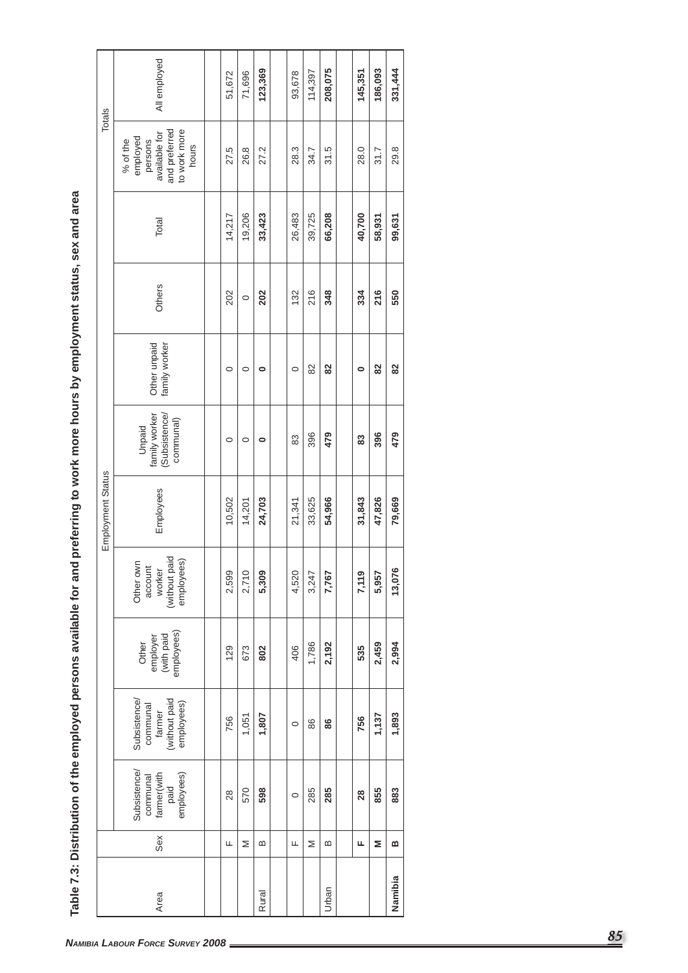| Subsistence<br>communal                          |                                                                         |                                               |                                                               | Employment Status |                                                       |                               |         |        |                                                                                            | Totals       |
|--------------------------------------------------|-------------------------------------------------------------------------|-----------------------------------------------|---------------------------------------------------------------|-------------------|-------------------------------------------------------|-------------------------------|---------|--------|--------------------------------------------------------------------------------------------|--------------|
| farmer(with<br>employees)<br>paid<br>Sex<br>Area | (without paid<br><b>Subsistence</b><br>employees)<br>communal<br>farmer | employees)<br>(with paid<br>employer<br>Other | (without paid<br>employees)<br>Other own<br>account<br>worker | Employees         | (Subsistence/<br>family worker<br>communal)<br>Unpaid | family worker<br>Other unpaid | Others  | Total  | and preferred<br>to work more<br>available for<br>employed<br>% of the<br>persons<br>hours | All employed |
|                                                  |                                                                         |                                               |                                                               |                   |                                                       |                               |         |        |                                                                                            |              |
| 28<br>щ                                          | 756                                                                     | 129                                           | 2,599                                                         | 10,502            | $\circ$                                               | $\circ$                       | 202     | 14,217 | 27.5                                                                                       | 51,672       |
| 570<br>Σ                                         | 1,051                                                                   | 673                                           | 2,710                                                         | 14,201            | $\circ$                                               | $\circ$                       | $\circ$ | 19,206 | 26.8                                                                                       | 71,696       |
| 598<br>$\bf{m}$<br>Rural                         | 1,807                                                                   | 802                                           | 5,309                                                         | 24,703            | $\bullet$                                             | $\bullet$                     | 202     | 33,423 | 27.2                                                                                       | 123,369      |
|                                                  |                                                                         |                                               |                                                               |                   |                                                       |                               |         |        |                                                                                            |              |
| $\circ$<br>Щ                                     | $\circ$                                                                 | 406                                           | 4,520                                                         | 21,341            | 83                                                    | $\circ$                       | 132     | 26,483 | 28.3                                                                                       | 93,678       |
| 285<br>Σ                                         | 86                                                                      | 1,786                                         | 3,247                                                         | 33,625            | 396                                                   | 82                            | 216     | 39,725 | 34.7                                                                                       | 114,397      |
| 285<br>$\bf{m}$<br>Urban                         | 86                                                                      | 2,192                                         | 7,767                                                         | 54,966            | 479                                                   | 82                            | 348     | 66,208 | 31.5                                                                                       | 208,075      |
|                                                  |                                                                         |                                               |                                                               |                   |                                                       |                               |         |        |                                                                                            |              |
|                                                  | 756                                                                     | 535                                           | 7,119                                                         | 31,843            | 33                                                    | $\bullet$                     | 334     | 40,700 | 28.0                                                                                       | 145,351      |
| 28<br>Щ                                          |                                                                         |                                               |                                                               |                   |                                                       |                               |         |        |                                                                                            |              |
| 855<br>Σ                                         | 1,137                                                                   | 2,459                                         | 5,957                                                         | 47,826            | 396                                                   | 82                            | 216     | 58,931 | 31.7                                                                                       | 186,093      |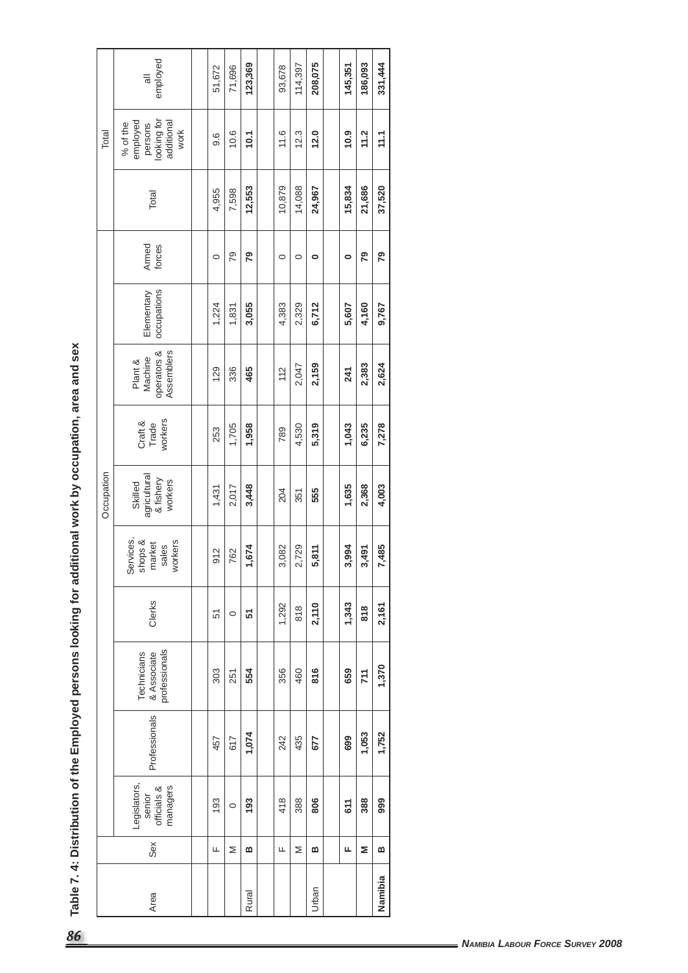| J      |
|--------|
|        |
|        |
|        |
|        |
|        |
| I<br>l |
|        |
|        |
|        |
|        |
| l<br>I |
| l<br>I |
| able   |
|        |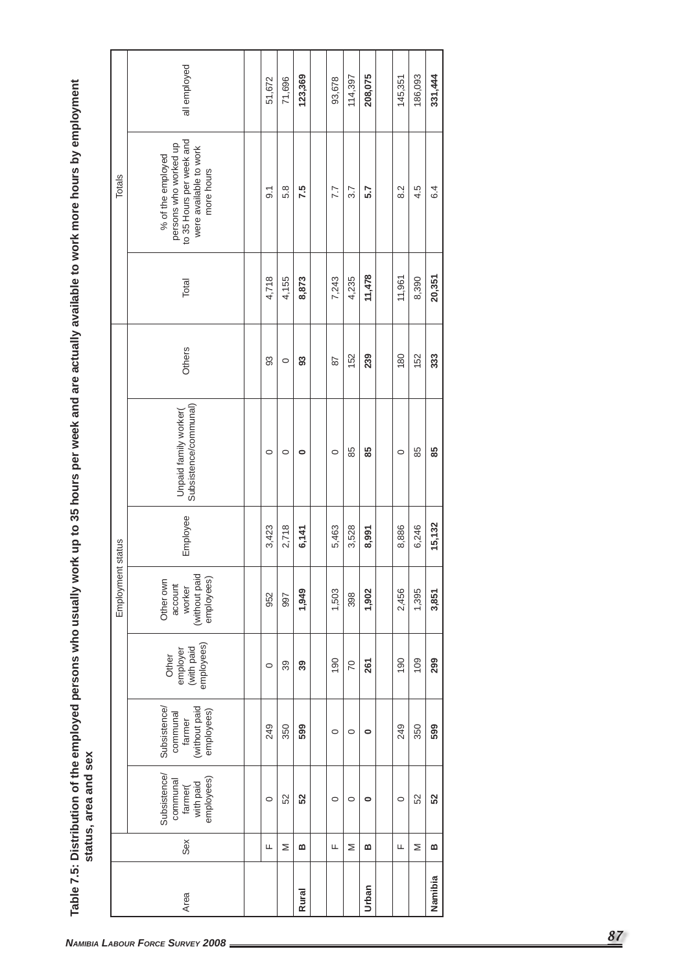|              |          |                                                                      |                                                                         |                                               | Employment                                                    | status   |                                                |                           |        | Totals                                                                                                         |              |
|--------------|----------|----------------------------------------------------------------------|-------------------------------------------------------------------------|-----------------------------------------------|---------------------------------------------------------------|----------|------------------------------------------------|---------------------------|--------|----------------------------------------------------------------------------------------------------------------|--------------|
| Area         | Sex      | <b>Subsistence</b><br>employees)<br>communal<br>with paid<br>farmer( | (without paid<br>employees)<br><b>Subsistence</b><br>communal<br>farmer | employees)<br>(with paid<br>employer<br>Other | (without paid<br>employees)<br>Other own<br>account<br>worker | Employee | Subsistence/communal)<br>Unpaid family worker( | Others                    | Total  | persons who worked up<br>to 35 Hours per week and<br>were available to work<br>% of the employed<br>more hours | all employed |
|              |          |                                                                      |                                                                         |                                               |                                                               |          |                                                |                           |        |                                                                                                                |              |
|              | Щ        | $\circ$                                                              | 249                                                                     | $\circ$                                       | 952                                                           | 3,423    | $\circ$                                        | 33                        | 4,718  | $\overline{9}$ .                                                                                               | 51,672       |
|              | Σ        | 52                                                                   | 350                                                                     | 39                                            | 997                                                           | 2,718    | $\circ$                                        | $\circ$                   | 4,155  | 5.8                                                                                                            | 71,696       |
| <b>Rural</b> | $\bf{m}$ | 52                                                                   | 599                                                                     | 39                                            | 1,949                                                         | 6,141    | $\circ$                                        | $\boldsymbol{\mathsf{s}}$ | 8,873  | 7.5                                                                                                            | 123,369      |
|              |          |                                                                      |                                                                         |                                               |                                                               |          |                                                |                           |        |                                                                                                                |              |
|              | Щ        | $\circ$                                                              | $\circ$                                                                 | 190                                           | 1,503                                                         | 5,463    | $\circ$                                        | 28                        | 7,243  | 7.7                                                                                                            | 93,678       |
|              | Σ        | $\circ$                                                              | $\circ$                                                                 | 20                                            | 398                                                           | 3,528    | 85                                             | 152                       | 4,235  | 3.7                                                                                                            | 114,397      |
| Urban        | m        | $\circ$                                                              | $\circ$                                                                 | 261                                           | 1,902                                                         | 8,991    | 85                                             | 239                       | 11,478 | 5.7                                                                                                            | 208,075      |
|              |          |                                                                      |                                                                         |                                               |                                                               |          |                                                |                           |        |                                                                                                                |              |
|              | Щ        | $\circ$                                                              | 249                                                                     | 190                                           | 2,456                                                         | 8,886    | $\circ$                                        | 180                       | 11,961 | 8.2                                                                                                            | 145,351      |
|              | Σ        | 52                                                                   | 350                                                                     | 109                                           | 1,395                                                         | 6,246    | 85                                             | 152                       | 8,390  | 4.5                                                                                                            | 186,093      |
| Namibia      | $\bf{m}$ | 52                                                                   | 599                                                                     | 299                                           | 3,851                                                         | 15,132   | 85                                             | 333                       | 20,351 | 6.4                                                                                                            | 331,444      |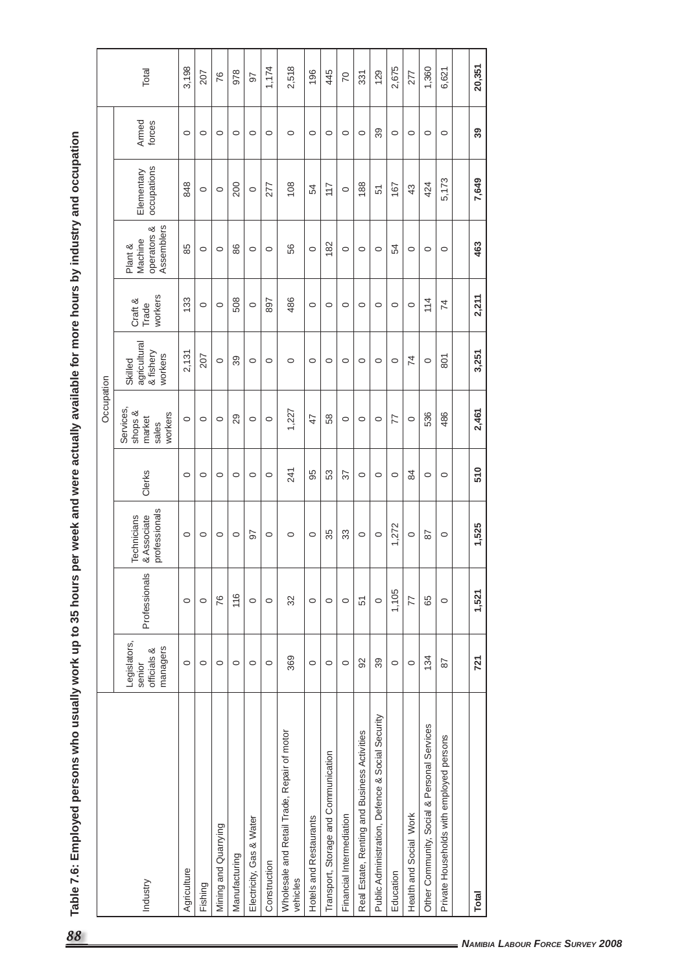| k up to 35 hours per week and were actually available for more hours by industry and occupatio |
|------------------------------------------------------------------------------------------------|
|                                                                                                |
|                                                                                                |
|                                                                                                |
|                                                                                                |
|                                                                                                |
|                                                                                                |
|                                                                                                |
|                                                                                                |
| I                                                                                              |
|                                                                                                |
|                                                                                                |
|                                                                                                |
|                                                                                                |
|                                                                                                |
|                                                                                                |
|                                                                                                |
|                                                                                                |
|                                                                                                |
|                                                                                                |
|                                                                                                |
|                                                                                                |
|                                                                                                |
|                                                                                                |
|                                                                                                |
|                                                                                                |
|                                                                                                |
|                                                                                                |
| ľ                                                                                              |
| ۳                                                                                              |
|                                                                                                |
|                                                                                                |

| 20,351<br>3,198<br>1,174<br>2,518<br>2,675<br>1,360<br>6,621<br>Total<br>978<br>196<br>445<br>129<br>277<br>207<br>331<br>76<br>$\mathcal{R}$<br>97<br>Armed<br>forces<br>89<br>39<br>$\circ$<br>$\circ$<br>$\circ$<br>$\circ$<br>$\circ$<br>$\circ$<br>$\circ$<br>$\circ$<br>$\circ$<br>$\circ$<br>$\circ$<br>$\circ$<br>$\circ$<br>$\circ$<br>$\circ$<br>occupations<br>Elementary<br>7,649<br>5,173<br>848<br>108<br>188<br>424<br>200<br>277<br>167<br>117<br>43<br>54<br>51<br>$\circ$<br>$\circ$<br>$\circ$<br>$\circ$<br>operators &<br>Assemblers<br>Machine<br>463<br>182<br>85<br>86<br>56<br>Plant &<br>오<br>$\circ$<br>$\circ$<br>$\circ$<br>$\circ$<br>$\circ$<br>$\circ$<br>$\circ$<br>$\circ$<br>$\circ$<br>$\circ$<br>$\circ$<br>workers<br>2,211<br>133<br>508<br>486<br>114<br>897<br>Craft &<br>$\overline{7}$<br>$\circ$<br>$\circ$<br>$\circ$<br>$\circ$<br>$\circ$<br>$\circ$<br>$\circ$<br>$\circ$<br>Trade<br>$\circ$<br>$\circ$<br>Skilled<br>agricultural<br>& fishery<br>3,251<br>2,131<br>workers<br>207<br>801<br>39<br>$\overline{7}$<br>$\circ$<br>$\circ$<br>$\circ$<br>$\circ$<br>$\circ$<br>$\circ$<br>$\circ$<br>$\circ$<br>$\circ$<br>$\circ$<br>$\circ$<br>Services,<br>1,227<br>2,461<br>shops &<br>workers<br>486<br>536<br>58<br>market<br>29<br>47<br>77<br>$\circ$<br>$\circ$<br>$\circ$<br>$\circ$<br>$\circ$<br>$\circ$<br>$\circ$<br>$\circ$<br>$\circ$<br>sales<br>510<br>241<br>95<br>53<br>Clerks<br>$\overline{\widetilde{\varepsilon}}$<br>S2<br>$\circ$<br>$\circ$<br>$\circ$<br>$\circ$<br>$\circ$<br>$\circ$<br>$\circ$<br>$\circ$<br>$\circ$<br>$\circ$<br>$\circ$<br>professionals<br>& Associate<br>Technicians<br>525<br>,272<br>35<br>33<br>5<br>87<br>$\circ$<br>$\circ$<br>$\circ$<br>$\circ$<br>$\circ$<br>$\circ$<br>$\circ$<br>$\circ$<br>$\circ$<br>$\circ$<br>$\circ$<br>$\overline{\phantom{0}}$<br>Professionals<br>1,105<br>1,521<br>116<br>76<br>32<br>77<br>65<br>51<br>$\circ$<br>$\circ$<br>$\circ$<br>$\circ$<br>$\circ$<br>$\circ$<br>$\circ$<br>$\circ$<br>$\circ$<br>Legislators,<br>managers<br>officials &<br>369<br>134<br>721<br>39<br>92<br>87<br>$\circ$<br>$\circ$<br>$\circ$<br>$\circ$<br>$\circ$<br>$\circ$<br>$\circ$<br>$\circ$<br>$\circ$<br>$\circ$<br>$\circ$<br>senior<br>Public Administration, Defence & Social Security<br>Personal Services<br>Renting and Business Activities<br>Wholesale and Retail Trade, Repair of motor<br>Private Households with employed persons<br>Transport, Storage and Communication<br>Social &<br>Health and Social Work<br>Financial Intermediation<br>Hotels and Restaurants<br>Electricity, Gas & Water<br>Mining and Quarrying<br>Other Community,<br>Manufacturing<br>Construction<br>Real Estate,<br>Agriculture<br>Education<br>vehicles<br>Industry<br>Fishing<br>Total |  |  |  | Occupation |  |  |  |
|----------------------------------------------------------------------------------------------------------------------------------------------------------------------------------------------------------------------------------------------------------------------------------------------------------------------------------------------------------------------------------------------------------------------------------------------------------------------------------------------------------------------------------------------------------------------------------------------------------------------------------------------------------------------------------------------------------------------------------------------------------------------------------------------------------------------------------------------------------------------------------------------------------------------------------------------------------------------------------------------------------------------------------------------------------------------------------------------------------------------------------------------------------------------------------------------------------------------------------------------------------------------------------------------------------------------------------------------------------------------------------------------------------------------------------------------------------------------------------------------------------------------------------------------------------------------------------------------------------------------------------------------------------------------------------------------------------------------------------------------------------------------------------------------------------------------------------------------------------------------------------------------------------------------------------------------------------------------------------------------------------------------------------------------------------------------------------------------------------------------------------------------------------------------------------------------------------------------------------------------------------------------------------------------------------------------------------------------------------------------------------------------------------------------------------------------------------------------------------------------------------------------------------------------------------------------------------------------------------------------------------------------------------------------------------------------------------------------------------------------------------------------------------------------------------------|--|--|--|------------|--|--|--|
|                                                                                                                                                                                                                                                                                                                                                                                                                                                                                                                                                                                                                                                                                                                                                                                                                                                                                                                                                                                                                                                                                                                                                                                                                                                                                                                                                                                                                                                                                                                                                                                                                                                                                                                                                                                                                                                                                                                                                                                                                                                                                                                                                                                                                                                                                                                                                                                                                                                                                                                                                                                                                                                                                                                                                                                                                |  |  |  |            |  |  |  |
|                                                                                                                                                                                                                                                                                                                                                                                                                                                                                                                                                                                                                                                                                                                                                                                                                                                                                                                                                                                                                                                                                                                                                                                                                                                                                                                                                                                                                                                                                                                                                                                                                                                                                                                                                                                                                                                                                                                                                                                                                                                                                                                                                                                                                                                                                                                                                                                                                                                                                                                                                                                                                                                                                                                                                                                                                |  |  |  |            |  |  |  |
|                                                                                                                                                                                                                                                                                                                                                                                                                                                                                                                                                                                                                                                                                                                                                                                                                                                                                                                                                                                                                                                                                                                                                                                                                                                                                                                                                                                                                                                                                                                                                                                                                                                                                                                                                                                                                                                                                                                                                                                                                                                                                                                                                                                                                                                                                                                                                                                                                                                                                                                                                                                                                                                                                                                                                                                                                |  |  |  |            |  |  |  |
|                                                                                                                                                                                                                                                                                                                                                                                                                                                                                                                                                                                                                                                                                                                                                                                                                                                                                                                                                                                                                                                                                                                                                                                                                                                                                                                                                                                                                                                                                                                                                                                                                                                                                                                                                                                                                                                                                                                                                                                                                                                                                                                                                                                                                                                                                                                                                                                                                                                                                                                                                                                                                                                                                                                                                                                                                |  |  |  |            |  |  |  |
|                                                                                                                                                                                                                                                                                                                                                                                                                                                                                                                                                                                                                                                                                                                                                                                                                                                                                                                                                                                                                                                                                                                                                                                                                                                                                                                                                                                                                                                                                                                                                                                                                                                                                                                                                                                                                                                                                                                                                                                                                                                                                                                                                                                                                                                                                                                                                                                                                                                                                                                                                                                                                                                                                                                                                                                                                |  |  |  |            |  |  |  |
|                                                                                                                                                                                                                                                                                                                                                                                                                                                                                                                                                                                                                                                                                                                                                                                                                                                                                                                                                                                                                                                                                                                                                                                                                                                                                                                                                                                                                                                                                                                                                                                                                                                                                                                                                                                                                                                                                                                                                                                                                                                                                                                                                                                                                                                                                                                                                                                                                                                                                                                                                                                                                                                                                                                                                                                                                |  |  |  |            |  |  |  |
|                                                                                                                                                                                                                                                                                                                                                                                                                                                                                                                                                                                                                                                                                                                                                                                                                                                                                                                                                                                                                                                                                                                                                                                                                                                                                                                                                                                                                                                                                                                                                                                                                                                                                                                                                                                                                                                                                                                                                                                                                                                                                                                                                                                                                                                                                                                                                                                                                                                                                                                                                                                                                                                                                                                                                                                                                |  |  |  |            |  |  |  |
|                                                                                                                                                                                                                                                                                                                                                                                                                                                                                                                                                                                                                                                                                                                                                                                                                                                                                                                                                                                                                                                                                                                                                                                                                                                                                                                                                                                                                                                                                                                                                                                                                                                                                                                                                                                                                                                                                                                                                                                                                                                                                                                                                                                                                                                                                                                                                                                                                                                                                                                                                                                                                                                                                                                                                                                                                |  |  |  |            |  |  |  |
|                                                                                                                                                                                                                                                                                                                                                                                                                                                                                                                                                                                                                                                                                                                                                                                                                                                                                                                                                                                                                                                                                                                                                                                                                                                                                                                                                                                                                                                                                                                                                                                                                                                                                                                                                                                                                                                                                                                                                                                                                                                                                                                                                                                                                                                                                                                                                                                                                                                                                                                                                                                                                                                                                                                                                                                                                |  |  |  |            |  |  |  |
|                                                                                                                                                                                                                                                                                                                                                                                                                                                                                                                                                                                                                                                                                                                                                                                                                                                                                                                                                                                                                                                                                                                                                                                                                                                                                                                                                                                                                                                                                                                                                                                                                                                                                                                                                                                                                                                                                                                                                                                                                                                                                                                                                                                                                                                                                                                                                                                                                                                                                                                                                                                                                                                                                                                                                                                                                |  |  |  |            |  |  |  |
|                                                                                                                                                                                                                                                                                                                                                                                                                                                                                                                                                                                                                                                                                                                                                                                                                                                                                                                                                                                                                                                                                                                                                                                                                                                                                                                                                                                                                                                                                                                                                                                                                                                                                                                                                                                                                                                                                                                                                                                                                                                                                                                                                                                                                                                                                                                                                                                                                                                                                                                                                                                                                                                                                                                                                                                                                |  |  |  |            |  |  |  |
|                                                                                                                                                                                                                                                                                                                                                                                                                                                                                                                                                                                                                                                                                                                                                                                                                                                                                                                                                                                                                                                                                                                                                                                                                                                                                                                                                                                                                                                                                                                                                                                                                                                                                                                                                                                                                                                                                                                                                                                                                                                                                                                                                                                                                                                                                                                                                                                                                                                                                                                                                                                                                                                                                                                                                                                                                |  |  |  |            |  |  |  |
|                                                                                                                                                                                                                                                                                                                                                                                                                                                                                                                                                                                                                                                                                                                                                                                                                                                                                                                                                                                                                                                                                                                                                                                                                                                                                                                                                                                                                                                                                                                                                                                                                                                                                                                                                                                                                                                                                                                                                                                                                                                                                                                                                                                                                                                                                                                                                                                                                                                                                                                                                                                                                                                                                                                                                                                                                |  |  |  |            |  |  |  |
|                                                                                                                                                                                                                                                                                                                                                                                                                                                                                                                                                                                                                                                                                                                                                                                                                                                                                                                                                                                                                                                                                                                                                                                                                                                                                                                                                                                                                                                                                                                                                                                                                                                                                                                                                                                                                                                                                                                                                                                                                                                                                                                                                                                                                                                                                                                                                                                                                                                                                                                                                                                                                                                                                                                                                                                                                |  |  |  |            |  |  |  |
|                                                                                                                                                                                                                                                                                                                                                                                                                                                                                                                                                                                                                                                                                                                                                                                                                                                                                                                                                                                                                                                                                                                                                                                                                                                                                                                                                                                                                                                                                                                                                                                                                                                                                                                                                                                                                                                                                                                                                                                                                                                                                                                                                                                                                                                                                                                                                                                                                                                                                                                                                                                                                                                                                                                                                                                                                |  |  |  |            |  |  |  |
|                                                                                                                                                                                                                                                                                                                                                                                                                                                                                                                                                                                                                                                                                                                                                                                                                                                                                                                                                                                                                                                                                                                                                                                                                                                                                                                                                                                                                                                                                                                                                                                                                                                                                                                                                                                                                                                                                                                                                                                                                                                                                                                                                                                                                                                                                                                                                                                                                                                                                                                                                                                                                                                                                                                                                                                                                |  |  |  |            |  |  |  |
|                                                                                                                                                                                                                                                                                                                                                                                                                                                                                                                                                                                                                                                                                                                                                                                                                                                                                                                                                                                                                                                                                                                                                                                                                                                                                                                                                                                                                                                                                                                                                                                                                                                                                                                                                                                                                                                                                                                                                                                                                                                                                                                                                                                                                                                                                                                                                                                                                                                                                                                                                                                                                                                                                                                                                                                                                |  |  |  |            |  |  |  |
|                                                                                                                                                                                                                                                                                                                                                                                                                                                                                                                                                                                                                                                                                                                                                                                                                                                                                                                                                                                                                                                                                                                                                                                                                                                                                                                                                                                                                                                                                                                                                                                                                                                                                                                                                                                                                                                                                                                                                                                                                                                                                                                                                                                                                                                                                                                                                                                                                                                                                                                                                                                                                                                                                                                                                                                                                |  |  |  |            |  |  |  |
|                                                                                                                                                                                                                                                                                                                                                                                                                                                                                                                                                                                                                                                                                                                                                                                                                                                                                                                                                                                                                                                                                                                                                                                                                                                                                                                                                                                                                                                                                                                                                                                                                                                                                                                                                                                                                                                                                                                                                                                                                                                                                                                                                                                                                                                                                                                                                                                                                                                                                                                                                                                                                                                                                                                                                                                                                |  |  |  |            |  |  |  |
|                                                                                                                                                                                                                                                                                                                                                                                                                                                                                                                                                                                                                                                                                                                                                                                                                                                                                                                                                                                                                                                                                                                                                                                                                                                                                                                                                                                                                                                                                                                                                                                                                                                                                                                                                                                                                                                                                                                                                                                                                                                                                                                                                                                                                                                                                                                                                                                                                                                                                                                                                                                                                                                                                                                                                                                                                |  |  |  |            |  |  |  |
|                                                                                                                                                                                                                                                                                                                                                                                                                                                                                                                                                                                                                                                                                                                                                                                                                                                                                                                                                                                                                                                                                                                                                                                                                                                                                                                                                                                                                                                                                                                                                                                                                                                                                                                                                                                                                                                                                                                                                                                                                                                                                                                                                                                                                                                                                                                                                                                                                                                                                                                                                                                                                                                                                                                                                                                                                |  |  |  |            |  |  |  |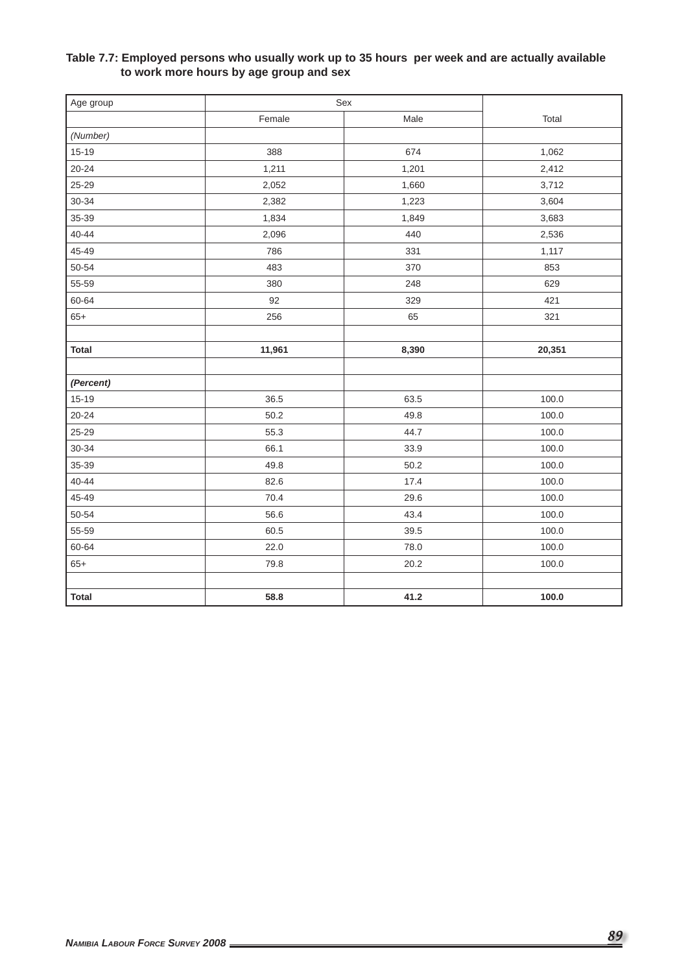## **Table 7.7: Employed persons who usually work up to 35 hours per week and are actually available to work more hours by age group and sex**

| Age group    |        | $\operatorname{\mathsf{Sex}}$ |        |
|--------------|--------|-------------------------------|--------|
|              | Female | Male                          | Total  |
| (Number)     |        |                               |        |
| $15 - 19$    | 388    | 674                           | 1,062  |
| $20 - 24$    | 1,211  | 1,201                         | 2,412  |
| 25-29        | 2,052  | 1,660                         | 3,712  |
| 30-34        | 2,382  | 1,223                         | 3,604  |
| 35-39        | 1,834  | 1,849                         | 3,683  |
| $40 - 44$    | 2,096  | 440                           | 2,536  |
| 45-49        | 786    | 331                           | 1,117  |
| 50-54        | 483    | 370                           | 853    |
| 55-59        | 380    | 248                           | 629    |
| 60-64        | 92     | 329                           | 421    |
| $65+$        | 256    | 65                            | 321    |
|              |        |                               |        |
| <b>Total</b> | 11,961 | 8,390                         | 20,351 |
|              |        |                               |        |
| (Percent)    |        |                               |        |
| $15 - 19$    | 36.5   | 63.5                          | 100.0  |
| $20 - 24$    | 50.2   | 49.8                          | 100.0  |
| 25-29        | 55.3   | 44.7                          | 100.0  |
| 30-34        | 66.1   | 33.9                          | 100.0  |
| 35-39        | 49.8   | 50.2                          | 100.0  |
| 40-44        | 82.6   | 17.4                          | 100.0  |
| 45-49        | 70.4   | 29.6                          | 100.0  |
| 50-54        | 56.6   | 43.4                          | 100.0  |
| 55-59        | 60.5   | 39.5                          | 100.0  |
| 60-64        | 22.0   | 78.0                          | 100.0  |
| $65+$        | 79.8   | 20.2                          | 100.0  |
|              |        |                               |        |
| <b>Total</b> | 58.8   | 41.2                          | 100.0  |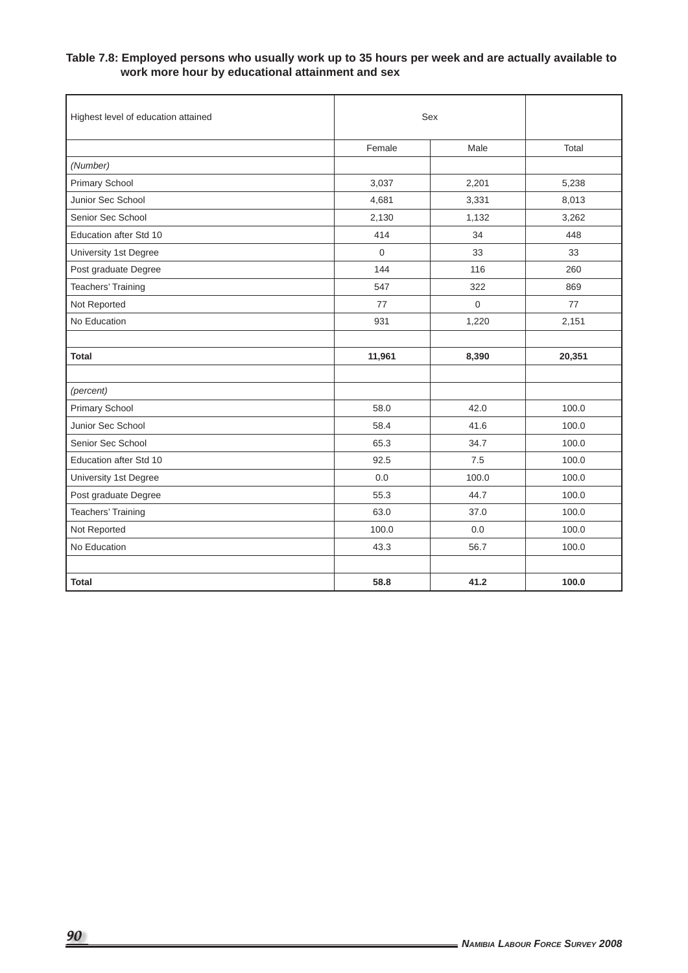### **Table 7.8: Employed persons who usually work up to 35 hours per week and are actually available to work more hour by educational attainment and sex**

| Highest level of education attained | Sex         |       |        |
|-------------------------------------|-------------|-------|--------|
|                                     | Female      | Male  | Total  |
| (Number)                            |             |       |        |
| Primary School                      | 3,037       | 2,201 | 5,238  |
| Junior Sec School                   | 4,681       | 3,331 | 8,013  |
| Senior Sec School                   | 2,130       | 1,132 | 3,262  |
| Education after Std 10              | 414         | 34    | 448    |
| University 1st Degree               | $\mathbf 0$ | 33    | 33     |
| Post graduate Degree                | 144         | 116   | 260    |
| <b>Teachers' Training</b>           | 547         | 322   | 869    |
| Not Reported                        | 77          | 0     | 77     |
| No Education                        | 931         | 1,220 | 2,151  |
|                                     |             |       |        |
| <b>Total</b>                        | 11,961      | 8,390 | 20,351 |
|                                     |             |       |        |
| (percent)                           |             |       |        |
| Primary School                      | 58.0        | 42.0  | 100.0  |
| Junior Sec School                   | 58.4        | 41.6  | 100.0  |
| Senior Sec School                   | 65.3        | 34.7  | 100.0  |
| Education after Std 10              | 92.5        | 7.5   | 100.0  |
| University 1st Degree               | 0.0         | 100.0 | 100.0  |
| Post graduate Degree                | 55.3        | 44.7  | 100.0  |
| <b>Teachers' Training</b>           | 63.0        | 37.0  | 100.0  |
| Not Reported                        | 100.0       | 0.0   | 100.0  |
| No Education                        | 43.3        | 56.7  | 100.0  |
|                                     |             |       |        |
| <b>Total</b>                        | 58.8        | 41.2  | 100.0  |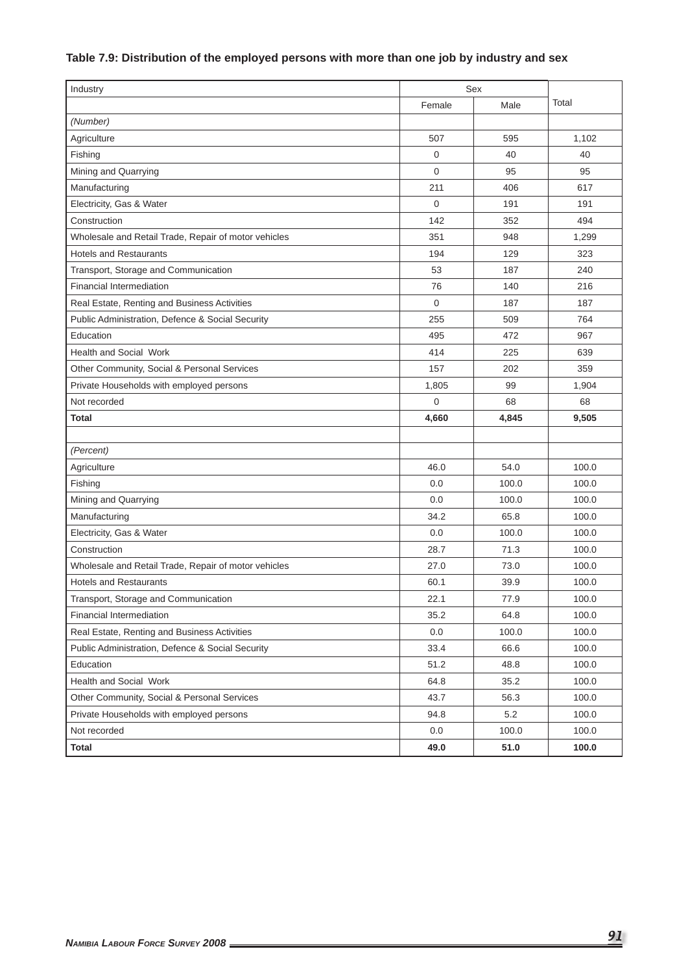# **Table 7.9: Distribution of the employed persons with more than one job by industry and sex**

| Industry                                             | Sex            |       |       |  |
|------------------------------------------------------|----------------|-------|-------|--|
|                                                      | Female         | Male  | Total |  |
| (Number)                                             |                |       |       |  |
| Agriculture                                          | 507            | 595   | 1,102 |  |
| Fishing                                              | 0              | 40    | 40    |  |
| Mining and Quarrying                                 | 0              | 95    | 95    |  |
| Manufacturing                                        | 211            | 406   | 617   |  |
| Electricity, Gas & Water                             | 0              | 191   | 191   |  |
| Construction                                         | 142            | 352   | 494   |  |
| Wholesale and Retail Trade, Repair of motor vehicles | 351            | 948   | 1,299 |  |
| <b>Hotels and Restaurants</b>                        | 194            | 129   | 323   |  |
| Transport, Storage and Communication                 | 53             | 187   | 240   |  |
| <b>Financial Intermediation</b>                      | 76             | 140   | 216   |  |
| Real Estate, Renting and Business Activities         | 0              | 187   | 187   |  |
| Public Administration, Defence & Social Security     | 255            | 509   | 764   |  |
| Education                                            | 495            | 472   | 967   |  |
| <b>Health and Social Work</b>                        | 414            | 225   | 639   |  |
| Other Community, Social & Personal Services          | 157            | 202   | 359   |  |
| Private Households with employed persons             | 1,805          | 99    | 1,904 |  |
| Not recorded                                         | $\overline{0}$ | 68    | 68    |  |
| <b>Total</b>                                         | 4,660          | 4,845 | 9,505 |  |
|                                                      |                |       |       |  |
| (Percent)                                            |                |       |       |  |
| Agriculture                                          | 46.0           | 54.0  | 100.0 |  |
| Fishing                                              | 0.0            | 100.0 | 100.0 |  |
| Mining and Quarrying                                 | 0.0            | 100.0 | 100.0 |  |
| Manufacturing                                        | 34.2           | 65.8  | 100.0 |  |
| Electricity, Gas & Water                             | 0.0            | 100.0 | 100.0 |  |
| Construction                                         | 28.7           | 71.3  | 100.0 |  |
| Wholesale and Retail Trade, Repair of motor vehicles | 27.0           | 73.0  | 100.0 |  |
| <b>Hotels and Restaurants</b>                        | 60.1           | 39.9  | 100.0 |  |
| Transport, Storage and Communication                 | 22.1           | 77.9  | 100.0 |  |
| Financial Intermediation                             | 35.2           | 64.8  | 100.0 |  |
| Real Estate, Renting and Business Activities         | 0.0            | 100.0 | 100.0 |  |
| Public Administration, Defence & Social Security     | 33.4           | 66.6  | 100.0 |  |
| Education                                            | 51.2           | 48.8  | 100.0 |  |
| Health and Social Work                               | 64.8           | 35.2  | 100.0 |  |
| Other Community, Social & Personal Services          | 43.7           | 56.3  | 100.0 |  |
| Private Households with employed persons             | 94.8           | 5.2   | 100.0 |  |
| Not recorded                                         | $0.0\,$        | 100.0 | 100.0 |  |
| <b>Total</b>                                         | 49.0           | 51.0  | 100.0 |  |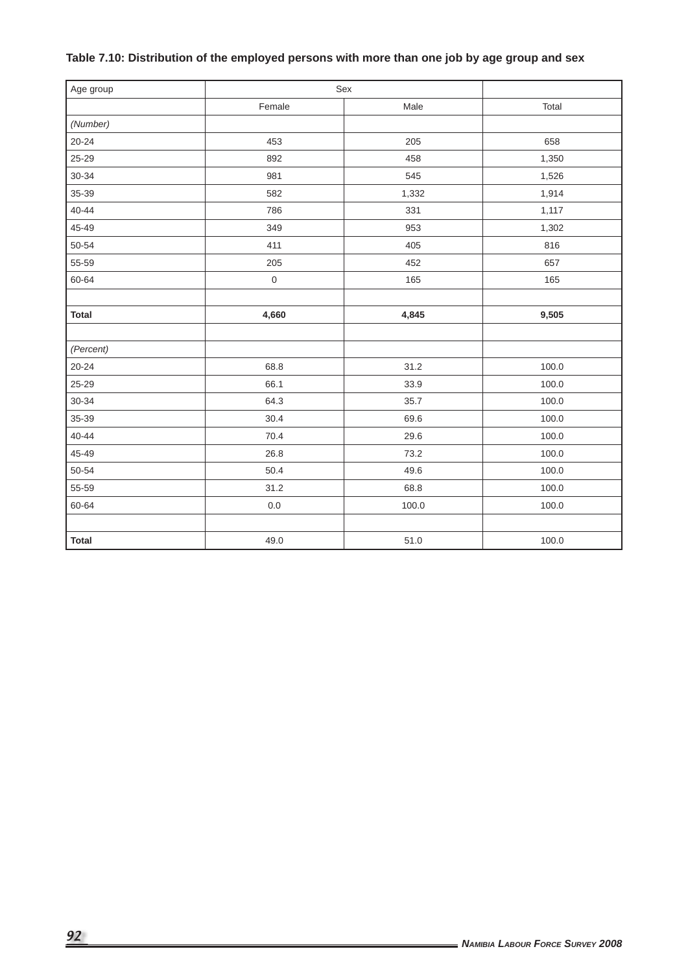| Table 7.10: Distribution of the employed persons with more than one job by age group and sex |  |
|----------------------------------------------------------------------------------------------|--|
|----------------------------------------------------------------------------------------------|--|

| Age group    | $\operatorname{\mathsf{Sex}}$ |       |       |  |
|--------------|-------------------------------|-------|-------|--|
|              | Female                        | Male  | Total |  |
| (Number)     |                               |       |       |  |
| $20 - 24$    | 453                           | 205   | 658   |  |
| 25-29        | 892                           | 458   | 1,350 |  |
| 30-34        | 981                           | 545   | 1,526 |  |
| 35-39        | 582                           | 1,332 | 1,914 |  |
| $40 - 44$    | 786                           | 331   | 1,117 |  |
| 45-49        | 349                           | 953   | 1,302 |  |
| $50 - 54$    | 411                           | 405   | 816   |  |
| 55-59        | 205                           | 452   | 657   |  |
| 60-64        | $\mathbf 0$                   | 165   | 165   |  |
|              |                               |       |       |  |
| <b>Total</b> | 4,660                         | 4,845 | 9,505 |  |
|              |                               |       |       |  |
| (Percent)    |                               |       |       |  |
| $20 - 24$    | 68.8                          | 31.2  | 100.0 |  |
| 25-29        | 66.1                          | 33.9  | 100.0 |  |
| $30 - 34$    | 64.3                          | 35.7  | 100.0 |  |
| 35-39        | 30.4                          | 69.6  | 100.0 |  |
| $40 - 44$    | 70.4                          | 29.6  | 100.0 |  |
| 45-49        | 26.8                          | 73.2  | 100.0 |  |
| 50-54        | 50.4                          | 49.6  | 100.0 |  |
| 55-59        | 31.2                          | 68.8  | 100.0 |  |
| 60-64        | $0.0\,$                       | 100.0 | 100.0 |  |
|              |                               |       |       |  |
| <b>Total</b> | 49.0                          | 51.0  | 100.0 |  |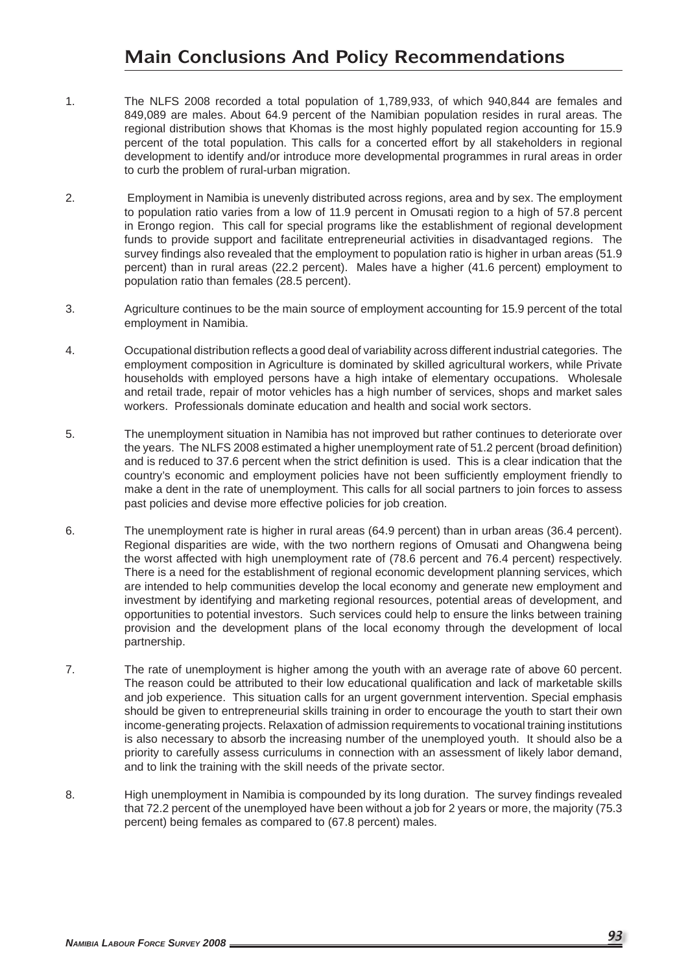# **Main Conclusions And Policy Recommendations**

- 1. The NLFS 2008 recorded a total population of 1,789,933, of which 940,844 are females and 849,089 are males. About 64.9 percent of the Namibian population resides in rural areas. The regional distribution shows that Khomas is the most highly populated region accounting for 15.9 percent of the total population. This calls for a concerted effort by all stakeholders in regional development to identify and/or introduce more developmental programmes in rural areas in order to curb the problem of rural-urban migration.
- 2. Employment in Namibia is unevenly distributed across regions, area and by sex. The employment to population ratio varies from a low of 11.9 percent in Omusati region to a high of 57.8 percent in Erongo region. This call for special programs like the establishment of regional development funds to provide support and facilitate entrepreneurial activities in disadvantaged regions. The survey findings also revealed that the employment to population ratio is higher in urban areas (51.9 percent) than in rural areas (22.2 percent). Males have a higher (41.6 percent) employment to population ratio than females (28.5 percent).
- 3. Agriculture continues to be the main source of employment accounting for 15.9 percent of the total employment in Namibia.
- 4. Occupational distribution reflects a good deal of variability across different industrial categories. The employment composition in Agriculture is dominated by skilled agricultural workers, while Private households with employed persons have a high intake of elementary occupations. Wholesale and retail trade, repair of motor vehicles has a high number of services, shops and market sales workers. Professionals dominate education and health and social work sectors.
- 5. The unemployment situation in Namibia has not improved but rather continues to deteriorate over the years. The NLFS 2008 estimated a higher unemployment rate of 51.2 percent (broad definition) and is reduced to 37.6 percent when the strict definition is used. This is a clear indication that the country's economic and employment policies have not been sufficiently employment friendly to make a dent in the rate of unemployment. This calls for all social partners to join forces to assess past policies and devise more effective policies for job creation.
- 6. The unemployment rate is higher in rural areas (64.9 percent) than in urban areas (36.4 percent). Regional disparities are wide, with the two northern regions of Omusati and Ohangwena being the worst affected with high unemployment rate of (78.6 percent and 76.4 percent) respectively. There is a need for the establishment of regional economic development planning services, which are intended to help communities develop the local economy and generate new employment and investment by identifying and marketing regional resources, potential areas of development, and opportunities to potential investors. Such services could help to ensure the links between training provision and the development plans of the local economy through the development of local partnership.
- 7. The rate of unemployment is higher among the youth with an average rate of above 60 percent. The reason could be attributed to their low educational qualification and lack of marketable skills and job experience. This situation calls for an urgent government intervention. Special emphasis should be given to entrepreneurial skills training in order to encourage the youth to start their own income-generating projects. Relaxation of admission requirements to vocational training institutions is also necessary to absorb the increasing number of the unemployed youth. It should also be a priority to carefully assess curriculums in connection with an assessment of likely labor demand, and to link the training with the skill needs of the private sector.
- 8. High unemployment in Namibia is compounded by its long duration. The survey findings revealed that 72.2 percent of the unemployed have been without a job for 2 years or more, the majority (75.3 percent) being females as compared to (67.8 percent) males.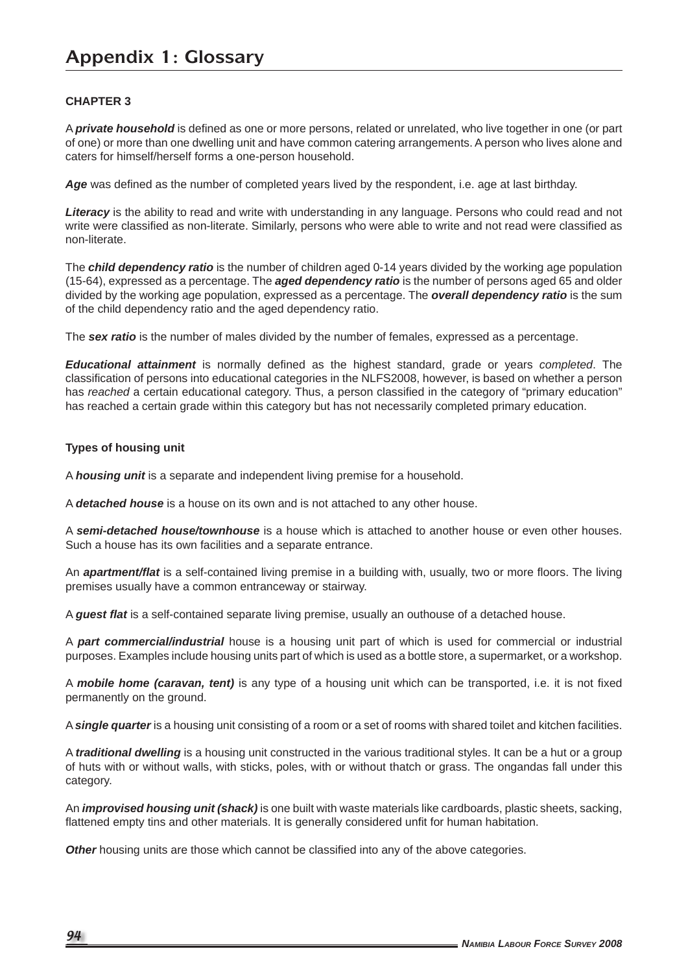# **Appendix 1: Glossary**

### **CHAPTER 3**

A **private household** is defined as one or more persons, related or unrelated, who live together in one (or part of one) or more than one dwelling unit and have common catering arrangements. A person who lives alone and caters for himself/herself forms a one-person household.

Age was defined as the number of completed years lived by the respondent, i.e. age at last birthday.

*Literacy* is the ability to read and write with understanding in any language. Persons who could read and not write were classified as non-literate. Similarly, persons who were able to write and not read were classified as non-literate.

The *child dependency ratio* is the number of children aged 0-14 years divided by the working age population (15-64), expressed as a percentage. The *aged dependency ratio* is the number of persons aged 65 and older divided by the working age population, expressed as a percentage. The *overall dependency ratio* is the sum of the child dependency ratio and the aged dependency ratio.

The *sex ratio* is the number of males divided by the number of females, expressed as a percentage.

*Educational attainment* is normally defined as the highest standard, grade or years *completed*. The classification of persons into educational categories in the NLFS2008, however, is based on whether a person has *reached* a certain educational category. Thus, a person classified in the category of "primary education" has reached a certain grade within this category but has not necessarily completed primary education.

### **Types of housing unit**

A *housing unit* is a separate and independent living premise for a household.

A *detached house* is a house on its own and is not attached to any other house.

A *semi-detached house/townhouse* is a house which is attached to another house or even other houses. Such a house has its own facilities and a separate entrance.

An *apartment/flat* is a self-contained living premise in a building with, usually, two or more floors. The living premises usually have a common entranceway or stairway.

A *guest flat* is a self-contained separate living premise, usually an outhouse of a detached house.

A *part commercial/industrial* house is a housing unit part of which is used for commercial or industrial purposes. Examples include housing units part of which is used as a bottle store, a supermarket, or a workshop.

A **mobile home (caravan, tent)** is any type of a housing unit which can be transported, i.e. it is not fixed permanently on the ground.

A *single quarter* is a housing unit consisting of a room or a set of rooms with shared toilet and kitchen facilities.

A *traditional dwelling* is a housing unit constructed in the various traditional styles. It can be a hut or a group of huts with or without walls, with sticks, poles, with or without thatch or grass. The ongandas fall under this category.

An *improvised housing unit (shack)* is one built with waste materials like cardboards, plastic sheets, sacking, flattened empty tins and other materials. It is generally considered unfit for human habitation.

**Other** housing units are those which cannot be classified into any of the above categories.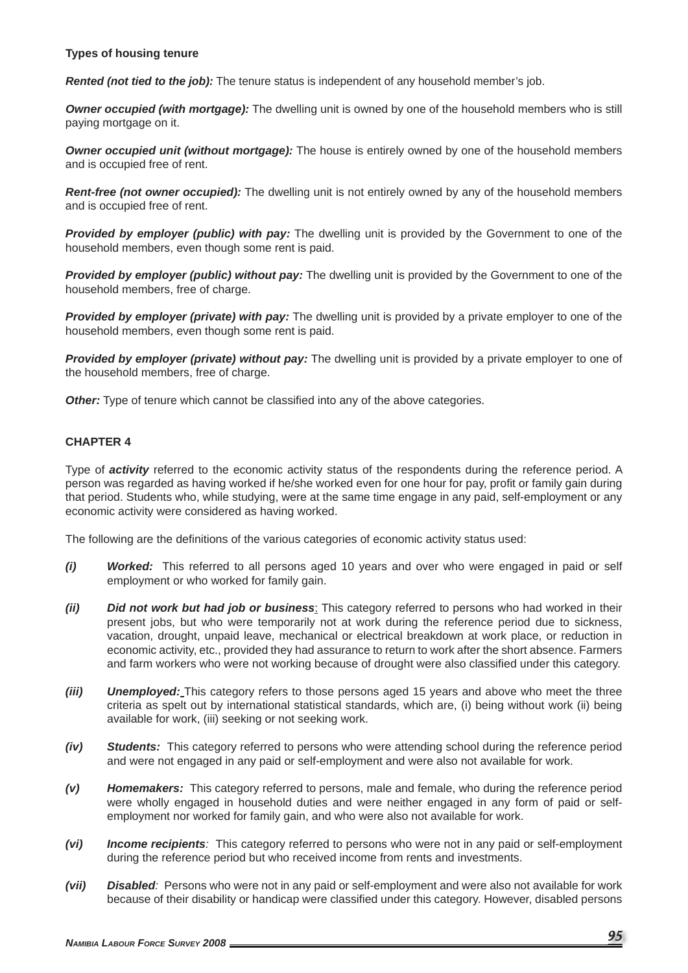### **Types of housing tenure**

*Rented (not tied to the job):* The tenure status is independent of any household member's job.

*Owner occupied (with mortgage):* The dwelling unit is owned by one of the household members who is still paying mortgage on it.

*Owner occupied unit (without mortgage):* The house is entirely owned by one of the household members and is occupied free of rent.

*Rent-free (not owner occupied):* The dwelling unit is not entirely owned by any of the household members and is occupied free of rent.

*Provided by employer (public) with pay:* The dwelling unit is provided by the Government to one of the household members, even though some rent is paid.

*Provided by employer (public) without pay:* The dwelling unit is provided by the Government to one of the household members, free of charge.

*Provided by employer (private) with pay:* The dwelling unit is provided by a private employer to one of the household members, even though some rent is paid.

**Provided by employer (private) without pay:** The dwelling unit is provided by a private employer to one of the household members, free of charge.

Other: Type of tenure which cannot be classified into any of the above categories.

### **CHAPTER 4**

Type of *activity* referred to the economic activity status of the respondents during the reference period. A person was regarded as having worked if he/she worked even for one hour for pay, profit or family gain during that period. Students who, while studying, were at the same time engage in any paid, self-employment or any economic activity were considered as having worked.

The following are the definitions of the various categories of economic activity status used:

- *(i) Worked:* This referred to all persons aged 10 years and over who were engaged in paid or self employment or who worked for family gain.
- *(ii) Did not work but had job or business*: This category referred to persons who had worked in their present jobs, but who were temporarily not at work during the reference period due to sickness, vacation, drought, unpaid leave, mechanical or electrical breakdown at work place, or reduction in economic activity, etc., provided they had assurance to return to work after the short absence. Farmers and farm workers who were not working because of drought were also classified under this category.
- *(iii) Unemployed:* This category refers to those persons aged 15 years and above who meet the three criteria as spelt out by international statistical standards, which are, (i) being without work (ii) being available for work, (iii) seeking or not seeking work.
- *(iv) Students:* This category referred to persons who were attending school during the reference period and were not engaged in any paid or self-employment and were also not available for work.
- *(v) Homemakers:* This category referred to persons, male and female, who during the reference period were wholly engaged in household duties and were neither engaged in any form of paid or selfemployment nor worked for family gain, and who were also not available for work.
- *(vi) Income recipients:* This category referred to persons who were not in any paid or self-employment during the reference period but who received income from rents and investments.
- *(vii) Disabled:* Persons who were not in any paid or self-employment and were also not available for work because of their disability or handicap were classified under this category. However, disabled persons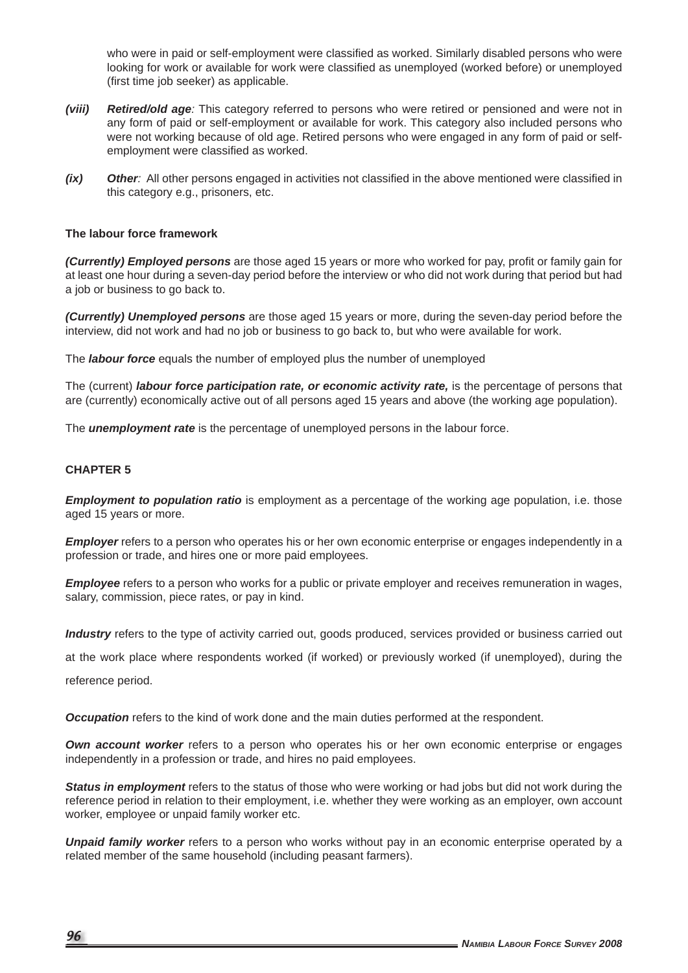who were in paid or self-employment were classified as worked. Similarly disabled persons who were looking for work or available for work were classified as unemployed (worked before) or unemployed (first time job seeker) as applicable.

- *(viii) Retired/old age:* This category referred to persons who were retired or pensioned and were not in any form of paid or self-employment or available for work. This category also included persons who were not working because of old age. Retired persons who were engaged in any form of paid or selfemployment were classified as worked.
- *(ix)* Other: All other persons engaged in activities not classified in the above mentioned were classified in this category e.g., prisoners, etc.

### **The labour force framework**

*(Currently) Employed persons* are those aged 15 years or more who worked for pay, profit or family gain for at least one hour during a seven-day period before the interview or who did not work during that period but had a job or business to go back to.

*(Currently) Unemployed persons* are those aged 15 years or more, during the seven-day period before the interview, did not work and had no job or business to go back to, but who were available for work.

The *labour force* equals the number of employed plus the number of unemployed

The (current) *labour force participation rate, or economic activity rate,* is the percentage of persons that are (currently) economically active out of all persons aged 15 years and above (the working age population).

The *unemployment rate* is the percentage of unemployed persons in the labour force.

### **CHAPTER 5**

*Employment to population ratio* is employment as a percentage of the working age population, i.e. those aged 15 years or more.

*Employer* refers to a person who operates his or her own economic enterprise or engages independently in a profession or trade, and hires one or more paid employees.

*Employee* refers to a person who works for a public or private employer and receives remuneration in wages, salary, commission, piece rates, or pay in kind.

*Industry* refers to the type of activity carried out, goods produced, services provided or business carried out

at the work place where respondents worked (if worked) or previously worked (if unemployed), during the

reference period.

**Occupation** refers to the kind of work done and the main duties performed at the respondent.

*Own account worker* refers to a person who operates his or her own economic enterprise or engages independently in a profession or trade, and hires no paid employees.

*Status in employment* refers to the status of those who were working or had jobs but did not work during the reference period in relation to their employment, i.e. whether they were working as an employer, own account worker, employee or unpaid family worker etc.

*Unpaid family worker* refers to a person who works without pay in an economic enterprise operated by a related member of the same household (including peasant farmers).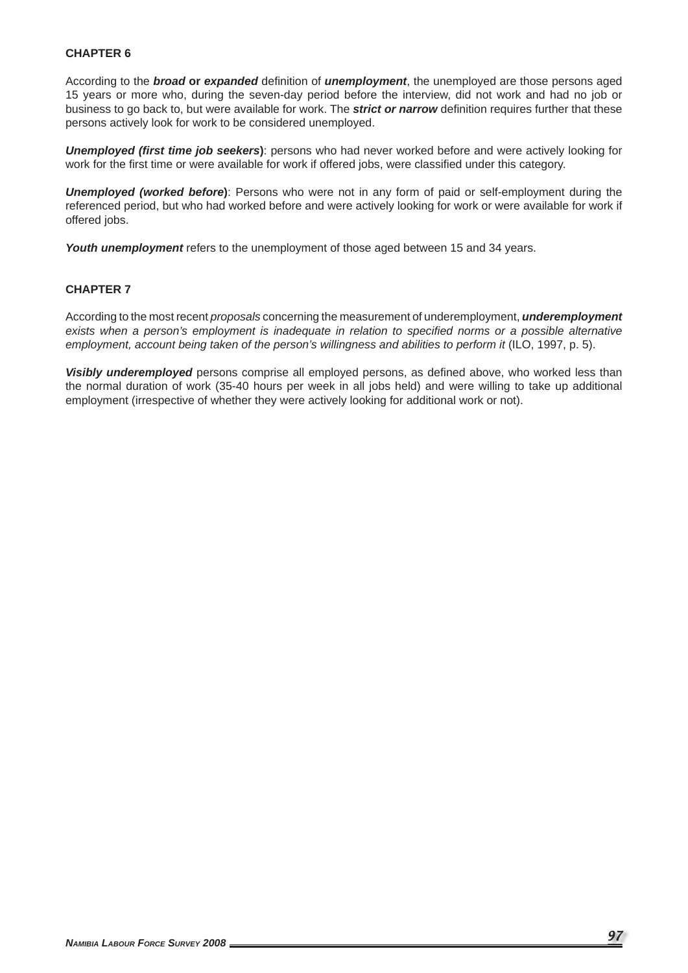### **CHAPTER 6**

According to the **broad or expanded** definition of *unemployment*, the unemployed are those persons aged 15 years or more who, during the seven-day period before the interview, did not work and had no job or business to go back to, but were available for work. The *strict or narrow* definition requires further that these persons actively look for work to be considered unemployed.

**Unemployed (first time job seekers)**: persons who had never worked before and were actively looking for work for the first time or were available for work if offered jobs, were classified under this category.

*Unemployed (worked before***)**: Persons who were not in any form of paid or self-employment during the referenced period, but who had worked before and were actively looking for work or were available for work if offered jobs.

*Youth unemployment* refers to the unemployment of those aged between 15 and 34 years.

### **CHAPTER 7**

According to the most recent *proposals* concerning the measurement of underemployment, *underemployment exists when a person's employment is inadequate in relation to specifi ed norms or a possible alternative employment, account being taken of the person's willingness and abilities to perform it* (ILO, 1997, p. 5).

Visibly underemployed persons comprise all employed persons, as defined above, who worked less than the normal duration of work (35-40 hours per week in all jobs held) and were willing to take up additional employment (irrespective of whether they were actively looking for additional work or not).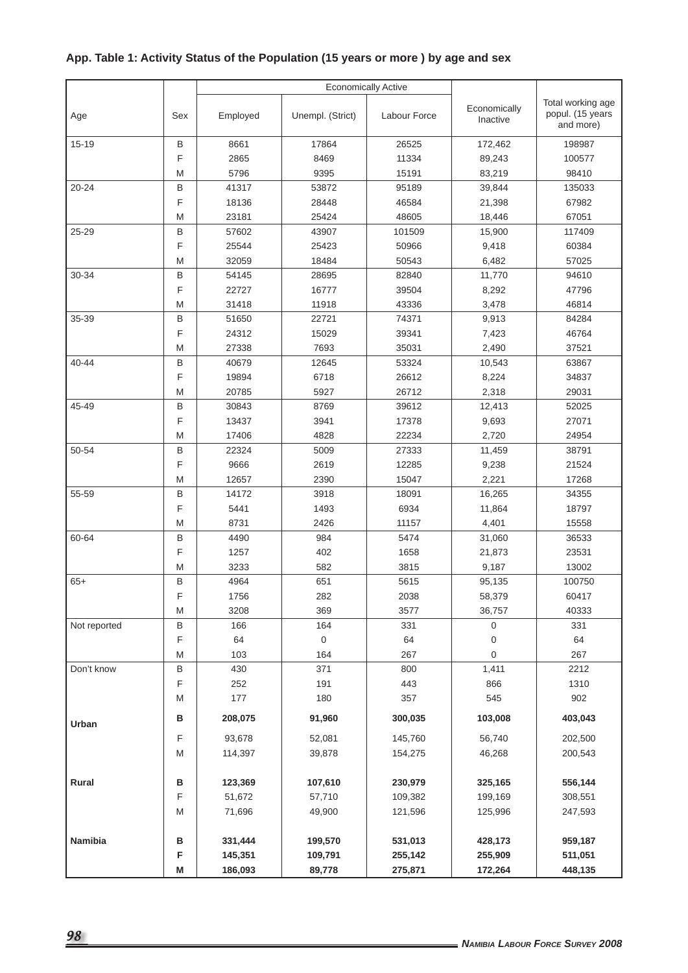# **App. Table 1: Activity Status of the Population (15 years or more ) by age and sex**

| Age          | Sex    | Employed     | Unempl. (Strict) | Labour Force    | Economically<br>Inactive |                |  |
|--------------|--------|--------------|------------------|-----------------|--------------------------|----------------|--|
| 15-19        | B      | 8661         | 17864            | 26525           | 172,462                  | 198987         |  |
|              | F      | 2865         | 8469             | 11334           | 89,243                   | 100577         |  |
|              | M      | 5796         | 9395             | 15191           | 83,219                   |                |  |
| $20 - 24$    | B      | 41317        | 53872            | 95189           | 39,844                   | 135033         |  |
|              | F      | 18136        | 28448            | 46584           | 21,398                   | 67982          |  |
|              | M      | 23181        | 25424            | 48605<br>18,446 |                          | 67051          |  |
| 25-29        | B      | 57602        | 43907            | 101509          | 15,900                   | 117409         |  |
|              | F      | 25544        | 25423            | 50966           | 9,418                    | 60384          |  |
|              | M      | 32059        | 18484            | 50543           | 6,482                    | 57025          |  |
| 30-34        | B      | 54145        | 28695            | 82840           | 11,770                   | 94610          |  |
|              | F      | 22727        | 16777            | 39504           | 8,292                    | 47796          |  |
|              | M      | 31418        | 11918            | 43336           | 3,478                    | 46814          |  |
| 35-39        | B      | 51650        | 22721            | 74371           | 9,913                    | 84284          |  |
|              | F      | 24312        | 15029            | 39341           | 7,423                    | 46764          |  |
|              | M      | 27338        | 7693             | 35031           | 2,490                    | 37521          |  |
| 40-44        | B      | 40679        | 12645            | 53324           | 10,543                   | 63867          |  |
|              | F      | 19894        | 6718             | 26612           | 8,224                    | 34837          |  |
|              | M      | 20785        | 5927             | 26712           | 2,318                    | 29031          |  |
| 45-49        | B      | 30843        | 8769             | 39612           | 12,413                   | 52025          |  |
|              | F      | 13437        | 3941             | 17378           | 9,693                    | 27071          |  |
|              | M      | 17406        | 4828             | 22234           | 2,720                    | 24954          |  |
| 50-54        | B      | 22324        | 5009             | 27333           | 11,459                   | 38791          |  |
|              | F      | 9666         | 2619             | 12285           | 9,238                    | 21524          |  |
|              | M      | 12657        | 2390             | 15047           | 2,221                    | 17268          |  |
| 55-59        | B      | 14172        | 3918             | 18091           | 16,265                   | 34355          |  |
|              | F      | 5441         | 1493             | 6934            | 11,864                   | 18797          |  |
| 60-64        | M      | 8731         | 2426<br>11157    |                 | 4,401                    | 15558          |  |
|              | B<br>F | 4490<br>1257 | 984<br>402       | 5474<br>1658    | 31,060                   | 36533<br>23531 |  |
|              | M      | 3233         | 582              | 3815            | 21,873<br>9,187          | 13002          |  |
| $65+$        | B      | 4964         | 651              | 5615            | 95,135                   | 100750         |  |
|              | F      | 1756         | 282              | 2038            | 58,379                   | 60417          |  |
|              | M      | 3208         | 369              | 3577            | 36,757                   | 40333          |  |
| Not reported | B      | 166          | 164              | 331             | 0                        | 331            |  |
|              | F      | 64           | $\pmb{0}$        | 64              | 0                        | 64             |  |
|              | M      | 103          | 164              | 267             | 0                        | 267            |  |
| Don't know   | B      | 430          | 371              | 800             | 1,411                    | 2212           |  |
|              | F      | 252          | 191              | 443             | 866                      | 1310           |  |
|              | M      | 177          | 180              | 357             | 545                      | 902            |  |
| Urban        | в      | 208,075      | 91,960           | 300,035         | 103,008                  | 403,043        |  |
|              | F      | 93,678       | 52,081           | 145,760         | 56,740                   | 202,500        |  |
|              | M      | 114,397      | 39,878           | 154,275         | 46,268                   | 200,543        |  |
|              |        |              |                  |                 |                          |                |  |
| Rural        | B      | 123,369      | 107,610          | 230,979         | 325,165                  | 556,144        |  |
|              | F      | 51,672       | 57,710           | 109,382         | 199,169                  | 308,551        |  |
|              | M      | 71,696       | 49,900           | 121,596         | 125,996                  | 247,593        |  |
|              |        |              |                  |                 |                          |                |  |
| Namibia      | в      | 331,444      | 199,570          | 531,013         | 428,173                  | 959,187        |  |
|              | F      | 145,351      | 109,791          | 255,142         | 255,909                  | 511,051        |  |
|              | M      | 186,093      | 89,778           | 275,871         | 172,264                  | 448,135        |  |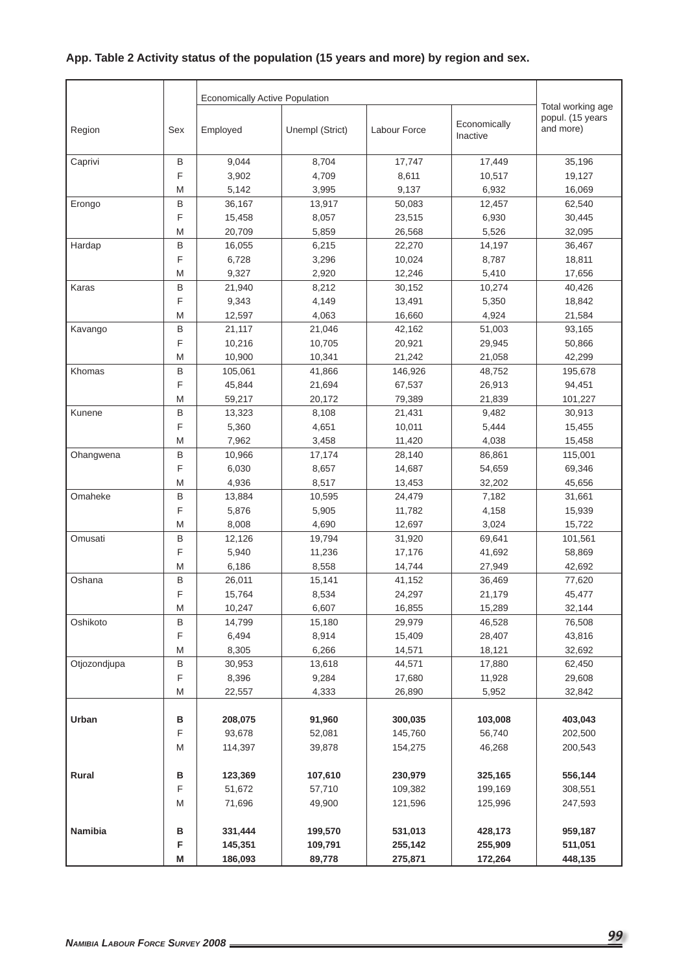# **App. Table 2 Activity status of the population (15 years and more) by region and sex.**

|              |             |          | Total working age |              |                          |                               |
|--------------|-------------|----------|-------------------|--------------|--------------------------|-------------------------------|
| Region       | Sex         | Employed | Unempl (Strict)   | Labour Force | Economically<br>Inactive | popul. (15 years<br>and more) |
| Caprivi      | В           | 9,044    | 8,704             | 17,747       | 17,449                   | 35,196                        |
|              | F           | 3,902    | 4,709             | 8,611        | 10,517                   | 19,127                        |
|              | M           | 5,142    | 3,995             | 9,137        | 6,932                    | 16,069                        |
| Erongo       | $\sf B$     | 36,167   | 13,917            | 50,083       | 12,457                   | 62,540                        |
|              | F           | 15,458   | 8,057             | 23,515       | 6,930                    | 30,445                        |
|              | M           | 20,709   | 5,859             | 26,568       | 5,526                    | 32,095                        |
| Hardap       | B           | 16,055   | 6,215             | 22,270       | 14,197                   | 36,467                        |
|              | F           | 6,728    | 3,296             | 10,024       | 8,787                    | 18,811                        |
|              | M           | 9,327    | 2,920             | 12,246       | 5,410                    | 17,656                        |
| Karas        | $\sf B$     | 21,940   | 8,212             | 30,152       | 10,274                   | 40,426                        |
|              | F           | 9,343    | 4,149             | 13,491       | 5,350                    | 18,842                        |
|              | M           | 12,597   | 4,063             | 16,660       | 4,924                    | 21,584                        |
| Kavango      | $\sf B$     | 21,117   | 21,046            | 42,162       | 51,003                   | 93,165                        |
|              | F           | 10,216   | 10,705            | 20,921       | 29,945                   | 50,866                        |
|              | M           | 10,900   | 10,341            | 21,242       | 21,058                   | 42,299                        |
| Khomas       | $\sf B$     | 105,061  | 41,866            | 146,926      | 48,752                   | 195,678                       |
|              | F           | 45,844   | 21,694            | 67,537       | 26,913                   | 94,451                        |
|              | M           | 59,217   | 20,172            | 79,389       | 21,839                   | 101,227                       |
| Kunene       | B           | 13,323   | 8,108             | 21,431       | 9,482                    | 30,913                        |
|              | F           | 5,360    | 4,651             | 10,011       | 5,444                    | 15,455                        |
|              | M           | 7,962    | 3,458             | 11,420       | 4,038                    | 15,458                        |
| Ohangwena    | B           | 10,966   | 17,174            | 28,140       | 86,861                   | 115,001                       |
|              | $\mathsf F$ | 6,030    | 8,657             | 14,687       | 54,659                   | 69,346                        |
|              | M           | 4,936    | 8,517             | 13,453       | 32,202                   | 45,656                        |
| Omaheke      | B           | 13,884   | 10,595            | 24,479       | 7,182                    | 31,661                        |
|              | F           | 5,876    | 5,905             | 11,782       | 4,158                    | 15,939                        |
|              | M           | 8,008    | 4,690             | 12,697       | 3,024                    | 15,722                        |
| Omusati      | B           | 12,126   | 19,794            | 31,920       | 69,641                   | 101,561                       |
|              | F           | 5,940    | 11,236            | 17,176       | 41,692                   | 58,869                        |
|              | M           | 6,186    | 8,558             | 14,744       | 27,949                   | 42,692                        |
| Oshana       | B           | 26,011   | 15,141            | 41,152       | 36,469                   | 77,620                        |
|              | F           | 15,764   | 8,534             | 24,297       | 21,179                   | 45,477                        |
|              | M           | 10,247   | 6,607             | 16,855       | 15,289                   | 32,144                        |
| Oshikoto     | B           | 14,799   | 15,180            | 29,979       | 46,528                   | 76,508                        |
|              | $\mathsf F$ | 6,494    | 8,914             | 15,409       | 28,407                   | 43,816                        |
|              | M           | 8,305    | 6,266             | 14,571       | 18,121                   | 32,692                        |
| Otjozondjupa | $\sf B$     | 30,953   | 13,618            | 44,571       | 17,880                   | 62,450                        |
|              | $\mathsf F$ | 8,396    | 9,284             | 17,680       | 11,928                   | 29,608                        |
|              | Μ           | 22,557   | 4,333             | 26,890       | 5,952                    | 32,842                        |
|              |             |          |                   |              |                          |                               |
| Urban        | в           | 208,075  | 91,960            | 300,035      | 103,008                  | 403,043                       |
|              | F           | 93,678   | 52,081            | 145,760      | 56,740                   | 202,500                       |
|              | M           | 114,397  | 39,878            | 154,275      | 46,268                   | 200,543                       |
|              |             |          |                   |              |                          |                               |
| Rural        | в           | 123,369  | 107,610           | 230,979      | 325,165                  | 556,144                       |
|              | F           | 51,672   | 57,710            | 109,382      | 199,169                  | 308,551                       |
|              | M           | 71,696   | 49,900            | 121,596      | 125,996                  | 247,593                       |
|              |             |          |                   |              |                          |                               |
| Namibia      | в           | 331,444  | 199,570           | 531,013      | 428,173                  | 959,187                       |
|              | F           | 145,351  | 109,791           | 255,142      | 255,909                  | 511,051                       |
|              | M           | 186,093  | 89,778            | 275,871      | 172,264                  | 448,135                       |
|              |             |          |                   |              |                          |                               |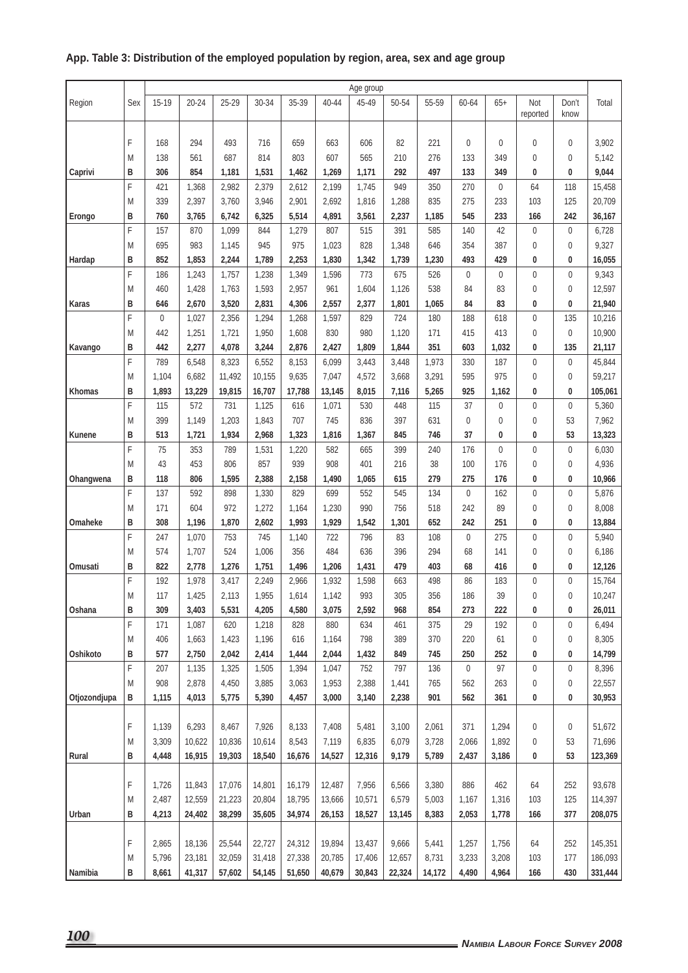### **Age group** Region Sex 15-19 20-24 25-29 30-34 35-39 40-44 45-49 50-54 55-59 60-64 65+ Not reported Don't know Total F 168 294 493 716 659 663 606 82 221 0 0 0 0 3,902 | M | 138 | 561 | 687 | 814 | 803 | 607 | 565 | 210 | 276 | 133 | 349 | 0 | 0 | 5,142 **Caprivi B 306 854 1,181 1,531 1,462 1,269 1,171 292 497 133 349 0 0 9,044** F 421 1,368 2,982 2,379 2,612 2,199 1,745 949 350 270 0 64 118 15,458 1 M | 339 | 2,397 | 3,760 | 3,946 | 2,901 | 2,692 | 1,816 | 1,288 | 835 | 275 | 233 | 103 | 125 | 20,709 **Erongo B 760 3,765 6,742 6,325 5,514 4,891 3,561 2,237 1,185 545 233 166 242 36,167** F 157 870 1,099 844 1,279 807 515 391 585 140 42 0 0 6,728 M 695 983 1,145 945 975 1,023 828 1,348 646 354 387 0 0 9,327 **Hardap B 852 1,853 2,244 1,789 2,253 1,830 1,342 1,739 1,230 493 429 0 0 16,055** F 186 1,243 1,757 1,238 1,349 1,596 773 675 526 0 0 0 0 9,343 |M | 460 | 1,428 | 1,763 | 1,593 | 2,957 | 961 | 1,604 | 1,126 | 538 | 84 | 83 | 0 | 0 |12,597 **Karas B 646 2,670 3,520 2,831 4,306 2,557 2,377 1,801 1,065 84 83 0 0 21,940** F 0 1,027 2,356 1,294 1,268 1,597 829 724 180 188 618 0 135 10,216 | M | 442 | 1,251 | 1,721 | 1,950 | 1,608 | 830 | 980 | 1,120 | 171 | 415 | 413 | 0 | 0 |10,900 Kavango | B | 442 | 2,277 | 4,078 | 3,244 | 2,876 | 2,427 | 1,809 | 1,844 | 351 | 603 | 1,032 | 0 | 135 | 21,117 F | 789 | 6,548 | 8,323 | 6,552 | 8,153 | 6,099 | 3,443 | 3,448 | 1,973 | 330 | 187 | 0 | 0 | 45,844 M | 1,104 | 6,682 | 11,492 | 10,155 | 9,635 | 7,047 | 4,572 | 3,668 | 3,291 | 595 | 975 | 0 | 0 | 59,217 **Khomas B 1,893 13,229 19,815 16,707 17,788 13,145 8,015 7,116 5,265 925 1,162 0 0 105,061** F 115 572 731 1,125 616 1,071 530 448 115 37 0 0 0 5,360 M | 399 | 1,149 | 1,203 | 1,843 | 707 | 745 | 836 | 397 | 631 | 0 | 0 | 0 | 0 | 53 | 7,962 Kunene | B | 513 | 1,721 | 1,934 | 2,968 | 1,323 | 1,816 | 1,367 | 845 | 746 | 37 | 0 | 0 | 53 |13,323 F | 75 | 353 | 789 | 1,531 | 1,220 | 582 | 665 | 399 | 240 | 176 | 0 | 0 | 0 | 0 | 6,030 |M | 43 | 453 | 806 | 857 | 939 | 908 | 401 | 216 | 38 | 100 | 176 | 0 | 0 | 4,936 Ohangwena |B | 118 | 806 | 1,595 | 2,388 | 2,158 | 1,490 | 1,065 | 615 | 279 | 275 | 176 | 0 | 0 | 10,966 F 137 592 898 1,330 829 699 552 545 134 0 162 0 0 5,876 | M | 171 | 604 | 972 | 1,272 | 1,164 | 1,230 | 990 | 756 | 518 | 242 | 89 | 0 | 0 | 8,008 **Omaheke B 308 1,196 1,870 2,602 1,993 1,929 1,542 1,301 652 242 251 0 0 13,884** F 247 1,070 753 745 1,140 722 796 83 108 0 275 0 0 5,940 M 574 1,707 524 1,006 356 484 636 396 294 68 141 0 0 6,186 **Omusati B 822 2,778 1,276 1,751 1,496 1,206 1,431 479 403 68 416 0 0 12,126** F 192 1,978 3,417 2,249 2,966 1,932 1,598 663 498 86 183 0 0 15,764 M 117 1,425 2,113 1,955 1,614 1,142 993 305 356 186 39 0 0 10,247 Oshana |B | 309 | 3,403 | 5,531 | 4,205 | 4,580 | 3,075 | 2,592 | 968 | 854 | 273 | 222 | 0 | 0 | 26,011 F 171 1,087 620 1,218 828 880 634 461 375 29 192 0 0 6,494 |M | 406 | 1,663 | 1,423 | 1,196 | 616 | 1,164 | 798 | 389 | 370 | 220 | 61 | 0 | 0 | 8,305 Oshikoto |B | 577 | 2,750 | 2,042 | 2,414 | 1,444 | 2,044 | 1,432 | 849 | 745 | 250 | 252 | 0 | 0 | 14,799 F 207 1,135 1,325 1,505 1,394 1,047 752 797 136 0 97 0 0 8,396 M 908 2,878 4,450 3,885 3,063 1,953 2,388 1,441 765 562 263 0 0 22,557 **Otjozondjupa B 1,115 4,013 5,775 5,390 4,457 3,000 3,140 2,238 901 562 361 0 0 30,953** |F | 1,139 | 6,293 | 8,467 | 7,926 | 8,133 | 7,408 | 5,481 | 3,100 | 2,061 | 371 | 1,294 | 0 | 0 | 51,672 M | 3,309 | 10,622 | 10,836 | 10,614 | 8,543 | 7,119 | 6,835 | 6,079 | 3,728 | 2,066 | 1,892 | 0 | 53 | 71,696 **Rural B 4,448 16,915 19,303 18,540 16,676 14,527 12,316 9,179 5,789 2,437 3,186 0 53 123,369** |F | 1,726 | 11,843 | 17,076 | 14,801 | 16,179 | 12,487 | 7,956 | 6,566 | 3,380 | 886 | 462 | 64 | 252 | 93,678 M | 2,487 | 12,559 | 21,223 | 20,804 | 18,795 | 13,666 | 10,571 | 6,579 | 5,003 | 1,167 | 1,316 | 103 | 125 |114,397 **Urban B 4,213 24,402 38,299 35,605 34,974 26,153 18,527 13,145 8,383 2,053 1,778 166 377 208,075** F | 2,865 | 18,136 | 25,544 | 22,727 | 24,312 | 19,894 | 13,437 | 9,666 | 5,441 | 1,257 | 1,756 | 64 | 252 |145,351 M | 5,796 | 23,181 | 32,059 | 31,418 | 27,338 | 20,785 | 17,406 | 12,657 | 8,731 | 3,233 | 3,208 | 103 | 177 | 186,093

**Namibia B 8,661 41,317 57,602 54,145 51,650 40,679 30,843 22,324 14,172 4,490 4,964 166 430 331,444**

## **App. Table 3: Distribution of the employed population by region, area, sex and age group**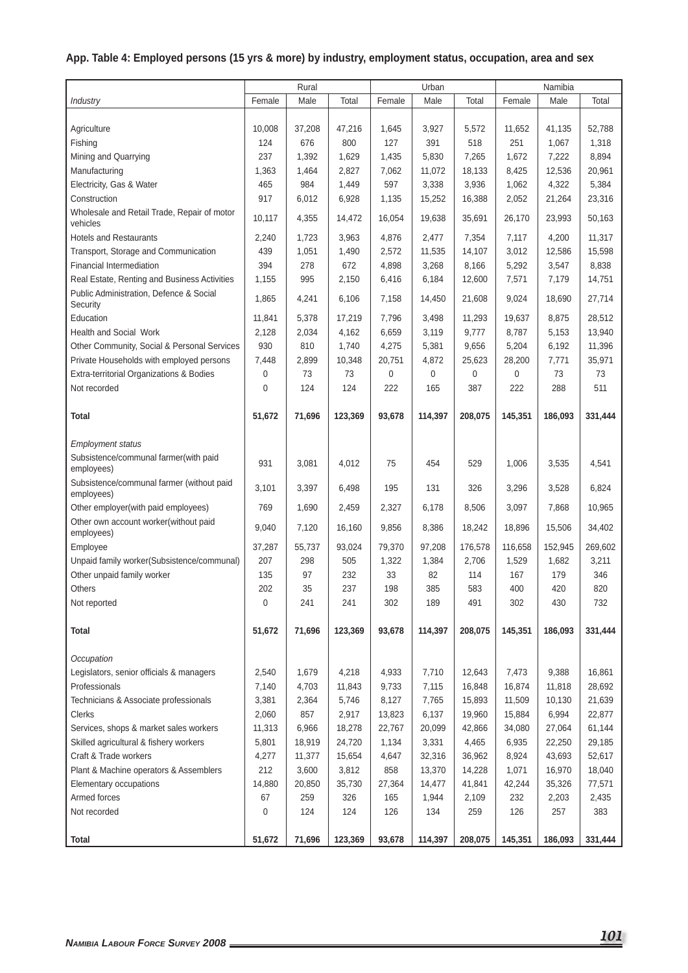# **App. Table 4: Employed persons (15 yrs & more) by industry, employment status, occupation, area and sex**

|                                                         | Rural  |        | Urban   |             |             | Namibia |             |         |         |
|---------------------------------------------------------|--------|--------|---------|-------------|-------------|---------|-------------|---------|---------|
| Industry                                                | Female | Male   | Total   | Female      | Male        | Total   | Female      | Male    | Total   |
|                                                         |        |        |         |             |             |         |             |         |         |
| Agriculture                                             | 10,008 | 37,208 | 47,216  | 1,645       | 3,927       | 5,572   | 11,652      | 41,135  | 52,788  |
| Fishing                                                 | 124    | 676    | 800     | 127         | 391         | 518     | 251         | 1,067   | 1,318   |
| Mining and Quarrying                                    | 237    | 1,392  | 1,629   | 1,435       | 5,830       | 7,265   | 1,672       | 7,222   | 8,894   |
| Manufacturing                                           | 1,363  | 1,464  | 2,827   | 7,062       | 11,072      | 18,133  | 8,425       | 12,536  | 20,961  |
| Electricity, Gas & Water                                | 465    | 984    | 1,449   | 597         | 3,338       | 3,936   | 1,062       | 4,322   | 5,384   |
| Construction                                            | 917    | 6,012  | 6,928   | 1,135       | 15,252      | 16,388  | 2,052       | 21,264  | 23,316  |
| Wholesale and Retail Trade, Repair of motor             |        |        |         |             |             |         |             |         |         |
| vehicles                                                | 10,117 | 4,355  | 14.472  | 16,054      | 19.638      | 35.691  | 26.170      | 23,993  | 50,163  |
| <b>Hotels and Restaurants</b>                           | 2,240  | 1,723  | 3,963   | 4,876       | 2,477       | 7,354   | 7,117       | 4,200   | 11,317  |
| Transport, Storage and Communication                    | 439    | 1,051  | 1,490   | 2,572       | 11,535      | 14,107  | 3,012       | 12,586  | 15,598  |
| <b>Financial Intermediation</b>                         | 394    | 278    | 672     | 4,898       | 3,268       | 8,166   | 5,292       | 3,547   | 8,838   |
| Real Estate, Renting and Business Activities            | 1,155  | 995    | 2,150   | 6,416       | 6,184       | 12,600  | 7,571       | 7,179   | 14,751  |
| Public Administration, Defence & Social<br>Security     | 1,865  | 4,241  | 6,106   | 7,158       | 14,450      | 21,608  | 9,024       | 18,690  | 27,714  |
| Education                                               | 11,841 | 5,378  | 17,219  | 7,796       | 3,498       | 11,293  | 19,637      | 8,875   | 28,512  |
| <b>Health and Social Work</b>                           | 2,128  | 2,034  | 4.162   | 6,659       | 3,119       | 9,777   | 8,787       | 5,153   | 13,940  |
| Other Community, Social & Personal Services             | 930    | 810    | 1,740   | 4,275       | 5,381       | 9,656   | 5,204       | 6,192   | 11,396  |
| Private Households with employed persons                | 7,448  | 2,899  | 10,348  | 20,751      | 4,872       | 25,623  | 28,200      | 7,771   | 35,971  |
| Extra-territorial Organizations & Bodies                | 0      | 73     | 73      | $\mathbf 0$ | $\mathbf 0$ | 0       | $\mathbf 0$ | 73      | 73      |
| Not recorded                                            | 0      | 124    | 124     | 222         | 165         | 387     | 222         | 288     | 511     |
|                                                         |        |        |         |             |             |         |             |         |         |
| Total                                                   | 51,672 | 71,696 | 123,369 | 93,678      | 114,397     | 208,075 | 145,351     | 186,093 | 331,444 |
| <b>Employment status</b>                                |        |        |         |             |             |         |             |         |         |
| Subsistence/communal farmer(with paid                   |        |        |         |             |             |         |             |         |         |
| employees)                                              | 931    | 3,081  | 4,012   | 75          | 454         | 529     | 1,006       | 3,535   | 4,541   |
| Subsistence/communal farmer (without paid<br>employees) | 3,101  | 3,397  | 6,498   | 195         | 131         | 326     | 3,296       | 3,528   | 6,824   |
| Other employer(with paid employees)                     | 769    | 1,690  | 2,459   | 2,327       | 6,178       | 8,506   | 3,097       | 7,868   | 10,965  |
| Other own account worker(without paid                   |        |        |         |             |             |         |             |         |         |
| employees)                                              | 9,040  | 7,120  | 16,160  | 9,856       | 8,386       | 18,242  | 18,896      | 15,506  | 34,402  |
| Employee                                                | 37,287 | 55,737 | 93,024  | 79,370      | 97,208      | 176,578 | 116,658     | 152,945 | 269,602 |
| Unpaid family worker(Subsistence/communal)              | 207    | 298    | 505     | 1,322       | 1,384       | 2,706   | 1,529       | 1,682   | 3,211   |
| Other unpaid family worker                              | 135    | 97     | 232     | 33          | 82          | 114     | 167         | 179     | 346     |
| Others                                                  | 202    | 35     | 237     | 198         | 385         | 583     | 400         | 420     | 820     |
| Not reported                                            | 0      | 241    | 241     | 302         | 189         | 491     | 302         | 430     | 732     |
|                                                         |        |        |         |             |             |         |             |         |         |
| <b>Total</b>                                            | 51,672 | 71,696 | 123,369 | 93,678      | 114,397     | 208,075 | 145,351     | 186,093 | 331,444 |
|                                                         |        |        |         |             |             |         |             |         |         |
| Occupation                                              |        |        |         |             |             |         |             |         |         |
| Legislators, senior officials & managers                | 2,540  | 1,679  | 4,218   | 4,933       | 7,710       | 12,643  | 7,473       | 9,388   | 16,861  |
| Professionals                                           | 7,140  | 4,703  | 11,843  | 9,733       | 7,115       | 16,848  | 16,874      | 11,818  | 28,692  |
| Technicians & Associate professionals                   | 3,381  | 2,364  | 5,746   | 8,127       | 7,765       | 15,893  | 11,509      | 10,130  | 21,639  |
| Clerks                                                  | 2,060  | 857    | 2,917   | 13,823      | 6,137       | 19,960  | 15,884      | 6,994   | 22,877  |
| Services, shops & market sales workers                  | 11,313 | 6,966  | 18,278  | 22,767      | 20,099      | 42,866  | 34,080      | 27,064  | 61,144  |
| Skilled agricultural & fishery workers                  | 5,801  | 18,919 | 24,720  | 1,134       | 3,331       | 4,465   | 6,935       | 22,250  | 29,185  |
| Craft & Trade workers                                   | 4,277  | 11,377 | 15,654  | 4,647       | 32,316      | 36,962  | 8,924       | 43,693  | 52,617  |
| Plant & Machine operators & Assemblers                  | 212    | 3,600  | 3,812   | 858         | 13,370      | 14,228  | 1,071       | 16,970  | 18,040  |
| Elementary occupations                                  | 14,880 | 20,850 | 35,730  | 27,364      | 14,477      | 41,841  | 42,244      | 35,326  | 77,571  |
| Armed forces                                            | 67     | 259    | 326     | 165         | 1,944       | 2,109   | 232         | 2,203   | 2,435   |
| Not recorded                                            | 0      | 124    | 124     | 126         | 134         | 259     | 126         | 257     | 383     |
|                                                         |        |        |         |             |             |         |             |         |         |
| <b>Total</b>                                            | 51,672 | 71,696 | 123,369 | 93,678      | 114,397     | 208,075 | 145,351     | 186,093 | 331,444 |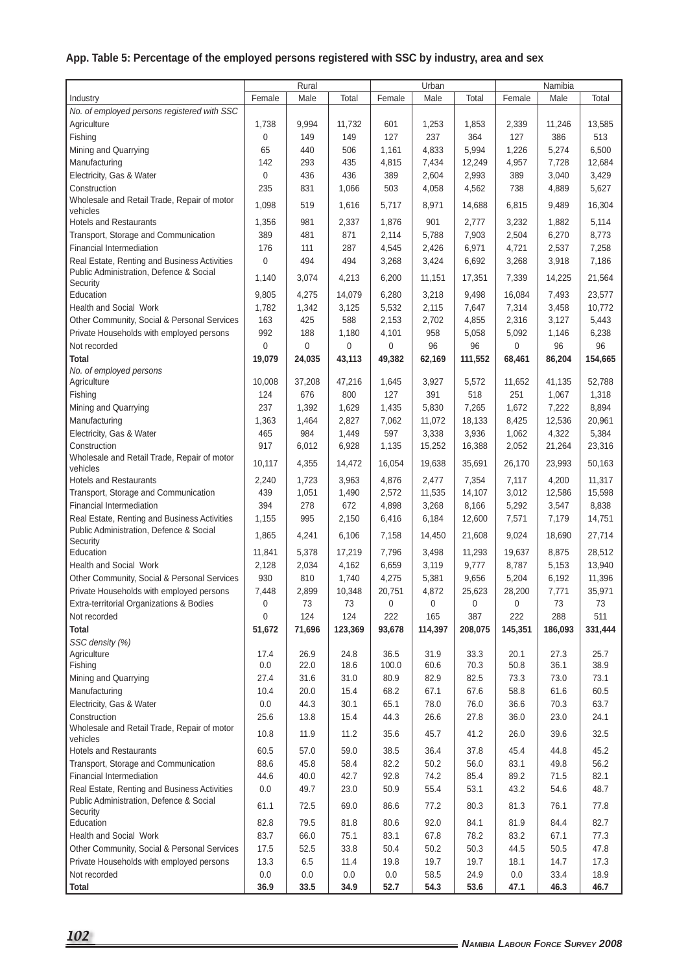|  |  |  |  |  | App. Table 5: Percentage of the employed persons registered with SSC by industry, area and sex |
|--|--|--|--|--|------------------------------------------------------------------------------------------------|
|--|--|--|--|--|------------------------------------------------------------------------------------------------|

|                                                             | Rural        |        | Urban       |               |         | Namibia |         |         |         |
|-------------------------------------------------------------|--------------|--------|-------------|---------------|---------|---------|---------|---------|---------|
| Industry                                                    | Female       | Male   | Total       | Female        | Male    | Total   | Female  | Male    | Total   |
| No. of employed persons registered with SSC                 |              |        |             |               |         |         |         |         |         |
| Agriculture                                                 | 1,738        | 9,994  | 11,732      | 601           | 1,253   | 1,853   | 2,339   | 11,246  | 13,585  |
| Fishing                                                     | 0            | 149    | 149         | 127           | 237     | 364     | 127     | 386     | 513     |
| Mining and Quarrying                                        | 65           | 440    | 506         | 1,161         | 4,833   | 5,994   | 1,226   | 5,274   | 6,500   |
| Manufacturing                                               | 142          | 293    | 435         | 4,815         | 7,434   | 12,249  | 4,957   | 7,728   | 12,684  |
| Electricity, Gas & Water                                    | $\mathbf{0}$ | 436    | 436         | 389           | 2,604   | 2,993   | 389     | 3,040   | 3,429   |
| Construction                                                | 235          | 831    | 1,066       | 503           | 4,058   | 4,562   | 738     | 4,889   | 5,627   |
| Wholesale and Retail Trade, Repair of motor                 |              |        |             |               |         |         |         |         |         |
| vehicles                                                    | 1,098        | 519    | 1,616       | 5,717         | 8,971   | 14,688  | 6,815   | 9,489   | 16,304  |
| <b>Hotels and Restaurants</b>                               | 1,356        | 981    | 2,337       | 1,876         | 901     | 2,777   | 3,232   | 1,882   | 5,114   |
| Transport, Storage and Communication                        | 389          | 481    | 871         | 2,114         | 5,788   | 7,903   | 2,504   | 6,270   | 8,773   |
| <b>Financial Intermediation</b>                             | 176          | 111    | 287         | 4,545         | 2,426   | 6,971   | 4,721   | 2,537   | 7,258   |
| Real Estate, Renting and Business Activities                | $\Omega$     | 494    | 494         | 3,268         | 3,424   | 6,692   | 3,268   | 3,918   | 7,186   |
| Public Administration, Defence & Social                     |              |        |             |               |         |         |         |         |         |
| Security                                                    | 1,140        | 3,074  | 4,213       | 6,200         | 11,151  | 17,351  | 7,339   | 14,225  | 21,564  |
| Education                                                   | 9,805        | 4,275  | 14,079      | 6,280         | 3,218   | 9,498   | 16,084  | 7,493   | 23,577  |
| <b>Health and Social Work</b>                               | 1,782        | 1,342  | 3,125       | 5,532         | 2,115   | 7,647   | 7,314   | 3,458   | 10,772  |
| Other Community, Social & Personal Services                 | 163          | 425    | 588         | 2,153         | 2,702   | 4,855   | 2,316   | 3,127   | 5,443   |
| Private Households with employed persons                    | 992          | 188    | 1,180       | 4,101         | 958     | 5,058   | 5,092   | 1,146   | 6,238   |
| Not recorded                                                | $\mathbf 0$  | 0      | $\mathbf 0$ | 0             | 96      | 96      | 0       | 96      | 96      |
| Total                                                       | 19,079       | 24,035 | 43,113      | 49,382        | 62,169  | 111,552 | 68,461  | 86,204  | 154,665 |
| No. of employed persons                                     |              |        |             |               |         |         |         |         |         |
| Agriculture                                                 | 10,008       | 37,208 | 47,216      | 1,645         | 3,927   | 5,572   | 11,652  | 41,135  | 52,788  |
| Fishing                                                     | 124          | 676    | 800         | 127           | 391     | 518     | 251     | 1,067   | 1,318   |
| Mining and Quarrying                                        | 237          | 1,392  | 1,629       | 1,435         | 5,830   | 7,265   | 1,672   | 7,222   | 8,894   |
| Manufacturing                                               | 1,363        | 1,464  | 2,827       | 7,062         | 11,072  | 18,133  | 8,425   | 12,536  | 20,961  |
| Electricity, Gas & Water                                    | 465          | 984    | 1,449       | 597           | 3,338   | 3,936   | 1,062   | 4,322   | 5,384   |
| Construction                                                | 917          | 6,012  | 6,928       | 1,135         | 15,252  | 16,388  | 2,052   | 21,264  | 23,316  |
| Wholesale and Retail Trade, Repair of motor                 | 10,117       | 4,355  | 14,472      | 16,054        |         |         | 26,170  |         | 50,163  |
| vehicles                                                    |              |        |             |               | 19,638  | 35,691  |         | 23,993  |         |
| <b>Hotels and Restaurants</b>                               | 2,240        | 1,723  | 3,963       | 4,876         | 2,477   | 7,354   | 7,117   | 4,200   | 11,317  |
| Transport, Storage and Communication                        | 439          | 1,051  | 1,490       | 2,572         | 11,535  | 14,107  | 3,012   | 12,586  | 15,598  |
| <b>Financial Intermediation</b>                             | 394          | 278    | 672         | 4,898         | 3,268   | 8,166   | 5,292   | 3,547   | 8,838   |
| Real Estate, Renting and Business Activities                | 1,155        | 995    | 2,150       | 6,416         | 6,184   | 12,600  | 7,571   | 7,179   | 14,751  |
| Public Administration, Defence & Social                     | 1,865        | 4,241  | 6,106       | 7,158         | 14,450  | 21,608  | 9,024   | 18,690  | 27,714  |
| Security                                                    |              |        |             |               |         |         |         |         |         |
| Education                                                   | 11,841       | 5,378  | 17,219      | 7,796         | 3,498   | 11,293  | 19,637  | 8,875   | 28,512  |
| <b>Health and Social Work</b>                               | 2,128        | 2,034  | 4,162       | 6,659         | 3,119   | 9,777   | 8,787   | 5,153   | 13,940  |
| Other Community, Social & Personal Services                 | 930          | 810    | 1,740       | 4,275         | 5,381   | 9,656   | 5,204   | 6,192   | 11,396  |
| Private Households with employed persons                    | 7,448        | 2,899  | 10,348      | 20,751        | 4.872   | 25,623  | 28,200  | 7,771   | 35,971  |
| Extra-territorial Organizations & Bodies                    | 0            | 73     | 73          | 0             | 0       | 0       | 0       | 73      | 73      |
| Not recorded                                                | 0            | 124    | 124         | 222           | 165     | 387     | 222     | 288     | 511     |
| Total                                                       | 51,672       | 71,696 | 123,369     | 93,678        | 114,397 | 208,075 | 145,351 | 186,093 | 331,444 |
| SSC density (%)                                             |              |        |             |               |         |         |         |         |         |
| Agriculture<br>Fishing                                      | 17.4         | 26.9   | 24.8        | 36.5<br>100.0 | 31.9    | 33.3    | 20.1    | 27.3    | 25.7    |
|                                                             | 0.0          | 22.0   | 18.6        |               | 60.6    | 70.3    | 50.8    | 36.1    | 38.9    |
| Mining and Quarrying                                        | 27.4         | 31.6   | 31.0        | 80.9          | 82.9    | 82.5    | 73.3    | 73.0    | 73.1    |
| Manufacturing                                               | 10.4         | 20.0   | 15.4        | 68.2          | 67.1    | 67.6    | 58.8    | 61.6    | 60.5    |
| Electricity, Gas & Water                                    | 0.0          | 44.3   | 30.1        | 65.1          | 78.0    | 76.0    | 36.6    | 70.3    | 63.7    |
| Construction<br>Wholesale and Retail Trade, Repair of motor | 25.6         | 13.8   | 15.4        | 44.3          | 26.6    | 27.8    | 36.0    | 23.0    | 24.1    |
| vehicles                                                    | 10.8         | 11.9   | 11.2        | 35.6          | 45.7    | 41.2    | 26.0    | 39.6    | 32.5    |
| <b>Hotels and Restaurants</b>                               | 60.5         | 57.0   | 59.0        | 38.5          | 36.4    | 37.8    | 45.4    | 44.8    | 45.2    |
| Transport, Storage and Communication                        | 88.6         | 45.8   | 58.4        | 82.2          | 50.2    | 56.0    | 83.1    | 49.8    | 56.2    |
| Financial Intermediation                                    | 44.6         | 40.0   | 42.7        | 92.8          | 74.2    | 85.4    | 89.2    | 71.5    | 82.1    |
| Real Estate, Renting and Business Activities                | 0.0          | 49.7   | 23.0        | 50.9          | 55.4    | 53.1    | 43.2    | 54.6    | 48.7    |
| Public Administration, Defence & Social                     |              |        |             |               |         |         |         |         |         |
| Security                                                    | 61.1         | 72.5   | 69.0        | 86.6          | 77.2    | 80.3    | 81.3    | 76.1    | 77.8    |
| Education                                                   | 82.8         | 79.5   | 81.8        | 80.6          | 92.0    | 84.1    | 81.9    | 84.4    | 82.7    |
| Health and Social Work                                      | 83.7         | 66.0   | 75.1        | 83.1          | 67.8    | 78.2    | 83.2    | 67.1    | 77.3    |
| Other Community, Social & Personal Services                 | 17.5         | 52.5   | 33.8        | 50.4          | 50.2    | 50.3    | 44.5    | 50.5    | 47.8    |
| Private Households with employed persons                    | 13.3         | 6.5    | 11.4        | 19.8          | 19.7    | 19.7    | 18.1    | 14.7    | 17.3    |
| Not recorded                                                | 0.0          | 0.0    | 0.0         | 0.0           | 58.5    | 24.9    | 0.0     | 33.4    | 18.9    |
| Total                                                       | 36.9         | 33.5   | 34.9        | 52.7          | 54.3    | 53.6    | 47.1    | 46.3    | 46.7    |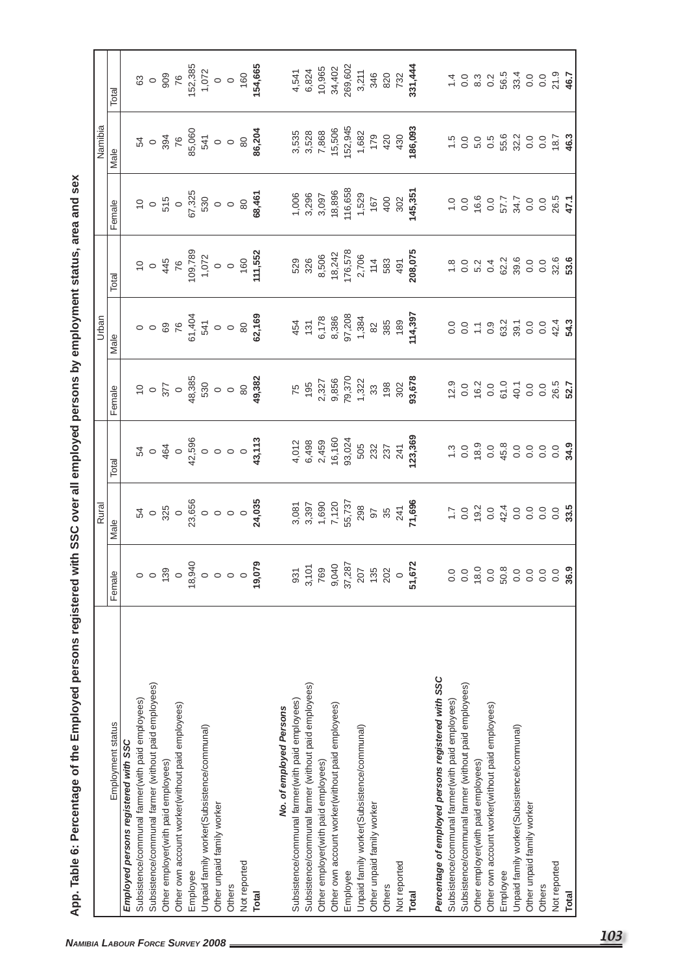|                                                      |                                                        | Rural                                                                                                                                                                                                                                                                                                 |       |                                                                           | Urban                                                                                             |                                                        |                                                                 | Namibia                                                                                                                |                                                                                                         |
|------------------------------------------------------|--------------------------------------------------------|-------------------------------------------------------------------------------------------------------------------------------------------------------------------------------------------------------------------------------------------------------------------------------------------------------|-------|---------------------------------------------------------------------------|---------------------------------------------------------------------------------------------------|--------------------------------------------------------|-----------------------------------------------------------------|------------------------------------------------------------------------------------------------------------------------|---------------------------------------------------------------------------------------------------------|
| Employment status                                    | Female                                                 | Male                                                                                                                                                                                                                                                                                                  | Total | Female                                                                    | Male                                                                                              | Total                                                  | Female                                                          | Male                                                                                                                   | Total                                                                                                   |
| Employed persons registered with SSC                 |                                                        |                                                                                                                                                                                                                                                                                                       |       |                                                                           |                                                                                                   |                                                        |                                                                 |                                                                                                                        |                                                                                                         |
| Subsistence/communal farmer(with paid employees)     | $\circ$                                                |                                                                                                                                                                                                                                                                                                       |       |                                                                           |                                                                                                   |                                                        |                                                                 |                                                                                                                        |                                                                                                         |
| Subsistence/communal farmer (without paid employees) | $\circ$                                                |                                                                                                                                                                                                                                                                                                       |       |                                                                           |                                                                                                   |                                                        |                                                                 |                                                                                                                        |                                                                                                         |
| Other employer(with paid employees)                  | $\frac{139}{0}$                                        |                                                                                                                                                                                                                                                                                                       |       |                                                                           |                                                                                                   |                                                        |                                                                 |                                                                                                                        |                                                                                                         |
| Other own account worker(without paid employees)     |                                                        |                                                                                                                                                                                                                                                                                                       |       |                                                                           |                                                                                                   |                                                        |                                                                 |                                                                                                                        |                                                                                                         |
| Employee                                             | 18,940                                                 |                                                                                                                                                                                                                                                                                                       |       |                                                                           |                                                                                                   |                                                        |                                                                 |                                                                                                                        |                                                                                                         |
| Unpaid family worker(Subsistence/communal)           | $\circ$                                                |                                                                                                                                                                                                                                                                                                       |       |                                                                           |                                                                                                   |                                                        |                                                                 |                                                                                                                        |                                                                                                         |
| Other unpaid family worker                           | $\circ$ $\circ$                                        |                                                                                                                                                                                                                                                                                                       |       |                                                                           |                                                                                                   |                                                        |                                                                 |                                                                                                                        |                                                                                                         |
| Others                                               |                                                        |                                                                                                                                                                                                                                                                                                       |       |                                                                           |                                                                                                   |                                                        |                                                                 |                                                                                                                        |                                                                                                         |
| Not reported                                         | $\circ$                                                |                                                                                                                                                                                                                                                                                                       |       |                                                                           |                                                                                                   |                                                        |                                                                 | $35 - 35 - 65$<br>$75 - 65$<br>$85 - 65$<br>$95 - 65$<br>$95 - 65$<br>$95 - 65$<br>$95 - 65$<br>$95 - 65$<br>$95 - 65$ |                                                                                                         |
| Total                                                | 19,079                                                 | $54$ o $32$ o $65$ o o o o $23$ o o o o $24$ , $235$                                                                                                                                                                                                                                                  |       |                                                                           |                                                                                                   |                                                        |                                                                 |                                                                                                                        | 63<br>0 0 909<br>76<br>152,385<br>194,665<br>154,665                                                    |
| No. of employed Persons                              |                                                        |                                                                                                                                                                                                                                                                                                       |       |                                                                           |                                                                                                   | 529<br>8,506<br>8,506<br>112,578<br>708,075<br>208,075 |                                                                 |                                                                                                                        |                                                                                                         |
| Subsistence/communal farmer (with paid employees)    |                                                        |                                                                                                                                                                                                                                                                                                       |       |                                                                           |                                                                                                   |                                                        |                                                                 |                                                                                                                        |                                                                                                         |
| Subsistence/communal farmer (without paid employees) |                                                        |                                                                                                                                                                                                                                                                                                       |       |                                                                           |                                                                                                   |                                                        |                                                                 |                                                                                                                        |                                                                                                         |
| Other employer(with paid employees)                  |                                                        |                                                                                                                                                                                                                                                                                                       |       |                                                                           |                                                                                                   |                                                        |                                                                 |                                                                                                                        |                                                                                                         |
| Other own account worker(without paid employees)     |                                                        |                                                                                                                                                                                                                                                                                                       |       |                                                                           |                                                                                                   |                                                        |                                                                 |                                                                                                                        |                                                                                                         |
| Employee                                             | 931<br>3, 101<br>769<br>9, 040<br>9, 207<br>202<br>202 |                                                                                                                                                                                                                                                                                                       |       |                                                                           |                                                                                                   |                                                        |                                                                 |                                                                                                                        | $4,541$<br>$6,824$<br>$10,965$<br>$24,402$<br>$34,402$<br>$320$<br>$320$<br>$732$<br>$732$<br>$331,444$ |
| Unpaid family worker(Subsistence/communal)           |                                                        |                                                                                                                                                                                                                                                                                                       |       |                                                                           |                                                                                                   |                                                        |                                                                 |                                                                                                                        |                                                                                                         |
| Other unpaid family worker                           |                                                        |                                                                                                                                                                                                                                                                                                       |       |                                                                           |                                                                                                   |                                                        |                                                                 |                                                                                                                        |                                                                                                         |
| Others                                               |                                                        |                                                                                                                                                                                                                                                                                                       |       |                                                                           |                                                                                                   |                                                        |                                                                 |                                                                                                                        |                                                                                                         |
| Not reported                                         | $\circ$                                                |                                                                                                                                                                                                                                                                                                       |       |                                                                           |                                                                                                   |                                                        |                                                                 |                                                                                                                        |                                                                                                         |
| <b>Total</b>                                         | <sub>ប</sub><br>51,672                                 | $\begin{array}{l} 3,081 \\ 3,397 \\ 7,120 \\ 7,120 \\ 55,737 \\ 298 \\ 97 \\ 241 \\ 741 \\ 7496 \\ 741 \\ 741 \\ 7596 \\ 741 \\ 7596 \\ 741 \\ 7596 \\ 759 \\ 77,696 \\ 77,789 \\ 78,789 \\ 79,789 \\ 79,789 \\ 79,789 \\ 79,789 \\ 79,789 \\ 79,789 \\ 79,789 \\ 79,789 \\ 79,789 \\ 79,789 \\ 79,7$ |       | 75<br>195<br>2,327<br>9,370<br>1,322<br>1,32<br>1,32<br>193,678<br>93,678 | $454$<br>$131$<br>$6,178$<br>$6,386$<br>$97,208$<br>$1,384$<br>$10,397$<br>$10,397$<br>$10,4,397$ |                                                        | 1,006<br>3,296<br>3,097<br>3,097<br>145,39<br>145,351<br>45,351 | 3,535<br>3,528<br>7,868<br>15,945<br>1,682<br>179<br>420<br>430<br>430<br>430                                          |                                                                                                         |
| Percentage of employed persons registered with SSC   |                                                        |                                                                                                                                                                                                                                                                                                       |       |                                                                           |                                                                                                   |                                                        |                                                                 |                                                                                                                        |                                                                                                         |
| Subsistence/communal farmer(with paid employees)     |                                                        |                                                                                                                                                                                                                                                                                                       |       |                                                                           |                                                                                                   |                                                        |                                                                 |                                                                                                                        |                                                                                                         |
| Subsistence/communal farmer (without paid employees) |                                                        |                                                                                                                                                                                                                                                                                                       |       |                                                                           |                                                                                                   |                                                        |                                                                 |                                                                                                                        |                                                                                                         |
| Other employer(with paid employees)                  |                                                        |                                                                                                                                                                                                                                                                                                       |       |                                                                           |                                                                                                   |                                                        |                                                                 |                                                                                                                        |                                                                                                         |
| Other own account worker(without paid employees)     |                                                        |                                                                                                                                                                                                                                                                                                       |       |                                                                           |                                                                                                   |                                                        |                                                                 |                                                                                                                        |                                                                                                         |
| Employee                                             |                                                        |                                                                                                                                                                                                                                                                                                       |       |                                                                           |                                                                                                   |                                                        |                                                                 |                                                                                                                        |                                                                                                         |
| Unpaid family worker(Subsistence/communal)           |                                                        |                                                                                                                                                                                                                                                                                                       |       |                                                                           |                                                                                                   |                                                        |                                                                 |                                                                                                                        |                                                                                                         |
| Other unpaid family worker                           |                                                        |                                                                                                                                                                                                                                                                                                       |       |                                                                           |                                                                                                   |                                                        |                                                                 |                                                                                                                        |                                                                                                         |
| Others                                               |                                                        |                                                                                                                                                                                                                                                                                                       |       |                                                                           |                                                                                                   |                                                        |                                                                 |                                                                                                                        |                                                                                                         |
| Not reported                                         |                                                        |                                                                                                                                                                                                                                                                                                       |       |                                                                           |                                                                                                   |                                                        | $7.0860777008677$<br>0.0 0.0 0.0 0.0 0.0 0.1                    |                                                                                                                        |                                                                                                         |
| Total                                                |                                                        |                                                                                                                                                                                                                                                                                                       |       |                                                                           |                                                                                                   |                                                        |                                                                 |                                                                                                                        |                                                                                                         |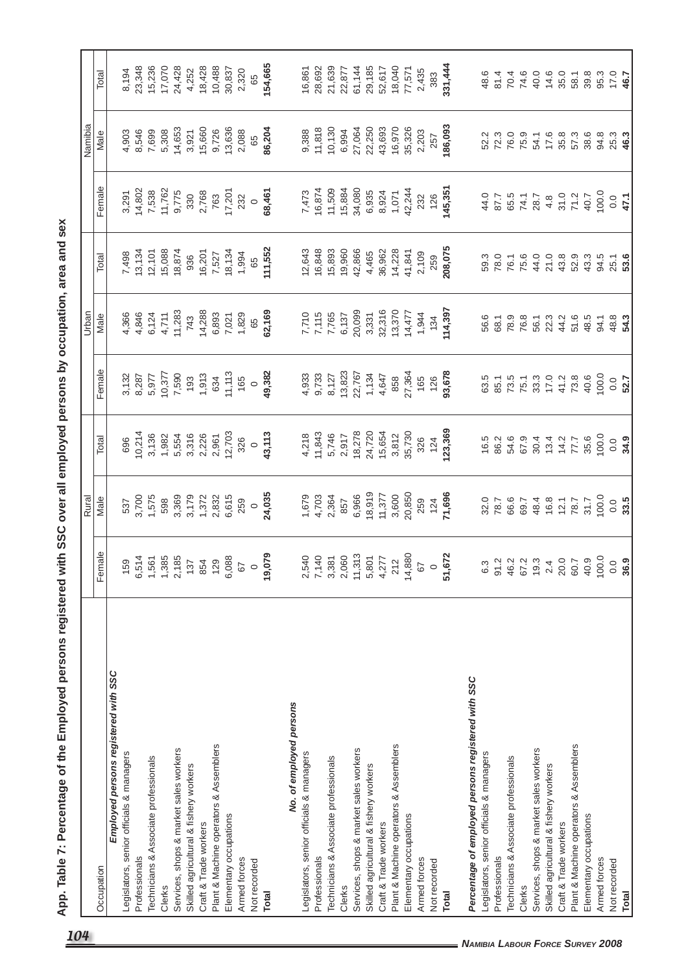|                                                    |                                                                 | Rural                   |                                       |                                                             | Urban                                             |                                              |                                     | Namibia                                                                             |                            |
|----------------------------------------------------|-----------------------------------------------------------------|-------------------------|---------------------------------------|-------------------------------------------------------------|---------------------------------------------------|----------------------------------------------|-------------------------------------|-------------------------------------------------------------------------------------|----------------------------|
| Occupation                                         | Female                                                          | Male                    | Total                                 | Female                                                      | Male                                              | Total                                        | Female                              | Male                                                                                | Total                      |
| Employed persons registered with SSC               |                                                                 |                         |                                       |                                                             |                                                   |                                              |                                     |                                                                                     |                            |
| Legislators, senior officials & managers           | 159                                                             | 537                     | 696                                   |                                                             |                                                   | 7,498                                        | 3,291                               |                                                                                     | 8,194                      |
| Professionals                                      | ဖ                                                               |                         | 10,214                                |                                                             | 4,366<br>4,846                                    |                                              |                                     |                                                                                     | 23,348                     |
| Technicians & Associate professionals              | 5614<br>$\overline{\phantom{0}}$                                | 3,700<br>1,575          | 3,136                                 | $3,132$<br>$8,287$<br>$5,977$                               |                                                   |                                              |                                     |                                                                                     | 15,236                     |
| Clerks                                             |                                                                 | 598                     |                                       |                                                             |                                                   |                                              |                                     |                                                                                     | 17,070                     |
| Services, shops & market sales workers             | $\frac{1,385}{2,185}$<br>$\frac{137}{137}$<br>$\frac{854}{129}$ |                         | 1,982<br>1,554<br>1,532,961<br>12,703 | $\begin{array}{c} 7,590 \\ 7,590 \\ 193 \end{array}$        | 6,124<br>4,711<br>11,283                          | $13,134$<br>$12,101$<br>$15,088$<br>$18,874$ | 14,802<br>7,538<br>11,762<br>9,775  | $4,903$<br>$6,546$<br>$6,99$<br>$6,908$<br>$6,908$<br>$7,902$<br>$7,927$<br>$3,927$ | 24,428                     |
| Skilled agricultural & fishery workers             |                                                                 | 3,369<br>3,179          |                                       |                                                             | 743                                               | 936                                          | 330                                 |                                                                                     | 4,252                      |
| Craft & Trade workers                              |                                                                 |                         |                                       | 1,913                                                       |                                                   | 16,201                                       | 2,768                               |                                                                                     | 18,428                     |
| Plant & Machine operators & Assemblers             |                                                                 |                         |                                       |                                                             |                                                   | 7,527                                        | 763                                 |                                                                                     |                            |
| Elementary occupations                             |                                                                 | 1,372<br>2,832<br>6,615 |                                       | 634<br>11,113<br>165                                        |                                                   | 18,134                                       | 17,201                              | 15,660<br>9,726<br>13,636<br>2,088                                                  | 10,488<br>30,837           |
| Armed forces                                       |                                                                 | 259                     | 326                                   |                                                             |                                                   | 1,994                                        |                                     |                                                                                     | 2,320                      |
| Not recorded                                       | 6,088<br>67<br><b>19,079</b>                                    | $\circ$                 | $\circ$                               |                                                             | $74,288$<br>$6,893$<br>$7,021$<br>$1,829$<br>$65$ | 65                                           | $\circ$                             | 65                                                                                  | 65                         |
| <b>Total</b>                                       |                                                                 | 24,035                  | 43,113                                | 0<br>49,382                                                 | 62,169                                            | 111,552                                      | 68,461                              | 86,204                                                                              | 154,665                    |
| No. of employed persons                            |                                                                 |                         |                                       |                                                             |                                                   |                                              |                                     |                                                                                     |                            |
| Legislators, senior officials & managers           |                                                                 |                         |                                       |                                                             |                                                   | 12,643                                       |                                     |                                                                                     | 16,861                     |
| Professionals                                      | 2,540<br>7,140<br>2,060                                         | 1,679<br>4,703          | $4,218$<br>11,843<br>5,746<br>2,917   |                                                             | 7,710<br>7,115<br>7,765<br>6,137                  | 16,848<br>15,893<br>19,960                   | 7,473<br>16,874<br>11,509<br>15,884 | 9,388<br>11,818<br>10,130                                                           | 28,692                     |
| Technicians & Associate professionals              |                                                                 | 2,364                   |                                       |                                                             |                                                   |                                              |                                     |                                                                                     | 21,639                     |
| Clerks                                             |                                                                 | 857                     |                                       |                                                             |                                                   |                                              |                                     | 6,994                                                                               | 22,877                     |
| Services, shops & market sales workers             | 11,313<br>5,801<br>4,277<br>4,880<br>14,880<br>67<br>51,672     | 6,966                   |                                       | 4,933<br>9,733<br>9,127<br>8,127<br>8,647<br>4,647<br>4,647 | 20,099                                            | 42,866                                       | 34,080                              |                                                                                     | 61,144                     |
| Skilled agricultural & fishery workers             |                                                                 | 18,919                  |                                       |                                                             | 3,331                                             | 4,465                                        |                                     |                                                                                     | 29,185                     |
| Craft & Trade workers                              |                                                                 | 11,377                  | 18,278<br>24,720<br>15,654            |                                                             | 32,316                                            | 36,962                                       | 6,935<br>8,924                      | 27,064<br>22,250<br>43,693                                                          | 52,617                     |
| Plant & Machine operators & Assemblers             |                                                                 | 3,600<br>20,850         | 3,812                                 | 858                                                         | 13,370<br>14,477                                  | 14,228                                       | 1,071                               | 16,970<br>35,326<br>2,203                                                           | 18,040                     |
| Elementary occupations                             |                                                                 |                         | 35,730                                | 27,364                                                      |                                                   | 41,841                                       | 42,244                              |                                                                                     | 77,571                     |
| Armed forces                                       |                                                                 | 259                     | 326                                   | 165                                                         | 1,944                                             | 2,109                                        | 232                                 |                                                                                     | 2,435                      |
| Not recorded                                       |                                                                 | $124$<br>71,696         | $124$<br>123,369                      | 126                                                         | 134                                               | 259                                          | $126$<br>145,351                    | 257                                                                                 | 383                        |
| <b>Total</b>                                       |                                                                 |                         |                                       | 93,678                                                      | 114,397                                           | 208,075                                      |                                     | 186,093                                                                             | 331,444                    |
| Percentage of employed persons registered with SSC |                                                                 |                         |                                       |                                                             |                                                   |                                              |                                     |                                                                                     |                            |
| Legislators, senior officials & managers           |                                                                 |                         |                                       |                                                             | 56.6                                              | 59.3                                         | 44.0                                | 52.2                                                                                | 48.6                       |
| Professionals                                      |                                                                 | 32.0<br>78.7            |                                       |                                                             | 68.1                                              | 78.0                                         |                                     | 72.3                                                                                | 81.4                       |
| Technicians & Associate professionals              |                                                                 | 66.6                    | $16.3$<br>$68.3$<br>$67.9$<br>$67.9$  |                                                             | 78.9                                              | 76.1                                         | 87.7<br>65.5                        | 76.0                                                                                | $74.0$<br>$74.0$<br>$40.0$ |
| Clerks                                             |                                                                 | 69.7                    |                                       |                                                             |                                                   | 75.6                                         |                                     | 75.9                                                                                |                            |
| Services, shops & market sales workers             | 6<br>6 7 8 7 9 7 9 7 9 9<br>6 7 9 9 9 9 9 9                     | 48.4<br>16.8            | 30.4                                  | 83.15<br>85.15.28<br>85.15.29                               | $76.3$<br>$56.1$<br>$22.3$                        | 44.0                                         | 74.1<br>28.7                        | 54.1                                                                                |                            |
| Skilled agricultural & fishery workers             |                                                                 |                         | 13.4                                  |                                                             |                                                   | 21.0                                         | $4.\overline{8}$                    | 17.6                                                                                | 14.6                       |
| Craft & Trade workers                              |                                                                 | $\frac{12.1}{78.7}$     | $14.2$<br>77.7                        | 41.2<br>73.8                                                |                                                   | 43.8                                         | $31.0$<br>71.2                      | 35.8                                                                                | 35.0<br>58.1               |
| Plant & Machine operators & Assemblers             |                                                                 |                         |                                       |                                                             | $4580$<br>$4580$                                  | 52.9                                         |                                     | 57.3                                                                                |                            |
| Elementary occupations                             |                                                                 | 31.7                    | 35.6                                  | 40.6                                                        |                                                   | 43.3                                         | 40.7                                | 38.6                                                                                | 39.8                       |
| Armed forces                                       | 00.0                                                            | 100.0                   | 100.0                                 | 100.0                                                       | 94.1                                              | 94.5                                         | 100.0                               | 94.8                                                                                | 95.3                       |
| Not recorded                                       | $0.0$<br>36.9                                                   | $0.0$<br>33.5           | $0.0$<br>34.9                         | $0.0$<br>52.7                                               | $48.8$<br>54.3                                    | $25.1$<br>53.6                               | $0.0$<br>47.1                       | 25.3<br>46.3                                                                        | $17.0$<br>46.7             |
| <b>Total</b>                                       |                                                                 |                         |                                       |                                                             |                                                   |                                              |                                     |                                                                                     |                            |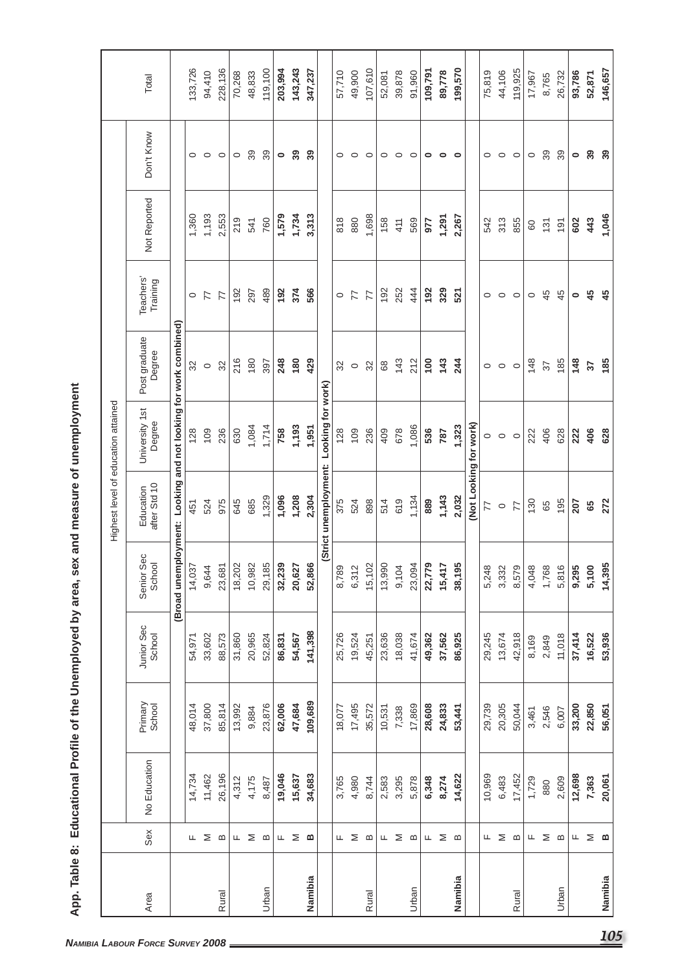|                                                   |                                     | Don't Know                                           |                                                                 |        |             |
|---------------------------------------------------|-------------------------------------|------------------------------------------------------|-----------------------------------------------------------------|--------|-------------|
|                                                   |                                     | Not Reported                                         |                                                                 | 1,360  | 100         |
|                                                   |                                     | Teachers'<br>Training                                |                                                                 |        |             |
|                                                   |                                     | Degree                                               |                                                                 | 32     |             |
|                                                   | Highest level of education attained | Education   University 1st   Post graduate<br>Degree |                                                                 | 128    | $\tilde{z}$ |
|                                                   |                                     | after Std 10                                         |                                                                 | 451    | č           |
| by area, sex and measure of unemployment          |                                     | Senior Sec<br>School                                 | (Broad unemployment: Looking and not looking for work combined) | 14,037 | 0.11        |
|                                                   |                                     | <b>Junior Sec</b><br>School                          |                                                                 | 54,971 | הה ההה      |
|                                                   |                                     | Primary<br>School                                    |                                                                 | 48,014 | 27.000      |
| o. Table 8: Educational Profile of the Unemployed |                                     | Sex   No Education                                   |                                                                 | 14,734 | くんしょく       |
|                                                   |                                     |                                                      |                                                                 | ட      |             |
|                                                   |                                     | ω                                                    |                                                                 |        |             |

|              |              |              |                   |                      |                      | Highest level of education attained |                          |                                                    |                       |              |            |         |
|--------------|--------------|--------------|-------------------|----------------------|----------------------|-------------------------------------|--------------------------|----------------------------------------------------|-----------------------|--------------|------------|---------|
| Area         | Sex          | No Education | Primary<br>School | Junior Sec<br>School | Senior Sec<br>School | after Std 10<br>Education           | University 1st<br>Degree | Post graduate<br>Degree                            | Teachers'<br>Training | Not Reported | Don't Know | Total   |
|              |              |              |                   |                      | Broad unempl         |                                     |                          | oyment: Looking and not looking for work combined) |                       |              |            |         |
|              | Щ.           | 14,734       | 48,014            | 54,971               | 14,037               | 451                                 | 128                      | 32                                                 | $\circ$               | 1,360        | $\circ$    | 133,726 |
|              | Σ            | 11,462       | 37,800            | 33,602               | 9,644                | 524                                 | 109                      | $\circ$                                            | 77                    | 1,193        | $\circ$    | 94,410  |
| Rural        | ≃            | 26,196       | 85,814            | 88,573               | 23,681               | 975                                 | 236                      | 32                                                 | 77                    | 2,553        | $\circ$    | 228,136 |
|              | Щ.           | 4,312        | 13,992            | 31,860               | 18,202               | 645                                 | 630                      | 216                                                | 192                   | 219          | $\circ$    | 70,268  |
|              | Σ            | 4,175        | 9,884             | 20,965               | 10,982               | 685                                 | 1,084                    | 180                                                | 297                   | 541          | 39         | 48,833  |
| Urban        | $\Omega$     | 8,487        | 23,876            | 52,824               | 29,185               | 1,329                               | 1,714                    | 397                                                | 489                   | 760          | 39         | 119,100 |
|              | Щ.           | 19,046       | 62,006            | 86,831               | 32,239               | 1,096                               | 758                      | 248                                                | 192                   | 1,579        | $\bullet$  | 203,994 |
|              | Σ            | 15,637       | 47,684            | 54,567               | 20,627               | 1,208                               | 1,193                    | 180                                                | 374                   | 1,734        | 39         | 143,243 |
| Namibia      | m            | 34,683       | 109,689           | 141,398              | 52,866               | 2,304                               | 1,951                    | 429                                                | 566                   | 3,313        | 39         | 347,237 |
|              |              |              |                   |                      |                      | Strict unemployment:                | Looking for work)        |                                                    |                       |              |            |         |
|              | Щ.           | 3,765        | 18,077            | 25,726               | 8,789                | 375                                 | 128                      | 32                                                 | $\circ$               | 818          | $\circ$    | 57,710  |
|              | Σ            | 4,980        | 17,495            | 19,524               | 6,312                | 524                                 | 109                      | $\circ$                                            | 77                    | 880          | $\circ$    | 49,900  |
| <b>Rural</b> | $\bf{m}$     | 8,744        | 35,572            | 45,251               | 15,102               | 898                                 | 236                      | 32                                                 | 77                    | 1,698        | $\circ$    | 107,610 |
|              | Щ.           | 2,583        | 10,531            | 23,636               | 13,990               | 514                                 | 409                      | 68                                                 | 192                   | 158          | $\circ$    | 52,081  |
|              | Σ            | 3,295        | 7,338             | 18,038               | 9,104                | 619                                 | 678                      | 143                                                | 252                   | 411          | $\circ$    | 39,878  |
| Urban        | $\mathbf{m}$ | 5,878        | 17,869            | 41,674               | 23,094               | 1,134                               | 1,086                    | 212                                                | 444                   | 569          | $\circ$    | 91,960  |
|              | Щ.           | 6,348        | 28,608            | 49,362               | 22,779               | 889                                 | 536                      | $\frac{00}{1}$                                     | 192                   | 977          | 0          | 109,791 |
|              | Σ            | 8,274        | 24,833            | 37,562               | 15,417               | 1,143                               | 787                      | 143                                                | 329                   | 1,291        | $\circ$    | 89,778  |
| Namibia      | $\Omega$     | 14,622       | 53,441            | 86,925               | 38,195               | 2,032                               | 1,323                    | 244                                                | 521                   | 2,267        | $\bullet$  | 199,570 |
|              |              |              |                   |                      |                      |                                     | (Not Looking for work)   |                                                    |                       |              |            |         |
|              | Щ.           | 10,969       | 29,739            | 29,245               | 5,248                | 77                                  | $\circ$                  | $\circ$                                            | $\circ$               | 542          | $\circ$    | 75,819  |
|              | Σ            | 6,483        | 20,305            | 13,674               | 3,332                | $\circ$                             | $\circ$                  | $\circ$                                            | $\circ$               | 313          | $\circ$    | 44,106  |
| Rural        | $\mathbf{m}$ | 17,452       | 50,044            | 42,918               | 8,579                | 77                                  | $\circ$                  | $\circ$                                            | $\circ$               | 855          | $\circ$    | 119,925 |
|              | Щ.           | 1,729        | 3,461             | 8,169                | 4,048                | 130                                 | 222                      | 148                                                | $\circ$               | $60\,$       | $\circ$    | 17,967  |
|              | Σ            | 880          | 2,546             | 2,849                | 1,768                | 65                                  | 406                      | 57                                                 | 45                    | 131          | 39         | 8,765   |
| Urban        | $\mathbf{m}$ | 2,609        | 6,007             | 11,018               | 5,816                | 195                                 | 628                      | 185                                                | 45                    | 191          | 39         | 26,732  |
|              | Щ.           | 12,698       | 33,200            | 37,414               | 9,295                | 207                                 | 222                      | 148                                                | $\bullet$             | 602          | $\bullet$  | 93,786  |
|              | Σ            | 7,363        | 22,850            | 16,522               | 5,100                | 65                                  | 406                      | 57                                                 | 45                    | 443          | 39         | 52,871  |
| Namibia      | m            | 20,061       | 56,051            | 53,936               | 14,395               | 272                                 | 628                      | 185                                                | 45                    |              |            |         |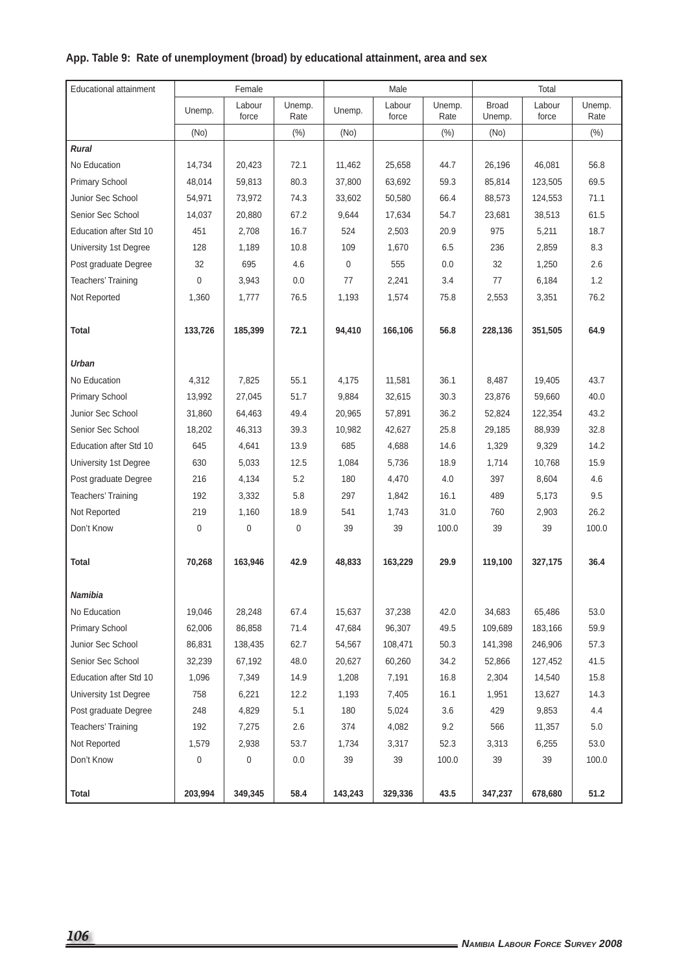### **App. Table 9: Rate of unemployment (broad) by educational attainment, area and sex**

| <b>Educational attainment</b> |          | Female          |                |         | Male            |                |                        | Total           |                |
|-------------------------------|----------|-----------------|----------------|---------|-----------------|----------------|------------------------|-----------------|----------------|
|                               | Unemp.   | Labour<br>force | Unemp.<br>Rate | Unemp.  | Labour<br>force | Unemp.<br>Rate | <b>Broad</b><br>Unemp. | Labour<br>force | Unemp.<br>Rate |
|                               | (No)     |                 | (% )           | (No)    |                 | (%)            | (No)                   |                 | (% )           |
| Rural                         |          |                 |                |         |                 |                |                        |                 |                |
| No Education                  | 14,734   | 20,423          | 72.1           | 11,462  | 25,658          | 44.7           | 26,196                 | 46,081          | 56.8           |
| <b>Primary School</b>         | 48,014   | 59,813          | 80.3           | 37,800  | 63,692          | 59.3           | 85,814                 | 123,505         | 69.5           |
| Junior Sec School             | 54,971   | 73,972          | 74.3           | 33,602  | 50,580          | 66.4           | 88,573                 | 124,553         | 71.1           |
| Senior Sec School             | 14,037   | 20,880          | 67.2           | 9,644   | 17,634          | 54.7           | 23,681                 | 38,513          | 61.5           |
| <b>Education after Std 10</b> | 451      | 2,708           | 16.7           | 524     | 2,503           | 20.9           | 975                    | 5,211           | 18.7           |
| University 1st Degree         | 128      | 1,189           | 10.8           | 109     | 1,670           | 6.5            | 236                    | 2,859           | 8.3            |
| Post graduate Degree          | 32       | 695             | 4.6            | 0       | 555             | 0.0            | 32                     | 1,250           | 2.6            |
| Teachers' Training            | $\Omega$ | 3,943           | 0.0            | 77      | 2,241           | 3.4            | 77                     | 6,184           | 1.2            |
| Not Reported                  | 1,360    | 1,777           | 76.5           | 1,193   | 1,574           | 75.8           | 2,553                  | 3,351           | 76.2           |
|                               |          |                 |                |         |                 |                |                        |                 |                |
| Total                         | 133,726  | 185,399         | 72.1           | 94,410  | 166,106         | 56.8           | 228,136                | 351,505         | 64.9           |
|                               |          |                 |                |         |                 |                |                        |                 |                |
| Urban                         |          |                 |                |         |                 |                |                        |                 |                |
| No Education                  | 4,312    | 7.825           | 55.1           | 4,175   | 11,581          | 36.1           | 8,487                  | 19,405          | 43.7           |
| <b>Primary School</b>         | 13,992   | 27,045          | 51.7           | 9,884   | 32,615          | 30.3           | 23,876                 | 59,660          | 40.0           |
| Junior Sec School             | 31,860   | 64,463          | 49.4           | 20,965  | 57,891          | 36.2           | 52,824                 | 122,354         | 43.2           |
| Senior Sec School             | 18,202   | 46,313          | 39.3           | 10,982  | 42,627          | 25.8           | 29,185                 | 88,939          | 32.8           |
| <b>Education after Std 10</b> | 645      | 4,641           | 13.9           | 685     | 4,688           | 14.6           | 1,329                  | 9,329           | 14.2           |
| University 1st Degree         | 630      | 5,033           | 12.5           | 1,084   | 5,736           | 18.9           | 1,714                  | 10,768          | 15.9           |
| Post graduate Degree          | 216      | 4,134           | 5.2            | 180     | 4,470           | 4.0            | 397                    | 8,604           | 4.6            |
| Teachers' Training            | 192      | 3,332           | 5.8            | 297     | 1,842           | 16.1           | 489                    | 5,173           | 9.5            |
| Not Reported                  | 219      | 1,160           | 18.9           | 541     | 1,743           | 31.0           | 760                    | 2,903           | 26.2           |
| Don't Know                    | 0        | $\mathbf 0$     | 0              | 39      | 39              | 100.0          | 39                     | 39              | 100.0          |
|                               |          |                 |                |         |                 |                |                        |                 |                |
| <b>Total</b>                  | 70,268   | 163,946         | 42.9           | 48,833  | 163,229         | 29.9           | 119,100                | 327,175         | 36.4           |
|                               |          |                 |                |         |                 |                |                        |                 |                |
| Namibia                       |          |                 |                |         |                 |                |                        |                 |                |
| No Education                  | 19,046   | 28,248          | 67.4           | 15,637  | 37,238          | 42.0           | 34,683                 | 65,486          | 53.0           |
| <b>Primary School</b>         | 62,006   | 86,858          | 71.4           | 47,684  | 96,307          | 49.5           | 109,689                | 183,166         | 59.9           |
| Junior Sec School             | 86,831   | 138,435         | 62.7           | 54,567  | 108,471         | 50.3           | 141,398                | 246,906         | 57.3           |
| Senior Sec School             | 32,239   | 67,192          | 48.0           | 20,627  | 60,260          | 34.2           | 52,866                 | 127,452         | 41.5           |
| Education after Std 10        | 1,096    | 7,349           | 14.9           | 1,208   | 7,191           | 16.8           | 2,304                  | 14,540          | 15.8           |
| University 1st Degree         | 758      | 6,221           | 12.2           | 1,193   | 7,405           | 16.1           | 1,951                  | 13,627          | 14.3           |
| Post graduate Degree          | 248      | 4,829           | 5.1            | 180     | 5,024           | 3.6            | 429                    | 9,853           | 4.4            |
| Teachers' Training            | 192      | 7,275           | 2.6            | 374     | 4,082           | 9.2            | 566                    | 11,357          | 5.0            |
| Not Reported                  | 1,579    | 2,938           | 53.7           | 1,734   | 3,317           | 52.3           | 3,313                  | 6,255           | 53.0           |
| Don't Know                    | 0        | 0               | 0.0            | 39      | 39              | 100.0          | 39                     | 39              | 100.0          |
|                               |          |                 |                |         |                 |                |                        |                 |                |
| <b>Total</b>                  | 203,994  | 349,345         | 58.4           | 143,243 | 329,336         | 43.5           | 347,237                | 678,680         | 51.2           |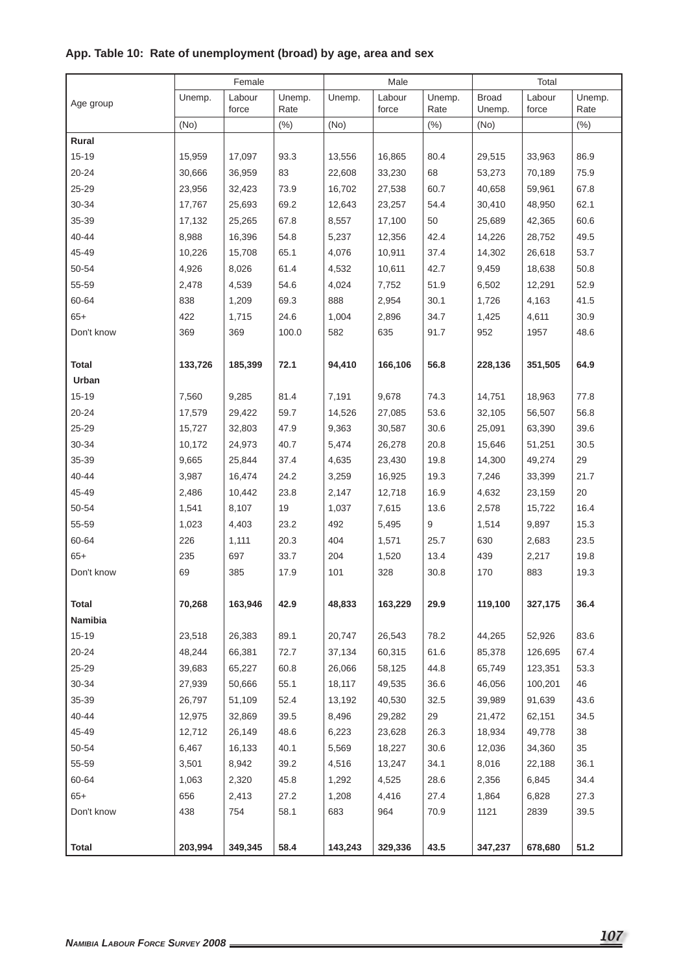| Unemp.<br><b>Broad</b><br>Labour<br>Unemp.<br>Unemp.<br>Labour<br>Unemp.<br>Unemp.<br>Labour<br>Age group<br>force<br>Rate<br>force<br>Rate<br>Rate<br>Unemp.<br>force<br>(No)<br>(%)<br>(No)<br>(% )<br>(% )<br>(No)<br>Rural<br>86.9<br>$15 - 19$<br>15,959<br>17.097<br>93.3<br>13,556<br>16,865<br>80.4<br>29,515<br>33,963<br>$20 - 24$<br>36,959<br>83<br>68<br>70,189<br>75.9<br>30,666<br>22,608<br>33,230<br>53,273<br>$25 - 29$<br>73.9<br>60.7<br>67.8<br>23,956<br>32,423<br>16,702<br>27,538<br>40,658<br>59,961<br>30-34<br>54.4<br>48,950<br>62.1<br>17,767<br>25,693<br>69.2<br>12,643<br>23,257<br>30,410<br>35-39<br>60.6<br>17,132<br>25,265<br>67.8<br>8,557<br>17,100<br>50<br>25,689<br>42,365<br>40-44<br>8,988<br>54.8<br>42.4<br>49.5<br>16,396<br>5,237<br>12,356<br>14,226<br>28,752<br>45-49<br>53.7<br>10,226<br>15,708<br>65.1<br>4,076<br>10,911<br>37.4<br>14,302<br>26,618<br>50-54<br>61.4<br>42.7<br>50.8<br>4,926<br>8,026<br>4,532<br>10,611<br>9,459<br>18,638<br>55-59<br>54.6<br>51.9<br>52.9<br>2,478<br>4,539<br>4,024<br>7,752<br>6,502<br>12,291<br>60-64<br>838<br>888<br>41.5<br>1,209<br>69.3<br>2,954<br>30.1<br>1,726<br>4,163<br>$65+$<br>422<br>24.6<br>34.7<br>30.9<br>1,715<br>1,004<br>2,896<br>1,425<br>4,611<br>369<br>369<br>100.0<br>635<br>91.7<br>1957<br>48.6<br>Don't know<br>582<br>952<br>72.1<br>64.9<br>Total<br>133,726<br>185,399<br>94,410<br>166,106<br>56.8<br>228,136<br>351,505<br>Urban<br>81.4<br>77.8<br>$15 - 19$<br>7,560<br>9,285<br>7,191<br>9,678<br>74.3<br>14,751<br>18,963<br>59.7<br>53.6<br>56,507<br>56.8<br>20-24<br>17,579<br>29,422<br>14,526<br>27,085<br>32,105<br>$25 - 29$<br>15,727<br>47.9<br>9,363<br>30,587<br>30.6<br>25,091<br>63,390<br>39.6<br>32,803<br>30-34<br>20.8<br>30.5<br>10,172<br>24,973<br>40.7<br>5,474<br>26,278<br>15,646<br>51,251<br>35-39<br>29<br>9,665<br>25,844<br>37.4<br>4,635<br>23,430<br>19.8<br>14,300<br>49,274<br>40-44<br>19.3<br>21.7<br>3,987<br>16,474<br>24.2<br>3,259<br>16,925<br>7,246<br>33,399<br>45-49<br>2,486<br>23.8<br>16.9<br>20<br>10,442<br>2,147<br>12,718<br>4,632<br>23,159<br>50-54<br>19<br>16.4<br>1,541<br>8,107<br>1,037<br>7,615<br>13.6<br>2,578<br>15,722<br>55-59<br>492<br>15.3<br>1,023<br>4,403<br>23.2<br>5,495<br>9<br>1,514<br>9,897<br>60-64<br>226<br>404<br>1,571<br>23.5<br>1,111<br>20.3<br>25.7<br>630<br>2,683<br>$65+$<br>235<br>33.7<br>204<br>19.8<br>697<br>1,520<br>13.4<br>439<br>2,217<br>Don't know<br>69<br>385<br>17.9<br>101<br>328<br>30.8<br>170<br>883<br>19.3<br><b>Total</b><br>70,268<br>163,946<br>42.9<br>48,833<br>163,229<br>29.9<br>119,100<br>327,175<br>36.4<br>Namibia<br>$15 - 19$<br>83.6<br>26,383<br>89.1<br>26,543<br>78.2<br>52,926<br>23,518<br>20,747<br>44,265<br>61.6<br>67.4<br>20-24<br>48,244<br>66,381<br>72.7<br>60,315<br>126,695<br>37,134<br>85,378<br>25-29<br>39,683<br>65,227<br>60.8<br>26,066<br>58,125<br>44.8<br>65,749<br>123,351<br>53.3<br>$30 - 34$<br>27,939<br>50,666<br>55.1<br>18,117<br>49,535<br>36.6<br>46,056<br>100,201<br>46<br>35-39<br>52.4<br>32.5<br>43.6<br>51,109<br>40,530<br>39,989<br>91,639<br>26,797<br>13,192 |
|------------------------------------------------------------------------------------------------------------------------------------------------------------------------------------------------------------------------------------------------------------------------------------------------------------------------------------------------------------------------------------------------------------------------------------------------------------------------------------------------------------------------------------------------------------------------------------------------------------------------------------------------------------------------------------------------------------------------------------------------------------------------------------------------------------------------------------------------------------------------------------------------------------------------------------------------------------------------------------------------------------------------------------------------------------------------------------------------------------------------------------------------------------------------------------------------------------------------------------------------------------------------------------------------------------------------------------------------------------------------------------------------------------------------------------------------------------------------------------------------------------------------------------------------------------------------------------------------------------------------------------------------------------------------------------------------------------------------------------------------------------------------------------------------------------------------------------------------------------------------------------------------------------------------------------------------------------------------------------------------------------------------------------------------------------------------------------------------------------------------------------------------------------------------------------------------------------------------------------------------------------------------------------------------------------------------------------------------------------------------------------------------------------------------------------------------------------------------------------------------------------------------------------------------------------------------------------------------------------------------------------------------------------------------------------------------------------------------------------------------------------------------------------------------------------------------------------------------------------------------------------------------------------------------------------------------------------------------------------------------------------------------------------------------------------------------------------------------------------------------------------------------------------------------|
|                                                                                                                                                                                                                                                                                                                                                                                                                                                                                                                                                                                                                                                                                                                                                                                                                                                                                                                                                                                                                                                                                                                                                                                                                                                                                                                                                                                                                                                                                                                                                                                                                                                                                                                                                                                                                                                                                                                                                                                                                                                                                                                                                                                                                                                                                                                                                                                                                                                                                                                                                                                                                                                                                                                                                                                                                                                                                                                                                                                                                                                                                                                                                                        |
|                                                                                                                                                                                                                                                                                                                                                                                                                                                                                                                                                                                                                                                                                                                                                                                                                                                                                                                                                                                                                                                                                                                                                                                                                                                                                                                                                                                                                                                                                                                                                                                                                                                                                                                                                                                                                                                                                                                                                                                                                                                                                                                                                                                                                                                                                                                                                                                                                                                                                                                                                                                                                                                                                                                                                                                                                                                                                                                                                                                                                                                                                                                                                                        |
|                                                                                                                                                                                                                                                                                                                                                                                                                                                                                                                                                                                                                                                                                                                                                                                                                                                                                                                                                                                                                                                                                                                                                                                                                                                                                                                                                                                                                                                                                                                                                                                                                                                                                                                                                                                                                                                                                                                                                                                                                                                                                                                                                                                                                                                                                                                                                                                                                                                                                                                                                                                                                                                                                                                                                                                                                                                                                                                                                                                                                                                                                                                                                                        |
|                                                                                                                                                                                                                                                                                                                                                                                                                                                                                                                                                                                                                                                                                                                                                                                                                                                                                                                                                                                                                                                                                                                                                                                                                                                                                                                                                                                                                                                                                                                                                                                                                                                                                                                                                                                                                                                                                                                                                                                                                                                                                                                                                                                                                                                                                                                                                                                                                                                                                                                                                                                                                                                                                                                                                                                                                                                                                                                                                                                                                                                                                                                                                                        |
|                                                                                                                                                                                                                                                                                                                                                                                                                                                                                                                                                                                                                                                                                                                                                                                                                                                                                                                                                                                                                                                                                                                                                                                                                                                                                                                                                                                                                                                                                                                                                                                                                                                                                                                                                                                                                                                                                                                                                                                                                                                                                                                                                                                                                                                                                                                                                                                                                                                                                                                                                                                                                                                                                                                                                                                                                                                                                                                                                                                                                                                                                                                                                                        |
|                                                                                                                                                                                                                                                                                                                                                                                                                                                                                                                                                                                                                                                                                                                                                                                                                                                                                                                                                                                                                                                                                                                                                                                                                                                                                                                                                                                                                                                                                                                                                                                                                                                                                                                                                                                                                                                                                                                                                                                                                                                                                                                                                                                                                                                                                                                                                                                                                                                                                                                                                                                                                                                                                                                                                                                                                                                                                                                                                                                                                                                                                                                                                                        |
|                                                                                                                                                                                                                                                                                                                                                                                                                                                                                                                                                                                                                                                                                                                                                                                                                                                                                                                                                                                                                                                                                                                                                                                                                                                                                                                                                                                                                                                                                                                                                                                                                                                                                                                                                                                                                                                                                                                                                                                                                                                                                                                                                                                                                                                                                                                                                                                                                                                                                                                                                                                                                                                                                                                                                                                                                                                                                                                                                                                                                                                                                                                                                                        |
|                                                                                                                                                                                                                                                                                                                                                                                                                                                                                                                                                                                                                                                                                                                                                                                                                                                                                                                                                                                                                                                                                                                                                                                                                                                                                                                                                                                                                                                                                                                                                                                                                                                                                                                                                                                                                                                                                                                                                                                                                                                                                                                                                                                                                                                                                                                                                                                                                                                                                                                                                                                                                                                                                                                                                                                                                                                                                                                                                                                                                                                                                                                                                                        |
|                                                                                                                                                                                                                                                                                                                                                                                                                                                                                                                                                                                                                                                                                                                                                                                                                                                                                                                                                                                                                                                                                                                                                                                                                                                                                                                                                                                                                                                                                                                                                                                                                                                                                                                                                                                                                                                                                                                                                                                                                                                                                                                                                                                                                                                                                                                                                                                                                                                                                                                                                                                                                                                                                                                                                                                                                                                                                                                                                                                                                                                                                                                                                                        |
|                                                                                                                                                                                                                                                                                                                                                                                                                                                                                                                                                                                                                                                                                                                                                                                                                                                                                                                                                                                                                                                                                                                                                                                                                                                                                                                                                                                                                                                                                                                                                                                                                                                                                                                                                                                                                                                                                                                                                                                                                                                                                                                                                                                                                                                                                                                                                                                                                                                                                                                                                                                                                                                                                                                                                                                                                                                                                                                                                                                                                                                                                                                                                                        |
|                                                                                                                                                                                                                                                                                                                                                                                                                                                                                                                                                                                                                                                                                                                                                                                                                                                                                                                                                                                                                                                                                                                                                                                                                                                                                                                                                                                                                                                                                                                                                                                                                                                                                                                                                                                                                                                                                                                                                                                                                                                                                                                                                                                                                                                                                                                                                                                                                                                                                                                                                                                                                                                                                                                                                                                                                                                                                                                                                                                                                                                                                                                                                                        |
|                                                                                                                                                                                                                                                                                                                                                                                                                                                                                                                                                                                                                                                                                                                                                                                                                                                                                                                                                                                                                                                                                                                                                                                                                                                                                                                                                                                                                                                                                                                                                                                                                                                                                                                                                                                                                                                                                                                                                                                                                                                                                                                                                                                                                                                                                                                                                                                                                                                                                                                                                                                                                                                                                                                                                                                                                                                                                                                                                                                                                                                                                                                                                                        |
|                                                                                                                                                                                                                                                                                                                                                                                                                                                                                                                                                                                                                                                                                                                                                                                                                                                                                                                                                                                                                                                                                                                                                                                                                                                                                                                                                                                                                                                                                                                                                                                                                                                                                                                                                                                                                                                                                                                                                                                                                                                                                                                                                                                                                                                                                                                                                                                                                                                                                                                                                                                                                                                                                                                                                                                                                                                                                                                                                                                                                                                                                                                                                                        |
|                                                                                                                                                                                                                                                                                                                                                                                                                                                                                                                                                                                                                                                                                                                                                                                                                                                                                                                                                                                                                                                                                                                                                                                                                                                                                                                                                                                                                                                                                                                                                                                                                                                                                                                                                                                                                                                                                                                                                                                                                                                                                                                                                                                                                                                                                                                                                                                                                                                                                                                                                                                                                                                                                                                                                                                                                                                                                                                                                                                                                                                                                                                                                                        |
|                                                                                                                                                                                                                                                                                                                                                                                                                                                                                                                                                                                                                                                                                                                                                                                                                                                                                                                                                                                                                                                                                                                                                                                                                                                                                                                                                                                                                                                                                                                                                                                                                                                                                                                                                                                                                                                                                                                                                                                                                                                                                                                                                                                                                                                                                                                                                                                                                                                                                                                                                                                                                                                                                                                                                                                                                                                                                                                                                                                                                                                                                                                                                                        |
|                                                                                                                                                                                                                                                                                                                                                                                                                                                                                                                                                                                                                                                                                                                                                                                                                                                                                                                                                                                                                                                                                                                                                                                                                                                                                                                                                                                                                                                                                                                                                                                                                                                                                                                                                                                                                                                                                                                                                                                                                                                                                                                                                                                                                                                                                                                                                                                                                                                                                                                                                                                                                                                                                                                                                                                                                                                                                                                                                                                                                                                                                                                                                                        |
|                                                                                                                                                                                                                                                                                                                                                                                                                                                                                                                                                                                                                                                                                                                                                                                                                                                                                                                                                                                                                                                                                                                                                                                                                                                                                                                                                                                                                                                                                                                                                                                                                                                                                                                                                                                                                                                                                                                                                                                                                                                                                                                                                                                                                                                                                                                                                                                                                                                                                                                                                                                                                                                                                                                                                                                                                                                                                                                                                                                                                                                                                                                                                                        |
|                                                                                                                                                                                                                                                                                                                                                                                                                                                                                                                                                                                                                                                                                                                                                                                                                                                                                                                                                                                                                                                                                                                                                                                                                                                                                                                                                                                                                                                                                                                                                                                                                                                                                                                                                                                                                                                                                                                                                                                                                                                                                                                                                                                                                                                                                                                                                                                                                                                                                                                                                                                                                                                                                                                                                                                                                                                                                                                                                                                                                                                                                                                                                                        |
|                                                                                                                                                                                                                                                                                                                                                                                                                                                                                                                                                                                                                                                                                                                                                                                                                                                                                                                                                                                                                                                                                                                                                                                                                                                                                                                                                                                                                                                                                                                                                                                                                                                                                                                                                                                                                                                                                                                                                                                                                                                                                                                                                                                                                                                                                                                                                                                                                                                                                                                                                                                                                                                                                                                                                                                                                                                                                                                                                                                                                                                                                                                                                                        |
|                                                                                                                                                                                                                                                                                                                                                                                                                                                                                                                                                                                                                                                                                                                                                                                                                                                                                                                                                                                                                                                                                                                                                                                                                                                                                                                                                                                                                                                                                                                                                                                                                                                                                                                                                                                                                                                                                                                                                                                                                                                                                                                                                                                                                                                                                                                                                                                                                                                                                                                                                                                                                                                                                                                                                                                                                                                                                                                                                                                                                                                                                                                                                                        |
|                                                                                                                                                                                                                                                                                                                                                                                                                                                                                                                                                                                                                                                                                                                                                                                                                                                                                                                                                                                                                                                                                                                                                                                                                                                                                                                                                                                                                                                                                                                                                                                                                                                                                                                                                                                                                                                                                                                                                                                                                                                                                                                                                                                                                                                                                                                                                                                                                                                                                                                                                                                                                                                                                                                                                                                                                                                                                                                                                                                                                                                                                                                                                                        |
|                                                                                                                                                                                                                                                                                                                                                                                                                                                                                                                                                                                                                                                                                                                                                                                                                                                                                                                                                                                                                                                                                                                                                                                                                                                                                                                                                                                                                                                                                                                                                                                                                                                                                                                                                                                                                                                                                                                                                                                                                                                                                                                                                                                                                                                                                                                                                                                                                                                                                                                                                                                                                                                                                                                                                                                                                                                                                                                                                                                                                                                                                                                                                                        |
|                                                                                                                                                                                                                                                                                                                                                                                                                                                                                                                                                                                                                                                                                                                                                                                                                                                                                                                                                                                                                                                                                                                                                                                                                                                                                                                                                                                                                                                                                                                                                                                                                                                                                                                                                                                                                                                                                                                                                                                                                                                                                                                                                                                                                                                                                                                                                                                                                                                                                                                                                                                                                                                                                                                                                                                                                                                                                                                                                                                                                                                                                                                                                                        |
|                                                                                                                                                                                                                                                                                                                                                                                                                                                                                                                                                                                                                                                                                                                                                                                                                                                                                                                                                                                                                                                                                                                                                                                                                                                                                                                                                                                                                                                                                                                                                                                                                                                                                                                                                                                                                                                                                                                                                                                                                                                                                                                                                                                                                                                                                                                                                                                                                                                                                                                                                                                                                                                                                                                                                                                                                                                                                                                                                                                                                                                                                                                                                                        |
|                                                                                                                                                                                                                                                                                                                                                                                                                                                                                                                                                                                                                                                                                                                                                                                                                                                                                                                                                                                                                                                                                                                                                                                                                                                                                                                                                                                                                                                                                                                                                                                                                                                                                                                                                                                                                                                                                                                                                                                                                                                                                                                                                                                                                                                                                                                                                                                                                                                                                                                                                                                                                                                                                                                                                                                                                                                                                                                                                                                                                                                                                                                                                                        |
|                                                                                                                                                                                                                                                                                                                                                                                                                                                                                                                                                                                                                                                                                                                                                                                                                                                                                                                                                                                                                                                                                                                                                                                                                                                                                                                                                                                                                                                                                                                                                                                                                                                                                                                                                                                                                                                                                                                                                                                                                                                                                                                                                                                                                                                                                                                                                                                                                                                                                                                                                                                                                                                                                                                                                                                                                                                                                                                                                                                                                                                                                                                                                                        |
|                                                                                                                                                                                                                                                                                                                                                                                                                                                                                                                                                                                                                                                                                                                                                                                                                                                                                                                                                                                                                                                                                                                                                                                                                                                                                                                                                                                                                                                                                                                                                                                                                                                                                                                                                                                                                                                                                                                                                                                                                                                                                                                                                                                                                                                                                                                                                                                                                                                                                                                                                                                                                                                                                                                                                                                                                                                                                                                                                                                                                                                                                                                                                                        |
|                                                                                                                                                                                                                                                                                                                                                                                                                                                                                                                                                                                                                                                                                                                                                                                                                                                                                                                                                                                                                                                                                                                                                                                                                                                                                                                                                                                                                                                                                                                                                                                                                                                                                                                                                                                                                                                                                                                                                                                                                                                                                                                                                                                                                                                                                                                                                                                                                                                                                                                                                                                                                                                                                                                                                                                                                                                                                                                                                                                                                                                                                                                                                                        |
|                                                                                                                                                                                                                                                                                                                                                                                                                                                                                                                                                                                                                                                                                                                                                                                                                                                                                                                                                                                                                                                                                                                                                                                                                                                                                                                                                                                                                                                                                                                                                                                                                                                                                                                                                                                                                                                                                                                                                                                                                                                                                                                                                                                                                                                                                                                                                                                                                                                                                                                                                                                                                                                                                                                                                                                                                                                                                                                                                                                                                                                                                                                                                                        |
|                                                                                                                                                                                                                                                                                                                                                                                                                                                                                                                                                                                                                                                                                                                                                                                                                                                                                                                                                                                                                                                                                                                                                                                                                                                                                                                                                                                                                                                                                                                                                                                                                                                                                                                                                                                                                                                                                                                                                                                                                                                                                                                                                                                                                                                                                                                                                                                                                                                                                                                                                                                                                                                                                                                                                                                                                                                                                                                                                                                                                                                                                                                                                                        |
|                                                                                                                                                                                                                                                                                                                                                                                                                                                                                                                                                                                                                                                                                                                                                                                                                                                                                                                                                                                                                                                                                                                                                                                                                                                                                                                                                                                                                                                                                                                                                                                                                                                                                                                                                                                                                                                                                                                                                                                                                                                                                                                                                                                                                                                                                                                                                                                                                                                                                                                                                                                                                                                                                                                                                                                                                                                                                                                                                                                                                                                                                                                                                                        |
|                                                                                                                                                                                                                                                                                                                                                                                                                                                                                                                                                                                                                                                                                                                                                                                                                                                                                                                                                                                                                                                                                                                                                                                                                                                                                                                                                                                                                                                                                                                                                                                                                                                                                                                                                                                                                                                                                                                                                                                                                                                                                                                                                                                                                                                                                                                                                                                                                                                                                                                                                                                                                                                                                                                                                                                                                                                                                                                                                                                                                                                                                                                                                                        |
|                                                                                                                                                                                                                                                                                                                                                                                                                                                                                                                                                                                                                                                                                                                                                                                                                                                                                                                                                                                                                                                                                                                                                                                                                                                                                                                                                                                                                                                                                                                                                                                                                                                                                                                                                                                                                                                                                                                                                                                                                                                                                                                                                                                                                                                                                                                                                                                                                                                                                                                                                                                                                                                                                                                                                                                                                                                                                                                                                                                                                                                                                                                                                                        |
|                                                                                                                                                                                                                                                                                                                                                                                                                                                                                                                                                                                                                                                                                                                                                                                                                                                                                                                                                                                                                                                                                                                                                                                                                                                                                                                                                                                                                                                                                                                                                                                                                                                                                                                                                                                                                                                                                                                                                                                                                                                                                                                                                                                                                                                                                                                                                                                                                                                                                                                                                                                                                                                                                                                                                                                                                                                                                                                                                                                                                                                                                                                                                                        |
|                                                                                                                                                                                                                                                                                                                                                                                                                                                                                                                                                                                                                                                                                                                                                                                                                                                                                                                                                                                                                                                                                                                                                                                                                                                                                                                                                                                                                                                                                                                                                                                                                                                                                                                                                                                                                                                                                                                                                                                                                                                                                                                                                                                                                                                                                                                                                                                                                                                                                                                                                                                                                                                                                                                                                                                                                                                                                                                                                                                                                                                                                                                                                                        |
|                                                                                                                                                                                                                                                                                                                                                                                                                                                                                                                                                                                                                                                                                                                                                                                                                                                                                                                                                                                                                                                                                                                                                                                                                                                                                                                                                                                                                                                                                                                                                                                                                                                                                                                                                                                                                                                                                                                                                                                                                                                                                                                                                                                                                                                                                                                                                                                                                                                                                                                                                                                                                                                                                                                                                                                                                                                                                                                                                                                                                                                                                                                                                                        |
| 40-44<br>39.5<br>29<br>34.5<br>12,975<br>32,869<br>8,496<br>29,282<br>21,472<br>62,151                                                                                                                                                                                                                                                                                                                                                                                                                                                                                                                                                                                                                                                                                                                                                                                                                                                                                                                                                                                                                                                                                                                                                                                                                                                                                                                                                                                                                                                                                                                                                                                                                                                                                                                                                                                                                                                                                                                                                                                                                                                                                                                                                                                                                                                                                                                                                                                                                                                                                                                                                                                                                                                                                                                                                                                                                                                                                                                                                                                                                                                                                 |
| 45-49<br>12,712<br>26,149<br>48.6<br>23,628<br>26.3<br>49,778<br>38<br>6,223<br>18,934                                                                                                                                                                                                                                                                                                                                                                                                                                                                                                                                                                                                                                                                                                                                                                                                                                                                                                                                                                                                                                                                                                                                                                                                                                                                                                                                                                                                                                                                                                                                                                                                                                                                                                                                                                                                                                                                                                                                                                                                                                                                                                                                                                                                                                                                                                                                                                                                                                                                                                                                                                                                                                                                                                                                                                                                                                                                                                                                                                                                                                                                                 |
| 50-54<br>6,467<br>16,133<br>40.1<br>5,569<br>18,227<br>30.6<br>12,036<br>34,360<br>35                                                                                                                                                                                                                                                                                                                                                                                                                                                                                                                                                                                                                                                                                                                                                                                                                                                                                                                                                                                                                                                                                                                                                                                                                                                                                                                                                                                                                                                                                                                                                                                                                                                                                                                                                                                                                                                                                                                                                                                                                                                                                                                                                                                                                                                                                                                                                                                                                                                                                                                                                                                                                                                                                                                                                                                                                                                                                                                                                                                                                                                                                  |
| 55-59<br>39.2<br>34.1<br>36.1<br>3,501<br>8,942<br>4,516<br>13,247<br>8,016<br>22,188                                                                                                                                                                                                                                                                                                                                                                                                                                                                                                                                                                                                                                                                                                                                                                                                                                                                                                                                                                                                                                                                                                                                                                                                                                                                                                                                                                                                                                                                                                                                                                                                                                                                                                                                                                                                                                                                                                                                                                                                                                                                                                                                                                                                                                                                                                                                                                                                                                                                                                                                                                                                                                                                                                                                                                                                                                                                                                                                                                                                                                                                                  |
| 60-64<br>1,063<br>2,320<br>45.8<br>4,525<br>28.6<br>6,845<br>34.4<br>1,292<br>2,356                                                                                                                                                                                                                                                                                                                                                                                                                                                                                                                                                                                                                                                                                                                                                                                                                                                                                                                                                                                                                                                                                                                                                                                                                                                                                                                                                                                                                                                                                                                                                                                                                                                                                                                                                                                                                                                                                                                                                                                                                                                                                                                                                                                                                                                                                                                                                                                                                                                                                                                                                                                                                                                                                                                                                                                                                                                                                                                                                                                                                                                                                    |
| $65+$<br>27.2<br>4,416<br>27.4<br>6,828<br>27.3<br>656<br>2,413<br>1,208<br>1,864                                                                                                                                                                                                                                                                                                                                                                                                                                                                                                                                                                                                                                                                                                                                                                                                                                                                                                                                                                                                                                                                                                                                                                                                                                                                                                                                                                                                                                                                                                                                                                                                                                                                                                                                                                                                                                                                                                                                                                                                                                                                                                                                                                                                                                                                                                                                                                                                                                                                                                                                                                                                                                                                                                                                                                                                                                                                                                                                                                                                                                                                                      |
| Don't know<br>438<br>754<br>58.1<br>683<br>964<br>70.9<br>1121<br>2839<br>39.5                                                                                                                                                                                                                                                                                                                                                                                                                                                                                                                                                                                                                                                                                                                                                                                                                                                                                                                                                                                                                                                                                                                                                                                                                                                                                                                                                                                                                                                                                                                                                                                                                                                                                                                                                                                                                                                                                                                                                                                                                                                                                                                                                                                                                                                                                                                                                                                                                                                                                                                                                                                                                                                                                                                                                                                                                                                                                                                                                                                                                                                                                         |
| 58.4<br>43.5<br>51.2<br><b>Total</b><br>203,994<br>349,345<br>143,243<br>329,336<br>347,237<br>678,680                                                                                                                                                                                                                                                                                                                                                                                                                                                                                                                                                                                                                                                                                                                                                                                                                                                                                                                                                                                                                                                                                                                                                                                                                                                                                                                                                                                                                                                                                                                                                                                                                                                                                                                                                                                                                                                                                                                                                                                                                                                                                                                                                                                                                                                                                                                                                                                                                                                                                                                                                                                                                                                                                                                                                                                                                                                                                                                                                                                                                                                                 |

### **App. Table 10: Rate of unemployment (broad) by age, area and sex**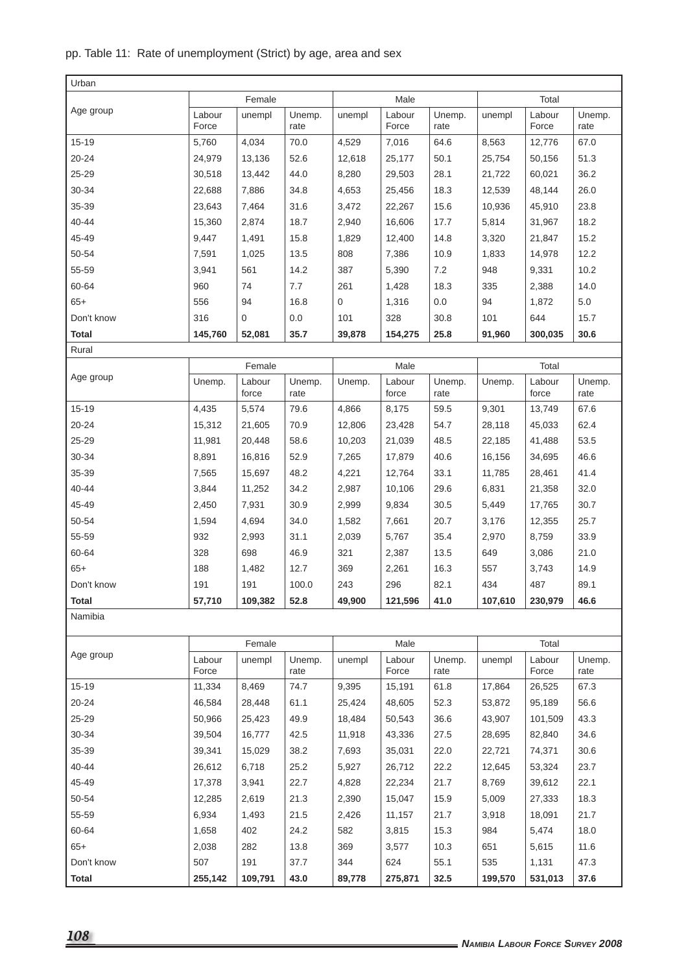### pp. Table 11: Rate of unemployment (Strict) by age, area and sex

| Urban        |                 |                                 |                |                   |                 |                |                    |                 |                |
|--------------|-----------------|---------------------------------|----------------|-------------------|-----------------|----------------|--------------------|-----------------|----------------|
|              |                 | Female                          |                |                   | Male            |                |                    | Total           |                |
| Age group    | Labour<br>Force | unempl                          | Unemp.<br>rate | unempl            | Labour<br>Force | Unemp.<br>rate | unempl             | Labour<br>Force | Unemp.<br>rate |
| $15 - 19$    | 5,760           | 4,034                           | 70.0           | 4,529             | 7,016           | 64.6           | 8,563              | 12,776          | 67.0           |
| $20 - 24$    | 24,979          | 13,136                          | 52.6           | 12,618            | 25,177          | 50.1           | 25,754             | 50,156          | 51.3           |
| 25-29        | 30,518          | 13,442                          | 44.0           | 8,280             | 29,503          | 28.1           | 21,722             | 60,021          | 36.2           |
| 30-34        | 22,688          | 7,886                           | 34.8           | 4,653             | 25,456          | 18.3           | 12,539             | 48.144          | 26.0           |
| 35-39        | 23,643          | 7,464                           | 31.6           | 3,472             | 22,267          | 15.6           | 10,936             | 45,910          | 23.8           |
| 40-44        | 15,360          | 2,874                           | 18.7           | 2,940             | 16,606          | 17.7           | 5,814              | 31,967          | 18.2           |
| 45-49        | 9,447           | 1,491                           | 15.8           | 1,829             | 12,400          | 14.8           | 3,320              | 21,847          | 15.2           |
| 50-54        | 7,591           | 1,025                           | 13.5           | 808               | 7,386           | 10.9           | 1,833              | 14,978          | 12.2           |
| 55-59        | 3,941           | 561                             | 14.2           | 387               | 5,390           | 7.2            | 948                | 9,331           | 10.2           |
| 60-64        | 960             | 74                              | 7.7            | 261               | 1,428           | 18.3           | 335                | 2,388           | 14.0           |
| $65+$        | 556             | 94                              | 16.8           | 0                 | 1,316           | 0.0            | 94                 | 1.872           | 5.0            |
| Don't know   | 316             | 0                               | 0.0            | 101               | 328             | 30.8           | 101                | 644             | 15.7           |
| Total        | 145,760         | 52,081                          | 35.7           | 39,878            | 154,275         | 25.8           | 91,960             | 300,035         | 30.6           |
| Rural        |                 |                                 |                |                   |                 |                |                    |                 |                |
|              |                 | Female                          |                |                   | Male            |                |                    | Total           |                |
| Age group    | Unemp.          | Labour<br>force                 | Unemp.<br>rate | Unemp.            | Labour<br>force | Unemp.<br>rate | Unemp.             | Labour<br>force | Unemp.<br>rate |
| $15 - 19$    | 4,435           | 5,574                           | 79.6           | 4,866             | 8,175           | 59.5           | 9,301              | 13,749          | 67.6           |
| 20-24        | 15,312          | 21,605                          | 70.9           | 12,806            | 23,428          | 54.7           | 28,118             | 45,033          | 62.4           |
| 25-29        | 11,981          | 20,448                          | 58.6           | 10,203            | 21,039          | 48.5           | 22,185             | 41,488          | 53.5           |
| 30-34        | 8,891           | 16,816                          | 52.9           | 7,265             | 17,879          | 40.6           | 16,156             | 34,695          | 46.6           |
| 35-39        | 7,565           | 15,697                          | 48.2           | 4,221             | 12,764          | 33.1           | 11,785             | 28,461          | 41.4           |
| 40-44        | 3,844           | 11,252                          | 34.2           | 2,987             | 10,106          | 29.6           | 6,831              | 21,358          | 32.0           |
| 45-49        | 2,450           | 7,931                           | 30.9           | 2,999             | 9,834           | 30.5           | 5,449              | 17,765          | 30.7           |
| 50-54        | 1,594           | 4,694                           | 34.0           | 1,582             | 7,661           | 20.7           | 3,176              | 12,355          | 25.7           |
| 55-59        | 932             | 2,993                           | 31.1           | 2,039             | 5,767           | 35.4           | 2,970              | 8,759           | 33.9           |
| 60-64        | 328             | 698                             | 46.9           | 321               | 2,387           | 13.5           | 649                | 3,086           | 21.0           |
| $65+$        | 188             | 1,482                           | 12.7           | 369               | 2,261           | 16.3           | 557                | 3,743           | 14.9           |
| Don't know   | 191             | 191<br>100.0<br>109,382<br>52.8 |                | 243               | 296             | 82.1           | 434                | 487             | 89.1           |
| <b>Total</b> | 57,710          |                                 |                | 49,900<br>121,596 |                 | 41.0           | 107,610<br>230,979 |                 | 46.6           |
| Namibia      |                 |                                 |                |                   |                 |                |                    |                 |                |
|              |                 | Female                          |                |                   | Male            |                |                    | Total           |                |
| Age group    | Labour<br>Force | unempl                          | Unemp.<br>rate | unempl            | Labour<br>Force | Unemp.<br>rate | unempl             | Labour<br>Force | Unemp.<br>rate |
| $15 - 19$    | 11,334          | 8,469                           | 74.7           | 9,395             | 15,191          | 61.8           | 17,864             | 26,525          | 67.3           |
| 20-24        | 46,584          | 28,448                          | 61.1           | 25,424            | 48,605          | 52.3           | 53,872             | 95,189          | 56.6           |
| 25-29        | 50,966          | 25,423                          | 49.9           | 18,484            | 50,543          | 36.6           | 43,907             | 101,509         | 43.3           |
| 30-34        | 39,504          | 16,777                          | 42.5           | 11,918            | 43,336          | 27.5           | 28,695             | 82,840          | 34.6           |
| 35-39        | 39,341          | 15,029                          | 38.2           | 7,693             | 35,031          | 22.0           | 22,721             | 74,371          | 30.6           |
| 40-44        | 26,612          | 6,718                           | 25.2           | 5,927             | 26,712          | 22.2           | 12,645             | 53,324          | 23.7           |
| 45-49        | 17,378          | 3,941                           | 22.7           | 4,828             | 22,234          | 21.7           | 8,769              | 39,612          | 22.1           |
| 50-54        | 12,285          | 2,619                           | 21.3           | 2,390             | 15,047          | 15.9           | 5,009              | 27,333          | 18.3           |
| 55-59        | 6,934           | 1,493                           | 21.5           | 2,426             | 11,157          | 21.7           | 3,918              | 18,091          | 21.7           |
| 60-64        | 1,658           | 402                             | 24.2           | 582               | 3,815           | 15.3           | 984                | 5,474           | 18.0           |
| $65+$        | 2,038           | 282                             | 13.8           | 369               | 3,577           | 10.3           | 651                | 5,615           | 11.6           |
| Don't know   | 507             | 191                             | 37.7           | 344               | 624             | 55.1           | 535                | 1,131           | 47.3           |
| <b>Total</b> | 255,142         | 109,791                         | 43.0           | 89,778            | 275,871         | 32.5           | 199,570            | 531,013         | 37.6           |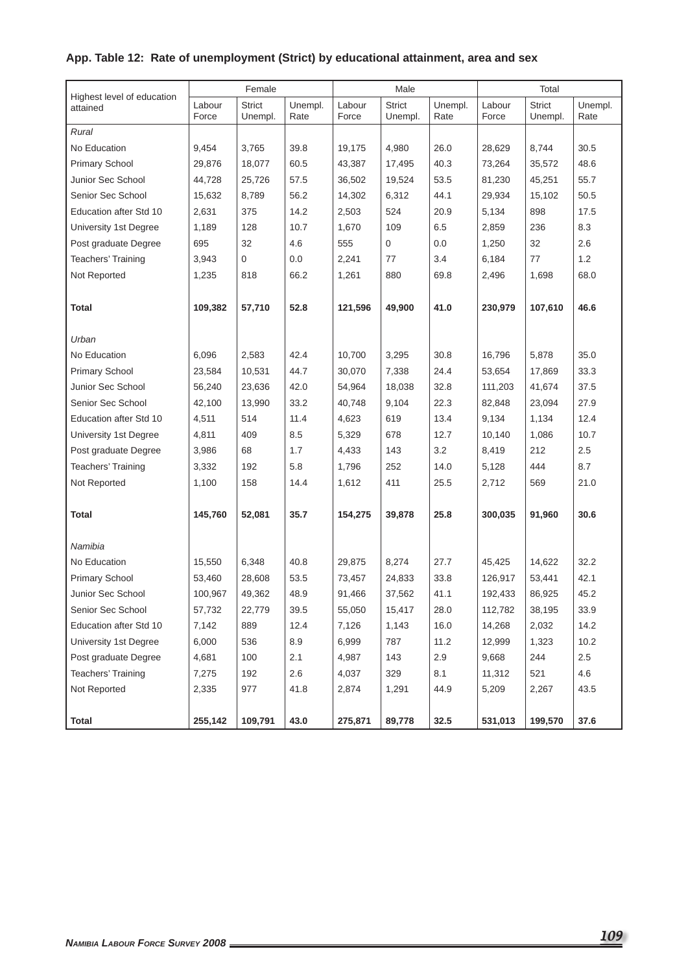### **App. Table 12: Rate of unemployment (Strict) by educational attainment, area and sex**

|                                        |                 | Female                   |                 |                 | Male                     |                 |                 | Total             |                 |
|----------------------------------------|-----------------|--------------------------|-----------------|-----------------|--------------------------|-----------------|-----------------|-------------------|-----------------|
| Highest level of education<br>attained | Labour<br>Force | <b>Strict</b><br>Unempl. | Unempl.<br>Rate | Labour<br>Force | <b>Strict</b><br>Unempl. | Unempl.<br>Rate | Labour<br>Force | Strict<br>Unempl. | Unempl.<br>Rate |
| Rural                                  |                 |                          |                 |                 |                          |                 |                 |                   |                 |
| No Education                           | 9,454           | 3,765                    | 39.8            | 19,175          | 4,980                    | 26.0            | 28,629          | 8,744             | 30.5            |
| <b>Primary School</b>                  | 29,876          | 18,077                   | 60.5            | 43,387          | 17,495                   | 40.3            | 73,264          | 35,572            | 48.6            |
| Junior Sec School                      | 44,728          | 25,726                   | 57.5            | 36,502          | 19,524                   | 53.5            | 81,230          | 45,251            | 55.7            |
| Senior Sec School                      | 15,632          | 8,789                    | 56.2            | 14,302          | 6,312                    | 44.1            | 29,934          | 15,102            | 50.5            |
| <b>Education after Std 10</b>          | 2,631           | 375                      | 14.2            | 2,503           | 524                      | 20.9            | 5,134           | 898               | 17.5            |
| University 1st Degree                  | 1,189           | 128                      | 10.7            | 1,670           | 109                      | 6.5             | 2,859           | 236               | 8.3             |
| Post graduate Degree                   | 695             | 32                       | 4.6             | 555             | 0                        | 0.0             | 1,250           | 32                | 2.6             |
| Teachers' Training                     | 3,943           | 0                        | 0.0             | 2,241           | 77                       | 3.4             | 6,184           | 77                | 1.2             |
| Not Reported                           | 1,235           | 818                      | 66.2            | 1,261           | 880                      | 69.8            | 2,496           | 1,698             | 68.0            |
|                                        |                 |                          |                 |                 |                          |                 |                 |                   |                 |
| <b>Total</b>                           | 109,382         | 57,710                   | 52.8            | 121,596         | 49,900                   | 41.0            | 230,979         | 107,610           | 46.6            |
|                                        |                 |                          |                 |                 |                          |                 |                 |                   |                 |
| Urban                                  |                 |                          |                 |                 |                          |                 |                 |                   |                 |
| No Education                           | 6,096           | 2,583                    | 42.4            | 10,700          | 3,295                    | 30.8            | 16,796          | 5,878             | 35.0            |
| <b>Primary School</b>                  | 23,584          | 10,531                   | 44.7            | 30,070          | 7,338                    | 24.4            | 53,654          | 17,869            | 33.3            |
| Junior Sec School                      | 56,240          | 23,636                   | 42.0            | 54,964          | 18,038                   | 32.8            | 111,203         | 41,674            | 37.5            |
| Senior Sec School                      | 42,100          | 13,990                   | 33.2            | 40,748          | 9,104                    | 22.3            | 82,848          | 23,094            | 27.9            |
| Education after Std 10                 | 4,511           | 514                      | 11.4            | 4,623           | 619                      | 13.4            | 9,134           | 1,134             | 12.4            |
| University 1st Degree                  | 4,811           | 409                      | 8.5             | 5,329           | 678                      | 12.7            | 10,140          | 1,086             | 10.7            |
| Post graduate Degree                   | 3,986           | 68                       | 1.7             | 4,433           | 143                      | 3.2             | 8,419           | 212               | 2.5             |
| Teachers' Training                     | 3,332           | 192                      | 5.8             | 1,796           | 252                      | 14.0            | 5,128           | 444               | 8.7             |
| Not Reported                           | 1,100           | 158                      | 14.4            | 1,612           | 411                      | 25.5            | 2,712           | 569               | 21.0            |
|                                        |                 |                          |                 |                 |                          |                 |                 |                   |                 |
| Total                                  | 145,760         | 52,081                   | 35.7            | 154,275         | 39,878                   | 25.8            | 300,035         | 91,960            | 30.6            |
|                                        |                 |                          |                 |                 |                          |                 |                 |                   |                 |
| Namibia                                |                 |                          |                 |                 |                          |                 |                 |                   |                 |
| No Education                           | 15,550          | 6,348                    | 40.8            | 29,875          | 8,274                    | 27.7            | 45.425          | 14,622            | 32.2            |
| <b>Primary School</b>                  | 53,460          | 28,608                   | 53.5            | 73,457          | 24,833                   | 33.8            | 126,917         | 53,441            | 42.1            |
| Junior Sec School                      | 100,967         | 49,362                   | 48.9            | 91,466          | 37,562                   | 41.1            | 192,433         | 86,925            | 45.2            |
| Senior Sec School                      | 57,732          | 22,779                   | 39.5            | 55,050          | 15,417                   | 28.0            | 112,782         | 38,195            | 33.9            |
| Education after Std 10                 | 7,142           | 889                      | 12.4            | 7,126           | 1,143                    | 16.0            | 14,268          | 2,032             | 14.2            |
| University 1st Degree                  | 6,000           | 536                      | 8.9             | 6,999           | 787                      | 11.2            | 12,999          | 1,323             | 10.2            |
| Post graduate Degree                   | 4,681           | 100                      | 2.1             | 4,987           | 143                      | 2.9             | 9,668           | 244               | 2.5             |
| Teachers' Training                     | 7,275           | 192                      | 2.6             | 4,037           | 329                      | 8.1             | 11,312          | 521               | 4.6             |
| Not Reported                           | 2,335           | 977                      | 41.8            | 2,874           | 1,291                    | 44.9            | 5,209           | 2,267             | 43.5            |
|                                        |                 |                          |                 |                 |                          |                 |                 |                   |                 |
| <b>Total</b>                           | 255,142         | 109,791                  | 43.0            | 275,871         | 89,778                   | 32.5            | 531,013         | 199,570           | 37.6            |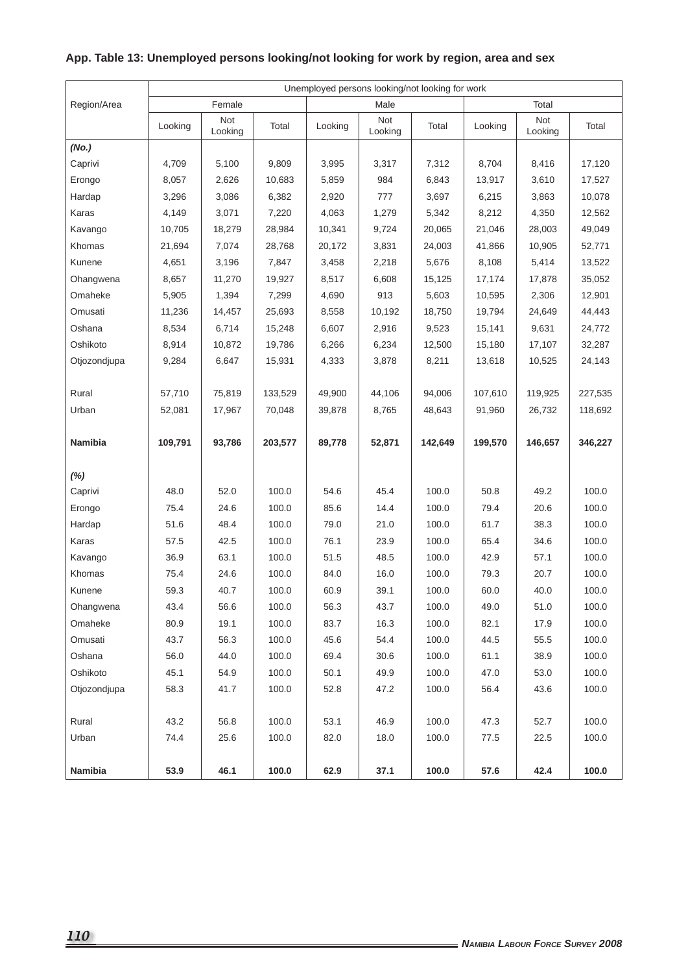|              |         |                |         |         | Unemployed persons looking/not looking for work |         |         |                |         |
|--------------|---------|----------------|---------|---------|-------------------------------------------------|---------|---------|----------------|---------|
| Region/Area  |         | Female         |         |         | Male                                            |         |         | Total          |         |
|              | Looking | Not<br>Looking | Total   | Looking | Not<br>Looking                                  | Total   | Looking | Not<br>Looking | Total   |
| (No.)        |         |                |         |         |                                                 |         |         |                |         |
| Caprivi      | 4,709   | 5,100          | 9,809   | 3,995   | 3,317                                           | 7,312   | 8,704   | 8,416          | 17,120  |
| Erongo       | 8,057   | 2,626          | 10,683  | 5,859   | 984                                             | 6,843   | 13,917  | 3,610          | 17,527  |
| Hardap       | 3,296   | 3,086          | 6,382   | 2,920   | 777                                             | 3,697   | 6,215   | 3,863          | 10,078  |
| Karas        | 4,149   | 3,071          | 7,220   | 4,063   | 1,279                                           | 5,342   | 8,212   | 4,350          | 12,562  |
| Kavango      | 10,705  | 18,279         | 28,984  | 10,341  | 9,724                                           | 20,065  | 21,046  | 28,003         | 49,049  |
| Khomas       | 21,694  | 7,074          | 28,768  | 20,172  | 3,831                                           | 24,003  | 41,866  | 10,905         | 52,771  |
| Kunene       | 4,651   | 3,196          | 7,847   | 3,458   | 2,218                                           | 5,676   | 8,108   | 5,414          | 13,522  |
| Ohangwena    | 8,657   | 11,270         | 19,927  | 8,517   | 6,608                                           | 15,125  | 17,174  | 17,878         | 35,052  |
| Omaheke      | 5,905   | 1,394          | 7,299   | 4,690   | 913                                             | 5,603   | 10,595  | 2,306          | 12,901  |
| Omusati      | 11,236  | 14,457         | 25,693  | 8,558   | 10,192                                          | 18,750  | 19,794  | 24,649         | 44,443  |
| Oshana       | 8,534   | 6,714          | 15,248  | 6,607   | 2,916                                           | 9,523   | 15,141  | 9,631          | 24,772  |
| Oshikoto     | 8,914   | 10,872         | 19,786  | 6,266   | 6,234                                           | 12,500  | 15,180  | 17,107         | 32,287  |
| Otjozondjupa | 9,284   | 6,647          | 15,931  | 4,333   | 3,878                                           | 8,211   | 13,618  | 10,525         | 24,143  |
|              |         |                |         |         |                                                 |         |         |                |         |
| Rural        | 57,710  | 75,819         | 133,529 | 49,900  | 44,106                                          | 94,006  | 107,610 | 119,925        | 227,535 |
| Urban        | 52,081  | 17,967         | 70,048  | 39,878  | 8,765                                           | 48,643  | 91,960  | 26,732         | 118,692 |
| Namibia      | 109,791 | 93,786         | 203,577 | 89,778  | 52,871                                          | 142,649 | 199,570 | 146,657        | 346,227 |
| $(\%)$       |         |                |         |         |                                                 |         |         |                |         |
| Caprivi      | 48.0    | 52.0           | 100.0   | 54.6    | 45.4                                            | 100.0   | 50.8    | 49.2           | 100.0   |
| Erongo       | 75.4    | 24.6           | 100.0   | 85.6    | 14.4                                            | 100.0   | 79.4    | 20.6           | 100.0   |
| Hardap       | 51.6    | 48.4           | 100.0   | 79.0    | 21.0                                            | 100.0   | 61.7    | 38.3           | 100.0   |
| Karas        | 57.5    | 42.5           | 100.0   | 76.1    | 23.9                                            | 100.0   | 65.4    | 34.6           | 100.0   |
| Kavango      | 36.9    | 63.1           | 100.0   | 51.5    | 48.5                                            | 100.0   | 42.9    | 57.1           | 100.0   |
| Khomas       | 75.4    | 24.6           | 100.0   | 84.0    | 16.0                                            | 100.0   | 79.3    | 20.7           | 100.0   |
| Kunene       | 59.3    | 40.7           | 100.0   | 60.9    | 39.1                                            | 100.0   | 60.0    | 40.0           | 100.0   |
| Ohangwena    | 43.4    | 56.6           | 100.0   | 56.3    | 43.7                                            | 100.0   | 49.0    | 51.0           | 100.0   |
| Omaheke      | 80.9    | 19.1           | 100.0   | 83.7    | 16.3                                            | 100.0   | 82.1    | 17.9           | 100.0   |
| Omusati      | 43.7    | 56.3           | 100.0   | 45.6    | 54.4                                            | 100.0   | 44.5    | 55.5           | 100.0   |
| Oshana       | 56.0    | 44.0           | 100.0   | 69.4    | 30.6                                            | 100.0   | 61.1    | 38.9           | 100.0   |
| Oshikoto     | 45.1    | 54.9           | 100.0   | 50.1    | 49.9                                            | 100.0   | 47.0    | 53.0           | 100.0   |
| Otjozondjupa | 58.3    | 41.7           | 100.0   | 52.8    | 47.2                                            | 100.0   | 56.4    | 43.6           | 100.0   |
|              |         |                |         |         |                                                 |         |         |                |         |
| Rural        | 43.2    | 56.8           | 100.0   | 53.1    | 46.9                                            | 100.0   | 47.3    | 52.7           | 100.0   |
| Urban        | 74.4    | 25.6           | 100.0   | 82.0    | 18.0                                            | 100.0   | 77.5    | 22.5           | 100.0   |
| Namibia      | 53.9    | 46.1           | 100.0   | 62.9    | 37.1                                            | 100.0   | 57.6    | 42.4           | 100.0   |

### **App. Table 13: Unemployed persons looking/not looking for work by region, area and sex**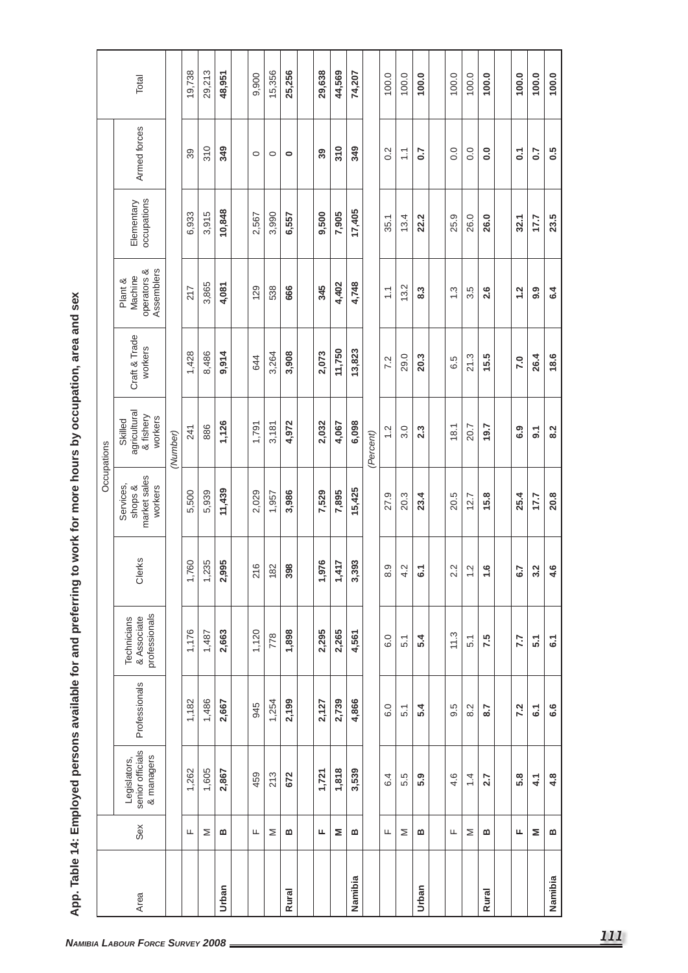|              |     |                                                |                  |                                             |                         | Occupations                                     |                                                 |                          |                                                 |                           |                  |        |
|--------------|-----|------------------------------------------------|------------------|---------------------------------------------|-------------------------|-------------------------------------------------|-------------------------------------------------|--------------------------|-------------------------------------------------|---------------------------|------------------|--------|
| Area         | Sex | Legislators,<br>senior officials<br>& managers | Professionals    | professionals<br>Technicians<br>& Associate | ଌ<br><b>J</b> er        | market sales<br>Services,<br>shops &<br>workers | agricultural<br>& fishery<br>workers<br>Skilled | Craft & Trade<br>workers | operators &<br>Assemblers<br>Machine<br>Plant & | Elementary<br>occupations | Armed forces     | Total  |
|              |     |                                                |                  |                                             |                         |                                                 | (Number)                                        |                          |                                                 |                           |                  |        |
|              | щ   | 1,262                                          | 1,182            | 1,176                                       | 1,760                   | 5,500                                           | 241                                             | 1,428                    | 217                                             | 6,933                     | 39               | 19,738 |
|              | Σ   | 1,605                                          | 1,486            | 1,487                                       | 1,235                   | 5,939                                           | 886                                             | 8,486                    | 3,865                                           | 3,915                     | 310              | 29,213 |
| Urban        | m   | 2,867                                          | 2,667            | 2,663                                       | 2,995                   | 11,439                                          | 1,126                                           | 9,914                    | 4,081                                           | 10,848                    | 349              | 48,951 |
|              |     |                                                |                  |                                             |                         |                                                 |                                                 |                          |                                                 |                           |                  |        |
|              | Щ   | 459                                            | 945              | 1,120                                       | 216                     | 2,029                                           | 1,791                                           | 644                      | 129                                             | 2,567                     | $\circ$          | 9,900  |
|              | Σ   | 213                                            | 1,254            | 778                                         | 182                     | 1,957                                           | 3,181                                           | 3,264                    | 538                                             | 3,990                     | $\circ$          | 15,356 |
| <b>Rural</b> | m   | 672                                            | 2,199            | 1,898                                       | 398                     | 3,986                                           | 4,972                                           | 3,908                    | 666                                             | 6,557                     | $\bullet$        | 25,256 |
|              |     |                                                |                  |                                             |                         |                                                 |                                                 |                          |                                                 |                           |                  |        |
|              | щ   | 1,721                                          | 2,127            | 2,295                                       | ٯ<br>1,97               | 7,529                                           | 2,032                                           | 2,073                    | 345                                             | 9,500                     | 39               | 29,638 |
|              | Σ   | 1,818                                          | 2,739            | 2,265                                       | $\geq$<br>$\frac{4}{1}$ | 7,895                                           | 4,067                                           | 11,750                   | 4,402                                           | 7,905                     | 310              | 44,569 |
| Namibia      | m   | 3,539                                          | 4,866            | 4,561                                       | 3,393                   | 15,425                                          | 6,098                                           | 13,823                   | 4,748                                           | 17,405                    | 349              | 74,207 |
|              |     |                                                |                  |                                             |                         |                                                 | (Percent)                                       |                          |                                                 |                           |                  |        |
|              | Щ   | 6.4                                            | 6.0              | 6.0                                         | $\frac{8}{3}$           | 27.9                                            | 1.2                                             | 7.2                      | $\overline{1}$                                  | 35.1                      | 0.2              | 100.0  |
|              | Σ   | 5.5                                            | 5.1              | 5.1                                         | 4.2                     | 20.3                                            | 3.0                                             | 29.0                     | $\sim$<br>$\frac{3}{2}$                         | 13.4                      | $\sum$           | 100.0  |
| Urban        | ≃   | 5.9                                            | 5.4              | 5.4                                         | $\overline{6}$          | 23.4                                            | 2.3                                             | 20.3                     | 8.3                                             | 22.2                      | $\overline{0.7}$ | 100.0  |
|              |     |                                                |                  |                                             |                         |                                                 |                                                 |                          |                                                 |                           |                  |        |
|              | Щ   | 4.6                                            | 9.5              | 11.3                                        | 2.2                     | 20.5                                            | 18.1                                            | 6.5                      | $\frac{3}{2}$                                   | 25.9                      | $\rm ^{0}$       | 100.0  |
|              | Σ   | 1.4                                            | Ņ<br>∞           | 5.1                                         | $\frac{2}{1}$           | 12.7                                            | 20.7                                            | 21.3                     | $3.\overline{5}$                                | 26.0                      | 0.0              | 100.0  |
| <b>Rural</b> | m   | 2.7                                            | 8.7              | 7.5                                         | $\frac{6}{1}$           | 15.8                                            | 19.7                                            | 15.5                     | 2.6                                             | 26.0                      | 0.0              | 100.0  |
|              |     |                                                |                  |                                             |                         |                                                 |                                                 |                          |                                                 |                           |                  |        |
|              | щ   | 5.8                                            | 7.2              | 7.7                                         | $5\overline{2}$         | 25.4                                            | 6.9                                             | 7.0                      | 1.2                                             | 32.1                      | $\overline{c}$   | 100.0  |
|              | Σ   | 4.1                                            | $\overline{6}$ . | $\overline{5}$ .                            | 3.2                     | 17.7                                            | $\overline{9}$ .                                | 26.4                     | 9.9                                             | 7.7                       | 0.7              | 100.0  |
| Namibia      | m   | 4.8                                            | 6.6              | $\overline{6}$                              | 4.6                     | 20.8                                            | 8.2                                             | 18.6                     | 6.4                                             | 23.5                      | 0.5              | 100.0  |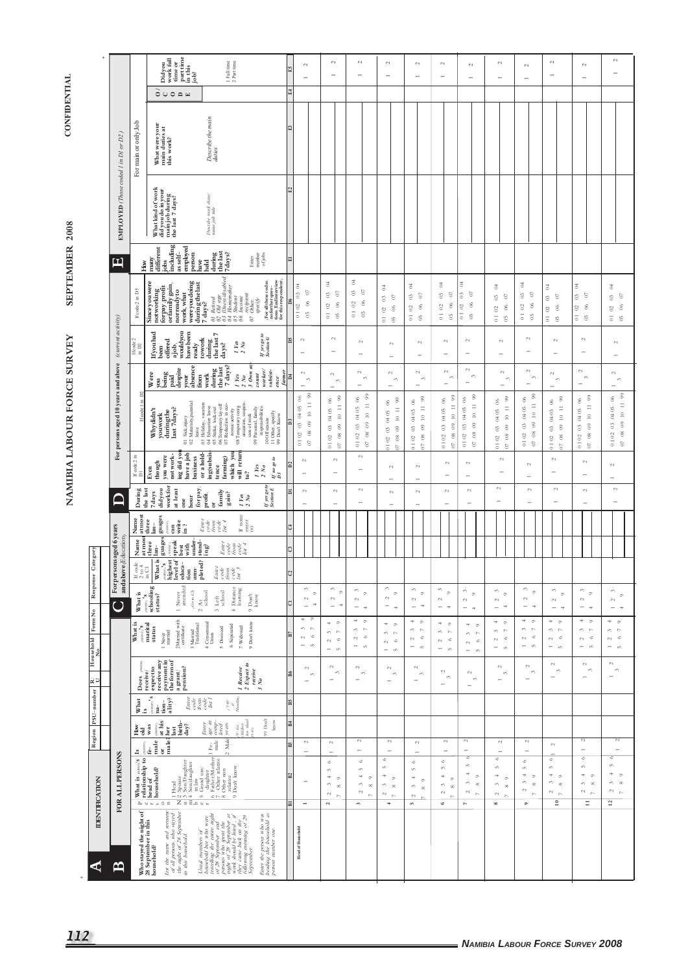# SEPTEMBER 2008 NAMIBIA LABOUR FORCE SURVEY

**CONFIDENTIAL** 

|                                                                                                       |                                      |                                                                                                                     | $\begin{array}{l} \text{time or} \\ \text{part time} \\ \text{in this} \\ \text{job?} \end{array}$<br>Didyou<br>work full                                                                                                                                                                      | 1 Full time<br>$2$ Part time $\,$                                                                                                                                                                                                                                                                                                                                                                  | £5                                 | $\sim$<br>$\overline{\phantom{a}}$                                                                                                            | $\sim$<br>$\overline{\phantom{a}}$                                                                               | $\sim$<br>$\overline{\phantom{0}}$                                                                                       | $\sim$<br>$\rightarrow$                                                                                    | $\sim$<br>$\rightarrow$                                                                                        | 2<br>$\overline{\phantom{a}}$                                                                                           | $\sim$<br>$\overline{\phantom{a}}$                                                                                                                     | $\mathbb{C}^1$<br>$\overline{\phantom{a}}$                                                         | $\sim$<br>۰                                                                                                                                                        | $\sim$<br>$\overline{\phantom{0}}$                                                                                                                           | $\sim$<br>$\rightarrow$                                                                                                                   | $\sim$<br>$\overline{\phantom{a}}$                                                                            |
|-------------------------------------------------------------------------------------------------------|--------------------------------------|---------------------------------------------------------------------------------------------------------------------|------------------------------------------------------------------------------------------------------------------------------------------------------------------------------------------------------------------------------------------------------------------------------------------------|----------------------------------------------------------------------------------------------------------------------------------------------------------------------------------------------------------------------------------------------------------------------------------------------------------------------------------------------------------------------------------------------------|------------------------------------|-----------------------------------------------------------------------------------------------------------------------------------------------|------------------------------------------------------------------------------------------------------------------|--------------------------------------------------------------------------------------------------------------------------|------------------------------------------------------------------------------------------------------------|----------------------------------------------------------------------------------------------------------------|-------------------------------------------------------------------------------------------------------------------------|--------------------------------------------------------------------------------------------------------------------------------------------------------|----------------------------------------------------------------------------------------------------|--------------------------------------------------------------------------------------------------------------------------------------------------------------------|--------------------------------------------------------------------------------------------------------------------------------------------------------------|-------------------------------------------------------------------------------------------------------------------------------------------|---------------------------------------------------------------------------------------------------------------|
|                                                                                                       |                                      |                                                                                                                     | $\overline{O}$ $\overline{O}$ $\overline{O}$ $\overline{O}$ $\overline{O}$ $\overline{O}$ $\overline{O}$                                                                                                                                                                                       |                                                                                                                                                                                                                                                                                                                                                                                                    | E4                                 |                                                                                                                                               |                                                                                                                  |                                                                                                                          |                                                                                                            |                                                                                                                |                                                                                                                         |                                                                                                                                                        |                                                                                                    |                                                                                                                                                                    |                                                                                                                                                              |                                                                                                                                           |                                                                                                               |
|                                                                                                       |                                      | For main or only Job                                                                                                | What were your<br>main duties at<br>this work?                                                                                                                                                                                                                                                 | Describe the main<br>duties                                                                                                                                                                                                                                                                                                                                                                        | $\Xi$                              |                                                                                                                                               |                                                                                                                  |                                                                                                                          |                                                                                                            |                                                                                                                |                                                                                                                         |                                                                                                                                                        |                                                                                                    |                                                                                                                                                                    |                                                                                                                                                              |                                                                                                                                           |                                                                                                               |
|                                                                                                       | EMPLOYED (Those coded 1 in D1 or D2) |                                                                                                                     | What kind of work<br>didyou do inyour<br>mainjob during<br>the last 7 days?                                                                                                                                                                                                                    | Describe work done/<br>name job title                                                                                                                                                                                                                                                                                                                                                              |                                    |                                                                                                                                               |                                                                                                                  |                                                                                                                          |                                                                                                            |                                                                                                                |                                                                                                                         |                                                                                                                                                        |                                                                                                    |                                                                                                                                                                    |                                                                                                                                                              |                                                                                                                                           |                                                                                                               |
|                                                                                                       | 凹                                    | How                                                                                                                 | including<br>employed<br>nuny<br>different<br>asself-<br>person<br>have<br>jobs                                                                                                                                                                                                                | during<br>the last<br>7days?<br>Enter<br>number<br>of jobs<br>held                                                                                                                                                                                                                                                                                                                                 | $\Xi$                              |                                                                                                                                               |                                                                                                                  |                                                                                                                          |                                                                                                            |                                                                                                                |                                                                                                                         |                                                                                                                                                        |                                                                                                    |                                                                                                                                                                    |                                                                                                                                                              |                                                                                                                                           |                                                                                                               |
|                                                                                                       |                                      | If code 2 in D5                                                                                                     | Since you were<br>wereyoudoing<br>during the last<br>7 days?<br>notworking<br>forpay, profit<br>or family gain,<br>nor ready to<br>work, what                                                                                                                                                  | 01 Reiried<br>02 Old age<br>04 Old age<br>04 Honess/disabled<br>05 Student<br>06 Diver,<br>07 Other,<br>$\langle$ For all these codes, no firther questions $\langle$ Find interview for this respondent).                                                                                                                                                                                         | $\geq$                             | 03 04<br>$\rm ^{\circ}$<br>$\,$ 8<br>0102<br>$\mathfrak{S}$                                                                                   | $\sqrt{2}$<br>S<br>$\ensuremath{\mathbb{S}}$<br>$\delta$<br>$\mathbb{S}$<br>$\overline{\circ}$<br>$\mathfrak{S}$ | $\Xi$<br>$\boldsymbol{\mathfrak{D}}$<br>$\mathbb S$<br>8<br>$\mathbb{S}$<br>$\overline{\circ}$<br>$\mathfrak S$          | 3<br>$\boldsymbol{\mathfrak{S}}$<br>$\circ$<br>$\delta$<br>$\mathbb{S}$<br>$\overline{\circ}$<br>$\bar{c}$ | \$<br>$\circ$<br>$\circ$<br>$\mathbb{S}^0$<br>$\infty$<br>58                                                   | 3<br>S<br>$\mathbb S$<br>$\otimes$<br>$\mathfrak{S}$<br>$\overline{\circ}$<br>$\mathfrak{S}$                            | 3<br>$\overline{c}$<br>$\boldsymbol{\varepsilon}$<br>8<br>$_{\odot}$<br>$\overline{\circ}$<br>S                                                        | 3<br>$\circ$<br>$\circ$<br>$\infty$<br>$\otimes$<br>$\overline{0}$<br>$\overline{6}$               | $\beta$<br>S<br>$\mathbb S$<br>$\infty$<br>$\mathbb{S}$<br>$\overline{\phantom{0}}$<br>5                                                                           | $\overline{5}$<br>$\mathbb S$<br>$\circ$<br>$\delta$<br>$\mathbb S$<br>$\frac{5}{2}$                                                                         | $\overline{6}$<br>$\boldsymbol{\mathfrak{S}}$<br>$\ensuremath{\mathbb{S}}$<br>$\delta$<br>$\mathbb{S}^1$<br>$\overline{0}$ $\overline{0}$ | 3<br>S<br>S<br>$\otimes$<br>$\mathbb{S}^2$<br>$\overline{0}$ 8                                                |
|                                                                                                       | (current activity)                   | If code 2<br>in D2                                                                                                  | wouldyou<br>havebeen<br>Ifyouhad<br>offered<br>ready<br>ajob,<br>been                                                                                                                                                                                                                          | during<br>the last 7<br>$\begin{array}{c} If \, yes \, go \, to \\ Section \, G \end{array}$<br>towork<br>$\begin{array}{c} I \; Yes \\ 2 \; No \end{array}$<br>days?                                                                                                                                                                                                                              | <b>DS</b>                          | $\sim$<br>$\rightarrow$                                                                                                                       | $\mathcal{L}_{\mathcal{A}}$<br>$\overline{\phantom{a}}$                                                          | $\sim$<br>$\overline{ }$                                                                                                 | $\sim$<br>$\overline{a}$                                                                                   | $\sim$<br>$\overline{\phantom{a}}$                                                                             | $\mathbb{C}^1$<br>$\rightarrow$                                                                                         | $\mathord{\sim}$<br>$\overline{\phantom{a}}$                                                                                                           | $\mathord{\sim}$<br>$\overline{\phantom{0}}$                                                       | $\mathcal{L}_{\mathcal{A}}$                                                                                                                                        | $\sim$<br>$\overline{ }$                                                                                                                                     | $\mathord{\sim}$<br>$\leftarrow$                                                                                                          | $\mathbb{C}^2$<br>$\overline{a}$                                                                              |
|                                                                                                       |                                      |                                                                                                                     | absence<br>despite<br>being<br>Were<br>your<br>paid<br>g                                                                                                                                                                                                                                       | 7 days?<br>$\begin{array}{c}\nI \text{ } \text{Yes} \\ 2 \text{ } \text{No} \\ 3 \text{ } \text{Own} \text{ } ac\n\end{array}$<br>$\frac{ \text{during}}{\text{the last}}$<br>worker/<br>subs<br>from<br>work<br>count<br>ence                                                                                                                                                                     | farm er<br>$\overline{\mathbf{D}}$ | $\mathcal{L}_{\mathcal{A}}$<br>$\epsilon\gamma$<br>÷                                                                                          | $\sim$<br>$\epsilon\gamma$<br>$\overline{ }$                                                                     | $\mathbb{C}^1$<br>$\epsilon \gamma$<br>$\rightarrow$                                                                     | $\omega$<br>$\epsilon\gamma$<br>$\rightarrow$                                                              | $\sim$<br>$\epsilon\gamma$<br>$\overline{\phantom{a}}$                                                         | $\sim$<br>$\epsilon\gamma$<br>$\overline{\phantom{0}}$                                                                  | $\sim$<br>$\sim$<br>$\overline{ }$                                                                                                                     | $\sim$<br>$\epsilon\gamma$<br>$\overline{\phantom{a}}$                                             | $\sim$<br>$\epsilon\gamma$<br>$\overline{\phantom{0}}$                                                                                                             | $\sim$<br>$\epsilon \gamma$                                                                                                                                  | $\sim$<br>$\epsilon\gamma$<br>$\rightarrow$                                                                                               | $\mathcal{L}_{\mathcal{A}}$<br>$\mathfrak{S}$<br>$\overline{\phantom{0}}$                                     |
|                                                                                                       | For persons aged 10 years and above  | g<br>If code 1 in                                                                                                   | 01 Sick,injury<br>02 Maternity,parental<br>during the<br>last 7days?<br>Whydidn't<br>you work                                                                                                                                                                                                  | leave<br>03 Holiday, vacation<br>04 Education leave<br>05 Strike, lock-out<br>06 Temporary lay-off<br>07 Reduction in eco-<br>07 Reduction in eco-<br>anization, suspen-<br>08 Temporary reorg<br>sion of work<br>09 Personal, family<br>responsibilities<br>10 Off season<br>11 Other, specify<br>99 Don't Know<br>nomic activity                                                                 | D <sub>3</sub>                     | $99$<br>$\otimes$<br>$10\hphantom{.}11$<br>0405<br>$\circledS$<br>$\circ$<br>$_{08}$<br>$\otimes$<br>$\overline{\circ}$<br>$\overline{\circ}$ | $99$<br>$\boldsymbol{0}6$<br>09 10 11<br>0405<br>$\mathbb{S}^3$<br>$_{\rm g}$<br>0102<br>$\bar{c}$               | $10$ 11 99<br>$\otimes$<br>0405<br>$_{\tiny \odot}$<br>$\mathbb{S}^3$<br>$\ensuremath{\mathcal{S}}$<br>$\mathbb S$<br>5S | $10$ 11 99<br>$\otimes$<br>0405<br>$\circ$<br>$\mathbb S$<br>$\infty$<br>0102<br>$\triangleright$          | 60<br>8<br>$10\hbox{--}11$<br>0405<br>$^\circledR$<br>$\mathbb S$<br>$_{\rm 08}$<br>0102<br>$\overline{\circ}$ | 99<br>$\%$<br>$10\hphantom{.}11$<br>$04\;05$<br>$\frac{3}{2}$<br>$^\circledR$<br>$\rm ^{\rm 8}$<br>0102<br>$\heartsuit$ | $_{\rm 9}$<br>$\,$ 8<br>$10\quad 11$<br>0405<br>$\mathord{\mathfrak{S}}$<br>$\ensuremath{\mathbb{S}}$<br>$\overline{08}$<br>0102<br>$\overline{\rm o}$ | 09 10 11 99<br>03 04 05 06<br>$\ensuremath{\mathsf{g}}$<br>0102<br>$\circ$                         | $\mathcal{S}$<br>$\otimes$<br>$10\hphantom{.}11$<br>0405<br>$^{09}$<br>$\ensuremath{\mathbb{S}}$<br>$\degree$<br>$\mathbb{S}$<br>$\overline{\circ}$<br>$\mathbb S$ | $\boldsymbol{\mathcal{S}}$<br>$\otimes$<br>$10\hphantom{.}11$<br>0405<br>$^{\circ}$<br>$\circ$<br>$_{\rm 08}$<br>$\mathbb{S}^1$<br>$\overline{0}$<br>$\circ$ | 99<br>$\,$ 8<br>$10\!-\!11$<br>0405<br>$\mathbin{\mathbb S}$<br>$\mathbb{S}^3$<br>$\mathop{\mathsf{ss}}$<br>0102<br>$\odot$               | $_{99}$<br>$\otimes$<br>$09$ 10 11<br>03 04 05<br>$_{08}$<br>$\infty$<br>$\overline{0}$<br>$\overline{\circ}$ |
|                                                                                                       |                                      | If $code2$ in<br>D1                                                                                                 | have a job<br>ing did yo<br>not work-<br>you were<br>business<br>though<br>Even                                                                                                                                                                                                                | or a hold-<br>ing(subsis-<br>which you<br>will return<br>farming)<br>ø<br>$\log$ ou<br>tence<br>I Yes<br>2 N <sub>0</sub><br>to?<br>$\sum_{i=1}^{n}$                                                                                                                                                                                                                                               | ≊                                  | $\mathbb{C}^1$<br>$\rightarrow$                                                                                                               | $\sim$<br>$\rightarrow$                                                                                          | $\mathbb{C}^1$<br>$\overline{\phantom{a}}$                                                                               | $\sim$<br>$\overline{a}$                                                                                   | $\sim$<br>$\rightarrow$                                                                                        | $\sim$<br>$\rightarrow$                                                                                                 | $\sim$<br>$\overline{\phantom{a}}$                                                                                                                     | $^{c}$<br>$\rightarrow$                                                                            | $\mathbb{C}^1$<br>$\rightarrow$                                                                                                                                    | $\sim$<br>$\overline{ }$                                                                                                                                     | $\sim$<br>$\overline{a}$                                                                                                                  | $\sim$<br>$\overline{ }$                                                                                      |
|                                                                                                       | ●                                    | During<br>the last                                                                                                  | workfor<br>for pay,<br>didyou<br>at least<br>7 days<br>hour<br>one                                                                                                                                                                                                                             | $\begin{array}{c} If\, yes\, go\, to\\ Section\, E\end{array}$<br>family<br>gain?<br>profit,<br>$\frac{I}{2} \frac{Yes}{No}$<br>ă                                                                                                                                                                                                                                                                  | $\overline{\mathbf{a}}$            | $\mathbb{C}^1$<br>÷                                                                                                                           | $\mathbb{C}^1$                                                                                                   | $\mathbb{C}^1$<br>$\overline{\phantom{a}}$                                                                               | $\sim$                                                                                                     | $\sim$<br>۰                                                                                                    | $\sim$                                                                                                                  | $\sim$<br>$\overline{\phantom{a}}$                                                                                                                     | $\mathbb{C}^1$<br>$\overline{\phantom{a}}$                                                         | $\sim$<br>$\overline{ }$                                                                                                                                           | $\sim$<br>$\overline{a}$                                                                                                                                     | $\sim$<br>$\rightarrow$                                                                                                                   | $\sim$<br>$\overline{\phantom{a}}$                                                                            |
|                                                                                                       |                                      | $\begin{array}{c} \textbf{Name} \\ \textbf{atmost} \\ \textbf{three} \\ \textbf{lan-} \end{array}$                  | $\begin{array}{c} \hbox{gaases} \\ \hbox{cm} \\ \hbox{cm} \end{array}$<br>write<br>.<br>.ធ<br>can                                                                                                                                                                                              | If none enter<br>$\begin{array}{l} \stackrel{\small E}{\small set} \\ \stackrel{\small E}{\small set} \\ \stackrel{\small E}{\small set} \\ \stackrel{\small E}{\small set} \\ \stackrel{\small E}{\small set} \\ \stackrel{\small E}{\small set} \\ \stackrel{\small E}{\small set} \end{array}$                                                                                                  | $\mathbb{C}^4$                     |                                                                                                                                               |                                                                                                                  |                                                                                                                          |                                                                                                            |                                                                                                                |                                                                                                                         |                                                                                                                                                        |                                                                                                    |                                                                                                                                                                    |                                                                                                                                                              |                                                                                                                                           |                                                                                                               |
|                                                                                                       | (Education)                          | atmos<br>Name                                                                                                       | guages<br>$_{\rm sp\,aik}^{\rm name}$<br>under-<br>stand-<br>three<br>best<br>with<br>$lan-$                                                                                                                                                                                                   | $\begin{array}{l} \vspace{2mm} \begin{array}{c} \text{Enter} \\ \text{code} \\ \text{from} \\ \text{from} \\ \text{to} \\ \text{in} \end{array} \end{array}$<br>$\mathop{\rm img}\nolimits$                                                                                                                                                                                                        | $\overline{c}$                     |                                                                                                                                               |                                                                                                                  |                                                                                                                          |                                                                                                            |                                                                                                                |                                                                                                                         |                                                                                                                                                        |                                                                                                    |                                                                                                                                                                    |                                                                                                                                                              |                                                                                                                                           |                                                                                                               |
| Category<br>Response                                                                                  | For persons aged 6 years<br>andabove | $\begin{array}{l} \mathbb{H} \, \mathsf{code} \\ 2 \, \mathsf{to} \, 4 \\ \mathbb{H} \, \, \mathsf{CI} \end{array}$ | What is<br>$\begin{array}{c}\text{mass}^{\text{3}}\text{S}\\ \text{highest}\\\text{level of}\\ \text{data} \end{array}$<br>$\frac{1}{2}$                                                                                                                                                       | pleted?<br>$\begin{array}{l} \mbox{Enter} \\ \mbox{code} \\ \mbox{from} \\ \mbox{from} \\ \mbox{to} \\ \mbox{to} \\ \mbox{in} \\ \end{array}$                                                                                                                                                                                                                                                      | C2                                 |                                                                                                                                               |                                                                                                                  |                                                                                                                          |                                                                                                            |                                                                                                                |                                                                                                                         |                                                                                                                                                        |                                                                                                    |                                                                                                                                                                    |                                                                                                                                                              |                                                                                                                                           |                                                                                                               |
|                                                                                                       | $\overline{\mathsf{C}}$              | What is                                                                                                             | Never<br>attended<br>$\begin{bmatrix} \mathbf{S} & \mathbf{S} \\ \mathbf{S} & \mathbf{S} \\ \mathbf{S} & \mathbf{S} \end{bmatrix}$<br>$\langle \hat{G} \hat{\sigma} \rangle$ ( $\langle \hat{G} \hat{\sigma} \rangle$<br>status?<br>$\overline{\phantom{a}}$                                   | Distance<br>learning<br>$\frac{\mathrm{At}}{\mathrm{school}}$<br>Left school<br>$9\,$ Don't<br>know<br>$\hat{\mathcal{O}}$<br>$\sim$<br>$\Rightarrow$                                                                                                                                                                                                                                              | ರ                                  | $\epsilon \gamma$<br>$\circ$<br>$\mathbb{C}^1$<br>$\overline{\phantom{a}}$<br>$\overline{\phantom{a}}$                                        | 3<br>$\circ$<br>$\sim$<br>Ħ<br>$\overline{a}$                                                                    | S<br>$\circ$<br>$\sim$<br>$\rightarrow$<br>$\rightarrow$                                                                 | $\omega$<br>$\circ$<br>$\sim$<br>$\overline{\phantom{0}}$<br>$\rightarrow$                                 | S<br>$\circ$<br>$\sim$<br>$\Rightarrow$<br>$\rightarrow$                                                       | $\sim$ $\sim$<br>$_{\rm c1}$<br>$- +$                                                                                   | $\sim$<br>$\circ$<br>$\sim$<br>$\overline{ }$<br>$\rightarrow$                                                                                         | $\omega$<br>$\circ$<br>$\mathfrak{c}_4$<br>$\Rightarrow$<br>$\overline{\phantom{0}}$               | $\omega$<br>$\circ$<br>$\sim$<br>$\overline{\phantom{0}}$<br>$\Rightarrow$                                                                                         | $\epsilon \gamma$<br>$\circ$<br>$\sim$<br>$\overline{ }$<br>$\Rightarrow$                                                                                    | S<br>$\circ$<br>$\sim$<br>$\overline{a}$<br>$\Rightarrow$                                                                                 | s,<br>$\circ$<br>$\sim$<br>$\overline{\phantom{0}}$<br>$\Rightarrow$                                          |
| $\begin{array}{ l } \hline \textbf{Household} & \textbf{Form No} \\ \hline \textbf{No} & \end{array}$ |                                      | What is<br>$_{\rm{manc)}}'$ s $_{\rm{marrital}}$                                                                    | 2Married with<br>certificate<br>3 Married<br>Traditional<br>status<br>1 Never<br>married                                                                                                                                                                                                       | 9 Don't know<br>4 Consensual<br>Union<br>6 Seperated<br>7 Widowed<br>5 Divorced                                                                                                                                                                                                                                                                                                                    | B7                                 | $\circ$<br>4<br>$\omega$ $\sim$<br>$\circ$<br>$\sim$<br>$\overline{\phantom{0}}$<br>$\mathfrak{m}$                                            | $\circ$<br>$\overline{\phantom{a}}$<br>$\sim$ -<br>$\circ$<br>$\sim$<br>$\overline{\phantom{0}}$<br>$\sim$       | 4<br>$\circ$<br>$\sim$ $\sim$<br>$\circ$<br>$\sim$<br>$\overline{\phantom{a}}$<br>$\mathbb{R}^n$                         | $+ 0$<br>s.<br>$\sim$<br>$\circ$<br>$\sim$<br>$-10$                                                        | $+$ 0<br>$\epsilon \gamma - \Gamma \gamma$<br>$\circ$<br>$\sim$<br>$-10$                                       | $+$ 0<br>$\sigma$ - $\sigma$<br>$\circ$<br>$\mathbb{C}^1$<br>$-$ 10                                                     | $+$ 0<br>s,<br>$\triangleright$<br>$\circ$<br>$\mathfrak{c}_4$<br>$\overline{\phantom{a}}$<br>$\mathfrak{m}$                                           | 400<br>$\mathbb{R}^2$<br>s.<br>$\circ$<br>$\mathord{\sim}$<br>$\overline{a}$<br>in.                | +<br>$\circ$<br>$\omega$ $\sim$<br>$\circ$<br>$\sim$<br>$\overline{ }$<br>$\mathbf{m}$                                                                             | 4<br>$\circ$<br>s.<br>$\sim$<br>$\circ$<br>$_{\rm c1}$<br>$-10$                                                                                              | 4<br>$\circ$<br>$\epsilon \gamma$<br>$\circ$<br>$\mathord{\sim}$<br>$\overline{\phantom{a}}$<br>$\infty$                                  | 4<br>$\circ$<br>$\sim$<br>s.<br>$\circ$<br>$\mathbb{C}^1$<br>$\overline{\phantom{a}}$<br>$\omega$             |
| ∣≊ ⊃                                                                                                  |                                      | $q$ ane,<br>Does                                                                                                    | $\begin{array}{c} \textbf{receive any}\\ \textbf{payment in}\\ \textbf{the form of}\\ \end{array}$<br>a grant/<br>pension?<br>expect to<br>receive                                                                                                                                             | $\mathcal{O}$<br>$\begin{array}{c} I \,\, Receive \\ 2 \,\, Expect \,\, t \\ receive \\ 3 \,\, No \end{array}$                                                                                                                                                                                                                                                                                     | B6                                 | $\sim$<br>$\omega$<br>$\rightarrow$                                                                                                           | $\sim$<br>$\epsilon \gamma$<br>$\overline{\phantom{a}}$                                                          | $\sim$<br>$\epsilon \gamma$<br>$\rightarrow$                                                                             | $\omega$<br>$\epsilon \gamma$<br>$\overline{\phantom{a}}$                                                  | $\mathcal{L}_{1}$<br>$\epsilon \gamma$<br>$\rightarrow$                                                        | $\sim$<br>$\sim$<br>$\overline{a}$                                                                                      | $\sim$<br>$\epsilon\gamma$<br>$\rightarrow$                                                                                                            | $\mathord{\sim}$<br>$\epsilon\gamma$<br>$\overline{a}$                                             | $\sim$<br>$\epsilon \gamma$<br>$\overline{a}$                                                                                                                      | $\mathbb{C}^2$<br>$\epsilon\gamma$<br>$\overline{a}$                                                                                                         | $\mathcal{L}_{1}$<br>$\epsilon \gamma$<br>$\rightarrow$                                                                                   | $\sim$<br>$\epsilon \gamma$<br>$\overline{a}$                                                                 |
| PSU-number                                                                                            |                                      | What<br>S.,                                                                                                         | $\langle$ mame) $^{\rm I}$ S<br>ality?<br>$\begin{array}{l} \mbox{Enter} \\ \mbox{code} \\ \mbox{from} \\ \mbox{from} \\ \mbox{code} \\ \mbox{to} \\ \mbox{list} \end{array}$<br>$\dot{t}$ on-<br>$\rm{m}$                                                                                     | Nambia<br>$\frac{N}{n}$                                                                                                                                                                                                                                                                                                                                                                            | $\frac{1}{2}$                      |                                                                                                                                               |                                                                                                                  |                                                                                                                          |                                                                                                            |                                                                                                                |                                                                                                                         |                                                                                                                                                        |                                                                                                    |                                                                                                                                                                    |                                                                                                                                                              |                                                                                                                                           |                                                                                                               |
| Region                                                                                                |                                      | How<br>경                                                                                                            | $\frac{\text{name}}{\text{at his}}$<br>birth-<br>da y?<br>$_{\rm was}$<br>her<br>last<br>male?<br>$\begin{array}{c} \text{male} \\ \text{or} \end{array}$<br>$\hat{\mathbf{f}}$                                                                                                                | $99\,$ Don't<br>$\frac{\partial^{\tau}i\partial t}{\partial t \partial t}$<br>$\frac{d\sigma}{d\sigma}$<br>$\frac{d\sigma}{d\sigma}$<br>rear,<br>$\begin{array}{l} \hbox{\small\it Enter} \\ \hbox{\small\it age}\ \hbox{\small\it in} \\ \hbox{\small\it age}\ \hbox{\small\it in} \\ \hbox{\small\it comp-} \\ \hbox{\small\it detected} \end{array}$<br>know<br>2 Male years<br>$\rm{Fe-}$ male | 젋<br>B <sub>3</sub>                | $\sim$                                                                                                                                        | $\mathfrak{c}_4$                                                                                                 | $\sim$<br>$\rightarrow$                                                                                                  | $\mathbb{C}^1$                                                                                             | $\mathord{\sim}$                                                                                               | $\mathbb{C}^1$<br>$\overline{\phantom{a}}$                                                                              | $\sim$<br>$\overline{a}$                                                                                                                               | $\sim$                                                                                             | $\sim$<br>$\overline{ }$                                                                                                                                           | $\sim$                                                                                                                                                       | $\sim$<br>$\overline{a}$                                                                                                                  | $\sim$<br>$\overline{ }$                                                                                      |
|                                                                                                       | FOR ALL PERSONS                      | Ls<br>What is $\sum_{\text{real} \text{ of } \mathcal{S}}$                                                          | 12 Spouse<br>12 Spouse<br>3 SonDaughter<br>14 Son/daughter<br>$\begin{array}{ c c }\n\hline\n\text{in law} & \text{on/} \\ \hline\n\end{array}$<br>household?                                                                                                                                  | $\overline{\phantom{0}}$<br>$\begin{array}{ll}\n\text{dauge here} \\ \hline\n\sigma\n\end{array}\n\begin{array}{ll}\n\text{dauge} \\ \text{T} & \text{Other relative} \\ \sigma\n\end{array}\n\begin{array}{ll}\n\text{L} \\ \sigma\n\end{array}$<br>relative<br>9 Don't know                                                                                                                      | B2                                 | $\overline{a}$<br>$\overline{ }$                                                                                                              | $\rightarrow$<br>$\circ$<br>in.<br>4<br>$\circ$<br>s,<br>$\infty$<br>$\sim$<br>b.                                | $\circ$<br>$\infty$<br>$\Rightarrow$<br>$\circ$<br>$\omega$<br>$_{\infty}$<br>$\mathbb{C}^1$<br>$\sim$                   | $\rightarrow$<br>$\circ$<br>C)<br>4<br>$\circ$<br>s.<br>$\infty$<br>$\sim$<br>$\triangleright$             | $\overline{\phantom{0}}$<br>$\circ$<br>S.<br>¢<br>$\circ$<br>S.<br>$\infty$<br>$\sim$                          | $\circ$<br>in.<br>4<br>$\circ$<br>s.<br>$\infty$<br>$\sim$<br>b.                                                        | ত<br>iň.<br>$\Rightarrow$<br>$\circ$<br>$\epsilon\gamma$<br>$\infty$<br>$\sim$<br>$\sim$                                                               | $\overline{a}$<br>$\circ$<br>in.<br>$\Rightarrow$<br>$\circ$<br>s,<br>$\infty$<br>$^{1}$<br>$\sim$ | $\circ$<br>in.<br>4<br>$\circ$<br>$\sim$<br>$\infty$<br>$\sim$<br>$\sim$                                                                                           | $\circ$<br>in,<br>4<br>$\circ$<br>$\omega$<br>$\infty$<br>$\sim$<br>$\sim$                                                                                   | $\circ$<br>in.<br>4<br>$\circ$<br>$\infty$<br>S<br>$\sim$<br>$\mathbb{R}^2$                                                               | उ<br>$\mathsf{L}\cap$<br>4<br>$\circ$<br>$\infty$<br>$\epsilon\gamma$<br>$\mathbb{C}^1$<br>$\sim$             |
| DENTIFICATION<br>⋖                                                                                    |                                      |                                                                                                                     | $Z = E \circ \circ$<br>$\begin{array}{cccccccccccccc} \Box \Box & \Box & \Box & \Box & \Box \end{array}$<br>Who stayed the night of<br>28 September in this<br>household?<br>List the name and surname<br>of all persons who stayed<br>the night of 28 September<br>in this household.<br>List | Usual members of the state of the state of the state of the state of the state of the state of the state of the state of the state of the state of the state of the state of the state of the state of the state of the state<br>Enter the person who was<br>heading the household as<br>person number one.                                                                                        | 피                                  | $\overline{\phantom{a}}$<br>Head of Household                                                                                                 | $\sim$                                                                                                           | 3                                                                                                                        | $\Rightarrow$                                                                                              | m                                                                                                              | $\circ$                                                                                                                 | $\overline{ }$                                                                                                                                         | $\infty$                                                                                           | $\circ$                                                                                                                                                            | $\overline{10}$                                                                                                                                              | $\mathbb{I}$                                                                                                                              | 12                                                                                                            |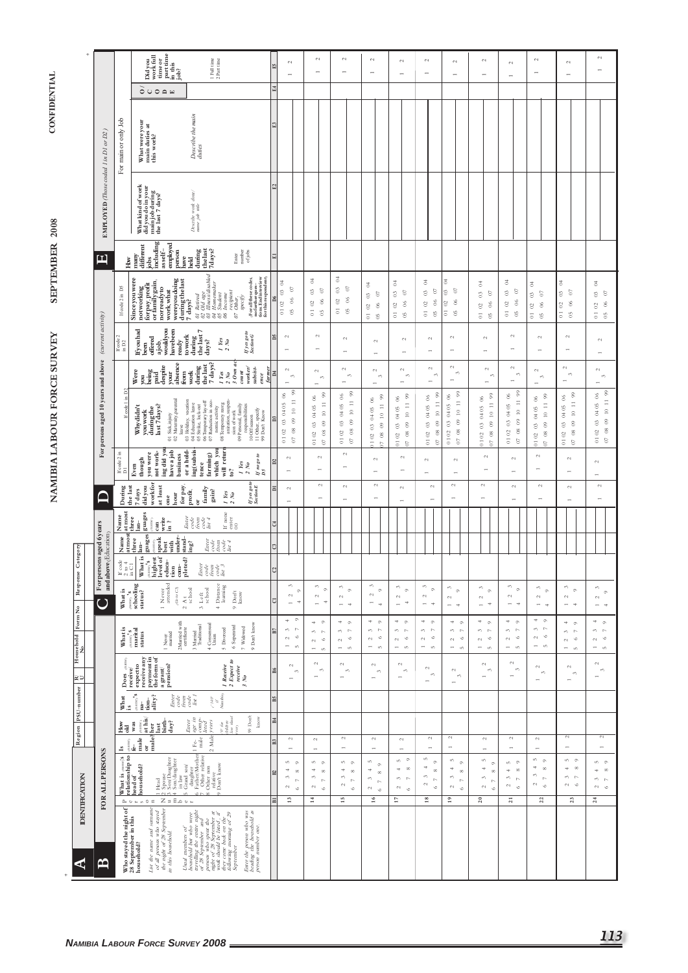|                       |                                                        |                                                                                          | part time<br>in this<br>job?<br>Didyou<br>work full<br>time or                                                                                                                                                                                                                                                                                                                                                                                                      | $1$ Full time $2$ Part time                                                                                                                                                                                                                                                                                                        | 囹               | $\sim$<br>$\rightarrow$                                                                                             | $\mathfrak{a}$<br>÷                                                                                                                                    | $\sim$                                                                                                          | $\sim$<br>-                                                                                       | $\sim$<br>$\overline{\phantom{a}}$                                                                                                              | $\sim$<br>$\overline{\phantom{0}}$                                                                                              | $\sim$<br>$\overline{\phantom{a}}$                                                                                                                    | $\sim$<br>$\overline{\phantom{a}}$                                                                                  | $\sim$<br>$\overline{a}$                                                                           | $\sim$<br>۰                                                                                            | $\sim$<br>$\rightarrow$                                                                                                                | $\sim$                                                                                                                  |
|-----------------------|--------------------------------------------------------|------------------------------------------------------------------------------------------|---------------------------------------------------------------------------------------------------------------------------------------------------------------------------------------------------------------------------------------------------------------------------------------------------------------------------------------------------------------------------------------------------------------------------------------------------------------------|------------------------------------------------------------------------------------------------------------------------------------------------------------------------------------------------------------------------------------------------------------------------------------------------------------------------------------|-----------------|---------------------------------------------------------------------------------------------------------------------|--------------------------------------------------------------------------------------------------------------------------------------------------------|-----------------------------------------------------------------------------------------------------------------|---------------------------------------------------------------------------------------------------|-------------------------------------------------------------------------------------------------------------------------------------------------|---------------------------------------------------------------------------------------------------------------------------------|-------------------------------------------------------------------------------------------------------------------------------------------------------|---------------------------------------------------------------------------------------------------------------------|----------------------------------------------------------------------------------------------------|--------------------------------------------------------------------------------------------------------|----------------------------------------------------------------------------------------------------------------------------------------|-------------------------------------------------------------------------------------------------------------------------|
|                       |                                                        |                                                                                          | OUOQH                                                                                                                                                                                                                                                                                                                                                                                                                                                               |                                                                                                                                                                                                                                                                                                                                    | 즤               |                                                                                                                     |                                                                                                                                                        |                                                                                                                 |                                                                                                   |                                                                                                                                                 |                                                                                                                                 |                                                                                                                                                       |                                                                                                                     |                                                                                                    |                                                                                                        |                                                                                                                                        |                                                                                                                         |
|                       |                                                        | For main or only Job                                                                     | What were your<br>main duties at<br>this work?                                                                                                                                                                                                                                                                                                                                                                                                                      | Describe the main<br>duties                                                                                                                                                                                                                                                                                                        | $\mathbb{E}$    |                                                                                                                     |                                                                                                                                                        |                                                                                                                 |                                                                                                   |                                                                                                                                                 |                                                                                                                                 |                                                                                                                                                       |                                                                                                                     |                                                                                                    |                                                                                                        |                                                                                                                                        |                                                                                                                         |
|                       | EMPLOYED (Those coded 1 in D1 or D2)                   |                                                                                          | What kind of work<br>didyoudoinyour<br>mainjobduring<br>the last 7 days?                                                                                                                                                                                                                                                                                                                                                                                            | Describe work done/<br>name job tide                                                                                                                                                                                                                                                                                               | E2              |                                                                                                                     |                                                                                                                                                        |                                                                                                                 |                                                                                                   |                                                                                                                                                 |                                                                                                                                 |                                                                                                                                                       |                                                                                                                     |                                                                                                    |                                                                                                        |                                                                                                                                        |                                                                                                                         |
|                       | 凹                                                      | How                                                                                      | including<br>empoyed<br>person<br>different<br>asself-<br>many<br>jobs                                                                                                                                                                                                                                                                                                                                                                                              | during<br>the last<br>7days?<br>Enter<br>mumber<br>of jobs<br>have<br>held                                                                                                                                                                                                                                                         | 듸               |                                                                                                                     |                                                                                                                                                        |                                                                                                                 |                                                                                                   |                                                                                                                                                 |                                                                                                                                 |                                                                                                                                                       |                                                                                                                     |                                                                                                    |                                                                                                        |                                                                                                                                        |                                                                                                                         |
|                       |                                                        | If code 2 in D5                                                                          | Since you were<br>during the last<br>7 days?<br>wereyou doing<br>not working<br>for pay, profit<br>or family gain,<br>norready to<br>work, what                                                                                                                                                                                                                                                                                                                     | 01 Retired<br>02 Old age<br>03 Illness/disabled<br>05 Studemaker<br>06 Income<br>$\langle$ For all these codes, no further questions. End in terview for this respondent (<br>Income<br>recipient<br>Other,<br>specify<br>$\mathcal{O}$                                                                                            | $\overline{D6}$ | 3<br>$\circ$<br>$\circ$<br>$\infty$<br>0102<br><sup>5</sup>                                                         | 3<br>S)<br>S<br>$_{06}$<br>$\mathbb S$<br>$\overline{\circ}$<br>$\mathfrak{S}$                                                                         | 3<br>$\boldsymbol{\mathcal{Q}}$<br>$\mathbb S$<br>$\delta$<br>$\mathbb S$<br>$\overline{\circ}$<br><sup>5</sup> | 3<br>$\delta$<br>$\mathbb{S}^3$<br>$\infty$<br>$\mathbb S$<br>$\overline{0}$<br>65                | 3<br>$\epsilon$<br>$\mathbb S$<br>8<br>$\mathbb S$<br>$\overline{\circ}$<br>$\mathfrak{S}$                                                      | 3<br>S<br>$\mathbb S$<br>66<br>$\mathbb{S}^2$<br>$\overline{\circ}$<br>$_{\rm 6}$                                               | 3<br>S<br>$\mathbb S$<br>$\infty$<br>$\circ$<br>$\overline{\circ}$<br>$\mathfrak S$                                                                   | 3<br>$\boldsymbol{\mathfrak{S}}$<br>$\mathbb S$<br>$\infty$<br>$\mathbb{S}^2$<br>$\overline{\circ}$<br><sup>5</sup> | 3<br>$\ensuremath{\mathbb{S}}$<br>S<br>$\delta$<br>$\mathbb S$<br>$\overline{0}$<br>$\mathfrak{S}$ | $\overline{5}$<br>$\boldsymbol{\mathcal{C}}$<br>3<br>$\delta$<br>2<br>$\overline{0}$<br>$\mathfrak{S}$ | 3<br>$\frac{3}{2}$<br>$\circ$<br>$\delta$<br>$\overline{c}$<br>$\overline{\circ}$<br>$\mathfrak{S}$                                    | 3<br>$\boldsymbol{\delta}$<br>$\circ$<br>$\infty$<br>$\boldsymbol{\mathcal{S}}$<br>$\overline{\circ}$<br>$\mathfrak{S}$ |
|                       |                                                        | If code 2<br>in D2                                                                       | ajob,<br>wouldyou<br>havebeen<br>Ifyouhad<br>offered<br>ready<br>been                                                                                                                                                                                                                                                                                                                                                                                               | $\frac{\text{dim}\mathbf{g}}{\text{the last }7}$<br>$\begin{array}{c} If\, yes\, go\, to\\ Section\, G\end{array}$<br>towork<br>I Yes<br>$\sim$<br>days?<br>$\sim$                                                                                                                                                                 | ă               | $\mathord{\sim}$<br>$\overline{\phantom{a}}$                                                                        | $\mathbb{C}^1$<br>÷                                                                                                                                    | $\mathord{\sim}$<br>$\overline{\phantom{0}}$                                                                    | $\sim$<br>$\rightarrow$                                                                           | $\sim$<br>$\overline{\phantom{a}}$                                                                                                              | $\sim$<br>$\overline{a}$                                                                                                        | $\sim$<br>$\overline{ }$                                                                                                                              | $\sim$<br>$\overline{ }$                                                                                            | $\sim$<br>$\overline{ }$                                                                           | $\sim$<br>$\overline{a}$                                                                               | $\sim$                                                                                                                                 | $\mathbb{C}^1$                                                                                                          |
|                       |                                                        |                                                                                          | absence<br>despite<br>Were<br>being<br>from<br>your<br>paid<br>ğ                                                                                                                                                                                                                                                                                                                                                                                                    | 7 days?<br>$\begin{array}{c}\nI \text{ } \text{Yes} \\ 2 \text{ } \text{No} \\ 3 \text{ } \text{Own} \text{ } ac\n\end{array}$<br>during<br>the last<br>worker/<br>subsist-<br>$_{count}$<br>work<br>ence                                                                                                                          | E               | $\sim$<br>$\epsilon\gamma$<br>$\overline{\phantom{a}}$                                                              | $\sim$<br>$\epsilon\gamma$                                                                                                                             | $\sim$<br>$\epsilon \gamma$<br>$\overline{\phantom{0}}$                                                         | $\mathord{\sim}$<br>$\epsilon \gamma$<br>$\overline{\phantom{a}}$                                 | $\mathfrak{c}_1$<br>$\mathfrak{m}$<br>$\overline{\phantom{a}}$                                                                                  | $\sim$<br>$\omega$<br>$\overline{ }$                                                                                            | $\sim$<br>$\epsilon\gamma$<br>$\overline{\phantom{a}}$                                                                                                | $\sim$<br>c.<br>$\overline{\phantom{a}}$                                                                            | $\sim$<br>$\mathfrak{S}$                                                                           | $\sim$<br>$\epsilon\gamma$<br>$\overline{a}$                                                           | $\mathord{\sim}$<br>$\epsilon\gamma$<br>$\overline{\phantom{a}}$                                                                       | $^{c}$<br>$\epsilon\gamma$<br>$\overline{\phantom{a}}$                                                                  |
|                       | For persons aged 10 years and above (current activity) | ε<br>£.<br>If code 1                                                                     | Maternity, parental<br>Whydidn't<br>last 7days?<br>during the<br>youwork<br>Sick,injury<br>eave<br>5 g                                                                                                                                                                                                                                                                                                                                                              | 03 Holiday, vacation<br>04 Education leave<br>05 Strike, lock-out<br>06 Temporarylay-off<br>07 Reduction in eco-<br>nomic activity<br>anization, suspen-<br>08 Temporary reorg<br>09 Personal, family<br>responsibilities<br>11 Other, specify<br>99 Don't Know<br>sion of work<br>$10$ Off season                                 | $\overline{a}$  | $_{99}$<br>8<br>$\equiv$<br>0405<br>$\approx$<br>$\circ$<br>$_{\odot}$<br>$_{\rm 08}$<br>0102<br>$\overline{\circ}$ | $\ensuremath{\mathcal{S}}\xspace$<br>$^{06}$<br>$10\hphantom{.}11$<br>0405<br>$^{09}$<br>$\mathbb{S}$<br>$\overline{08}$<br>0102<br>$\overline{\circ}$ | 10 11 99<br>$\delta$<br>04 05<br>$_{\odot}$<br>$\mathbb{S}^3$<br>$_{\rm g}$<br>0102<br>$\odot$                  | 09 10 11 99<br>$\otimes$<br>0405<br>$\mathcal{C}^0$<br>$_{\rm 08}$<br>0102<br>$\mathbb{R}$        | 99<br>$\delta$<br>$\equiv$<br>04 05<br>$\ensuremath{\mathop{\mathbb{C}}\nolimits}$<br>$^\circledR$<br>$\circ$<br>$_{\rm 8}$<br>0102<br>$\delta$ | $99$<br>$\delta$<br>$10\hphantom{.}11$<br>0405<br>$\otimes$<br>$\mathbb{S}^3$<br>$\mathop{\mathsf{g}}$<br>$0.1\,02$<br>$\delta$ | $\frac{8}{2}$<br>8<br>$\equiv$<br>0405<br>$\ensuremath{\mathop{\mathbb{E}}}$<br>$^\circledR$<br>$\circ$<br>$_{\rm \otimes}$<br>0102<br>$\mathfrak{S}$ | 99<br>$\degree$<br>$10\cdot 11$<br>0405<br>$^{09}$<br>010203<br>$_{\rm 08}$<br>$\mathbb S$                          | 99<br>8<br>$10\hskip 4pt 11$<br>0405<br>$\circ$<br>$\circ$<br>$_{08}$<br>0102<br>$\circ$           | 99<br>$\frac{6}{2}$<br>$10$ 11<br>0102030405<br>$\circ$<br>$\mathop{\mathsf{SS}}$<br>$\delta$          | $^{99}$<br>$\boldsymbol{0}$ 6<br>$10-11$<br>04 05<br>$\mathord{\otimes}$<br>$_{\odot}$<br>$\mathop{\mathsf{S}}$<br>0102<br>$\mathbb S$ | 10 11 99<br>8<br>0405<br>$\circledcirc$<br>$\circ$<br>$07\ \ 08$<br>0102                                                |
|                       |                                                        | If $code 2$ in<br>D1                                                                     | have a job<br>ing did yo<br>not work-<br>you were<br>business<br>though<br>Even                                                                                                                                                                                                                                                                                                                                                                                     | or a hold-<br>ing(subsis-<br>tence<br>will retur<br>which you<br>farming)<br>$\begin{array}{l} If \; no \; go \; to \\ D \; 5 \end{array}$<br>$\begin{array}{c} I \; Yes \\ 2 \; No \end{array}$<br>e?                                                                                                                             | $\mathbf{D}$    | $\mathord{\sim}$<br>$\overline{\phantom{a}}$                                                                        | $\sim$<br>$\rightarrow$                                                                                                                                | $\mathcal{L}_{1}$<br>$\overline{\phantom{a}}$                                                                   | $\sim$                                                                                            | $\omega$                                                                                                                                        | $\sim$<br>$\overline{\phantom{0}}$                                                                                              | $\mathord{\sim}$<br>$\overline{ }$                                                                                                                    | $\mathord{\sim}$<br>$\overline{\phantom{a}}$                                                                        | $\mathord{\sim}$<br>$\overline{\phantom{0}}$                                                       | $\mathfrak{c}_1$                                                                                       | $\sim$<br>$\overline{a}$                                                                                                               | $\sim$<br>$\rightarrow$                                                                                                 |
|                       | ⊇                                                      | the last<br>During                                                                       | workfor<br>for pay,<br>at least<br>didyou<br>7 days<br>hour<br>one                                                                                                                                                                                                                                                                                                                                                                                                  | $\begin{array}{c} If\,yes\,go\,to\\ Se\,ction\,E\end{array}$<br>family<br>$\mathbf{profit},$<br>gain?<br>$\frac{1}{2} \frac{Y\text{es}}{N o}$<br>ð                                                                                                                                                                                 | 듸               | $\sim$<br>$\rightarrow$                                                                                             | $\sim$                                                                                                                                                 | $\sim$<br>÷                                                                                                     | $\sim$<br>$\leftarrow$                                                                            | $\mathfrak{c}_4$<br>$\rightarrow$                                                                                                               | $\sim$<br>$\overline{ }$                                                                                                        | $\sim$                                                                                                                                                | $\sim$                                                                                                              | $\sim$<br>$\rightarrow$                                                                            | $\mathbb{C}^1$<br>$\overline{ }$                                                                       | $\sim$<br>÷                                                                                                                            | $\mathbb{C}^1$<br>$\rightarrow$                                                                                         |
|                       |                                                        | $\begin{array}{c} \text{atmost} \\ \text{three} \end{array}$<br>Name                     | guages<br>write<br>in ?<br>name <sub>)</sub><br>lan-<br>$can$                                                                                                                                                                                                                                                                                                                                                                                                       | If none enter<br>$\begin{array}{l} \textit{Enter} \\ \textit{code} \\ \textit{from} \\ \textit{to} \\ \textit{to} \\ \textit{in} \\ \textit{in} \end{array}$                                                                                                                                                                       | 덱               |                                                                                                                     |                                                                                                                                                        |                                                                                                                 |                                                                                                   |                                                                                                                                                 |                                                                                                                                 |                                                                                                                                                       |                                                                                                                     |                                                                                                    |                                                                                                        |                                                                                                                                        |                                                                                                                         |
| Category              |                                                        | atmos<br>Name                                                                            | guages<br><sub>counc</sub><br>speak<br>stand-<br>under-<br>three<br>with<br>lan-<br>best                                                                                                                                                                                                                                                                                                                                                                            | $\begin{array}{cc} Enterr\\ code \end{array}$<br>$\begin{array}{c} from \\ code \\ list\ 4 \end{array}$<br>ing?                                                                                                                                                                                                                    | q               |                                                                                                                     |                                                                                                                                                        |                                                                                                                 |                                                                                                   |                                                                                                                                                 |                                                                                                                                 |                                                                                                                                                       |                                                                                                                     |                                                                                                    |                                                                                                        |                                                                                                                                        |                                                                                                                         |
|                       | For persons aged 6 years<br>and above (Education)      | $\begin{array}{l} \mathrm{If\ code} \\ 2\ \mathrm{to}\ 4 \\ \mathrm{in\ CH} \end{array}$ | What is<br>mme, s<br>highest<br>l of<br>pleted?<br>ِي.<br>Å<br>level<br>educa<br>tion<br>$rac{1}{2}$                                                                                                                                                                                                                                                                                                                                                                | Enter<br>Code<br>Code<br>List                                                                                                                                                                                                                                                                                                      | $ \mathbb{C} $  |                                                                                                                     |                                                                                                                                                        |                                                                                                                 |                                                                                                   |                                                                                                                                                 |                                                                                                                                 |                                                                                                                                                       |                                                                                                                     |                                                                                                    |                                                                                                        |                                                                                                                                        |                                                                                                                         |
| Response              | $\overline{C}$                                         | What is                                                                                  | Never<br>attended<br>$\sum_{\text{echooling}}$<br>$\langle \tilde{G} \sigma \psi \tilde{G} \rangle$<br>status?<br>$\overline{a}$<br>$\mathfrak{c}_1$                                                                                                                                                                                                                                                                                                                | Distance<br>learning<br>$\mathop{\rm Art}_{\rm school}$<br>$3$ Left school<br>$9$ $\mathrm{Dont}$<br>know<br>$\pm$                                                                                                                                                                                                                 | 디               | S<br>$\circ$<br>$\mathbb{C}^1$<br>Ħ<br>$\rightarrow$                                                                | $\omega$<br>$\circ$<br>$\mathord{\sim}$<br>Ħ<br>$\overline{a}$                                                                                         | 3<br>$^\circ$<br>$\sim$<br>$\rightarrow$<br>$\rightarrow$                                                       | $\omega$<br>$\circ$<br>$\sim$<br>$\overline{\phantom{0}}$<br>$\Rightarrow$                        | $\sim$ $\sim$<br>$\sim$<br>$\overline{\phantom{a}}$<br>$\rightarrow$                                                                            | $\omega$<br>$\circ$<br>$\sim$<br>$\overline{\phantom{0}}$<br>$\Rightarrow$                                                      | 3<br>$\circ$<br>$\mathfrak{c}_4$<br>$\rightarrow$<br>$\rightarrow$                                                                                    | 3<br>$\circ$<br>$\mathfrak{g}$<br>$\overline{\phantom{a}}$<br>÷                                                     | S<br>$\circ$<br>$\sim$<br>$\overline{a}$<br>$\Rightarrow$                                          | S<br>$^\circ$<br>$\mathord{\sim}$<br>$\overline{a}$<br>$\rightarrow$                                   | $\omega$<br>$\circ$<br>$\mathbb{C}^1$<br>$\rightarrow$<br>$\rightarrow$                                                                | s,<br>$\circ$<br>$\sim$<br>$\rightarrow$ $\rightarrow$                                                                  |
| Household Form No     |                                                        | What is                                                                                  | 2Married with<br>certificate<br>$\begin{array}{c}\text{mean}^1s\\ \text{martial}\\ \text{status}\end{array}$<br>I Never<br>married                                                                                                                                                                                                                                                                                                                                  | $4$ Consensual<br>Union<br>9 Don't know<br>3 Married<br>Traditional<br>6 Seperated<br>7 Widowed<br>5 Divorced                                                                                                                                                                                                                      | B7              | $\circ$<br>$\pm$<br>s.<br>$\sim$<br>$\circ$<br>$\mathord{\sim}$<br>$\overline{\phantom{a}}$<br>in.                  | $+$ $\circ$<br>$m - n$<br>$\circ$<br>$\sim$<br>$\overline{\phantom{0}}$<br>in.                                                                         | $+$ 0<br>$\sim$<br>S<br>$\circ$<br>$\sim$<br>$\overline{\phantom{a}}$<br>$\infty$                               | $+ 0$<br>$\epsilon \gamma = \Gamma \gamma$<br>$\circ$<br>$\sim$<br>$\overline{\phantom{0}}$<br>in | $+$ 0<br>$\sim$<br>$\circ$<br>$\sim$<br>$\overline{\phantom{0}}$<br>in.                                                                         | $+$ 0<br>$\sigma$ $\sim$<br>$\circ$<br>$\sim$<br>$\overline{\phantom{a}}$<br>$\mathsf{t}\cap$                                   | $+$ 0<br>$\omega$ $\omega$<br>$\circ$<br>$\sim$<br>$\overline{\phantom{0}}$<br>$\sim$                                                                 | $+$ 0<br>$m - n$<br>$\circ$<br>$\sim$<br>$\overline{\phantom{0}}$<br>in.                                            | 4<br>$\sim$<br>$\sim$<br>$\mathfrak{S}$<br>$\circ$<br>$\sim$<br>$\overline{a}$<br>-in              | 400<br>$\sim$<br>s,<br>$\circ$<br>$\sim$<br>$\overline{\phantom{0}}$<br>$\mathbf{m}$                   | $\circ$<br>4<br>$\mathbb{R}$<br>s,<br>$\circ$<br>$\sim$<br>$\rightarrow$<br>in.                                                        | $+$ 0<br>$m - n$<br>$\circ$<br>$\sim$<br>÷<br>$\infty$                                                                  |
| ≧⊇                    |                                                        | ą<br>Does                                                                                | expect to<br>receive any<br>a grant/<br>pension?<br>receive/                                                                                                                                                                                                                                                                                                                                                                                                        | $\begin{array}{l} \textit{I Receive} \\ \textit{2 Expert to} \\ \textit{recive} \\ \textit{3 No} \end{array}$                                                                                                                                                                                                                      | 圖               | $\mathcal{L}_{\mathcal{A}}$<br>$\epsilon\gamma$<br>$\overline{\phantom{0}}$                                         | $\sim$<br>$\epsilon \gamma$<br>$\overline{\phantom{0}}$                                                                                                | $\sim$<br>$\epsilon \gamma$<br>$\overline{\phantom{a}}$                                                         | $\sim$<br>$\epsilon \gamma$<br>$\overline{\phantom{a}}$                                           | $\sim$<br>$\sim$<br>$\overline{\phantom{a}}$                                                                                                    | $\sim$<br>$\epsilon\gamma$<br>$\rightarrow$                                                                                     | $\sim$<br>$\sim$<br>$\overline{\phantom{a}}$                                                                                                          | $\sim$<br>$\mathfrak{m}$<br>$\overline{\phantom{0}}$                                                                | $\sim$<br>$\epsilon\gamma$<br>$\overline{\phantom{a}}$                                             | $\sim$<br>$\epsilon\gamma$<br>$\overline{\phantom{a}}$                                                 | $\sim$<br>$\epsilon \gamma$<br>$\rightarrow$                                                                                           | $\sim$<br>$\epsilon \gamma$<br>$\rightarrow$                                                                            |
|                       |                                                        | $W$ hat<br>is                                                                            | $\langle$ manne) $\boldsymbol{\mathsf{S}}$<br>tion-<br>ality?<br>Enter<br>$\mathbf{n}\mathbf{a}$                                                                                                                                                                                                                                                                                                                                                                    | $\frac{d}{dt} \frac{d\theta}{dt} \theta$ Namibia<br>$\begin{array}{c} code\\ from\\ for\\ for\\ for\\ \end{array}$                                                                                                                                                                                                                 | <b>BS</b>       |                                                                                                                     |                                                                                                                                                        |                                                                                                                 |                                                                                                   |                                                                                                                                                 |                                                                                                                                 |                                                                                                                                                       |                                                                                                                     |                                                                                                    |                                                                                                        |                                                                                                                                        |                                                                                                                         |
| Region PSU-number     |                                                        | <u>Šz</u><br>$\begin{bmatrix} \mathbf{s} \\ \mathbf{e} \end{bmatrix}_{\mathbf{a}}$       | $\frac{(\text{name})}{\text{at his}}$<br>last<br>birth-<br>day?<br>$_{\rm was}$<br>male?her<br>male                                                                                                                                                                                                                                                                                                                                                                 | 99 Don't<br>$\frac{\partial^*}{\partial x}$ due that $l$<br>$\begin{array}{l l} \textit{Enter} \\ \textit{age in} \\ \textit{comp--} \\ \textit{foot} \end{array}$<br>know<br>2 Male years<br>$_{\rm csr}$<br>$_{\rm Fee}$                                                                                                         | 国<br>찤          | $\mathbb{C}^1$<br>$\overline{\phantom{a}}$                                                                          | $\sim$                                                                                                                                                 | $\sim$<br>$\overline{\phantom{a}}$                                                                              | $\sim$<br>$\overline{a}$                                                                          | $\sim$                                                                                                                                          | $\mathcal{L}_{\mathcal{A}}$<br>$\overline{a}$                                                                                   | $\mathfrak{g}$<br>$\overline{ }$                                                                                                                      | $\mathbb{C}^1$                                                                                                      | $\mathbb{C}^1$<br>÷                                                                                | $\mathord{\sim}$<br>$\overline{\phantom{a}}$                                                           | $\mathfrak{g}$<br>$\overline{\phantom{a}}$                                                                                             | 2<br>$\overline{ }$                                                                                                     |
| <b>IDENTIFICATION</b> | FOR ALLPERSONS                                         |                                                                                          | õ<br>What is $\sum_{\text{real} \text{ of } \text{bin} \text{ of } \text{real}}^{\text{max}}$<br>head of<br>household?<br>$-0.04$<br>in.                                                                                                                                                                                                                                                                                                                            | $\overline{ }$<br>$\begin{tabular}{ c c } \hline 1 Had & \\ 2,000Daughiter \\ 4,0000daughiter \\ 5 in law \\ 5 in law \\ 6 in law \\ 7 Indowner, 100 \\ 8 indowner, 100 \\ 9 indowner, 100 \\ 10 in view \\ 10 in law \\ 10 in law \\ 10 in law \\ \hline \end{tabular}$<br>$\infty$<br>ó                                          | E               | $50 - 5$<br>4<br>$\infty$<br>$\epsilon\gamma$<br>$\mathbb{R}^2$<br>$\sim$<br>$\circ$                                | ÷<br>in.<br>$\circ$<br>4<br>$_{\infty}$<br>$\sim$<br>$\mathbb{R}^2$<br>$\sim$<br>$\circ$                                                               | ın.<br>$\circ$<br>4<br>$\infty$<br>$\omega$<br>$\sim$<br>$\sim$<br>$\circ$                                      | S<br>$\circ$<br>4<br>$\infty$<br>6<br>$\mathbb{R}^2$<br>$\sim$<br>$\circ$                         | $\overline{a}$<br>$n \circ$<br>$+ \quad \infty$<br>$\sim$<br>$\sim$<br>$\circ$                                                                  | ın,<br>$\circ$<br>$\Rightarrow$<br>$_{\infty}$<br>$\omega$<br>$\sim$<br>$\mathord{\sim}$<br>$\circ$                             | s.<br>$\circ$<br>4<br>$\infty$<br>$\sim$<br>$\mathbb{R}^2$<br>$\sim$<br>$\circ$                                                                       | $\overline{a}$<br>m<br>$\circ$<br>$\Rightarrow$<br>$\infty$<br>$\sim$<br>$\mathbb{R}$<br>$\omega$<br>$\epsilon$     | $n \infty$<br>$\infty$<br>4<br>s,<br>$\sim$<br>2<br>$\circ$                                        | m<br>$\circ$<br>4<br>$\infty$<br>S<br>$\sim$<br>$\sim$<br>$\circ$                                      | $n - n$<br>4<br>$\infty$<br>$m - n$<br>$\sim$                                                                                          | $n - 0$<br>$\infty$<br>4<br>s,<br>$\triangleright$<br>$\circ$<br>$\sim$                                                 |
|                       |                                                        |                                                                                          | $Z = E \circ \circ \circ$<br>$\begin{array}{ccccccccccccccccc} \mathbb{A} & \mathbb{O} & \mathbb{C} & \mathbb{C} & \mathbb{C} & \mathbb{C} & \mathbb{C} & \mathbb{C} & \mathbb{C} & \mathbb{C} & \mathbb{C} & \mathbb{C} & \mathbb{C} & \mathbb{C} & \mathbb{C} & \mathbb{C} & \mathbb{C} & \mathbb{C} & \mathbb{C} & \mathbb{C} & \mathbb{C} & \mathbb{C} & \mathbb{C} & \mathbb{C} & \mathbb{C} & \mathbb{C} & \mathbb{C} & \mathbb{C} & \mathbb{C} & \mathbb{C}$ |                                                                                                                                                                                                                                                                                                                                    | 픠               | 13                                                                                                                  | $\mathbb{I}^4$                                                                                                                                         | 15                                                                                                              | 16                                                                                                | $\overline{1}$                                                                                                                                  | 18                                                                                                                              | $\overline{1}$                                                                                                                                        | 20                                                                                                                  | $\overline{21}$                                                                                    | 22                                                                                                     | 23                                                                                                                                     | 24                                                                                                                      |
| ⋖                     | $\mathbf{\Xi}$                                         |                                                                                          | Who stayed the night of<br>28 September in this<br>household?<br>and surnane<br>of all persons who stayed the night of $28$ September in this household.<br>List the name                                                                                                                                                                                                                                                                                           | Enter the person who was<br>heading the household as<br>person number one.<br>travelling the entire night<br>persons who spent the<br>might of 28 September it<br>might of 28 September it<br>they came back on the<br>they came back on the<br>September morning of 29<br>September<br>Usual members of<br>household but who were |                 |                                                                                                                     |                                                                                                                                                        |                                                                                                                 |                                                                                                   |                                                                                                                                                 |                                                                                                                                 |                                                                                                                                                       |                                                                                                                     |                                                                                                    |                                                                                                        |                                                                                                                                        |                                                                                                                         |

# **CONFIDENTIAL**

SEPTEMBER 2008 NAMIBIA LABOUR FORCE SURVEY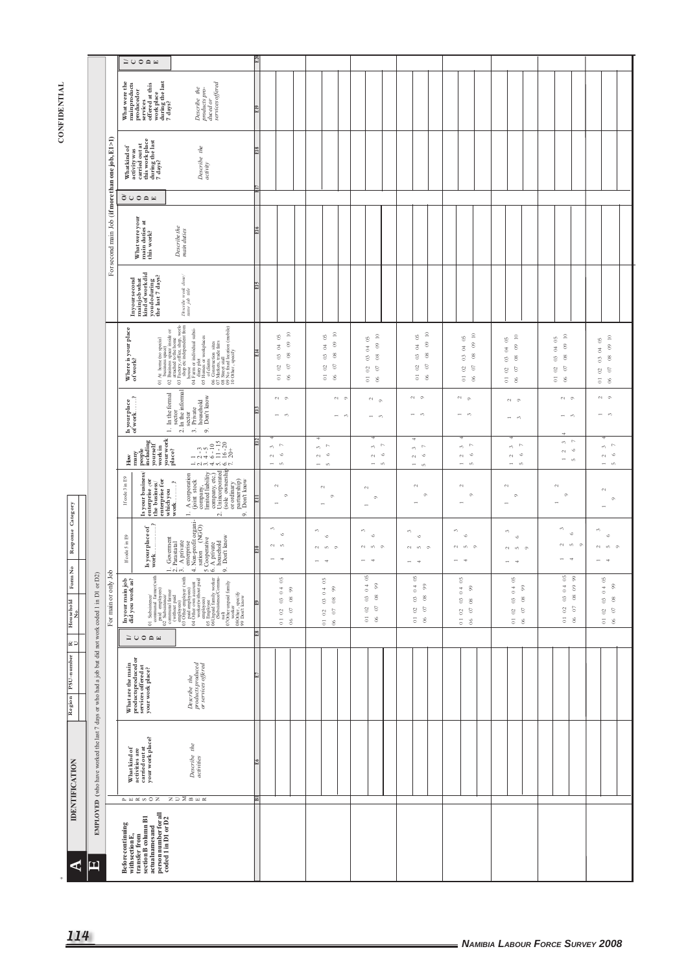## **CONFIDENTIAL**

| <b>IDENTIFICATION</b><br>$\blacktriangleleft$ | EMPLOYED (who have worked the last 7 days or who had a job but did not work coded 1 in D1 or D2)<br>$\mathbf{E}$ |                                                  | What kind of<br>activities are<br>carried out at<br>your work place?<br>$A \cup B$ $B \cup C$<br>Before continuing<br>with section E,<br>transfer from<br>section B column B1<br>section B column B1<br>person number for all<br>person number for all<br>coded 1 in D1 or D2                                                                                                                                                                                                                                                              | Describe the<br>activities<br><b>NDMEX</b>                                                                                                                                                                                                                                                                                                                                                                                                                                                                                                                                            |       |                                                                                                                                          |                                                                                                                                                                  |                                                                                                                                                                |                                                                                                                                                          |                                                                                                                                                                               |                                                                                                                                                                                |                                                                                                                                                     |                                                                                                                                                                                 |
|-----------------------------------------------|------------------------------------------------------------------------------------------------------------------|--------------------------------------------------|--------------------------------------------------------------------------------------------------------------------------------------------------------------------------------------------------------------------------------------------------------------------------------------------------------------------------------------------------------------------------------------------------------------------------------------------------------------------------------------------------------------------------------------------|---------------------------------------------------------------------------------------------------------------------------------------------------------------------------------------------------------------------------------------------------------------------------------------------------------------------------------------------------------------------------------------------------------------------------------------------------------------------------------------------------------------------------------------------------------------------------------------|-------|------------------------------------------------------------------------------------------------------------------------------------------|------------------------------------------------------------------------------------------------------------------------------------------------------------------|----------------------------------------------------------------------------------------------------------------------------------------------------------------|----------------------------------------------------------------------------------------------------------------------------------------------------------|-------------------------------------------------------------------------------------------------------------------------------------------------------------------------------|--------------------------------------------------------------------------------------------------------------------------------------------------------------------------------|-----------------------------------------------------------------------------------------------------------------------------------------------------|---------------------------------------------------------------------------------------------------------------------------------------------------------------------------------|
| Region PSU-number $R$ V                       |                                                                                                                  |                                                  | What are the main<br>productsproducedor<br>services offered at<br>your work place?                                                                                                                                                                                                                                                                                                                                                                                                                                                         | Describe the<br>products produced<br>or services offered                                                                                                                                                                                                                                                                                                                                                                                                                                                                                                                              |       |                                                                                                                                          |                                                                                                                                                                  |                                                                                                                                                                |                                                                                                                                                          |                                                                                                                                                                               |                                                                                                                                                                                |                                                                                                                                                     |                                                                                                                                                                                 |
| Household Form No                             |                                                                                                                  | For main or only                                 | $\fbox{\parbox{10}{01}} \begin{tabular}{ c } \hline \multicolumn{1}{ c }{01}} \multicolumn{1}{ c }{015} \multicolumn{1}{ c }{018} \multicolumn{1}{ c }{018} \multicolumn{1}{ c }{018} \multicolumn{1}{ c }{018} \multicolumn{1}{ c }{018} \multicolumn{1}{ c }{018} \multicolumn{1}{ c }{018} \multicolumn{1}{ c }{018} \multicolumn{1}{ c }{018} \multicolumn{1}{ c }{018} \multicolumn{1}{ c }{018} \$<br>$\begin{array}{c} \text{In your main job} \\ \text{did you work as?} \end{array}$<br>$\geq$ $\cup$ $\circ$ $\approx$ $\approx$ | $\begin{tabular}{c} \hline \text{empological} \\ \hline 03 \text{ plate} \\ \hline 04 \text{ plate} \\ \hline 05 \text{ plate} \\ \hline 06 \text{Here} \\ \hline 07 \text{ here} \\ \hline 08 \text{ after } 080 \text{ account} \\ \hline 09 \text{ after } 090 \text{ account} \\ \hline 019 \text{ type} \\ \hline 019 \text{ type} \\ \hline 019 \text{ type} \\ \hline 019 \text{ type} \\ \hline 02 \text{ while } 8 \text{ time} \\ \hline 03 \text{ while } 8 \text{ time} \\ \hline 04 \text{ while$<br>nal)<br>070ther unpaid family<br>080ther , specify<br>99 Don't know | E     | $_{\rm 05}$<br>$0.3 \pm 0.4$<br>99<br>$_{\rm 8}$<br>$\overline{0}$<br>$\mbox{S}$<br>$\overline{\phantom{0}}$<br>$\mathcal{S}$            | $\overline{0}$<br>0304<br>$^{99}$<br>$_{\rm 08}$<br>$\approx$<br>$\footnotesize{\textcircled{\scriptsize{s}}}$<br>$\overline{\circ}$<br>$\otimes$                | ತ<br>$\degree$<br>$\ensuremath{\mathfrak{S}}$<br>$_{\rm 8}$<br>$_{\odot}$<br>$\boldsymbol{\mathfrak{S}}$<br>$_{\rm 02}$<br>$\overline{0}$<br>$\mathcal{S}$     | S<br>$\ddot{\phantom{0}}$<br>$_{99}$<br>$\circ$<br>$_{\rm \otimes}$<br>$\rm \tilde{o}$<br>$\mathfrak{S}$<br>$\overline{\circ}$<br>$\delta$               | $_{\rm 65}$<br>0304<br>66<br>$_{\rm 08}$<br>$\overline{\mathbb{C}}$<br>$\mbox{ }^{\circ}$<br>$\overline{\phantom{0}}$<br>$\,$ 8                                               | 0405<br>$_{99}$<br>$\infty$<br>$\mathbb{S}$<br>$\odot$<br>$\mbox{S}$<br>$\overline{\circ}$<br>$\delta$                                                                         | $03 \t04 \t05$<br>$^{56}$<br>$08\ 09$<br>$\mathfrak S$<br>$\ensuremath{\mathbb S}$<br>$\overline{0}$ 8                                              | $03$ 0 4 0 5<br>$99$<br>$\frac{8}{2}$<br>$\circ$<br>$\odot$<br>$\delta$<br>$\overline{\phantom{0}}$                                                                             |
| Response                                      |                                                                                                                  | Job                                              | $\mathbf{a}_1$<br>If code 5 in E9                                                                                                                                                                                                                                                                                                                                                                                                                                                                                                          | 3. A private<br>enterprise<br>4. Non-profit organi-<br>sation (NGO)<br>5. Cooperative<br>9. Don't know<br>$\begin{array}{c} \text{Government} \\ \text{Parastad} \end{array}$<br>A private<br>household<br>$-i$<br>50                                                                                                                                                                                                                                                                                                                                                                 |       | s.<br>$\circ$<br>$N - n$<br>$\overline{\phantom{a}}$<br>÷                                                                                | $\sim$<br>$\circ$<br>$N$ in $\Omega$<br>$ +$                                                                                                                     | S<br>$\circ$<br>$N$ in $\sigma$<br>$\overline{\phantom{a}}$<br>$\rightarrow$                                                                                   | 3<br>$\circ$<br>$N_{1}$ in $\infty$<br>$\overline{\phantom{a}}$<br>$\overline{\mathbf{u}}$                                                               | S<br>$\circ$<br>$\sim$<br>0 <sub>0</sub><br>$\overline{\phantom{a}}$<br>$\rightarrow$                                                                                         | S<br>$\circ$<br>$N = 10 - 5$<br>$\rightarrow$                                                                                                                                  | S<br>$\circ$<br>0 <sub>0</sub><br>$\sim$<br>$\overline{\phantom{0}}$<br>$\rightarrow$                                                               | S<br>$\circ$<br>$N$ in $\sigma$<br>$\overline{\phantom{a}}$<br>$\rightarrow$                                                                                                    |
| Category                                      |                                                                                                                  |                                                  | Is your business/<br>enterprise (or<br>the business/<br>enterprise for<br>whichyou<br>If code 3 in E9                                                                                                                                                                                                                                                                                                                                                                                                                                      | company, etc.)<br>Unincorporated<br>(sole ownership<br>or ordinary<br>partnership)<br>Don't know<br>$\begin{array}{c} A\text{ corporation} \\ \text{Joint stock} \\ \text{company}, \\ \text{limited liability} \end{array}$<br>$\hat{\mathcal{C}}$<br>work<br>a.<br>$\sim$<br>o,                                                                                                                                                                                                                                                                                                     |       | $\sim$<br>$\circ$<br>$\overline{\phantom{a}}$                                                                                            | $\sim$<br>$\circ$<br>$\overline{a}$                                                                                                                              | $\sim$<br>$\circ$<br>$\overline{ }$                                                                                                                            | $\mathbb{C}^1$<br>$\circ$                                                                                                                                | $\mathord{\sim}$<br>$\circ$                                                                                                                                                   | $\sim$<br>$\circ$<br>۳                                                                                                                                                         | $\sim$<br>$\circ$                                                                                                                                   | $\sim$<br>$\circ$<br>$\overline{\phantom{a}}$                                                                                                                                   |
|                                               |                                                                                                                  |                                                  | many<br>people<br>including<br>vourself<br>vork in<br>work in<br>your work<br>your work<br>$_{\rm How}$                                                                                                                                                                                                                                                                                                                                                                                                                                    | $-24.44665$                                                                                                                                                                                                                                                                                                                                                                                                                                                                                                                                                                           | $\Xi$ | ₹<br>Þ<br>s.<br>$\sim$ $^{\circ}$<br>$-$ 10                                                                                              | b,<br>s.<br>$\circ$<br>$\sim$<br>$-$ in                                                                                                                          | ÷<br>$\mathrel{\vdash}$<br>S.<br>$\sim$ $\sim$<br>$-$ in                                                                                                       | ÷<br>$\sim$<br>$\mathfrak{S}$<br>$\circ$<br>$\sim$<br>$\overline{\phantom{a}}$<br>$\mathsf{in}$                                                          | ₹<br>$\mathord{\mapsto}$<br>s.<br>$\sim$ $\sim$<br>$\leftarrow$ - $\leftarrow$                                                                                                | 4<br>$\mathord{\mapsto}$<br>$\epsilon \gamma$<br>$\sim$ $\sim$<br>$-10$                                                                                                        | ₹<br>$\sim$<br>$\sim$<br>$\circ$<br>$\sim$<br>$\overline{\phantom{a}}$<br>$\infty$                                                                  | ₹<br>Þ<br>s,<br>$\circ$<br>$\sim$<br>$-$ 10                                                                                                                                     |
|                                               |                                                                                                                  |                                                  | 1. In the formal<br>$\begin{array}{c}\n\bullet \\ \bullet \\ \bullet\n\end{array}$<br>$\begin{array}{c} \text{Is your place} \\ \text{of work} \\ \end{array}$                                                                                                                                                                                                                                                                                                                                                                             | $\begin{tabular}{ l } \hline sector \\ 2. In the informal \\ \hline \end{tabular}$<br>Sector<br>3. Private<br>9. Don't know                                                                                                                                                                                                                                                                                                                                                                                                                                                           |       | $N$ 0<br>$ -$                                                                                                                            | $\sim$<br>$  -$                                                                                                                                                  | $\sim$ $_{\circ}$<br>$\overline{\phantom{a}}$                                                                                                                  | $\sim$ $\sim$<br>$\overline{a}$                                                                                                                          | $\sim$ $_{\circ}$<br>$\sim$ - $\sim$                                                                                                                                          | $\sim$ $\sim$<br>$\overline{\phantom{a}}$                                                                                                                                      | $\sim$ $\sim$<br>$-$ 0                                                                                                                              | $\sim$ $\sim$<br>$\sim$ - $\sim$                                                                                                                                                |
|                                               |                                                                                                                  |                                                  | Where is your place<br>of work?                                                                                                                                                                                                                                                                                                                                                                                                                                                                                                            | O A hence (no special contracts) and the special contracts are more than the contract of the special contracts and the special contract of the special contracts of the special contract of the special contract of the speci                                                                                                                                                                                                                                                                                                                                                         |       | $\Xi$<br>$\mathfrak{S}$<br>$^\circledR$<br>$\beta$<br>$\mathbb S$<br>$_{\rm 8}$<br>$\epsilon$<br>$\mathbb S$<br>$\overline{\circ}$<br>66 | $\Xi$<br>$\mathfrak{S}$<br>$_{\odot}$<br>$\upbeta$<br>$_{\rm 8}$<br>$\ensuremath{\mathbb{S}}$<br>$\odot$<br>$\ensuremath{\mathbb S}$<br>$\overline{\circ}$<br>66 | $\approx$<br>$\overline{6}$<br>$\circ$<br>$\overline{0}$<br>$\mathop{\mathsf{ss}}$<br>$\circ$<br>$\boldsymbol{\mathbb{S}}$<br>$\boldsymbol{\varepsilon}$<br>58 | $\approx$<br>$\mathfrak{S}$<br>$_{\odot}$<br>$\,$ $\,$ $\,$<br>$_{\rm 8}$<br>$\mathbb S$<br>$\sigma$<br>$\mathbb{S}^2$<br>$\overline{\circ}$<br>$\delta$ | $\ensuremath{\mathop{\mathbb{C}}\nolimits}$<br>$65$<br>$_{09}$<br>$\overline{0}$<br>$_{\rm 08}$<br>$\circ$<br>$\mbox{S}$<br>$\mathbb{S}^2$<br>$\overline{\circ}$<br>$\otimes$ | $\ensuremath{\mathop{\mathbb{C}}\nolimits}$<br>$\mathfrak{S}$<br>$_{\odot}$<br>$\bar{\mathbb{S}}$<br>$_{\rm 8}$<br>$\ensuremath{\mathbb{S}}$<br>$\mathbb{S}$<br>$\sigma$<br>58 | $\approx$<br>$\overline{0}$<br>$^\circledR$<br>$\overline{0}$<br>$_{08}$<br>$\ensuremath{\mathbb{S}}$<br>$\overline{\circ}$<br>$\mathbb{S}^2$<br>58 | $09\quad10$<br>$\mathbb{S}^5$<br>$\,$ $\,$ $\,$<br>$\mathop{\mathsf{g}}$<br>$\mathbb{S}^3$<br>$\mathbb{G}$<br>$\ensuremath{\mathcal{Q}}$<br>$\overline{\circ}$<br>$\mathcal{E}$ |
|                                               |                                                                                                                  |                                                  | In your second<br>main job what<br>kind of work did<br>youdo during<br>the last 7 days?                                                                                                                                                                                                                                                                                                                                                                                                                                                    | $done/$<br>Describe work of<br>name job tide                                                                                                                                                                                                                                                                                                                                                                                                                                                                                                                                          |       |                                                                                                                                          |                                                                                                                                                                  |                                                                                                                                                                |                                                                                                                                                          |                                                                                                                                                                               |                                                                                                                                                                                |                                                                                                                                                     |                                                                                                                                                                                 |
|                                               |                                                                                                                  | For second main Job (if more than one job, E1>1) | What were your<br>main duties at<br>this work?                                                                                                                                                                                                                                                                                                                                                                                                                                                                                             | $\label{eq:des} Describe\ the\ machine\$                                                                                                                                                                                                                                                                                                                                                                                                                                                                                                                                              |       |                                                                                                                                          |                                                                                                                                                                  |                                                                                                                                                                |                                                                                                                                                          |                                                                                                                                                                               |                                                                                                                                                                                |                                                                                                                                                     |                                                                                                                                                                                 |
|                                               |                                                                                                                  |                                                  | activity was<br>carried out at<br>this work place<br>during the last<br>7 days?<br>Whatkind of<br>$\delta$ uong                                                                                                                                                                                                                                                                                                                                                                                                                            | $\emph{the}$<br>Describe<br>activity                                                                                                                                                                                                                                                                                                                                                                                                                                                                                                                                                  |       |                                                                                                                                          |                                                                                                                                                                  |                                                                                                                                                                |                                                                                                                                                          |                                                                                                                                                                               |                                                                                                                                                                                |                                                                                                                                                     |                                                                                                                                                                                 |
|                                               |                                                                                                                  |                                                  | services<br>offered at this<br>workplace<br>during the last<br>7 days?<br>$\begin{array}{l} \textbf{What were the}\\ \textbf{main products}\\ \textbf{produced or}\\ \end{array}$                                                                                                                                                                                                                                                                                                                                                          | services offered<br>Describe the<br>products pro-<br>duced or                                                                                                                                                                                                                                                                                                                                                                                                                                                                                                                         |       |                                                                                                                                          |                                                                                                                                                                  |                                                                                                                                                                |                                                                                                                                                          |                                                                                                                                                                               |                                                                                                                                                                                |                                                                                                                                                     |                                                                                                                                                                                 |
|                                               |                                                                                                                  |                                                  | EUOQE                                                                                                                                                                                                                                                                                                                                                                                                                                                                                                                                      |                                                                                                                                                                                                                                                                                                                                                                                                                                                                                                                                                                                       |       |                                                                                                                                          |                                                                                                                                                                  |                                                                                                                                                                |                                                                                                                                                          |                                                                                                                                                                               |                                                                                                                                                                                |                                                                                                                                                     |                                                                                                                                                                                 |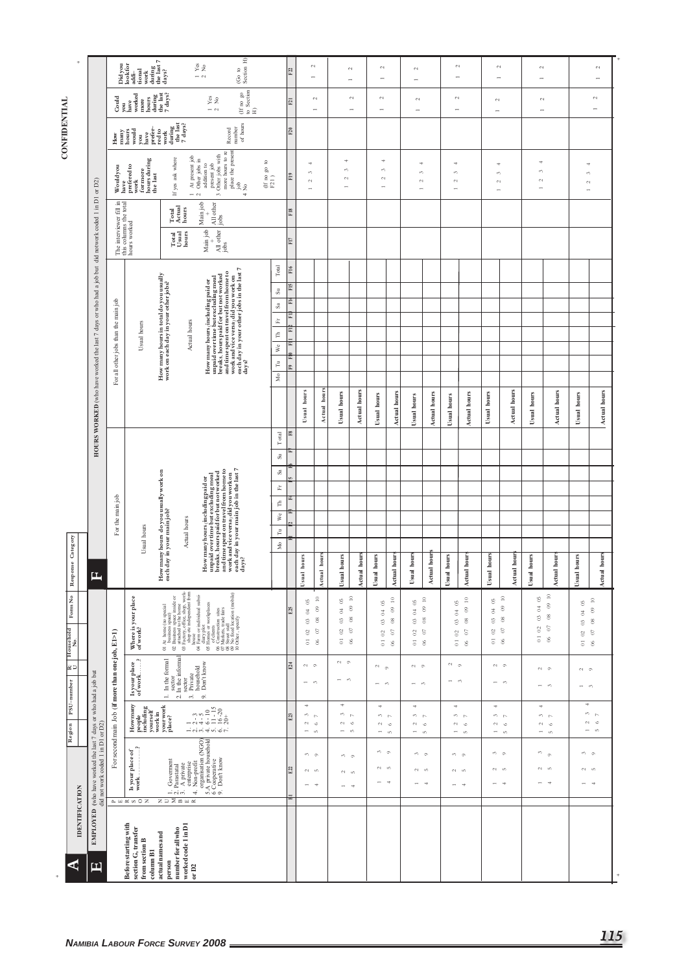| $\ddot{}$                              |                                                                                                            |                                                  | $\overline{ }$<br>Didyou<br>look for<br>addi-<br>tional<br>work<br>$\frac{\text{during}}{\text{the last}}$<br>$\frac{\text{day}}{\text{day}}$                                                                                                                                                                                                                                                                                                                                                                                |                                                                                                                                                                                                    | (Go to $$\rm{Section~H}\xspace]$<br>$\frac{1}{2}$ Yes                                                                                                                                                                                                                                                                                                                                                                                                                                            |                                                                                  | F22                    |                                                                        | $\mathfrak{g}$<br>$\overline{\phantom{0}}$                                                              |                                                                                 | $\sim$<br>$\rightarrow$                                  | $\sim$<br>$\overline{\phantom{0}}$                                                        |                                                                                                | $\sim$<br>$\overline{a}$                                                                 |                                                                                                                  | $\overline{\phantom{0}}$                                                                                          | $\sim$                                                        | $\mathcal{L}$<br>$\overline{\phantom{a}}$                                           |                                                                  | $\sim$<br>÷                                                                 |                                                                                                                                     |                                                                                 | $\sim$<br>$\overline{a}$                                                                                                         |
|----------------------------------------|------------------------------------------------------------------------------------------------------------|--------------------------------------------------|------------------------------------------------------------------------------------------------------------------------------------------------------------------------------------------------------------------------------------------------------------------------------------------------------------------------------------------------------------------------------------------------------------------------------------------------------------------------------------------------------------------------------|----------------------------------------------------------------------------------------------------------------------------------------------------------------------------------------------------|--------------------------------------------------------------------------------------------------------------------------------------------------------------------------------------------------------------------------------------------------------------------------------------------------------------------------------------------------------------------------------------------------------------------------------------------------------------------------------------------------|----------------------------------------------------------------------------------|------------------------|------------------------------------------------------------------------|---------------------------------------------------------------------------------------------------------|---------------------------------------------------------------------------------|----------------------------------------------------------|-------------------------------------------------------------------------------------------|------------------------------------------------------------------------------------------------|------------------------------------------------------------------------------------------|------------------------------------------------------------------------------------------------------------------|-------------------------------------------------------------------------------------------------------------------|---------------------------------------------------------------|-------------------------------------------------------------------------------------|------------------------------------------------------------------|-----------------------------------------------------------------------------|-------------------------------------------------------------------------------------------------------------------------------------|---------------------------------------------------------------------------------|----------------------------------------------------------------------------------------------------------------------------------|
|                                        |                                                                                                            | Could                                            | have<br>worked<br>$\begin{array}{c} \text{hours} \\ \text{during} \\ \text{the last} \\ 7 \text{ days?} \end{array}$<br>more<br>you                                                                                                                                                                                                                                                                                                                                                                                          |                                                                                                                                                                                                    | $_{\rm Ye}^{\rm vs}$<br>$ \sim$                                                                                                                                                                                                                                                                                                                                                                                                                                                                  | $\begin{array}{c} \text{(If no go)}\\ \text{to Section}\\ \text{H)} \end{array}$ | $\overline{\text{E1}}$ |                                                                        | $\sim$<br>$\rightarrow$                                                                                 |                                                                                 | $\sim$<br>$\overline{\phantom{a}}$                       | $\mathbb{C}^1$<br>$\overline{\phantom{a}}$                                                |                                                                                                | $\sim$<br>$\rightarrow$                                                                  |                                                                                                                  | $\sim$<br>$\rightarrow$                                                                                           |                                                               | $\sim$<br>$\overline{\phantom{a}}$                                                  |                                                                  | $\sim$                                                                      |                                                                                                                                     |                                                                                 | $\sim$<br>$\overline{\phantom{0}}$                                                                                               |
| CONFIDENTIAL                           |                                                                                                            | $_{\rm How}$                                     | prefer-<br>many<br>hours<br>would<br>you<br>have                                                                                                                                                                                                                                                                                                                                                                                                                                                                             | during<br>the last<br>7 days?<br>${\rm \dot{re}d\,to\,}$ work                                                                                                                                      | of hours<br>number<br>Record                                                                                                                                                                                                                                                                                                                                                                                                                                                                     |                                                                                  | F20                    |                                                                        |                                                                                                         |                                                                                 |                                                          |                                                                                           |                                                                                                |                                                                                          |                                                                                                                  |                                                                                                                   |                                                               |                                                                                     |                                                                  |                                                                             |                                                                                                                                     |                                                                                 |                                                                                                                                  |
|                                        |                                                                                                            | Wouldyou                                         | hours during<br>the last<br>$% \begin{tabular}{lcl} \hline & \multicolumn{3}{c}{\multicolumn{3}{c}{\multicolumn{3}{c}{\multicolumn{3}{c}{\multicolumn{3}{c}{\multicolumn{3}{c}{\multicolumn{3}{c}{\multicolumn{3}{c}{\multicolumn{3}{c}{\multicolumn{3}{c}{\multicolumn{3}{c}{\multicolumn{3}{c}{\multicolumn{3}{c}{\multicolumn{3}{c}{\multicolumn{3}{c}{\multicolumn{3}{c}{\multicolumn{3}{c}{\multicolumn{3}{c}{\multicolumn{3}{c}{\multicolumn{3}{c}{\multicolumn{3}{c}{\multicolumn{3}{c}{\multicolumn{3}{c$<br>formore | At present job<br>Other jobs in<br>If yes ask where<br>$ \sim$                                                                                                                                     | g<br>place the present<br>3 Other jobs with<br>more hours to re<br>addition to<br>present job<br>job                                                                                                                                                                                                                                                                                                                                                                                             | $\begin{array}{c} (\text{If no go to} \\ \text{F21)} \end{array}$<br>ż<br>4      | $\rm{F19}$             | A,<br>$\epsilon \gamma$<br>$\sim$<br>$\overline{a}$                    |                                                                                                         | $\stackrel{\text{\tiny{4}}}{\rightarrow}$<br>S<br>$\mathbb{C}^1$                |                                                          | $\Rightarrow$<br>S<br>$\sim$<br>$\overline{a}$                                            |                                                                                                | 4<br>S<br>$\mathfrak{c}_4$<br>$\overline{a}$                                             |                                                                                                                  | 4<br>$\epsilon \gamma$<br>$\mathbb{C}^1$<br>$\overline{a}$                                                        |                                                               | 4<br>S<br>$\sim$<br>÷                                                               |                                                                  | ÷<br>s,<br>$\sim$<br>$\overline{ }$                                         |                                                                                                                                     | ÷<br>S<br>$\sim$<br>÷                                                           |                                                                                                                                  |
|                                        |                                                                                                            |                                                  |                                                                                                                                                                                                                                                                                                                                                                                                                                                                                                                              | Total<br>Actual<br>hours                                                                                                                                                                           | Main job<br>All other<br>iobs                                                                                                                                                                                                                                                                                                                                                                                                                                                                    |                                                                                  | $_{\rm F18}$           |                                                                        |                                                                                                         |                                                                                 |                                                          |                                                                                           |                                                                                                |                                                                                          |                                                                                                                  |                                                                                                                   |                                                               |                                                                                     |                                                                  |                                                                             |                                                                                                                                     |                                                                                 |                                                                                                                                  |
|                                        |                                                                                                            |                                                  | The interviewer fill in<br>this columns the total<br>hours worked                                                                                                                                                                                                                                                                                                                                                                                                                                                            | $\begin{array}{c} \text{Total} \\ \text{Us}\,\text{ual} \\ \text{hours} \end{array}$                                                                                                               | Main job<br>$\frac{4}{\text{Mlo} \text{ther}}$                                                                                                                                                                                                                                                                                                                                                                                                                                                   |                                                                                  | F17                    |                                                                        |                                                                                                         |                                                                                 |                                                          |                                                                                           |                                                                                                |                                                                                          |                                                                                                                  |                                                                                                                   |                                                               |                                                                                     |                                                                  |                                                                             |                                                                                                                                     |                                                                                 |                                                                                                                                  |
|                                        |                                                                                                            |                                                  |                                                                                                                                                                                                                                                                                                                                                                                                                                                                                                                              | How many hours in total do you usually<br>work on each day in your other jobs?                                                                                                                     | How many hours (including paid or breaks, hours paid for breaks, hours paid for burn over worked and time spent con travel from home to and time spent con travel from home to each $\mathbf{d}$ of in your order jobs in the las                                                                                                                                                                                                                                                                | Total<br>$\rm{Si}$                                                               | $_{\rm F16}$<br>F15    |                                                                        |                                                                                                         |                                                                                 |                                                          |                                                                                           |                                                                                                |                                                                                          |                                                                                                                  |                                                                                                                   |                                                               |                                                                                     |                                                                  |                                                                             |                                                                                                                                     |                                                                                 |                                                                                                                                  |
|                                        |                                                                                                            | For all other jobs than the main job             |                                                                                                                                                                                                                                                                                                                                                                                                                                                                                                                              |                                                                                                                                                                                                    |                                                                                                                                                                                                                                                                                                                                                                                                                                                                                                  | $\rm Sa$<br>$\tilde{\mathbb{H}}$                                                 | Fŀ<br>Ë                |                                                                        |                                                                                                         |                                                                                 |                                                          |                                                                                           |                                                                                                |                                                                                          |                                                                                                                  |                                                                                                                   |                                                               |                                                                                     |                                                                  |                                                                             |                                                                                                                                     |                                                                                 |                                                                                                                                  |
|                                        |                                                                                                            |                                                  | Usual hours                                                                                                                                                                                                                                                                                                                                                                                                                                                                                                                  | Actual hours                                                                                                                                                                                       |                                                                                                                                                                                                                                                                                                                                                                                                                                                                                                  | $\in$                                                                            | E                      |                                                                        |                                                                                                         |                                                                                 |                                                          |                                                                                           |                                                                                                |                                                                                          |                                                                                                                  |                                                                                                                   |                                                               |                                                                                     |                                                                  |                                                                             |                                                                                                                                     |                                                                                 |                                                                                                                                  |
|                                        |                                                                                                            |                                                  |                                                                                                                                                                                                                                                                                                                                                                                                                                                                                                                              |                                                                                                                                                                                                    |                                                                                                                                                                                                                                                                                                                                                                                                                                                                                                  | We<br>$\tilde{\Xi}$                                                              | í.<br>E9 EI            |                                                                        |                                                                                                         |                                                                                 |                                                          |                                                                                           |                                                                                                |                                                                                          |                                                                                                                  |                                                                                                                   |                                                               |                                                                                     |                                                                  |                                                                             |                                                                                                                                     |                                                                                 |                                                                                                                                  |
|                                        |                                                                                                            |                                                  |                                                                                                                                                                                                                                                                                                                                                                                                                                                                                                                              |                                                                                                                                                                                                    |                                                                                                                                                                                                                                                                                                                                                                                                                                                                                                  | $\rm{day}\rm{s}$ ?<br>Mo                                                         |                        |                                                                        |                                                                                                         |                                                                                 |                                                          |                                                                                           |                                                                                                |                                                                                          |                                                                                                                  |                                                                                                                   |                                                               |                                                                                     |                                                                  |                                                                             |                                                                                                                                     |                                                                                 |                                                                                                                                  |
|                                        | <b>HOURS WORKED</b> (who have worked the last 7 days or who had a job but did notwork coded 1 in D1 or D2) |                                                  |                                                                                                                                                                                                                                                                                                                                                                                                                                                                                                                              |                                                                                                                                                                                                    |                                                                                                                                                                                                                                                                                                                                                                                                                                                                                                  |                                                                                  |                        | Usual hours                                                            | Actual hours                                                                                            | Usual hours                                                                     | Actual hours                                             | Usual hours                                                                               | <b>Actual hours</b>                                                                            | Usual hours                                                                              | <b>Actual hours</b>                                                                                              | Usual hours                                                                                                       | <b>Actual hours</b>                                           | Usual hours                                                                         | <b>Actual hours</b>                                              | Usual hours                                                                 | Actual hours                                                                                                                        | Usual hours                                                                     | Actual hours                                                                                                                     |
|                                        |                                                                                                            |                                                  |                                                                                                                                                                                                                                                                                                                                                                                                                                                                                                                              |                                                                                                                                                                                                    |                                                                                                                                                                                                                                                                                                                                                                                                                                                                                                  | $\mathbb T$ otal                                                                 | F8                     |                                                                        |                                                                                                         |                                                                                 |                                                          |                                                                                           |                                                                                                |                                                                                          |                                                                                                                  |                                                                                                                   |                                                               |                                                                                     |                                                                  |                                                                             |                                                                                                                                     |                                                                                 |                                                                                                                                  |
|                                        |                                                                                                            |                                                  |                                                                                                                                                                                                                                                                                                                                                                                                                                                                                                                              |                                                                                                                                                                                                    |                                                                                                                                                                                                                                                                                                                                                                                                                                                                                                  | $\rm{Si}$<br>Sa                                                                  |                        |                                                                        |                                                                                                         |                                                                                 |                                                          |                                                                                           |                                                                                                |                                                                                          |                                                                                                                  |                                                                                                                   |                                                               |                                                                                     |                                                                  |                                                                             |                                                                                                                                     |                                                                                 |                                                                                                                                  |
|                                        |                                                                                                            |                                                  |                                                                                                                                                                                                                                                                                                                                                                                                                                                                                                                              |                                                                                                                                                                                                    |                                                                                                                                                                                                                                                                                                                                                                                                                                                                                                  | 面                                                                                |                        |                                                                        |                                                                                                         |                                                                                 |                                                          |                                                                                           |                                                                                                |                                                                                          |                                                                                                                  |                                                                                                                   |                                                               |                                                                                     |                                                                  |                                                                             |                                                                                                                                     |                                                                                 |                                                                                                                                  |
|                                        |                                                                                                            | For the main job                                 |                                                                                                                                                                                                                                                                                                                                                                                                                                                                                                                              |                                                                                                                                                                                                    |                                                                                                                                                                                                                                                                                                                                                                                                                                                                                                  | É<br>We                                                                          | 坓                      |                                                                        |                                                                                                         |                                                                                 |                                                          |                                                                                           |                                                                                                |                                                                                          |                                                                                                                  |                                                                                                                   |                                                               |                                                                                     |                                                                  |                                                                             |                                                                                                                                     |                                                                                 |                                                                                                                                  |
|                                        |                                                                                                            |                                                  | Usual hours                                                                                                                                                                                                                                                                                                                                                                                                                                                                                                                  | Actual hours                                                                                                                                                                                       |                                                                                                                                                                                                                                                                                                                                                                                                                                                                                                  | $\tilde{\Xi}$                                                                    |                        |                                                                        |                                                                                                         |                                                                                 |                                                          |                                                                                           |                                                                                                |                                                                                          |                                                                                                                  |                                                                                                                   |                                                               |                                                                                     |                                                                  |                                                                             |                                                                                                                                     |                                                                                 |                                                                                                                                  |
| onse Category<br>Respo                 | д                                                                                                          |                                                  |                                                                                                                                                                                                                                                                                                                                                                                                                                                                                                                              | How many hours do you usually work on<br>each day in your main job?                                                                                                                                | How many bours (including paid or breaks, hours paid for burnor worked breaks, hours paid for burnor worked and time spent on travel from home to and time spent on travel from home to each day in your main job in the last<br>days?                                                                                                                                                                                                                                                           | $_{\rm Mo}$                                                                      |                        | hours<br>Usual                                                         | Actual hour                                                                                             | hours<br>Usual                                                                  | Actual hours                                             | hours<br>Usual                                                                            | Actual hours                                                                                   | Usual hour                                                                               | Actual hour                                                                                                      | hours<br>Usual                                                                                                    | <b>Actual</b> hour:                                           | Usual hours                                                                         | Actual hour                                                      | hours<br>Usual                                                              | <b>Actual hours</b>                                                                                                                 | hours<br>Usual                                                                  | <b>Actual hours</b>                                                                                                              |
| Form $\mathrm{No}$<br>Household<br>No. |                                                                                                            |                                                  | Where is your place<br>of work?                                                                                                                                                                                                                                                                                                                                                                                                                                                                                              | 01 At home (no special<br>$\Omega$ business space)<br>$\Omega$ business space inside or<br>$\Omega$ business space inside or<br>$\Omega$ Factory, office, shop, work-<br>shop etc independent from | $\begin{tabular}{ll} $\textbf{(a)}$ & $\textbf{(b)}$ & $\textbf{(a)}$ & $\textbf{(b)}$ \\ $\textbf{(b)}$ & $\textbf{(b)}$ & $\textbf{(b)}$ & $\textbf{(b)}$ \\ $\textbf{(c)}$ & $\textbf{(b)}$ & $\textbf{(b)}$ & $\textbf{(b)}$ \\ $\textbf{(c)}$ & $\textbf{(b)}$ & $\textbf{(b)}$ & $\textbf{(b)}$ \\ $\textbf{(c)}$ & $\textbf{(b)}$ & $\textbf{(c)}$ & $\textbf{(c)}$ & $\textbf{(d)}$ \\ $\textbf{(c)}$ & $\textbf{(c)}$ & $\textbf{(d)}$ & $\textbf{(d)}$ & $\textbf{(d)}$ \\ $\textbf{($ |                                                                                  | E <sub>25</sub>        | $65$<br>$\rm 3$<br>$\mathbb S$<br>$\mathbb{S}^2$<br>$\overline{\circ}$ | $\stackrel{\circ}{\phantom{}_{\sim}}$<br>$\mathord{\mathfrak{S}}$<br>$_{\rm 8}$<br>$\delta$<br>$\delta$ | $\overline{0}$<br>$\sqrt{2}$<br>$\circ$<br>$\mathbb{S}^2$<br>$\overline{\circ}$ | $\approx$<br>$\circ$<br>$\degree$<br>$\mathfrak{S}$<br>8 | $\mathbb{S}$<br>$\Xi$<br>$\mathbb{S}^3$<br>$\ensuremath{\mathbb S}$<br>$\overline{\circ}$ | $\approx$<br>$\circ$<br>$\ensuremath{\mathcal{S}}$<br>$\boldsymbol{\mathcal{S}}$<br>$_{\odot}$ | $\overline{6}$<br>$\,^\dagger$<br>$\mathbb{S}^3$<br>$\mathbb{S}^2$<br>$\overline{\circ}$ | $\stackrel{\circ}{\scriptstyle \sim}$<br>$\mathord{\otimes}$<br>$_{\rm 8}$<br>$\boldsymbol{\delta}$<br>$\otimes$ | $\mathbb{S}^0$<br>$\boldsymbol{\varepsilon}$<br>$\ensuremath{\mathbb{S}}$<br>$\mathbb{S}^1$<br>$\overline{\circ}$ | $\approx$<br>$\circ$<br>$_{\rm g}$<br>$\mathbb S$<br>$\delta$ | $\overline{0}$<br>$\overline{0}$<br>$\circ$<br>$\mathbb{S}^2$<br>$\overline{\circ}$ | $\approx$<br>$^\circledR$<br>$_{\rm 08}$<br>$\sigma$<br>$\delta$ | $\mathbb{S}$<br>$\beta$<br>$\mathbb S$<br>$\mathbb S$<br>$\overline{\circ}$ | $\ensuremath{\mathop{\mathbb{C}}\nolimits}$<br>$\ensuremath{\mathfrak{S}}$<br>$_{\rm 8}$<br>$\boldsymbol{\mathfrak{S}}$<br>$\delta$ | °5<br>$\beta$<br>$\circledS$<br>$\boldsymbol{\mathbb{S}}$<br>$\overline{\circ}$ | $\stackrel{\circ}{\scriptstyle \sim}$<br>$_{\odot}$<br>$_{\rm 8}$<br>$\footnotesize{\textcircled{\scriptsize{s}}}$<br>$_{\odot}$ |
| ם ⊠ <br>PSU-number                     |                                                                                                            | For second main Job (if more than one job, E1>1) | Λ.<br>$\begin{array}{c} \text{Is your place}\\ \text{of work}.\ldots.\end{array}$                                                                                                                                                                                                                                                                                                                                                                                                                                            | sector<br>2. In the informal<br>1. In the formal<br>sector<br>Private<br>household<br>Don't know<br>$\vec{\epsilon}$                                                                               | o,                                                                                                                                                                                                                                                                                                                                                                                                                                                                                               |                                                                                  | E24                    | N <sub>o</sub><br>$-$ 0                                                |                                                                                                         | $\sim$ $\sim$<br>$-$ 0                                                          |                                                          | $\sim$ $\sim$<br>$\overline{\phantom{0}}$<br>$\epsilon\gamma$                             |                                                                                                | $\sim$ $\sim$<br>$\overline{\phantom{0}}$                                                | $\epsilon\gamma$                                                                                                 | $\sim$ $\sim$<br>$-$ 0                                                                                            |                                                               |                                                                                     | $\sim$ $\sim$<br>$-$ 0                                           |                                                                             | N <sub>o</sub><br>$-$ 0                                                                                                             | $\sim$ $\sim$<br>$-$ 0                                                          |                                                                                                                                  |
| Region                                 |                                                                                                            |                                                  | Howmany<br>people<br>including<br>yourself<br>work in<br>your work<br>place?                                                                                                                                                                                                                                                                                                                                                                                                                                                 |                                                                                                                                                                                                    | $2 - 3$<br>$2 - 5$<br>$6 - 10$<br>$6 - 15$<br>$10$<br>$-15$<br>$-20$<br>$20+$<br>$-i$ oi oi $\not=$ oi $\phi$ oi $\not=$                                                                                                                                                                                                                                                                                                                                                                         |                                                                                  | E23                    | ÷<br>3<br>$\mathfrak{c}_1$<br>$\overline{ }$                           | $\sim$<br>$\circ$<br>$\mathsf{L}\cap$                                                                   | 4<br>s.<br>$\sim$<br>$\overline{ }$                                             | $\sim$<br>$\circ$<br>$\Omega$                            | $\Rightarrow$<br>$\sim -1$<br>$\sim$<br>$\overline{\phantom{a}}$                          | $\circ$<br>$\mathfrak{m}$                                                                      | 4<br>S<br>$\sim$<br>$\overline{\phantom{a}}$                                             | $\triangleright$<br>$\circ$<br>$\mathsf{t}\cap$                                                                  | $\Rightarrow$<br>$\sim$<br>$\overline{a}$                                                                         | $\sim -1$<br>$\circ$<br>$\mathsf{L}\cap$                      | 4<br>$\sim$<br>$\overline{\phantom{0}}$                                             | $m - p$<br>$\circ$<br>$\mathsf{t}\cap$                           | 4<br>$\sim$<br>$\overline{\phantom{a}}$                                     | e P<br>$\circ$<br>$\mathsf{L}\cap$                                                                                                  | 4<br>$\overline{ }$                                                             | $\omega$ $\sim$<br>$N_{0}$<br>$\mathsf{L}\cap$                                                                                   |
|                                        | <b>EMPLOYED</b> (who have worked the last 7 days or who had a job but did not work coded 1 in D1 or D2)    |                                                  | $\gamma$<br>${\bf I}s$ your place of work.                                                                                                                                                                                                                                                                                                                                                                                                                                                                                   | $\begin{array}{l} 1. \text{ Government} \\ 2. \text{Parsstatal} \\ 3. \text{ A private} \\ \text{enteprise} \\ 4. \text{ Non-point} \end{array}$                                                   | organisation (NGO)<br>5.A private household<br>6 Cooperative<br>9. Don't know                                                                                                                                                                                                                                                                                                                                                                                                                    |                                                                                  | E22                    | $\sim$ $\sim$<br>$N_{1}$<br>$ +$                                       |                                                                                                         | $\sim$ $\sim$<br>$N_{1}$<br>$\overline{\phantom{a}}$                            | $\rightarrow$                                            | $\sim$ $\sim$<br>$N - n$<br>$- -$                                                         |                                                                                                | $\omega$ $\omega$<br>$\sim$                                                              | $\mathfrak{m}$<br>Ħ                                                                                              |                                                                                                                   | $m_{\odot}$<br>$N_{1}$<br>$ +$                                | $m - n$<br>$N_{\rm in}$                                                             | $\overline{a}$                                                   |                                                                             | $\sim$ $\sim$<br>$N_{1}$                                                                                                            | $\sim$ $\sim$<br>$N_{\rm m}$                                                    | $\rightarrow$                                                                                                                    |
| <b>IDENTIFICATION</b><br>⋖             | 口                                                                                                          |                                                  | $\mathbbm{m} \times \mathbbm{m} \times \mathbbm{m}$<br>Before starting with<br>section G, transfer<br>from section B<br>column B1                                                                                                                                                                                                                                                                                                                                                                                            | ZDMAR<br>worked code 1 in D1<br>number for all who<br>actual names and<br>person<br>or D2                                                                                                          |                                                                                                                                                                                                                                                                                                                                                                                                                                                                                                  |                                                                                  | E                      |                                                                        |                                                                                                         |                                                                                 |                                                          |                                                                                           |                                                                                                |                                                                                          |                                                                                                                  |                                                                                                                   |                                                               |                                                                                     |                                                                  |                                                                             |                                                                                                                                     |                                                                                 |                                                                                                                                  |
|                                        |                                                                                                            |                                                  |                                                                                                                                                                                                                                                                                                                                                                                                                                                                                                                              | <b>NAMIBIA LABOUR FORCE SURVEY 2008</b>                                                                                                                                                            |                                                                                                                                                                                                                                                                                                                                                                                                                                                                                                  |                                                                                  |                        |                                                                        |                                                                                                         |                                                                                 |                                                          |                                                                                           |                                                                                                |                                                                                          |                                                                                                                  |                                                                                                                   |                                                               |                                                                                     |                                                                  |                                                                             |                                                                                                                                     |                                                                                 | 115                                                                                                                              |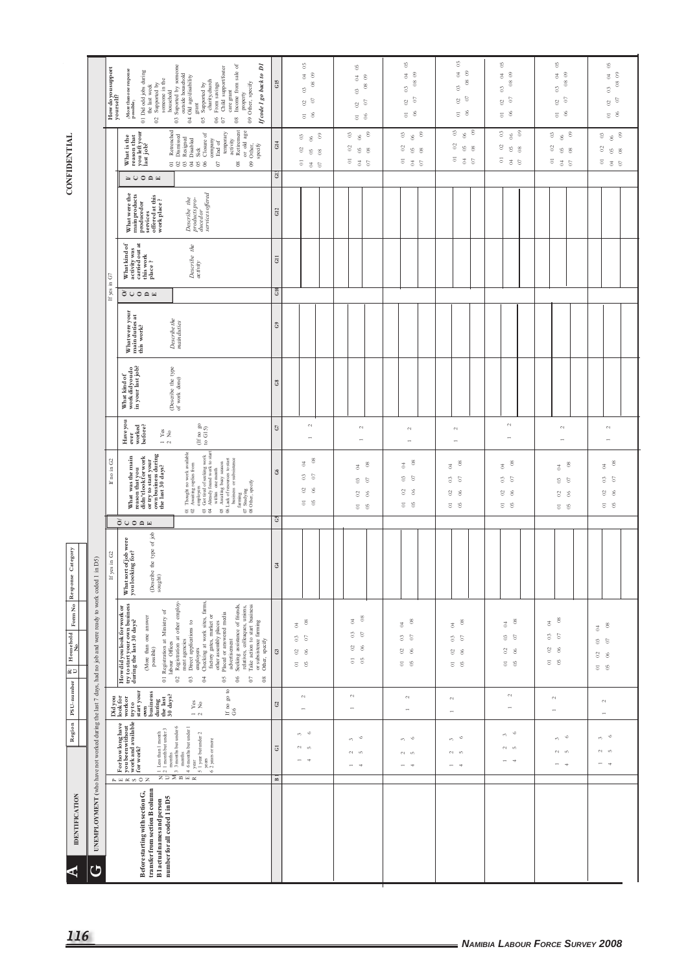## **CONFIDENTIAL**

|                                          |                                                                                                     | How doyou support<br>yours elf? | ð<br>ā<br>03 Suported by someone<br>Supported by<br>charity,church<br>From savings<br>Child support/foster<br>$\langle$ More than one response possible $\rangle$<br>01 Did odd jobs during<br>care grant<br>08 Income from sale<br>outside household<br>If code 1 go back to<br>04 Old age/disability<br>$02$ Supported by<br>someone in the $% \left( \beta \right)$<br>09 Other, specify<br>the last week<br>household<br>$proporty$<br>$\operatorname*{grant}% \nolimits_{\mathbb{Z}}\left( \mathbb{Z}^{\Sigma\left( 1\right) }\right) ^{\otimes n}=\operatorname*{grant}% \nolimits_{\mathbb{Z}}\left( \mathbb{Z}^{\Sigma\left( 1\right) }\right) ^{\otimes n}=\operatorname*{grant}% \nolimits_{\mathbb{Z}}\left( \mathbb{Z}^{\Sigma\left( 1\right) }\right) ^{\otimes n}$<br>$\mathfrak{S}0$<br>$^{\rm 6}_{\rm 0}$ | GIS                   | $\rm ^{6}$<br>$_{\odot}$<br>\$<br>$_{08}$<br>$\mathbb S$<br>$\rm{c}$<br>$\mathbb{S}^0$<br>$\overline{\phantom{0}}$ 06 | $\rm ^{6}$<br>$\infty$<br>$\overline{\mathbb{S}}$<br>$\frac{8}{2}$<br>$\mathbb{S}^3$<br>$\mathfrak{S}$<br>$\mathbb S$<br>$_{\odot}$ $_{\odot}$ | $\rm ^{6}$<br>$\circ$<br>$\overline{\mathbb{S}}$<br>$_{08}$<br>$\circ$<br>$\circ$<br>$\!\otimes\!$<br>$_{\odot}$ $_{\odot}$ | $65\,$<br>$_{\circ}$<br>$\rm 3$<br>$_{\rm 8}$<br>$\circ$<br>$\boldsymbol{\mathfrak{S}}$<br>$\ensuremath{\mathbb{S}}$<br>$_{\odot}$ $_{\odot}$                      | $^{65}$<br>$\,^\oplus_{\mathbb{C}}$ 0<br>$\frac{8}{2}$<br>$\circ$<br>$_{\odot}$ $_{\odot}$<br>$\overline{\circ}$ % | $\rm ^{6}$<br>$\circ$<br>$\overline{5}$<br>$_{08}$<br>$\circ$<br>$\circ$<br>$\ensuremath{\mathbb S}$<br>$5\degree$          | $\mathbb{S}^0$<br>$\degree$<br>$\mathbb{S}$<br>$\rm{S}$<br>$\rm ^{\rm o}$<br>$\overline{\phantom{0}}$ 06                                                                         |
|------------------------------------------|-----------------------------------------------------------------------------------------------------|---------------------------------|---------------------------------------------------------------------------------------------------------------------------------------------------------------------------------------------------------------------------------------------------------------------------------------------------------------------------------------------------------------------------------------------------------------------------------------------------------------------------------------------------------------------------------------------------------------------------------------------------------------------------------------------------------------------------------------------------------------------------------------------------------------------------------------------------------------------------|-----------------------|-----------------------------------------------------------------------------------------------------------------------|------------------------------------------------------------------------------------------------------------------------------------------------|-----------------------------------------------------------------------------------------------------------------------------|--------------------------------------------------------------------------------------------------------------------------------------------------------------------|--------------------------------------------------------------------------------------------------------------------|-----------------------------------------------------------------------------------------------------------------------------|----------------------------------------------------------------------------------------------------------------------------------------------------------------------------------|
| <b>CONFIDENTIAL</b>                      |                                                                                                     |                                 | Retirement<br>Retrenched<br>Dismissed<br>or old age<br>09 Other,<br>reason that<br>you left your<br>last job?<br>temporary<br>Closure of<br>What is the<br>Resigned<br>Disabled<br>Sick<br>company<br>activity<br>End of<br>specify<br>$\sigma$<br>583388<br>$_{\rm 08}$<br>$\geq 0$ $\cap$ $\approx$                                                                                                                                                                                                                                                                                                                                                                                                                                                                                                                     | G14<br>$\ddot{c}$     | $_{\odot}$<br>$\begin{array}{c} 0 \\ 0 \end{array}$<br>$\mathbb{S}^2$<br>$\mathfrak{S}$<br>$_{08}$<br>5<br>3S         | $\boldsymbol{\mathcal{C}}$<br>$_{\circ}$ $^{\circ}$<br>8<br>$\mathfrak{S}$ $\mathfrak{S}$<br>535                                               | $\mathbb{C}^3$<br>$_{\tiny \odot}$ $^{\circ}$<br>$\mathbb{S}^2$<br>$_{5}^{\circ}$ $_{8}^{\circ}$<br>5<br>3S                 | $\circ$<br>$\begin{array}{c} 0 \\ 0 \end{array}$<br>$\boldsymbol{\mathcal{S}}$<br>$_{05}$<br>$_{08}$                                                               | $\mathbb{S}$<br>66<br>$\mathbb S$<br>$_{0.8}^{\circ}$<br>535                                                       | $\boldsymbol{\mathcal{C}}$<br>$_{\circ}$ $_{\circ}$<br>$\otimes$<br>$\mathfrak{S}$ $\mathfrak{S}$<br>5<br>3S                | $\begin{smallmatrix} 06 \\ 0 \end{smallmatrix}$<br>$\mathbb{S}^3$<br>$\mathbb{S}^2$<br>$\mathbb{S}^2$<br>$_{\rm 08}$<br>$\overline{\circ}$ $\overline{\circ}$ $\overline{\circ}$ |
|                                          |                                                                                                     |                                 | Describe the<br>products pro-<br>duced or<br>services offered<br>What were the<br>main products<br>produced or<br>services<br>offered at this<br>work place ?                                                                                                                                                                                                                                                                                                                                                                                                                                                                                                                                                                                                                                                             | G12                   |                                                                                                                       |                                                                                                                                                |                                                                                                                             |                                                                                                                                                                    |                                                                                                                    |                                                                                                                             |                                                                                                                                                                                  |
|                                          |                                                                                                     | $\rm G$<br>E.                   | activity was<br>carried out at<br>What kind of<br>Describe the<br>this work<br>place?<br>activity                                                                                                                                                                                                                                                                                                                                                                                                                                                                                                                                                                                                                                                                                                                         | $\rm GII$             |                                                                                                                       |                                                                                                                                                |                                                                                                                             |                                                                                                                                                                    |                                                                                                                    |                                                                                                                             |                                                                                                                                                                                  |
|                                          |                                                                                                     | If yes                          | $\delta$ uong                                                                                                                                                                                                                                                                                                                                                                                                                                                                                                                                                                                                                                                                                                                                                                                                             | G10                   |                                                                                                                       |                                                                                                                                                |                                                                                                                             |                                                                                                                                                                    |                                                                                                                    |                                                                                                                             |                                                                                                                                                                                  |
|                                          |                                                                                                     |                                 | What were your<br>main duties at<br>this work?<br>$\label{eq:2} Describe the main duties$                                                                                                                                                                                                                                                                                                                                                                                                                                                                                                                                                                                                                                                                                                                                 | $\mathbb{G}$          |                                                                                                                       |                                                                                                                                                |                                                                                                                             |                                                                                                                                                                    |                                                                                                                    |                                                                                                                             |                                                                                                                                                                                  |
|                                          |                                                                                                     |                                 | What kind of<br>work didyou do<br>in your last job?<br>(Describe the type<br>of work done)                                                                                                                                                                                                                                                                                                                                                                                                                                                                                                                                                                                                                                                                                                                                | $\mathbb{G}8$         |                                                                                                                       |                                                                                                                                                |                                                                                                                             |                                                                                                                                                                    |                                                                                                                    |                                                                                                                             |                                                                                                                                                                                  |
|                                          |                                                                                                     |                                 | Haveyou<br>ever<br>worked<br>before?<br>(If no go to $\rm G15)$<br>$_{\rm Y\,g}^{\rm vs}$<br>$ \sim$                                                                                                                                                                                                                                                                                                                                                                                                                                                                                                                                                                                                                                                                                                                      | $\mathbb{G}$          | $\mathord{\sim}$<br>$\overline{ }$                                                                                    | $\sim$<br>$\overline{\phantom{a}}$                                                                                                             | $\mathbb{C}^1$<br>$\overline{\phantom{0}}$                                                                                  | $\mathcal{L}_{\mathcal{A}}$<br>$\overline{\phantom{0}}$                                                                                                            | $\sim$                                                                                                             | $\sim$<br>$\overline{ }$                                                                                                    | $\mathfrak{c}_1$<br>$\overline{\phantom{a}}$                                                                                                                                     |
|                                          |                                                                                                     | If no in G2                     | 03 cupies contexts of seeking work<br>$64$ Already found work to start<br>$05$ Already found work to start<br>$05$ Already found work to start<br>$06$ Lack of resources to start<br>$\frac{1}{2}$ business or subsistence<br>01 Thought no work available<br>02 Awaiting replies from<br>reason that you<br>didn't look for work<br>or try to start your<br>own business during<br>the last 30 days?<br>What was the main<br>07 Studying<br>08 Other, specify<br>employers<br>farming                                                                                                                                                                                                                                                                                                                                    | 66                    | $\infty$<br>$^{+0}$<br>$\overline{\circ}$<br>S<br>$\frac{2}{5}$ 8<br>5S                                               | $_{\rm 08}$<br>$\overline{5}$<br>35<br>88<br>5 S                                                                                               | $\infty$<br>ŧ,<br>$\boldsymbol{\mathcal{C}}$<br>$\circ$<br>$_{\odot}$<br>$\delta$<br>$5-5$                                  | $\infty$<br>$\mathfrak{A}% _{T}=\mathfrak{B}_{T}\!\left( a,b\right) ,\ \mathfrak{C}_{T}=C_{T}\!\left( a,b\right) ,$<br>3S<br>88<br>5 S                             | $\infty$<br>\$<br>$_{\circ}^{\circ}$<br>$\begin{array}{c} 2 \\ 8 \end{array}$<br>$5-5$                             | $\infty$<br>$\overline{5}$<br>3S<br>88<br>5 S                                                                               | $\infty$<br>$\boldsymbol{\Xi}$<br>$\mathbb{S}$<br>$\epsilon$<br>$\begin{array}{c} 2 \\ 8 \end{array}$<br>$5-5$                                                                   |
|                                          |                                                                                                     |                                 | 00004                                                                                                                                                                                                                                                                                                                                                                                                                                                                                                                                                                                                                                                                                                                                                                                                                     | යි                    |                                                                                                                       |                                                                                                                                                |                                                                                                                             |                                                                                                                                                                    |                                                                                                                    |                                                                                                                             |                                                                                                                                                                                  |
| Category<br>Response                     | in D5)                                                                                              | yes in G2<br>$\equiv$           | $\hat{\mathbb{R}}$<br>What sort of job were<br>you looking for?<br>(Describe the type of<br>$\mathop{\mathrm{sound}}(t)$                                                                                                                                                                                                                                                                                                                                                                                                                                                                                                                                                                                                                                                                                                  | $\mathbb{G}4$         |                                                                                                                       |                                                                                                                                                |                                                                                                                             |                                                                                                                                                                    |                                                                                                                    |                                                                                                                             |                                                                                                                                                                                  |
| Form No<br>Household<br>No.<br><b>RD</b> | UNEMPLOYMENT (who have not worked during the last 7 days, had no job and were ready to work coded 1 |                                 | Registration at other employ-<br>Checking at work sites, farms,<br>How didyou look for work or try to start your own business during the last $30 \text{ days}^2$<br>Seeking assistance of friends,<br>relatives, colleaques, unions, Take action to start business or subsistence farming<br>Registration at Ministry of<br>labour Offices<br>Placed or answered media<br>factory gates, market or<br>other assembly places<br>(More than one answer<br>$\mathbf{S}$<br>Direct applications<br>ment agencies<br>advertisement<br>Other, specify<br>possible)<br>employers<br>$\overline{\circ}$<br>$\boldsymbol{\Xi}$<br>$\mathbb S$<br>$\approx$<br>$\otimes$<br>$\Xi$<br>$\mathfrak{S}$<br>$_{\rm 08}$                                                                                                                 | $\mathbb{G}^3$        | $_{\rm 8}$<br>$\boldsymbol{\mathfrak{z}}$<br>$\delta$<br>3<br>$\mathbb{S}^2$<br>8<br>$\Xi$<br>- 16                    | $_{08}$<br>$\mathfrak{S}$<br>$\boldsymbol{\mathcal{S}}$<br>$\boldsymbol{\mathbb{S}}$<br>2<br>$\infty$<br>$\overline{\circ}$<br>$\circ$         | $_{\rm 08}$<br>3<br>$\circ$<br>$\odot$<br>$\mathbb S$<br>$\infty$<br>$\Xi$<br>65                                            | $\infty$<br>$\mathfrak{A}% _{T}=\mathfrak{B}_{T}\!\left( a,b\right) ,\ \mathfrak{C}_{T}=C_{T}\!\left( a,b\right) ,$<br>$\circ$<br>$\circ$<br>$\frac{2}{3}$ 8<br>5S | $\frac{8}{2}$<br>g<br>3S<br>$\otimes$<br>$\delta$<br>$\mathfrak{S}$<br>$\overline{\circ}$                          | $_{\rm \otimes}$<br>$\geq$<br>$\circ$<br>$\boldsymbol{\mathbb{S}}$<br>$\rm ^{\rm 2}$<br>$\infty$<br>$\overline{\circ}$<br>5 | $_{\rm 8}$<br>3<br>$\mathbb{S}^3$<br>$\boldsymbol{\mathfrak{S}}$<br>$\mathbb S$<br>$\delta$<br>$\overline{\circ}$<br>$\mathfrak{S}$                                              |
| $PSU-number$                             |                                                                                                     |                                 | $\mathbf{S}$<br>start your<br>own<br>businesss<br>during<br>the last<br>30 days?<br>$\begin{array}{c} \mathrm{Did\, you}\\ \mathrm{look\,for}\\ \mathrm{work}\, \mathrm{or}\\ \mathrm{try}\, \mathrm{to} \end{array}$<br>no go<br>$_{\rm Y\,8}^{\rm 68}$<br>$E_{\odot}$<br>$\sim \alpha$                                                                                                                                                                                                                                                                                                                                                                                                                                                                                                                                  | $\mathbb{G}$          | $\sim$<br>$\overline{\phantom{a}}$                                                                                    | $\mathbb{C}^2$<br>$\overline{\phantom{a}}$                                                                                                     | $\mathfrak{c}_4$<br>$\overline{\phantom{0}}$                                                                                | $\sim$<br>$\overline{\phantom{a}}$                                                                                                                                 | $\sim$                                                                                                             | $\sim$<br>$\rightarrow$                                                                                                     | $\mathfrak{c}_4$<br>$\rightarrow$                                                                                                                                                |
| Region                                   |                                                                                                     |                                 | Forhow long have 1<br>you been without<br>work and available<br>for work?<br>$\begin{array}{ll} 1 & \text{Less that } 1 \text{ month} \\ \frac{1}{2} & \text{1 month but under } 3 \\ 4 & \text{3 months but under } 6 \\ \frac{1}{2} & \text{4 6 months but under } 1 \\ \end{array}$<br>year $5\,$ 1 year but under $2\,$<br>$\begin{array}{c} \text{years} \\ \text{6 2 years or more} \end{array}$                                                                                                                                                                                                                                                                                                                                                                                                                    | $\overline{\text{G}}$ | $\sim$ $\sim$<br>$\sim$ $\,$<br>$- +$                                                                                 | $\circ$<br>s.<br>$\sim -10$<br>$ +$                                                                                                            | $\circ$<br>$\epsilon \gamma$<br>$\sim -10$<br>$ +$                                                                          | $\circ$<br>$\epsilon$<br>$\sim -10$<br>$- - +$                                                                                                                     | $\circ$<br>$\sim$<br>$N - in$<br>$\overline{\phantom{a}}$ .                                                        | $\sim$ $\sim$<br>$N_{1}$<br>$-$ +                                                                                           | $\sim$ $\sim$<br>$\sim -10$<br>$ +$                                                                                                                                              |
| IDENTIFICATION<br>⋖                      | じ                                                                                                   |                                 | ZDMHR<br>$\square$ $\square$ $\square$ on $\bigcirc$ $\square$<br>transfer from section B column<br>Before starting with section G,<br>number for all coded 1 in D5<br><b>B1</b> actual names and person                                                                                                                                                                                                                                                                                                                                                                                                                                                                                                                                                                                                                  | $\equiv$              |                                                                                                                       |                                                                                                                                                |                                                                                                                             |                                                                                                                                                                    |                                                                                                                    |                                                                                                                             |                                                                                                                                                                                  |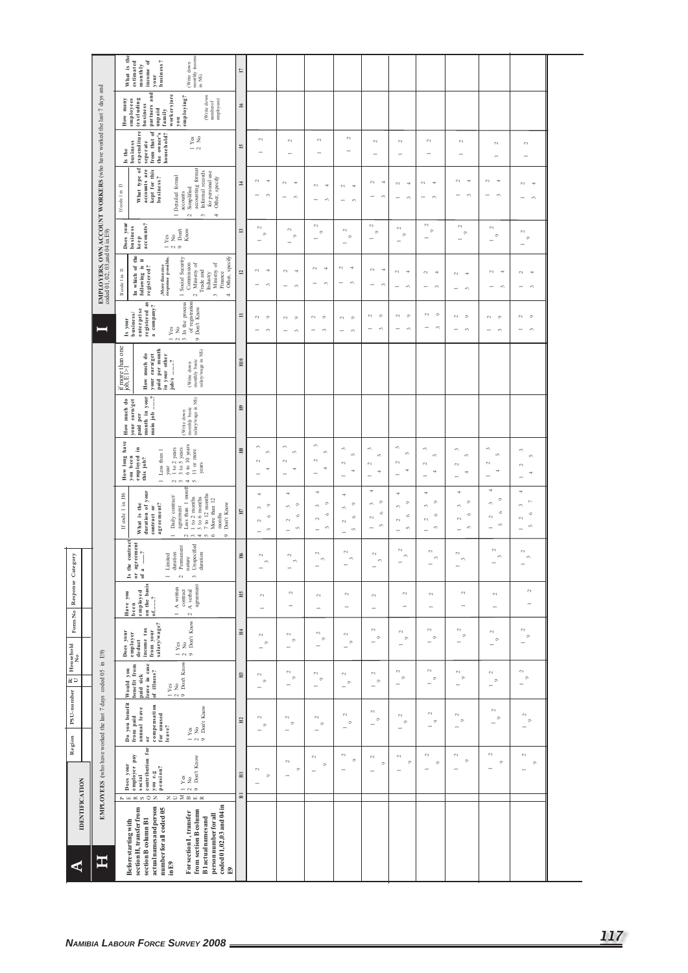|                         |                                                                                                            | What is the<br>monthly income<br>income of<br>estimated<br>business?<br>(Write down<br>monthly<br>in $NS$ )<br>your                                                                                                                                                                                                                                                                      | Ľ                         |                                                                                                        |                                                                                    |                                                                      |                                                                           |                                                                                |                                                                                                |                                                         |                                                           |                                                                             |                                                        |
|-------------------------|------------------------------------------------------------------------------------------------------------|------------------------------------------------------------------------------------------------------------------------------------------------------------------------------------------------------------------------------------------------------------------------------------------------------------------------------------------------------------------------------------------|---------------------------|--------------------------------------------------------------------------------------------------------|------------------------------------------------------------------------------------|----------------------------------------------------------------------|---------------------------------------------------------------------------|--------------------------------------------------------------------------------|------------------------------------------------------------------------------------------------|---------------------------------------------------------|-----------------------------------------------------------|-----------------------------------------------------------------------------|--------------------------------------------------------|
|                         |                                                                                                            | partners and<br>workers)are<br>employing?<br>(Write down<br>number of<br>How many<br>employees<br>(excluding<br>employees)<br>business<br>unpaid<br>family<br>you                                                                                                                                                                                                                        | 51                        |                                                                                                        |                                                                                    |                                                                      |                                                                           |                                                                                |                                                                                                |                                                         |                                                           |                                                                             |                                                        |
|                         |                                                                                                            | expenditure<br>from that of<br>household?<br>the owner's<br>$_{\rm Y\,e\,s}^{\rm vs}$<br>seperate<br>business<br>$ \sim$<br>$\mathring{\mathsf{e}}$<br>Ľ                                                                                                                                                                                                                                 | 51                        | $\sim$                                                                                                 | $\sim$                                                                             | $\sim$                                                               | $\mathord{\sim}$<br>$\overline{ }$                                        | $\sim$                                                                         | $\sim$                                                                                         | $\sim$                                                  | $\sim$                                                    | $\sim$                                                                      | $\sim$                                                 |
|                         | <b>EMPLOYERS, OWN ACCOUNT WORKERS</b> (who have worked the last 7 days and coded 01, 02, 03, and 04 in E9) | What type of<br>accounts are<br>kept for this<br>accounting format<br>Informal records<br>for personal use<br>1 Detailed formal<br>Other, specify<br>business?<br>If code 1 in 13<br>Simplified<br>accounts<br>$\mathord{\sim}$<br>$\sim$<br>4                                                                                                                                           | $\Xi$                     | $\mathbb{C}^2$<br>$\Rightarrow$<br>c0                                                                  | $\sim$<br>Ħ<br>$\sim$                                                              | $\sim$<br>÷<br>3                                                     | $\sim$<br>$\Rightarrow$<br>$\sim$                                         | $\sim$<br>$\Rightarrow$<br>$\mathcal{O}$                                       | $\rightarrow$<br>$\sim$<br>$\epsilon$<br>$\overline{\phantom{0}}$                              | $\sim$<br>$\overline{\mathcal{A}}$<br>$\epsilon \gamma$ | $\sim$<br>$\Rightarrow$<br>c0                             | $\mathfrak{c}_1$<br>$\Rightarrow$<br>$\epsilon$<br>$\overline{\phantom{a}}$ | $\sim$<br>$\overline{\phantom{a}}$<br>$\epsilon\gamma$ |
|                         |                                                                                                            | Does your<br>business<br>keep<br>accounts?<br>Don't<br>Know<br>$\frac{1}{2}$ Yes<br>$\circ$                                                                                                                                                                                                                                                                                              | $\Box$                    | $\sim$<br>$\circ$<br>-                                                                                 | $^{1}$<br>$\circ$                                                                  | $\sim$<br>$\circ$                                                    | $\sim$<br>$\circ$                                                         | $\sim$<br>$\circ$                                                              | $\sim$<br>$\circ$                                                                              | $\sim$<br>$\circ$                                       | $\sim$<br>$^\circ$                                        | $\sim$<br>$\circ$                                                           | $\sim$<br>$\circ$                                      |
|                         |                                                                                                            | $\rm_{the}$<br>$\begin{array}{l} \langle \text{More than one} \\ \text{response} \text{ possible} \rangle \end{array}$<br>Other, specify<br>Social Security<br>÷<br>Ministry of<br>Commission<br>Ministry of<br>In which of t<br>following is<br>registered?<br>If code 1 in 11<br>Trade and<br>Finance<br>Industry<br>$\sim$<br>$\epsilon$<br>$\overline{\phantom{0}}$<br>$\Rightarrow$ | $\overline{\mathbf{u}}$   | $\mathbb{C}^2$<br>$\Rightarrow$<br>$\epsilon \gamma$                                                   | $\mathord{\sim}$<br>÷<br>$\sim$<br>$\overline{\phantom{a}}$                        | $\sim$<br>÷<br>$\mathcal{O}$                                         | $\sim$<br>÷<br>$\sim$                                                     | $\Rightarrow$<br>$\sim$<br>$\sim$                                              | $\sim$<br>$\Rightarrow$<br>$\epsilon \gamma$                                                   | $\sim$<br>Ħ<br>$\epsilon$                               | $\sim$<br>$\overline{\phantom{a}}$<br>$\epsilon$          | $\sim$<br>Ħ<br>ç,                                                           | $\mathcal{L}_{\mathcal{A}}$<br>Ħ<br>$\mathcal{O}$      |
|                         | ⊒                                                                                                          | registered as<br>$\frac{1 \text{ Yes}}{2 \text{ No}}$<br>3 In the process<br>of registration<br>a company?<br>9 Don't Know<br>enterprise<br>business/<br>Is your                                                                                                                                                                                                                         | $\equiv$                  | $\sim$<br>$\circ$<br>$\epsilon$                                                                        | $\circ$<br>$\sim$<br>$\overline{\phantom{0}}$<br>S                                 | $\sim$<br>$\circ$<br>$\epsilon \gamma$                               | $\mathfrak{c}_1$<br>$\circ$<br>$\overline{ }$<br>$\epsilon$               | $\circ$<br>$^{c}$<br>S                                                         | $\circ$<br>$\mathbb{C}^1$<br>c0                                                                | $\sim$<br>$\circ$<br>$\epsilon$                         | $\circ$<br>$\sim$<br>$\epsilon$                           | $\sim$<br>$\circ$<br>$\sim$                                                 | $\circ$<br>$\sim$<br>e,                                |
|                         |                                                                                                            | if more than one<br>job, $E$ [>]<br>paid per month<br>(Write down<br>monthly basic<br>salary/wage in NS)<br>your earn/get<br>How much do<br>in your other<br>job/s ……?                                                                                                                                                                                                                   | H10                       |                                                                                                        |                                                                                    |                                                                      |                                                                           |                                                                                |                                                                                                |                                                         |                                                           |                                                                             |                                                        |
|                         |                                                                                                            | month in your<br>main job ?<br>$\begin{tabular}{l} (Write down \\ monthly basic \\ salary/wage in NS) \end{tabular}$<br>How much do<br>your earn/get<br>paid per                                                                                                                                                                                                                         | $\mathbb{H}^0$            |                                                                                                        |                                                                                    |                                                                      |                                                                           |                                                                                |                                                                                                |                                                         |                                                           |                                                                             |                                                        |
|                         |                                                                                                            | How long have<br>6 to 10 years<br>$\frac{1}{3}$ to 2 years<br>you been<br>employed in<br>$1$ Less than $1\,$<br>11 or more<br>this job?<br>years<br>year<br>$\alpha \approx 4.6$                                                                                                                                                                                                         | H8                        | S<br>in.<br>$\sim$<br>4                                                                                | $\mathfrak{S}$<br>$\mathbf{m}$<br>$\sim$<br>÷                                      | in.<br>$\sim$<br>4                                                   | $\epsilon$<br>in,<br>$\mathcal{L}_{\mathcal{A}}$<br>₩<br>÷                | 3<br>ιn.<br>$\sim$<br>ч<br>$\overline{\phantom{0}}$                            | S<br>in,<br>$\sim$<br>Ħ<br>$\overline{\phantom{a}}$                                            | $\mathfrak{S}$<br>in.<br>$^{1}$<br>Ħ                    | ĉ,<br>in.<br>$\sim$<br>₹                                  | S<br>ιn,<br>$\sim$<br>₹                                                     | 3<br>in,<br>$\mathfrak{g}$<br>÷                        |
|                         |                                                                                                            | Less than 1 month<br>duration of your<br>If code 1 in H6<br>1 to 2 months<br>3 to 6 months<br>7 to 12 months<br>More than 12<br>Daily contract<br>Don't Know<br>contract or<br>agreement?<br>What is the<br>agreement<br>months<br>$\overline{a}$<br>$\frac{1}{2}$<br>$\circ$                                                                                                            | EГ                        | 4<br>$\circ$<br>$\epsilon \gamma$<br>$\circ$<br>$\mathbb{C}^1$<br>$\alpha$<br>$\overline{\phantom{a}}$ | ₩<br>$\circ$<br>$\epsilon\gamma$<br>G<br>$\sim$<br>tO.<br>$\overline{\phantom{0}}$ | ÷<br>$\circ$<br>$\sim$<br>$\circ$<br>$\sim$<br>ın,<br>$\overline{ }$ | Ħ<br>$\circ$<br>ò<br>$\circ$<br>$\sim$<br>in.<br>$\overline{\phantom{0}}$ | ÷<br>$\circ$<br>$\sim$<br>$\circ$<br>$\sim$<br>in.<br>$\overline{\phantom{0}}$ | 4<br>$\circ$<br>$\epsilon \gamma$<br>$\circ$<br>$\sim$<br>$\infty$<br>$\overline{\phantom{a}}$ | ó<br>ò<br>Ó<br>$\sim$<br>ın,<br>$\overline{ }$          | ÷<br>$\circ$<br>$\mathcal{O}$<br>$\circ$<br>$\sim$<br>in. | ÷<br>$\circ$<br>s,<br>$\circ$<br>$\sim$<br>in.                              | ÷<br>Þ<br>ŝ,<br>$\circ$<br>$\sim$<br>$\mathbf{r}$      |
| Response Category       |                                                                                                            | the contract<br>agreement<br><b>J</b> nspecified<br>Permanent<br>$\begin{array}{c} \begin{array}{c} \hline \end{array} \\ \hline \end{array}$<br>duration<br>duration<br>imited<br>nature<br>$\begin{array}{c} 1 \\ 2 \\ 3 \\ 6 \end{array}$<br>$\overline{\phantom{a}}$<br>$\overline{\phantom{0}}$<br>$\sim$                                                                           | H <sub>6</sub>            | $\mathbb{C}^1$<br>$\mathfrak{S}$                                                                       | $\mathbb{C}^2$<br>$\epsilon$                                                       | $\mathbb{C}^1$<br>$\epsilon$                                         | $\mathfrak{c}_1$<br>$\epsilon \gamma$                                     | $\sim$<br>$\epsilon \gamma$                                                    | $\sim$<br>$\epsilon$                                                                           | $\sim$<br>$\sim$                                        | $\sim$<br>S                                               | $\mathbb{C}^1$<br>$\sim$                                                    | $\mathbb{C}^1$<br>$\mathfrak{m}$                       |
|                         |                                                                                                            | on the basis<br>of?<br>agreement<br>$1 \land$ written<br>$\begin{array}{c} \mbox{contract} \\ \mbox{A verbal} \end{array}$<br>employed<br>Have you<br>been<br>$\mathbb{R}^d$                                                                                                                                                                                                             | Н5                        | $\mathbb{C}^1$                                                                                         | $\mathcal{L}_{1}$                                                                  | $\mathbb{C}^1$<br>$\overline{ }$                                     | $\sim$                                                                    | $\sim$                                                                         | $\sim$<br>÷                                                                                    | $\sim$<br>$\overline{\phantom{0}}$                      | $\mathcal{L}_{\mathcal{A}}$                               | $\mathfrak{c}_4$<br>$\overline{\phantom{a}}$                                | $\mathbb{C}^2$<br>$\overline{ }$                       |
| Form No                 |                                                                                                            | $\left[\begin{array}{c} 1 \text{ Yes} \\ 2 \text{ No} \\ 9 \text{ Don't Know} \end{array}\right]$<br>salary/wage?<br>income tax<br>from your<br>Does your<br>employer<br>deduct                                                                                                                                                                                                          | $H_4$                     | $\mathbb{C}^1$<br>$\circ$                                                                              | $\omega$<br>$\circ$                                                                | $\sim$<br>$\circ$<br>$\overline{ }$                                  | $\mathbb{C}^1$<br>$\circ$                                                 | $\sim$<br>$\circ$                                                              | $\sim$<br>$^\circ$<br>$\overline{\phantom{0}}$                                                 | $\sim$<br>$\circ$<br>$\overline{\phantom{0}}$           | $\sim$<br>$\circ$                                         | $\mathbb{C}^1$<br>$^\circ$<br>$\overline{\phantom{a}}$                      | $\sim$<br>$\circ$<br>$\overline{\phantom{a}}$          |
| PSU-number Ty Household | in $E9$ )                                                                                                  | $\begin{array}{c c} 1 & \text{Yes} \\ 2 & \text{No} \\ 9 & \text{Don't Know} \end{array}$<br>paid sick<br>leave in case<br>Would you<br>benefit from<br>of illness?                                                                                                                                                                                                                      | $\Xi$                     | $\sim$<br>$\circ$<br>-                                                                                 | $\sim$<br>$\circ$<br>$\overline{ }$                                                | $\sim$<br>$\circ$                                                    | $\sim$<br>$\circ$                                                         | $\sim$<br>$\circ$                                                              | $\sim$<br>$\circ$<br>$\rightarrow$                                                             | $\mathcal{L}$<br>$\circ$<br>$\overline{\phantom{0}}$    | $\sim$<br>$\circ$                                         | $\omega$<br>$\circ$                                                         | $\sim$<br>$\circ$<br>$\overline{\phantom{a}}$          |
|                         |                                                                                                            | Do you benefit<br>compensation<br>for unused<br>leave?<br>annual leave<br>$\begin{array}{ll} 1 \ \text{Yes} \\ 2 \ \text{No} \\ 9 \ \text{Dont} \ \text{Know} \end{array}$<br>$\overline{\textbf{0}}$                                                                                                                                                                                    | $\Xi$                     | $\sim$<br>$\circ$                                                                                      | $\sim$<br>$\circ$                                                                  | $\mathbb{C}^2$<br>$\circ$                                            | $\mathbb{C}^1$<br>$\circ$<br>$\overline{ }$                               | $\sim$<br>$\circ$                                                              | $\sim$<br>$\circ$                                                                              | $\sim$<br>$\circ$                                       | $\mathcal{L}_{1}$<br>$\circ$<br>$\overline{ }$            | $\sim$<br>$\circ$                                                           | $\mathcal{L}_{\mathcal{A}}$<br>$\circ$                 |
| Region                  | EMPLOYEES (who have worked the last 7 days coded 05                                                        | contribution for<br>employer pay<br>Yes<br>No<br>Don't Know<br>Does your<br>you e.g<br>pension?<br>social<br>$- 0$                                                                                                                                                                                                                                                                       | Ξ                         | $\mathcal{L}_{\mathcal{A}}$<br>$\circ$<br>$\overline{\phantom{a}}$                                     | $\mathcal{L}_{\mathcal{A}}$<br>$\circ$                                             | $\sim$<br>$\circ$<br>÷                                               | $\mathbb{C}^1$<br>$\circ$                                                 | $\sim$<br>$\circ$<br>$\leftarrow$                                              | $\mathcal{L}_{1}$<br>$\circ$<br>$\overline{ }$                                                 | $\sim$<br>$\circ$<br>$\overline{ }$                     | $\sim$<br>$\circ$                                         | $\mathfrak{c}_1$<br>$\circ$                                                 | $\sim$<br>$\circ$<br>$\overline{ }$                    |
| <b>IDENTIFICATION</b>   |                                                                                                            | $\geq$ m $\approx$<br>$\mathbb{L} \times \mathbb{R} \times \mathbb{R} \times \mathbb{R}$<br>$\mathbb Z$                                                                                                                                                                                                                                                                                  | $\overline{\mathbf{B}}$ 1 |                                                                                                        |                                                                                    |                                                                      |                                                                           |                                                                                |                                                                                                |                                                         |                                                           |                                                                             |                                                        |
|                         | 耳                                                                                                          | coded 01,02,03 and 04 in<br>actual names and person<br>section H, transfer from<br>number for all coded 05<br>from section B column<br>For section I, transfer<br>person number for all<br><b>B1</b> actual names and<br>section B column B1<br>Before starting with                                                                                                                     |                           |                                                                                                        |                                                                                    |                                                                      |                                                                           |                                                                                |                                                                                                |                                                         |                                                           |                                                                             |                                                        |
| ⋖                       |                                                                                                            | in E9<br>Ð                                                                                                                                                                                                                                                                                                                                                                               |                           |                                                                                                        |                                                                                    |                                                                      |                                                                           |                                                                                |                                                                                                |                                                         |                                                           |                                                                             |                                                        |